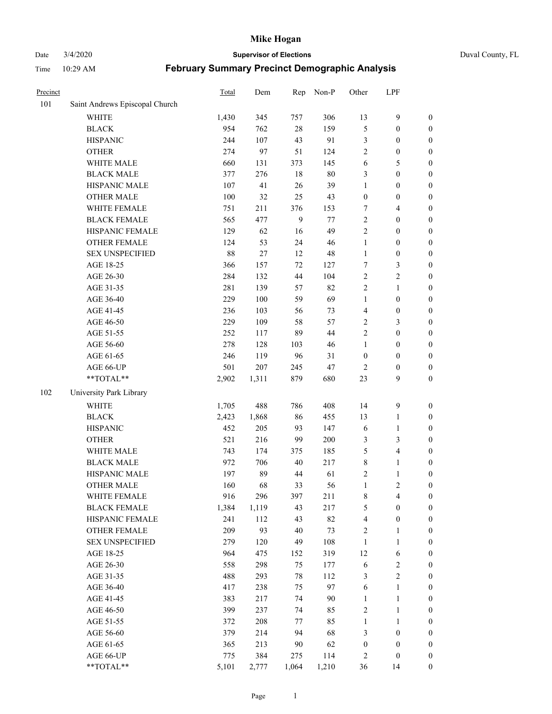# Date 3/4/2020 **Supervisor of Elections** Duval County, FL

| Precinct |                                | Total | Dem   | Rep   | Non-P | Other                   | LPF                     |                  |
|----------|--------------------------------|-------|-------|-------|-------|-------------------------|-------------------------|------------------|
| 101      | Saint Andrews Episcopal Church |       |       |       |       |                         |                         |                  |
|          | <b>WHITE</b>                   | 1,430 | 345   | 757   | 306   | 13                      | $\mathbf{9}$            | $\boldsymbol{0}$ |
|          | <b>BLACK</b>                   | 954   | 762   | 28    | 159   | 5                       | $\boldsymbol{0}$        | $\boldsymbol{0}$ |
|          | <b>HISPANIC</b>                | 244   | 107   | 43    | 91    | 3                       | $\boldsymbol{0}$        | $\boldsymbol{0}$ |
|          | <b>OTHER</b>                   | 274   | 97    | 51    | 124   | $\overline{c}$          | $\boldsymbol{0}$        | $\boldsymbol{0}$ |
|          | WHITE MALE                     | 660   | 131   | 373   | 145   | 6                       | $\sqrt{5}$              | $\boldsymbol{0}$ |
|          | <b>BLACK MALE</b>              | 377   | 276   | 18    | 80    | 3                       | $\boldsymbol{0}$        | $\boldsymbol{0}$ |
|          | HISPANIC MALE                  | 107   | 41    | 26    | 39    | 1                       | $\boldsymbol{0}$        | $\boldsymbol{0}$ |
|          | <b>OTHER MALE</b>              | 100   | 32    | 25    | 43    | $\boldsymbol{0}$        | $\boldsymbol{0}$        | $\boldsymbol{0}$ |
|          | WHITE FEMALE                   | 751   | 211   | 376   | 153   | 7                       | $\overline{\mathbf{4}}$ | $\boldsymbol{0}$ |
|          | <b>BLACK FEMALE</b>            | 565   | 477   | 9     | 77    | $\sqrt{2}$              | $\boldsymbol{0}$        | $\boldsymbol{0}$ |
|          | HISPANIC FEMALE                | 129   | 62    | 16    | 49    | $\overline{2}$          | $\boldsymbol{0}$        | $\boldsymbol{0}$ |
|          | <b>OTHER FEMALE</b>            | 124   | 53    | 24    | 46    | $\mathbf{1}$            | $\boldsymbol{0}$        | $\boldsymbol{0}$ |
|          | <b>SEX UNSPECIFIED</b>         | 88    | 27    | 12    | 48    | $\mathbf{1}$            | $\boldsymbol{0}$        | $\boldsymbol{0}$ |
|          | AGE 18-25                      | 366   | 157   | 72    | 127   | 7                       | $\mathfrak{Z}$          | $\boldsymbol{0}$ |
|          | AGE 26-30                      | 284   | 132   | 44    | 104   | $\overline{c}$          | $\sqrt{2}$              | $\boldsymbol{0}$ |
|          | AGE 31-35                      | 281   | 139   | 57    | 82    | $\overline{c}$          | $\mathbf{1}$            | $\boldsymbol{0}$ |
|          | AGE 36-40                      | 229   | 100   | 59    | 69    | $\mathbf{1}$            | $\boldsymbol{0}$        | $\boldsymbol{0}$ |
|          | AGE 41-45                      | 236   | 103   | 56    | 73    | $\overline{\mathbf{4}}$ | $\boldsymbol{0}$        | $\boldsymbol{0}$ |
|          | AGE 46-50                      | 229   | 109   | 58    | 57    | 2                       | $\mathfrak{Z}$          | $\boldsymbol{0}$ |
|          | AGE 51-55                      | 252   | 117   | 89    | 44    | $\overline{2}$          | $\boldsymbol{0}$        | $\boldsymbol{0}$ |
|          | AGE 56-60                      | 278   | 128   | 103   | 46    | $\mathbf{1}$            | $\boldsymbol{0}$        | 0                |
|          | AGE 61-65                      | 246   | 119   | 96    | 31    | $\boldsymbol{0}$        | $\boldsymbol{0}$        | $\boldsymbol{0}$ |
|          | AGE 66-UP                      | 501   | 207   | 245   | 47    | $\overline{2}$          | $\boldsymbol{0}$        | $\boldsymbol{0}$ |
|          | **TOTAL**                      | 2,902 | 1,311 | 879   | 680   | 23                      | 9                       | $\boldsymbol{0}$ |
| 102      | University Park Library        |       |       |       |       |                         |                         |                  |
|          | <b>WHITE</b>                   | 1,705 | 488   | 786   | 408   | 14                      | $\mathbf{9}$            | $\boldsymbol{0}$ |
|          | <b>BLACK</b>                   | 2,423 | 1,868 | 86    | 455   | 13                      | $\mathbf{1}$            | $\boldsymbol{0}$ |
|          | <b>HISPANIC</b>                | 452   | 205   | 93    | 147   | 6                       | $\mathbf{1}$            | $\boldsymbol{0}$ |
|          | <b>OTHER</b>                   | 521   | 216   | 99    | 200   | 3                       | $\mathfrak{Z}$          | $\boldsymbol{0}$ |
|          | WHITE MALE                     | 743   | 174   | 375   | 185   | 5                       | $\overline{\mathbf{4}}$ | $\boldsymbol{0}$ |
|          | <b>BLACK MALE</b>              | 972   | 706   | 40    | 217   | $\,$ $\,$               | $\mathbf{1}$            | $\boldsymbol{0}$ |
|          | HISPANIC MALE                  | 197   | 89    | 44    | 61    | $\overline{c}$          | $\mathbf{1}$            | $\boldsymbol{0}$ |
|          | <b>OTHER MALE</b>              | 160   | 68    | 33    | 56    | $\mathbf{1}$            | $\overline{2}$          | $\boldsymbol{0}$ |
|          | WHITE FEMALE                   | 916   | 296   | 397   | 211   | 8                       | 4                       | 0                |
|          | <b>BLACK FEMALE</b>            | 1,384 | 1,119 | 43    | 217   | 5                       | $\boldsymbol{0}$        | $\boldsymbol{0}$ |
|          | HISPANIC FEMALE                | 241   | 112   | 43    | 82    | 4                       | $\boldsymbol{0}$        | $\overline{0}$   |
|          | <b>OTHER FEMALE</b>            | 209   | 93    | 40    | 73    | $\overline{c}$          | $\mathbf{1}$            | $\overline{0}$   |
|          | <b>SEX UNSPECIFIED</b>         | 279   | 120   | 49    | 108   | $\mathbf{1}$            | $\mathbf{1}$            | 0                |
|          | AGE 18-25                      | 964   | 475   | 152   | 319   | 12                      | 6                       | 0                |
|          | AGE 26-30                      | 558   | 298   | 75    | 177   | 6                       | $\boldsymbol{2}$        | 0                |
|          | AGE 31-35                      | 488   | 293   | 78    | 112   | 3                       | $\overline{2}$          | 0                |
|          | AGE 36-40                      | 417   | 238   | 75    | 97    | 6                       | $\mathbf{1}$            | 0                |
|          | AGE 41-45                      | 383   | 217   | 74    | 90    | $\mathbf{1}$            | $\mathbf{1}$            | 0                |
|          | AGE 46-50                      | 399   | 237   | 74    | 85    | $\sqrt{2}$              | $\mathbf{1}$            | 0                |
|          | AGE 51-55                      | 372   | 208   | 77    | 85    | $\mathbf{1}$            | $\mathbf{1}$            | 0                |
|          | AGE 56-60                      | 379   | 214   | 94    | 68    | 3                       | $\boldsymbol{0}$        | 0                |
|          | AGE 61-65                      | 365   | 213   | 90    | 62    | $\boldsymbol{0}$        | $\boldsymbol{0}$        | 0                |
|          | AGE 66-UP                      | 775   | 384   | 275   | 114   | 2                       | $\boldsymbol{0}$        | 0                |
|          | **TOTAL**                      | 5,101 | 2,777 | 1,064 | 1,210 | 36                      | 14                      | $\boldsymbol{0}$ |
|          |                                |       |       |       |       |                         |                         |                  |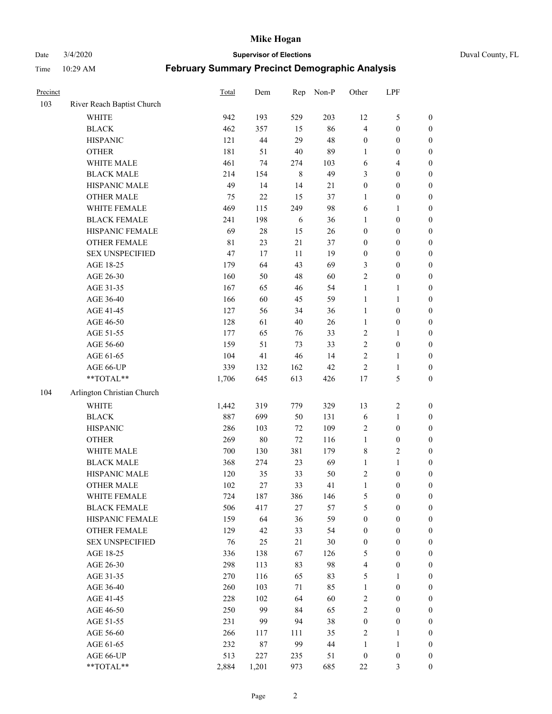Date 3/4/2020 **Supervisor of Elections** Duval County, FL

| Precinct |                                        | Total       | Dem    | Rep     | Non-P  | Other                   | LPF              |                  |
|----------|----------------------------------------|-------------|--------|---------|--------|-------------------------|------------------|------------------|
| 103      | River Reach Baptist Church             |             |        |         |        |                         |                  |                  |
|          | <b>WHITE</b>                           | 942         | 193    | 529     | 203    | 12                      | $\mathfrak s$    | 0                |
|          | <b>BLACK</b>                           | 462         | 357    | 15      | 86     | $\overline{\mathbf{4}}$ | $\boldsymbol{0}$ | $\boldsymbol{0}$ |
|          | <b>HISPANIC</b>                        | 121         | $44\,$ | 29      | 48     | $\boldsymbol{0}$        | $\boldsymbol{0}$ | $\boldsymbol{0}$ |
|          | <b>OTHER</b>                           | 181         | 51     | $40\,$  | 89     | 1                       | $\boldsymbol{0}$ | $\boldsymbol{0}$ |
|          | WHITE MALE                             | 461         | 74     | 274     | 103    | 6                       | $\overline{4}$   | $\boldsymbol{0}$ |
|          | <b>BLACK MALE</b>                      | 214         | 154    | $\,8\,$ | 49     | 3                       | $\boldsymbol{0}$ | $\boldsymbol{0}$ |
|          | HISPANIC MALE                          | 49          | 14     | 14      | $21\,$ | 0                       | $\boldsymbol{0}$ | $\boldsymbol{0}$ |
|          | <b>OTHER MALE</b>                      | 75          | 22     | 15      | 37     | $\mathbf{1}$            | $\boldsymbol{0}$ | $\boldsymbol{0}$ |
|          | WHITE FEMALE                           | 469         | 115    | 249     | 98     | 6                       | 1                | $\boldsymbol{0}$ |
|          | <b>BLACK FEMALE</b>                    | 241         | 198    | 6       | 36     | $\mathbf{1}$            | $\boldsymbol{0}$ | $\boldsymbol{0}$ |
|          | HISPANIC FEMALE                        | 69          | $28\,$ | 15      | $26\,$ | $\boldsymbol{0}$        | $\boldsymbol{0}$ | $\boldsymbol{0}$ |
|          | OTHER FEMALE                           | $8\sqrt{1}$ | 23     | 21      | 37     | $\boldsymbol{0}$        | $\boldsymbol{0}$ | $\boldsymbol{0}$ |
|          | <b>SEX UNSPECIFIED</b>                 | 47          | 17     | $11\,$  | 19     | $\boldsymbol{0}$        | $\boldsymbol{0}$ | $\boldsymbol{0}$ |
|          | AGE 18-25                              | 179         | 64     | 43      | 69     | 3                       | $\boldsymbol{0}$ | $\boldsymbol{0}$ |
|          | AGE 26-30                              | 160         | 50     | 48      | 60     | $\overline{c}$          | $\boldsymbol{0}$ | $\boldsymbol{0}$ |
|          | AGE 31-35                              | 167         | 65     | 46      | 54     | $\mathbf{1}$            | $\mathbf{1}$     | $\boldsymbol{0}$ |
|          | AGE 36-40                              | 166         | 60     | 45      | 59     | $\mathbf{1}$            | $\mathbf{1}$     | $\boldsymbol{0}$ |
|          | AGE 41-45                              | 127         | 56     | 34      | 36     | $\mathbf{1}$            | $\boldsymbol{0}$ | $\boldsymbol{0}$ |
|          | AGE 46-50                              | 128         | 61     | 40      | $26\,$ | $\mathbf{1}$            | $\boldsymbol{0}$ | $\boldsymbol{0}$ |
|          | AGE 51-55                              | 177         | 65     | 76      | 33     | $\overline{c}$          | 1                | $\boldsymbol{0}$ |
|          | AGE 56-60                              | 159         | 51     | 73      | 33     | $\overline{c}$          | $\boldsymbol{0}$ | 0                |
|          | AGE 61-65                              | 104         | 41     | 46      | 14     | $\overline{2}$          | 1                | 0                |
|          | AGE 66-UP                              | 339         | 132    | 162     | 42     | $\boldsymbol{2}$        | $\mathbf{1}$     | $\boldsymbol{0}$ |
|          | $\mathrm{*}\mathrm{*} \mathrm{TOTAL}*$ | 1,706       | 645    | 613     | 426    | 17                      | $\mathfrak s$    | $\boldsymbol{0}$ |
| 104      | Arlington Christian Church             |             |        |         |        |                         |                  |                  |
|          | <b>WHITE</b>                           | 1,442       | 319    | 779     | 329    | 13                      | $\sqrt{2}$       | $\boldsymbol{0}$ |
|          | <b>BLACK</b>                           | 887         | 699    | 50      | 131    | 6                       | $\mathbf{1}$     | $\boldsymbol{0}$ |
|          | <b>HISPANIC</b>                        | 286         | 103    | $72\,$  | 109    | 2                       | $\boldsymbol{0}$ | $\boldsymbol{0}$ |
|          | <b>OTHER</b>                           | 269         | $80\,$ | 72      | 116    | $\mathbf{1}$            | $\boldsymbol{0}$ | $\boldsymbol{0}$ |
|          | WHITE MALE                             | 700         | 130    | 381     | 179    | 8                       | $\overline{2}$   | $\boldsymbol{0}$ |
|          | <b>BLACK MALE</b>                      | 368         | 274    | 23      | 69     | $\mathbf{1}$            | $\mathbf{1}$     | $\boldsymbol{0}$ |
|          | HISPANIC MALE                          | 120         | 35     | 33      | $50\,$ | 2                       | $\boldsymbol{0}$ | $\boldsymbol{0}$ |
|          | <b>OTHER MALE</b>                      | 102         | $27\,$ | 33      | 41     | $\mathbf{1}$            | $\boldsymbol{0}$ | $\boldsymbol{0}$ |
|          | WHITE FEMALE                           | 724         | 187    | 386     | 146    | 5                       | 0                | 0                |
|          | <b>BLACK FEMALE</b>                    | 506         | 417    | 27      | 57     | 5                       | $\boldsymbol{0}$ | $\overline{0}$   |
|          | HISPANIC FEMALE                        | 159         | 64     | 36      | 59     | $\boldsymbol{0}$        | $\boldsymbol{0}$ | $\overline{0}$   |
|          | <b>OTHER FEMALE</b>                    | 129         | 42     | 33      | 54     | $\boldsymbol{0}$        | $\boldsymbol{0}$ | $\overline{0}$   |
|          | <b>SEX UNSPECIFIED</b>                 | 76          | 25     | 21      | $30\,$ | $\boldsymbol{0}$        | $\boldsymbol{0}$ | 0                |
|          | AGE 18-25                              | 336         | 138    | 67      | 126    | 5                       | $\boldsymbol{0}$ | $\theta$         |
|          | AGE 26-30                              | 298         | 113    | 83      | 98     | 4                       | $\boldsymbol{0}$ | 0                |
|          | AGE 31-35                              | 270         | 116    | 65      | 83     | 5                       | 1                | 0                |
|          | AGE 36-40                              | 260         | 103    | 71      | 85     | $\mathbf{1}$            | $\boldsymbol{0}$ | 0                |
|          | AGE 41-45                              | 228         | 102    | 64      | 60     | 2                       | $\boldsymbol{0}$ | 0                |
|          | AGE 46-50                              | 250         | 99     | 84      | 65     | 2                       | $\boldsymbol{0}$ | 0                |
|          | AGE 51-55                              | 231         | 99     | 94      | 38     | $\boldsymbol{0}$        | $\boldsymbol{0}$ | 0                |
|          | AGE 56-60                              | 266         | 117    | 111     | 35     | 2                       | 1                | $\overline{0}$   |
|          | AGE 61-65                              | 232         | 87     | 99      | 44     | 1                       | $\mathbf{1}$     | $\overline{0}$   |
|          | AGE 66-UP                              | 513         | 227    | 235     | 51     | $\boldsymbol{0}$        | $\boldsymbol{0}$ | 0                |
|          | **TOTAL**                              | 2,884       | 1,201  | 973     | 685    | $22\,$                  | 3                | $\boldsymbol{0}$ |
|          |                                        |             |        |         |        |                         |                  |                  |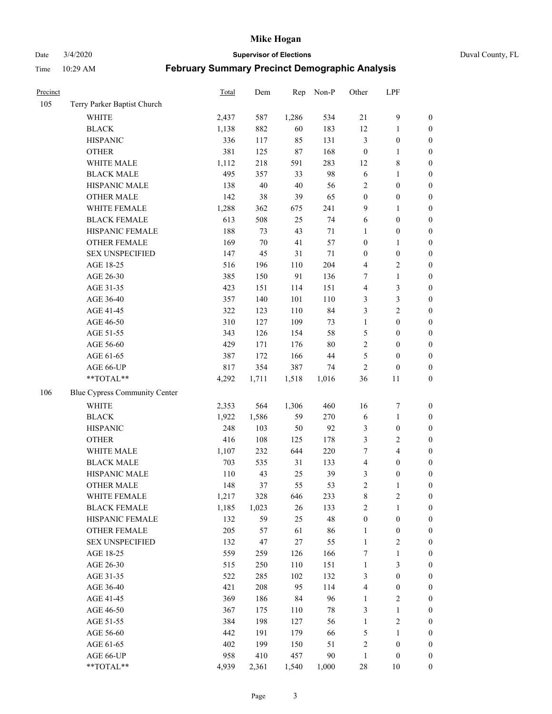Date 3/4/2020 **Supervisor of Elections** Duval County, FL

| Precinct |                                      | Total | Dem    | Rep   | Non-P  | Other            | LPF                     |                  |
|----------|--------------------------------------|-------|--------|-------|--------|------------------|-------------------------|------------------|
| 105      | Terry Parker Baptist Church          |       |        |       |        |                  |                         |                  |
|          | <b>WHITE</b>                         | 2,437 | 587    | 1,286 | 534    | $21\,$           | $\mathbf{9}$            | 0                |
|          | <b>BLACK</b>                         | 1,138 | 882    | 60    | 183    | 12               | $\mathbf{1}$            | $\boldsymbol{0}$ |
|          | <b>HISPANIC</b>                      | 336   | 117    | 85    | 131    | 3                | $\boldsymbol{0}$        | $\boldsymbol{0}$ |
|          | <b>OTHER</b>                         | 381   | 125    | 87    | 168    | $\boldsymbol{0}$ | 1                       | $\boldsymbol{0}$ |
|          | WHITE MALE                           | 1,112 | 218    | 591   | 283    | 12               | $\,$ 8 $\,$             | $\boldsymbol{0}$ |
|          | <b>BLACK MALE</b>                    | 495   | 357    | 33    | 98     | 6                | $\mathbf{1}$            | $\boldsymbol{0}$ |
|          | HISPANIC MALE                        | 138   | 40     | 40    | 56     | $\overline{c}$   | $\boldsymbol{0}$        | $\boldsymbol{0}$ |
|          | <b>OTHER MALE</b>                    | 142   | 38     | 39    | 65     | $\boldsymbol{0}$ | $\boldsymbol{0}$        | $\boldsymbol{0}$ |
|          | WHITE FEMALE                         | 1,288 | 362    | 675   | 241    | 9                | $\mathbf{1}$            | $\boldsymbol{0}$ |
|          | <b>BLACK FEMALE</b>                  | 613   | 508    | 25    | 74     | 6                | $\boldsymbol{0}$        | 0                |
|          | HISPANIC FEMALE                      | 188   | 73     | 43    | 71     | 1                | $\boldsymbol{0}$        | 0                |
|          | <b>OTHER FEMALE</b>                  | 169   | $70\,$ | 41    | 57     | $\boldsymbol{0}$ | 1                       | $\boldsymbol{0}$ |
|          | <b>SEX UNSPECIFIED</b>               | 147   | 45     | 31    | $71\,$ | $\boldsymbol{0}$ | $\boldsymbol{0}$        | $\boldsymbol{0}$ |
|          | AGE 18-25                            | 516   | 196    | 110   | 204    | 4                | $\sqrt{2}$              | $\boldsymbol{0}$ |
|          | AGE 26-30                            | 385   | 150    | 91    | 136    | 7                | $\mathbf{1}$            | $\boldsymbol{0}$ |
|          | AGE 31-35                            | 423   | 151    | 114   | 151    | 4                | $\mathfrak{Z}$          | $\boldsymbol{0}$ |
|          | AGE 36-40                            | 357   | 140    | 101   | 110    | 3                | $\mathfrak{Z}$          | $\boldsymbol{0}$ |
|          | AGE 41-45                            | 322   | 123    | 110   | 84     | 3                | $\overline{2}$          | $\boldsymbol{0}$ |
|          | AGE 46-50                            | 310   | 127    | 109   | 73     | $\mathbf{1}$     | $\boldsymbol{0}$        | $\boldsymbol{0}$ |
|          | AGE 51-55                            | 343   | 126    | 154   | 58     | 5                | $\boldsymbol{0}$        | $\boldsymbol{0}$ |
|          | AGE 56-60                            | 429   | 171    | 176   | $80\,$ | $\sqrt{2}$       | $\boldsymbol{0}$        | 0                |
|          | AGE 61-65                            | 387   | 172    | 166   | 44     | 5                | $\boldsymbol{0}$        | $\boldsymbol{0}$ |
|          | AGE 66-UP                            | 817   | 354    | 387   | 74     | $\sqrt{2}$       | $\boldsymbol{0}$        | $\boldsymbol{0}$ |
|          | **TOTAL**                            | 4,292 | 1,711  | 1,518 | 1,016  | 36               | 11                      | $\boldsymbol{0}$ |
| 106      | <b>Blue Cypress Community Center</b> |       |        |       |        |                  |                         |                  |
|          | <b>WHITE</b>                         | 2,353 | 564    | 1,306 | 460    | 16               | $\boldsymbol{7}$        | $\boldsymbol{0}$ |
|          | <b>BLACK</b>                         | 1,922 | 1,586  | 59    | 270    | 6                | $\mathbf{1}$            | $\boldsymbol{0}$ |
|          | <b>HISPANIC</b>                      | 248   | 103    | 50    | 92     | 3                | $\boldsymbol{0}$        | $\boldsymbol{0}$ |
|          | <b>OTHER</b>                         | 416   | 108    | 125   | 178    | 3                | $\sqrt{2}$              | $\boldsymbol{0}$ |
|          | WHITE MALE                           | 1,107 | 232    | 644   | 220    | $\tau$           | $\overline{\mathbf{4}}$ | $\boldsymbol{0}$ |
|          | <b>BLACK MALE</b>                    | 703   | 535    | 31    | 133    | 4                | $\boldsymbol{0}$        | $\boldsymbol{0}$ |
|          | HISPANIC MALE                        | 110   | 43     | 25    | 39     | 3                | $\boldsymbol{0}$        | $\boldsymbol{0}$ |
|          | <b>OTHER MALE</b>                    | 148   | 37     | 55    | 53     | $\overline{c}$   | $\mathbf{1}$            | $\boldsymbol{0}$ |
|          | WHITE FEMALE                         | 1,217 | 328    | 646   | 233    | 8                | $\overline{c}$          | 0                |
|          | <b>BLACK FEMALE</b>                  | 1,185 | 1,023  | 26    | 133    | 2                | $\mathbf{1}$            | $\boldsymbol{0}$ |
|          | HISPANIC FEMALE                      | 132   | 59     | 25    | 48     | $\boldsymbol{0}$ | $\boldsymbol{0}$        | $\overline{0}$   |
|          | OTHER FEMALE                         | 205   | 57     | 61    | 86     | $\mathbf{1}$     | $\boldsymbol{0}$        | $\overline{0}$   |
|          | <b>SEX UNSPECIFIED</b>               | 132   | 47     | 27    | 55     | $\mathbf{1}$     | $\sqrt{2}$              | 0                |
|          | AGE 18-25                            | 559   | 259    | 126   | 166    | 7                | $\mathbf{1}$            | 0                |
|          | AGE 26-30                            | 515   | 250    | 110   | 151    | $\mathbf{1}$     | $\mathfrak{Z}$          | 0                |
|          | AGE 31-35                            | 522   | 285    | 102   | 132    | 3                | $\boldsymbol{0}$        | 0                |
|          | AGE 36-40                            | 421   | 208    | 95    | 114    | 4                | $\boldsymbol{0}$        | 0                |
|          | AGE 41-45                            | 369   | 186    | 84    | 96     | $\mathbf{1}$     | $\sqrt{2}$              | 0                |
|          | AGE 46-50                            | 367   | 175    | 110   | $78\,$ | 3                | $\mathbf{1}$            | 0                |
|          | AGE 51-55                            | 384   | 198    | 127   | 56     | $\mathbf{1}$     | $\sqrt{2}$              | 0                |
|          | AGE 56-60                            | 442   | 191    | 179   | 66     | 5                | 1                       | 0                |
|          | AGE 61-65                            | 402   | 199    | 150   | 51     | 2                | $\boldsymbol{0}$        | $\boldsymbol{0}$ |
|          | AGE 66-UP                            | 958   | 410    | 457   | 90     | $\mathbf{1}$     | $\boldsymbol{0}$        | 0                |
|          | **TOTAL**                            | 4,939 | 2,361  | 1,540 | 1,000  | 28               | 10                      | $\boldsymbol{0}$ |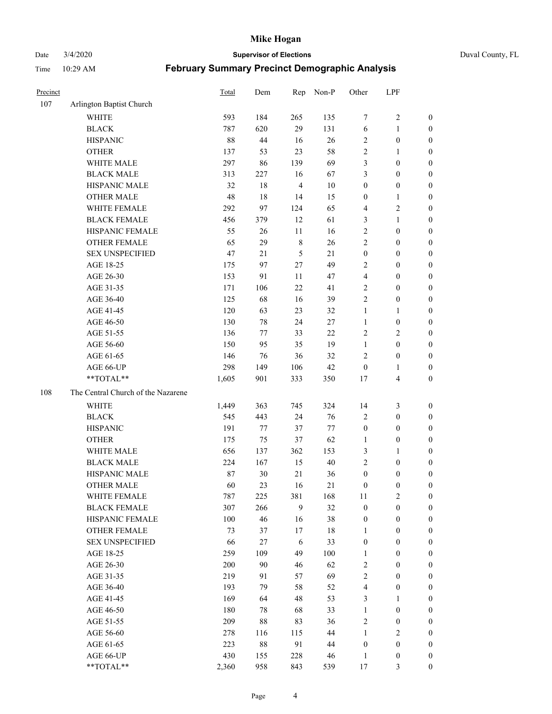Date 3/4/2020 **Supervisor of Elections** Duval County, FL

| Precinct |                                    | Total | Dem    | Rep                     | Non-P  | Other            | LPF              |                  |
|----------|------------------------------------|-------|--------|-------------------------|--------|------------------|------------------|------------------|
| 107      | Arlington Baptist Church           |       |        |                         |        |                  |                  |                  |
|          | <b>WHITE</b>                       | 593   | 184    | 265                     | 135    | 7                | $\sqrt{2}$       | 0                |
|          | <b>BLACK</b>                       | 787   | 620    | 29                      | 131    | $\sqrt{6}$       | $\mathbf{1}$     | 0                |
|          | <b>HISPANIC</b>                    | 88    | $44\,$ | 16                      | $26\,$ | $\sqrt{2}$       | $\boldsymbol{0}$ | $\boldsymbol{0}$ |
|          | <b>OTHER</b>                       | 137   | 53     | 23                      | 58     | $\sqrt{2}$       | 1                | $\boldsymbol{0}$ |
|          | WHITE MALE                         | 297   | 86     | 139                     | 69     | 3                | $\boldsymbol{0}$ | $\boldsymbol{0}$ |
|          | <b>BLACK MALE</b>                  | 313   | 227    | 16                      | 67     | 3                | $\boldsymbol{0}$ | $\boldsymbol{0}$ |
|          | HISPANIC MALE                      | 32    | $18\,$ | $\overline{\mathbf{4}}$ | $10\,$ | $\boldsymbol{0}$ | $\boldsymbol{0}$ | $\boldsymbol{0}$ |
|          | <b>OTHER MALE</b>                  | 48    | 18     | 14                      | 15     | $\boldsymbol{0}$ | $\mathbf{1}$     | $\boldsymbol{0}$ |
|          | WHITE FEMALE                       | 292   | 97     | 124                     | 65     | 4                | $\overline{c}$   | $\boldsymbol{0}$ |
|          | <b>BLACK FEMALE</b>                | 456   | 379    | 12                      | 61     | 3                | $\mathbf{1}$     | 0                |
|          | HISPANIC FEMALE                    | 55    | 26     | 11                      | 16     | $\sqrt{2}$       | $\boldsymbol{0}$ | 0                |
|          | <b>OTHER FEMALE</b>                | 65    | 29     | $\,$ 8 $\,$             | $26\,$ | $\overline{2}$   | $\boldsymbol{0}$ | 0                |
|          | <b>SEX UNSPECIFIED</b>             | 47    | 21     | 5                       | 21     | $\boldsymbol{0}$ | $\boldsymbol{0}$ | $\boldsymbol{0}$ |
|          | AGE 18-25                          | 175   | 97     | $27\,$                  | 49     | $\overline{c}$   | $\boldsymbol{0}$ | $\boldsymbol{0}$ |
|          | AGE 26-30                          | 153   | 91     | 11                      | 47     | 4                | $\boldsymbol{0}$ | $\boldsymbol{0}$ |
|          | AGE 31-35                          | 171   | 106    | $22\,$                  | 41     | $\overline{c}$   | $\boldsymbol{0}$ | $\boldsymbol{0}$ |
|          | AGE 36-40                          | 125   | 68     | 16                      | 39     | $\overline{2}$   | $\boldsymbol{0}$ | $\boldsymbol{0}$ |
|          | AGE 41-45                          | 120   | 63     | 23                      | 32     | $\mathbf{1}$     | $\mathbf{1}$     | $\boldsymbol{0}$ |
|          | AGE 46-50                          | 130   | 78     | 24                      | $27\,$ | $\mathbf{1}$     | $\boldsymbol{0}$ | $\boldsymbol{0}$ |
|          | AGE 51-55                          | 136   | 77     | 33                      | $22\,$ | $\overline{c}$   | $\sqrt{2}$       | 0                |
|          | AGE 56-60                          | 150   | 95     | 35                      | 19     | $\mathbf{1}$     | $\boldsymbol{0}$ | 0                |
|          | AGE 61-65                          | 146   | 76     | 36                      | 32     | $\overline{2}$   | $\boldsymbol{0}$ | $\boldsymbol{0}$ |
|          | AGE 66-UP                          | 298   | 149    | 106                     | $42\,$ | $\boldsymbol{0}$ | $\mathbf{1}$     | $\boldsymbol{0}$ |
|          | **TOTAL**                          | 1,605 | 901    | 333                     | 350    | 17               | $\overline{4}$   | $\boldsymbol{0}$ |
| 108      | The Central Church of the Nazarene |       |        |                         |        |                  |                  |                  |
|          | <b>WHITE</b>                       | 1,449 | 363    | 745                     | 324    | 14               | 3                | $\boldsymbol{0}$ |
|          | <b>BLACK</b>                       | 545   | 443    | 24                      | 76     | 2                | $\boldsymbol{0}$ | $\boldsymbol{0}$ |
|          | <b>HISPANIC</b>                    | 191   | 77     | 37                      | 77     | $\boldsymbol{0}$ | $\boldsymbol{0}$ | $\boldsymbol{0}$ |
|          | <b>OTHER</b>                       | 175   | 75     | 37                      | 62     | $\mathbf{1}$     | $\boldsymbol{0}$ | $\boldsymbol{0}$ |
|          | WHITE MALE                         | 656   | 137    | 362                     | 153    | 3                | $\mathbf{1}$     | $\boldsymbol{0}$ |
|          | <b>BLACK MALE</b>                  | 224   | 167    | 15                      | $40\,$ | $\sqrt{2}$       | $\boldsymbol{0}$ | $\boldsymbol{0}$ |
|          | HISPANIC MALE                      | 87    | $30\,$ | $21\,$                  | 36     | $\boldsymbol{0}$ | $\boldsymbol{0}$ | 0                |
|          | <b>OTHER MALE</b>                  | 60    | 23     | 16                      | 21     | $\boldsymbol{0}$ | $\boldsymbol{0}$ | $\boldsymbol{0}$ |
|          | WHITE FEMALE                       | 787   | 225    | 381                     | 168    | 11               | $\sqrt{2}$       | 0                |
|          | <b>BLACK FEMALE</b>                | 307   | 266    | 9                       | 32     | $\boldsymbol{0}$ | $\boldsymbol{0}$ | 0                |
|          | HISPANIC FEMALE                    | 100   | 46     | 16                      | 38     | $\boldsymbol{0}$ | $\boldsymbol{0}$ | $\overline{0}$   |
|          | OTHER FEMALE                       | 73    | 37     | $17\,$                  | 18     | $\mathbf{1}$     | $\boldsymbol{0}$ | 0                |
|          | <b>SEX UNSPECIFIED</b>             | 66    | 27     | $\sqrt{6}$              | 33     | $\boldsymbol{0}$ | $\boldsymbol{0}$ | 0                |
|          | AGE 18-25                          | 259   | 109    | 49                      | 100    | $\mathbf{1}$     | $\boldsymbol{0}$ | 0                |
|          | AGE 26-30                          | 200   | 90     | 46                      | 62     | $\sqrt{2}$       | $\boldsymbol{0}$ | 0                |
|          | AGE 31-35                          | 219   | 91     | 57                      | 69     | $\sqrt{2}$       | $\boldsymbol{0}$ | 0                |
|          | AGE 36-40                          | 193   | 79     | 58                      | 52     | 4                | $\boldsymbol{0}$ | 0                |
|          | AGE 41-45                          | 169   | 64     | 48                      | 53     | 3                | $\mathbf{1}$     | 0                |
|          | AGE 46-50                          | 180   | 78     | 68                      | 33     | $\mathbf{1}$     | $\boldsymbol{0}$ | 0                |
|          | AGE 51-55                          | 209   | $88\,$ | 83                      | 36     | $\sqrt{2}$       | $\boldsymbol{0}$ | 0                |
|          | AGE 56-60                          | 278   | 116    | 115                     | 44     | $\mathbf{1}$     | $\sqrt{2}$       | $\overline{0}$   |
|          | AGE 61-65                          | 223   | $88\,$ | 91                      | 44     | $\boldsymbol{0}$ | $\boldsymbol{0}$ | 0                |
|          | AGE 66-UP                          | 430   | 155    | 228                     | 46     | $\mathbf{1}$     | $\boldsymbol{0}$ | 0                |
|          | **TOTAL**                          | 2,360 | 958    | 843                     | 539    | 17               | $\mathfrak{Z}$   | $\boldsymbol{0}$ |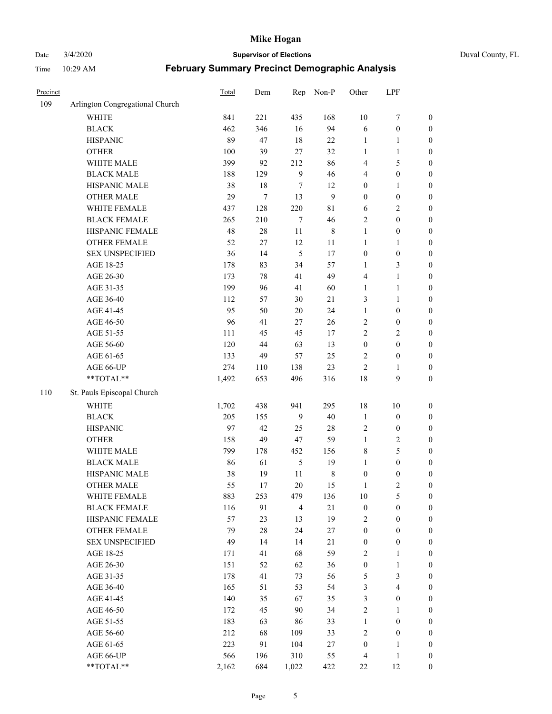# Date 3/4/2020 **Supervisor of Elections** Duval County, FL

| Precinct |                                 | Total | Dem    | Rep            | Non-P        | Other            | LPF                     |                  |
|----------|---------------------------------|-------|--------|----------------|--------------|------------------|-------------------------|------------------|
| 109      | Arlington Congregational Church |       |        |                |              |                  |                         |                  |
|          | <b>WHITE</b>                    | 841   | 221    | 435            | 168          | $10\,$           | $\boldsymbol{7}$        | 0                |
|          | <b>BLACK</b>                    | 462   | 346    | 16             | 94           | 6                | $\boldsymbol{0}$        | $\boldsymbol{0}$ |
|          | <b>HISPANIC</b>                 | 89    | 47     | 18             | 22           | $\mathbf{1}$     | 1                       | $\boldsymbol{0}$ |
|          | <b>OTHER</b>                    | 100   | 39     | 27             | 32           | $\mathbf{1}$     | 1                       | $\boldsymbol{0}$ |
|          | WHITE MALE                      | 399   | 92     | 212            | 86           | 4                | $\mathfrak s$           | $\boldsymbol{0}$ |
|          | <b>BLACK MALE</b>               | 188   | 129    | $\mathbf{9}$   | 46           | 4                | $\boldsymbol{0}$        | $\boldsymbol{0}$ |
|          | HISPANIC MALE                   | 38    | $18\,$ | 7              | 12           | $\boldsymbol{0}$ | $\mathbf{1}$            | $\boldsymbol{0}$ |
|          | <b>OTHER MALE</b>               | 29    | $\tau$ | 13             | $\mathbf{9}$ | $\boldsymbol{0}$ | $\boldsymbol{0}$        | $\boldsymbol{0}$ |
|          | WHITE FEMALE                    | 437   | 128    | 220            | $8\sqrt{1}$  | 6                | $\boldsymbol{2}$        | $\boldsymbol{0}$ |
|          | <b>BLACK FEMALE</b>             | 265   | 210    | $\tau$         | 46           | 2                | $\boldsymbol{0}$        | $\boldsymbol{0}$ |
|          | HISPANIC FEMALE                 | 48    | $28\,$ | 11             | $\,$ 8 $\,$  | $\mathbf{1}$     | $\boldsymbol{0}$        | $\boldsymbol{0}$ |
|          | <b>OTHER FEMALE</b>             | 52    | 27     | 12             | 11           | $\mathbf{1}$     | 1                       | $\boldsymbol{0}$ |
|          | <b>SEX UNSPECIFIED</b>          | 36    | 14     | $\mathfrak{S}$ | 17           | $\boldsymbol{0}$ | $\boldsymbol{0}$        | $\boldsymbol{0}$ |
|          | AGE 18-25                       | 178   | 83     | 34             | 57           | 1                | $\mathfrak{Z}$          | $\boldsymbol{0}$ |
|          | AGE 26-30                       | 173   | 78     | 41             | 49           | 4                | $\mathbf{1}$            | $\boldsymbol{0}$ |
|          | AGE 31-35                       | 199   | 96     | 41             | 60           | $\mathbf{1}$     | $\mathbf{1}$            | $\boldsymbol{0}$ |
|          | AGE 36-40                       | 112   | 57     | 30             | 21           | 3                | $\mathbf{1}$            | $\boldsymbol{0}$ |
|          | AGE 41-45                       | 95    | 50     | $20\,$         | 24           | $\mathbf{1}$     | $\boldsymbol{0}$        | $\boldsymbol{0}$ |
|          | AGE 46-50                       | 96    | 41     | 27             | $26\,$       | 2                | $\boldsymbol{0}$        | $\boldsymbol{0}$ |
|          | AGE 51-55                       | 111   | 45     | 45             | 17           | 2                | $\sqrt{2}$              | $\boldsymbol{0}$ |
|          | AGE 56-60                       | 120   | 44     | 63             | 13           | $\boldsymbol{0}$ | $\boldsymbol{0}$        | $\boldsymbol{0}$ |
|          | AGE 61-65                       | 133   | 49     | 57             | 25           | 2                | $\boldsymbol{0}$        | $\boldsymbol{0}$ |
|          | AGE 66-UP                       | 274   | 110    | 138            | 23           | $\overline{2}$   | 1                       | $\boldsymbol{0}$ |
|          | **TOTAL**                       | 1,492 | 653    | 496            | 316          | 18               | $\mathbf{9}$            | $\boldsymbol{0}$ |
| 110      | St. Pauls Episcopal Church      |       |        |                |              |                  |                         |                  |
|          | <b>WHITE</b>                    | 1,702 | 438    | 941            | 295          | 18               | 10                      | $\boldsymbol{0}$ |
|          | <b>BLACK</b>                    | 205   | 155    | 9              | 40           | $\mathbf{1}$     | $\boldsymbol{0}$        | $\boldsymbol{0}$ |
|          | <b>HISPANIC</b>                 | 97    | 42     | 25             | $28\,$       | 2                | $\boldsymbol{0}$        | $\boldsymbol{0}$ |
|          | <b>OTHER</b>                    | 158   | 49     | 47             | 59           | $\mathbf{1}$     | $\sqrt{2}$              | $\boldsymbol{0}$ |
|          | WHITE MALE                      | 799   | 178    | 452            | 156          | 8                | $\mathfrak s$           | $\boldsymbol{0}$ |
|          | <b>BLACK MALE</b>               | 86    | 61     | $\sqrt{5}$     | 19           | $\mathbf{1}$     | $\boldsymbol{0}$        | $\boldsymbol{0}$ |
|          | HISPANIC MALE                   | 38    | 19     | $11\,$         | $\,8\,$      | $\boldsymbol{0}$ | $\boldsymbol{0}$        | $\boldsymbol{0}$ |
|          | OTHER MALE                      | 55    | 17     | 20             | 15           | $\mathbf{1}$     | $\overline{2}$          | $\boldsymbol{0}$ |
|          | WHITE FEMALE                    | 883   | 253    | 479            | 136          | 10               | 5                       | 0                |
|          | <b>BLACK FEMALE</b>             | 116   | 91     | $\overline{4}$ | 21           | $\boldsymbol{0}$ | $\boldsymbol{0}$        | $\overline{0}$   |
|          | HISPANIC FEMALE                 | 57    | 23     | 13             | 19           | 2                | $\boldsymbol{0}$        | $\overline{0}$   |
|          | <b>OTHER FEMALE</b>             | 79    | $28\,$ | 24             | $27\,$       | $\boldsymbol{0}$ | $\boldsymbol{0}$        | $\overline{0}$   |
|          | <b>SEX UNSPECIFIED</b>          | 49    | 14     | 14             | $21\,$       | $\boldsymbol{0}$ | $\boldsymbol{0}$        | 0                |
|          | AGE 18-25                       | 171   | 41     | 68             | 59           | 2                | $\mathbf{1}$            | 0                |
|          | AGE 26-30                       | 151   | 52     | 62             | 36           | $\boldsymbol{0}$ | $\mathbf{1}$            | 0                |
|          | AGE 31-35                       | 178   | 41     | 73             | 56           | 5                | $\mathfrak{Z}$          | 0                |
|          | AGE 36-40                       | 165   | 51     | 53             | 54           | 3                | $\overline{\mathbf{4}}$ | 0                |
|          | AGE 41-45                       | 140   | 35     | 67             | 35           | 3                | $\boldsymbol{0}$        | 0                |
|          | AGE 46-50                       | 172   | 45     | 90             | 34           | 2                | 1                       | 0                |
|          | AGE 51-55                       | 183   | 63     | 86             | 33           | $\mathbf{1}$     | $\boldsymbol{0}$        | 0                |
|          | AGE 56-60                       | 212   | 68     | 109            | 33           | 2                | $\boldsymbol{0}$        | 0                |
|          | AGE 61-65                       | 223   | 91     | 104            | 27           | $\boldsymbol{0}$ | 1                       | 0                |
|          | AGE 66-UP                       | 566   | 196    | 310            | 55           | 4                | $\mathbf{1}$            | 0                |
|          | **TOTAL**                       | 2,162 | 684    | 1,022          | 422          | 22               | 12                      | $\boldsymbol{0}$ |
|          |                                 |       |        |                |              |                  |                         |                  |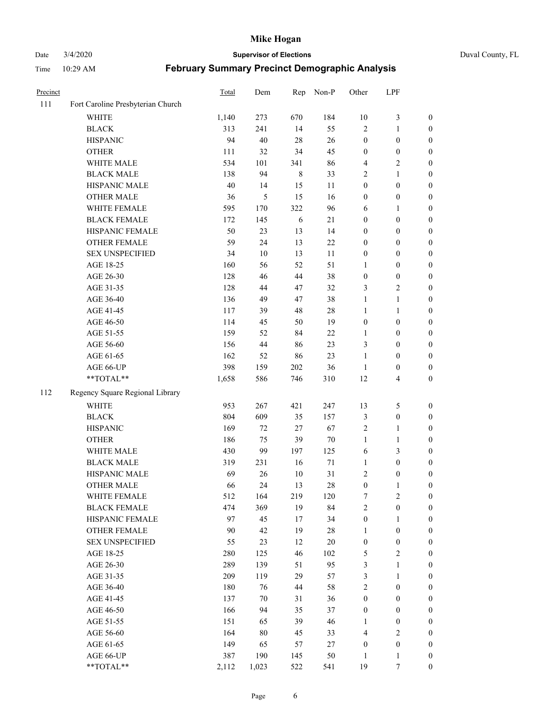Date 3/4/2020 **Supervisor of Elections** Duval County, FL

| Precinct |                                   | Total | Dem    | Rep     | Non-P  | Other            | LPF                     |                  |
|----------|-----------------------------------|-------|--------|---------|--------|------------------|-------------------------|------------------|
| 111      | Fort Caroline Presbyterian Church |       |        |         |        |                  |                         |                  |
|          | <b>WHITE</b>                      | 1,140 | 273    | 670     | 184    | $10\,$           | $\mathfrak{Z}$          | 0                |
|          | <b>BLACK</b>                      | 313   | 241    | 14      | 55     | $\overline{2}$   | $\mathbf{1}$            | $\boldsymbol{0}$ |
|          | <b>HISPANIC</b>                   | 94    | 40     | 28      | 26     | $\boldsymbol{0}$ | $\boldsymbol{0}$        | $\boldsymbol{0}$ |
|          | <b>OTHER</b>                      | 111   | 32     | 34      | 45     | $\boldsymbol{0}$ | $\boldsymbol{0}$        | $\boldsymbol{0}$ |
|          | WHITE MALE                        | 534   | 101    | 341     | 86     | 4                | $\sqrt{2}$              | $\boldsymbol{0}$ |
|          | <b>BLACK MALE</b>                 | 138   | 94     | $\,8\,$ | 33     | 2                | $\mathbf{1}$            | $\boldsymbol{0}$ |
|          | HISPANIC MALE                     | 40    | 14     | 15      | 11     | $\boldsymbol{0}$ | $\boldsymbol{0}$        | $\boldsymbol{0}$ |
|          | <b>OTHER MALE</b>                 | 36    | 5      | 15      | 16     | $\boldsymbol{0}$ | $\boldsymbol{0}$        | $\boldsymbol{0}$ |
|          | WHITE FEMALE                      | 595   | 170    | 322     | 96     | 6                | 1                       | $\boldsymbol{0}$ |
|          | <b>BLACK FEMALE</b>               | 172   | 145    | 6       | $21\,$ | $\boldsymbol{0}$ | $\boldsymbol{0}$        | 0                |
|          | HISPANIC FEMALE                   | 50    | 23     | 13      | 14     | $\boldsymbol{0}$ | $\boldsymbol{0}$        | 0                |
|          | <b>OTHER FEMALE</b>               | 59    | 24     | 13      | 22     | $\boldsymbol{0}$ | $\boldsymbol{0}$        | $\boldsymbol{0}$ |
|          | <b>SEX UNSPECIFIED</b>            | 34    | 10     | 13      | 11     | $\boldsymbol{0}$ | $\boldsymbol{0}$        | $\boldsymbol{0}$ |
|          | AGE 18-25                         | 160   | 56     | 52      | 51     | 1                | $\boldsymbol{0}$        | $\boldsymbol{0}$ |
|          | AGE 26-30                         | 128   | 46     | 44      | 38     | $\boldsymbol{0}$ | $\boldsymbol{0}$        | $\boldsymbol{0}$ |
|          | AGE 31-35                         | 128   | 44     | 47      | 32     | 3                | $\sqrt{2}$              | $\boldsymbol{0}$ |
|          | AGE 36-40                         | 136   | 49     | 47      | 38     | $\mathbf{1}$     | $\mathbf{1}$            | $\boldsymbol{0}$ |
|          | AGE 41-45                         | 117   | 39     | 48      | $28\,$ | $\mathbf{1}$     | $\mathbf{1}$            | $\boldsymbol{0}$ |
|          | AGE 46-50                         | 114   | 45     | 50      | 19     | $\boldsymbol{0}$ | $\boldsymbol{0}$        | $\boldsymbol{0}$ |
|          | AGE 51-55                         | 159   | 52     | 84      | $22\,$ | 1                | $\boldsymbol{0}$        | $\boldsymbol{0}$ |
|          | AGE 56-60                         | 156   | 44     | 86      | 23     | 3                | $\boldsymbol{0}$        | 0                |
|          | AGE 61-65                         | 162   | 52     | 86      | 23     | $\mathbf{1}$     | $\boldsymbol{0}$        | 0                |
|          | AGE 66-UP                         | 398   | 159    | 202     | 36     | $\mathbf{1}$     | $\boldsymbol{0}$        | $\boldsymbol{0}$ |
|          | **TOTAL**                         | 1,658 | 586    | 746     | 310    | 12               | $\overline{\mathbf{4}}$ | $\boldsymbol{0}$ |
| 112      | Regency Square Regional Library   |       |        |         |        |                  |                         |                  |
|          | <b>WHITE</b>                      | 953   | 267    | 421     | 247    | 13               | $\mathfrak s$           | $\boldsymbol{0}$ |
|          | <b>BLACK</b>                      | 804   | 609    | 35      | 157    | 3                | $\boldsymbol{0}$        | $\boldsymbol{0}$ |
|          | <b>HISPANIC</b>                   | 169   | 72     | 27      | 67     | 2                | $\mathbf{1}$            | $\boldsymbol{0}$ |
|          | <b>OTHER</b>                      | 186   | 75     | 39      | $70\,$ | $\mathbf{1}$     | $\mathbf{1}$            | $\boldsymbol{0}$ |
|          | WHITE MALE                        | 430   | 99     | 197     | 125    | 6                | 3                       | $\boldsymbol{0}$ |
|          | <b>BLACK MALE</b>                 | 319   | 231    | 16      | $71\,$ | $\mathbf{1}$     | $\boldsymbol{0}$        | $\boldsymbol{0}$ |
|          | HISPANIC MALE                     | 69    | 26     | $10\,$  | 31     | 2                | $\boldsymbol{0}$        | 0                |
|          | OTHER MALE                        | 66    | 24     | 13      | 28     | $\boldsymbol{0}$ | $\mathbf{1}$            | $\boldsymbol{0}$ |
|          | WHITE FEMALE                      | 512   | 164    | 219     | 120    | 7                | 2                       | 0                |
|          | <b>BLACK FEMALE</b>               | 474   | 369    | 19      | 84     | $\overline{c}$   | $\boldsymbol{0}$        | $\boldsymbol{0}$ |
|          | HISPANIC FEMALE                   | 97    | 45     | 17      | 34     | $\boldsymbol{0}$ | $\mathbf{1}$            | $\overline{0}$   |
|          | OTHER FEMALE                      | 90    | 42     | 19      | $28\,$ | $\mathbf{1}$     | $\boldsymbol{0}$        | $\overline{0}$   |
|          | <b>SEX UNSPECIFIED</b>            | 55    | 23     | 12      | $20\,$ | $\boldsymbol{0}$ | $\boldsymbol{0}$        | 0                |
|          | AGE 18-25                         | 280   | 125    | 46      | 102    | 5                | $\sqrt{2}$              | 0                |
|          | AGE 26-30                         | 289   | 139    | 51      | 95     | 3                | $\mathbf{1}$            | 0                |
|          | AGE 31-35                         | 209   | 119    | 29      | 57     | 3                | $\mathbf{1}$            | 0                |
|          | AGE 36-40                         | 180   | 76     | 44      | 58     | $\overline{c}$   | $\boldsymbol{0}$        | 0                |
|          | AGE 41-45                         | 137   | 70     | 31      | 36     | $\boldsymbol{0}$ | $\boldsymbol{0}$        | 0                |
|          | AGE 46-50                         | 166   | 94     | 35      | 37     | $\boldsymbol{0}$ | $\boldsymbol{0}$        | 0                |
|          | AGE 51-55                         | 151   | 65     | 39      | 46     | 1                | $\boldsymbol{0}$        | 0                |
|          | AGE 56-60                         | 164   | $80\,$ | 45      | 33     | 4                | $\sqrt{2}$              | $\overline{0}$   |
|          | AGE 61-65                         | 149   | 65     | 57      | 27     | $\boldsymbol{0}$ | $\boldsymbol{0}$        | $\overline{0}$   |
|          | AGE 66-UP                         | 387   | 190    | 145     | 50     | $\mathbf{1}$     | $\mathbf{1}$            | 0                |
|          | **TOTAL**                         | 2,112 | 1,023  | 522     | 541    | 19               | 7                       | $\boldsymbol{0}$ |
|          |                                   |       |        |         |        |                  |                         |                  |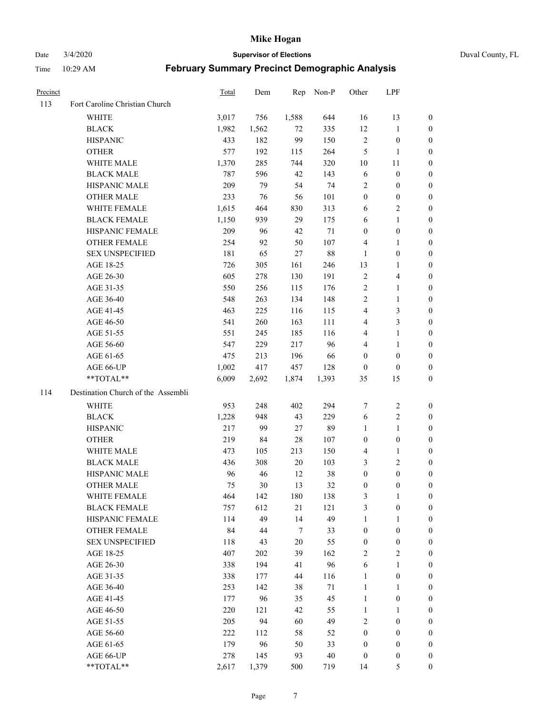Date 3/4/2020 **Supervisor of Elections** Duval County, FL

| Precinct |                                    | <b>Total</b> | Dem   | Rep    | Non-P  | Other                   | LPF              |                  |
|----------|------------------------------------|--------------|-------|--------|--------|-------------------------|------------------|------------------|
| 113      | Fort Caroline Christian Church     |              |       |        |        |                         |                  |                  |
|          | <b>WHITE</b>                       | 3,017        | 756   | 1,588  | 644    | 16                      | 13               | 0                |
|          | <b>BLACK</b>                       | 1,982        | 1,562 | 72     | 335    | 12                      | $\mathbf{1}$     | 0                |
|          | <b>HISPANIC</b>                    | 433          | 182   | 99     | 150    | $\sqrt{2}$              | $\boldsymbol{0}$ | 0                |
|          | <b>OTHER</b>                       | 577          | 192   | 115    | 264    | 5                       | 1                | $\boldsymbol{0}$ |
|          | WHITE MALE                         | 1,370        | 285   | 744    | 320    | 10                      | 11               | $\boldsymbol{0}$ |
|          | <b>BLACK MALE</b>                  | 787          | 596   | 42     | 143    | 6                       | $\boldsymbol{0}$ | 0                |
|          | HISPANIC MALE                      | 209          | 79    | 54     | 74     | $\sqrt{2}$              | $\boldsymbol{0}$ | $\boldsymbol{0}$ |
|          | <b>OTHER MALE</b>                  | 233          | 76    | 56     | 101    | $\boldsymbol{0}$        | $\boldsymbol{0}$ | $\boldsymbol{0}$ |
|          | WHITE FEMALE                       | 1,615        | 464   | 830    | 313    | 6                       | $\overline{c}$   | 0                |
|          | <b>BLACK FEMALE</b>                | 1,150        | 939   | 29     | 175    | 6                       | $\mathbf{1}$     | 0                |
|          | HISPANIC FEMALE                    | 209          | 96    | 42     | 71     | $\boldsymbol{0}$        | $\boldsymbol{0}$ | 0                |
|          | OTHER FEMALE                       | 254          | 92    | 50     | 107    | 4                       | 1                | 0                |
|          | <b>SEX UNSPECIFIED</b>             | 181          | 65    | 27     | $88\,$ | $\mathbf{1}$            | $\boldsymbol{0}$ | $\boldsymbol{0}$ |
|          | AGE 18-25                          | 726          | 305   | 161    | 246    | 13                      | 1                | $\boldsymbol{0}$ |
|          | AGE 26-30                          | 605          | 278   | 130    | 191    | $\overline{c}$          | $\overline{4}$   | $\boldsymbol{0}$ |
|          | AGE 31-35                          | 550          | 256   | 115    | 176    | $\sqrt{2}$              | $\mathbf{1}$     | $\boldsymbol{0}$ |
|          | AGE 36-40                          | 548          | 263   | 134    | 148    | $\overline{c}$          | $\mathbf{1}$     | $\boldsymbol{0}$ |
|          | AGE 41-45                          | 463          | 225   | 116    | 115    | $\overline{\mathbf{4}}$ | $\mathfrak{Z}$   | $\overline{0}$   |
|          | AGE 46-50                          | 541          | 260   | 163    | 111    | 4                       | $\mathfrak{Z}$   | 0                |
|          | AGE 51-55                          | 551          | 245   | 185    | 116    | 4                       | $\mathbf{1}$     | 0                |
|          | AGE 56-60                          | 547          | 229   | 217    | 96     | 4                       | 1                | 0                |
|          | AGE 61-65                          | 475          | 213   | 196    | 66     | $\boldsymbol{0}$        | $\boldsymbol{0}$ | 0                |
|          | AGE 66-UP                          | 1,002        | 417   | 457    | 128    | $\boldsymbol{0}$        | $\boldsymbol{0}$ | 0                |
|          | **TOTAL**                          | 6,009        | 2,692 | 1,874  | 1,393  | 35                      | 15               | $\boldsymbol{0}$ |
| 114      | Destination Church of the Assembli |              |       |        |        |                         |                  |                  |
|          | <b>WHITE</b>                       | 953          | 248   | 402    | 294    | 7                       | $\boldsymbol{2}$ | $\boldsymbol{0}$ |
|          | <b>BLACK</b>                       | 1,228        | 948   | 43     | 229    | 6                       | $\sqrt{2}$       | $\boldsymbol{0}$ |
|          | <b>HISPANIC</b>                    | 217          | 99    | 27     | 89     | $\mathbf{1}$            | $\mathbf{1}$     | $\boldsymbol{0}$ |
|          | <b>OTHER</b>                       | 219          | 84    | 28     | 107    | $\boldsymbol{0}$        | $\boldsymbol{0}$ | $\boldsymbol{0}$ |
|          | <b>WHITE MALE</b>                  | 473          | 105   | 213    | 150    | 4                       | $\mathbf{1}$     | $\overline{0}$   |
|          | <b>BLACK MALE</b>                  | 436          | 308   | 20     | 103    | 3                       | $\overline{2}$   | $\boldsymbol{0}$ |
|          | HISPANIC MALE                      | 96           | 46    | 12     | 38     | $\boldsymbol{0}$        | $\boldsymbol{0}$ | 0                |
|          | <b>OTHER MALE</b>                  | 75           | 30    | 13     | 32     | $\boldsymbol{0}$        | $\boldsymbol{0}$ | 0                |
|          | WHITE FEMALE                       | 464          | 142   | 180    | 138    | 3                       | 1                | 0                |
|          | <b>BLACK FEMALE</b>                | 757          | 612   | 21     | 121    | 3                       | $\boldsymbol{0}$ | $\boldsymbol{0}$ |
|          | HISPANIC FEMALE                    | 114          | 49    | 14     | 49     | $\mathbf{1}$            | $\mathbf{1}$     | $\overline{0}$   |
|          | OTHER FEMALE                       | 84           | 44    | $\tau$ | 33     | $\boldsymbol{0}$        | $\boldsymbol{0}$ | $\overline{0}$   |
|          | <b>SEX UNSPECIFIED</b>             | 118          | 43    | 20     | 55     | $\boldsymbol{0}$        | $\boldsymbol{0}$ | 0                |
|          | AGE 18-25                          | 407          | 202   | 39     | 162    | 2                       | $\sqrt{2}$       | $\theta$         |
|          | AGE 26-30                          | 338          | 194   | 41     | 96     | 6                       | $\mathbf{1}$     | 0                |
|          | AGE 31-35                          | 338          | 177   | 44     | 116    | $\mathbf{1}$            | $\boldsymbol{0}$ | 0                |
|          | AGE 36-40                          | 253          | 142   | 38     | 71     | $\mathbf{1}$            | $\mathbf{1}$     | 0                |
|          | AGE 41-45                          | 177          | 96    | 35     | 45     | $\mathbf{1}$            | $\boldsymbol{0}$ | 0                |
|          | AGE 46-50                          | 220          | 121   | 42     | 55     | $\mathbf{1}$            | 1                | 0                |
|          | AGE 51-55                          | 205          | 94    | 60     | 49     | 2                       | $\boldsymbol{0}$ | 0                |
|          | AGE 56-60                          | 222          | 112   | 58     | 52     | $\boldsymbol{0}$        | $\boldsymbol{0}$ | $\overline{0}$   |
|          | AGE 61-65                          | 179          | 96    | 50     | 33     | $\boldsymbol{0}$        | $\boldsymbol{0}$ | $\overline{0}$   |
|          | AGE 66-UP                          | 278          | 145   | 93     | $40\,$ | $\boldsymbol{0}$        | $\boldsymbol{0}$ | 0                |
|          | **TOTAL**                          | 2,617        | 1,379 | 500    | 719    | 14                      | 5                | $\boldsymbol{0}$ |
|          |                                    |              |       |        |        |                         |                  |                  |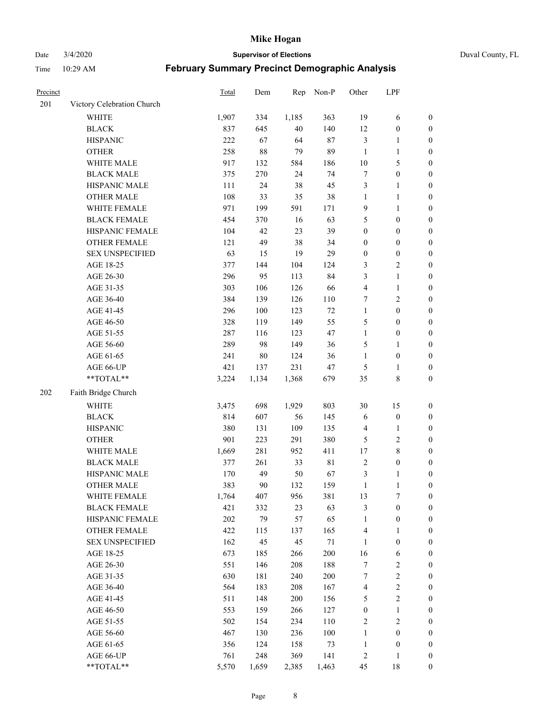Date 3/4/2020 **Supervisor of Elections** Duval County, FL

| Precinct |                            | Total      | Dem        | Rep        | Non-P      | Other            | LPF                            |                  |
|----------|----------------------------|------------|------------|------------|------------|------------------|--------------------------------|------------------|
| 201      | Victory Celebration Church |            |            |            |            |                  |                                |                  |
|          | <b>WHITE</b>               | 1,907      | 334        | 1,185      | 363        | 19               | 6                              | 0                |
|          | <b>BLACK</b>               | 837        | 645        | 40         | 140        | 12               | $\boldsymbol{0}$               | 0                |
|          | <b>HISPANIC</b>            | 222        | 67         | 64         | 87         | 3                | $\mathbf{1}$                   | $\boldsymbol{0}$ |
|          | <b>OTHER</b>               | 258        | 88         | 79         | 89         | $\mathbf{1}$     | 1                              | $\boldsymbol{0}$ |
|          | WHITE MALE                 | 917        | 132        | 584        | 186        | 10               | $\mathfrak s$                  | $\boldsymbol{0}$ |
|          | <b>BLACK MALE</b>          | 375        | 270        | 24         | 74         | 7                | $\boldsymbol{0}$               | $\boldsymbol{0}$ |
|          | HISPANIC MALE              | 111        | 24         | 38         | 45         | 3                | $\mathbf{1}$                   | $\boldsymbol{0}$ |
|          | <b>OTHER MALE</b>          | 108        | 33         | 35         | 38         | $\mathbf{1}$     | $\mathbf{1}$                   | $\boldsymbol{0}$ |
|          | WHITE FEMALE               | 971        | 199        | 591        | 171        | 9                | $\mathbf{1}$                   | $\boldsymbol{0}$ |
|          | <b>BLACK FEMALE</b>        | 454        | 370        | 16         | 63         | 5                | $\boldsymbol{0}$               | $\boldsymbol{0}$ |
|          | HISPANIC FEMALE            | 104        | 42         | 23         | 39         | $\boldsymbol{0}$ | $\boldsymbol{0}$               | 0                |
|          | OTHER FEMALE               | 121        | 49         | 38         | 34         | $\boldsymbol{0}$ | $\boldsymbol{0}$               | $\boldsymbol{0}$ |
|          | <b>SEX UNSPECIFIED</b>     | 63         | 15         | 19         | 29         | $\boldsymbol{0}$ | $\boldsymbol{0}$               | $\boldsymbol{0}$ |
|          | AGE 18-25                  | 377        | 144        | 104        | 124        | 3                | $\sqrt{2}$                     | $\boldsymbol{0}$ |
|          | AGE 26-30                  | 296        | 95         | 113        | 84         | 3                | $\mathbf{1}$                   | $\boldsymbol{0}$ |
|          | AGE 31-35                  | 303        | 106        | 126        | 66         | 4                | $\mathbf{1}$                   | $\boldsymbol{0}$ |
|          | AGE 36-40                  | 384        | 139        | 126        | 110        | 7                | $\sqrt{2}$                     | $\boldsymbol{0}$ |
|          | AGE 41-45                  | 296        | $100\,$    | 123        | 72         | $\mathbf{1}$     | $\boldsymbol{0}$               | $\boldsymbol{0}$ |
|          | AGE 46-50                  | 328        | 119        | 149        | 55         | 5                | $\boldsymbol{0}$               | $\boldsymbol{0}$ |
|          | AGE 51-55                  | 287        | 116        | 123        | 47         | $\mathbf{1}$     | $\boldsymbol{0}$               | $\boldsymbol{0}$ |
|          | AGE 56-60                  | 289        | 98         | 149        | 36         | 5                | 1                              | 0                |
|          | AGE 61-65                  | 241        | 80         | 124        | 36         | $\mathbf{1}$     | $\boldsymbol{0}$               | 0                |
|          | AGE 66-UP                  | 421        | 137        | 231        | 47         | $\mathfrak{S}$   | 1                              | $\boldsymbol{0}$ |
|          | **TOTAL**                  | 3,224      | 1,134      | 1,368      | 679        | 35               | $\,$ 8 $\,$                    | $\boldsymbol{0}$ |
| 202      | Faith Bridge Church        |            |            |            |            |                  |                                |                  |
|          |                            |            |            |            |            |                  |                                |                  |
|          | <b>WHITE</b>               | 3,475      | 698        | 1,929      | 803        | 30               | 15                             | $\boldsymbol{0}$ |
|          | <b>BLACK</b>               | 814        | 607        | 56         | 145        | 6                | $\boldsymbol{0}$               | $\boldsymbol{0}$ |
|          | <b>HISPANIC</b>            | 380        | 131        | 109        | 135        | $\overline{4}$   | $\mathbf{1}$                   | $\boldsymbol{0}$ |
|          | <b>OTHER</b>               | 901        | 223        | 291        | 380        | 5                | $\sqrt{2}$                     | $\boldsymbol{0}$ |
|          | WHITE MALE                 | 1,669      | 281        | 952        | 411        | 17               | $\,$ 8 $\,$                    | $\boldsymbol{0}$ |
|          | <b>BLACK MALE</b>          | 377        | 261        | 33         | 81         | $\overline{2}$   | $\boldsymbol{0}$               | $\boldsymbol{0}$ |
|          | HISPANIC MALE              | 170        | 49         | 50         | 67         | $\mathfrak{Z}$   | 1                              | $\boldsymbol{0}$ |
|          | <b>OTHER MALE</b>          | 383        | 90         | 132        | 159        | $\mathbf{1}$     | $\mathbf{1}$                   | $\boldsymbol{0}$ |
|          | WHITE FEMALE               | 1,764      | 407        | 956        | 381        | 13               | 7                              | 0                |
|          | <b>BLACK FEMALE</b>        | 421        | 332        | 23         | 63         | 3                | $\boldsymbol{0}$               | $\boldsymbol{0}$ |
|          | HISPANIC FEMALE            | 202        | 79         | 57         | 65         | $\mathbf{1}$     | $\boldsymbol{0}$               | $\overline{0}$   |
|          | OTHER FEMALE               | 422        | 115        | 137        | 165        | 4                | $\mathbf{1}$                   | $\overline{0}$   |
|          | <b>SEX UNSPECIFIED</b>     | 162        | 45         | 45         | 71         | $\mathbf{1}$     | $\boldsymbol{0}$               | 0                |
|          | AGE 18-25                  | 673        | 185        | 266        | 200        | 16               | 6                              | 0                |
|          | AGE 26-30                  | 551<br>630 | 146        | 208        | 188<br>200 | 7<br>7           | $\boldsymbol{2}$<br>$\sqrt{2}$ | 0                |
|          | AGE 31-35                  |            | 181        | 240        |            |                  |                                | 0                |
|          | AGE 36-40                  | 564<br>511 | 183<br>148 | 208<br>200 | 167<br>156 | $\overline{4}$   | $\sqrt{2}$<br>$\sqrt{2}$       | 0                |
|          | AGE 41-45                  |            |            |            |            | 5                |                                | 0                |
|          | AGE 46-50                  | 553        | 159        | 266        | 127        | $\boldsymbol{0}$ | $\mathbf{1}$                   | 0                |
|          | AGE 51-55                  | 502        | 154        | 234        | 110        | $\sqrt{2}$       | $\sqrt{2}$                     | 0                |
|          | AGE 56-60                  | 467        | 130        | 236        | 100        | $\mathbf{1}$     | $\boldsymbol{0}$               | 0                |
|          | AGE 61-65                  | 356        | 124        | 158        | 73         | $\mathbf{1}$     | $\boldsymbol{0}$               | $\boldsymbol{0}$ |
|          | AGE 66-UP                  | 761        | 248        | 369        | 141        | $\overline{c}$   | $\mathbf{1}$                   | $\boldsymbol{0}$ |
|          | **TOTAL**                  | 5,570      | 1,659      | 2,385      | 1,463      | 45               | 18                             | $\boldsymbol{0}$ |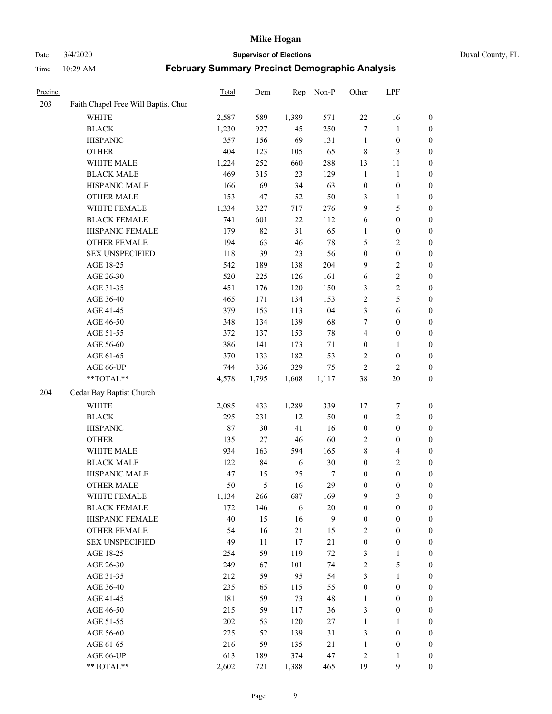Date 3/4/2020 **Supervisor of Elections** Duval County, FL

| Precinct |                                     | Total  | Dem   | Rep        | Non-P  | Other            | LPF              |                  |
|----------|-------------------------------------|--------|-------|------------|--------|------------------|------------------|------------------|
| 203      | Faith Chapel Free Will Baptist Chur |        |       |            |        |                  |                  |                  |
|          | <b>WHITE</b>                        | 2,587  | 589   | 1,389      | 571    | $22\,$           | 16               | 0                |
|          | <b>BLACK</b>                        | 1,230  | 927   | 45         | 250    | $\tau$           | $\mathbf{1}$     | $\boldsymbol{0}$ |
|          | <b>HISPANIC</b>                     | 357    | 156   | 69         | 131    | $\mathbf{1}$     | $\boldsymbol{0}$ | $\boldsymbol{0}$ |
|          | <b>OTHER</b>                        | 404    | 123   | 105        | 165    | $\,$ 8 $\,$      | 3                | $\boldsymbol{0}$ |
|          | WHITE MALE                          | 1,224  | 252   | 660        | 288    | 13               | 11               | $\boldsymbol{0}$ |
|          | <b>BLACK MALE</b>                   | 469    | 315   | 23         | 129    | $\mathbf{1}$     | $\mathbf{1}$     | $\boldsymbol{0}$ |
|          | HISPANIC MALE                       | 166    | 69    | 34         | 63     | $\boldsymbol{0}$ | $\boldsymbol{0}$ | $\boldsymbol{0}$ |
|          | <b>OTHER MALE</b>                   | 153    | 47    | 52         | 50     | 3                | $\mathbf{1}$     | $\boldsymbol{0}$ |
|          | WHITE FEMALE                        | 1,334  | 327   | 717        | 276    | 9                | $\sqrt{5}$       | $\boldsymbol{0}$ |
|          | <b>BLACK FEMALE</b>                 | 741    | 601   | $22\,$     | 112    | 6                | $\boldsymbol{0}$ | $\boldsymbol{0}$ |
|          | HISPANIC FEMALE                     | 179    | 82    | 31         | 65     | 1                | $\boldsymbol{0}$ | 0                |
|          | OTHER FEMALE                        | 194    | 63    | $46\,$     | 78     | 5                | $\sqrt{2}$       | $\boldsymbol{0}$ |
|          | <b>SEX UNSPECIFIED</b>              | 118    | 39    | 23         | 56     | $\boldsymbol{0}$ | $\boldsymbol{0}$ | $\boldsymbol{0}$ |
|          | AGE 18-25                           | 542    | 189   | 138        | 204    | 9                | $\sqrt{2}$       | $\boldsymbol{0}$ |
|          | AGE 26-30                           | 520    | 225   | 126        | 161    | 6                | $\sqrt{2}$       | $\boldsymbol{0}$ |
|          | AGE 31-35                           | 451    | 176   | 120        | 150    | 3                | $\sqrt{2}$       | $\boldsymbol{0}$ |
|          | AGE 36-40                           | 465    | 171   | 134        | 153    | $\sqrt{2}$       | $\sqrt{5}$       | $\boldsymbol{0}$ |
|          | AGE 41-45                           | 379    | 153   | 113        | 104    | 3                | $\sqrt{6}$       | $\boldsymbol{0}$ |
|          | AGE 46-50                           | 348    | 134   | 139        | 68     | 7                | $\boldsymbol{0}$ | $\boldsymbol{0}$ |
|          | AGE 51-55                           | 372    | 137   | 153        | $78\,$ | 4                | $\boldsymbol{0}$ | $\boldsymbol{0}$ |
|          | AGE 56-60                           | 386    | 141   | 173        | 71     | $\boldsymbol{0}$ | 1                | 0                |
|          | AGE 61-65                           | 370    | 133   | 182        | 53     | 2                | $\boldsymbol{0}$ | 0                |
|          | AGE 66-UP                           | 744    | 336   | 329        | 75     | $\sqrt{2}$       | $\sqrt{2}$       | $\boldsymbol{0}$ |
|          | **TOTAL**                           | 4,578  | 1,795 | 1,608      | 1,117  | 38               | $20\,$           | $\boldsymbol{0}$ |
| 204      | Cedar Bay Baptist Church            |        |       |            |        |                  |                  |                  |
|          | <b>WHITE</b>                        | 2,085  | 433   | 1,289      | 339    | 17               | $\boldsymbol{7}$ | $\boldsymbol{0}$ |
|          | <b>BLACK</b>                        | 295    | 231   | 12         | 50     | $\boldsymbol{0}$ | $\sqrt{2}$       | $\boldsymbol{0}$ |
|          | <b>HISPANIC</b>                     | $87\,$ | 30    | 41         | 16     | $\boldsymbol{0}$ | $\boldsymbol{0}$ | $\boldsymbol{0}$ |
|          | <b>OTHER</b>                        | 135    | 27    | $46\,$     | 60     | $\overline{c}$   | $\boldsymbol{0}$ | $\boldsymbol{0}$ |
|          | WHITE MALE                          | 934    | 163   | 594        | 165    | 8                | $\overline{4}$   | $\boldsymbol{0}$ |
|          | <b>BLACK MALE</b>                   | 122    | 84    | 6          | 30     | $\boldsymbol{0}$ | $\overline{c}$   | $\boldsymbol{0}$ |
|          | HISPANIC MALE                       | 47     | 15    | 25         | 7      | $\boldsymbol{0}$ | $\boldsymbol{0}$ | $\boldsymbol{0}$ |
|          | <b>OTHER MALE</b>                   | 50     | 5     | 16         | 29     | $\boldsymbol{0}$ | $\boldsymbol{0}$ | $\boldsymbol{0}$ |
|          | WHITE FEMALE                        | 1,134  | 266   | 687        | 169    | 9                | 3                | 0                |
|          | <b>BLACK FEMALE</b>                 | 172    | 146   | $\sqrt{6}$ | $20\,$ | $\boldsymbol{0}$ | $\boldsymbol{0}$ | $\boldsymbol{0}$ |
|          | HISPANIC FEMALE                     | 40     | 15    | 16         | 9      | $\boldsymbol{0}$ | $\boldsymbol{0}$ | $\overline{0}$   |
|          | OTHER FEMALE                        | 54     | 16    | 21         | 15     | $\overline{c}$   | $\boldsymbol{0}$ | $\overline{0}$   |
|          | <b>SEX UNSPECIFIED</b>              | 49     | 11    | 17         | 21     | $\boldsymbol{0}$ | $\boldsymbol{0}$ | 0                |
|          | AGE 18-25                           | 254    | 59    | 119        | $72\,$ | $\mathfrak{Z}$   | $\mathbf{1}$     | 0                |
|          | AGE 26-30                           | 249    | 67    | 101        | 74     | $\sqrt{2}$       | $\mathfrak s$    | 0                |
|          | AGE 31-35                           | 212    | 59    | 95         | 54     | 3                | $\mathbf{1}$     | 0                |
|          | AGE 36-40                           | 235    | 65    | 115        | 55     | $\boldsymbol{0}$ | $\boldsymbol{0}$ | 0                |
|          | AGE 41-45                           | 181    | 59    | 73         | 48     | $\mathbf{1}$     | $\boldsymbol{0}$ | 0                |
|          | AGE 46-50                           | 215    | 59    | 117        | 36     | 3                | $\boldsymbol{0}$ | 0                |
|          | AGE 51-55                           | 202    | 53    | 120        | 27     | $\mathbf{1}$     | 1                | 0                |
|          | AGE 56-60                           | 225    | 52    | 139        | 31     | 3                | $\boldsymbol{0}$ | $\boldsymbol{0}$ |
|          | AGE 61-65                           | 216    | 59    | 135        | 21     | $\mathbf{1}$     | $\boldsymbol{0}$ | $\boldsymbol{0}$ |
|          | AGE 66-UP                           | 613    | 189   | 374        | 47     | $\overline{c}$   | $\mathbf{1}$     | $\boldsymbol{0}$ |
|          | **TOTAL**                           | 2,602  | 721   | 1,388      | 465    | 19               | $\mathbf{9}$     | $\boldsymbol{0}$ |
|          |                                     |        |       |            |        |                  |                  |                  |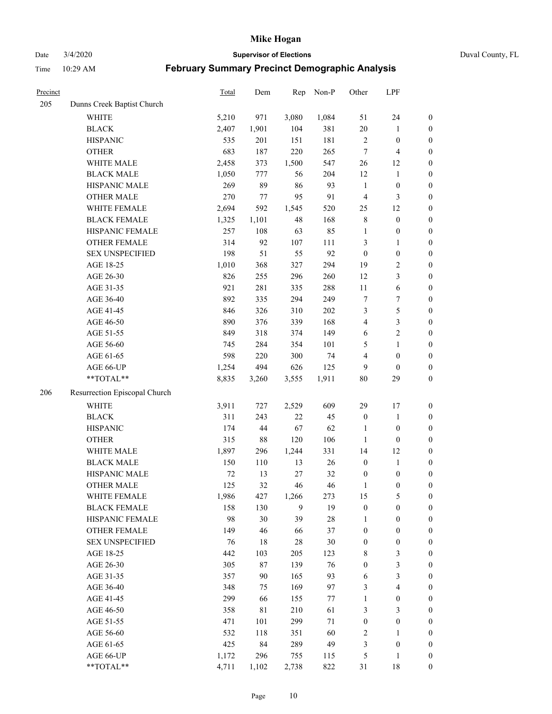Date 3/4/2020 **Supervisor of Elections** Duval County, FL

| Precinct |                               | <b>Total</b> | Dem    | Rep    | Non-P  | Other                   | LPF                     |                  |
|----------|-------------------------------|--------------|--------|--------|--------|-------------------------|-------------------------|------------------|
| 205      | Dunns Creek Baptist Church    |              |        |        |        |                         |                         |                  |
|          | <b>WHITE</b>                  | 5,210        | 971    | 3,080  | 1,084  | 51                      | 24                      | 0                |
|          | <b>BLACK</b>                  | 2,407        | 1,901  | 104    | 381    | 20                      | $\mathbf{1}$            | $\boldsymbol{0}$ |
|          | <b>HISPANIC</b>               | 535          | 201    | 151    | 181    | $\sqrt{2}$              | $\boldsymbol{0}$        | $\boldsymbol{0}$ |
|          | <b>OTHER</b>                  | 683          | 187    | 220    | 265    | 7                       | $\overline{\mathbf{4}}$ | $\boldsymbol{0}$ |
|          | WHITE MALE                    | 2,458        | 373    | 1,500  | 547    | 26                      | 12                      | $\boldsymbol{0}$ |
|          | <b>BLACK MALE</b>             | 1,050        | 777    | 56     | 204    | 12                      | 1                       | $\boldsymbol{0}$ |
|          | HISPANIC MALE                 | 269          | 89     | 86     | 93     | $\mathbf{1}$            | $\boldsymbol{0}$        | $\boldsymbol{0}$ |
|          | <b>OTHER MALE</b>             | 270          | 77     | 95     | 91     | $\overline{4}$          | $\mathfrak{Z}$          | $\boldsymbol{0}$ |
|          | WHITE FEMALE                  | 2,694        | 592    | 1,545  | 520    | 25                      | 12                      | $\boldsymbol{0}$ |
|          | <b>BLACK FEMALE</b>           | 1,325        | 1,101  | 48     | 168    | 8                       | $\boldsymbol{0}$        | $\boldsymbol{0}$ |
|          | HISPANIC FEMALE               | 257          | 108    | 63     | 85     | $\mathbf{1}$            | $\boldsymbol{0}$        | 0                |
|          | OTHER FEMALE                  | 314          | 92     | 107    | 111    | 3                       | $\mathbf{1}$            | $\boldsymbol{0}$ |
|          | <b>SEX UNSPECIFIED</b>        | 198          | 51     | 55     | 92     | $\boldsymbol{0}$        | $\boldsymbol{0}$        | $\boldsymbol{0}$ |
|          | AGE 18-25                     | 1,010        | 368    | 327    | 294    | 19                      | $\sqrt{2}$              | $\boldsymbol{0}$ |
|          | AGE 26-30                     | 826          | 255    | 296    | 260    | 12                      | $\mathfrak{Z}$          | $\boldsymbol{0}$ |
|          | AGE 31-35                     | 921          | 281    | 335    | 288    | $11\,$                  | $\sqrt{6}$              | $\boldsymbol{0}$ |
|          | AGE 36-40                     | 892          | 335    | 294    | 249    | 7                       | $\boldsymbol{7}$        | $\boldsymbol{0}$ |
|          | AGE 41-45                     | 846          | 326    | 310    | 202    | 3                       | $\sqrt{5}$              | $\boldsymbol{0}$ |
|          | AGE 46-50                     | 890          | 376    | 339    | 168    | $\overline{\mathbf{4}}$ | $\mathfrak{Z}$          | $\boldsymbol{0}$ |
|          | AGE 51-55                     | 849          | 318    | 374    | 149    | 6                       | $\sqrt{2}$              | $\boldsymbol{0}$ |
|          | AGE 56-60                     | 745          | 284    | 354    | 101    | 5                       | $\mathbf{1}$            | 0                |
|          | AGE 61-65                     | 598          | 220    | 300    | 74     | 4                       | $\boldsymbol{0}$        | $\boldsymbol{0}$ |
|          | AGE 66-UP                     | 1,254        | 494    | 626    | 125    | 9                       | $\boldsymbol{0}$        | $\boldsymbol{0}$ |
|          | **TOTAL**                     | 8,835        | 3,260  | 3,555  | 1,911  | 80                      | 29                      | $\boldsymbol{0}$ |
| 206      | Resurrection Episcopal Church |              |        |        |        |                         |                         |                  |
|          | <b>WHITE</b>                  | 3,911        | 727    | 2,529  | 609    | 29                      | 17                      | $\boldsymbol{0}$ |
|          | <b>BLACK</b>                  | 311          | 243    | $22\,$ | 45     | $\boldsymbol{0}$        | $\mathbf{1}$            | $\boldsymbol{0}$ |
|          | <b>HISPANIC</b>               | 174          | 44     | 67     | 62     | $\mathbf{1}$            | $\boldsymbol{0}$        | $\boldsymbol{0}$ |
|          | <b>OTHER</b>                  | 315          | $88\,$ | 120    | 106    | $\mathbf{1}$            | $\boldsymbol{0}$        | $\boldsymbol{0}$ |
|          | WHITE MALE                    | 1,897        | 296    | 1,244  | 331    | 14                      | 12                      | $\boldsymbol{0}$ |
|          | <b>BLACK MALE</b>             | 150          | 110    | 13     | 26     | $\boldsymbol{0}$        | $\mathbf{1}$            | $\boldsymbol{0}$ |
|          | HISPANIC MALE                 | $72\,$       | 13     | 27     | 32     | $\boldsymbol{0}$        | $\boldsymbol{0}$        | 0                |
|          | <b>OTHER MALE</b>             | 125          | 32     | 46     | 46     | $\mathbf{1}$            | $\boldsymbol{0}$        | $\boldsymbol{0}$ |
|          | WHITE FEMALE                  | 1,986        | 427    | 1,266  | 273    | 15                      | 5                       | 0                |
|          | <b>BLACK FEMALE</b>           | 158          | 130    | 9      | 19     | $\boldsymbol{0}$        | $\boldsymbol{0}$        | $\boldsymbol{0}$ |
|          | HISPANIC FEMALE               | 98           | 30     | 39     | $28\,$ | 1                       | $\boldsymbol{0}$        | $\overline{0}$   |
|          | OTHER FEMALE                  | 149          | 46     | 66     | 37     | $\boldsymbol{0}$        | $\boldsymbol{0}$        | $\overline{0}$   |
|          | <b>SEX UNSPECIFIED</b>        | 76           | 18     | 28     | 30     | $\boldsymbol{0}$        | $\boldsymbol{0}$        | 0                |
|          | AGE 18-25                     | 442          | 103    | 205    | 123    | 8                       | $\mathfrak{Z}$          | 0                |
|          | AGE 26-30                     | 305          | $87\,$ | 139    | 76     | $\boldsymbol{0}$        | $\mathfrak{Z}$          | 0                |
|          | AGE 31-35                     | 357          | 90     | 165    | 93     | 6                       | $\mathfrak{Z}$          | 0                |
|          | AGE 36-40                     | 348          | 75     | 169    | 97     | 3                       | $\overline{\mathbf{4}}$ | 0                |
|          | AGE 41-45                     | 299          | 66     | 155    | 77     | $\mathbf{1}$            | $\boldsymbol{0}$        | 0                |
|          | AGE 46-50                     | 358          | 81     | 210    | 61     | 3                       | 3                       | 0                |
|          | AGE 51-55                     | 471          | 101    | 299    | 71     | $\boldsymbol{0}$        | $\boldsymbol{0}$        | $\boldsymbol{0}$ |
|          | AGE 56-60                     | 532          | 118    | 351    | 60     | 2                       | 1                       | 0                |
|          | AGE 61-65                     | 425          | 84     | 289    | 49     | 3                       | $\boldsymbol{0}$        | $\boldsymbol{0}$ |
|          | AGE 66-UP                     | 1,172        | 296    | 755    | 115    | 5                       | $\mathbf{1}$            | $\boldsymbol{0}$ |
|          | **TOTAL**                     | 4,711        | 1,102  | 2,738  | 822    | 31                      | 18                      | $\boldsymbol{0}$ |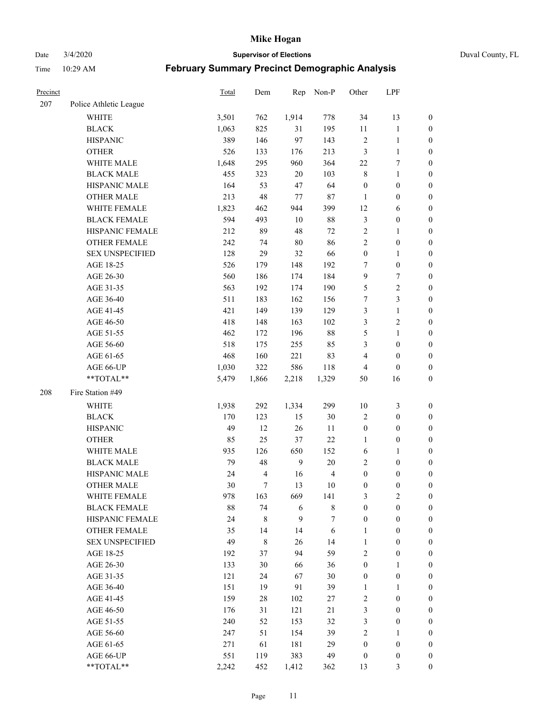Date 3/4/2020 **Supervisor of Elections** Duval County, FL

| Precinct |                        | <b>Total</b> | Dem                     | Rep            | Non-P          | Other            | LPF              |                  |
|----------|------------------------|--------------|-------------------------|----------------|----------------|------------------|------------------|------------------|
| 207      | Police Athletic League |              |                         |                |                |                  |                  |                  |
|          | <b>WHITE</b>           | 3,501        | 762                     | 1,914          | 778            | 34               | 13               | 0                |
|          | <b>BLACK</b>           | 1,063        | 825                     | 31             | 195            | 11               | $\mathbf{1}$     | 0                |
|          | <b>HISPANIC</b>        | 389          | 146                     | 97             | 143            | $\sqrt{2}$       | $\mathbf{1}$     | $\boldsymbol{0}$ |
|          | <b>OTHER</b>           | 526          | 133                     | 176            | 213            | 3                | $\mathbf{1}$     | $\boldsymbol{0}$ |
|          | WHITE MALE             | 1,648        | 295                     | 960            | 364            | $22\,$           | 7                | $\boldsymbol{0}$ |
|          | <b>BLACK MALE</b>      | 455          | 323                     | 20             | 103            | $\,$ $\,$        | $\mathbf{1}$     | $\boldsymbol{0}$ |
|          | HISPANIC MALE          | 164          | 53                      | 47             | 64             | $\boldsymbol{0}$ | $\boldsymbol{0}$ | $\boldsymbol{0}$ |
|          | <b>OTHER MALE</b>      | 213          | 48                      | 77             | $87\,$         | $\mathbf{1}$     | $\boldsymbol{0}$ | $\boldsymbol{0}$ |
|          | WHITE FEMALE           | 1,823        | 462                     | 944            | 399            | 12               | 6                | $\boldsymbol{0}$ |
|          | <b>BLACK FEMALE</b>    | 594          | 493                     | $10\,$         | $88\,$         | 3                | $\boldsymbol{0}$ | 0                |
|          | HISPANIC FEMALE        | 212          | 89                      | 48             | $72\,$         | $\sqrt{2}$       | 1                | 0                |
|          | <b>OTHER FEMALE</b>    | 242          | 74                      | 80             | 86             | $\overline{c}$   | $\boldsymbol{0}$ | $\boldsymbol{0}$ |
|          | <b>SEX UNSPECIFIED</b> | 128          | 29                      | 32             | 66             | $\boldsymbol{0}$ | $\mathbf{1}$     | $\boldsymbol{0}$ |
|          | AGE 18-25              | 526          | 179                     | 148            | 192            | 7                | $\boldsymbol{0}$ | $\boldsymbol{0}$ |
|          | AGE 26-30              | 560          | 186                     | 174            | 184            | 9                | $\boldsymbol{7}$ | $\boldsymbol{0}$ |
|          | AGE 31-35              | 563          | 192                     | 174            | 190            | 5                | $\sqrt{2}$       | $\boldsymbol{0}$ |
|          | AGE 36-40              | 511          | 183                     | 162            | 156            | 7                | $\mathfrak{Z}$   | $\boldsymbol{0}$ |
|          | AGE 41-45              | 421          | 149                     | 139            | 129            | 3                | $\mathbf{1}$     | $\boldsymbol{0}$ |
|          | AGE 46-50              | 418          | 148                     | 163            | 102            | 3                | $\sqrt{2}$       | $\boldsymbol{0}$ |
|          | AGE 51-55              | 462          | 172                     | 196            | $88\,$         | 5                | $\mathbf{1}$     | $\boldsymbol{0}$ |
|          | AGE 56-60              | 518          | 175                     | 255            | 85             | 3                | $\boldsymbol{0}$ | 0                |
|          | AGE 61-65              | 468          | 160                     | 221            | 83             | 4                | $\boldsymbol{0}$ | $\boldsymbol{0}$ |
|          | AGE 66-UP              | 1,030        | 322                     | 586            | 118            | 4                | $\boldsymbol{0}$ | $\boldsymbol{0}$ |
|          | **TOTAL**              | 5,479        | 1,866                   | 2,218          | 1,329          | 50               | 16               | $\boldsymbol{0}$ |
| 208      | Fire Station #49       |              |                         |                |                |                  |                  |                  |
|          | <b>WHITE</b>           | 1,938        | 292                     | 1,334          | 299            | $10\,$           | $\mathfrak{Z}$   | $\boldsymbol{0}$ |
|          | <b>BLACK</b>           | 170          | 123                     | 15             | $30\,$         | 2                | $\boldsymbol{0}$ | $\boldsymbol{0}$ |
|          | <b>HISPANIC</b>        | 49           | 12                      | 26             | 11             | $\boldsymbol{0}$ | $\boldsymbol{0}$ | $\boldsymbol{0}$ |
|          | <b>OTHER</b>           | 85           | 25                      | 37             | 22             | 1                | $\boldsymbol{0}$ | $\boldsymbol{0}$ |
|          | WHITE MALE             | 935          | 126                     | 650            | 152            | 6                | $\mathbf{1}$     | $\boldsymbol{0}$ |
|          | <b>BLACK MALE</b>      | 79           | 48                      | $\overline{9}$ | $20\,$         | 2                | $\boldsymbol{0}$ | $\boldsymbol{0}$ |
|          | HISPANIC MALE          | 24           | $\overline{\mathbf{4}}$ | 16             | $\overline{4}$ | $\boldsymbol{0}$ | $\boldsymbol{0}$ | 0                |
|          | <b>OTHER MALE</b>      | 30           | 7                       | 13             | $10\,$         | $\boldsymbol{0}$ | $\boldsymbol{0}$ | $\boldsymbol{0}$ |
|          | WHITE FEMALE           | 978          | 163                     | 669            | 141            | 3                | 2                | 0                |
|          | <b>BLACK FEMALE</b>    | 88           | 74                      | 6              | $\,$ 8 $\,$    | $\boldsymbol{0}$ | $\boldsymbol{0}$ | $\overline{0}$   |
|          | HISPANIC FEMALE        | 24           | 8                       | 9              | 7              | $\boldsymbol{0}$ | $\boldsymbol{0}$ | $\overline{0}$   |
|          | OTHER FEMALE           | 35           | 14                      | 14             | $\sqrt{6}$     | $\mathbf{1}$     | $\boldsymbol{0}$ | $\overline{0}$   |
|          | <b>SEX UNSPECIFIED</b> | 49           | 8                       | 26             | 14             | $\mathbf{1}$     | $\boldsymbol{0}$ | 0                |
|          | AGE 18-25              | 192          | 37                      | 94             | 59             | 2                | $\boldsymbol{0}$ | $\theta$         |
|          | AGE 26-30              | 133          | 30                      | 66             | 36             | $\boldsymbol{0}$ | $\mathbf{1}$     | 0                |
|          | AGE 31-35              | 121          | 24                      | 67             | $30\,$         | $\boldsymbol{0}$ | $\boldsymbol{0}$ | 0                |
|          | AGE 36-40              | 151          | 19                      | 91             | 39             | 1                | 1                | 0                |
|          | AGE 41-45              | 159          | $28\,$                  | 102            | 27             | 2                | $\boldsymbol{0}$ | 0                |
|          | AGE 46-50              | 176          | 31                      | 121            | 21             | 3                | $\boldsymbol{0}$ | 0                |
|          | AGE 51-55              | 240          | 52                      | 153            | 32             | 3                | $\boldsymbol{0}$ | $\boldsymbol{0}$ |
|          | AGE 56-60              | 247          | 51                      | 154            | 39             | $\overline{c}$   | 1                | $\boldsymbol{0}$ |
|          | AGE 61-65              | 271          | 61                      | 181            | 29             | $\boldsymbol{0}$ | $\boldsymbol{0}$ | $\overline{0}$   |
|          | AGE 66-UP              | 551          | 119                     | 383            | 49             | $\boldsymbol{0}$ | $\boldsymbol{0}$ | 0                |
|          | **TOTAL**              | 2,242        | 452                     | 1,412          | 362            | 13               | $\mathfrak{Z}$   | $\boldsymbol{0}$ |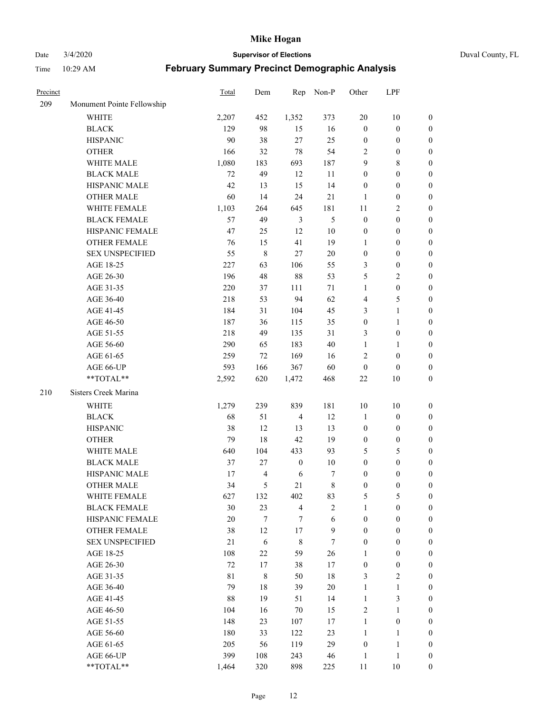Date 3/4/2020 **Supervisor of Elections** Duval County, FL

| Precinct |                            | Total  | Dem                      | Rep              | Non-P            | Other            | LPF                   |                                      |
|----------|----------------------------|--------|--------------------------|------------------|------------------|------------------|-----------------------|--------------------------------------|
| 209      | Monument Pointe Fellowship |        |                          |                  |                  |                  |                       |                                      |
|          | <b>WHITE</b>               | 2,207  | 452                      | 1,352            | 373              | 20               | 10                    | 0                                    |
|          | <b>BLACK</b>               | 129    | 98                       | 15               | 16               | $\boldsymbol{0}$ | $\boldsymbol{0}$      | 0                                    |
|          | <b>HISPANIC</b>            | 90     | 38                       | 27               | 25               | $\boldsymbol{0}$ | $\boldsymbol{0}$      | $\boldsymbol{0}$                     |
|          | <b>OTHER</b>               | 166    | 32                       | 78               | 54               | 2                | $\boldsymbol{0}$      | $\boldsymbol{0}$                     |
|          | WHITE MALE                 | 1,080  | 183                      | 693              | 187              | 9                | $\,$ 8 $\,$           | $\boldsymbol{0}$                     |
|          | <b>BLACK MALE</b>          | 72     | 49                       | 12               | 11               | 0                | $\boldsymbol{0}$      | $\boldsymbol{0}$                     |
|          | HISPANIC MALE              | 42     | 13                       | 15               | 14               | $\boldsymbol{0}$ | $\boldsymbol{0}$      | $\boldsymbol{0}$                     |
|          | <b>OTHER MALE</b>          | 60     | 14                       | 24               | 21               | $\mathbf{1}$     | $\boldsymbol{0}$      | $\boldsymbol{0}$                     |
|          | WHITE FEMALE               | 1,103  | 264                      | 645              | 181              | $11\,$           | $\overline{c}$        | $\boldsymbol{0}$                     |
|          | <b>BLACK FEMALE</b>        | 57     | 49                       | $\mathfrak{Z}$   | 5                | $\boldsymbol{0}$ | $\boldsymbol{0}$      | $\boldsymbol{0}$                     |
|          | HISPANIC FEMALE            | 47     | 25                       | 12               | 10               | $\boldsymbol{0}$ | $\boldsymbol{0}$      | $\boldsymbol{0}$                     |
|          | OTHER FEMALE               | 76     | 15                       | 41               | 19               | 1                | $\boldsymbol{0}$      | $\boldsymbol{0}$                     |
|          | <b>SEX UNSPECIFIED</b>     | 55     | $\,$ 8 $\,$              | $27\,$           | 20               | $\boldsymbol{0}$ | $\boldsymbol{0}$      | $\boldsymbol{0}$                     |
|          | AGE 18-25                  | 227    | 63                       | 106              | 55               | 3                | $\boldsymbol{0}$      | $\boldsymbol{0}$                     |
|          | AGE 26-30                  | 196    | 48                       | 88               | 53               | 5                | $\sqrt{2}$            | $\boldsymbol{0}$                     |
|          | AGE 31-35                  | 220    | 37                       | 111              | $71\,$           | $\mathbf{1}$     | $\boldsymbol{0}$      | $\boldsymbol{0}$                     |
|          | AGE 36-40                  | 218    | 53                       | 94               | 62               | 4                | 5                     | $\boldsymbol{0}$                     |
|          | AGE 41-45                  | 184    | 31                       | 104              | 45               | 3                | $\mathbf{1}$          | $\boldsymbol{0}$                     |
|          | AGE 46-50                  | 187    | 36                       | 115              | 35               | $\boldsymbol{0}$ | $\mathbf{1}$          | $\boldsymbol{0}$                     |
|          | AGE 51-55                  | 218    | 49                       | 135              | 31               | 3                | $\boldsymbol{0}$      | 0                                    |
|          | AGE 56-60                  | 290    | 65                       | 183              | 40               | $\mathbf{1}$     |                       |                                      |
|          | AGE 61-65                  | 259    | 72                       | 169              | 16               | 2                | 1<br>$\boldsymbol{0}$ | 0<br>$\boldsymbol{0}$                |
|          |                            | 593    |                          | 367              | 60               | $\boldsymbol{0}$ | $\boldsymbol{0}$      |                                      |
|          | AGE 66-UP<br>**TOTAL**     |        | 166<br>620               |                  | 468              | $22\,$           | 10                    | $\boldsymbol{0}$<br>$\boldsymbol{0}$ |
|          |                            | 2,592  |                          | 1,472            |                  |                  |                       |                                      |
| 210      | Sisters Creek Marina       |        |                          |                  |                  |                  |                       |                                      |
|          | <b>WHITE</b>               | 1,279  | 239                      | 839              | 181              | 10               | 10                    | $\boldsymbol{0}$                     |
|          | <b>BLACK</b>               | 68     | 51                       | $\overline{4}$   | 12               | 1                | $\boldsymbol{0}$      | $\boldsymbol{0}$                     |
|          | <b>HISPANIC</b>            | 38     | 12                       | 13               | 13               | $\boldsymbol{0}$ | $\boldsymbol{0}$      | $\boldsymbol{0}$                     |
|          | <b>OTHER</b>               | 79     | 18                       | 42               | 19               | $\boldsymbol{0}$ | $\boldsymbol{0}$      | $\boldsymbol{0}$                     |
|          | WHITE MALE                 | 640    | 104                      | 433              | 93               | 5                | $\mathfrak s$         | $\boldsymbol{0}$                     |
|          | <b>BLACK MALE</b>          | 37     | $27\,$                   | $\boldsymbol{0}$ | 10               | $\boldsymbol{0}$ | $\boldsymbol{0}$      | $\boldsymbol{0}$                     |
|          | HISPANIC MALE              | 17     | $\overline{\mathcal{A}}$ | 6                | 7                | $\boldsymbol{0}$ | $\boldsymbol{0}$      | $\boldsymbol{0}$                     |
|          | <b>OTHER MALE</b>          | 34     | 5                        | 21               | $\,$ 8 $\,$      | $\boldsymbol{0}$ | $\boldsymbol{0}$      | $\boldsymbol{0}$                     |
|          | WHITE FEMALE               | 627    | 132                      | 402              | 83               | 5                | 5                     | 0                                    |
|          | <b>BLACK FEMALE</b>        | 30     | 23                       | 4                | $\overline{c}$   | $\mathbf{1}$     | $\boldsymbol{0}$      | $\overline{0}$                       |
|          | HISPANIC FEMALE            | $20\,$ | $\boldsymbol{7}$         | 7                | 6                | $\boldsymbol{0}$ | $\boldsymbol{0}$      | $\overline{0}$                       |
|          | OTHER FEMALE               | 38     | 12                       | 17               | $\boldsymbol{9}$ | $\boldsymbol{0}$ | $\boldsymbol{0}$      | $\overline{0}$                       |
|          | <b>SEX UNSPECIFIED</b>     | 21     | 6                        | 8                | $\tau$           | $\boldsymbol{0}$ | $\boldsymbol{0}$      | 0                                    |
|          | AGE 18-25                  | 108    | 22                       | 59               | 26               | 1                | $\boldsymbol{0}$      | $\theta$                             |
|          | AGE 26-30                  | 72     | 17                       | 38               | 17               | $\boldsymbol{0}$ | $\boldsymbol{0}$      | 0                                    |
|          | AGE 31-35                  | 81     | $\,$ 8 $\,$              | 50               | 18               | 3                | $\overline{2}$        | 0                                    |
|          | AGE 36-40                  | 79     | 18                       | 39               | 20               | 1                | $\mathbf{1}$          | 0                                    |
|          | AGE 41-45                  | 88     | 19                       | 51               | 14               | $\mathbf{1}$     | $\mathfrak{Z}$        | 0                                    |
|          | AGE 46-50                  | 104    | 16                       | $70\,$           | 15               | 2                | $\mathbf{1}$          | 0                                    |
|          | AGE 51-55                  | 148    | 23                       | 107              | 17               | $\mathbf{1}$     | $\boldsymbol{0}$      | 0                                    |
|          | AGE 56-60                  | 180    | 33                       | 122              | 23               | $\mathbf{1}$     | $\mathbf{1}$          | $\overline{0}$                       |
|          | AGE 61-65                  | 205    | 56                       | 119              | 29               | $\boldsymbol{0}$ | $\mathbf{1}$          | $\overline{0}$                       |
|          | AGE 66-UP                  | 399    | 108                      | 243              | 46               | $\mathbf{1}$     | $\mathbf{1}$          | $\boldsymbol{0}$                     |
|          | **TOTAL**                  | 1,464  | 320                      | 898              | 225              | 11               | 10                    | $\boldsymbol{0}$                     |
|          |                            |        |                          |                  |                  |                  |                       |                                      |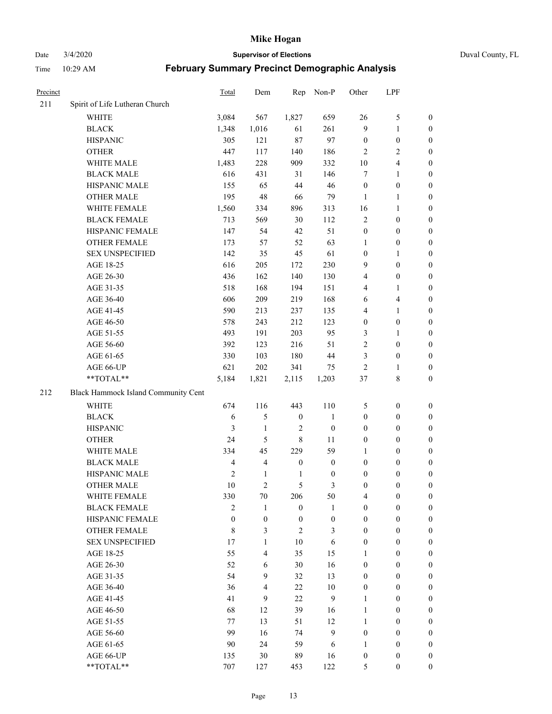Date 3/4/2020 **Supervisor of Elections** Duval County, FL

| Precinct |                                     | Total          | Dem                      | Rep              | Non-P            | Other            | LPF              |                  |
|----------|-------------------------------------|----------------|--------------------------|------------------|------------------|------------------|------------------|------------------|
| 211      | Spirit of Life Lutheran Church      |                |                          |                  |                  |                  |                  |                  |
|          | <b>WHITE</b>                        | 3,084          | 567                      | 1,827            | 659              | 26               | $\mathfrak s$    | 0                |
|          | <b>BLACK</b>                        | 1,348          | 1,016                    | 61               | 261              | 9                | $\mathbf{1}$     | 0                |
|          | <b>HISPANIC</b>                     | 305            | 121                      | 87               | 97               | $\boldsymbol{0}$ | $\boldsymbol{0}$ | $\boldsymbol{0}$ |
|          | <b>OTHER</b>                        | 447            | 117                      | 140              | 186              | $\overline{2}$   | $\overline{2}$   | $\boldsymbol{0}$ |
|          | WHITE MALE                          | 1,483          | 228                      | 909              | 332              | $10\,$           | $\overline{4}$   | $\boldsymbol{0}$ |
|          | <b>BLACK MALE</b>                   | 616            | 431                      | 31               | 146              | 7                | $\mathbf{1}$     | $\boldsymbol{0}$ |
|          | HISPANIC MALE                       | 155            | 65                       | 44               | 46               | $\boldsymbol{0}$ | $\boldsymbol{0}$ | $\boldsymbol{0}$ |
|          | <b>OTHER MALE</b>                   | 195            | 48                       | 66               | 79               | $\mathbf{1}$     | $\mathbf{1}$     | $\boldsymbol{0}$ |
|          | WHITE FEMALE                        | 1,560          | 334                      | 896              | 313              | 16               | $\mathbf{1}$     | $\boldsymbol{0}$ |
|          | <b>BLACK FEMALE</b>                 | 713            | 569                      | 30               | 112              | $\sqrt{2}$       | $\boldsymbol{0}$ | 0                |
|          | HISPANIC FEMALE                     | 147            | 54                       | 42               | 51               | $\boldsymbol{0}$ | $\boldsymbol{0}$ | 0                |
|          | <b>OTHER FEMALE</b>                 | 173            | 57                       | 52               | 63               | 1                | $\boldsymbol{0}$ | $\boldsymbol{0}$ |
|          | <b>SEX UNSPECIFIED</b>              | 142            | 35                       | 45               | 61               | $\boldsymbol{0}$ | $\mathbf{1}$     | $\boldsymbol{0}$ |
|          | AGE 18-25                           | 616            | 205                      | 172              | 230              | 9                | $\boldsymbol{0}$ | $\boldsymbol{0}$ |
|          | AGE 26-30                           | 436            | 162                      | 140              | 130              | 4                | $\boldsymbol{0}$ | $\boldsymbol{0}$ |
|          | AGE 31-35                           | 518            | 168                      | 194              | 151              | 4                | $\mathbf{1}$     | $\boldsymbol{0}$ |
|          | AGE 36-40                           | 606            | 209                      | 219              | 168              | 6                | $\overline{4}$   | $\boldsymbol{0}$ |
|          | AGE 41-45                           | 590            | 213                      | 237              | 135              | 4                | $\mathbf{1}$     | $\boldsymbol{0}$ |
|          | AGE 46-50                           | 578            | 243                      | 212              | 123              | $\boldsymbol{0}$ | $\boldsymbol{0}$ | $\boldsymbol{0}$ |
|          | AGE 51-55                           | 493            | 191                      | 203              | 95               | 3                | 1                | $\boldsymbol{0}$ |
|          | AGE 56-60                           | 392            | 123                      | 216              | 51               | $\overline{c}$   | $\boldsymbol{0}$ | 0                |
|          | AGE 61-65                           | 330            | 103                      | 180              | 44               | 3                | $\boldsymbol{0}$ | 0                |
|          | AGE 66-UP                           | 621            | 202                      | 341              | 75               | $\overline{2}$   | 1                | $\boldsymbol{0}$ |
|          | **TOTAL**                           | 5,184          | 1,821                    | 2,115            | 1,203            | $37\,$           | $\,$ 8 $\,$      | $\boldsymbol{0}$ |
| 212      | Black Hammock Island Community Cent |                |                          |                  |                  |                  |                  |                  |
|          | <b>WHITE</b>                        | 674            | 116                      | 443              | 110              | 5                | $\boldsymbol{0}$ | $\boldsymbol{0}$ |
|          | <b>BLACK</b>                        | 6              | 5                        | $\boldsymbol{0}$ | $\mathbf{1}$     | $\boldsymbol{0}$ | $\boldsymbol{0}$ | $\boldsymbol{0}$ |
|          | <b>HISPANIC</b>                     | 3              | $\mathbf{1}$             | $\overline{c}$   | $\boldsymbol{0}$ | $\boldsymbol{0}$ | $\boldsymbol{0}$ | $\boldsymbol{0}$ |
|          | <b>OTHER</b>                        | 24             | 5                        | $\,$ $\,$        | 11               | $\boldsymbol{0}$ | $\boldsymbol{0}$ | $\boldsymbol{0}$ |
|          | WHITE MALE                          | 334            | 45                       | 229              | 59               | $\mathbf{1}$     | $\boldsymbol{0}$ | $\boldsymbol{0}$ |
|          | <b>BLACK MALE</b>                   | $\overline{4}$ | $\overline{\mathbf{4}}$  | $\boldsymbol{0}$ | $\boldsymbol{0}$ | $\boldsymbol{0}$ | $\boldsymbol{0}$ | $\boldsymbol{0}$ |
|          | HISPANIC MALE                       | $\mathfrak{2}$ | $\mathbf{1}$             | $\mathbf{1}$     | $\boldsymbol{0}$ | $\boldsymbol{0}$ | $\boldsymbol{0}$ | 0                |
|          | OTHER MALE                          | 10             | $\overline{c}$           | 5                | 3                | $\boldsymbol{0}$ | $\boldsymbol{0}$ | $\boldsymbol{0}$ |
|          | WHITE FEMALE                        | 330            | 70                       | 206              | 50               | 4                | $\boldsymbol{0}$ | 0                |
|          | <b>BLACK FEMALE</b>                 | $\overline{c}$ | 1                        | $\boldsymbol{0}$ | 1                | $\boldsymbol{0}$ | $\boldsymbol{0}$ | $\overline{0}$   |
|          | HISPANIC FEMALE                     | $\overline{0}$ | $\boldsymbol{0}$         | $\boldsymbol{0}$ | $\boldsymbol{0}$ | $\boldsymbol{0}$ | $\boldsymbol{0}$ | $\overline{0}$   |
|          | <b>OTHER FEMALE</b>                 | 8              | 3                        | $\overline{2}$   | 3                | $\boldsymbol{0}$ | $\boldsymbol{0}$ | $\overline{0}$   |
|          | <b>SEX UNSPECIFIED</b>              | 17             | $\mathbf{1}$             | 10               | 6                | $\boldsymbol{0}$ | $\boldsymbol{0}$ | $\overline{0}$   |
|          | AGE 18-25                           | 55             | $\overline{\mathcal{L}}$ | 35               | 15               | 1                | $\boldsymbol{0}$ | $\theta$         |
|          | AGE 26-30                           | 52             | 6                        | 30               | 16               | $\boldsymbol{0}$ | $\boldsymbol{0}$ | $\overline{0}$   |
|          | AGE 31-35                           | 54             | 9                        | 32               | 13               | $\boldsymbol{0}$ | $\boldsymbol{0}$ | 0                |
|          | AGE 36-40                           | 36             | $\overline{\mathbf{4}}$  | 22               | $10\,$           | $\boldsymbol{0}$ | $\boldsymbol{0}$ | 0                |
|          | AGE 41-45                           | 41             | 9                        | 22               | 9                | 1                | $\boldsymbol{0}$ | 0                |
|          | AGE 46-50                           | 68             | 12                       | 39               | 16               | 1                | $\boldsymbol{0}$ | 0                |
|          | AGE 51-55                           | 77             | 13                       | 51               | 12               | 1                | $\boldsymbol{0}$ | $\overline{0}$   |
|          | AGE 56-60                           | 99             | 16                       | 74               | 9                | $\boldsymbol{0}$ | $\boldsymbol{0}$ | $\overline{0}$   |
|          | AGE 61-65                           | 90             | 24                       | 59               | 6                | 1                | $\boldsymbol{0}$ | $\overline{0}$   |
|          | AGE 66-UP                           | 135            | 30                       | 89               | 16               | $\boldsymbol{0}$ | $\boldsymbol{0}$ | 0                |
|          | **TOTAL**                           | 707            | 127                      | 453              | 122              | 5                | $\boldsymbol{0}$ | $\boldsymbol{0}$ |
|          |                                     |                |                          |                  |                  |                  |                  |                  |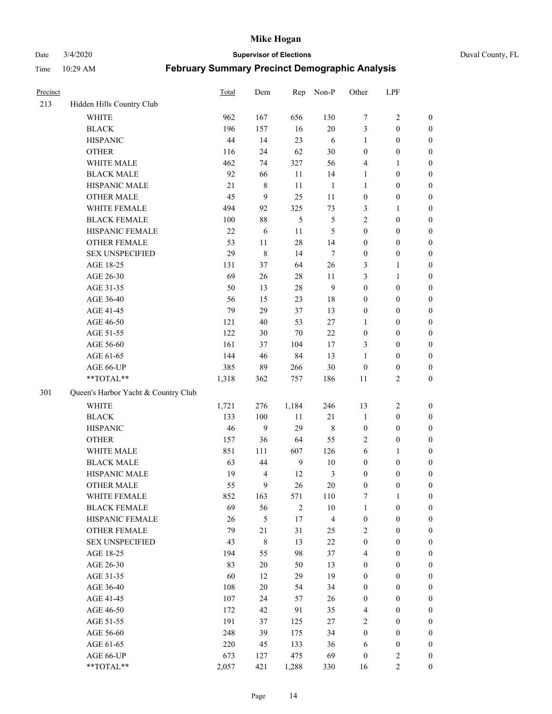Date 3/4/2020 **Supervisor of Elections** Duval County, FL

| Precinct |                                     | Total | Dem            | Rep          | Non-P                   | Other            | LPF              |                  |
|----------|-------------------------------------|-------|----------------|--------------|-------------------------|------------------|------------------|------------------|
| 213      | Hidden Hills Country Club           |       |                |              |                         |                  |                  |                  |
|          | <b>WHITE</b>                        | 962   | 167            | 656          | 130                     | 7                | $\sqrt{2}$       | 0                |
|          | <b>BLACK</b>                        | 196   | 157            | 16           | $20\,$                  | 3                | $\boldsymbol{0}$ | 0                |
|          | <b>HISPANIC</b>                     | 44    | 14             | 23           | 6                       | 1                | $\boldsymbol{0}$ | $\boldsymbol{0}$ |
|          | <b>OTHER</b>                        | 116   | 24             | 62           | $30\,$                  | $\boldsymbol{0}$ | $\boldsymbol{0}$ | $\boldsymbol{0}$ |
|          | WHITE MALE                          | 462   | 74             | 327          | 56                      | 4                | 1                | $\boldsymbol{0}$ |
|          | <b>BLACK MALE</b>                   | 92    | 66             | 11           | 14                      | $\mathbf{1}$     | $\boldsymbol{0}$ | $\boldsymbol{0}$ |
|          | HISPANIC MALE                       | 21    | $\,$ 8 $\,$    | 11           | $\mathbf{1}$            | 1                | $\boldsymbol{0}$ | $\boldsymbol{0}$ |
|          | <b>OTHER MALE</b>                   | 45    | 9              | 25           | 11                      | $\boldsymbol{0}$ | $\boldsymbol{0}$ | $\boldsymbol{0}$ |
|          | WHITE FEMALE                        | 494   | 92             | 325          | 73                      | 3                | 1                | $\boldsymbol{0}$ |
|          | <b>BLACK FEMALE</b>                 | 100   | $88\,$         | 5            | $\mathfrak s$           | 2                | $\boldsymbol{0}$ | $\boldsymbol{0}$ |
|          | HISPANIC FEMALE                     | 22    | 6              | 11           | 5                       | $\boldsymbol{0}$ | $\boldsymbol{0}$ | $\boldsymbol{0}$ |
|          | <b>OTHER FEMALE</b>                 | 53    | 11             | 28           | 14                      | $\boldsymbol{0}$ | $\boldsymbol{0}$ | $\boldsymbol{0}$ |
|          | <b>SEX UNSPECIFIED</b>              | 29    | 8              | 14           | $\tau$                  | $\boldsymbol{0}$ | $\boldsymbol{0}$ | $\boldsymbol{0}$ |
|          | AGE 18-25                           | 131   | 37             | 64           | $26\,$                  | 3                | $\mathbf{1}$     | $\boldsymbol{0}$ |
|          | AGE 26-30                           | 69    | $26\,$         | 28           | 11                      | 3                | $\mathbf{1}$     | $\boldsymbol{0}$ |
|          | AGE 31-35                           | 50    | 13             | 28           | 9                       | $\boldsymbol{0}$ | $\boldsymbol{0}$ | $\boldsymbol{0}$ |
|          | AGE 36-40                           | 56    | 15             | 23           | 18                      | $\boldsymbol{0}$ | $\boldsymbol{0}$ | $\boldsymbol{0}$ |
|          | AGE 41-45                           | 79    | 29             | 37           | 13                      | $\boldsymbol{0}$ | $\boldsymbol{0}$ | $\boldsymbol{0}$ |
|          | AGE 46-50                           | 121   | $40\,$         | 53           | $27\,$                  | $\mathbf{1}$     | $\boldsymbol{0}$ | $\boldsymbol{0}$ |
|          | AGE 51-55                           | 122   | $30\,$         | 70           | $22\,$                  | $\boldsymbol{0}$ | $\boldsymbol{0}$ | $\boldsymbol{0}$ |
|          | AGE 56-60                           | 161   | 37             | 104          | 17                      | 3                | $\boldsymbol{0}$ | 0                |
|          | AGE 61-65                           | 144   | 46             | 84           | 13                      | 1                | $\boldsymbol{0}$ | $\boldsymbol{0}$ |
|          | AGE 66-UP                           | 385   | 89             | 266          | $30\,$                  | $\boldsymbol{0}$ | $\boldsymbol{0}$ | $\boldsymbol{0}$ |
|          | **TOTAL**                           | 1,318 | 362            | 757          | 186                     | $11\,$           | $\sqrt{2}$       | $\boldsymbol{0}$ |
| 301      | Queen's Harbor Yacht & Country Club |       |                |              |                         |                  |                  |                  |
|          | <b>WHITE</b>                        | 1,721 | 276            | 1,184        | 246                     | 13               | $\sqrt{2}$       | $\boldsymbol{0}$ |
|          | <b>BLACK</b>                        | 133   | 100            | $11\,$       | $21\,$                  | $\mathbf{1}$     | $\boldsymbol{0}$ | $\boldsymbol{0}$ |
|          | <b>HISPANIC</b>                     | 46    | 9              | 29           | 8                       | $\boldsymbol{0}$ | $\boldsymbol{0}$ | $\boldsymbol{0}$ |
|          | <b>OTHER</b>                        | 157   | 36             | 64           | 55                      | 2                | $\boldsymbol{0}$ | $\boldsymbol{0}$ |
|          | WHITE MALE                          | 851   | 111            | 607          | 126                     | 6                | $\mathbf{1}$     | $\boldsymbol{0}$ |
|          | <b>BLACK MALE</b>                   | 63    | 44             | $\mathbf{9}$ | $10\,$                  | $\boldsymbol{0}$ | $\boldsymbol{0}$ | $\boldsymbol{0}$ |
|          | HISPANIC MALE                       | 19    | $\overline{4}$ | 12           | $\mathfrak{Z}$          | $\boldsymbol{0}$ | $\boldsymbol{0}$ | $\boldsymbol{0}$ |
|          | <b>OTHER MALE</b>                   | 55    | 9              | 26           | 20                      | $\boldsymbol{0}$ | $\boldsymbol{0}$ | $\boldsymbol{0}$ |
|          | WHITE FEMALE                        | 852   | 163            | 571          | 110                     | 7                | 1                | 0                |
|          | <b>BLACK FEMALE</b>                 | 69    | 56             | $\sqrt{2}$   | $10\,$                  | $\mathbf{1}$     | $\boldsymbol{0}$ | $\overline{0}$   |
|          | HISPANIC FEMALE                     | 26    | 5              | 17           | $\overline{\mathbf{4}}$ | $\boldsymbol{0}$ | $\boldsymbol{0}$ | $\overline{0}$   |
|          | <b>OTHER FEMALE</b>                 | 79    | $21\,$         | 31           | 25                      | 2                | $\boldsymbol{0}$ | $\overline{0}$   |
|          | <b>SEX UNSPECIFIED</b>              | 43    | $\,$ 8 $\,$    | 13           | 22                      | $\boldsymbol{0}$ | $\boldsymbol{0}$ | $\overline{0}$   |
|          | AGE 18-25                           | 194   | 55             | 98           | 37                      | 4                | $\boldsymbol{0}$ | $\theta$         |
|          | AGE 26-30                           | 83    | $20\,$         | 50           | 13                      | $\boldsymbol{0}$ | $\boldsymbol{0}$ | 0                |
|          | AGE 31-35                           | 60    | 12             | 29           | 19                      | $\boldsymbol{0}$ | $\boldsymbol{0}$ | 0                |
|          | AGE 36-40                           | 108   | $20\,$         | 54           | 34                      | $\boldsymbol{0}$ | $\boldsymbol{0}$ | 0                |
|          | AGE 41-45                           | 107   | 24             | 57           | 26                      | $\boldsymbol{0}$ | $\boldsymbol{0}$ | 0                |
|          | AGE 46-50                           | 172   | 42             | 91           | 35                      | 4                | $\boldsymbol{0}$ | 0                |
|          | AGE 51-55                           | 191   | 37             | 125          | 27                      | $\overline{c}$   | $\boldsymbol{0}$ | $\overline{0}$   |
|          | AGE 56-60                           | 248   | 39             | 175          | 34                      | $\boldsymbol{0}$ | $\boldsymbol{0}$ | $\overline{0}$   |
|          | AGE 61-65                           | 220   | 45             | 133          | 36                      | 6                | $\boldsymbol{0}$ | $\overline{0}$   |
|          | AGE 66-UP                           | 673   | 127            | 475          | 69                      | $\boldsymbol{0}$ | $\overline{2}$   | 0                |
|          | **TOTAL**                           | 2,057 | 421            | 1,288        | 330                     | 16               | $\overline{2}$   | $\boldsymbol{0}$ |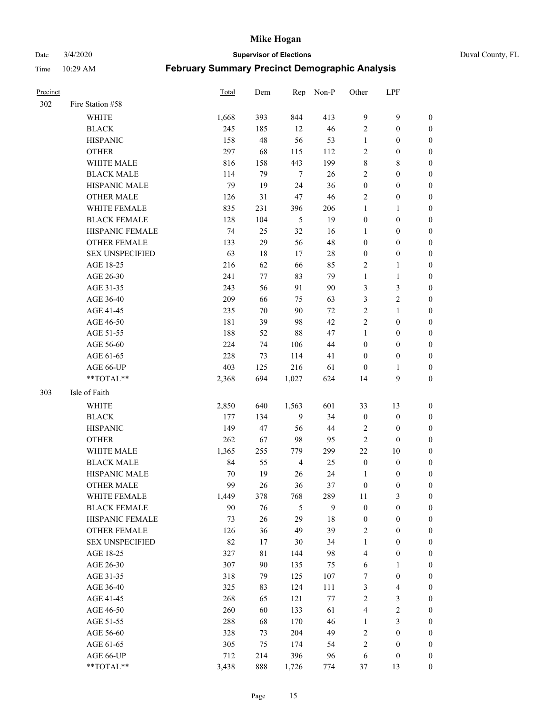#### Date 3/4/2020 **Supervisor of Elections** Duval County, FL

| Precinct |                        | <b>Total</b> | Dem    | Rep            | Non-P  | Other            | LPF              |                  |
|----------|------------------------|--------------|--------|----------------|--------|------------------|------------------|------------------|
| 302      | Fire Station #58       |              |        |                |        |                  |                  |                  |
|          | <b>WHITE</b>           | 1,668        | 393    | 844            | 413    | 9                | $\mathbf{9}$     | $\boldsymbol{0}$ |
|          | <b>BLACK</b>           | 245          | 185    | 12             | 46     | $\sqrt{2}$       | $\boldsymbol{0}$ | 0                |
|          | <b>HISPANIC</b>        | 158          | 48     | 56             | 53     | $\mathbf{1}$     | $\boldsymbol{0}$ | $\boldsymbol{0}$ |
|          | <b>OTHER</b>           | 297          | 68     | 115            | 112    | $\overline{2}$   | $\boldsymbol{0}$ | $\boldsymbol{0}$ |
|          | WHITE MALE             | 816          | 158    | 443            | 199    | 8                | $\,$ 8 $\,$      | $\boldsymbol{0}$ |
|          | <b>BLACK MALE</b>      | 114          | 79     | $\overline{7}$ | 26     | $\sqrt{2}$       | $\boldsymbol{0}$ | $\boldsymbol{0}$ |
|          | HISPANIC MALE          | 79           | 19     | 24             | 36     | $\boldsymbol{0}$ | $\boldsymbol{0}$ | $\boldsymbol{0}$ |
|          | <b>OTHER MALE</b>      | 126          | 31     | $47\,$         | 46     | $\overline{2}$   | $\boldsymbol{0}$ | $\boldsymbol{0}$ |
|          | WHITE FEMALE           | 835          | 231    | 396            | 206    | $\mathbf{1}$     | 1                | $\boldsymbol{0}$ |
|          | <b>BLACK FEMALE</b>    | 128          | 104    | 5              | 19     | $\boldsymbol{0}$ | $\boldsymbol{0}$ | 0                |
|          | HISPANIC FEMALE        | 74           | 25     | 32             | 16     | 1                | $\boldsymbol{0}$ | 0                |
|          | <b>OTHER FEMALE</b>    | 133          | 29     | 56             | 48     | $\boldsymbol{0}$ | $\boldsymbol{0}$ | 0                |
|          | <b>SEX UNSPECIFIED</b> | 63           | 18     | 17             | $28\,$ | $\boldsymbol{0}$ | $\boldsymbol{0}$ | $\boldsymbol{0}$ |
|          | AGE 18-25              | 216          | 62     | 66             | 85     | $\overline{c}$   | $\mathbf{1}$     | $\boldsymbol{0}$ |
|          | AGE 26-30              | 241          | 77     | 83             | 79     | $\mathbf{1}$     | $\mathbf{1}$     | $\boldsymbol{0}$ |
|          | AGE 31-35              | 243          | 56     | 91             | 90     | 3                | $\mathfrak{Z}$   | $\boldsymbol{0}$ |
|          | AGE 36-40              | 209          | 66     | 75             | 63     | 3                | $\sqrt{2}$       | $\boldsymbol{0}$ |
|          | AGE 41-45              | 235          | $70\,$ | 90             | $72\,$ | $\sqrt{2}$       | $\mathbf{1}$     | $\boldsymbol{0}$ |
|          | AGE 46-50              | 181          | 39     | 98             | 42     | $\overline{c}$   | $\boldsymbol{0}$ | $\boldsymbol{0}$ |
|          | AGE 51-55              | 188          | 52     | 88             | 47     | $\mathbf{1}$     | $\boldsymbol{0}$ | 0                |
|          | AGE 56-60              | 224          | 74     | 106            | 44     | $\boldsymbol{0}$ | $\boldsymbol{0}$ | 0                |
|          | AGE 61-65              | 228          | 73     | 114            | 41     | $\boldsymbol{0}$ | $\boldsymbol{0}$ | 0                |
|          | AGE 66-UP              | 403          | 125    | 216            | 61     | $\boldsymbol{0}$ | 1                | 0                |
|          | **TOTAL**              | 2,368        | 694    | 1,027          | 624    | 14               | $\mathbf{9}$     | $\boldsymbol{0}$ |
| 303      | Isle of Faith          |              |        |                |        |                  |                  |                  |
|          | WHITE                  | 2,850        | 640    | 1,563          | 601    | 33               | 13               | $\boldsymbol{0}$ |
|          | <b>BLACK</b>           | 177          | 134    | 9              | 34     | $\boldsymbol{0}$ | $\boldsymbol{0}$ | $\boldsymbol{0}$ |
|          | <b>HISPANIC</b>        | 149          | 47     | 56             | 44     | $\overline{c}$   | $\boldsymbol{0}$ | $\boldsymbol{0}$ |
|          | <b>OTHER</b>           | 262          | 67     | 98             | 95     | $\sqrt{2}$       | $\boldsymbol{0}$ | $\boldsymbol{0}$ |
|          | <b>WHITE MALE</b>      | 1,365        | 255    | 779            | 299    | 22               | $10\,$           | $\boldsymbol{0}$ |
|          | <b>BLACK MALE</b>      | 84           | 55     | $\overline{4}$ | 25     | $\boldsymbol{0}$ | $\boldsymbol{0}$ | 0                |
|          | HISPANIC MALE          | 70           | 19     | 26             | 24     | 1                | $\boldsymbol{0}$ | 0                |
|          | <b>OTHER MALE</b>      | 99           | 26     | 36             | 37     | $\boldsymbol{0}$ | $\boldsymbol{0}$ | 0                |
|          | WHITE FEMALE           | 1,449        | 378    | 768            | 289    | 11               | 3                | 0                |
|          | <b>BLACK FEMALE</b>    | 90           | 76     | 5              | 9      | $\boldsymbol{0}$ | $\boldsymbol{0}$ | $\boldsymbol{0}$ |
|          | HISPANIC FEMALE        | 73           | 26     | 29             | $18\,$ | $\boldsymbol{0}$ | $\boldsymbol{0}$ | $\overline{0}$   |
|          | <b>OTHER FEMALE</b>    | 126          | 36     | 49             | 39     | $\overline{c}$   | $\boldsymbol{0}$ | $\overline{0}$   |
|          | <b>SEX UNSPECIFIED</b> | 82           | 17     | $30\,$         | 34     | $\mathbf{1}$     | $\boldsymbol{0}$ | $\overline{0}$   |
|          | AGE 18-25              | 327          | 81     | 144            | 98     | 4                | $\boldsymbol{0}$ | $\overline{0}$   |
|          | AGE 26-30              | 307          | 90     | 135            | 75     | 6                | $\mathbf{1}$     | 0                |
|          | AGE 31-35              | 318          | 79     | 125            | 107    | 7                | $\boldsymbol{0}$ | 0                |
|          | AGE 36-40              | 325          | 83     | 124            | 111    | 3                | $\overline{4}$   | 0                |
|          | AGE 41-45              | 268          | 65     | 121            | 77     | $\sqrt{2}$       | $\mathfrak{Z}$   | 0                |
|          | AGE 46-50              | 260          | 60     | 133            | 61     | 4                | $\sqrt{2}$       | 0                |
|          | AGE 51-55              | 288          | 68     | 170            | 46     | $\mathbf{1}$     | $\mathfrak{Z}$   | $\boldsymbol{0}$ |
|          | AGE 56-60              | 328          | 73     | 204            | 49     | $\overline{c}$   | $\boldsymbol{0}$ | $\boldsymbol{0}$ |
|          | AGE 61-65              | 305          | 75     | 174            | 54     | $\overline{c}$   | $\boldsymbol{0}$ | $\boldsymbol{0}$ |
|          | AGE 66-UP              | 712          | 214    | 396            | 96     | 6                | $\boldsymbol{0}$ | $\boldsymbol{0}$ |
|          | **TOTAL**              | 3,438        | 888    | 1,726          | 774    | 37               | 13               | $\boldsymbol{0}$ |
|          |                        |              |        |                |        |                  |                  |                  |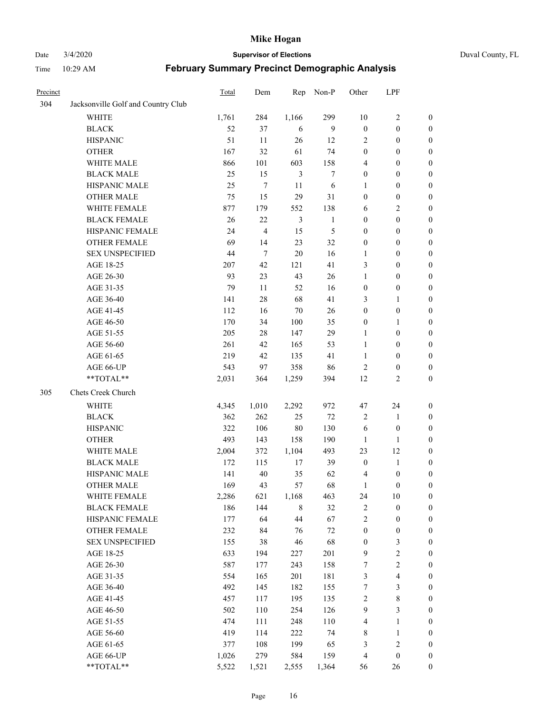Date 3/4/2020 **Supervisor of Elections** Duval County, FL

| Precinct |                                    | <b>Total</b> | Dem    | Rep            | Non-P            | Other            | LPF                     |                  |
|----------|------------------------------------|--------------|--------|----------------|------------------|------------------|-------------------------|------------------|
| 304      | Jacksonville Golf and Country Club |              |        |                |                  |                  |                         |                  |
|          | <b>WHITE</b>                       | 1,761        | 284    | 1,166          | 299              | 10               | $\sqrt{2}$              | 0                |
|          | <b>BLACK</b>                       | 52           | 37     | 6              | 9                | $\boldsymbol{0}$ | $\boldsymbol{0}$        | 0                |
|          | <b>HISPANIC</b>                    | 51           | 11     | 26             | 12               | $\overline{c}$   | $\boldsymbol{0}$        | $\boldsymbol{0}$ |
|          | <b>OTHER</b>                       | 167          | 32     | 61             | 74               | $\boldsymbol{0}$ | $\boldsymbol{0}$        | $\boldsymbol{0}$ |
|          | WHITE MALE                         | 866          | 101    | 603            | 158              | 4                | $\boldsymbol{0}$        | $\boldsymbol{0}$ |
|          | <b>BLACK MALE</b>                  | 25           | 15     | $\mathfrak{Z}$ | $\boldsymbol{7}$ | $\boldsymbol{0}$ | $\boldsymbol{0}$        | $\boldsymbol{0}$ |
|          | HISPANIC MALE                      | 25           | $\tau$ | 11             | 6                | 1                | $\boldsymbol{0}$        | $\boldsymbol{0}$ |
|          | <b>OTHER MALE</b>                  | 75           | 15     | 29             | 31               | $\boldsymbol{0}$ | $\boldsymbol{0}$        | $\boldsymbol{0}$ |
|          | WHITE FEMALE                       | 877          | 179    | 552            | 138              | 6                | $\overline{2}$          | $\boldsymbol{0}$ |
|          | <b>BLACK FEMALE</b>                | 26           | 22     | $\mathfrak{Z}$ | $\mathbf{1}$     | $\boldsymbol{0}$ | $\boldsymbol{0}$        | $\boldsymbol{0}$ |
|          | HISPANIC FEMALE                    | 24           | 4      | 15             | 5                | $\boldsymbol{0}$ | $\boldsymbol{0}$        | 0                |
|          | <b>OTHER FEMALE</b>                | 69           | 14     | 23             | 32               | $\boldsymbol{0}$ | $\boldsymbol{0}$        | $\boldsymbol{0}$ |
|          | <b>SEX UNSPECIFIED</b>             | 44           | 7      | $20\,$         | 16               | $\mathbf{1}$     | $\boldsymbol{0}$        | $\boldsymbol{0}$ |
|          | AGE 18-25                          | 207          | 42     | 121            | 41               | 3                | $\boldsymbol{0}$        | $\boldsymbol{0}$ |
|          | AGE 26-30                          | 93           | 23     | 43             | 26               | $\mathbf{1}$     | $\boldsymbol{0}$        | $\boldsymbol{0}$ |
|          | AGE 31-35                          | 79           | 11     | 52             | 16               | $\boldsymbol{0}$ | $\boldsymbol{0}$        | $\boldsymbol{0}$ |
|          | AGE 36-40                          | 141          | 28     | 68             | 41               | 3                | $\mathbf{1}$            | $\boldsymbol{0}$ |
|          | AGE 41-45                          | 112          | 16     | $70\,$         | 26               | $\boldsymbol{0}$ | $\boldsymbol{0}$        | $\boldsymbol{0}$ |
|          | AGE 46-50                          | 170          | 34     | 100            | 35               | $\boldsymbol{0}$ | 1                       | $\boldsymbol{0}$ |
|          | AGE 51-55                          | 205          | 28     | 147            | 29               | $\mathbf{1}$     | $\boldsymbol{0}$        | $\boldsymbol{0}$ |
|          | AGE 56-60                          | 261          | 42     | 165            | 53               | $\mathbf{1}$     | $\boldsymbol{0}$        | 0                |
|          | AGE 61-65                          | 219          | 42     | 135            | 41               | $\mathbf{1}$     | $\boldsymbol{0}$        | 0                |
|          | AGE 66-UP                          | 543          | 97     | 358            | 86               | $\sqrt{2}$       | $\boldsymbol{0}$        | $\boldsymbol{0}$ |
|          | **TOTAL**                          | 2,031        | 364    | 1,259          | 394              | 12               | $\sqrt{2}$              | $\boldsymbol{0}$ |
| 305      | Chets Creek Church                 |              |        |                |                  |                  |                         |                  |
|          | <b>WHITE</b>                       | 4,345        | 1,010  | 2,292          | 972              | 47               | 24                      | $\boldsymbol{0}$ |
|          | <b>BLACK</b>                       | 362          | 262    | 25             | $72\,$           | $\overline{c}$   | $\mathbf{1}$            | $\boldsymbol{0}$ |
|          | <b>HISPANIC</b>                    | 322          | 106    | $80\,$         | 130              | 6                | $\boldsymbol{0}$        | $\boldsymbol{0}$ |
|          | <b>OTHER</b>                       | 493          | 143    | 158            | 190              | $\mathbf{1}$     | 1                       | $\boldsymbol{0}$ |
|          | WHITE MALE                         | 2,004        | 372    | 1,104          | 493              | 23               | 12                      | $\boldsymbol{0}$ |
|          | <b>BLACK MALE</b>                  | 172          | 115    | 17             | 39               | $\boldsymbol{0}$ | $\mathbf{1}$            | $\boldsymbol{0}$ |
|          | HISPANIC MALE                      | 141          | 40     | 35             | 62               | $\overline{4}$   | $\boldsymbol{0}$        | 0                |
|          | <b>OTHER MALE</b>                  | 169          | 43     | 57             | 68               | $\mathbf{1}$     | $\boldsymbol{0}$        | $\boldsymbol{0}$ |
|          | WHITE FEMALE                       | 2,286        | 621    | 1,168          | 463              | 24               | 10                      | 0                |
|          | <b>BLACK FEMALE</b>                | 186          | 144    | $\,8\,$        | 32               | $\sqrt{2}$       | $\boldsymbol{0}$        | $\boldsymbol{0}$ |
|          | HISPANIC FEMALE                    | 177          | 64     | $44\,$         | 67               | $\sqrt{2}$       | $\boldsymbol{0}$        | $\boldsymbol{0}$ |
|          | OTHER FEMALE                       | 232          | 84     | 76             | $72\,$           | $\boldsymbol{0}$ | $\boldsymbol{0}$        | $\overline{0}$   |
|          | <b>SEX UNSPECIFIED</b>             | 155          | 38     | 46             | 68               | $\boldsymbol{0}$ | $\mathfrak{Z}$          | 0                |
|          | AGE 18-25                          | 633          | 194    | 227            | 201              | 9                | $\sqrt{2}$              | 0                |
|          | AGE 26-30                          | 587          | 177    | 243            | 158              | 7                | $\sqrt{2}$              | 0                |
|          | AGE 31-35                          | 554          | 165    | 201            | 181              | 3                | $\overline{\mathbf{4}}$ | 0                |
|          | AGE 36-40                          | 492          | 145    | 182            | 155              | 7                | $\mathfrak{Z}$          | 0                |
|          | AGE 41-45                          | 457          | 117    | 195            | 135              | $\sqrt{2}$       | $\,$ 8 $\,$             | 0                |
|          | AGE 46-50                          | 502          | 110    | 254            | 126              | 9                | $\mathfrak{Z}$          | 0                |
|          | AGE 51-55                          | 474          | 111    | 248            | 110              | 4                | $\mathbf{1}$            | $\boldsymbol{0}$ |
|          | AGE 56-60                          | 419          | 114    | 222            | 74               | 8                | $\mathbf{1}$            | $\boldsymbol{0}$ |
|          | AGE 61-65                          | 377          | 108    | 199            | 65               | 3                | $\sqrt{2}$              | $\boldsymbol{0}$ |
|          | AGE 66-UP                          | 1,026        | 279    | 584            | 159              | $\overline{4}$   | $\boldsymbol{0}$        | $\boldsymbol{0}$ |
|          | **TOTAL**                          | 5,522        | 1,521  | 2,555          | 1,364            | 56               | 26                      | $\boldsymbol{0}$ |
|          |                                    |              |        |                |                  |                  |                         |                  |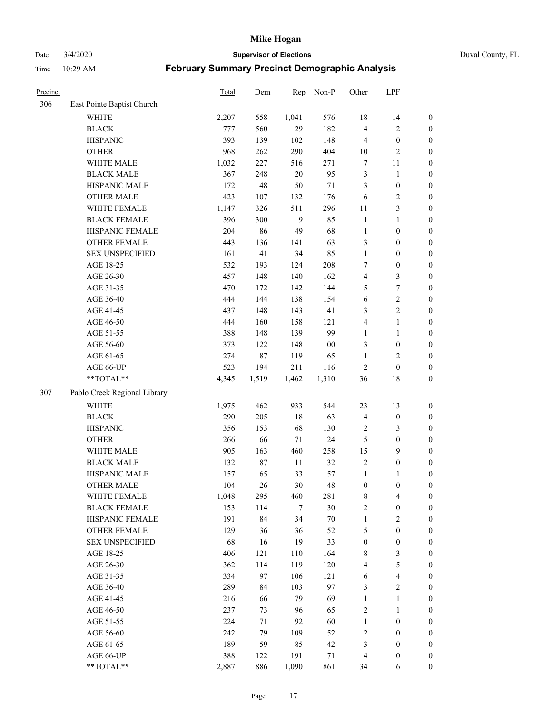Date 3/4/2020 **Supervisor of Elections** Duval County, FL

| Precinct |                              | Total | Dem    | Rep            | Non-P  | Other            | LPF                     |                  |
|----------|------------------------------|-------|--------|----------------|--------|------------------|-------------------------|------------------|
| 306      | East Pointe Baptist Church   |       |        |                |        |                  |                         |                  |
|          | <b>WHITE</b>                 | 2,207 | 558    | 1,041          | 576    | 18               | 14                      | 0                |
|          | <b>BLACK</b>                 | 777   | 560    | 29             | 182    | 4                | $\sqrt{2}$              | $\boldsymbol{0}$ |
|          | <b>HISPANIC</b>              | 393   | 139    | 102            | 148    | 4                | $\boldsymbol{0}$        | $\boldsymbol{0}$ |
|          | <b>OTHER</b>                 | 968   | 262    | 290            | 404    | $10\,$           | $\overline{2}$          | $\boldsymbol{0}$ |
|          | WHITE MALE                   | 1,032 | 227    | 516            | 271    | 7                | 11                      | $\boldsymbol{0}$ |
|          | <b>BLACK MALE</b>            | 367   | 248    | 20             | 95     | 3                | $\mathbf{1}$            | $\boldsymbol{0}$ |
|          | HISPANIC MALE                | 172   | 48     | 50             | $71\,$ | 3                | $\boldsymbol{0}$        | $\boldsymbol{0}$ |
|          | <b>OTHER MALE</b>            | 423   | 107    | 132            | 176    | 6                | $\overline{c}$          | $\boldsymbol{0}$ |
|          | WHITE FEMALE                 | 1,147 | 326    | 511            | 296    | $11\,$           | $\mathfrak{Z}$          | $\boldsymbol{0}$ |
|          | <b>BLACK FEMALE</b>          | 396   | 300    | $\overline{9}$ | 85     | $\mathbf{1}$     | $\mathbf{1}$            | $\boldsymbol{0}$ |
|          | HISPANIC FEMALE              | 204   | 86     | 49             | 68     | $\mathbf{1}$     | $\boldsymbol{0}$        | $\boldsymbol{0}$ |
|          | OTHER FEMALE                 | 443   | 136    | 141            | 163    | 3                | $\boldsymbol{0}$        | $\boldsymbol{0}$ |
|          | <b>SEX UNSPECIFIED</b>       | 161   | 41     | 34             | 85     | $\mathbf{1}$     | $\boldsymbol{0}$        | $\boldsymbol{0}$ |
|          | AGE 18-25                    | 532   | 193    | 124            | 208    | 7                | $\boldsymbol{0}$        | $\boldsymbol{0}$ |
|          | AGE 26-30                    | 457   | 148    | 140            | 162    | 4                | $\mathfrak{Z}$          | $\boldsymbol{0}$ |
|          | AGE 31-35                    | 470   | 172    | 142            | 144    | 5                | $\boldsymbol{7}$        | $\boldsymbol{0}$ |
|          | AGE 36-40                    | 444   | 144    | 138            | 154    | 6                | $\sqrt{2}$              | $\boldsymbol{0}$ |
|          | AGE 41-45                    | 437   | 148    | 143            | 141    | 3                | $\overline{2}$          | $\boldsymbol{0}$ |
|          | AGE 46-50                    | 444   | 160    | 158            | 121    | 4                | $\mathbf{1}$            | $\boldsymbol{0}$ |
|          | AGE 51-55                    | 388   | 148    | 139            | 99     | $\mathbf{1}$     | $\mathbf{1}$            | $\boldsymbol{0}$ |
|          | AGE 56-60                    | 373   | 122    | 148            | 100    | 3                | $\boldsymbol{0}$        | 0                |
|          | AGE 61-65                    | 274   | $87\,$ | 119            | 65     | $\mathbf{1}$     | $\overline{2}$          | $\boldsymbol{0}$ |
|          | AGE 66-UP                    | 523   | 194    | 211            | 116    | $\sqrt{2}$       | $\boldsymbol{0}$        | $\boldsymbol{0}$ |
|          | **TOTAL**                    | 4,345 | 1,519  | 1,462          | 1,310  | 36               | $18\,$                  | $\boldsymbol{0}$ |
| 307      | Pablo Creek Regional Library |       |        |                |        |                  |                         |                  |
|          | <b>WHITE</b>                 | 1,975 | 462    | 933            | 544    | 23               | 13                      | $\boldsymbol{0}$ |
|          | <b>BLACK</b>                 | 290   | 205    | 18             | 63     | 4                | $\boldsymbol{0}$        | $\boldsymbol{0}$ |
|          | <b>HISPANIC</b>              | 356   | 153    | 68             | 130    | 2                | $\mathfrak{Z}$          | $\boldsymbol{0}$ |
|          | <b>OTHER</b>                 | 266   | 66     | 71             | 124    | 5                | $\boldsymbol{0}$        | $\boldsymbol{0}$ |
|          | WHITE MALE                   | 905   | 163    | 460            | 258    | 15               | 9                       | $\boldsymbol{0}$ |
|          | <b>BLACK MALE</b>            | 132   | 87     | $11\,$         | 32     | $\sqrt{2}$       | $\boldsymbol{0}$        | $\boldsymbol{0}$ |
|          | HISPANIC MALE                | 157   | 65     | 33             | 57     | $\mathbf{1}$     | 1                       | $\boldsymbol{0}$ |
|          | OTHER MALE                   | 104   | 26     | 30             | 48     | $\boldsymbol{0}$ | $\boldsymbol{0}$        | $\boldsymbol{0}$ |
|          | WHITE FEMALE                 | 1,048 | 295    | 460            | 281    | 8                | 4                       | 0                |
|          | <b>BLACK FEMALE</b>          | 153   | 114    | $\overline{7}$ | $30\,$ | 2                | $\boldsymbol{0}$        | $\overline{0}$   |
|          | HISPANIC FEMALE              | 191   | 84     | 34             | $70\,$ | $\mathbf{1}$     | $\sqrt{2}$              | $\overline{0}$   |
|          | <b>OTHER FEMALE</b>          | 129   | 36     | 36             | 52     | 5                | $\boldsymbol{0}$        | $\overline{0}$   |
|          | <b>SEX UNSPECIFIED</b>       | 68    | 16     | 19             | 33     | $\boldsymbol{0}$ | $\boldsymbol{0}$        | 0                |
|          | AGE 18-25                    | 406   | 121    | 110            | 164    | 8                | $\mathfrak{Z}$          | 0                |
|          | AGE 26-30                    | 362   | 114    | 119            | 120    | 4                | $\mathfrak s$           | 0                |
|          | AGE 31-35                    | 334   | 97     | 106            | 121    | 6                | $\overline{\mathbf{4}}$ | 0                |
|          | AGE 36-40                    | 289   | 84     | 103            | 97     | 3                | $\sqrt{2}$              | 0                |
|          | AGE 41-45                    | 216   | 66     | 79             | 69     | $\mathbf{1}$     | $\mathbf{1}$            | 0                |
|          | AGE 46-50                    | 237   | 73     | 96             | 65     | 2                | $\mathbf{1}$            | 0                |
|          | AGE 51-55                    | 224   | 71     | 92             | 60     | $\mathbf{1}$     | $\boldsymbol{0}$        | 0                |
|          | AGE 56-60                    | 242   | 79     | 109            | 52     | 2                | $\boldsymbol{0}$        | 0                |
|          | AGE 61-65                    | 189   | 59     | 85             | 42     | 3                | $\boldsymbol{0}$        | $\overline{0}$   |
|          | AGE 66-UP                    | 388   | 122    | 191            | 71     | 4                | $\boldsymbol{0}$        | 0                |
|          | **TOTAL**                    | 2,887 | 886    | 1,090          | 861    | 34               | 16                      | $\boldsymbol{0}$ |
|          |                              |       |        |                |        |                  |                         |                  |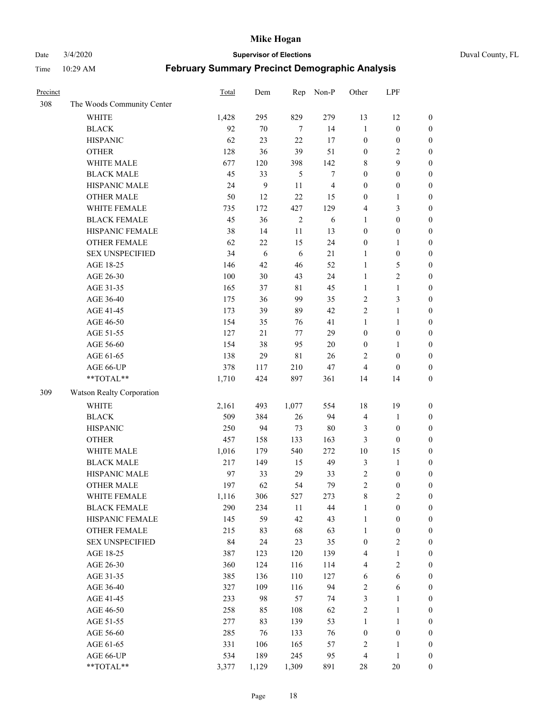Date 3/4/2020 **Supervisor of Elections** Duval County, FL

| Precinct |                            | Total | Dem              | Rep         | Non-P            | Other            | LPF              |                  |
|----------|----------------------------|-------|------------------|-------------|------------------|------------------|------------------|------------------|
| 308      | The Woods Community Center |       |                  |             |                  |                  |                  |                  |
|          | <b>WHITE</b>               | 1,428 | 295              | 829         | 279              | 13               | 12               | $\boldsymbol{0}$ |
|          | <b>BLACK</b>               | 92    | $70\,$           | 7           | 14               | $\mathbf{1}$     | $\boldsymbol{0}$ | $\boldsymbol{0}$ |
|          | <b>HISPANIC</b>            | 62    | 23               | 22          | 17               | $\boldsymbol{0}$ | $\boldsymbol{0}$ | $\boldsymbol{0}$ |
|          | <b>OTHER</b>               | 128   | 36               | 39          | 51               | $\boldsymbol{0}$ | $\overline{2}$   | $\boldsymbol{0}$ |
|          | WHITE MALE                 | 677   | 120              | 398         | 142              | 8                | 9                | $\boldsymbol{0}$ |
|          | <b>BLACK MALE</b>          | 45    | 33               | 5           | $\boldsymbol{7}$ | $\boldsymbol{0}$ | $\boldsymbol{0}$ | $\boldsymbol{0}$ |
|          | HISPANIC MALE              | 24    | $\boldsymbol{9}$ | 11          | $\overline{4}$   | $\boldsymbol{0}$ | $\boldsymbol{0}$ | $\boldsymbol{0}$ |
|          | <b>OTHER MALE</b>          | 50    | 12               | 22          | 15               | $\boldsymbol{0}$ | $\mathbf{1}$     | $\boldsymbol{0}$ |
|          | WHITE FEMALE               | 735   | 172              | 427         | 129              | 4                | $\mathfrak{Z}$   | $\boldsymbol{0}$ |
|          | <b>BLACK FEMALE</b>        | 45    | 36               | $\sqrt{2}$  | 6                | $\mathbf{1}$     | $\boldsymbol{0}$ | $\boldsymbol{0}$ |
|          | HISPANIC FEMALE            | 38    | 14               | 11          | 13               | $\boldsymbol{0}$ | $\boldsymbol{0}$ | 0                |
|          | <b>OTHER FEMALE</b>        | 62    | 22               | 15          | 24               | $\boldsymbol{0}$ | $\mathbf{1}$     | $\boldsymbol{0}$ |
|          | <b>SEX UNSPECIFIED</b>     | 34    | 6                | 6           | 21               | $\mathbf{1}$     | $\boldsymbol{0}$ | $\boldsymbol{0}$ |
|          | AGE 18-25                  | 146   | 42               | 46          | 52               | $\mathbf{1}$     | $\sqrt{5}$       | $\boldsymbol{0}$ |
|          | AGE 26-30                  | 100   | 30               | 43          | 24               | $\mathbf{1}$     | $\sqrt{2}$       | $\boldsymbol{0}$ |
|          | AGE 31-35                  | 165   | 37               | $8\sqrt{1}$ | 45               | $\mathbf{1}$     | $\mathbf{1}$     | $\boldsymbol{0}$ |
|          | AGE 36-40                  | 175   | 36               | 99          | 35               | $\overline{c}$   | $\mathfrak{Z}$   | $\boldsymbol{0}$ |
|          | AGE 41-45                  | 173   | 39               | 89          | 42               | $\overline{2}$   | $\mathbf{1}$     | $\boldsymbol{0}$ |
|          | AGE 46-50                  | 154   | 35               | 76          | 41               | $\mathbf{1}$     | $\mathbf{1}$     | $\boldsymbol{0}$ |
|          | AGE 51-55                  | 127   | 21               | 77          | 29               | $\boldsymbol{0}$ | $\boldsymbol{0}$ | $\boldsymbol{0}$ |
|          | AGE 56-60                  | 154   | 38               | 95          | 20               | $\boldsymbol{0}$ | 1                | 0                |
|          | AGE 61-65                  | 138   | 29               | $8\sqrt{1}$ | 26               | 2                | $\boldsymbol{0}$ | $\boldsymbol{0}$ |
|          | AGE 66-UP                  | 378   | 117              | 210         | 47               | $\overline{4}$   | $\boldsymbol{0}$ | $\boldsymbol{0}$ |
|          | **TOTAL**                  | 1,710 | 424              | 897         | 361              | 14               | 14               | $\boldsymbol{0}$ |
| 309      | Watson Realty Corporation  |       |                  |             |                  |                  |                  |                  |
|          | <b>WHITE</b>               | 2,161 | 493              | 1,077       | 554              | 18               | 19               | $\boldsymbol{0}$ |
|          | <b>BLACK</b>               | 509   | 384              | 26          | 94               | 4                | $\mathbf{1}$     | $\boldsymbol{0}$ |
|          | <b>HISPANIC</b>            | 250   | 94               | 73          | 80               | 3                | $\boldsymbol{0}$ | $\boldsymbol{0}$ |
|          | <b>OTHER</b>               | 457   | 158              | 133         | 163              | 3                | $\boldsymbol{0}$ | $\boldsymbol{0}$ |
|          | WHITE MALE                 | 1,016 | 179              | 540         | 272              | 10               | 15               | $\boldsymbol{0}$ |
|          | <b>BLACK MALE</b>          | 217   | 149              | 15          | 49               | 3                | $\mathbf{1}$     | $\boldsymbol{0}$ |
|          | HISPANIC MALE              | 97    | 33               | 29          | 33               | $\overline{c}$   | $\boldsymbol{0}$ | $\boldsymbol{0}$ |
|          | <b>OTHER MALE</b>          | 197   | 62               | 54          | 79               | $\overline{2}$   | $\boldsymbol{0}$ | $\boldsymbol{0}$ |
|          | WHITE FEMALE               | 1,116 | 306              | 527         | 273              | 8                | $\overline{c}$   | 0                |
|          | <b>BLACK FEMALE</b>        | 290   | 234              | 11          | 44               | $\mathbf{1}$     | $\boldsymbol{0}$ | $\boldsymbol{0}$ |
|          | HISPANIC FEMALE            | 145   | 59               | 42          | 43               | $\mathbf{1}$     | $\boldsymbol{0}$ | $\overline{0}$   |
|          | OTHER FEMALE               | 215   | 83               | 68          | 63               | $\mathbf{1}$     | $\boldsymbol{0}$ | $\overline{0}$   |
|          | <b>SEX UNSPECIFIED</b>     | 84    | 24               | 23          | 35               | $\boldsymbol{0}$ | $\overline{c}$   | 0                |
|          | AGE 18-25                  | 387   | 123              | 120         | 139              | 4                | $\mathbf{1}$     | 0                |
|          | AGE 26-30                  | 360   | 124              | 116         | 114              | 4                | $\overline{c}$   | 0                |
|          | AGE 31-35                  | 385   | 136              | 110         | 127              | 6                | 6                | 0                |
|          | AGE 36-40                  | 327   | 109              | 116         | 94               | $\boldsymbol{2}$ | 6                | 0                |
|          | AGE 41-45                  | 233   | 98               | 57          | 74               | 3                | $\mathbf{1}$     | 0                |
|          | AGE 46-50                  | 258   | 85               | 108         | 62               | $\sqrt{2}$       | $\mathbf{1}$     | 0                |
|          | AGE 51-55                  | 277   | 83               | 139         | 53               | $\mathbf{1}$     | $\mathbf{1}$     | 0                |
|          | AGE 56-60                  | 285   | 76               | 133         | 76               | $\boldsymbol{0}$ | $\boldsymbol{0}$ | 0                |
|          | AGE 61-65                  | 331   | 106              | 165         | 57               | $\overline{c}$   | 1                | $\boldsymbol{0}$ |
|          | AGE 66-UP                  | 534   | 189              | 245         | 95               | $\overline{4}$   | $\mathbf{1}$     | $\boldsymbol{0}$ |
|          | **TOTAL**                  | 3,377 | 1,129            | 1,309       | 891              | 28               | $20\,$           | $\boldsymbol{0}$ |
|          |                            |       |                  |             |                  |                  |                  |                  |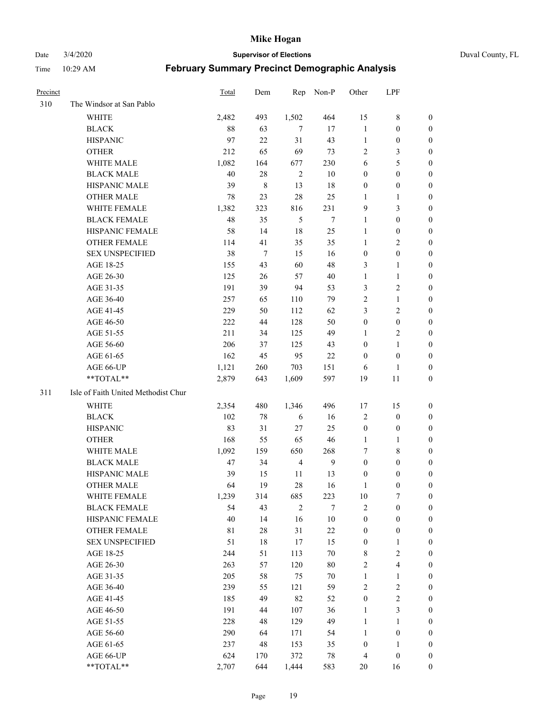Date 3/4/2020 **Supervisor of Elections** Duval County, FL

| Precinct |                                     | <b>Total</b> | Dem         | Rep            | Non-P          | Other            | LPF                     |                  |
|----------|-------------------------------------|--------------|-------------|----------------|----------------|------------------|-------------------------|------------------|
| 310      | The Windsor at San Pablo            |              |             |                |                |                  |                         |                  |
|          | <b>WHITE</b>                        | 2,482        | 493         | 1,502          | 464            | 15               | $\,$ 8 $\,$             | 0                |
|          | <b>BLACK</b>                        | 88           | 63          | 7              | 17             | $\mathbf{1}$     | $\boldsymbol{0}$        | 0                |
|          | <b>HISPANIC</b>                     | 97           | 22          | 31             | 43             | $\mathbf{1}$     | $\boldsymbol{0}$        | 0                |
|          | <b>OTHER</b>                        | 212          | 65          | 69             | 73             | $\overline{c}$   | $\mathfrak{Z}$          | $\boldsymbol{0}$ |
|          | WHITE MALE                          | 1,082        | 164         | 677            | 230            | 6                | $\mathfrak s$           | $\boldsymbol{0}$ |
|          | <b>BLACK MALE</b>                   | 40           | $28\,$      | $\sqrt{2}$     | $10\,$         | $\boldsymbol{0}$ | $\boldsymbol{0}$        | $\boldsymbol{0}$ |
|          | HISPANIC MALE                       | 39           | $\,$ 8 $\,$ | 13             | 18             | $\boldsymbol{0}$ | $\boldsymbol{0}$        | $\boldsymbol{0}$ |
|          | <b>OTHER MALE</b>                   | 78           | 23          | 28             | 25             | $\mathbf{1}$     | $\mathbf{1}$            | $\boldsymbol{0}$ |
|          | WHITE FEMALE                        | 1,382        | 323         | 816            | 231            | 9                | $\mathfrak{Z}$          | $\boldsymbol{0}$ |
|          | <b>BLACK FEMALE</b>                 | 48           | 35          | 5              | $\overline{7}$ | $\mathbf{1}$     | $\boldsymbol{0}$        | 0                |
|          | HISPANIC FEMALE                     | 58           | 14          | 18             | 25             | $\mathbf{1}$     | $\boldsymbol{0}$        | 0                |
|          | <b>OTHER FEMALE</b>                 | 114          | 41          | 35             | 35             | $\mathbf{1}$     | $\sqrt{2}$              | 0                |
|          | <b>SEX UNSPECIFIED</b>              | 38           | $\tau$      | 15             | 16             | $\boldsymbol{0}$ | $\boldsymbol{0}$        | $\boldsymbol{0}$ |
|          | AGE 18-25                           | 155          | 43          | 60             | 48             | 3                | $\mathbf{1}$            | $\boldsymbol{0}$ |
|          | AGE 26-30                           | 125          | 26          | 57             | 40             | $\mathbf{1}$     | $\mathbf{1}$            | $\boldsymbol{0}$ |
|          | AGE 31-35                           | 191          | 39          | 94             | 53             | 3                | $\sqrt{2}$              | $\boldsymbol{0}$ |
|          | AGE 36-40                           | 257          | 65          | 110            | 79             | $\overline{c}$   | $\mathbf{1}$            | $\boldsymbol{0}$ |
|          | AGE 41-45                           | 229          | 50          | 112            | 62             | 3                | $\overline{2}$          | $\boldsymbol{0}$ |
|          | AGE 46-50                           | 222          | 44          | 128            | 50             | $\boldsymbol{0}$ | $\boldsymbol{0}$        | $\boldsymbol{0}$ |
|          | AGE 51-55                           | 211          | 34          | 125            | 49             | 1                | $\sqrt{2}$              | 0                |
|          | AGE 56-60                           | 206          | 37          | 125            | 43             | $\boldsymbol{0}$ | $\mathbf{1}$            | 0                |
|          | AGE 61-65                           | 162          | 45          | 95             | 22             | $\boldsymbol{0}$ | $\boldsymbol{0}$        | 0                |
|          | AGE 66-UP                           | 1,121        | 260         | 703            | 151            | 6                | 1                       | 0                |
|          | **TOTAL**                           | 2,879        | 643         | 1,609          | 597            | 19               | 11                      | $\boldsymbol{0}$ |
| 311      | Isle of Faith United Methodist Chur |              |             |                |                |                  |                         |                  |
|          | <b>WHITE</b>                        | 2,354        | 480         | 1,346          | 496            | 17               | 15                      | $\boldsymbol{0}$ |
|          | <b>BLACK</b>                        | 102          | $78\,$      | 6              | 16             | $\overline{c}$   | $\boldsymbol{0}$        | $\boldsymbol{0}$ |
|          | <b>HISPANIC</b>                     | 83           | 31          | 27             | 25             | $\boldsymbol{0}$ | $\boldsymbol{0}$        | $\boldsymbol{0}$ |
|          | <b>OTHER</b>                        | 168          | 55          | 65             | 46             | $\mathbf{1}$     | $\mathbf{1}$            | $\boldsymbol{0}$ |
|          | WHITE MALE                          | 1,092        | 159         | 650            | 268            | 7                | $\,$ 8 $\,$             | $\boldsymbol{0}$ |
|          | <b>BLACK MALE</b>                   | 47           | 34          | $\overline{4}$ | $\overline{9}$ | $\boldsymbol{0}$ | $\boldsymbol{0}$        | $\boldsymbol{0}$ |
|          | HISPANIC MALE                       | 39           | 15          | 11             | 13             | $\boldsymbol{0}$ | $\boldsymbol{0}$        | 0                |
|          | <b>OTHER MALE</b>                   | 64           | 19          | 28             | 16             | 1                | $\boldsymbol{0}$        | 0                |
|          | WHITE FEMALE                        | 1,239        | 314         | 685            | 223            | 10               | 7                       | 0                |
|          | <b>BLACK FEMALE</b>                 | 54           | 43          | $\overline{2}$ | 7              | 2                | $\boldsymbol{0}$        | $\boldsymbol{0}$ |
|          | HISPANIC FEMALE                     | $40\,$       | 14          | 16             | $10\,$         | $\boldsymbol{0}$ | $\boldsymbol{0}$        | $\overline{0}$   |
|          | <b>OTHER FEMALE</b>                 | 81           | $28\,$      | 31             | $22\,$         | $\boldsymbol{0}$ | $\boldsymbol{0}$        | $\overline{0}$   |
|          | <b>SEX UNSPECIFIED</b>              | 51           | $18\,$      | 17             | 15             | $\boldsymbol{0}$ | $\mathbf{1}$            | 0                |
|          | AGE 18-25                           | 244          | 51          | 113            | $70\,$         | 8                | $\sqrt{2}$              | 0                |
|          | AGE 26-30                           | 263          | 57          | 120            | $80\,$         | 2                | $\overline{\mathbf{4}}$ | 0                |
|          | AGE 31-35                           | 205          | 58          | 75             | $70\,$         | $\mathbf{1}$     | $\mathbf{1}$            | 0                |
|          | AGE 36-40                           | 239          | 55          | 121            | 59             | 2                | $\sqrt{2}$              | 0                |
|          | AGE 41-45                           | 185          | 49          | 82             | 52             | $\boldsymbol{0}$ | $\sqrt{2}$              | 0                |
|          | AGE 46-50                           | 191          | 44          | 107            | 36             | $\mathbf{1}$     | $\mathfrak{Z}$          | 0                |
|          | AGE 51-55                           | 228          | 48          | 129            | 49             | $\mathbf{1}$     | $\mathbf{1}$            | $\overline{0}$   |
|          | AGE 56-60                           | 290          | 64          | 171            | 54             | $\mathbf{1}$     | $\boldsymbol{0}$        | $\overline{0}$   |
|          | AGE 61-65                           | 237          | 48          | 153            | 35             | $\boldsymbol{0}$ | $\mathbf{1}$            | $\overline{0}$   |
|          | AGE 66-UP                           | 624          | 170         | 372            | 78             | $\overline{4}$   | $\boldsymbol{0}$        | $\boldsymbol{0}$ |
|          | **TOTAL**                           | 2,707        | 644         | 1,444          | 583            | 20               | 16                      | $\boldsymbol{0}$ |
|          |                                     |              |             |                |                |                  |                         |                  |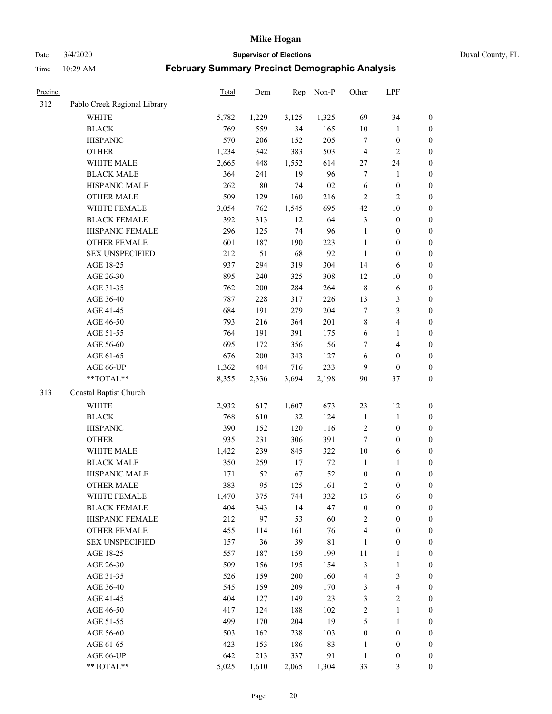Date 3/4/2020 **Supervisor of Elections** Duval County, FL

| Precinct |                              | Total | Dem    | Rep   | Non-P       | Other            | LPF                     |                  |
|----------|------------------------------|-------|--------|-------|-------------|------------------|-------------------------|------------------|
| 312      | Pablo Creek Regional Library |       |        |       |             |                  |                         |                  |
|          | <b>WHITE</b>                 | 5,782 | 1,229  | 3,125 | 1,325       | 69               | 34                      | 0                |
|          | <b>BLACK</b>                 | 769   | 559    | 34    | 165         | $10\,$           | $\mathbf{1}$            | $\boldsymbol{0}$ |
|          | <b>HISPANIC</b>              | 570   | 206    | 152   | 205         | $\tau$           | $\boldsymbol{0}$        | $\boldsymbol{0}$ |
|          | <b>OTHER</b>                 | 1,234 | 342    | 383   | 503         | 4                | $\overline{2}$          | $\boldsymbol{0}$ |
|          | WHITE MALE                   | 2,665 | 448    | 1,552 | 614         | 27               | 24                      | $\boldsymbol{0}$ |
|          | <b>BLACK MALE</b>            | 364   | 241    | 19    | 96          | 7                | 1                       | $\boldsymbol{0}$ |
|          | HISPANIC MALE                | 262   | $80\,$ | 74    | 102         | 6                | $\boldsymbol{0}$        | $\boldsymbol{0}$ |
|          | <b>OTHER MALE</b>            | 509   | 129    | 160   | 216         | $\overline{2}$   | $\overline{2}$          | $\boldsymbol{0}$ |
|          | WHITE FEMALE                 | 3,054 | 762    | 1,545 | 695         | 42               | $10\,$                  | $\boldsymbol{0}$ |
|          | <b>BLACK FEMALE</b>          | 392   | 313    | 12    | 64          | $\mathfrak{Z}$   | $\boldsymbol{0}$        | $\boldsymbol{0}$ |
|          | HISPANIC FEMALE              | 296   | 125    | 74    | 96          | $\mathbf{1}$     | $\boldsymbol{0}$        | 0                |
|          | <b>OTHER FEMALE</b>          | 601   | 187    | 190   | 223         | $\mathbf{1}$     | $\boldsymbol{0}$        | $\boldsymbol{0}$ |
|          | <b>SEX UNSPECIFIED</b>       | 212   | 51     | 68    | 92          | $\mathbf{1}$     | $\boldsymbol{0}$        | $\boldsymbol{0}$ |
|          | AGE 18-25                    | 937   | 294    | 319   | 304         | 14               | 6                       | $\boldsymbol{0}$ |
|          | AGE 26-30                    | 895   | 240    | 325   | 308         | 12               | $10\,$                  | $\boldsymbol{0}$ |
|          | AGE 31-35                    | 762   | 200    | 284   | 264         | $\,$ 8 $\,$      | 6                       | $\boldsymbol{0}$ |
|          | AGE 36-40                    | 787   | 228    | 317   | 226         | 13               | $\mathfrak{Z}$          | $\boldsymbol{0}$ |
|          | AGE 41-45                    | 684   | 191    | 279   | 204         | $\boldsymbol{7}$ | $\mathfrak{Z}$          | $\boldsymbol{0}$ |
|          | AGE 46-50                    | 793   | 216    | 364   | 201         | $\,$ $\,$        | $\overline{\mathbf{4}}$ | $\boldsymbol{0}$ |
|          | AGE 51-55                    | 764   | 191    | 391   | 175         | 6                | 1                       | $\boldsymbol{0}$ |
|          | AGE 56-60                    | 695   | 172    | 356   | 156         | 7                | $\overline{4}$          | 0                |
|          | AGE 61-65                    | 676   | 200    | 343   | 127         | 6                | $\boldsymbol{0}$        | $\boldsymbol{0}$ |
|          | AGE 66-UP                    | 1,362 | 404    | 716   | 233         | 9                | $\boldsymbol{0}$        | $\boldsymbol{0}$ |
|          | **TOTAL**                    | 8,355 | 2,336  | 3,694 | 2,198       | 90               | 37                      | $\boldsymbol{0}$ |
| 313      | Coastal Baptist Church       |       |        |       |             |                  |                         |                  |
|          | <b>WHITE</b>                 | 2,932 | 617    | 1,607 | 673         | 23               | 12                      | $\boldsymbol{0}$ |
|          | <b>BLACK</b>                 | 768   | 610    | 32    | 124         | $\mathbf{1}$     | $\mathbf{1}$            | $\boldsymbol{0}$ |
|          | <b>HISPANIC</b>              | 390   | 152    | 120   | 116         | $\sqrt{2}$       | $\boldsymbol{0}$        | $\boldsymbol{0}$ |
|          | <b>OTHER</b>                 | 935   | 231    | 306   | 391         | 7                | $\boldsymbol{0}$        | $\boldsymbol{0}$ |
|          | WHITE MALE                   | 1,422 | 239    | 845   | 322         | $10\,$           | $\sqrt{6}$              | $\boldsymbol{0}$ |
|          | <b>BLACK MALE</b>            | 350   | 259    | 17    | $72\,$      | $\mathbf{1}$     | 1                       | $\boldsymbol{0}$ |
|          | HISPANIC MALE                | 171   | 52     | 67    | 52          | $\boldsymbol{0}$ | $\boldsymbol{0}$        | $\boldsymbol{0}$ |
|          | <b>OTHER MALE</b>            | 383   | 95     | 125   | 161         | 2                | $\boldsymbol{0}$        | $\boldsymbol{0}$ |
|          | WHITE FEMALE                 | 1,470 | 375    | 744   | 332         | 13               | 6                       | 0                |
|          | <b>BLACK FEMALE</b>          | 404   | 343    | 14    | 47          | $\boldsymbol{0}$ | $\boldsymbol{0}$        | $\boldsymbol{0}$ |
|          | HISPANIC FEMALE              | 212   | 97     | 53    | 60          | $\sqrt{2}$       | $\boldsymbol{0}$        | $\overline{0}$   |
|          | <b>OTHER FEMALE</b>          | 455   | 114    | 161   | 176         | 4                | $\boldsymbol{0}$        | $\overline{0}$   |
|          | <b>SEX UNSPECIFIED</b>       | 157   | 36     | 39    | $8\sqrt{1}$ | $\mathbf{1}$     | $\boldsymbol{0}$        | 0                |
|          | AGE 18-25                    | 557   | 187    | 159   | 199         | $11\,$           | $\mathbf{1}$            | 0                |
|          | AGE 26-30                    | 509   | 156    | 195   | 154         | 3                | $\mathbf{1}$            | 0                |
|          | AGE 31-35                    | 526   | 159    | 200   | 160         | 4                | $\mathfrak{Z}$          | 0                |
|          | AGE 36-40                    | 545   | 159    | 209   | 170         | 3                | $\overline{\mathbf{4}}$ | 0                |
|          | AGE 41-45                    | 404   | 127    | 149   | 123         | 3                | $\sqrt{2}$              | 0                |
|          | AGE 46-50                    | 417   | 124    | 188   | 102         | $\overline{c}$   | $\mathbf{1}$            | 0                |
|          | AGE 51-55                    | 499   | 170    | 204   | 119         | 5                | $\mathbf{1}$            | 0                |
|          | AGE 56-60                    | 503   | 162    | 238   | 103         | $\boldsymbol{0}$ | $\boldsymbol{0}$        | $\overline{0}$   |
|          | AGE 61-65                    | 423   | 153    | 186   | 83          | 1                | $\boldsymbol{0}$        | $\boldsymbol{0}$ |
|          | AGE 66-UP                    | 642   | 213    | 337   | 91          | $\mathbf{1}$     | $\boldsymbol{0}$        | $\boldsymbol{0}$ |
|          | **TOTAL**                    | 5,025 | 1,610  | 2,065 | 1,304       | 33               | 13                      | $\boldsymbol{0}$ |
|          |                              |       |        |       |             |                  |                         |                  |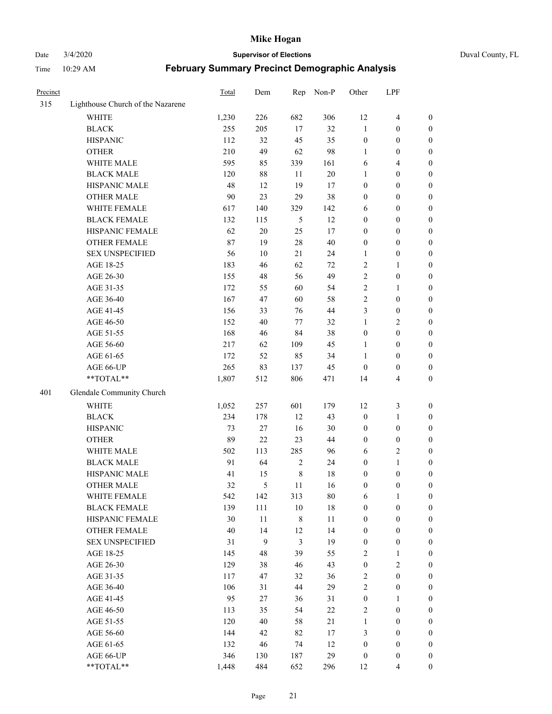### Date 3/4/2020 **Supervisor of Elections** Duval County, FL

| Precinct |                                   | Total | Dem    | Rep         | Non-P  | Other            | LPF              |                  |
|----------|-----------------------------------|-------|--------|-------------|--------|------------------|------------------|------------------|
| 315      | Lighthouse Church of the Nazarene |       |        |             |        |                  |                  |                  |
|          | <b>WHITE</b>                      | 1,230 | 226    | 682         | 306    | 12               | $\overline{4}$   | 0                |
|          | $_{\rm BLACK}$                    | 255   | 205    | 17          | 32     | $\mathbf{1}$     | $\boldsymbol{0}$ | 0                |
|          | <b>HISPANIC</b>                   | 112   | 32     | 45          | 35     | $\boldsymbol{0}$ | $\boldsymbol{0}$ | $\boldsymbol{0}$ |
|          | <b>OTHER</b>                      | 210   | 49     | 62          | 98     | 1                | $\boldsymbol{0}$ | $\boldsymbol{0}$ |
|          | WHITE MALE                        | 595   | 85     | 339         | 161    | 6                | $\overline{4}$   | $\boldsymbol{0}$ |
|          | <b>BLACK MALE</b>                 | 120   | 88     | 11          | 20     | $\mathbf{1}$     | $\boldsymbol{0}$ | $\boldsymbol{0}$ |
|          | HISPANIC MALE                     | 48    | 12     | 19          | 17     | 0                | $\boldsymbol{0}$ | $\boldsymbol{0}$ |
|          | <b>OTHER MALE</b>                 | 90    | 23     | 29          | 38     | 0                | $\boldsymbol{0}$ | $\boldsymbol{0}$ |
|          | WHITE FEMALE                      | 617   | 140    | 329         | 142    | 6                | $\boldsymbol{0}$ | $\boldsymbol{0}$ |
|          | <b>BLACK FEMALE</b>               | 132   | 115    | 5           | 12     | $\boldsymbol{0}$ | $\boldsymbol{0}$ | $\boldsymbol{0}$ |
|          | HISPANIC FEMALE                   | 62    | $20\,$ | 25          | 17     | $\boldsymbol{0}$ | $\boldsymbol{0}$ | $\boldsymbol{0}$ |
|          | <b>OTHER FEMALE</b>               | 87    | 19     | 28          | $40\,$ | $\boldsymbol{0}$ | $\boldsymbol{0}$ | $\boldsymbol{0}$ |
|          | <b>SEX UNSPECIFIED</b>            | 56    | 10     | 21          | 24     | $\mathbf{1}$     | $\boldsymbol{0}$ | $\boldsymbol{0}$ |
|          | AGE 18-25                         | 183   | 46     | 62          | 72     | 2                | 1                | $\boldsymbol{0}$ |
|          | AGE 26-30                         | 155   | 48     | 56          | 49     | 2                | $\boldsymbol{0}$ | $\boldsymbol{0}$ |
|          | AGE 31-35                         | 172   | 55     | 60          | 54     | $\overline{c}$   | $\mathbf{1}$     | $\boldsymbol{0}$ |
|          | AGE 36-40                         | 167   | 47     | 60          | 58     | $\overline{c}$   | $\boldsymbol{0}$ | $\boldsymbol{0}$ |
|          | AGE 41-45                         | 156   | 33     | 76          | $44\,$ | 3                | $\boldsymbol{0}$ | $\boldsymbol{0}$ |
|          | AGE 46-50                         | 152   | 40     | 77          | 32     | $\mathbf{1}$     | $\overline{2}$   | $\boldsymbol{0}$ |
|          | AGE 51-55                         | 168   | 46     | 84          | 38     | $\boldsymbol{0}$ | $\boldsymbol{0}$ | $\boldsymbol{0}$ |
|          | AGE 56-60                         | 217   | 62     | 109         | 45     | 1                | $\boldsymbol{0}$ | 0                |
|          | AGE 61-65                         | 172   | 52     | 85          | 34     | 1                | $\boldsymbol{0}$ | $\boldsymbol{0}$ |
|          | AGE 66-UP                         | 265   | 83     | 137         | 45     | $\boldsymbol{0}$ | $\boldsymbol{0}$ | $\boldsymbol{0}$ |
|          | **TOTAL**                         | 1,807 | 512    | 806         | 471    | 14               | $\overline{4}$   | $\boldsymbol{0}$ |
| 401      | Glendale Community Church         |       |        |             |        |                  |                  |                  |
|          | <b>WHITE</b>                      | 1,052 | 257    | 601         | 179    | 12               | $\mathfrak z$    | $\boldsymbol{0}$ |
|          | <b>BLACK</b>                      | 234   | 178    | 12          | 43     | $\boldsymbol{0}$ | $\mathbf{1}$     | $\boldsymbol{0}$ |
|          | <b>HISPANIC</b>                   | 73    | $27\,$ | 16          | $30\,$ | $\boldsymbol{0}$ | $\boldsymbol{0}$ | $\boldsymbol{0}$ |
|          | <b>OTHER</b>                      | 89    | 22     | 23          | 44     | $\boldsymbol{0}$ | $\boldsymbol{0}$ | $\boldsymbol{0}$ |
|          | WHITE MALE                        | 502   | 113    | 285         | 96     | 6                | $\overline{2}$   | $\boldsymbol{0}$ |
|          | <b>BLACK MALE</b>                 | 91    | 64     | $\sqrt{2}$  | 24     | $\boldsymbol{0}$ | $\mathbf{1}$     | $\boldsymbol{0}$ |
|          | HISPANIC MALE                     | 41    | 15     | $\,$ 8 $\,$ | 18     | $\boldsymbol{0}$ | $\boldsymbol{0}$ | 0                |
|          | <b>OTHER MALE</b>                 | 32    | 5      | 11          | 16     | $\boldsymbol{0}$ | $\boldsymbol{0}$ | $\boldsymbol{0}$ |
|          | WHITE FEMALE                      | 542   | 142    | 313         | 80     | 6                | 1                | 0                |
|          | <b>BLACK FEMALE</b>               | 139   | 111    | $10\,$      | 18     | 0                | $\boldsymbol{0}$ | $\overline{0}$   |
|          | HISPANIC FEMALE                   | 30    | $11\,$ | $\,$ $\,$   | $11\,$ | $\boldsymbol{0}$ | $\boldsymbol{0}$ | $\overline{0}$   |
|          | <b>OTHER FEMALE</b>               | 40    | 14     | 12          | 14     | $\boldsymbol{0}$ | $\boldsymbol{0}$ | $\overline{0}$   |
|          | <b>SEX UNSPECIFIED</b>            | 31    | 9      | 3           | 19     | $\boldsymbol{0}$ | $\boldsymbol{0}$ | 0                |
|          | AGE 18-25                         | 145   | 48     | 39          | 55     | 2                | $\mathbf{1}$     | $\theta$         |
|          | AGE 26-30                         | 129   | 38     | 46          | 43     | $\boldsymbol{0}$ | $\overline{2}$   | 0                |
|          | AGE 31-35                         | 117   | 47     | 32          | 36     | $\overline{c}$   | $\boldsymbol{0}$ | 0                |
|          | AGE 36-40                         | 106   | 31     | 44          | 29     | $\overline{c}$   | $\boldsymbol{0}$ | 0                |
|          | AGE 41-45                         | 95    | 27     | 36          | 31     | $\boldsymbol{0}$ | $\mathbf{1}$     | 0                |
|          | AGE 46-50                         | 113   | 35     | 54          | 22     | 2                | $\boldsymbol{0}$ | 0                |
|          | AGE 51-55                         | 120   | 40     | 58          | 21     | $\mathbf{1}$     | $\boldsymbol{0}$ | 0                |
|          | AGE 56-60                         | 144   | 42     | 82          | $17\,$ | 3                | $\boldsymbol{0}$ | $\overline{0}$   |
|          | AGE 61-65                         | 132   | 46     | 74          | 12     | $\boldsymbol{0}$ | $\boldsymbol{0}$ | $\overline{0}$   |
|          | AGE 66-UP                         | 346   | 130    | 187         | 29     | $\boldsymbol{0}$ | $\boldsymbol{0}$ | 0                |
|          | **TOTAL**                         | 1,448 | 484    | 652         | 296    | 12               | $\overline{4}$   | $\boldsymbol{0}$ |
|          |                                   |       |        |             |        |                  |                  |                  |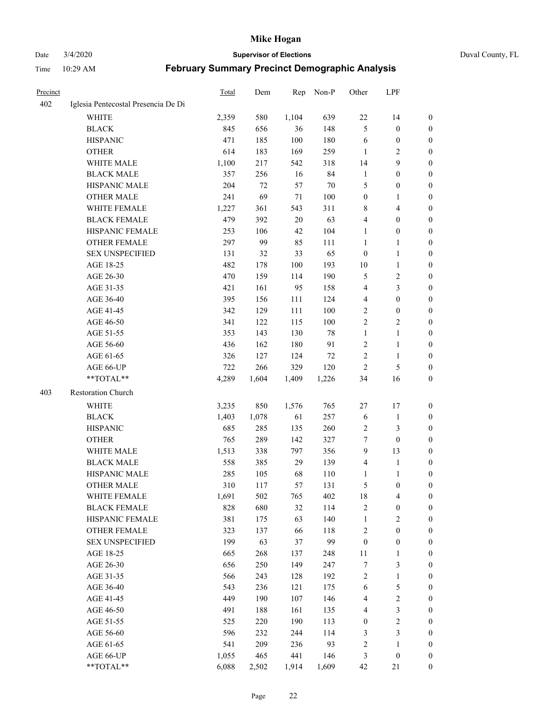Date 3/4/2020 **Supervisor of Elections** Duval County, FL

| Precinct |                                     | <b>Total</b> | Dem   | Rep   | Non-P  | Other            | LPF                     |                  |
|----------|-------------------------------------|--------------|-------|-------|--------|------------------|-------------------------|------------------|
| 402      | Iglesia Pentecostal Presencia De Di |              |       |       |        |                  |                         |                  |
|          | <b>WHITE</b>                        | 2,359        | 580   | 1,104 | 639    | 22               | 14                      | 0                |
|          | <b>BLACK</b>                        | 845          | 656   | 36    | 148    | 5                | $\boldsymbol{0}$        | 0                |
|          | <b>HISPANIC</b>                     | 471          | 185   | 100   | 180    | 6                | $\boldsymbol{0}$        | $\boldsymbol{0}$ |
|          | <b>OTHER</b>                        | 614          | 183   | 169   | 259    | 1                | $\overline{2}$          | $\boldsymbol{0}$ |
|          | WHITE MALE                          | 1,100        | 217   | 542   | 318    | 14               | 9                       | $\boldsymbol{0}$ |
|          | <b>BLACK MALE</b>                   | 357          | 256   | 16    | 84     | $\mathbf{1}$     | $\boldsymbol{0}$        | $\boldsymbol{0}$ |
|          | HISPANIC MALE                       | 204          | 72    | 57    | 70     | 5                | $\boldsymbol{0}$        | $\boldsymbol{0}$ |
|          | <b>OTHER MALE</b>                   | 241          | 69    | 71    | 100    | $\boldsymbol{0}$ | $\mathbf{1}$            | $\boldsymbol{0}$ |
|          | WHITE FEMALE                        | 1,227        | 361   | 543   | 311    | 8                | $\overline{\mathbf{4}}$ | $\boldsymbol{0}$ |
|          | <b>BLACK FEMALE</b>                 | 479          | 392   | 20    | 63     | 4                | $\boldsymbol{0}$        | 0                |
|          | HISPANIC FEMALE                     | 253          | 106   | 42    | 104    | $\mathbf{1}$     | $\boldsymbol{0}$        | 0                |
|          | <b>OTHER FEMALE</b>                 | 297          | 99    | 85    | 111    | $\mathbf{1}$     | 1                       | 0                |
|          | <b>SEX UNSPECIFIED</b>              | 131          | 32    | 33    | 65     | $\boldsymbol{0}$ | $\mathbf{1}$            | $\boldsymbol{0}$ |
|          | AGE 18-25                           | 482          | 178   | 100   | 193    | $10\,$           | $\mathbf{1}$            | $\boldsymbol{0}$ |
|          | AGE 26-30                           | 470          | 159   | 114   | 190    | 5                | $\sqrt{2}$              | $\boldsymbol{0}$ |
|          | AGE 31-35                           | 421          | 161   | 95    | 158    | 4                | $\mathfrak{Z}$          | $\boldsymbol{0}$ |
|          | AGE 36-40                           | 395          | 156   | 111   | 124    | 4                | $\boldsymbol{0}$        | $\boldsymbol{0}$ |
|          | AGE 41-45                           | 342          | 129   | 111   | 100    | 2                | $\boldsymbol{0}$        | $\boldsymbol{0}$ |
|          | AGE 46-50                           | 341          | 122   | 115   | 100    | $\overline{c}$   | $\overline{2}$          | 0                |
|          | AGE 51-55                           | 353          | 143   | 130   | $78\,$ | $\mathbf{1}$     | $\mathbf{1}$            | 0                |
|          | AGE 56-60                           | 436          | 162   | 180   | 91     | $\sqrt{2}$       | $\mathbf{1}$            | 0                |
|          | AGE 61-65                           | 326          | 127   | 124   | $72\,$ | $\overline{2}$   | $\mathbf{1}$            | 0                |
|          | AGE 66-UP                           | 722          | 266   | 329   | 120    | $\overline{2}$   | $\sqrt{5}$              | 0                |
|          | **TOTAL**                           | 4,289        | 1,604 | 1,409 | 1,226  | 34               | 16                      | $\boldsymbol{0}$ |
| 403      | Restoration Church                  |              |       |       |        |                  |                         |                  |
|          | <b>WHITE</b>                        | 3,235        | 850   | 1,576 | 765    | 27               | 17                      | $\boldsymbol{0}$ |
|          | <b>BLACK</b>                        | 1,403        | 1,078 | 61    | 257    | 6                | $\mathbf{1}$            | $\boldsymbol{0}$ |
|          | <b>HISPANIC</b>                     | 685          | 285   | 135   | 260    | 2                | 3                       | $\boldsymbol{0}$ |
|          | <b>OTHER</b>                        | 765          | 289   | 142   | 327    | 7                | $\boldsymbol{0}$        | $\overline{0}$   |
|          | <b>WHITE MALE</b>                   | 1,513        | 338   | 797   | 356    | 9                | 13                      | $\boldsymbol{0}$ |
|          | <b>BLACK MALE</b>                   | 558          | 385   | 29    | 139    | 4                | $\mathbf{1}$            | $\boldsymbol{0}$ |
|          | HISPANIC MALE                       | 285          | 105   | 68    | 110    | 1                | 1                       | 0                |
|          | <b>OTHER MALE</b>                   | 310          | 117   | 57    | 131    | 5                | $\boldsymbol{0}$        | 0                |
|          | WHITE FEMALE                        | 1,691        | 502   | 765   | 402    | 18               | 4                       | 0                |
|          | <b>BLACK FEMALE</b>                 | 828          | 680   | 32    | 114    | 2                | $\boldsymbol{0}$        | $\boldsymbol{0}$ |
|          | HISPANIC FEMALE                     | 381          | 175   | 63    | 140    | $\mathbf{1}$     | $\sqrt{2}$              | $\overline{0}$   |
|          | <b>OTHER FEMALE</b>                 | 323          | 137   | 66    | 118    | $\sqrt{2}$       | $\boldsymbol{0}$        | $\overline{0}$   |
|          | <b>SEX UNSPECIFIED</b>              | 199          | 63    | 37    | 99     | $\boldsymbol{0}$ | $\boldsymbol{0}$        | 0                |
|          | AGE 18-25                           | 665          | 268   | 137   | 248    | $11\,$           | $\mathbf{1}$            | $\theta$         |
|          | AGE 26-30                           | 656          | 250   | 149   | 247    | 7                | $\mathfrak{Z}$          | 0                |
|          | AGE 31-35                           | 566          | 243   | 128   | 192    | $\overline{c}$   | $\mathbf{1}$            | 0                |
|          | AGE 36-40                           | 543          | 236   | 121   | 175    | 6                | $\mathfrak s$           | 0                |
|          | AGE 41-45                           | 449          | 190   | 107   | 146    | $\overline{4}$   | $\sqrt{2}$              | 0                |
|          | AGE 46-50                           | 491          | 188   | 161   | 135    | 4                | $\mathfrak{Z}$          | 0                |
|          | AGE 51-55                           | 525          | 220   | 190   | 113    | $\boldsymbol{0}$ | $\sqrt{2}$              | $\overline{0}$   |
|          | AGE 56-60                           | 596          | 232   | 244   | 114    | 3                | $\mathfrak{Z}$          | $\boldsymbol{0}$ |
|          | AGE 61-65                           | 541          | 209   | 236   | 93     | $\overline{c}$   | $\mathbf{1}$            | $\boldsymbol{0}$ |
|          | AGE 66-UP                           | 1,055        | 465   | 441   | 146    | 3                | $\boldsymbol{0}$        | $\boldsymbol{0}$ |
|          | **TOTAL**                           | 6,088        | 2,502 | 1,914 | 1,609  | 42               | 21                      | $\boldsymbol{0}$ |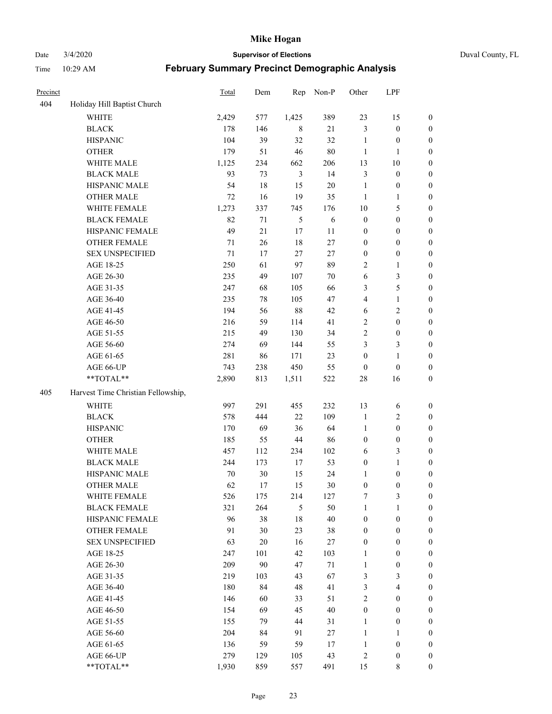Date 3/4/2020 **Supervisor of Elections** Duval County, FL

| Precinct |                                    | <b>Total</b> | Dem    | Rep            | Non-P      | Other            | LPF                     |                  |
|----------|------------------------------------|--------------|--------|----------------|------------|------------------|-------------------------|------------------|
| 404      | Holiday Hill Baptist Church        |              |        |                |            |                  |                         |                  |
|          | <b>WHITE</b>                       | 2,429        | 577    | 1,425          | 389        | 23               | 15                      | 0                |
|          | <b>BLACK</b>                       | 178          | 146    | 8              | 21         | 3                | $\boldsymbol{0}$        | 0                |
|          | <b>HISPANIC</b>                    | 104          | 39     | 32             | 32         | $\mathbf{1}$     | $\boldsymbol{0}$        | $\boldsymbol{0}$ |
|          | <b>OTHER</b>                       | 179          | 51     | $46\,$         | $80\,$     | $\mathbf{1}$     | 1                       | $\boldsymbol{0}$ |
|          | WHITE MALE                         | 1,125        | 234    | 662            | 206        | 13               | $10\,$                  | $\boldsymbol{0}$ |
|          | <b>BLACK MALE</b>                  | 93           | 73     | $\mathfrak{Z}$ | 14         | 3                | $\boldsymbol{0}$        | $\boldsymbol{0}$ |
|          | HISPANIC MALE                      | 54           | 18     | 15             | 20         | $\mathbf{1}$     | $\boldsymbol{0}$        | $\boldsymbol{0}$ |
|          | <b>OTHER MALE</b>                  | 72           | 16     | 19             | 35         | $\mathbf{1}$     | $\mathbf{1}$            | $\boldsymbol{0}$ |
|          | WHITE FEMALE                       | 1,273        | 337    | 745            | 176        | 10               | $\mathfrak s$           | $\boldsymbol{0}$ |
|          | <b>BLACK FEMALE</b>                | 82           | 71     | 5              | $\sqrt{6}$ | $\boldsymbol{0}$ | $\boldsymbol{0}$        | $\boldsymbol{0}$ |
|          | HISPANIC FEMALE                    | 49           | 21     | 17             | 11         | $\boldsymbol{0}$ | $\boldsymbol{0}$        | 0                |
|          | OTHER FEMALE                       | 71           | 26     | 18             | 27         | $\boldsymbol{0}$ | $\boldsymbol{0}$        | $\boldsymbol{0}$ |
|          | <b>SEX UNSPECIFIED</b>             | 71           | 17     | 27             | 27         | $\boldsymbol{0}$ | $\boldsymbol{0}$        | $\boldsymbol{0}$ |
|          | AGE 18-25                          | 250          | 61     | 97             | 89         | $\overline{c}$   | $\mathbf{1}$            | $\boldsymbol{0}$ |
|          | AGE 26-30                          | 235          | 49     | 107            | 70         | 6                | $\mathfrak{Z}$          | $\boldsymbol{0}$ |
|          | AGE 31-35                          | 247          | 68     | 105            | 66         | 3                | $\sqrt{5}$              | $\boldsymbol{0}$ |
|          | AGE 36-40                          | 235          | 78     | 105            | 47         | 4                | $\mathbf{1}$            | $\boldsymbol{0}$ |
|          | AGE 41-45                          | 194          | 56     | 88             | 42         | 6                | $\overline{2}$          | $\boldsymbol{0}$ |
|          | AGE 46-50                          | 216          | 59     | 114            | 41         | $\overline{c}$   | $\boldsymbol{0}$        | $\boldsymbol{0}$ |
|          | AGE 51-55                          | 215          | 49     | 130            | 34         | $\sqrt{2}$       | $\boldsymbol{0}$        | $\boldsymbol{0}$ |
|          | AGE 56-60                          | 274          | 69     | 144            | 55         | 3                | $\mathfrak{Z}$          | 0                |
|          | AGE 61-65                          | 281          | 86     | 171            | 23         | $\boldsymbol{0}$ | $\mathbf{1}$            | 0                |
|          | AGE 66-UP                          | 743          | 238    | 450            | 55         | $\boldsymbol{0}$ | $\boldsymbol{0}$        | $\boldsymbol{0}$ |
|          | **TOTAL**                          | 2,890        | 813    | 1,511          | 522        | $28\,$           | 16                      | $\boldsymbol{0}$ |
| 405      | Harvest Time Christian Fellowship, |              |        |                |            |                  |                         |                  |
|          | <b>WHITE</b>                       | 997          | 291    | 455            | 232        | 13               | 6                       | $\boldsymbol{0}$ |
|          | <b>BLACK</b>                       | 578          | 444    | $22\,$         | 109        | $\mathbf{1}$     | $\sqrt{2}$              | $\boldsymbol{0}$ |
|          | <b>HISPANIC</b>                    | 170          | 69     | 36             | 64         | $\mathbf{1}$     | $\boldsymbol{0}$        | $\boldsymbol{0}$ |
|          | <b>OTHER</b>                       | 185          | 55     | $44\,$         | 86         | $\boldsymbol{0}$ | $\boldsymbol{0}$        | $\boldsymbol{0}$ |
|          | WHITE MALE                         | 457          | 112    | 234            | 102        | 6                | $\mathfrak{Z}$          | $\boldsymbol{0}$ |
|          | <b>BLACK MALE</b>                  | 244          | 173    | 17             | 53         | $\boldsymbol{0}$ | $\mathbf{1}$            | $\boldsymbol{0}$ |
|          | HISPANIC MALE                      | 70           | 30     | 15             | 24         | 1                | $\boldsymbol{0}$        | 0                |
|          | <b>OTHER MALE</b>                  | 62           | 17     | 15             | 30         | $\boldsymbol{0}$ | $\boldsymbol{0}$        | $\boldsymbol{0}$ |
|          | WHITE FEMALE                       | 526          | 175    | 214            | 127        | 7                | 3                       | 0                |
|          | <b>BLACK FEMALE</b>                | 321          | 264    | 5              | 50         | $\mathbf{1}$     | $\mathbf{1}$            | $\boldsymbol{0}$ |
|          | HISPANIC FEMALE                    | 96           | 38     | $18\,$         | 40         | $\boldsymbol{0}$ | $\boldsymbol{0}$        | $\overline{0}$   |
|          | OTHER FEMALE                       | 91           | 30     | 23             | 38         | $\boldsymbol{0}$ | $\boldsymbol{0}$        | $\overline{0}$   |
|          | <b>SEX UNSPECIFIED</b>             | 63           | $20\,$ | 16             | 27         | $\boldsymbol{0}$ | $\boldsymbol{0}$        | $\overline{0}$   |
|          | AGE 18-25                          | 247          | 101    | 42             | 103        | $\mathbf{1}$     | $\boldsymbol{0}$        | $\overline{0}$   |
|          | AGE 26-30                          | 209          | 90     | 47             | 71         | $\mathbf{1}$     | $\boldsymbol{0}$        | 0                |
|          | AGE 31-35                          | 219          | 103    | 43             | 67         | 3                | $\mathfrak{Z}$          | 0                |
|          | AGE 36-40                          | 180          | 84     | 48             | 41         | 3                | $\overline{\mathbf{4}}$ | 0                |
|          | AGE 41-45                          | 146          | 60     | 33             | 51         | $\sqrt{2}$       | $\boldsymbol{0}$        | 0                |
|          | AGE 46-50                          | 154          | 69     | 45             | 40         | $\boldsymbol{0}$ | $\boldsymbol{0}$        | 0                |
|          | AGE 51-55                          | 155          | 79     | 44             | 31         | $\mathbf{1}$     | $\boldsymbol{0}$        | $\overline{0}$   |
|          | AGE 56-60                          | 204          | 84     | 91             | 27         | $\mathbf{1}$     | 1                       | $\overline{0}$   |
|          | AGE 61-65                          | 136          | 59     | 59             | 17         | $\mathbf{1}$     | $\boldsymbol{0}$        | $\overline{0}$   |
|          | AGE 66-UP                          | 279          | 129    | 105            | 43         | $\overline{c}$   | $\boldsymbol{0}$        | $\boldsymbol{0}$ |
|          | **TOTAL**                          | 1,930        | 859    | 557            | 491        | 15               | 8                       | $\boldsymbol{0}$ |
|          |                                    |              |        |                |            |                  |                         |                  |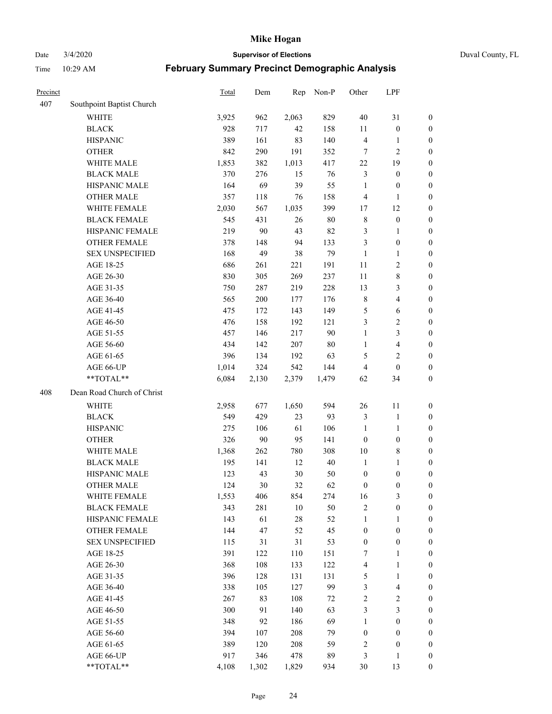Date 3/4/2020 **Supervisor of Elections** Duval County, FL

| Precinct |                            | <b>Total</b> | Dem    | Rep    | Non-P  | Other                   | LPF                     |                  |
|----------|----------------------------|--------------|--------|--------|--------|-------------------------|-------------------------|------------------|
| 407      | Southpoint Baptist Church  |              |        |        |        |                         |                         |                  |
|          | <b>WHITE</b>               | 3,925        | 962    | 2,063  | 829    | 40                      | 31                      | 0                |
|          | <b>BLACK</b>               | 928          | 717    | 42     | 158    | $11\,$                  | $\boldsymbol{0}$        | 0                |
|          | <b>HISPANIC</b>            | 389          | 161    | 83     | 140    | $\overline{4}$          | $\mathbf{1}$            | $\boldsymbol{0}$ |
|          | <b>OTHER</b>               | 842          | 290    | 191    | 352    | 7                       | $\overline{2}$          | $\boldsymbol{0}$ |
|          | WHITE MALE                 | 1,853        | 382    | 1,013  | 417    | 22                      | 19                      | $\boldsymbol{0}$ |
|          | <b>BLACK MALE</b>          | 370          | 276    | 15     | 76     | 3                       | $\boldsymbol{0}$        | $\boldsymbol{0}$ |
|          | HISPANIC MALE              | 164          | 69     | 39     | 55     | $\mathbf{1}$            | $\boldsymbol{0}$        | $\boldsymbol{0}$ |
|          | <b>OTHER MALE</b>          | 357          | 118    | 76     | 158    | $\overline{4}$          | $\mathbf{1}$            | $\boldsymbol{0}$ |
|          | WHITE FEMALE               | 2,030        | 567    | 1,035  | 399    | 17                      | 12                      | $\boldsymbol{0}$ |
|          | <b>BLACK FEMALE</b>        | 545          | 431    | 26     | $80\,$ | 8                       | $\boldsymbol{0}$        | 0                |
|          | HISPANIC FEMALE            | 219          | 90     | 43     | 82     | 3                       | 1                       | 0                |
|          | <b>OTHER FEMALE</b>        | 378          | 148    | 94     | 133    | $\mathfrak{Z}$          | $\boldsymbol{0}$        | $\boldsymbol{0}$ |
|          | <b>SEX UNSPECIFIED</b>     | 168          | 49     | 38     | 79     | $\mathbf{1}$            | $\mathbf{1}$            | $\boldsymbol{0}$ |
|          | AGE 18-25                  | 686          | 261    | 221    | 191    | $11\,$                  | $\sqrt{2}$              | $\boldsymbol{0}$ |
|          | AGE 26-30                  | 830          | 305    | 269    | 237    | 11                      | $\,$ 8 $\,$             | $\boldsymbol{0}$ |
|          | AGE 31-35                  | 750          | 287    | 219    | 228    | 13                      | $\mathfrak{Z}$          | $\boldsymbol{0}$ |
|          | AGE 36-40                  | 565          | 200    | 177    | 176    | $\,$ 8 $\,$             | $\overline{4}$          | $\boldsymbol{0}$ |
|          | AGE 41-45                  | 475          | 172    | 143    | 149    | 5                       | $\sqrt{6}$              | $\boldsymbol{0}$ |
|          | AGE 46-50                  | 476          | 158    | 192    | 121    | 3                       | $\sqrt{2}$              | $\boldsymbol{0}$ |
|          | AGE 51-55                  | 457          | 146    | 217    | 90     | $\mathbf{1}$            | $\mathfrak{Z}$          | $\boldsymbol{0}$ |
|          | AGE 56-60                  | 434          | 142    | 207    | 80     | $\mathbf{1}$            | $\overline{\mathbf{4}}$ | 0                |
|          | AGE 61-65                  | 396          | 134    | 192    | 63     | 5                       | $\overline{c}$          | $\boldsymbol{0}$ |
|          | AGE 66-UP                  | 1,014        | 324    | 542    | 144    | $\overline{4}$          | $\boldsymbol{0}$        | $\boldsymbol{0}$ |
|          | **TOTAL**                  | 6,084        | 2,130  | 2,379  | 1,479  | 62                      | 34                      | $\boldsymbol{0}$ |
| 408      | Dean Road Church of Christ |              |        |        |        |                         |                         |                  |
|          |                            |              |        |        |        |                         |                         |                  |
|          | <b>WHITE</b>               | 2,958        | 677    | 1,650  | 594    | 26                      | 11                      | $\boldsymbol{0}$ |
|          | <b>BLACK</b>               | 549          | 429    | 23     | 93     | 3                       | $\mathbf{1}$            | $\boldsymbol{0}$ |
|          | <b>HISPANIC</b>            | 275          | 106    | 61     | 106    | $\mathbf{1}$            | $\mathbf{1}$            | $\boldsymbol{0}$ |
|          | <b>OTHER</b>               | 326          | $90\,$ | 95     | 141    | $\boldsymbol{0}$        | $\boldsymbol{0}$        | $\boldsymbol{0}$ |
|          | WHITE MALE                 | 1,368        | 262    | 780    | 308    | 10                      | $\,$ 8 $\,$             | $\boldsymbol{0}$ |
|          | <b>BLACK MALE</b>          | 195          | 141    | 12     | 40     | $\mathbf{1}$            | $\mathbf{1}$            | $\boldsymbol{0}$ |
|          | HISPANIC MALE              | 123          | 43     | $30\,$ | 50     | $\boldsymbol{0}$        | $\boldsymbol{0}$        | 0                |
|          | <b>OTHER MALE</b>          | 124          | 30     | 32     | 62     | $\boldsymbol{0}$        | $\boldsymbol{0}$        | $\boldsymbol{0}$ |
|          | WHITE FEMALE               | 1,553        | 406    | 854    | 274    | 16                      | 3                       | 0                |
|          | <b>BLACK FEMALE</b>        | 343          | 281    | $10\,$ | 50     | $\sqrt{2}$              | $\boldsymbol{0}$        | $\boldsymbol{0}$ |
|          | HISPANIC FEMALE            | 143          | 61     | $28\,$ | 52     | $\mathbf{1}$            | $\mathbf{1}$            | $\overline{0}$   |
|          | OTHER FEMALE               | 144          | 47     | 52     | 45     | $\boldsymbol{0}$        | $\boldsymbol{0}$        | $\overline{0}$   |
|          | <b>SEX UNSPECIFIED</b>     | 115          | 31     | 31     | 53     | $\boldsymbol{0}$        | $\boldsymbol{0}$        | 0                |
|          | AGE 18-25                  | 391          | 122    | 110    | 151    | 7                       | $\mathbf{1}$            | $\theta$         |
|          | AGE 26-30                  | 368          | 108    | 133    | 122    | $\overline{\mathbf{4}}$ | $\mathbf{1}$            | 0                |
|          | AGE 31-35                  | 396          | 128    | 131    | 131    | 5                       | $\mathbf{1}$            | 0                |
|          | AGE 36-40                  | 338          | 105    | 127    | 99     | 3                       | $\overline{4}$          | 0                |
|          | AGE 41-45                  | 267          | 83     | 108    | 72     | $\sqrt{2}$              | $\sqrt{2}$              | 0                |
|          | AGE 46-50                  | 300          | 91     | 140    | 63     | $\mathfrak{Z}$          | $\mathfrak{Z}$          | 0                |
|          | AGE 51-55                  | 348          | 92     | 186    | 69     | $\mathbf{1}$            | $\boldsymbol{0}$        | $\boldsymbol{0}$ |
|          | AGE 56-60                  | 394          | 107    | 208    | 79     | $\boldsymbol{0}$        | $\boldsymbol{0}$        | $\overline{0}$   |
|          | AGE 61-65                  | 389          | 120    | 208    | 59     | $\overline{c}$          | $\boldsymbol{0}$        | $\overline{0}$   |
|          | AGE 66-UP                  | 917          | 346    | 478    | 89     | 3                       | $\mathbf{1}$            | $\boldsymbol{0}$ |
|          | **TOTAL**                  | 4,108        | 1,302  | 1,829  | 934    | 30                      | 13                      | $\boldsymbol{0}$ |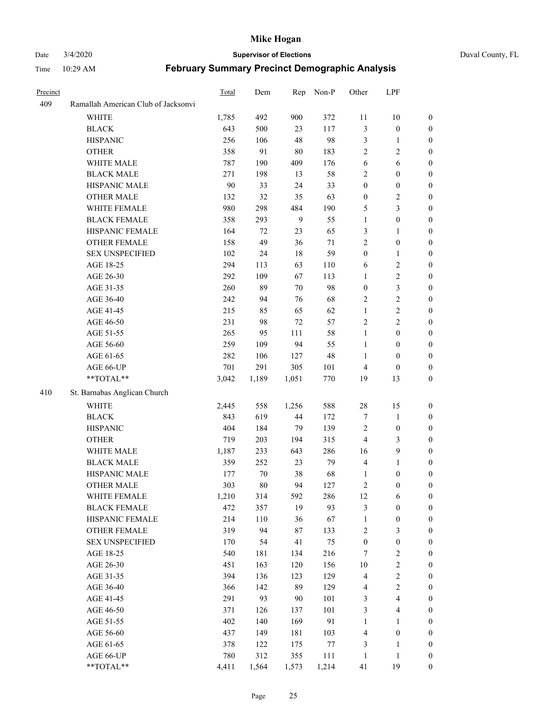#### Date 3/4/2020 **Supervisor of Elections** Duval County, FL

| Precinct |                                     | Total | Dem    | Rep    | Non-P  | Other                   | LPF                     |                  |
|----------|-------------------------------------|-------|--------|--------|--------|-------------------------|-------------------------|------------------|
| 409      | Ramallah American Club of Jacksonvi |       |        |        |        |                         |                         |                  |
|          | <b>WHITE</b>                        | 1,785 | 492    | 900    | 372    | 11                      | $10\,$                  | $\boldsymbol{0}$ |
|          | <b>BLACK</b>                        | 643   | 500    | 23     | 117    | 3                       | $\boldsymbol{0}$        | $\boldsymbol{0}$ |
|          | <b>HISPANIC</b>                     | 256   | 106    | 48     | 98     | 3                       | $\mathbf{1}$            | $\boldsymbol{0}$ |
|          | <b>OTHER</b>                        | 358   | 91     | $80\,$ | 183    | 2                       | $\sqrt{2}$              | $\boldsymbol{0}$ |
|          | WHITE MALE                          | 787   | 190    | 409    | 176    | 6                       | 6                       | $\boldsymbol{0}$ |
|          | <b>BLACK MALE</b>                   | 271   | 198    | 13     | 58     | 2                       | $\boldsymbol{0}$        | $\boldsymbol{0}$ |
|          | HISPANIC MALE                       | 90    | 33     | 24     | 33     | $\boldsymbol{0}$        | $\boldsymbol{0}$        | $\boldsymbol{0}$ |
|          | <b>OTHER MALE</b>                   | 132   | 32     | 35     | 63     | $\boldsymbol{0}$        | $\sqrt{2}$              | $\boldsymbol{0}$ |
|          | WHITE FEMALE                        | 980   | 298    | 484    | 190    | 5                       | $\mathfrak{Z}$          | 0                |
|          | <b>BLACK FEMALE</b>                 | 358   | 293    | 9      | 55     | $\mathbf{1}$            | $\boldsymbol{0}$        | 0                |
|          | HISPANIC FEMALE                     | 164   | 72     | 23     | 65     | 3                       | $\mathbf{1}$            | $\boldsymbol{0}$ |
|          | OTHER FEMALE                        | 158   | 49     | 36     | 71     | $\overline{c}$          | $\boldsymbol{0}$        | $\boldsymbol{0}$ |
|          | <b>SEX UNSPECIFIED</b>              | 102   | 24     | 18     | 59     | $\boldsymbol{0}$        | $\mathbf{1}$            | $\boldsymbol{0}$ |
|          | AGE 18-25                           | 294   | 113    | 63     | 110    | 6                       | $\sqrt{2}$              | $\boldsymbol{0}$ |
|          | AGE 26-30                           | 292   | 109    | 67     | 113    | $\mathbf{1}$            | $\sqrt{2}$              | $\boldsymbol{0}$ |
|          | AGE 31-35                           | 260   | 89     | 70     | 98     | $\boldsymbol{0}$        | $\mathfrak{Z}$          | $\boldsymbol{0}$ |
|          | AGE 36-40                           | 242   | 94     | 76     | 68     | 2                       | $\sqrt{2}$              | $\boldsymbol{0}$ |
|          | AGE 41-45                           | 215   | 85     | 65     | 62     | $\mathbf{1}$            | $\sqrt{2}$              | $\boldsymbol{0}$ |
|          | AGE 46-50                           | 231   | 98     | $72\,$ | 57     | 2                       | $\sqrt{2}$              | $\boldsymbol{0}$ |
|          | AGE 51-55                           | 265   | 95     | 111    | 58     | $\mathbf{1}$            | $\boldsymbol{0}$        | 0                |
|          | AGE 56-60                           | 259   | 109    | 94     | 55     | $\mathbf{1}$            | $\boldsymbol{0}$        | $\boldsymbol{0}$ |
|          | AGE 61-65                           | 282   | 106    | 127    | $48\,$ | $\mathbf{1}$            | $\boldsymbol{0}$        | $\boldsymbol{0}$ |
|          | AGE 66-UP                           | 701   | 291    | 305    | 101    | 4                       | $\boldsymbol{0}$        | $\boldsymbol{0}$ |
|          | **TOTAL**                           | 3,042 | 1,189  | 1,051  | 770    | 19                      | 13                      | $\boldsymbol{0}$ |
| 410      | St. Barnabas Anglican Church        |       |        |        |        |                         |                         |                  |
|          | <b>WHITE</b>                        | 2,445 | 558    | 1,256  | 588    | $28\,$                  | 15                      | $\boldsymbol{0}$ |
|          | <b>BLACK</b>                        | 843   | 619    | 44     | 172    | 7                       | $\mathbf{1}$            | $\boldsymbol{0}$ |
|          | <b>HISPANIC</b>                     | 404   | 184    | 79     | 139    | $\overline{2}$          | $\boldsymbol{0}$        | $\boldsymbol{0}$ |
|          | <b>OTHER</b>                        | 719   | 203    | 194    | 315    | $\overline{\mathbf{4}}$ | $\mathfrak{Z}$          | $\boldsymbol{0}$ |
|          | WHITE MALE                          | 1,187 | 233    | 643    | 286    | 16                      | $\mathbf{9}$            | $\boldsymbol{0}$ |
|          | <b>BLACK MALE</b>                   | 359   | 252    | 23     | 79     | $\overline{\mathbf{4}}$ | $\mathbf{1}$            | $\boldsymbol{0}$ |
|          | HISPANIC MALE                       | 177   | 70     | 38     | 68     | 1                       | $\boldsymbol{0}$        | 0                |
|          | <b>OTHER MALE</b>                   | 303   | $80\,$ | 94     | 127    | 2                       | $\boldsymbol{0}$        | $\boldsymbol{0}$ |
|          | WHITE FEMALE                        | 1,210 | 314    | 592    | 286    | 12                      | 6                       | $\boldsymbol{0}$ |
|          | <b>BLACK FEMALE</b>                 | 472   | 357    | 19     | 93     | 3                       | $\boldsymbol{0}$        | $\boldsymbol{0}$ |
|          | HISPANIC FEMALE                     | 214   | 110    | 36     | 67     | $\mathbf{1}$            | $\boldsymbol{0}$        | $\overline{0}$   |
|          | <b>OTHER FEMALE</b>                 | 319   | 94     | 87     | 133    | $\overline{c}$          | $\mathfrak{Z}$          | $\overline{0}$   |
|          | <b>SEX UNSPECIFIED</b>              | 170   | 54     | 41     | 75     | $\boldsymbol{0}$        | $\boldsymbol{0}$        | $\overline{0}$   |
|          | AGE 18-25                           | 540   | 181    | 134    | 216    | 7                       | $\boldsymbol{2}$        | 0                |
|          | AGE 26-30                           | 451   | 163    | 120    | 156    | $10\,$                  | $\sqrt{2}$              | 0                |
|          | AGE 31-35                           | 394   | 136    | 123    | 129    | $\overline{\mathbf{4}}$ | $\boldsymbol{2}$        | 0                |
|          | AGE 36-40                           | 366   | 142    | 89     | 129    | 4                       | $\boldsymbol{2}$        | 0                |
|          | AGE 41-45                           | 291   | 93     | 90     | 101    | 3                       | $\overline{\mathbf{4}}$ | 0                |
|          | AGE 46-50                           | 371   | 126    | 137    | 101    | 3                       | $\overline{4}$          | $\boldsymbol{0}$ |
|          | AGE 51-55                           | 402   | 140    | 169    | 91     | $\mathbf{1}$            | 1                       | $\boldsymbol{0}$ |
|          | AGE 56-60                           | 437   | 149    | 181    | 103    | 4                       | $\boldsymbol{0}$        | $\overline{0}$   |
|          | AGE 61-65                           | 378   | 122    | 175    | 77     | 3                       | 1                       | 0                |
|          | AGE 66-UP                           | 780   | 312    | 355    | 111    | $\mathbf{1}$            | $\mathbf{1}$            | 0                |
|          | **TOTAL**                           | 4,411 | 1,564  | 1,573  | 1,214  | 41                      | 19                      | $\boldsymbol{0}$ |
|          |                                     |       |        |        |        |                         |                         |                  |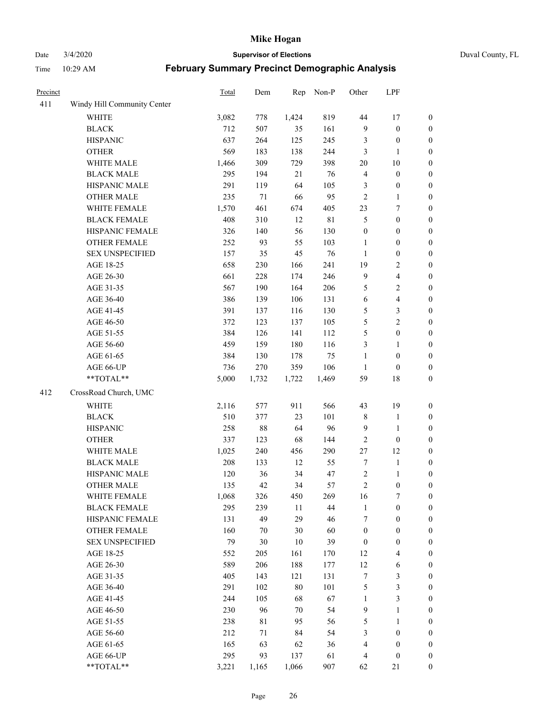Date 3/4/2020 **Supervisor of Elections** Duval County, FL

| Precinct |                             | Total | Dem   | Rep   | Non-P       | Other            | LPF                     |                  |
|----------|-----------------------------|-------|-------|-------|-------------|------------------|-------------------------|------------------|
| 411      | Windy Hill Community Center |       |       |       |             |                  |                         |                  |
|          | <b>WHITE</b>                | 3,082 | 778   | 1,424 | 819         | 44               | 17                      | 0                |
|          | <b>BLACK</b>                | 712   | 507   | 35    | 161         | 9                | $\boldsymbol{0}$        | 0                |
|          | <b>HISPANIC</b>             | 637   | 264   | 125   | 245         | 3                | $\boldsymbol{0}$        | $\boldsymbol{0}$ |
|          | <b>OTHER</b>                | 569   | 183   | 138   | 244         | 3                | 1                       | $\boldsymbol{0}$ |
|          | WHITE MALE                  | 1,466 | 309   | 729   | 398         | 20               | $10\,$                  | $\boldsymbol{0}$ |
|          | <b>BLACK MALE</b>           | 295   | 194   | 21    | 76          | 4                | $\boldsymbol{0}$        | $\boldsymbol{0}$ |
|          | HISPANIC MALE               | 291   | 119   | 64    | 105         | 3                | $\boldsymbol{0}$        | $\boldsymbol{0}$ |
|          | <b>OTHER MALE</b>           | 235   | 71    | 66    | 95          | $\overline{2}$   | $\mathbf{1}$            | $\boldsymbol{0}$ |
|          | WHITE FEMALE                | 1,570 | 461   | 674   | 405         | 23               | $\boldsymbol{7}$        | $\boldsymbol{0}$ |
|          | <b>BLACK FEMALE</b>         | 408   | 310   | 12    | $8\sqrt{1}$ | 5                | $\boldsymbol{0}$        | $\boldsymbol{0}$ |
|          | HISPANIC FEMALE             | 326   | 140   | 56    | 130         | $\boldsymbol{0}$ | $\boldsymbol{0}$        | $\boldsymbol{0}$ |
|          | OTHER FEMALE                | 252   | 93    | 55    | 103         | $\mathbf{1}$     | $\boldsymbol{0}$        | $\boldsymbol{0}$ |
|          | <b>SEX UNSPECIFIED</b>      | 157   | 35    | 45    | 76          | $\mathbf{1}$     | $\boldsymbol{0}$        | $\boldsymbol{0}$ |
|          | AGE 18-25                   | 658   | 230   | 166   | 241         | 19               | $\boldsymbol{2}$        | $\boldsymbol{0}$ |
|          | AGE 26-30                   | 661   | 228   | 174   | 246         | 9                | $\overline{\mathbf{4}}$ | $\boldsymbol{0}$ |
|          | AGE 31-35                   | 567   | 190   | 164   | 206         | 5                | $\sqrt{2}$              | $\boldsymbol{0}$ |
|          | AGE 36-40                   | 386   | 139   | 106   | 131         | 6                | $\overline{\mathbf{4}}$ | $\boldsymbol{0}$ |
|          | AGE 41-45                   | 391   | 137   | 116   | 130         | 5                | $\mathfrak{Z}$          | $\boldsymbol{0}$ |
|          | AGE 46-50                   | 372   | 123   | 137   | 105         | 5                | $\overline{2}$          | $\boldsymbol{0}$ |
|          | AGE 51-55                   | 384   | 126   | 141   | 112         | 5                | $\boldsymbol{0}$        | $\boldsymbol{0}$ |
|          | AGE 56-60                   | 459   | 159   | 180   | 116         | 3                | 1                       | 0                |
|          | AGE 61-65                   | 384   | 130   | 178   | 75          | $\mathbf{1}$     | $\boldsymbol{0}$        | $\boldsymbol{0}$ |
|          | AGE 66-UP                   | 736   | 270   | 359   | 106         | $\mathbf{1}$     | $\boldsymbol{0}$        | $\boldsymbol{0}$ |
|          | **TOTAL**                   | 5,000 | 1,732 | 1,722 | 1,469       | 59               | $18\,$                  | $\boldsymbol{0}$ |
| 412      | CrossRoad Church, UMC       |       |       |       |             |                  |                         |                  |
|          | <b>WHITE</b>                | 2,116 | 577   | 911   | 566         | 43               | 19                      | $\boldsymbol{0}$ |
|          | <b>BLACK</b>                | 510   | 377   | 23    | 101         | $\,$ $\,$        | $\mathbf{1}$            | $\boldsymbol{0}$ |
|          | <b>HISPANIC</b>             | 258   | 88    | 64    | 96          | 9                | $\mathbf{1}$            | $\boldsymbol{0}$ |
|          | <b>OTHER</b>                | 337   | 123   | 68    | 144         | $\sqrt{2}$       | $\boldsymbol{0}$        | $\boldsymbol{0}$ |
|          | WHITE MALE                  | 1,025 | 240   | 456   | 290         | 27               | 12                      | $\boldsymbol{0}$ |
|          | <b>BLACK MALE</b>           | 208   | 133   | 12    | 55          | $\tau$           | $\mathbf{1}$            | $\boldsymbol{0}$ |
|          | HISPANIC MALE               | 120   | 36    | 34    | 47          | $\sqrt{2}$       | $\mathbf{1}$            | 0                |
|          | <b>OTHER MALE</b>           | 135   | 42    | 34    | 57          | $\overline{c}$   | $\boldsymbol{0}$        | $\boldsymbol{0}$ |
|          | WHITE FEMALE                | 1,068 | 326   | 450   | 269         | 16               | 7                       | 0                |
|          | <b>BLACK FEMALE</b>         | 295   | 239   | 11    | 44          | $\mathbf{1}$     | $\boldsymbol{0}$        | $\boldsymbol{0}$ |
|          | HISPANIC FEMALE             | 131   | 49    | 29    | 46          | 7                | $\boldsymbol{0}$        | $\overline{0}$   |
|          | OTHER FEMALE                | 160   | 70    | 30    | 60          | $\boldsymbol{0}$ | $\boldsymbol{0}$        | $\overline{0}$   |
|          | <b>SEX UNSPECIFIED</b>      | 79    | 30    | 10    | 39          | $\boldsymbol{0}$ | $\boldsymbol{0}$        | 0                |
|          | AGE 18-25                   | 552   | 205   | 161   | 170         | 12               | $\overline{4}$          | 0                |
|          | AGE 26-30                   | 589   | 206   | 188   | 177         | 12               | 6                       | 0                |
|          | AGE 31-35                   | 405   | 143   | 121   | 131         | 7                | $\mathfrak{Z}$          | 0                |
|          | AGE 36-40                   | 291   | 102   | 80    | 101         | 5                | $\mathfrak{Z}$          | 0                |
|          | AGE 41-45                   | 244   | 105   | 68    | 67          | $\mathbf{1}$     | $\mathfrak{Z}$          | 0                |
|          | AGE 46-50                   | 230   | 96    | 70    | 54          | 9                | $\mathbf{1}$            | 0                |
|          | AGE 51-55                   | 238   | 81    | 95    | 56          | 5                | $\mathbf{1}$            | 0                |
|          | AGE 56-60                   | 212   | 71    | 84    | 54          | 3                | $\boldsymbol{0}$        | 0                |
|          | AGE 61-65                   | 165   | 63    | 62    | 36          | 4                | $\boldsymbol{0}$        | 0                |
|          | AGE 66-UP                   | 295   | 93    | 137   | 61          | 4                | $\boldsymbol{0}$        | 0                |
|          | **TOTAL**                   | 3,221 | 1,165 | 1,066 | 907         | 62               | 21                      | $\boldsymbol{0}$ |
|          |                             |       |       |       |             |                  |                         |                  |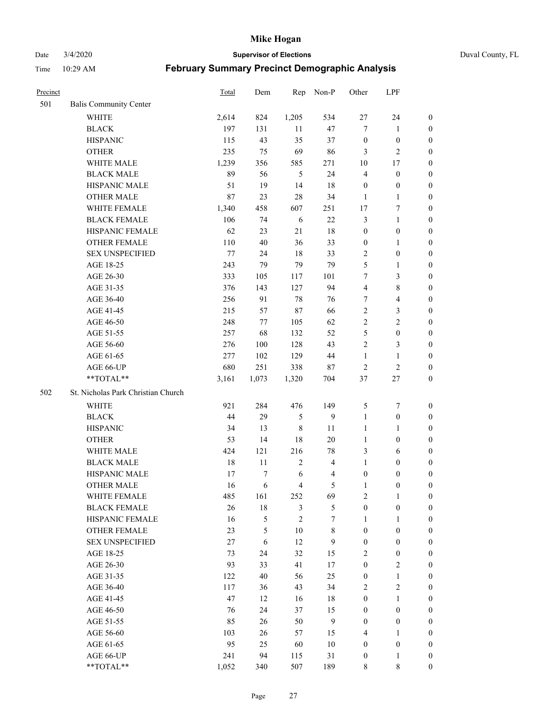Date 3/4/2020 **Supervisor of Elections** Duval County, FL

| Precinct |                                     | Total         | Dem      | Rep                 | Non-P                   | Other                 | LPF                   |                                  |
|----------|-------------------------------------|---------------|----------|---------------------|-------------------------|-----------------------|-----------------------|----------------------------------|
| 501      | <b>Balis Community Center</b>       |               |          |                     |                         |                       |                       |                                  |
|          | <b>WHITE</b>                        | 2,614         | 824      | 1,205               | 534                     | $27\,$                | 24                    | $\boldsymbol{0}$                 |
|          | <b>BLACK</b>                        | 197           | 131      | 11                  | 47                      | $\tau$                | $\mathbf{1}$          | 0                                |
|          | <b>HISPANIC</b>                     | 115           | 43       | 35                  | 37                      | $\boldsymbol{0}$      | $\boldsymbol{0}$      | $\boldsymbol{0}$                 |
|          | <b>OTHER</b>                        | 235           | 75       | 69                  | 86                      | 3                     | $\overline{2}$        | $\boldsymbol{0}$                 |
|          | WHITE MALE                          | 1,239         | 356      | 585                 | 271                     | 10                    | 17                    | $\boldsymbol{0}$                 |
|          | <b>BLACK MALE</b>                   | 89            | 56       | 5                   | 24                      | 4                     | $\boldsymbol{0}$      | $\boldsymbol{0}$                 |
|          | HISPANIC MALE                       | 51            | 19       | 14                  | 18                      | $\boldsymbol{0}$      | $\boldsymbol{0}$      | $\boldsymbol{0}$                 |
|          | <b>OTHER MALE</b>                   | 87            | 23       | 28                  | 34                      | $\mathbf{1}$          | $\mathbf{1}$          | $\boldsymbol{0}$                 |
|          | WHITE FEMALE                        | 1,340         | 458      | 607                 | 251                     | 17                    | $\boldsymbol{7}$      | $\boldsymbol{0}$                 |
|          | <b>BLACK FEMALE</b>                 | 106           | 74       | 6                   | 22                      | 3                     | $\mathbf{1}$          | 0                                |
|          | HISPANIC FEMALE                     | 62            | 23       | 21                  | 18                      | $\boldsymbol{0}$      | $\boldsymbol{0}$      | 0                                |
|          | OTHER FEMALE                        | 110           | 40       | 36                  | 33                      | $\boldsymbol{0}$      | $\mathbf{1}$          | 0                                |
|          | <b>SEX UNSPECIFIED</b>              | $77 \,$       | 24       | 18                  | 33                      | $\sqrt{2}$            | $\boldsymbol{0}$      | $\boldsymbol{0}$                 |
|          | AGE 18-25                           | 243           | 79       | 79                  | 79                      | 5                     | $\mathbf{1}$          | $\boldsymbol{0}$                 |
|          | AGE 26-30                           | 333           | 105      | 117                 | 101                     | 7                     | $\mathfrak{Z}$        | $\boldsymbol{0}$                 |
|          | AGE 31-35                           | 376           | 143      | 127                 | 94                      | $\overline{4}$        | $\,8\,$               | $\boldsymbol{0}$                 |
|          | AGE 36-40                           | 256           | 91       | $78\,$              | 76                      | 7                     | $\overline{4}$        | $\boldsymbol{0}$                 |
|          | AGE 41-45                           | 215           | 57       | $87\,$              | 66                      | $\overline{2}$        | $\mathfrak{Z}$        | $\boldsymbol{0}$                 |
|          | AGE 46-50                           | 248           | 77       | 105                 | 62                      | $\overline{2}$        | $\overline{2}$        | $\boldsymbol{0}$                 |
|          | AGE 51-55                           | 257           | 68       | 132                 | 52                      | 5                     | $\boldsymbol{0}$      | $\boldsymbol{0}$                 |
|          | AGE 56-60                           | 276           | 100      | 128                 | 43                      | $\sqrt{2}$            | $\mathfrak{Z}$        | 0                                |
|          | AGE 61-65                           | 277           | 102      | 129                 | 44                      | $\mathbf{1}$          | $\mathbf{1}$          | 0                                |
|          | AGE 66-UP                           | 680           | 251      | 338                 | $87\,$                  | $\sqrt{2}$            | $\sqrt{2}$            | $\boldsymbol{0}$                 |
|          | **TOTAL**                           | 3,161         | 1,073    | 1,320               | 704                     | 37                    | $27\,$                | $\boldsymbol{0}$                 |
| 502      | St. Nicholas Park Christian Church  |               |          |                     |                         |                       |                       |                                  |
|          | <b>WHITE</b>                        | 921           | 284      | 476                 | 149                     |                       | $\tau$                |                                  |
|          |                                     |               |          |                     |                         | 5                     |                       | $\boldsymbol{0}$                 |
|          | <b>BLACK</b>                        | 44            | 29       | $\mathfrak s$       | 9                       | $\mathbf{1}$          | $\boldsymbol{0}$      | $\boldsymbol{0}$                 |
|          | <b>HISPANIC</b>                     | 34            | 13       | $\,$ 8 $\,$         | 11                      | $\mathbf{1}$          | $\mathbf{1}$          | $\boldsymbol{0}$                 |
|          | <b>OTHER</b><br>WHITE MALE          | 53            | 14       | 18                  | 20                      | $\mathbf{1}$          | $\boldsymbol{0}$      | $\boldsymbol{0}$                 |
|          |                                     | 424           | 121      | 216                 | 78                      | 3                     | 6                     | $\boldsymbol{0}$                 |
|          | <b>BLACK MALE</b>                   | 18            | 11       | $\sqrt{2}$          | $\overline{\mathbf{4}}$ | $\mathbf{1}$          | $\boldsymbol{0}$      | $\boldsymbol{0}$                 |
|          | HISPANIC MALE<br><b>OTHER MALE</b>  | 17<br>16      | 7<br>6   | 6<br>$\overline{4}$ | 4<br>5                  | $\boldsymbol{0}$      | $\boldsymbol{0}$      | 0                                |
|          |                                     |               |          |                     |                         | $\mathbf{1}$          | $\boldsymbol{0}$      | $\boldsymbol{0}$                 |
|          | WHITE FEMALE<br><b>BLACK FEMALE</b> | 485<br>$26\,$ | 161      | 252                 | 69                      | 2<br>$\boldsymbol{0}$ | 1<br>$\boldsymbol{0}$ | 0<br>$\overline{0}$              |
|          | HISPANIC FEMALE                     | 16            | 18<br>5  | 3<br>$\overline{2}$ | 5<br>7                  | 1                     | $\mathbf{1}$          | $\overline{0}$                   |
|          | <b>OTHER FEMALE</b>                 | 23            | 5        | $10\,$              | $\,$ 8 $\,$             | $\boldsymbol{0}$      | $\boldsymbol{0}$      | $\overline{0}$                   |
|          | <b>SEX UNSPECIFIED</b>              | 27            | 6        | 12                  | 9                       | $\boldsymbol{0}$      | $\boldsymbol{0}$      | $\overline{0}$                   |
|          | AGE 18-25                           | 73            | 24       | 32                  | 15                      | $\overline{c}$        | $\boldsymbol{0}$      | $\theta$                         |
|          | AGE 26-30                           | 93            | 33       | 41                  | 17                      | $\boldsymbol{0}$      | $\overline{c}$        | 0                                |
|          | AGE 31-35                           | 122           | 40       | 56                  | 25                      | $\boldsymbol{0}$      | $\mathbf{1}$          | 0                                |
|          | AGE 36-40                           | 117           | 36       | 43                  | 34                      | $\sqrt{2}$            | $\sqrt{2}$            | 0                                |
|          | AGE 41-45                           | 47            | 12       | 16                  | $18\,$                  | $\boldsymbol{0}$      | $\mathbf{1}$          | 0                                |
|          | AGE 46-50                           | 76            | 24       | 37                  | 15                      | $\boldsymbol{0}$      | $\boldsymbol{0}$      | 0                                |
|          |                                     |               |          |                     |                         |                       |                       |                                  |
|          | AGE 51-55<br>AGE 56-60              | 85<br>103     | 26<br>26 | 50<br>57            | 9<br>15                 | $\boldsymbol{0}$<br>4 | $\boldsymbol{0}$<br>1 | $\overline{0}$<br>$\overline{0}$ |
|          | AGE 61-65                           | 95            | 25       | 60                  | $10\,$                  | $\boldsymbol{0}$      | $\boldsymbol{0}$      | $\overline{0}$                   |
|          | AGE 66-UP                           | 241           | 94       | 115                 | 31                      | $\boldsymbol{0}$      | $\mathbf{1}$          | $\boldsymbol{0}$                 |
|          | **TOTAL**                           | 1,052         | 340      | 507                 | 189                     | 8                     | $\,$ 8 $\,$           | $\boldsymbol{0}$                 |
|          |                                     |               |          |                     |                         |                       |                       |                                  |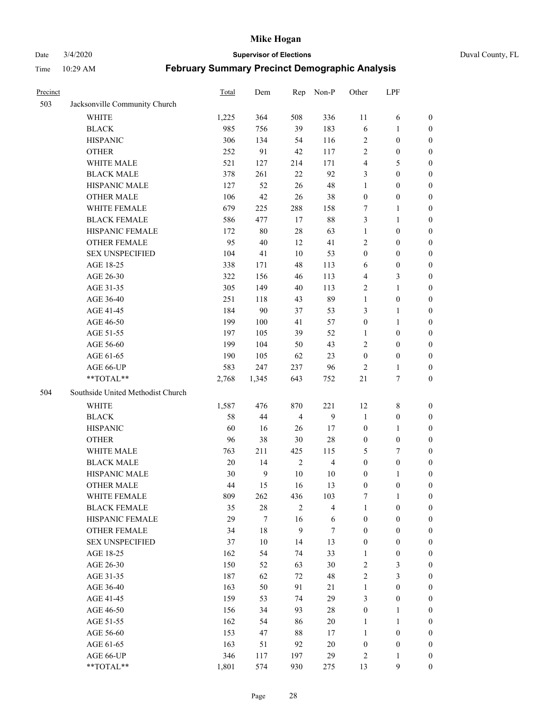Date 3/4/2020 **Supervisor of Elections** Duval County, FL

| Precinct |                                   | Total  | Dem              | Rep            | Non-P                   | Other            | LPF              |                  |
|----------|-----------------------------------|--------|------------------|----------------|-------------------------|------------------|------------------|------------------|
| 503      | Jacksonville Community Church     |        |                  |                |                         |                  |                  |                  |
|          | <b>WHITE</b>                      | 1,225  | 364              | 508            | 336                     | 11               | 6                | 0                |
|          | <b>BLACK</b>                      | 985    | 756              | 39             | 183                     | 6                | 1                | 0                |
|          | <b>HISPANIC</b>                   | 306    | 134              | 54             | 116                     | 2                | $\boldsymbol{0}$ | $\boldsymbol{0}$ |
|          | <b>OTHER</b>                      | 252    | 91               | 42             | 117                     | 2                | $\boldsymbol{0}$ | $\boldsymbol{0}$ |
|          | WHITE MALE                        | 521    | 127              | 214            | 171                     | 4                | 5                | $\boldsymbol{0}$ |
|          | <b>BLACK MALE</b>                 | 378    | 261              | 22             | 92                      | 3                | $\boldsymbol{0}$ | $\boldsymbol{0}$ |
|          | HISPANIC MALE                     | 127    | 52               | 26             | 48                      | 1                | $\boldsymbol{0}$ | $\boldsymbol{0}$ |
|          | <b>OTHER MALE</b>                 | 106    | 42               | $26\,$         | 38                      | $\boldsymbol{0}$ | $\boldsymbol{0}$ | $\boldsymbol{0}$ |
|          | WHITE FEMALE                      | 679    | 225              | 288            | 158                     | 7                | $\mathbf{1}$     | $\boldsymbol{0}$ |
|          | <b>BLACK FEMALE</b>               | 586    | 477              | 17             | $88\,$                  | 3                | $\mathbf{1}$     | 0                |
|          | HISPANIC FEMALE                   | 172    | $80\,$           | 28             | 63                      | $\mathbf{1}$     | $\boldsymbol{0}$ | 0                |
|          | <b>OTHER FEMALE</b>               | 95     | 40               | 12             | 41                      | 2                | $\boldsymbol{0}$ | $\boldsymbol{0}$ |
|          | <b>SEX UNSPECIFIED</b>            | 104    | 41               | 10             | 53                      | $\boldsymbol{0}$ | $\boldsymbol{0}$ | $\boldsymbol{0}$ |
|          | AGE 18-25                         | 338    | 171              | 48             | 113                     | 6                | $\boldsymbol{0}$ | $\boldsymbol{0}$ |
|          | AGE 26-30                         | 322    | 156              | 46             | 113                     | 4                | $\mathfrak{Z}$   | $\boldsymbol{0}$ |
|          | AGE 31-35                         | 305    | 149              | 40             | 113                     | $\overline{c}$   | $\mathbf{1}$     | $\boldsymbol{0}$ |
|          | AGE 36-40                         | 251    | 118              | 43             | 89                      | $\mathbf{1}$     | $\boldsymbol{0}$ | $\boldsymbol{0}$ |
|          | AGE 41-45                         | 184    | 90               | 37             | 53                      | 3                | $\mathbf{1}$     | $\boldsymbol{0}$ |
|          | AGE 46-50                         | 199    | 100              | 41             | 57                      | $\boldsymbol{0}$ | $\mathbf{1}$     | $\boldsymbol{0}$ |
|          | AGE 51-55                         | 197    | 105              | 39             | 52                      | 1                | $\boldsymbol{0}$ | 0                |
|          | AGE 56-60                         | 199    | 104              | 50             | 43                      | 2                | $\boldsymbol{0}$ | 0                |
|          | AGE 61-65                         | 190    | 105              | 62             | 23                      | $\boldsymbol{0}$ | $\boldsymbol{0}$ | 0                |
|          | AGE 66-UP                         | 583    | 247              | 237            | 96                      | $\overline{c}$   | $\mathbf{1}$     | $\boldsymbol{0}$ |
|          | **TOTAL**                         | 2,768  | 1,345            | 643            | 752                     | 21               | $\boldsymbol{7}$ | $\boldsymbol{0}$ |
| 504      | Southside United Methodist Church |        |                  |                |                         |                  |                  |                  |
|          | <b>WHITE</b>                      | 1,587  | 476              | 870            | 221                     | 12               | $\,$ 8 $\,$      | $\boldsymbol{0}$ |
|          | <b>BLACK</b>                      | 58     | $44\,$           | $\overline{4}$ | 9                       | $\mathbf{1}$     | $\boldsymbol{0}$ | $\boldsymbol{0}$ |
|          | <b>HISPANIC</b>                   | 60     | 16               | 26             | 17                      | $\boldsymbol{0}$ | $\mathbf{1}$     | $\boldsymbol{0}$ |
|          | <b>OTHER</b>                      | 96     | 38               | $30\,$         | $28\,$                  | $\boldsymbol{0}$ | $\boldsymbol{0}$ | $\boldsymbol{0}$ |
|          | WHITE MALE                        | 763    | 211              | 425            | 115                     | 5                | $\tau$           | $\overline{0}$   |
|          | <b>BLACK MALE</b>                 | $20\,$ | 14               | $\sqrt{2}$     | $\overline{\mathbf{4}}$ | $\boldsymbol{0}$ | $\boldsymbol{0}$ | $\overline{0}$   |
|          | HISPANIC MALE                     | 30     | $\overline{9}$   | $10\,$         | 10                      | $\boldsymbol{0}$ | 1                | 0                |
|          | <b>OTHER MALE</b>                 | 44     | 15               | 16             | 13                      | $\boldsymbol{0}$ | $\boldsymbol{0}$ | $\boldsymbol{0}$ |
|          | WHITE FEMALE                      | 809    | 262              | 436            | 103                     | 7                | 1                | 0                |
|          | <b>BLACK FEMALE</b>               | 35     | $28\,$           | $\overline{c}$ | $\overline{4}$          | $\mathbf{1}$     | $\boldsymbol{0}$ | $\overline{0}$   |
|          | HISPANIC FEMALE                   | 29     | $\boldsymbol{7}$ | 16             | 6                       | $\boldsymbol{0}$ | $\boldsymbol{0}$ | $\overline{0}$   |
|          | <b>OTHER FEMALE</b>               | 34     | 18               | $\mathbf{9}$   | $\tau$                  | $\boldsymbol{0}$ | $\boldsymbol{0}$ | $\overline{0}$   |
|          | <b>SEX UNSPECIFIED</b>            | 37     | $10\,$           | 14             | 13                      | $\boldsymbol{0}$ | $\boldsymbol{0}$ | 0                |
|          | AGE 18-25                         | 162    | 54               | 74             | 33                      | $\mathbf{1}$     | $\boldsymbol{0}$ | 0                |
|          | AGE 26-30                         | 150    | 52               | 63             | $30\,$                  | $\overline{c}$   | 3                | 0                |
|          | AGE 31-35                         | 187    | 62               | 72             | 48                      | $\overline{c}$   | $\mathfrak{Z}$   | 0                |
|          | AGE 36-40                         | 163    | 50               | 91             | $21\,$                  | $\mathbf{1}$     | $\boldsymbol{0}$ | 0                |
|          | AGE 41-45                         | 159    | 53               | 74             | 29                      | 3                | $\boldsymbol{0}$ | 0                |
|          | AGE 46-50                         | 156    | 34               | 93             | $28\,$                  | $\boldsymbol{0}$ | 1                | 0                |
|          | AGE 51-55                         | 162    | 54               | 86             | $20\,$                  | $\mathbf{1}$     | $\mathbf{1}$     | 0                |
|          | AGE 56-60                         | 153    | 47               | 88             | 17                      | $\mathbf{1}$     | $\boldsymbol{0}$ | 0                |
|          | AGE 61-65                         | 163    | 51               | 92             | $20\,$                  | $\boldsymbol{0}$ | $\boldsymbol{0}$ | 0                |
|          | AGE 66-UP                         | 346    | 117              | 197            | 29                      | 2                | $\mathbf{1}$     | 0                |
|          | **TOTAL**                         | 1,801  | 574              | 930            | 275                     | 13               | $\boldsymbol{9}$ | $\boldsymbol{0}$ |
|          |                                   |        |                  |                |                         |                  |                  |                  |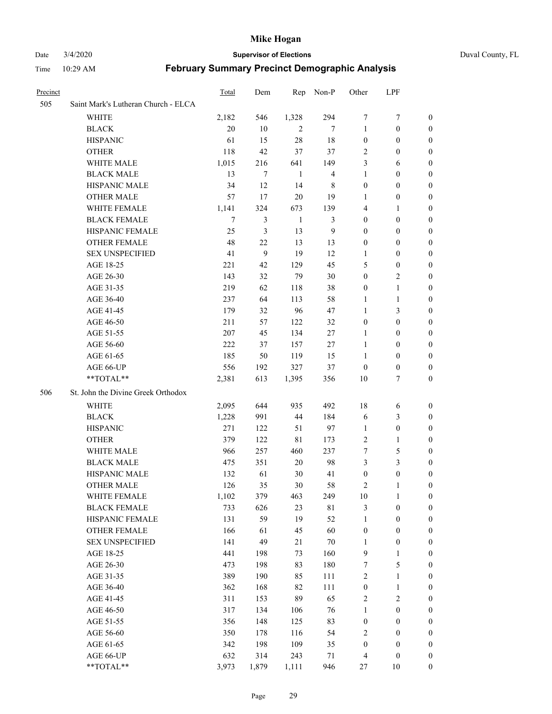#### Date 3/4/2020 **Supervisor of Elections** Duval County, FL

| Precinct |                                     | Total  | Dem   | Rep            | Non-P          | Other            | LPF              |                  |
|----------|-------------------------------------|--------|-------|----------------|----------------|------------------|------------------|------------------|
| 505      | Saint Mark's Lutheran Church - ELCA |        |       |                |                |                  |                  |                  |
|          | <b>WHITE</b>                        | 2,182  | 546   | 1,328          | 294            | 7                | 7                | $\boldsymbol{0}$ |
|          | <b>BLACK</b>                        | 20     | 10    | $\overline{c}$ | 7              | $\mathbf{1}$     | $\boldsymbol{0}$ | $\boldsymbol{0}$ |
|          | <b>HISPANIC</b>                     | 61     | 15    | 28             | 18             | $\boldsymbol{0}$ | $\boldsymbol{0}$ | 0                |
|          | <b>OTHER</b>                        | 118    | 42    | 37             | 37             | $\overline{2}$   | $\boldsymbol{0}$ | $\boldsymbol{0}$ |
|          | WHITE MALE                          | 1,015  | 216   | 641            | 149            | 3                | 6                | $\boldsymbol{0}$ |
|          | <b>BLACK MALE</b>                   | 13     | 7     | $\mathbf{1}$   | $\overline{4}$ | $\mathbf{1}$     | $\boldsymbol{0}$ | 0                |
|          | HISPANIC MALE                       | 34     | 12    | 14             | $\,$ 8 $\,$    | $\boldsymbol{0}$ | $\boldsymbol{0}$ | $\boldsymbol{0}$ |
|          | <b>OTHER MALE</b>                   | 57     | 17    | $20\,$         | 19             | 1                | $\boldsymbol{0}$ | 0                |
|          | WHITE FEMALE                        | 1,141  | 324   | 673            | 139            | 4                | 1                | 0                |
|          | <b>BLACK FEMALE</b>                 | $\tau$ | 3     | $\mathbf{1}$   | 3              | $\boldsymbol{0}$ | $\boldsymbol{0}$ | 0                |
|          | HISPANIC FEMALE                     | 25     | 3     | 13             | 9              | $\boldsymbol{0}$ | $\boldsymbol{0}$ | 0                |
|          | OTHER FEMALE                        | 48     | 22    | 13             | 13             | $\boldsymbol{0}$ | $\boldsymbol{0}$ | 0                |
|          | <b>SEX UNSPECIFIED</b>              | 41     | 9     | 19             | 12             | 1                | $\boldsymbol{0}$ | $\boldsymbol{0}$ |
|          | AGE 18-25                           | 221    | 42    | 129            | 45             | 5                | $\boldsymbol{0}$ | $\boldsymbol{0}$ |
|          | AGE 26-30                           | 143    | 32    | 79             | 30             | $\boldsymbol{0}$ | $\overline{2}$   | 0                |
|          | AGE 31-35                           | 219    | 62    | 118            | 38             | $\boldsymbol{0}$ | $\mathbf{1}$     | $\boldsymbol{0}$ |
|          | AGE 36-40                           | 237    | 64    | 113            | 58             | $\mathbf{1}$     | $\mathbf{1}$     | $\boldsymbol{0}$ |
|          | AGE 41-45                           | 179    | 32    | 96             | 47             | $\mathbf{1}$     | $\mathfrak{Z}$   | $\boldsymbol{0}$ |
|          | AGE 46-50                           | 211    | 57    | 122            | 32             | $\boldsymbol{0}$ | $\boldsymbol{0}$ | 0                |
|          | AGE 51-55                           | 207    | 45    | 134            | 27             | 1                | $\boldsymbol{0}$ | 0                |
|          | AGE 56-60                           | 222    | 37    | 157            | 27             | $\mathbf{1}$     | $\boldsymbol{0}$ | 0                |
|          | AGE 61-65                           | 185    | 50    | 119            | 15             | $\mathbf{1}$     | $\boldsymbol{0}$ | 0                |
|          | AGE 66-UP                           | 556    | 192   | 327            | 37             | $\boldsymbol{0}$ | $\boldsymbol{0}$ | 0                |
|          | **TOTAL**                           | 2,381  | 613   | 1,395          | 356            | 10               | 7                | $\boldsymbol{0}$ |
| 506      | St. John the Divine Greek Orthodox  |        |       |                |                |                  |                  |                  |
|          | WHITE                               | 2,095  | 644   | 935            | 492            | 18               | 6                | $\boldsymbol{0}$ |
|          | <b>BLACK</b>                        | 1,228  | 991   | 44             | 184            | 6                | $\mathfrak{Z}$   | $\boldsymbol{0}$ |
|          | <b>HISPANIC</b>                     | 271    | 122   | 51             | 97             | $\mathbf{1}$     | $\boldsymbol{0}$ | $\boldsymbol{0}$ |
|          | <b>OTHER</b>                        | 379    | 122   | $8\sqrt{1}$    | 173            | $\overline{c}$   | $\mathbf{1}$     | $\overline{0}$   |
|          | WHITE MALE                          | 966    | 257   | 460            | 237            | 7                | $\sqrt{5}$       | 0                |
|          | <b>BLACK MALE</b>                   | 475    | 351   | 20             | 98             | 3                | $\mathfrak{Z}$   | 0                |
|          | HISPANIC MALE                       | 132    | 61    | 30             | 41             | $\boldsymbol{0}$ | $\boldsymbol{0}$ | 0                |
|          | <b>OTHER MALE</b>                   | 126    | 35    | 30             | 58             | 2                | 1                | 0                |
|          | WHITE FEMALE                        | 1,102  | 379   | 463            | 249            | 10               | $\mathbf{1}$     | $\boldsymbol{0}$ |
|          | <b>BLACK FEMALE</b>                 | 733    | 626   | 23             | $8\sqrt{1}$    | 3                | $\boldsymbol{0}$ | $\boldsymbol{0}$ |
|          | HISPANIC FEMALE                     | 131    | 59    | 19             | 52             | $\mathbf{1}$     | $\boldsymbol{0}$ | $\overline{0}$   |
|          | <b>OTHER FEMALE</b>                 | 166    | 61    | 45             | 60             | $\boldsymbol{0}$ | $\boldsymbol{0}$ | $\overline{0}$   |
|          | <b>SEX UNSPECIFIED</b>              | 141    | 49    | 21             | $70\,$         | $\mathbf{1}$     | $\boldsymbol{0}$ | 0                |
|          | AGE 18-25                           | 441    | 198   | 73             | 160            | $\mathbf{9}$     | $\mathbf{1}$     | $\theta$         |
|          | AGE 26-30                           | 473    | 198   | 83             | 180            | 7                | $\sqrt{5}$       | 0                |
|          | AGE 31-35                           | 389    | 190   | 85             | 111            | $\sqrt{2}$       | $\mathbf{1}$     | 0                |
|          | AGE 36-40                           | 362    | 168   | 82             | 111            | $\boldsymbol{0}$ | $\mathbf{1}$     | 0                |
|          | AGE 41-45                           | 311    | 153   | 89             | 65             | $\sqrt{2}$       | $\sqrt{2}$       | 0                |
|          | AGE 46-50                           | 317    | 134   | 106            | 76             | $\mathbf{1}$     | $\boldsymbol{0}$ | 0                |
|          | AGE 51-55                           | 356    | 148   | 125            | 83             | $\boldsymbol{0}$ | $\boldsymbol{0}$ | $\boldsymbol{0}$ |
|          | AGE 56-60                           | 350    | 178   | 116            | 54             | $\sqrt{2}$       | $\boldsymbol{0}$ | $\boldsymbol{0}$ |
|          | AGE 61-65                           | 342    | 198   | 109            | 35             | $\boldsymbol{0}$ | $\boldsymbol{0}$ | $\boldsymbol{0}$ |
|          | AGE 66-UP                           | 632    | 314   | 243            | 71             | $\overline{4}$   | $\boldsymbol{0}$ | 0                |
|          | **TOTAL**                           | 3,973  | 1,879 | 1,111          | 946            | 27               | 10               | $\boldsymbol{0}$ |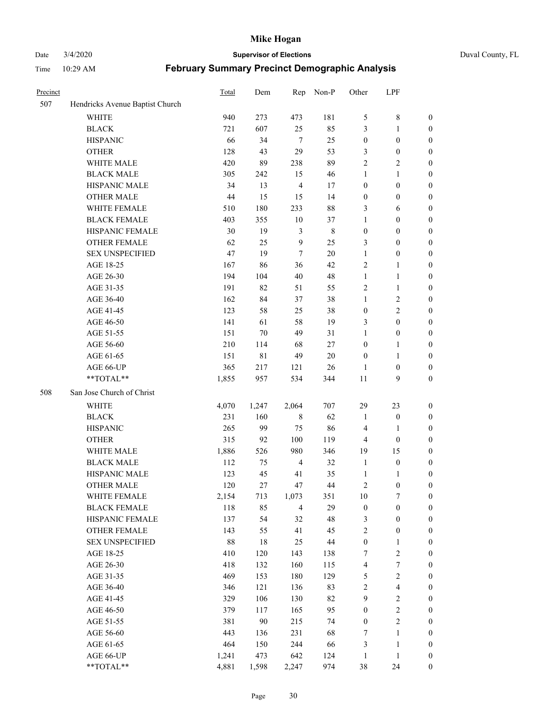Date 3/4/2020 **Supervisor of Elections** Duval County, FL

| Precinct |                                 | Total | Dem   | Rep            | Non-P       | Other                   | LPF              |                  |
|----------|---------------------------------|-------|-------|----------------|-------------|-------------------------|------------------|------------------|
| 507      | Hendricks Avenue Baptist Church |       |       |                |             |                         |                  |                  |
|          | <b>WHITE</b>                    | 940   | 273   | 473            | 181         | 5                       | $\,8\,$          | 0                |
|          | <b>BLACK</b>                    | 721   | 607   | 25             | 85          | 3                       | $\mathbf{1}$     | $\boldsymbol{0}$ |
|          | <b>HISPANIC</b>                 | 66    | 34    | $\overline{7}$ | 25          | $\boldsymbol{0}$        | $\boldsymbol{0}$ | $\boldsymbol{0}$ |
|          | <b>OTHER</b>                    | 128   | 43    | 29             | 53          | 3                       | $\boldsymbol{0}$ | $\boldsymbol{0}$ |
|          | WHITE MALE                      | 420   | 89    | 238            | 89          | 2                       | $\sqrt{2}$       | $\boldsymbol{0}$ |
|          | <b>BLACK MALE</b>               | 305   | 242   | 15             | 46          | 1                       | $\mathbf{1}$     | $\boldsymbol{0}$ |
|          | HISPANIC MALE                   | 34    | 13    | $\overline{4}$ | 17          | $\boldsymbol{0}$        | $\boldsymbol{0}$ | $\boldsymbol{0}$ |
|          | <b>OTHER MALE</b>               | 44    | 15    | 15             | 14          | $\boldsymbol{0}$        | $\boldsymbol{0}$ | $\boldsymbol{0}$ |
|          | WHITE FEMALE                    | 510   | 180   | 233            | $88\,$      | 3                       | 6                | $\boldsymbol{0}$ |
|          | <b>BLACK FEMALE</b>             | 403   | 355   | 10             | 37          | $\mathbf{1}$            | $\boldsymbol{0}$ | $\boldsymbol{0}$ |
|          | HISPANIC FEMALE                 | 30    | 19    | $\mathfrak{Z}$ | $\,$ 8 $\,$ | $\boldsymbol{0}$        | $\boldsymbol{0}$ | $\boldsymbol{0}$ |
|          | <b>OTHER FEMALE</b>             | 62    | 25    | 9              | 25          | 3                       | $\boldsymbol{0}$ | $\boldsymbol{0}$ |
|          | <b>SEX UNSPECIFIED</b>          | 47    | 19    | $\tau$         | 20          | $\mathbf{1}$            | $\boldsymbol{0}$ | $\boldsymbol{0}$ |
|          | AGE 18-25                       | 167   | 86    | 36             | 42          | 2                       | $\mathbf{1}$     | $\boldsymbol{0}$ |
|          | AGE 26-30                       | 194   | 104   | 40             | 48          | $\mathbf{1}$            | $\mathbf{1}$     | $\boldsymbol{0}$ |
|          | AGE 31-35                       | 191   | 82    | 51             | 55          | $\sqrt{2}$              | $\mathbf{1}$     | $\boldsymbol{0}$ |
|          | AGE 36-40                       | 162   | 84    | 37             | 38          | $\mathbf{1}$            | $\sqrt{2}$       | $\boldsymbol{0}$ |
|          | AGE 41-45                       | 123   | 58    | 25             | 38          | $\boldsymbol{0}$        | $\overline{c}$   | $\boldsymbol{0}$ |
|          | AGE 46-50                       | 141   | 61    | 58             | 19          | 3                       | $\boldsymbol{0}$ | $\boldsymbol{0}$ |
|          | AGE 51-55                       | 151   | 70    | 49             | 31          | $\mathbf{1}$            | $\boldsymbol{0}$ | $\boldsymbol{0}$ |
|          | AGE 56-60                       | 210   | 114   | 68             | 27          | $\boldsymbol{0}$        | 1                | 0                |
|          | AGE 61-65                       | 151   | 81    | 49             | 20          | $\boldsymbol{0}$        | $\mathbf{1}$     | 0                |
|          | AGE 66-UP                       | 365   | 217   | 121            | 26          | 1                       | $\boldsymbol{0}$ | $\boldsymbol{0}$ |
|          | **TOTAL**                       | 1,855 | 957   | 534            | 344         | $11\,$                  | 9                | $\boldsymbol{0}$ |
| 508      | San Jose Church of Christ       |       |       |                |             |                         |                  |                  |
|          | <b>WHITE</b>                    | 4,070 | 1,247 | 2,064          | 707         | 29                      | 23               | $\boldsymbol{0}$ |
|          | <b>BLACK</b>                    | 231   | 160   | $\,$ 8 $\,$    | 62          | $\mathbf{1}$            | $\boldsymbol{0}$ | $\boldsymbol{0}$ |
|          | <b>HISPANIC</b>                 | 265   | 99    | 75             | 86          | 4                       | $\mathbf{1}$     | $\boldsymbol{0}$ |
|          | <b>OTHER</b>                    | 315   | 92    | 100            | 119         | 4                       | $\boldsymbol{0}$ | $\boldsymbol{0}$ |
|          | WHITE MALE                      | 1,886 | 526   | 980            | 346         | 19                      | 15               | $\boldsymbol{0}$ |
|          | <b>BLACK MALE</b>               | 112   | 75    | $\overline{4}$ | 32          | $\mathbf{1}$            | $\boldsymbol{0}$ | $\boldsymbol{0}$ |
|          | HISPANIC MALE                   | 123   | 45    | 41             | 35          | 1                       | 1                | 0                |
|          | <b>OTHER MALE</b>               | 120   | 27    | 47             | 44          | 2                       | $\boldsymbol{0}$ | $\boldsymbol{0}$ |
|          | WHITE FEMALE                    | 2,154 | 713   | 1,073          | 351         | 10                      | 7                | 0                |
|          | <b>BLACK FEMALE</b>             | 118   | 85    | $\overline{4}$ | 29          | $\boldsymbol{0}$        | $\boldsymbol{0}$ | $\boldsymbol{0}$ |
|          | HISPANIC FEMALE                 | 137   | 54    | 32             | 48          | 3                       | $\boldsymbol{0}$ | $\overline{0}$   |
|          | OTHER FEMALE                    | 143   | 55    | 41             | 45          | $\overline{c}$          | $\boldsymbol{0}$ | $\overline{0}$   |
|          | <b>SEX UNSPECIFIED</b>          | 88    | 18    | 25             | $44\,$      | $\boldsymbol{0}$        | $\mathbf{1}$     | 0                |
|          | AGE 18-25                       | 410   | 120   | 143            | 138         | 7                       | $\sqrt{2}$       | 0                |
|          | AGE 26-30                       | 418   | 132   | 160            | 115         | 4                       | $\boldsymbol{7}$ | 0                |
|          | AGE 31-35                       | 469   | 153   | 180            | 129         | 5                       | $\sqrt{2}$       | 0                |
|          | AGE 36-40                       | 346   | 121   | 136            | 83          | $\overline{\mathbf{c}}$ | $\overline{4}$   | 0                |
|          | AGE 41-45                       | 329   | 106   | 130            | 82          | $\mathbf{9}$            | $\boldsymbol{2}$ | 0                |
|          | AGE 46-50                       | 379   | 117   | 165            | 95          | $\boldsymbol{0}$        | $\sqrt{2}$       | 0                |
|          | AGE 51-55                       | 381   | 90    | 215            | 74          | $\boldsymbol{0}$        | $\sqrt{2}$       | 0                |
|          | AGE 56-60                       | 443   | 136   | 231            | 68          | 7                       | 1                | $\boldsymbol{0}$ |
|          | AGE 61-65                       | 464   | 150   | 244            | 66          | 3                       | $\mathbf{1}$     | $\boldsymbol{0}$ |
|          | AGE 66-UP                       | 1,241 | 473   | 642            | 124         | $\mathbf{1}$            | $\mathbf{1}$     | 0                |
|          | **TOTAL**                       | 4,881 | 1,598 | 2,247          | 974         | 38                      | 24               | $\boldsymbol{0}$ |
|          |                                 |       |       |                |             |                         |                  |                  |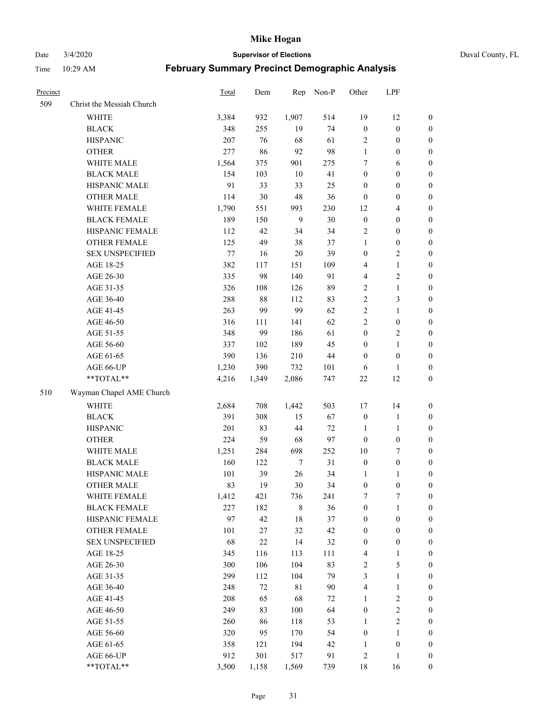Date 3/4/2020 **Supervisor of Elections** Duval County, FL

| Precinct |                                     | Total        | Dem       | Rep                | Non-P    | Other                                | LPF                              |                                    |
|----------|-------------------------------------|--------------|-----------|--------------------|----------|--------------------------------------|----------------------------------|------------------------------------|
| 509      | Christ the Messiah Church           |              |           |                    |          |                                      |                                  |                                    |
|          | <b>WHITE</b>                        | 3,384        | 932       | 1,907              | 514      | 19                                   | 12                               | 0                                  |
|          | <b>BLACK</b>                        | 348          | 255       | 19                 | 74       | $\boldsymbol{0}$                     | $\boldsymbol{0}$                 | 0                                  |
|          | <b>HISPANIC</b>                     | 207          | 76        | 68                 | 61       | $\overline{c}$                       | $\boldsymbol{0}$                 | $\boldsymbol{0}$                   |
|          | <b>OTHER</b>                        | 277          | 86        | 92                 | 98       | $\mathbf{1}$                         | $\boldsymbol{0}$                 | $\boldsymbol{0}$                   |
|          | WHITE MALE                          | 1,564        | 375       | 901                | 275      | 7                                    | 6                                | $\boldsymbol{0}$                   |
|          | <b>BLACK MALE</b>                   | 154          | 103       | 10                 | 41       | $\boldsymbol{0}$                     | $\boldsymbol{0}$                 | $\boldsymbol{0}$                   |
|          | HISPANIC MALE                       | 91           | 33        | 33                 | 25       | $\boldsymbol{0}$                     | $\boldsymbol{0}$                 | $\boldsymbol{0}$                   |
|          | <b>OTHER MALE</b>                   | 114          | 30        | 48                 | 36       | $\boldsymbol{0}$                     | $\boldsymbol{0}$                 | $\boldsymbol{0}$                   |
|          | WHITE FEMALE                        | 1,790        | 551       | 993                | 230      | 12                                   | $\overline{\mathbf{4}}$          | $\boldsymbol{0}$                   |
|          | <b>BLACK FEMALE</b>                 | 189          | 150       | 9                  | 30       | $\boldsymbol{0}$                     | $\boldsymbol{0}$                 | $\boldsymbol{0}$                   |
|          | HISPANIC FEMALE                     | 112          | 42        | 34                 | 34       | $\sqrt{2}$                           | $\boldsymbol{0}$                 | 0                                  |
|          | OTHER FEMALE                        | 125          | 49        | 38                 | 37       | 1                                    | $\boldsymbol{0}$                 | $\boldsymbol{0}$                   |
|          | <b>SEX UNSPECIFIED</b>              | $77\,$       | 16        | 20                 | 39       | $\boldsymbol{0}$                     | $\boldsymbol{2}$                 | $\boldsymbol{0}$                   |
|          | AGE 18-25                           | 382          | 117       | 151                | 109      | 4                                    | $\mathbf{1}$                     | $\boldsymbol{0}$                   |
|          | AGE 26-30                           | 335          | 98        | 140                | 91       | 4                                    | $\sqrt{2}$                       | $\boldsymbol{0}$                   |
|          | AGE 31-35                           | 326          | 108       | 126                | 89       | $\sqrt{2}$                           | $\mathbf{1}$                     | $\boldsymbol{0}$                   |
|          | AGE 36-40                           | 288          | $88\,$    | 112                | 83       | $\overline{c}$                       | $\mathfrak{Z}$                   | $\boldsymbol{0}$                   |
|          | AGE 41-45                           | 263          | 99        | 99                 | 62       | $\overline{c}$                       | $\mathbf{1}$                     | $\boldsymbol{0}$                   |
|          | AGE 46-50                           | 316          | 111       | 141                | 62       | $\overline{c}$                       | $\boldsymbol{0}$                 | $\boldsymbol{0}$                   |
|          | AGE 51-55                           | 348          | 99        | 186                | 61       | $\boldsymbol{0}$                     | $\sqrt{2}$                       | $\boldsymbol{0}$                   |
|          | AGE 56-60                           | 337          | 102       | 189                | 45       | $\boldsymbol{0}$                     | $\mathbf{1}$                     | 0                                  |
|          | AGE 61-65                           | 390          | 136       | 210                | $44\,$   | $\boldsymbol{0}$                     | $\boldsymbol{0}$                 | 0                                  |
|          | AGE 66-UP                           | 1,230        | 390       | 732                | 101      | 6                                    | 1                                | $\boldsymbol{0}$                   |
|          | **TOTAL**                           | 4,216        | 1,349     | 2,086              | 747      | $22\,$                               | 12                               | $\boldsymbol{0}$                   |
| 510      | Wayman Chapel AME Church            |              |           |                    |          |                                      |                                  |                                    |
|          | <b>WHITE</b>                        |              | 708       |                    | 503      |                                      |                                  |                                    |
|          |                                     | 2,684<br>391 |           | 1,442              |          | 17                                   | 14                               | $\boldsymbol{0}$                   |
|          | <b>BLACK</b>                        |              | 308       | 15                 | 67       | $\boldsymbol{0}$                     | $\mathbf{1}$                     | $\boldsymbol{0}$                   |
|          | <b>HISPANIC</b>                     | 201          | 83        | 44                 | 72       | $\mathbf{1}$                         | $\mathbf{1}$                     | $\boldsymbol{0}$                   |
|          | <b>OTHER</b><br>WHITE MALE          | 224          | 59        | 68                 | 97       | $\boldsymbol{0}$                     | $\boldsymbol{0}$                 | $\boldsymbol{0}$                   |
|          |                                     | 1,251        | 284       | 698                | 252      | $10\,$                               | $\tau$                           | $\boldsymbol{0}$                   |
|          | <b>BLACK MALE</b>                   | 160          | 122       | $\overline{7}$     | 31       | $\boldsymbol{0}$                     | $\boldsymbol{0}$                 | $\boldsymbol{0}$                   |
|          | HISPANIC MALE                       | 101<br>83    | 39<br>19  | 26<br>30           | 34       | 1<br>$\boldsymbol{0}$                | 1<br>$\boldsymbol{0}$            | 0                                  |
|          | <b>OTHER MALE</b>                   |              |           |                    | 34       |                                      |                                  | $\boldsymbol{0}$                   |
|          | WHITE FEMALE<br><b>BLACK FEMALE</b> | 1,412<br>227 | 421       | 736<br>$\,$ 8 $\,$ | 241      | 7                                    | 7                                | 0                                  |
|          | HISPANIC FEMALE                     | 97           | 182<br>42 | 18                 | 36<br>37 | $\boldsymbol{0}$<br>$\boldsymbol{0}$ | $\mathbf{1}$<br>$\boldsymbol{0}$ | $\boldsymbol{0}$<br>$\overline{0}$ |
|          | OTHER FEMALE                        | 101          | 27        | 32                 | 42       |                                      | $\boldsymbol{0}$                 | $\overline{0}$                     |
|          | <b>SEX UNSPECIFIED</b>              | 68           | $22\,$    | 14                 | 32       | $\boldsymbol{0}$<br>$\boldsymbol{0}$ | $\boldsymbol{0}$                 | 0                                  |
|          | AGE 18-25                           | 345          | 116       | 113                | 111      | 4                                    | $\mathbf{1}$                     | $\theta$                           |
|          | AGE 26-30                           | 300          | 106       | 104                | 83       |                                      | $\sqrt{5}$                       | 0                                  |
|          | AGE 31-35                           | 299          | 112       | 104                | 79       | 2<br>3                               | $\mathbf{1}$                     | 0                                  |
|          | AGE 36-40                           | 248          | 72        | $8\sqrt{1}$        | 90       | 4                                    | $\mathbf{1}$                     | 0                                  |
|          | AGE 41-45                           | 208          | 65        | 68                 | 72       | $\mathbf{1}$                         | $\sqrt{2}$                       | 0                                  |
|          | AGE 46-50                           | 249          | 83        | 100                | 64       | $\boldsymbol{0}$                     | $\sqrt{2}$                       | 0                                  |
|          |                                     |              |           |                    |          |                                      |                                  |                                    |
|          | AGE 51-55<br>AGE 56-60              | 260<br>320   | 86<br>95  | 118<br>170         | 53<br>54 | $\mathbf{1}$<br>$\boldsymbol{0}$     | $\overline{c}$<br>1              | 0<br>$\boldsymbol{0}$              |
|          | AGE 61-65                           | 358          | 121       | 194                | 42       | 1                                    | $\boldsymbol{0}$                 | $\boldsymbol{0}$                   |
|          | AGE 66-UP                           | 912          | 301       | 517                | 91       | $\overline{c}$                       | $\mathbf{1}$                     | $\boldsymbol{0}$                   |
|          | **TOTAL**                           | 3,500        | 1,158     | 1,569              | 739      | 18                                   | 16                               | $\boldsymbol{0}$                   |
|          |                                     |              |           |                    |          |                                      |                                  |                                    |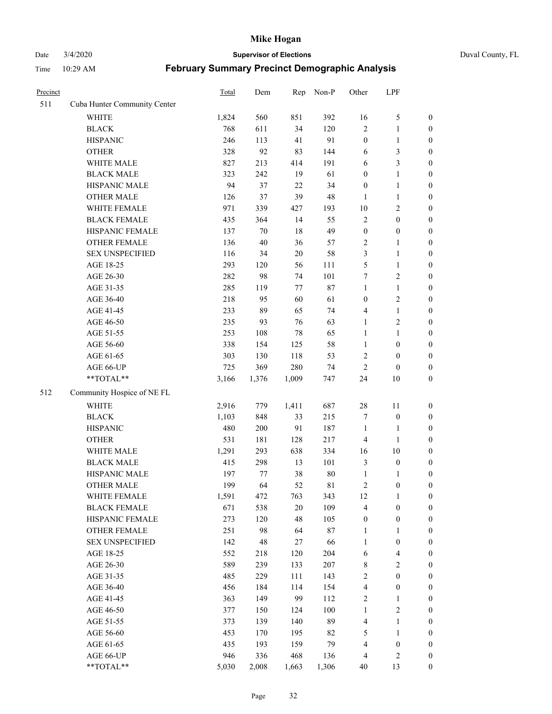Date 3/4/2020 **Supervisor of Elections** Duval County, FL

| Precinct |                              | Total | Dem   | Rep    | Non-P  | Other            | LPF              |                  |
|----------|------------------------------|-------|-------|--------|--------|------------------|------------------|------------------|
| 511      | Cuba Hunter Community Center |       |       |        |        |                  |                  |                  |
|          | <b>WHITE</b>                 | 1,824 | 560   | 851    | 392    | 16               | $\sqrt{5}$       | 0                |
|          | <b>BLACK</b>                 | 768   | 611   | 34     | 120    | $\overline{c}$   | $\mathbf{1}$     | 0                |
|          | <b>HISPANIC</b>              | 246   | 113   | 41     | 91     | $\boldsymbol{0}$ | $\mathbf{1}$     | $\boldsymbol{0}$ |
|          | <b>OTHER</b>                 | 328   | 92    | 83     | 144    | 6                | $\mathfrak{Z}$   | $\boldsymbol{0}$ |
|          | WHITE MALE                   | 827   | 213   | 414    | 191    | 6                | $\mathfrak{Z}$   | $\boldsymbol{0}$ |
|          | <b>BLACK MALE</b>            | 323   | 242   | 19     | 61     | $\boldsymbol{0}$ | $\mathbf{1}$     | $\boldsymbol{0}$ |
|          | HISPANIC MALE                | 94    | 37    | 22     | 34     | $\boldsymbol{0}$ | $\mathbf{1}$     | $\boldsymbol{0}$ |
|          | <b>OTHER MALE</b>            | 126   | 37    | 39     | 48     | $\mathbf{1}$     | $\mathbf{1}$     | $\boldsymbol{0}$ |
|          | WHITE FEMALE                 | 971   | 339   | 427    | 193    | $10\,$           | $\sqrt{2}$       | $\boldsymbol{0}$ |
|          | <b>BLACK FEMALE</b>          | 435   | 364   | 14     | 55     | $\sqrt{2}$       | $\boldsymbol{0}$ | $\boldsymbol{0}$ |
|          | HISPANIC FEMALE              | 137   | 70    | 18     | 49     | $\boldsymbol{0}$ | $\boldsymbol{0}$ | $\boldsymbol{0}$ |
|          | OTHER FEMALE                 | 136   | 40    | 36     | 57     | 2                | $\mathbf{1}$     | $\boldsymbol{0}$ |
|          | <b>SEX UNSPECIFIED</b>       | 116   | 34    | $20\,$ | 58     | 3                | $\mathbf{1}$     | $\boldsymbol{0}$ |
|          | AGE 18-25                    | 293   | 120   | 56     | 111    | 5                | $\mathbf{1}$     | $\boldsymbol{0}$ |
|          | AGE 26-30                    | 282   | 98    | 74     | 101    | 7                | $\sqrt{2}$       | $\boldsymbol{0}$ |
|          | AGE 31-35                    | 285   | 119   | 77     | $87\,$ | $\mathbf{1}$     | $\mathbf{1}$     | $\boldsymbol{0}$ |
|          | AGE 36-40                    | 218   | 95    | 60     | 61     | $\boldsymbol{0}$ | $\sqrt{2}$       | $\boldsymbol{0}$ |
|          | AGE 41-45                    | 233   | 89    | 65     | 74     | 4                | $\mathbf{1}$     | $\boldsymbol{0}$ |
|          | AGE 46-50                    | 235   | 93    | 76     | 63     | $\mathbf{1}$     | $\sqrt{2}$       | $\boldsymbol{0}$ |
|          | AGE 51-55                    | 253   | 108   | 78     | 65     | $\mathbf{1}$     | $\mathbf{1}$     | $\boldsymbol{0}$ |
|          | AGE 56-60                    | 338   | 154   | 125    | 58     | $\mathbf{1}$     | $\boldsymbol{0}$ | 0                |
|          | AGE 61-65                    | 303   | 130   | 118    | 53     | 2                | $\boldsymbol{0}$ | $\boldsymbol{0}$ |
|          | AGE 66-UP                    | 725   | 369   | 280    | 74     | $\boldsymbol{2}$ | $\boldsymbol{0}$ | $\boldsymbol{0}$ |
|          | **TOTAL**                    | 3,166 | 1,376 | 1,009  | 747    | 24               | $10\,$           | $\boldsymbol{0}$ |
| 512      | Community Hospice of NE FL   |       |       |        |        |                  |                  |                  |
|          | <b>WHITE</b>                 | 2,916 | 779   | 1,411  | 687    | $28\,$           | 11               | $\boldsymbol{0}$ |
|          | <b>BLACK</b>                 | 1,103 | 848   | 33     | 215    | 7                | $\boldsymbol{0}$ | $\boldsymbol{0}$ |
|          | <b>HISPANIC</b>              | 480   | 200   | 91     | 187    | $\mathbf{1}$     | $\mathbf{1}$     | $\boldsymbol{0}$ |
|          | <b>OTHER</b>                 | 531   | 181   | 128    | 217    | 4                | $\mathbf{1}$     | $\boldsymbol{0}$ |
|          | WHITE MALE                   | 1,291 | 293   | 638    | 334    | 16               | $10\,$           | $\boldsymbol{0}$ |
|          | <b>BLACK MALE</b>            | 415   | 298   | 13     | 101    | 3                | $\boldsymbol{0}$ | $\boldsymbol{0}$ |
|          | HISPANIC MALE                | 197   | 77    | 38     | $80\,$ | $\mathbf{1}$     | 1                | 0                |
|          | <b>OTHER MALE</b>            | 199   | 64    | 52     | 81     | 2                | $\boldsymbol{0}$ | $\boldsymbol{0}$ |
|          | WHITE FEMALE                 | 1,591 | 472   | 763    | 343    | 12               | 1                | 0                |
|          | <b>BLACK FEMALE</b>          | 671   | 538   | 20     | 109    | 4                | $\boldsymbol{0}$ | $\boldsymbol{0}$ |
|          | HISPANIC FEMALE              | 273   | 120   | 48     | 105    | $\boldsymbol{0}$ | $\boldsymbol{0}$ | $\overline{0}$   |
|          | OTHER FEMALE                 | 251   | 98    | 64     | $87\,$ | $\mathbf{1}$     | $\mathbf{1}$     | $\overline{0}$   |
|          | <b>SEX UNSPECIFIED</b>       | 142   | 48    | 27     | 66     | $\mathbf{1}$     | $\boldsymbol{0}$ | 0                |
|          | AGE 18-25                    | 552   | 218   | 120    | 204    | 6                | $\overline{4}$   | 0                |
|          | AGE 26-30                    | 589   | 239   | 133    | 207    | 8                | $\boldsymbol{2}$ | 0                |
|          | AGE 31-35                    | 485   | 229   | 111    | 143    | $\overline{c}$   | $\boldsymbol{0}$ | 0                |
|          | AGE 36-40                    | 456   | 184   | 114    | 154    | 4                | $\boldsymbol{0}$ | 0                |
|          | AGE 41-45                    | 363   | 149   | 99     | 112    | 2                | 1                | 0                |
|          | AGE 46-50                    | 377   | 150   | 124    | 100    | $\mathbf{1}$     | $\sqrt{2}$       | 0                |
|          | AGE 51-55                    | 373   | 139   | 140    | 89     | 4                | $\mathbf{1}$     | 0                |
|          | AGE 56-60                    | 453   | 170   | 195    | 82     | 5                | $\mathbf{1}$     | 0                |
|          | AGE 61-65                    | 435   | 193   | 159    | 79     | 4                | $\boldsymbol{0}$ | 0                |
|          | AGE 66-UP                    | 946   | 336   | 468    | 136    | 4                | $\sqrt{2}$       | 0                |
|          | **TOTAL**                    | 5,030 | 2,008 | 1,663  | 1,306  | 40               | 13               | $\boldsymbol{0}$ |
|          |                              |       |       |        |        |                  |                  |                  |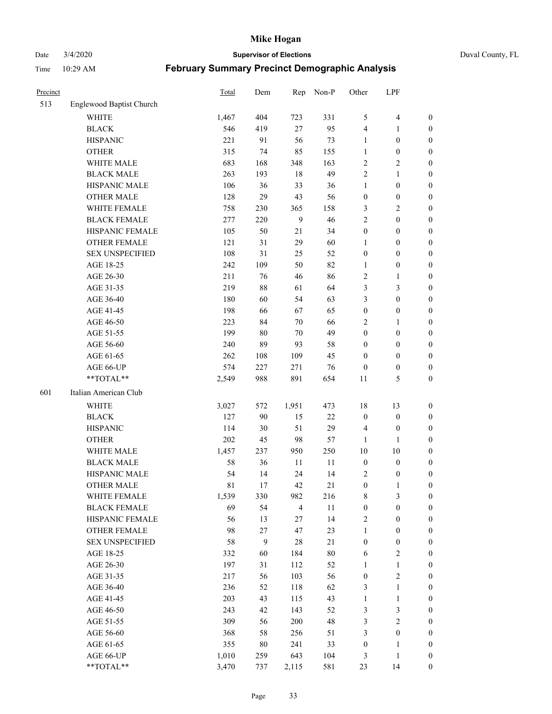Date 3/4/2020 **Supervisor of Elections** Duval County, FL

| Precinct |                          | Total | Dem    | Rep            | Non-P  | Other            | LPF              |                  |
|----------|--------------------------|-------|--------|----------------|--------|------------------|------------------|------------------|
| 513      | Englewood Baptist Church |       |        |                |        |                  |                  |                  |
|          | <b>WHITE</b>             | 1,467 | 404    | 723            | 331    | 5                | $\overline{4}$   | 0                |
|          | <b>BLACK</b>             | 546   | 419    | 27             | 95     | 4                | 1                | 0                |
|          | <b>HISPANIC</b>          | 221   | 91     | 56             | 73     | $\mathbf{1}$     | $\boldsymbol{0}$ | $\boldsymbol{0}$ |
|          | <b>OTHER</b>             | 315   | 74     | 85             | 155    | 1                | $\boldsymbol{0}$ | $\boldsymbol{0}$ |
|          | WHITE MALE               | 683   | 168    | 348            | 163    | 2                | $\sqrt{2}$       | $\boldsymbol{0}$ |
|          | <b>BLACK MALE</b>        | 263   | 193    | 18             | 49     | $\overline{c}$   | $\mathbf{1}$     | $\boldsymbol{0}$ |
|          | HISPANIC MALE            | 106   | 36     | 33             | 36     | $\mathbf{1}$     | $\boldsymbol{0}$ | $\boldsymbol{0}$ |
|          | <b>OTHER MALE</b>        | 128   | 29     | 43             | 56     | $\boldsymbol{0}$ | $\boldsymbol{0}$ | $\boldsymbol{0}$ |
|          | WHITE FEMALE             | 758   | 230    | 365            | 158    | 3                | $\overline{c}$   | $\boldsymbol{0}$ |
|          | <b>BLACK FEMALE</b>      | 277   | 220    | $\overline{9}$ | 46     | $\overline{c}$   | $\boldsymbol{0}$ | $\boldsymbol{0}$ |
|          | HISPANIC FEMALE          | 105   | 50     | 21             | 34     | $\boldsymbol{0}$ | $\boldsymbol{0}$ | $\boldsymbol{0}$ |
|          | <b>OTHER FEMALE</b>      | 121   | 31     | 29             | 60     | 1                | $\boldsymbol{0}$ | $\boldsymbol{0}$ |
|          | <b>SEX UNSPECIFIED</b>   | 108   | 31     | 25             | 52     | $\boldsymbol{0}$ | $\boldsymbol{0}$ | $\boldsymbol{0}$ |
|          | AGE 18-25                | 242   | 109    | 50             | 82     | 1                | $\boldsymbol{0}$ | $\boldsymbol{0}$ |
|          | AGE 26-30                | 211   | 76     | 46             | 86     | 2                | $\mathbf{1}$     | $\boldsymbol{0}$ |
|          | AGE 31-35                | 219   | 88     | 61             | 64     | 3                | $\mathfrak{Z}$   | $\boldsymbol{0}$ |
|          | AGE 36-40                | 180   | 60     | 54             | 63     | 3                | $\boldsymbol{0}$ | $\boldsymbol{0}$ |
|          | AGE 41-45                | 198   | 66     | 67             | 65     | $\boldsymbol{0}$ | $\boldsymbol{0}$ | $\boldsymbol{0}$ |
|          | AGE 46-50                | 223   | 84     | $70\,$         | 66     | 2                | 1                | $\boldsymbol{0}$ |
|          | AGE 51-55                | 199   | $80\,$ | 70             | 49     | $\boldsymbol{0}$ | $\boldsymbol{0}$ | $\boldsymbol{0}$ |
|          | AGE 56-60                | 240   | 89     | 93             | 58     | $\boldsymbol{0}$ | $\boldsymbol{0}$ | 0                |
|          | AGE 61-65                | 262   | 108    | 109            | 45     | $\boldsymbol{0}$ | $\boldsymbol{0}$ | $\boldsymbol{0}$ |
|          | AGE 66-UP                | 574   | 227    | 271            | 76     | $\boldsymbol{0}$ | $\boldsymbol{0}$ | $\boldsymbol{0}$ |
|          | **TOTAL**                | 2,549 | 988    | 891            | 654    | 11               | $\mathfrak s$    | $\boldsymbol{0}$ |
|          |                          |       |        |                |        |                  |                  |                  |
| 601      | Italian American Club    |       |        |                |        |                  |                  |                  |
|          | <b>WHITE</b>             | 3,027 | 572    | 1,951          | 473    | 18               | 13               | $\boldsymbol{0}$ |
|          | <b>BLACK</b>             | 127   | 90     | 15             | $22\,$ | $\boldsymbol{0}$ | $\boldsymbol{0}$ | $\boldsymbol{0}$ |
|          | <b>HISPANIC</b>          | 114   | 30     | 51             | 29     | 4                | $\boldsymbol{0}$ | $\boldsymbol{0}$ |
|          | <b>OTHER</b>             | 202   | 45     | 98             | 57     | $\mathbf{1}$     | 1                | $\boldsymbol{0}$ |
|          | WHITE MALE               | 1,457 | 237    | 950            | 250    | $10\,$           | $10\,$           | $\boldsymbol{0}$ |
|          | <b>BLACK MALE</b>        | 58    | 36     | 11             | 11     | $\boldsymbol{0}$ | $\boldsymbol{0}$ | $\boldsymbol{0}$ |
|          | HISPANIC MALE            | 54    | 14     | 24             | 14     | 2                | $\boldsymbol{0}$ | 0                |
|          | <b>OTHER MALE</b>        | 81    | 17     | 42             | 21     | $\boldsymbol{0}$ | $\mathbf{1}$     | $\boldsymbol{0}$ |
|          | WHITE FEMALE             | 1,539 | 330    | 982            | 216    | 8                | 3                | 0                |
|          | <b>BLACK FEMALE</b>      | 69    | 54     | $\overline{4}$ | $11\,$ | $\boldsymbol{0}$ | $\boldsymbol{0}$ | $\boldsymbol{0}$ |
|          | HISPANIC FEMALE          | 56    | 13     | 27             | 14     | 2                | $\boldsymbol{0}$ | $\overline{0}$   |
|          | OTHER FEMALE             | 98    | 27     | 47             | 23     | $\mathbf{1}$     | $\boldsymbol{0}$ | $\overline{0}$   |
|          | <b>SEX UNSPECIFIED</b>   | 58    | 9      | 28             | $21\,$ | $\boldsymbol{0}$ | $\boldsymbol{0}$ | 0                |
|          | AGE 18-25                | 332   | 60     | 184            | $80\,$ | 6                | $\sqrt{2}$       | 0                |
|          | AGE 26-30                | 197   | 31     | 112            | 52     | $\mathbf{1}$     | $\mathbf{1}$     | 0                |
|          | AGE 31-35                | 217   | 56     | 103            | 56     | $\boldsymbol{0}$ | $\sqrt{2}$       | 0                |
|          | AGE 36-40                | 236   | 52     | 118            | 62     | 3                | $\mathbf{1}$     | 0                |
|          | AGE 41-45                | 203   | 43     | 115            | 43     | $\mathbf{1}$     | $\mathbf{1}$     | 0                |
|          | AGE 46-50                | 243   | 42     | 143            | 52     | 3                | $\mathfrak{Z}$   | 0                |
|          | AGE 51-55                | 309   | 56     | 200            | 48     | 3                | $\boldsymbol{2}$ | 0                |
|          | AGE 56-60                | 368   | 58     | 256            | 51     | 3                | $\boldsymbol{0}$ | $\overline{0}$   |
|          | AGE 61-65                | 355   | 80     | 241            | 33     | $\boldsymbol{0}$ | 1                | $\overline{0}$   |
|          | AGE 66-UP                | 1,010 | 259    | 643            | 104    | 3                | $\mathbf{1}$     | 0                |
|          | **TOTAL**                | 3,470 | 737    | 2,115          | 581    | 23               | 14               | $\boldsymbol{0}$ |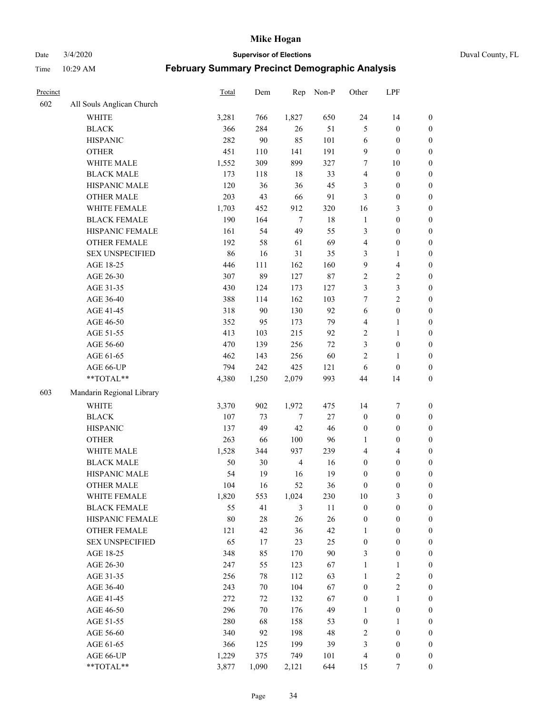Date 3/4/2020 **Supervisor of Elections** Duval County, FL

| Precinct |                           | Total | Dem    | Rep            | Non-P  | Other                   | LPF                     |                  |
|----------|---------------------------|-------|--------|----------------|--------|-------------------------|-------------------------|------------------|
| 602      | All Souls Anglican Church |       |        |                |        |                         |                         |                  |
|          | <b>WHITE</b>              | 3,281 | 766    | 1,827          | 650    | 24                      | 14                      | 0                |
|          | <b>BLACK</b>              | 366   | 284    | 26             | 51     | 5                       | $\boldsymbol{0}$        | $\boldsymbol{0}$ |
|          | <b>HISPANIC</b>           | 282   | 90     | 85             | 101    | 6                       | $\boldsymbol{0}$        | $\boldsymbol{0}$ |
|          | <b>OTHER</b>              | 451   | 110    | 141            | 191    | 9                       | $\boldsymbol{0}$        | $\boldsymbol{0}$ |
|          | WHITE MALE                | 1,552 | 309    | 899            | 327    | 7                       | $10\,$                  | $\boldsymbol{0}$ |
|          | <b>BLACK MALE</b>         | 173   | 118    | 18             | 33     | 4                       | $\boldsymbol{0}$        | $\boldsymbol{0}$ |
|          | HISPANIC MALE             | 120   | 36     | 36             | 45     | 3                       | $\boldsymbol{0}$        | $\boldsymbol{0}$ |
|          | <b>OTHER MALE</b>         | 203   | 43     | 66             | 91     | 3                       | $\boldsymbol{0}$        | $\boldsymbol{0}$ |
|          | WHITE FEMALE              | 1,703 | 452    | 912            | 320    | 16                      | $\mathfrak{Z}$          | $\boldsymbol{0}$ |
|          | <b>BLACK FEMALE</b>       | 190   | 164    | $\overline{7}$ | 18     | $\mathbf{1}$            | $\boldsymbol{0}$        | $\boldsymbol{0}$ |
|          | HISPANIC FEMALE           | 161   | 54     | 49             | 55     | 3                       | $\boldsymbol{0}$        | $\boldsymbol{0}$ |
|          | <b>OTHER FEMALE</b>       | 192   | 58     | 61             | 69     | 4                       | $\boldsymbol{0}$        | $\boldsymbol{0}$ |
|          | <b>SEX UNSPECIFIED</b>    | 86    | 16     | 31             | 35     | 3                       | $\mathbf{1}$            | $\boldsymbol{0}$ |
|          | AGE 18-25                 | 446   | 111    | 162            | 160    | 9                       | $\overline{\mathbf{4}}$ | $\boldsymbol{0}$ |
|          | AGE 26-30                 | 307   | 89     | 127            | $87\,$ | 2                       | $\sqrt{2}$              | $\boldsymbol{0}$ |
|          | AGE 31-35                 | 430   | 124    | 173            | 127    | 3                       | $\mathfrak{Z}$          | $\boldsymbol{0}$ |
|          | AGE 36-40                 | 388   | 114    | 162            | 103    | 7                       | $\overline{2}$          | $\boldsymbol{0}$ |
|          | AGE 41-45                 | 318   | 90     | 130            | 92     | $\sqrt{6}$              | $\boldsymbol{0}$        | $\boldsymbol{0}$ |
|          | AGE 46-50                 | 352   | 95     | 173            | 79     | 4                       | $\mathbf{1}$            | $\boldsymbol{0}$ |
|          | AGE 51-55                 | 413   | 103    | 215            | 92     | 2                       | $\mathbf{1}$            | $\boldsymbol{0}$ |
|          | AGE 56-60                 | 470   | 139    | 256            | 72     | 3                       | $\boldsymbol{0}$        | 0                |
|          | AGE 61-65                 | 462   | 143    | 256            | 60     | 2                       | 1                       | 0                |
|          | AGE 66-UP                 | 794   | 242    | 425            | 121    | 6                       | $\boldsymbol{0}$        | $\boldsymbol{0}$ |
|          | **TOTAL**                 | 4,380 | 1,250  | 2,079          | 993    | 44                      | 14                      | $\boldsymbol{0}$ |
| 603      | Mandarin Regional Library |       |        |                |        |                         |                         |                  |
|          | <b>WHITE</b>              | 3,370 | 902    | 1,972          | 475    | 14                      | $\boldsymbol{7}$        | $\boldsymbol{0}$ |
|          | <b>BLACK</b>              | 107   | 73     | 7              | $27\,$ | $\boldsymbol{0}$        | $\boldsymbol{0}$        | $\boldsymbol{0}$ |
|          | <b>HISPANIC</b>           | 137   | 49     | 42             | 46     | $\boldsymbol{0}$        | $\boldsymbol{0}$        | $\boldsymbol{0}$ |
|          | <b>OTHER</b>              | 263   | 66     | 100            | 96     | 1                       | $\boldsymbol{0}$        | $\boldsymbol{0}$ |
|          | WHITE MALE                | 1,528 | 344    | 937            | 239    | $\overline{\mathbf{4}}$ | $\overline{4}$          | $\boldsymbol{0}$ |
|          | <b>BLACK MALE</b>         | 50    | 30     | $\overline{4}$ | 16     | $\boldsymbol{0}$        | $\boldsymbol{0}$        | $\boldsymbol{0}$ |
|          | HISPANIC MALE             | 54    | 19     | 16             | 19     | $\boldsymbol{0}$        | $\boldsymbol{0}$        | $\boldsymbol{0}$ |
|          | <b>OTHER MALE</b>         | 104   | 16     | 52             | 36     | $\boldsymbol{0}$        | $\boldsymbol{0}$        | $\boldsymbol{0}$ |
|          | WHITE FEMALE              | 1,820 | 553    | 1,024          | 230    | 10                      | 3                       | 0                |
|          | <b>BLACK FEMALE</b>       | 55    | 41     | 3              | 11     | $\boldsymbol{0}$        | $\boldsymbol{0}$        | $\boldsymbol{0}$ |
|          | HISPANIC FEMALE           | 80    | $28\,$ | 26             | $26\,$ | $\boldsymbol{0}$        | $\boldsymbol{0}$        | $\overline{0}$   |
|          | OTHER FEMALE              | 121   | 42     | 36             | 42     | $\mathbf{1}$            | $\boldsymbol{0}$        | $\overline{0}$   |
|          | <b>SEX UNSPECIFIED</b>    | 65    | 17     | 23             | 25     | $\boldsymbol{0}$        | $\boldsymbol{0}$        | 0                |
|          | AGE 18-25                 | 348   | 85     | 170            | 90     | 3                       | $\boldsymbol{0}$        | 0                |
|          | AGE 26-30                 | 247   | 55     | 123            | 67     | $\mathbf{1}$            | $\mathbf{1}$            | 0                |
|          | AGE 31-35                 | 256   | 78     | 112            | 63     | $\mathbf{1}$            | $\sqrt{2}$              | 0                |
|          | AGE 36-40                 | 243   | 70     | 104            | 67     | $\boldsymbol{0}$        | $\sqrt{2}$              | 0                |
|          | AGE 41-45                 | 272   | 72     | 132            | 67     | $\boldsymbol{0}$        | $\mathbf{1}$            | 0                |
|          | AGE 46-50                 | 296   | 70     | 176            | 49     | $\mathbf{1}$            | $\boldsymbol{0}$        | 0                |
|          | AGE 51-55                 | 280   | 68     | 158            | 53     | $\boldsymbol{0}$        | 1                       | 0                |
|          | AGE 56-60                 | 340   | 92     | 198            | 48     | 2                       | $\boldsymbol{0}$        | 0                |
|          | AGE 61-65                 | 366   | 125    | 199            | 39     | 3                       | $\boldsymbol{0}$        | 0                |
|          | AGE 66-UP                 | 1,229 | 375    | 749            | 101    | 4                       | $\boldsymbol{0}$        | 0                |
|          | **TOTAL**                 | 3,877 | 1,090  | 2,121          | 644    | 15                      | 7                       | $\boldsymbol{0}$ |
|          |                           |       |        |                |        |                         |                         |                  |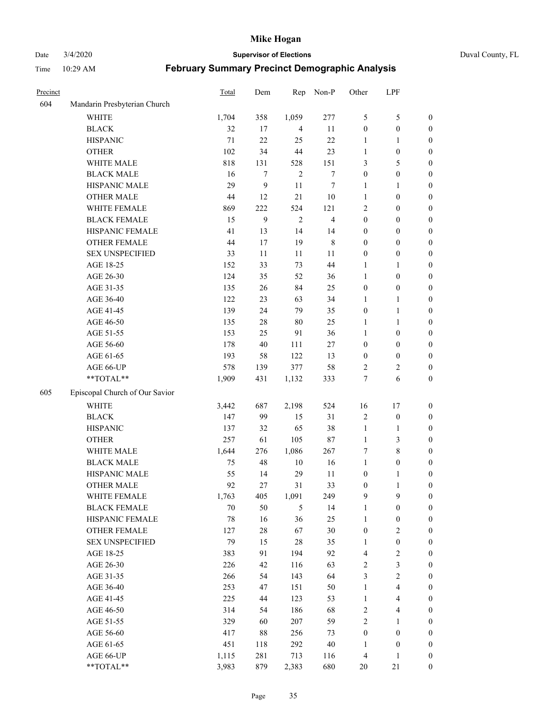Date 3/4/2020 **Supervisor of Elections** Duval County, FL

| Precinct |                                | Total | Dem    | Rep            | Non-P                   | Other            | LPF                     |                  |
|----------|--------------------------------|-------|--------|----------------|-------------------------|------------------|-------------------------|------------------|
| 604      | Mandarin Presbyterian Church   |       |        |                |                         |                  |                         |                  |
|          | <b>WHITE</b>                   | 1,704 | 358    | 1,059          | 277                     | 5                | $\mathfrak s$           | 0                |
|          | <b>BLACK</b>                   | 32    | 17     | $\overline{4}$ | 11                      | $\boldsymbol{0}$ | $\boldsymbol{0}$        | $\boldsymbol{0}$ |
|          | <b>HISPANIC</b>                | 71    | 22     | 25             | 22                      | 1                | 1                       | $\boldsymbol{0}$ |
|          | <b>OTHER</b>                   | 102   | 34     | 44             | 23                      | 1                | $\boldsymbol{0}$        | $\boldsymbol{0}$ |
|          | WHITE MALE                     | 818   | 131    | 528            | 151                     | 3                | 5                       | $\boldsymbol{0}$ |
|          | <b>BLACK MALE</b>              | 16    | 7      | $\overline{2}$ | $\boldsymbol{7}$        | $\boldsymbol{0}$ | $\boldsymbol{0}$        | $\boldsymbol{0}$ |
|          | HISPANIC MALE                  | 29    | 9      | 11             | $\tau$                  | 1                | 1                       | $\boldsymbol{0}$ |
|          | <b>OTHER MALE</b>              | 44    | 12     | 21             | $10\,$                  | $\mathbf{1}$     | $\boldsymbol{0}$        | $\boldsymbol{0}$ |
|          | WHITE FEMALE                   | 869   | 222    | 524            | 121                     | 2                | $\boldsymbol{0}$        | $\boldsymbol{0}$ |
|          | <b>BLACK FEMALE</b>            | 15    | 9      | $\overline{2}$ | $\overline{\mathbf{4}}$ | $\boldsymbol{0}$ | $\boldsymbol{0}$        | $\boldsymbol{0}$ |
|          | HISPANIC FEMALE                | 41    | 13     | 14             | 14                      | $\boldsymbol{0}$ | $\boldsymbol{0}$        | 0                |
|          | <b>OTHER FEMALE</b>            | 44    | 17     | 19             | $\,$ 8 $\,$             | $\boldsymbol{0}$ | $\boldsymbol{0}$        | $\boldsymbol{0}$ |
|          | <b>SEX UNSPECIFIED</b>         | 33    | 11     | 11             | $11\,$                  | $\boldsymbol{0}$ | $\boldsymbol{0}$        | $\boldsymbol{0}$ |
|          | AGE 18-25                      | 152   | 33     | 73             | 44                      | 1                | 1                       | $\boldsymbol{0}$ |
|          | AGE 26-30                      | 124   | 35     | 52             | 36                      | $\mathbf{1}$     | $\boldsymbol{0}$        | $\boldsymbol{0}$ |
|          | AGE 31-35                      | 135   | 26     | 84             | 25                      | $\boldsymbol{0}$ | $\boldsymbol{0}$        | $\boldsymbol{0}$ |
|          | AGE 36-40                      | 122   | 23     | 63             | 34                      | 1                | 1                       | $\boldsymbol{0}$ |
|          | AGE 41-45                      | 139   | 24     | 79             | 35                      | $\boldsymbol{0}$ | $\mathbf{1}$            | $\boldsymbol{0}$ |
|          | AGE 46-50                      | 135   | $28\,$ | 80             | 25                      | 1                | 1                       | $\boldsymbol{0}$ |
|          | AGE 51-55                      | 153   | 25     | 91             | 36                      | 1                | $\boldsymbol{0}$        | $\boldsymbol{0}$ |
|          | AGE 56-60                      | 178   | 40     | 111            | 27                      | $\boldsymbol{0}$ | $\boldsymbol{0}$        | 0                |
|          | AGE 61-65                      | 193   | 58     | 122            | 13                      | $\boldsymbol{0}$ | $\boldsymbol{0}$        | 0                |
|          | AGE 66-UP                      | 578   | 139    | 377            | 58                      | 2                | $\overline{c}$          | $\boldsymbol{0}$ |
|          | **TOTAL**                      | 1,909 | 431    | 1,132          | 333                     | 7                | 6                       | $\boldsymbol{0}$ |
| 605      | Episcopal Church of Our Savior |       |        |                |                         |                  |                         |                  |
|          | <b>WHITE</b>                   | 3,442 | 687    | 2,198          | 524                     | 16               | $17\,$                  | $\boldsymbol{0}$ |
|          | <b>BLACK</b>                   | 147   | 99     | 15             | 31                      | 2                | $\boldsymbol{0}$        | $\boldsymbol{0}$ |
|          | <b>HISPANIC</b>                | 137   | 32     | 65             | 38                      | $\mathbf{1}$     | $\mathbf{1}$            | $\boldsymbol{0}$ |
|          | <b>OTHER</b>                   | 257   | 61     | 105            | $87\,$                  | $\mathbf{1}$     | $\mathfrak{Z}$          | $\boldsymbol{0}$ |
|          | WHITE MALE                     | 1,644 | 276    | 1,086          | 267                     | 7                | $\,$ 8 $\,$             | $\boldsymbol{0}$ |
|          | <b>BLACK MALE</b>              | 75    | 48     | $10\,$         | 16                      | $\mathbf{1}$     | $\boldsymbol{0}$        | $\boldsymbol{0}$ |
|          | HISPANIC MALE                  | 55    | 14     | 29             | 11                      | $\boldsymbol{0}$ | 1                       | $\boldsymbol{0}$ |
|          | <b>OTHER MALE</b>              | 92    | 27     | 31             | 33                      | $\boldsymbol{0}$ | $\mathbf{1}$            | $\boldsymbol{0}$ |
|          | WHITE FEMALE                   | 1,763 | 405    | 1,091          | 249                     | 9                | 9                       | 0                |
|          | <b>BLACK FEMALE</b>            | 70    | 50     | 5              | 14                      | 1                | $\boldsymbol{0}$        | $\boldsymbol{0}$ |
|          | HISPANIC FEMALE                | 78    | 16     | 36             | 25                      | $\mathbf{1}$     | $\boldsymbol{0}$        | $\overline{0}$   |
|          | OTHER FEMALE                   | 127   | $28\,$ | 67             | $30\,$                  | $\boldsymbol{0}$ | $\sqrt{2}$              | 0                |
|          | <b>SEX UNSPECIFIED</b>         | 79    | 15     | 28             | 35                      | $\mathbf{1}$     | $\boldsymbol{0}$        | 0                |
|          | AGE 18-25                      | 383   | 91     | 194            | 92                      | 4                | $\sqrt{2}$              | 0                |
|          | AGE 26-30                      | 226   | 42     | 116            | 63                      | 2                | $\mathfrak z$           | 0                |
|          | AGE 31-35                      | 266   | 54     | 143            | 64                      | 3                | $\sqrt{2}$              | 0                |
|          | AGE 36-40                      | 253   | 47     | 151            | 50                      | $\mathbf{1}$     | $\overline{\mathbf{4}}$ | 0                |
|          | AGE 41-45                      | 225   | 44     | 123            | 53                      | $\mathbf{1}$     | $\overline{\mathbf{4}}$ | 0                |
|          | AGE 46-50                      | 314   | 54     | 186            | 68                      | 2                | $\overline{4}$          | 0                |
|          | AGE 51-55                      | 329   | 60     | 207            | 59                      | $\overline{c}$   | $\mathbf{1}$            | $\boldsymbol{0}$ |
|          | AGE 56-60                      | 417   | 88     | 256            | 73                      | $\boldsymbol{0}$ | $\boldsymbol{0}$        | $\boldsymbol{0}$ |
|          | AGE 61-65                      | 451   | 118    | 292            | $40\,$                  | 1                | $\boldsymbol{0}$        | $\boldsymbol{0}$ |
|          | AGE 66-UP                      | 1,115 | 281    | 713            | 116                     | 4                | $\mathbf{1}$            | 0                |
|          | **TOTAL**                      | 3,983 | 879    | 2,383          | 680                     | 20               | $21\,$                  | $\boldsymbol{0}$ |
|          |                                |       |        |                |                         |                  |                         |                  |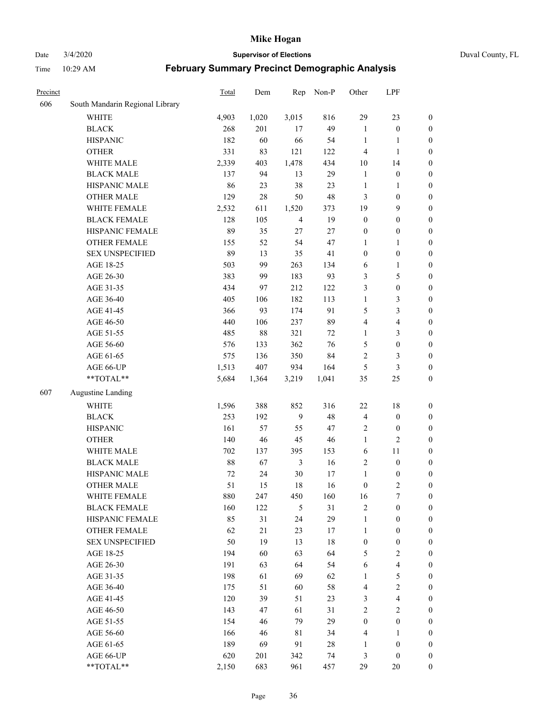Date 3/4/2020 **Supervisor of Elections** Duval County, FL

| Precinct |                                 | <b>Total</b> | Dem   | Rep            | Non-P  | Other            | LPF                     |                  |
|----------|---------------------------------|--------------|-------|----------------|--------|------------------|-------------------------|------------------|
| 606      | South Mandarin Regional Library |              |       |                |        |                  |                         |                  |
|          | <b>WHITE</b>                    | 4,903        | 1,020 | 3,015          | 816    | 29               | 23                      | $\boldsymbol{0}$ |
|          | <b>BLACK</b>                    | 268          | 201   | 17             | 49     | $\mathbf{1}$     | $\boldsymbol{0}$        | 0                |
|          | <b>HISPANIC</b>                 | 182          | 60    | 66             | 54     | $\mathbf{1}$     | $\mathbf{1}$            | $\boldsymbol{0}$ |
|          | <b>OTHER</b>                    | 331          | 83    | 121            | 122    | 4                | $\mathbf{1}$            | $\boldsymbol{0}$ |
|          | WHITE MALE                      | 2,339        | 403   | 1,478          | 434    | 10               | 14                      | $\boldsymbol{0}$ |
|          | <b>BLACK MALE</b>               | 137          | 94    | 13             | 29     | $\mathbf{1}$     | $\boldsymbol{0}$        | $\boldsymbol{0}$ |
|          | HISPANIC MALE                   | 86           | 23    | 38             | 23     | $\mathbf{1}$     | $\mathbf{1}$            | $\boldsymbol{0}$ |
|          | <b>OTHER MALE</b>               | 129          | 28    | 50             | 48     | 3                | $\boldsymbol{0}$        | $\boldsymbol{0}$ |
|          | WHITE FEMALE                    | 2,532        | 611   | 1,520          | 373    | 19               | $\mathbf{9}$            | $\boldsymbol{0}$ |
|          | <b>BLACK FEMALE</b>             | 128          | 105   | $\overline{4}$ | 19     | $\boldsymbol{0}$ | $\boldsymbol{0}$        | $\boldsymbol{0}$ |
|          | HISPANIC FEMALE                 | 89           | 35    | 27             | 27     | $\boldsymbol{0}$ | $\boldsymbol{0}$        | 0                |
|          | <b>OTHER FEMALE</b>             | 155          | 52    | 54             | 47     | 1                | $\mathbf{1}$            | $\boldsymbol{0}$ |
|          | <b>SEX UNSPECIFIED</b>          | 89           | 13    | 35             | 41     | $\boldsymbol{0}$ | $\boldsymbol{0}$        | $\boldsymbol{0}$ |
|          | AGE 18-25                       | 503          | 99    | 263            | 134    | 6                | $\mathbf{1}$            | $\boldsymbol{0}$ |
|          | AGE 26-30                       | 383          | 99    | 183            | 93     | 3                | $\mathfrak s$           | $\boldsymbol{0}$ |
|          | AGE 31-35                       | 434          | 97    | 212            | 122    | 3                | $\boldsymbol{0}$        | $\boldsymbol{0}$ |
|          | AGE 36-40                       | 405          | 106   | 182            | 113    | $\mathbf{1}$     | $\mathfrak{Z}$          | $\boldsymbol{0}$ |
|          | AGE 41-45                       | 366          | 93    | 174            | 91     | 5                | $\mathfrak{Z}$          | $\boldsymbol{0}$ |
|          | AGE 46-50                       | 440          | 106   | 237            | 89     | 4                | $\overline{\mathbf{4}}$ | $\boldsymbol{0}$ |
|          | AGE 51-55                       | 485          | 88    | 321            | 72     | $\mathbf{1}$     | $\mathfrak{Z}$          | $\boldsymbol{0}$ |
|          | AGE 56-60                       | 576          | 133   | 362            | 76     | 5                | $\boldsymbol{0}$        | 0                |
|          | AGE 61-65                       | 575          | 136   | 350            | 84     | $\overline{c}$   | 3                       | $\boldsymbol{0}$ |
|          | AGE 66-UP                       | 1,513        | 407   | 934            | 164    | 5                | $\mathfrak{Z}$          | $\boldsymbol{0}$ |
|          | **TOTAL**                       | 5,684        | 1,364 | 3,219          | 1,041  | 35               | 25                      | $\boldsymbol{0}$ |
| 607      | <b>Augustine Landing</b>        |              |       |                |        |                  |                         |                  |
|          | <b>WHITE</b>                    | 1,596        | 388   | 852            | 316    | 22               | $18\,$                  | $\boldsymbol{0}$ |
|          | <b>BLACK</b>                    | 253          | 192   | 9              | 48     | 4                | $\boldsymbol{0}$        | $\boldsymbol{0}$ |
|          | <b>HISPANIC</b>                 | 161          | 57    | 55             | 47     | $\overline{c}$   | $\boldsymbol{0}$        | $\boldsymbol{0}$ |
|          | <b>OTHER</b>                    | 140          | 46    | 45             | 46     | $\mathbf{1}$     | $\overline{2}$          | $\boldsymbol{0}$ |
|          | WHITE MALE                      | 702          | 137   | 395            | 153    | 6                | 11                      | $\boldsymbol{0}$ |
|          | <b>BLACK MALE</b>               | 88           | 67    | $\mathfrak{Z}$ | 16     | $\overline{c}$   | $\boldsymbol{0}$        | $\boldsymbol{0}$ |
|          | HISPANIC MALE                   | $72\,$       | 24    | $30\,$         | 17     | $\mathbf{1}$     | $\boldsymbol{0}$        | 0                |
|          | <b>OTHER MALE</b>               | 51           | 15    | 18             | 16     | $\boldsymbol{0}$ | $\overline{2}$          | $\boldsymbol{0}$ |
|          | WHITE FEMALE                    | 880          | 247   | 450            | 160    | 16               | 7                       | 0                |
|          | <b>BLACK FEMALE</b>             | 160          | 122   | 5              | 31     | $\sqrt{2}$       | $\boldsymbol{0}$        | $\boldsymbol{0}$ |
|          | HISPANIC FEMALE                 | 85           | 31    | 24             | 29     | $\mathbf{1}$     | $\boldsymbol{0}$        | $\overline{0}$   |
|          | OTHER FEMALE                    | 62           | 21    | 23             | 17     | $\mathbf{1}$     | $\boldsymbol{0}$        | $\overline{0}$   |
|          | <b>SEX UNSPECIFIED</b>          | 50           | 19    | 13             | 18     | $\boldsymbol{0}$ | $\boldsymbol{0}$        | 0                |
|          | AGE 18-25                       | 194          | 60    | 63             | 64     | 5                | $\sqrt{2}$              | $\theta$         |
|          | AGE 26-30                       | 191          | 63    | 64             | 54     | 6                | $\overline{\mathbf{4}}$ | 0                |
|          | AGE 31-35                       | 198          | 61    | 69             | 62     | $\mathbf{1}$     | $\sqrt{5}$              | 0                |
|          | AGE 36-40                       | 175          | 51    | 60             | 58     | 4                | $\sqrt{2}$              | 0                |
|          | AGE 41-45                       | 120          | 39    | 51             | 23     | 3                | $\overline{\mathbf{4}}$ | 0                |
|          | AGE 46-50                       | 143          | 47    | 61             | 31     | $\overline{2}$   | $\overline{2}$          | 0                |
|          | AGE 51-55                       | 154          | 46    | 79             | 29     | $\boldsymbol{0}$ | $\boldsymbol{0}$        | $\overline{0}$   |
|          | AGE 56-60                       | 166          | 46    | 81             | 34     | 4                | 1                       | $\overline{0}$   |
|          | AGE 61-65                       | 189          | 69    | 91             | $28\,$ | $\mathbf{1}$     | $\boldsymbol{0}$        | $\overline{0}$   |
|          | AGE 66-UP                       | 620          | 201   | 342            | 74     | 3                | $\boldsymbol{0}$        | $\boldsymbol{0}$ |
|          | **TOTAL**                       | 2,150        | 683   | 961            | 457    | 29               | 20                      | $\boldsymbol{0}$ |
|          |                                 |              |       |                |        |                  |                         |                  |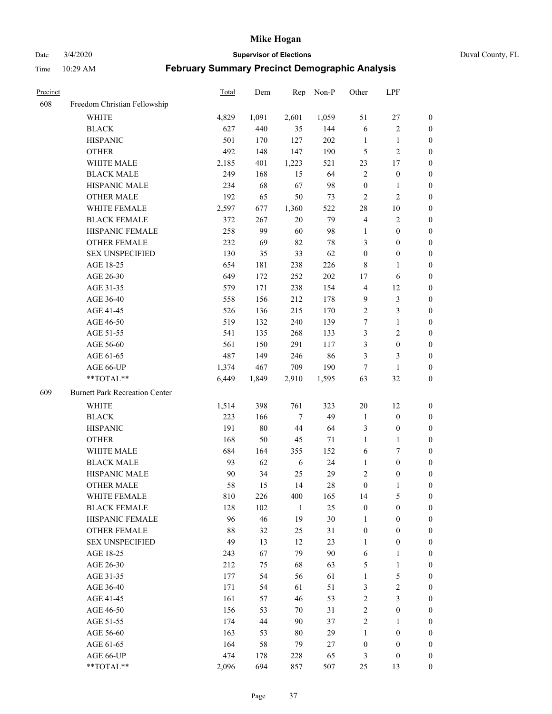Date 3/4/2020 **Supervisor of Elections** Duval County, FL

| Precinct |                                       | <b>Total</b> | Dem   | Rep            | Non-P | Other            | LPF              |                  |
|----------|---------------------------------------|--------------|-------|----------------|-------|------------------|------------------|------------------|
| 608      | Freedom Christian Fellowship          |              |       |                |       |                  |                  |                  |
|          | <b>WHITE</b>                          | 4,829        | 1,091 | 2,601          | 1,059 | 51               | $27\,$           | $\boldsymbol{0}$ |
|          | <b>BLACK</b>                          | 627          | 440   | 35             | 144   | 6                | $\sqrt{2}$       | $\boldsymbol{0}$ |
|          | <b>HISPANIC</b>                       | 501          | 170   | 127            | 202   | $\mathbf{1}$     | $\mathbf{1}$     | $\boldsymbol{0}$ |
|          | <b>OTHER</b>                          | 492          | 148   | 147            | 190   | 5                | $\sqrt{2}$       | $\boldsymbol{0}$ |
|          | WHITE MALE                            | 2,185        | 401   | 1,223          | 521   | 23               | 17               | $\boldsymbol{0}$ |
|          | <b>BLACK MALE</b>                     | 249          | 168   | 15             | 64    | $\overline{c}$   | $\boldsymbol{0}$ | $\boldsymbol{0}$ |
|          | HISPANIC MALE                         | 234          | 68    | 67             | 98    | $\boldsymbol{0}$ | $\mathbf{1}$     | $\boldsymbol{0}$ |
|          | <b>OTHER MALE</b>                     | 192          | 65    | 50             | 73    | $\overline{c}$   | $\overline{c}$   | $\boldsymbol{0}$ |
|          | WHITE FEMALE                          | 2,597        | 677   | 1,360          | 522   | 28               | $10\,$           | $\boldsymbol{0}$ |
|          | <b>BLACK FEMALE</b>                   | 372          | 267   | $20\,$         | 79    | $\overline{4}$   | $\sqrt{2}$       | $\boldsymbol{0}$ |
|          | HISPANIC FEMALE                       | 258          | 99    | 60             | 98    | 1                | $\boldsymbol{0}$ | 0                |
|          | OTHER FEMALE                          | 232          | 69    | 82             | 78    | 3                | $\boldsymbol{0}$ | 0                |
|          | <b>SEX UNSPECIFIED</b>                | 130          | 35    | 33             | 62    | $\boldsymbol{0}$ | $\boldsymbol{0}$ | $\boldsymbol{0}$ |
|          | AGE 18-25                             | 654          | 181   | 238            | 226   | $\,$ 8 $\,$      | $\mathbf{1}$     | $\boldsymbol{0}$ |
|          | AGE 26-30                             | 649          | 172   | 252            | 202   | 17               | 6                | $\boldsymbol{0}$ |
|          | AGE 31-35                             | 579          | 171   | 238            | 154   | $\overline{4}$   | 12               | $\boldsymbol{0}$ |
|          | AGE 36-40                             | 558          | 156   | 212            | 178   | 9                | $\mathfrak{Z}$   | $\boldsymbol{0}$ |
|          | AGE 41-45                             | 526          | 136   | 215            | 170   | $\sqrt{2}$       | $\mathfrak{Z}$   | $\boldsymbol{0}$ |
|          | AGE 46-50                             | 519          | 132   | 240            | 139   | 7                | $\mathbf{1}$     | $\boldsymbol{0}$ |
|          | AGE 51-55                             | 541          | 135   | 268            | 133   | 3                | $\sqrt{2}$       | $\boldsymbol{0}$ |
|          | AGE 56-60                             | 561          | 150   | 291            | 117   | 3                | $\boldsymbol{0}$ | 0                |
|          | AGE 61-65                             | 487          | 149   | 246            | 86    | 3                | 3                | 0                |
|          | AGE 66-UP                             | 1,374        | 467   | 709            | 190   | $\tau$           | $\mathbf{1}$     | $\boldsymbol{0}$ |
|          | **TOTAL**                             | 6,449        | 1,849 | 2,910          | 1,595 | 63               | 32               | $\boldsymbol{0}$ |
| 609      | <b>Burnett Park Recreation Center</b> |              |       |                |       |                  |                  |                  |
|          | <b>WHITE</b>                          | 1,514        | 398   | 761            | 323   | $20\,$           | 12               | $\boldsymbol{0}$ |
|          | <b>BLACK</b>                          | 223          | 166   | $\overline{7}$ | 49    | $\mathbf{1}$     | $\boldsymbol{0}$ | $\boldsymbol{0}$ |
|          | <b>HISPANIC</b>                       | 191          | 80    | $44\,$         | 64    | 3                | $\boldsymbol{0}$ | $\boldsymbol{0}$ |
|          | <b>OTHER</b>                          | 168          | 50    | 45             | 71    | $\mathbf{1}$     | $\mathbf{1}$     | $\boldsymbol{0}$ |
|          | <b>WHITE MALE</b>                     | 684          | 164   | 355            | 152   | 6                | $\boldsymbol{7}$ | $\boldsymbol{0}$ |
|          | <b>BLACK MALE</b>                     | 93           | 62    | 6              | 24    | $\mathbf{1}$     | $\boldsymbol{0}$ | $\boldsymbol{0}$ |
|          | HISPANIC MALE                         | 90           | 34    | 25             | 29    | $\overline{c}$   | $\boldsymbol{0}$ | 0                |
|          | <b>OTHER MALE</b>                     | 58           | 15    | 14             | 28    | $\boldsymbol{0}$ | $\mathbf{1}$     | 0                |
|          | WHITE FEMALE                          | 810          | 226   | 400            | 165   | 14               | 5                | 0                |
|          | <b>BLACK FEMALE</b>                   | 128          | 102   | $\mathbf{1}$   | 25    | $\boldsymbol{0}$ | $\boldsymbol{0}$ | $\overline{0}$   |
|          | HISPANIC FEMALE                       | 96           | 46    | 19             | 30    | $\mathbf{1}$     | $\boldsymbol{0}$ | $\overline{0}$   |
|          | <b>OTHER FEMALE</b>                   | 88           | 32    | 25             | 31    | $\boldsymbol{0}$ | $\boldsymbol{0}$ | $\overline{0}$   |
|          | <b>SEX UNSPECIFIED</b>                | 49           | 13    | 12             | 23    | $\mathbf{1}$     | $\boldsymbol{0}$ | 0                |
|          | AGE 18-25                             | 243          | 67    | 79             | 90    | 6                | $\mathbf{1}$     | 0                |
|          | AGE 26-30                             | 212          | 75    | 68             | 63    | 5                | $\mathbf{1}$     | 0                |
|          | AGE 31-35                             | 177          | 54    | 56             | 61    | $\mathbf{1}$     | $\mathfrak s$    | 0                |
|          | AGE 36-40                             | 171          | 54    | 61             | 51    | 3                | $\sqrt{2}$       | 0                |
|          | AGE 41-45                             | 161          | 57    | 46             | 53    | $\sqrt{2}$       | $\mathfrak{Z}$   | 0                |
|          | AGE 46-50                             | 156          | 53    | 70             | 31    | $\sqrt{2}$       | $\boldsymbol{0}$ | 0                |
|          | AGE 51-55                             | 174          | 44    | 90             | 37    | $\overline{c}$   | $\mathbf{1}$     | 0                |
|          | AGE 56-60                             | 163          | 53    | 80             | 29    | 1                | $\boldsymbol{0}$ | 0                |
|          | AGE 61-65                             | 164          | 58    | 79             | 27    | $\boldsymbol{0}$ | $\boldsymbol{0}$ | $\overline{0}$   |
|          | AGE 66-UP                             | 474          | 178   | 228            | 65    | 3                | $\boldsymbol{0}$ | 0                |
|          | **TOTAL**                             | 2,096        | 694   | 857            | 507   | 25               | 13               | $\boldsymbol{0}$ |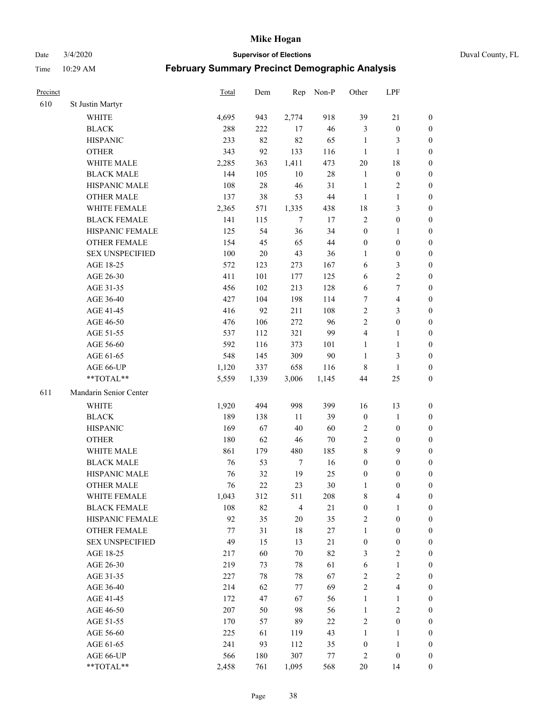Date 3/4/2020 **Supervisor of Elections** Duval County, FL

| Precinct |                        | <b>Total</b> | Dem    | Rep            | Non-P  | Other            | LPF                     |                  |
|----------|------------------------|--------------|--------|----------------|--------|------------------|-------------------------|------------------|
| 610      | St Justin Martyr       |              |        |                |        |                  |                         |                  |
|          | <b>WHITE</b>           | 4,695        | 943    | 2,774          | 918    | 39               | 21                      | 0                |
|          | <b>BLACK</b>           | 288          | 222    | 17             | 46     | 3                | $\boldsymbol{0}$        | 0                |
|          | <b>HISPANIC</b>        | 233          | 82     | 82             | 65     | $\mathbf{1}$     | 3                       | $\boldsymbol{0}$ |
|          | <b>OTHER</b>           | 343          | 92     | 133            | 116    | $\mathbf{1}$     | $\mathbf{1}$            | $\boldsymbol{0}$ |
|          | WHITE MALE             | 2,285        | 363    | 1,411          | 473    | 20               | 18                      | $\boldsymbol{0}$ |
|          | <b>BLACK MALE</b>      | 144          | 105    | 10             | $28\,$ | $\mathbf{1}$     | $\boldsymbol{0}$        | $\boldsymbol{0}$ |
|          | HISPANIC MALE          | 108          | 28     | 46             | 31     | $\mathbf{1}$     | $\sqrt{2}$              | $\boldsymbol{0}$ |
|          | <b>OTHER MALE</b>      | 137          | 38     | 53             | $44\,$ | $\mathbf{1}$     | $\mathbf{1}$            | $\boldsymbol{0}$ |
|          | <b>WHITE FEMALE</b>    | 2,365        | 571    | 1,335          | 438    | 18               | $\mathfrak{Z}$          | $\boldsymbol{0}$ |
|          | <b>BLACK FEMALE</b>    | 141          | 115    | $\overline{7}$ | 17     | $\overline{c}$   | $\boldsymbol{0}$        | 0                |
|          | HISPANIC FEMALE        | 125          | 54     | 36             | 34     | $\boldsymbol{0}$ | 1                       | 0                |
|          | <b>OTHER FEMALE</b>    | 154          | 45     | 65             | $44\,$ | $\boldsymbol{0}$ | $\boldsymbol{0}$        | $\boldsymbol{0}$ |
|          | <b>SEX UNSPECIFIED</b> | 100          | $20\,$ | 43             | 36     | $\mathbf{1}$     | $\boldsymbol{0}$        | $\boldsymbol{0}$ |
|          | AGE 18-25              | 572          | 123    | 273            | 167    | 6                | $\mathfrak{Z}$          | $\boldsymbol{0}$ |
|          | AGE 26-30              | 411          | 101    | 177            | 125    | 6                | $\sqrt{2}$              | $\boldsymbol{0}$ |
|          | AGE 31-35              | 456          | 102    | 213            | 128    | 6                | $\boldsymbol{7}$        | $\boldsymbol{0}$ |
|          | AGE 36-40              | 427          | 104    | 198            | 114    | 7                | $\overline{4}$          | $\boldsymbol{0}$ |
|          | AGE 41-45              | 416          | 92     | 211            | 108    | $\sqrt{2}$       | $\mathfrak{Z}$          | $\boldsymbol{0}$ |
|          | AGE 46-50              | 476          | 106    | 272            | 96     | $\overline{2}$   | $\boldsymbol{0}$        | $\boldsymbol{0}$ |
|          | AGE 51-55              | 537          | 112    | 321            | 99     | 4                | 1                       | 0                |
|          | AGE 56-60              | 592          | 116    | 373            | 101    | $\mathbf{1}$     | $\mathbf{1}$            | 0                |
|          | AGE 61-65              | 548          | 145    | 309            | 90     | $\mathbf{1}$     | 3                       | 0                |
|          | AGE 66-UP              | 1,120        | 337    | 658            | 116    | $\,$ 8 $\,$      | $\mathbf{1}$            | $\boldsymbol{0}$ |
|          | **TOTAL**              | 5,559        | 1,339  | 3,006          | 1,145  | 44               | 25                      | $\boldsymbol{0}$ |
| 611      | Mandarin Senior Center |              |        |                |        |                  |                         |                  |
|          | <b>WHITE</b>           | 1,920        | 494    | 998            | 399    | 16               | 13                      | $\boldsymbol{0}$ |
|          | <b>BLACK</b>           | 189          | 138    | 11             | 39     | $\boldsymbol{0}$ | $\mathbf{1}$            | $\boldsymbol{0}$ |
|          | <b>HISPANIC</b>        | 169          | 67     | 40             | 60     | $\overline{c}$   | $\boldsymbol{0}$        | $\boldsymbol{0}$ |
|          | <b>OTHER</b>           | 180          | 62     | 46             | $70\,$ | $\overline{c}$   | $\boldsymbol{0}$        | $\boldsymbol{0}$ |
|          | WHITE MALE             | 861          | 179    | 480            | 185    | 8                | 9                       | $\boldsymbol{0}$ |
|          | <b>BLACK MALE</b>      | 76           | 53     | $\overline{7}$ | 16     | $\boldsymbol{0}$ | $\boldsymbol{0}$        | $\boldsymbol{0}$ |
|          | HISPANIC MALE          | 76           | 32     | 19             | 25     | $\boldsymbol{0}$ | $\boldsymbol{0}$        | 0                |
|          | <b>OTHER MALE</b>      | 76           | 22     | 23             | 30     | 1                | $\boldsymbol{0}$        | $\boldsymbol{0}$ |
|          | WHITE FEMALE           | 1,043        | 312    | 511            | 208    | 8                | 4                       | 0                |
|          | <b>BLACK FEMALE</b>    | 108          | 82     | $\overline{4}$ | 21     | $\boldsymbol{0}$ | $\mathbf{1}$            | $\overline{0}$   |
|          | HISPANIC FEMALE        | 92           | 35     | $20\,$         | 35     | $\sqrt{2}$       | $\boldsymbol{0}$        | $\overline{0}$   |
|          | OTHER FEMALE           | 77           | 31     | $18\,$         | 27     | $\mathbf{1}$     | $\boldsymbol{0}$        | $\overline{0}$   |
|          | <b>SEX UNSPECIFIED</b> | 49           | 15     | 13             | 21     | $\boldsymbol{0}$ | $\boldsymbol{0}$        | 0                |
|          | AGE 18-25              | 217          | 60     | $70\,$         | 82     | 3                | $\sqrt{2}$              | 0                |
|          | AGE 26-30              | 219          | 73     | $78\,$         | 61     | 6                | $\mathbf{1}$            | 0                |
|          | AGE 31-35              | 227          | 78     | $78\,$         | 67     | $\sqrt{2}$       | $\sqrt{2}$              | 0                |
|          | AGE 36-40              | 214          | 62     | 77             | 69     | $\sqrt{2}$       | $\overline{\mathbf{4}}$ | 0                |
|          | AGE 41-45              | 172          | 47     | 67             | 56     | $\mathbf{1}$     | $\mathbf{1}$            | 0                |
|          | AGE 46-50              | 207          | 50     | 98             | 56     | $\mathbf{1}$     | $\sqrt{2}$              | 0                |
|          | AGE 51-55              | 170          | 57     | 89             | 22     | $\sqrt{2}$       | $\boldsymbol{0}$        | 0                |
|          | AGE 56-60              | 225          | 61     | 119            | 43     | 1                | 1                       | $\boldsymbol{0}$ |
|          | AGE 61-65              | 241          | 93     | 112            | 35     | $\boldsymbol{0}$ | $\mathbf{1}$            | $\boldsymbol{0}$ |
|          | AGE 66-UP              | 566          | 180    | 307            | 77     | $\overline{c}$   | $\boldsymbol{0}$        | $\boldsymbol{0}$ |
|          | **TOTAL**              | 2,458        | 761    | 1,095          | 568    | 20               | 14                      | $\boldsymbol{0}$ |
|          |                        |              |        |                |        |                  |                         |                  |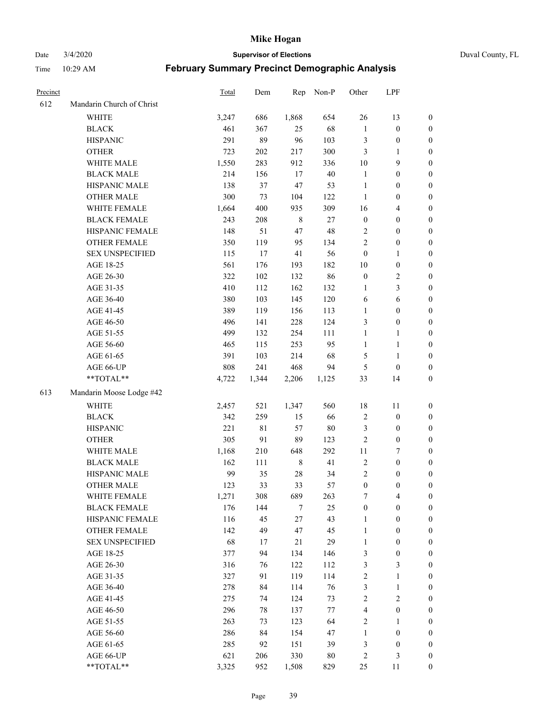Date 3/4/2020 **Supervisor of Elections** Duval County, FL

|                           |                                                                                                                                                                                                                                                                                                                                                                                                                                                                                                                      | Dem                                                                                                                                                                                                                                                  | Rep                                                                                                                                                                                     |                                                                                                                                                                                                                         |                                                                                                                                                                                                                  |                                                                                                                                                                                                                                                                                      |                                                                                                                                                                                                                                                                                                                                                |
|---------------------------|----------------------------------------------------------------------------------------------------------------------------------------------------------------------------------------------------------------------------------------------------------------------------------------------------------------------------------------------------------------------------------------------------------------------------------------------------------------------------------------------------------------------|------------------------------------------------------------------------------------------------------------------------------------------------------------------------------------------------------------------------------------------------------|-----------------------------------------------------------------------------------------------------------------------------------------------------------------------------------------|-------------------------------------------------------------------------------------------------------------------------------------------------------------------------------------------------------------------------|------------------------------------------------------------------------------------------------------------------------------------------------------------------------------------------------------------------|--------------------------------------------------------------------------------------------------------------------------------------------------------------------------------------------------------------------------------------------------------------------------------------|------------------------------------------------------------------------------------------------------------------------------------------------------------------------------------------------------------------------------------------------------------------------------------------------------------------------------------------------|
| Mandarin Church of Christ |                                                                                                                                                                                                                                                                                                                                                                                                                                                                                                                      |                                                                                                                                                                                                                                                      |                                                                                                                                                                                         |                                                                                                                                                                                                                         |                                                                                                                                                                                                                  |                                                                                                                                                                                                                                                                                      |                                                                                                                                                                                                                                                                                                                                                |
| <b>WHITE</b>              | 3,247                                                                                                                                                                                                                                                                                                                                                                                                                                                                                                                | 686                                                                                                                                                                                                                                                  | 1,868                                                                                                                                                                                   | 654                                                                                                                                                                                                                     | 26                                                                                                                                                                                                               | 13                                                                                                                                                                                                                                                                                   | 0                                                                                                                                                                                                                                                                                                                                              |
| <b>BLACK</b>              | 461                                                                                                                                                                                                                                                                                                                                                                                                                                                                                                                  | 367                                                                                                                                                                                                                                                  | 25                                                                                                                                                                                      | 68                                                                                                                                                                                                                      | $\mathbf{1}$                                                                                                                                                                                                     | $\boldsymbol{0}$                                                                                                                                                                                                                                                                     | 0                                                                                                                                                                                                                                                                                                                                              |
| <b>HISPANIC</b>           | 291                                                                                                                                                                                                                                                                                                                                                                                                                                                                                                                  | 89                                                                                                                                                                                                                                                   | 96                                                                                                                                                                                      | 103                                                                                                                                                                                                                     | 3                                                                                                                                                                                                                | $\boldsymbol{0}$                                                                                                                                                                                                                                                                     | $\boldsymbol{0}$                                                                                                                                                                                                                                                                                                                               |
| <b>OTHER</b>              | 723                                                                                                                                                                                                                                                                                                                                                                                                                                                                                                                  | 202                                                                                                                                                                                                                                                  | 217                                                                                                                                                                                     | 300                                                                                                                                                                                                                     | 3                                                                                                                                                                                                                | 1                                                                                                                                                                                                                                                                                    | $\boldsymbol{0}$                                                                                                                                                                                                                                                                                                                               |
| WHITE MALE                |                                                                                                                                                                                                                                                                                                                                                                                                                                                                                                                      | 283                                                                                                                                                                                                                                                  | 912                                                                                                                                                                                     | 336                                                                                                                                                                                                                     | 10                                                                                                                                                                                                               | 9                                                                                                                                                                                                                                                                                    | $\boldsymbol{0}$                                                                                                                                                                                                                                                                                                                               |
|                           | 214                                                                                                                                                                                                                                                                                                                                                                                                                                                                                                                  |                                                                                                                                                                                                                                                      |                                                                                                                                                                                         |                                                                                                                                                                                                                         | $\mathbf{1}$                                                                                                                                                                                                     | $\boldsymbol{0}$                                                                                                                                                                                                                                                                     | $\boldsymbol{0}$                                                                                                                                                                                                                                                                                                                               |
| HISPANIC MALE             | 138                                                                                                                                                                                                                                                                                                                                                                                                                                                                                                                  | 37                                                                                                                                                                                                                                                   | $47\,$                                                                                                                                                                                  | 53                                                                                                                                                                                                                      | $\mathbf{1}$                                                                                                                                                                                                     | $\boldsymbol{0}$                                                                                                                                                                                                                                                                     | $\boldsymbol{0}$                                                                                                                                                                                                                                                                                                                               |
| <b>OTHER MALE</b>         | 300                                                                                                                                                                                                                                                                                                                                                                                                                                                                                                                  | 73                                                                                                                                                                                                                                                   | 104                                                                                                                                                                                     | 122                                                                                                                                                                                                                     | $\mathbf{1}$                                                                                                                                                                                                     | $\boldsymbol{0}$                                                                                                                                                                                                                                                                     | $\boldsymbol{0}$                                                                                                                                                                                                                                                                                                                               |
| WHITE FEMALE              | 1,664                                                                                                                                                                                                                                                                                                                                                                                                                                                                                                                | 400                                                                                                                                                                                                                                                  | 935                                                                                                                                                                                     | 309                                                                                                                                                                                                                     | 16                                                                                                                                                                                                               | $\overline{\mathbf{4}}$                                                                                                                                                                                                                                                              | $\boldsymbol{0}$                                                                                                                                                                                                                                                                                                                               |
| <b>BLACK FEMALE</b>       | 243                                                                                                                                                                                                                                                                                                                                                                                                                                                                                                                  | 208                                                                                                                                                                                                                                                  | $\,$ 8 $\,$                                                                                                                                                                             | $27\,$                                                                                                                                                                                                                  | $\boldsymbol{0}$                                                                                                                                                                                                 | $\boldsymbol{0}$                                                                                                                                                                                                                                                                     | $\boldsymbol{0}$                                                                                                                                                                                                                                                                                                                               |
| HISPANIC FEMALE           |                                                                                                                                                                                                                                                                                                                                                                                                                                                                                                                      | 51                                                                                                                                                                                                                                                   | 47                                                                                                                                                                                      | 48                                                                                                                                                                                                                      | 2                                                                                                                                                                                                                | $\boldsymbol{0}$                                                                                                                                                                                                                                                                     | 0                                                                                                                                                                                                                                                                                                                                              |
| OTHER FEMALE              |                                                                                                                                                                                                                                                                                                                                                                                                                                                                                                                      | 119                                                                                                                                                                                                                                                  | 95                                                                                                                                                                                      | 134                                                                                                                                                                                                                     | $\overline{2}$                                                                                                                                                                                                   | $\boldsymbol{0}$                                                                                                                                                                                                                                                                     | $\boldsymbol{0}$                                                                                                                                                                                                                                                                                                                               |
| <b>SEX UNSPECIFIED</b>    | 115                                                                                                                                                                                                                                                                                                                                                                                                                                                                                                                  | 17                                                                                                                                                                                                                                                   | 41                                                                                                                                                                                      | 56                                                                                                                                                                                                                      | $\boldsymbol{0}$                                                                                                                                                                                                 | $\mathbf{1}$                                                                                                                                                                                                                                                                         | $\boldsymbol{0}$                                                                                                                                                                                                                                                                                                                               |
| AGE 18-25                 | 561                                                                                                                                                                                                                                                                                                                                                                                                                                                                                                                  | 176                                                                                                                                                                                                                                                  | 193                                                                                                                                                                                     | 182                                                                                                                                                                                                                     |                                                                                                                                                                                                                  | $\boldsymbol{0}$                                                                                                                                                                                                                                                                     | $\boldsymbol{0}$                                                                                                                                                                                                                                                                                                                               |
|                           |                                                                                                                                                                                                                                                                                                                                                                                                                                                                                                                      |                                                                                                                                                                                                                                                      |                                                                                                                                                                                         |                                                                                                                                                                                                                         |                                                                                                                                                                                                                  |                                                                                                                                                                                                                                                                                      | $\boldsymbol{0}$                                                                                                                                                                                                                                                                                                                               |
|                           |                                                                                                                                                                                                                                                                                                                                                                                                                                                                                                                      |                                                                                                                                                                                                                                                      |                                                                                                                                                                                         |                                                                                                                                                                                                                         | $\mathbf{1}$                                                                                                                                                                                                     |                                                                                                                                                                                                                                                                                      | $\boldsymbol{0}$                                                                                                                                                                                                                                                                                                                               |
|                           |                                                                                                                                                                                                                                                                                                                                                                                                                                                                                                                      |                                                                                                                                                                                                                                                      |                                                                                                                                                                                         |                                                                                                                                                                                                                         |                                                                                                                                                                                                                  |                                                                                                                                                                                                                                                                                      | $\boldsymbol{0}$                                                                                                                                                                                                                                                                                                                               |
|                           |                                                                                                                                                                                                                                                                                                                                                                                                                                                                                                                      |                                                                                                                                                                                                                                                      |                                                                                                                                                                                         |                                                                                                                                                                                                                         | $\mathbf{1}$                                                                                                                                                                                                     |                                                                                                                                                                                                                                                                                      | $\boldsymbol{0}$                                                                                                                                                                                                                                                                                                                               |
|                           |                                                                                                                                                                                                                                                                                                                                                                                                                                                                                                                      |                                                                                                                                                                                                                                                      |                                                                                                                                                                                         |                                                                                                                                                                                                                         |                                                                                                                                                                                                                  |                                                                                                                                                                                                                                                                                      | $\boldsymbol{0}$                                                                                                                                                                                                                                                                                                                               |
|                           |                                                                                                                                                                                                                                                                                                                                                                                                                                                                                                                      |                                                                                                                                                                                                                                                      |                                                                                                                                                                                         |                                                                                                                                                                                                                         | $\mathbf{1}$                                                                                                                                                                                                     | 1                                                                                                                                                                                                                                                                                    | 0                                                                                                                                                                                                                                                                                                                                              |
|                           |                                                                                                                                                                                                                                                                                                                                                                                                                                                                                                                      |                                                                                                                                                                                                                                                      |                                                                                                                                                                                         |                                                                                                                                                                                                                         | $\mathbf{1}$                                                                                                                                                                                                     | $\mathbf{1}$                                                                                                                                                                                                                                                                         | 0                                                                                                                                                                                                                                                                                                                                              |
|                           |                                                                                                                                                                                                                                                                                                                                                                                                                                                                                                                      |                                                                                                                                                                                                                                                      |                                                                                                                                                                                         |                                                                                                                                                                                                                         |                                                                                                                                                                                                                  | $\mathbf{1}$                                                                                                                                                                                                                                                                         | 0                                                                                                                                                                                                                                                                                                                                              |
|                           |                                                                                                                                                                                                                                                                                                                                                                                                                                                                                                                      |                                                                                                                                                                                                                                                      |                                                                                                                                                                                         | 94                                                                                                                                                                                                                      |                                                                                                                                                                                                                  |                                                                                                                                                                                                                                                                                      | $\boldsymbol{0}$                                                                                                                                                                                                                                                                                                                               |
| **TOTAL**                 |                                                                                                                                                                                                                                                                                                                                                                                                                                                                                                                      |                                                                                                                                                                                                                                                      |                                                                                                                                                                                         |                                                                                                                                                                                                                         |                                                                                                                                                                                                                  | 14                                                                                                                                                                                                                                                                                   | $\boldsymbol{0}$                                                                                                                                                                                                                                                                                                                               |
|                           |                                                                                                                                                                                                                                                                                                                                                                                                                                                                                                                      |                                                                                                                                                                                                                                                      |                                                                                                                                                                                         |                                                                                                                                                                                                                         |                                                                                                                                                                                                                  |                                                                                                                                                                                                                                                                                      |                                                                                                                                                                                                                                                                                                                                                |
|                           |                                                                                                                                                                                                                                                                                                                                                                                                                                                                                                                      |                                                                                                                                                                                                                                                      |                                                                                                                                                                                         |                                                                                                                                                                                                                         |                                                                                                                                                                                                                  |                                                                                                                                                                                                                                                                                      | $\boldsymbol{0}$                                                                                                                                                                                                                                                                                                                               |
|                           |                                                                                                                                                                                                                                                                                                                                                                                                                                                                                                                      |                                                                                                                                                                                                                                                      |                                                                                                                                                                                         |                                                                                                                                                                                                                         |                                                                                                                                                                                                                  |                                                                                                                                                                                                                                                                                      | $\boldsymbol{0}$                                                                                                                                                                                                                                                                                                                               |
|                           |                                                                                                                                                                                                                                                                                                                                                                                                                                                                                                                      |                                                                                                                                                                                                                                                      |                                                                                                                                                                                         |                                                                                                                                                                                                                         |                                                                                                                                                                                                                  |                                                                                                                                                                                                                                                                                      | $\boldsymbol{0}$                                                                                                                                                                                                                                                                                                                               |
|                           |                                                                                                                                                                                                                                                                                                                                                                                                                                                                                                                      |                                                                                                                                                                                                                                                      |                                                                                                                                                                                         |                                                                                                                                                                                                                         |                                                                                                                                                                                                                  |                                                                                                                                                                                                                                                                                      | $\boldsymbol{0}$                                                                                                                                                                                                                                                                                                                               |
|                           |                                                                                                                                                                                                                                                                                                                                                                                                                                                                                                                      |                                                                                                                                                                                                                                                      |                                                                                                                                                                                         |                                                                                                                                                                                                                         |                                                                                                                                                                                                                  |                                                                                                                                                                                                                                                                                      | $\boldsymbol{0}$                                                                                                                                                                                                                                                                                                                               |
|                           |                                                                                                                                                                                                                                                                                                                                                                                                                                                                                                                      |                                                                                                                                                                                                                                                      |                                                                                                                                                                                         |                                                                                                                                                                                                                         |                                                                                                                                                                                                                  |                                                                                                                                                                                                                                                                                      | $\boldsymbol{0}$                                                                                                                                                                                                                                                                                                                               |
|                           |                                                                                                                                                                                                                                                                                                                                                                                                                                                                                                                      |                                                                                                                                                                                                                                                      |                                                                                                                                                                                         |                                                                                                                                                                                                                         |                                                                                                                                                                                                                  |                                                                                                                                                                                                                                                                                      | $\boldsymbol{0}$                                                                                                                                                                                                                                                                                                                               |
|                           |                                                                                                                                                                                                                                                                                                                                                                                                                                                                                                                      |                                                                                                                                                                                                                                                      |                                                                                                                                                                                         |                                                                                                                                                                                                                         |                                                                                                                                                                                                                  |                                                                                                                                                                                                                                                                                      | $\boldsymbol{0}$                                                                                                                                                                                                                                                                                                                               |
|                           |                                                                                                                                                                                                                                                                                                                                                                                                                                                                                                                      |                                                                                                                                                                                                                                                      |                                                                                                                                                                                         |                                                                                                                                                                                                                         |                                                                                                                                                                                                                  |                                                                                                                                                                                                                                                                                      | 0                                                                                                                                                                                                                                                                                                                                              |
|                           |                                                                                                                                                                                                                                                                                                                                                                                                                                                                                                                      |                                                                                                                                                                                                                                                      |                                                                                                                                                                                         |                                                                                                                                                                                                                         |                                                                                                                                                                                                                  |                                                                                                                                                                                                                                                                                      | $\boldsymbol{0}$                                                                                                                                                                                                                                                                                                                               |
|                           |                                                                                                                                                                                                                                                                                                                                                                                                                                                                                                                      |                                                                                                                                                                                                                                                      |                                                                                                                                                                                         |                                                                                                                                                                                                                         | $\mathbf{1}$                                                                                                                                                                                                     | $\boldsymbol{0}$                                                                                                                                                                                                                                                                     | $\overline{0}$                                                                                                                                                                                                                                                                                                                                 |
|                           |                                                                                                                                                                                                                                                                                                                                                                                                                                                                                                                      |                                                                                                                                                                                                                                                      |                                                                                                                                                                                         |                                                                                                                                                                                                                         | $\mathbf{1}$                                                                                                                                                                                                     | $\boldsymbol{0}$                                                                                                                                                                                                                                                                     | $\overline{0}$                                                                                                                                                                                                                                                                                                                                 |
|                           |                                                                                                                                                                                                                                                                                                                                                                                                                                                                                                                      |                                                                                                                                                                                                                                                      |                                                                                                                                                                                         |                                                                                                                                                                                                                         | $\mathbf{1}$                                                                                                                                                                                                     | $\boldsymbol{0}$                                                                                                                                                                                                                                                                     | 0                                                                                                                                                                                                                                                                                                                                              |
|                           |                                                                                                                                                                                                                                                                                                                                                                                                                                                                                                                      | 94                                                                                                                                                                                                                                                   |                                                                                                                                                                                         |                                                                                                                                                                                                                         |                                                                                                                                                                                                                  | $\boldsymbol{0}$                                                                                                                                                                                                                                                                     | 0                                                                                                                                                                                                                                                                                                                                              |
|                           |                                                                                                                                                                                                                                                                                                                                                                                                                                                                                                                      |                                                                                                                                                                                                                                                      | 122                                                                                                                                                                                     |                                                                                                                                                                                                                         |                                                                                                                                                                                                                  |                                                                                                                                                                                                                                                                                      | 0                                                                                                                                                                                                                                                                                                                                              |
|                           |                                                                                                                                                                                                                                                                                                                                                                                                                                                                                                                      |                                                                                                                                                                                                                                                      |                                                                                                                                                                                         |                                                                                                                                                                                                                         |                                                                                                                                                                                                                  | $\mathbf{1}$                                                                                                                                                                                                                                                                         | 0                                                                                                                                                                                                                                                                                                                                              |
|                           |                                                                                                                                                                                                                                                                                                                                                                                                                                                                                                                      |                                                                                                                                                                                                                                                      |                                                                                                                                                                                         |                                                                                                                                                                                                                         |                                                                                                                                                                                                                  |                                                                                                                                                                                                                                                                                      | 0                                                                                                                                                                                                                                                                                                                                              |
|                           |                                                                                                                                                                                                                                                                                                                                                                                                                                                                                                                      | 74                                                                                                                                                                                                                                                   |                                                                                                                                                                                         |                                                                                                                                                                                                                         |                                                                                                                                                                                                                  | $\overline{c}$                                                                                                                                                                                                                                                                       | 0                                                                                                                                                                                                                                                                                                                                              |
|                           |                                                                                                                                                                                                                                                                                                                                                                                                                                                                                                                      |                                                                                                                                                                                                                                                      |                                                                                                                                                                                         |                                                                                                                                                                                                                         | 4                                                                                                                                                                                                                |                                                                                                                                                                                                                                                                                      | 0                                                                                                                                                                                                                                                                                                                                              |
|                           |                                                                                                                                                                                                                                                                                                                                                                                                                                                                                                                      | 73                                                                                                                                                                                                                                                   |                                                                                                                                                                                         |                                                                                                                                                                                                                         |                                                                                                                                                                                                                  | $\mathbf{1}$                                                                                                                                                                                                                                                                         | 0                                                                                                                                                                                                                                                                                                                                              |
| AGE 56-60                 | 286                                                                                                                                                                                                                                                                                                                                                                                                                                                                                                                  | 84                                                                                                                                                                                                                                                   | 154                                                                                                                                                                                     | 47                                                                                                                                                                                                                      | $\mathbf{1}$                                                                                                                                                                                                     | $\boldsymbol{0}$                                                                                                                                                                                                                                                                     | 0                                                                                                                                                                                                                                                                                                                                              |
| AGE 61-65                 | 285                                                                                                                                                                                                                                                                                                                                                                                                                                                                                                                  | 92                                                                                                                                                                                                                                                   | 151                                                                                                                                                                                     | 39                                                                                                                                                                                                                      | 3                                                                                                                                                                                                                | $\boldsymbol{0}$                                                                                                                                                                                                                                                                     | 0                                                                                                                                                                                                                                                                                                                                              |
| AGE 66-UP                 | 621                                                                                                                                                                                                                                                                                                                                                                                                                                                                                                                  | 206                                                                                                                                                                                                                                                  | 330                                                                                                                                                                                     | 80                                                                                                                                                                                                                      | $\overline{c}$                                                                                                                                                                                                   | 3                                                                                                                                                                                                                                                                                    | 0                                                                                                                                                                                                                                                                                                                                              |
| **TOTAL**                 | 3,325                                                                                                                                                                                                                                                                                                                                                                                                                                                                                                                | 952                                                                                                                                                                                                                                                  | 1,508                                                                                                                                                                                   | 829                                                                                                                                                                                                                     | 25                                                                                                                                                                                                               | 11                                                                                                                                                                                                                                                                                   | $\boldsymbol{0}$                                                                                                                                                                                                                                                                                                                               |
|                           | <b>BLACK MALE</b><br>AGE 26-30<br>AGE 31-35<br>AGE 36-40<br>AGE 41-45<br>AGE 46-50<br>AGE 51-55<br>AGE 56-60<br>AGE 61-65<br>AGE 66-UP<br>Mandarin Moose Lodge #42<br><b>WHITE</b><br><b>BLACK</b><br><b>HISPANIC</b><br><b>OTHER</b><br>WHITE MALE<br><b>BLACK MALE</b><br>HISPANIC MALE<br><b>OTHER MALE</b><br>WHITE FEMALE<br><b>BLACK FEMALE</b><br>HISPANIC FEMALE<br><b>OTHER FEMALE</b><br><b>SEX UNSPECIFIED</b><br>AGE 18-25<br>AGE 26-30<br>AGE 31-35<br>AGE 36-40<br>AGE 41-45<br>AGE 46-50<br>AGE 51-55 | Total<br>1,550<br>148<br>350<br>322<br>410<br>380<br>389<br>496<br>499<br>465<br>391<br>808<br>4,722<br>2,457<br>342<br>221<br>305<br>1,168<br>162<br>99<br>123<br>1,271<br>176<br>116<br>142<br>68<br>377<br>316<br>327<br>278<br>275<br>296<br>263 | 156<br>102<br>112<br>103<br>119<br>141<br>132<br>115<br>103<br>241<br>1,344<br>521<br>259<br>81<br>91<br>210<br>111<br>35<br>33<br>308<br>144<br>45<br>49<br>17<br>76<br>91<br>84<br>78 | 17<br>132<br>162<br>145<br>156<br>228<br>254<br>253<br>214<br>468<br>2,206<br>1,347<br>15<br>57<br>89<br>648<br>$\,$ 8 $\,$<br>$28\,$<br>33<br>689<br>7<br>$27\,$<br>47<br>21<br>134<br>119<br>114<br>124<br>137<br>123 | Non-P<br>$40\,$<br>86<br>132<br>120<br>113<br>124<br>111<br>95<br>68<br>1,125<br>560<br>66<br>$80\,$<br>123<br>292<br>41<br>34<br>57<br>263<br>25<br>43<br>45<br>29<br>146<br>112<br>114<br>76<br>73<br>77<br>64 | Other<br>$10\,$<br>$\boldsymbol{0}$<br>6<br>3<br>5<br>$\mathfrak{S}$<br>33<br>18<br>$\boldsymbol{2}$<br>3<br>$\sqrt{2}$<br>$11\,$<br>$\sqrt{2}$<br>$\overline{c}$<br>$\boldsymbol{0}$<br>7<br>$\boldsymbol{0}$<br>$\mathfrak{Z}$<br>3<br>$\sqrt{2}$<br>3<br>$\sqrt{2}$<br>$\sqrt{2}$ | LPF<br>$\sqrt{2}$<br>$\mathfrak{Z}$<br>$\sqrt{6}$<br>$\boldsymbol{0}$<br>$\boldsymbol{0}$<br>$\boldsymbol{0}$<br>11<br>$\boldsymbol{0}$<br>$\boldsymbol{0}$<br>$\boldsymbol{0}$<br>$\boldsymbol{7}$<br>$\boldsymbol{0}$<br>$\boldsymbol{0}$<br>$\boldsymbol{0}$<br>4<br>$\boldsymbol{0}$<br>$\mathfrak{Z}$<br>$\mathbf{1}$<br>$\boldsymbol{0}$ |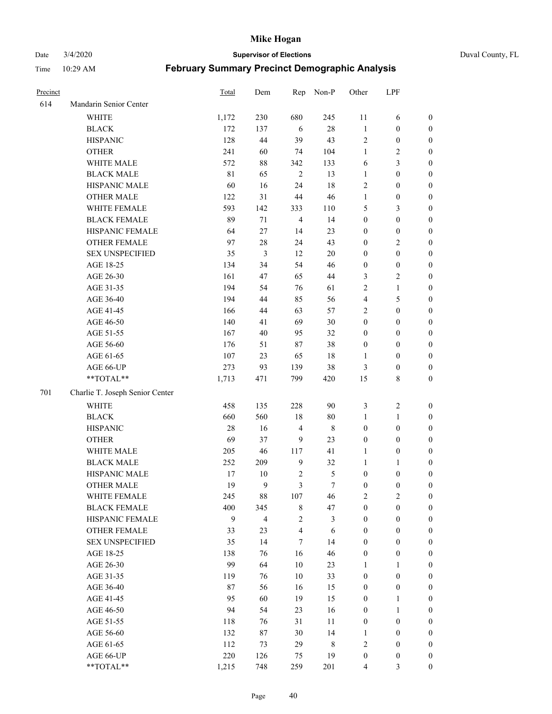Date 3/4/2020 **Supervisor of Elections** Duval County, FL

| Precinct |                                 | Total | Dem                      | Rep                     | Non-P          | Other            | LPF              |                                      |
|----------|---------------------------------|-------|--------------------------|-------------------------|----------------|------------------|------------------|--------------------------------------|
| 614      | Mandarin Senior Center          |       |                          |                         |                |                  |                  |                                      |
|          | <b>WHITE</b>                    | 1,172 | 230                      | 680                     | 245            | 11               | 6                | 0                                    |
|          | <b>BLACK</b>                    | 172   | 137                      | 6                       | $28\,$         | $\mathbf{1}$     | $\boldsymbol{0}$ | $\boldsymbol{0}$                     |
|          | <b>HISPANIC</b>                 | 128   | 44                       | 39                      | 43             | $\sqrt{2}$       | $\boldsymbol{0}$ | $\boldsymbol{0}$                     |
|          | <b>OTHER</b>                    | 241   | 60                       | 74                      | 104            | 1                | $\sqrt{2}$       | $\boldsymbol{0}$                     |
|          | WHITE MALE                      | 572   | $88\,$                   | 342                     | 133            | 6                | $\mathfrak{Z}$   | $\boldsymbol{0}$                     |
|          | <b>BLACK MALE</b>               | 81    | 65                       | $\sqrt{2}$              | 13             | $\mathbf{1}$     | $\boldsymbol{0}$ | $\boldsymbol{0}$                     |
|          | HISPANIC MALE                   | 60    | 16                       | 24                      | 18             | 2                | $\boldsymbol{0}$ | $\boldsymbol{0}$                     |
|          | <b>OTHER MALE</b>               | 122   | 31                       | 44                      | $46\,$         | $\mathbf{1}$     | $\boldsymbol{0}$ | $\boldsymbol{0}$                     |
|          | WHITE FEMALE                    | 593   | 142                      | 333                     | 110            | 5                | $\mathfrak{Z}$   | $\boldsymbol{0}$                     |
|          | <b>BLACK FEMALE</b>             | 89    | 71                       | $\overline{4}$          | 14             | $\boldsymbol{0}$ | $\boldsymbol{0}$ | $\boldsymbol{0}$                     |
|          | HISPANIC FEMALE                 | 64    | 27                       | 14                      | 23             | $\boldsymbol{0}$ | $\boldsymbol{0}$ | 0                                    |
|          | <b>OTHER FEMALE</b>             | 97    | 28                       | 24                      | 43             | $\boldsymbol{0}$ | $\sqrt{2}$       | $\boldsymbol{0}$                     |
|          | <b>SEX UNSPECIFIED</b>          | 35    | 3                        | 12                      | 20             | $\boldsymbol{0}$ | $\boldsymbol{0}$ | $\boldsymbol{0}$                     |
|          | AGE 18-25                       | 134   | 34                       | 54                      | 46             | $\boldsymbol{0}$ | $\boldsymbol{0}$ | $\boldsymbol{0}$                     |
|          | AGE 26-30                       | 161   | 47                       | 65                      | $44\,$         | 3                | $\sqrt{2}$       | $\boldsymbol{0}$                     |
|          | AGE 31-35                       | 194   | 54                       | 76                      | 61             | $\overline{c}$   | $\mathbf{1}$     | $\boldsymbol{0}$                     |
|          | AGE 36-40                       | 194   | 44                       | 85                      | 56             | 4                | $\mathfrak s$    | $\boldsymbol{0}$                     |
|          | AGE 41-45                       | 166   | 44                       | 63                      | 57             | $\overline{c}$   | $\boldsymbol{0}$ | $\boldsymbol{0}$                     |
|          | AGE 46-50                       | 140   | 41                       | 69                      | $30\,$         | $\boldsymbol{0}$ | $\boldsymbol{0}$ | $\boldsymbol{0}$                     |
|          | AGE 51-55                       | 167   | 40                       | 95                      | 32             | $\boldsymbol{0}$ | $\boldsymbol{0}$ | $\boldsymbol{0}$                     |
|          | AGE 56-60                       | 176   | 51                       | 87                      | 38             | $\boldsymbol{0}$ | $\boldsymbol{0}$ |                                      |
|          | AGE 61-65                       | 107   | 23                       | 65                      | 18             | 1                | $\boldsymbol{0}$ | 0<br>0                               |
|          | AGE 66-UP                       | 273   |                          | 139                     | 38             |                  | $\boldsymbol{0}$ |                                      |
|          | **TOTAL**                       | 1,713 | 93<br>471                | 799                     | 420            | 3<br>15          | $\,$ 8 $\,$      | $\boldsymbol{0}$<br>$\boldsymbol{0}$ |
|          |                                 |       |                          |                         |                |                  |                  |                                      |
| 701      | Charlie T. Joseph Senior Center |       |                          |                         |                |                  |                  |                                      |
|          | <b>WHITE</b>                    | 458   | 135                      | 228                     | 90             | 3                | $\boldsymbol{2}$ | $\boldsymbol{0}$                     |
|          | <b>BLACK</b>                    | 660   | 560                      | 18                      | $80\,$         | $\mathbf{1}$     | $\mathbf{1}$     | $\boldsymbol{0}$                     |
|          | <b>HISPANIC</b>                 | 28    | 16                       | $\overline{4}$          | $\,$ 8 $\,$    | $\boldsymbol{0}$ | $\boldsymbol{0}$ | $\boldsymbol{0}$                     |
|          | <b>OTHER</b>                    | 69    | 37                       | 9                       | 23             | $\boldsymbol{0}$ | $\boldsymbol{0}$ | $\boldsymbol{0}$                     |
|          | WHITE MALE                      | 205   | 46                       | 117                     | 41             | $\mathbf{1}$     | $\boldsymbol{0}$ | $\boldsymbol{0}$                     |
|          | <b>BLACK MALE</b>               | 252   | 209                      | $\overline{9}$          | 32             | $\mathbf{1}$     | 1                | $\boldsymbol{0}$                     |
|          | HISPANIC MALE                   | 17    | 10                       | $\sqrt{2}$              | $\mathfrak s$  | $\boldsymbol{0}$ | $\boldsymbol{0}$ | 0                                    |
|          | OTHER MALE                      | 19    | 9                        | 3                       | $\tau$         | $\boldsymbol{0}$ | $\boldsymbol{0}$ | $\boldsymbol{0}$                     |
|          | WHITE FEMALE                    | 245   | 88                       | 107                     | 46             | 2                | $\overline{c}$   | 0                                    |
|          | <b>BLACK FEMALE</b>             | 400   | 345                      | 8                       | 47             | $\boldsymbol{0}$ | $\boldsymbol{0}$ | $\overline{0}$                       |
|          | HISPANIC FEMALE                 | 9     | $\overline{\mathcal{L}}$ | $\sqrt{2}$              | $\mathfrak{Z}$ | $\boldsymbol{0}$ | $\boldsymbol{0}$ | $\overline{0}$                       |
|          | OTHER FEMALE                    | 33    | 23                       | $\overline{\mathbf{4}}$ | 6              | $\boldsymbol{0}$ | $\boldsymbol{0}$ | $\overline{0}$                       |
|          | <b>SEX UNSPECIFIED</b>          | 35    | 14                       | 7                       | 14             | $\boldsymbol{0}$ | $\boldsymbol{0}$ | $\overline{0}$                       |
|          | AGE 18-25                       | 138   | 76                       | 16                      | 46             | $\boldsymbol{0}$ | $\boldsymbol{0}$ | $\overline{0}$                       |
|          | AGE 26-30                       | 99    | 64                       | 10                      | 23             | $\mathbf{1}$     | $\mathbf{1}$     | $\overline{0}$                       |
|          | AGE 31-35                       | 119   | 76                       | $10\,$                  | 33             | $\boldsymbol{0}$ | $\boldsymbol{0}$ | 0                                    |
|          | AGE 36-40                       | 87    | 56                       | 16                      | 15             | $\boldsymbol{0}$ | $\boldsymbol{0}$ | 0                                    |
|          | AGE 41-45                       | 95    | 60                       | 19                      | 15             | $\boldsymbol{0}$ | $\mathbf{1}$     | 0                                    |
|          | AGE 46-50                       | 94    | 54                       | 23                      | 16             | $\boldsymbol{0}$ | $\mathbf{1}$     | 0                                    |
|          | AGE 51-55                       | 118   | 76                       | 31                      | 11             | $\boldsymbol{0}$ | $\boldsymbol{0}$ | 0                                    |
|          | AGE 56-60                       | 132   | 87                       | 30                      | 14             | 1                | $\boldsymbol{0}$ | $\overline{0}$                       |
|          | AGE 61-65                       | 112   | 73                       | 29                      | 8              | 2                | $\boldsymbol{0}$ | $\overline{0}$                       |
|          | AGE 66-UP                       | 220   | 126                      | 75                      | 19             | $\boldsymbol{0}$ | $\boldsymbol{0}$ | 0                                    |
|          | **TOTAL**                       | 1,215 | 748                      | 259                     | 201            | 4                | $\mathfrak{Z}$   | $\boldsymbol{0}$                     |
|          |                                 |       |                          |                         |                |                  |                  |                                      |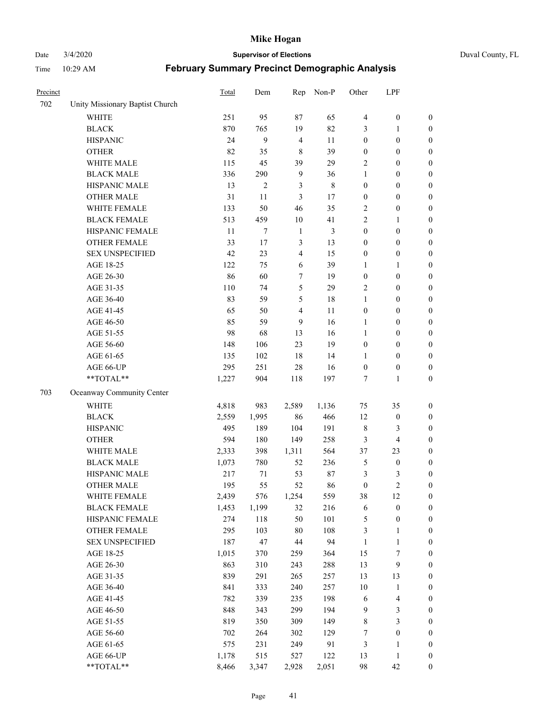Date 3/4/2020 **Supervisor of Elections** Duval County, FL

| Precinct |                                 | Total | Dem            | Rep            | Non-P       | Other            | LPF              |                  |
|----------|---------------------------------|-------|----------------|----------------|-------------|------------------|------------------|------------------|
| 702      | Unity Missionary Baptist Church |       |                |                |             |                  |                  |                  |
|          | <b>WHITE</b>                    | 251   | 95             | 87             | 65          | $\overline{4}$   | $\boldsymbol{0}$ | $\boldsymbol{0}$ |
|          | <b>BLACK</b>                    | 870   | 765            | 19             | 82          | 3                | 1                | $\boldsymbol{0}$ |
|          | <b>HISPANIC</b>                 | 24    | 9              | $\overline{4}$ | 11          | $\boldsymbol{0}$ | $\boldsymbol{0}$ | $\boldsymbol{0}$ |
|          | <b>OTHER</b>                    | 82    | 35             | $\,$ 8 $\,$    | 39          | $\boldsymbol{0}$ | $\boldsymbol{0}$ | $\boldsymbol{0}$ |
|          | WHITE MALE                      | 115   | 45             | 39             | 29          | $\overline{c}$   | $\boldsymbol{0}$ | $\boldsymbol{0}$ |
|          | <b>BLACK MALE</b>               | 336   | 290            | $\overline{9}$ | 36          | 1                | $\boldsymbol{0}$ | $\boldsymbol{0}$ |
|          | HISPANIC MALE                   | 13    | $\overline{c}$ | 3              | $\,$ 8 $\,$ | $\boldsymbol{0}$ | $\boldsymbol{0}$ | $\boldsymbol{0}$ |
|          | <b>OTHER MALE</b>               | 31    | 11             | 3              | 17          | $\boldsymbol{0}$ | $\boldsymbol{0}$ | $\boldsymbol{0}$ |
|          | WHITE FEMALE                    | 133   | 50             | 46             | 35          | $\overline{c}$   | $\boldsymbol{0}$ | $\boldsymbol{0}$ |
|          | <b>BLACK FEMALE</b>             | 513   | 459            | $10\,$         | 41          | $\overline{c}$   | 1                | $\boldsymbol{0}$ |
|          | HISPANIC FEMALE                 | 11    | 7              | $\mathbf{1}$   | 3           | $\boldsymbol{0}$ | $\boldsymbol{0}$ | $\boldsymbol{0}$ |
|          | <b>OTHER FEMALE</b>             | 33    | 17             | $\mathfrak{Z}$ | 13          | $\boldsymbol{0}$ | $\boldsymbol{0}$ | $\boldsymbol{0}$ |
|          | <b>SEX UNSPECIFIED</b>          | 42    | 23             | $\overline{4}$ | 15          | $\boldsymbol{0}$ | $\boldsymbol{0}$ | $\boldsymbol{0}$ |
|          | AGE 18-25                       | 122   | 75             | 6              | 39          | 1                | 1                | $\boldsymbol{0}$ |
|          | AGE 26-30                       | 86    | 60             | 7              | 19          | $\boldsymbol{0}$ | $\boldsymbol{0}$ | $\boldsymbol{0}$ |
|          | AGE 31-35                       | 110   | 74             | 5              | 29          | $\sqrt{2}$       | $\boldsymbol{0}$ | $\boldsymbol{0}$ |
|          | AGE 36-40                       | 83    | 59             | $\mathfrak s$  | 18          | $\mathbf{1}$     | $\boldsymbol{0}$ | $\boldsymbol{0}$ |
|          | AGE 41-45                       | 65    | 50             | $\overline{4}$ | 11          | $\boldsymbol{0}$ | $\boldsymbol{0}$ | $\boldsymbol{0}$ |
|          | AGE 46-50                       | 85    | 59             | 9              | 16          | $\mathbf{1}$     | $\boldsymbol{0}$ | $\boldsymbol{0}$ |
|          | AGE 51-55                       | 98    | 68             | 13             | 16          | $\mathbf{1}$     | $\boldsymbol{0}$ | $\boldsymbol{0}$ |
|          | AGE 56-60                       | 148   | 106            | 23             | 19          | $\boldsymbol{0}$ | $\boldsymbol{0}$ | 0                |
|          | AGE 61-65                       | 135   | 102            | 18             | 14          | 1                | $\boldsymbol{0}$ | $\boldsymbol{0}$ |
|          | AGE 66-UP                       | 295   | 251            | 28             | 16          | $\boldsymbol{0}$ | $\boldsymbol{0}$ | $\boldsymbol{0}$ |
|          | **TOTAL**                       | 1,227 | 904            | 118            | 197         | 7                | $\mathbf{1}$     | $\boldsymbol{0}$ |
| 703      | Oceanway Community Center       |       |                |                |             |                  |                  |                  |
|          | <b>WHITE</b>                    | 4,818 | 983            | 2,589          | 1,136       | 75               | 35               | $\boldsymbol{0}$ |
|          | <b>BLACK</b>                    | 2,559 | 1,995          | 86             | 466         | 12               | $\boldsymbol{0}$ | $\boldsymbol{0}$ |
|          | <b>HISPANIC</b>                 | 495   | 189            | 104            | 191         | 8                | 3                | $\boldsymbol{0}$ |
|          | <b>OTHER</b>                    | 594   | 180            | 149            | 258         | 3                | $\overline{4}$   | $\boldsymbol{0}$ |
|          | WHITE MALE                      | 2,333 | 398            | 1,311          | 564         | 37               | 23               | $\boldsymbol{0}$ |
|          | <b>BLACK MALE</b>               | 1,073 | 780            | 52             | 236         | 5                | $\boldsymbol{0}$ | $\boldsymbol{0}$ |
|          | HISPANIC MALE                   | 217   | 71             | 53             | 87          | 3                | 3                | $\boldsymbol{0}$ |
|          | <b>OTHER MALE</b>               | 195   | 55             | 52             | 86          | $\boldsymbol{0}$ | $\overline{2}$   | $\boldsymbol{0}$ |
|          | WHITE FEMALE                    | 2,439 | 576            | 1,254          | 559         | 38               | 12               | 0                |
|          | <b>BLACK FEMALE</b>             | 1,453 | 1,199          | 32             | 216         | 6                | $\boldsymbol{0}$ | $\boldsymbol{0}$ |
|          | HISPANIC FEMALE                 | 274   | 118            | 50             | 101         | 5                | $\boldsymbol{0}$ | $\boldsymbol{0}$ |
|          | <b>OTHER FEMALE</b>             | 295   | 103            | $80\,$         | 108         | 3                | $\mathbf{1}$     | $\overline{0}$   |
|          | <b>SEX UNSPECIFIED</b>          | 187   | 47             | 44             | 94          | $\mathbf{1}$     | $\mathbf{1}$     | 0                |
|          | AGE 18-25                       | 1,015 | 370            | 259            | 364         | 15               | $\boldsymbol{7}$ | 0                |
|          | AGE 26-30                       | 863   | 310            | 243            | 288         | 13               | $\mathbf{9}$     | 0                |
|          | AGE 31-35                       | 839   | 291            | 265            | 257         | 13               | 13               | 0                |
|          | AGE 36-40                       | 841   | 333            | 240            | 257         | $10\,$           | $\mathbf{1}$     | 0                |
|          | AGE 41-45                       | 782   | 339            | 235            | 198         | 6                | $\overline{4}$   | 0                |
|          | AGE 46-50                       | 848   | 343            | 299            | 194         | 9                | $\mathfrak{Z}$   | 0                |
|          | AGE 51-55                       | 819   | 350            | 309            | 149         | 8                | $\mathfrak{Z}$   | $\boldsymbol{0}$ |
|          | AGE 56-60                       | 702   | 264            | 302            | 129         | 7                | $\boldsymbol{0}$ | $\boldsymbol{0}$ |
|          | AGE 61-65                       | 575   | 231            | 249            | 91          | 3                | 1                | $\boldsymbol{0}$ |
|          | AGE 66-UP                       | 1,178 | 515            | 527            | 122         | 13               | $\mathbf{1}$     | $\boldsymbol{0}$ |
|          | **TOTAL**                       | 8,466 | 3,347          | 2,928          | 2,051       | 98               | 42               | $\boldsymbol{0}$ |
|          |                                 |       |                |                |             |                  |                  |                  |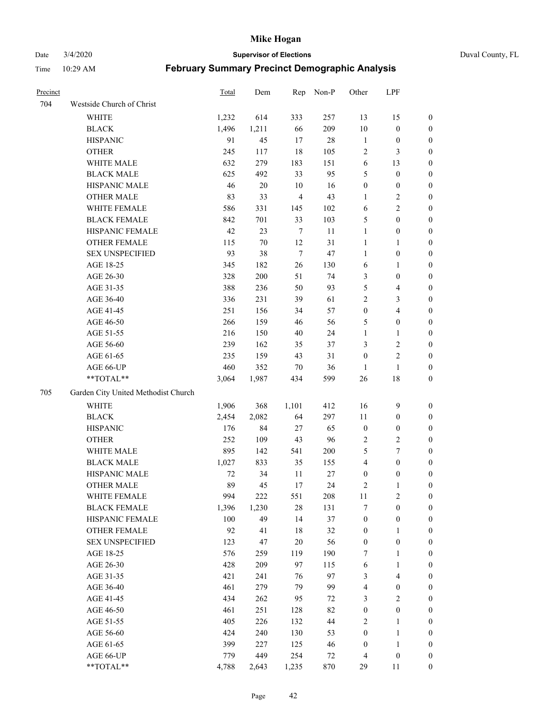Date 3/4/2020 **Supervisor of Elections** Duval County, FL

| <b>Precinct</b> |                                     | Total          | Dem          | Rep            | Non-P         | Other                                | LPF                                  |                                      |
|-----------------|-------------------------------------|----------------|--------------|----------------|---------------|--------------------------------------|--------------------------------------|--------------------------------------|
| 704             | Westside Church of Christ           |                |              |                |               |                                      |                                      |                                      |
|                 | <b>WHITE</b>                        | 1,232          | 614          | 333            | 257           | 13                                   | 15                                   | 0                                    |
|                 | <b>BLACK</b>                        | 1,496          | 1,211        | 66             | 209           | 10                                   | $\boldsymbol{0}$                     | 0                                    |
|                 | <b>HISPANIC</b>                     | 91             | 45           | 17             | $28\,$        | $\mathbf{1}$                         | $\boldsymbol{0}$                     | 0                                    |
|                 | <b>OTHER</b>                        | 245            | 117          | 18             | 105           | $\overline{c}$                       | $\mathfrak{Z}$                       | $\boldsymbol{0}$                     |
|                 | WHITE MALE                          | 632            | 279          | 183            | 151           | 6                                    | 13                                   | $\boldsymbol{0}$                     |
|                 | <b>BLACK MALE</b>                   | 625            | 492          | 33             | 95            | 5                                    | $\boldsymbol{0}$                     | $\boldsymbol{0}$                     |
|                 | HISPANIC MALE                       | 46             | $20\,$       | 10             | 16            | $\boldsymbol{0}$                     | $\boldsymbol{0}$                     | $\boldsymbol{0}$                     |
|                 | <b>OTHER MALE</b>                   | 83             | 33           | $\overline{4}$ | 43            | $\mathbf{1}$                         | $\overline{c}$                       | $\boldsymbol{0}$                     |
|                 | WHITE FEMALE                        | 586            | 331          | 145            | 102           | 6                                    | $\overline{2}$                       | $\boldsymbol{0}$                     |
|                 | <b>BLACK FEMALE</b>                 | 842            | 701          | 33             | 103           | 5                                    | $\boldsymbol{0}$                     | 0                                    |
|                 | HISPANIC FEMALE                     | 42             | 23           | $\overline{7}$ | 11            | $\mathbf{1}$                         | $\boldsymbol{0}$                     | 0                                    |
|                 | OTHER FEMALE                        | 115            | 70           | 12             | 31            | $\mathbf{1}$                         | 1                                    | 0                                    |
|                 | <b>SEX UNSPECIFIED</b>              | 93             | 38           | $\overline{7}$ | 47            | $\mathbf{1}$                         | $\boldsymbol{0}$                     | $\boldsymbol{0}$                     |
|                 | AGE 18-25                           | 345            | 182          | 26             | 130           | 6                                    | 1                                    | $\boldsymbol{0}$                     |
|                 | AGE 26-30                           | 328            | 200          | 51             | 74            | 3                                    | $\boldsymbol{0}$                     | $\boldsymbol{0}$                     |
|                 | AGE 31-35                           | 388            | 236          | 50             | 93            | 5                                    | $\overline{4}$                       | $\boldsymbol{0}$                     |
|                 | AGE 36-40                           | 336            | 231          | 39             | 61            | $\overline{2}$                       | $\mathfrak{Z}$                       | $\boldsymbol{0}$                     |
|                 | AGE 41-45                           | 251            | 156          | 34             | 57            | $\boldsymbol{0}$                     | $\overline{\mathbf{4}}$              | $\boldsymbol{0}$                     |
|                 | AGE 46-50                           | 266            | 159          | 46             | 56            | 5                                    | $\boldsymbol{0}$                     | $\boldsymbol{0}$                     |
|                 | AGE 51-55                           | 216            | 150          | 40             | 24            | $\mathbf{1}$                         | 1                                    | $\boldsymbol{0}$                     |
|                 | AGE 56-60                           | 239            | 162          | 35             | 37            | 3                                    | $\sqrt{2}$                           | 0                                    |
|                 | AGE 61-65                           | 235            | 159          | 43             | 31            | $\boldsymbol{0}$                     | $\sqrt{2}$                           | 0                                    |
|                 | AGE 66-UP                           | 460            | 352          | $70\,$         | 36            | 1                                    | $\mathbf{1}$                         | 0                                    |
|                 | **TOTAL**                           | 3,064          | 1,987        | 434            | 599           | 26                                   | $18\,$                               | $\boldsymbol{0}$                     |
| 705             | Garden City United Methodist Church |                |              |                |               |                                      |                                      |                                      |
|                 | <b>WHITE</b>                        |                | 368          |                | 412           | 16                                   | $\mathbf{9}$                         |                                      |
|                 | <b>BLACK</b>                        | 1,906<br>2,454 | 2,082        | 1,101<br>64    | 297           | 11                                   |                                      | $\boldsymbol{0}$                     |
|                 | <b>HISPANIC</b>                     | 176            | 84           |                | 65            | $\boldsymbol{0}$                     | $\boldsymbol{0}$<br>$\boldsymbol{0}$ | $\boldsymbol{0}$                     |
|                 |                                     |                | 109          | 27<br>43       | 96            |                                      | $\sqrt{2}$                           | $\boldsymbol{0}$                     |
|                 | <b>OTHER</b>                        | 252            |              |                |               | $\overline{c}$                       |                                      | $\boldsymbol{0}$                     |
|                 | WHITE MALE<br><b>BLACK MALE</b>     | 895            | 142          | 541            | 200           | 5<br>$\overline{4}$                  | $\tau$<br>$\boldsymbol{0}$           | $\boldsymbol{0}$                     |
|                 | HISPANIC MALE                       | 1,027          | 833          | 35             | 155<br>$27\,$ |                                      |                                      | $\boldsymbol{0}$                     |
|                 | <b>OTHER MALE</b>                   | 72<br>89       | 34<br>45     | 11             | 24            | $\boldsymbol{0}$                     | $\boldsymbol{0}$                     | 0                                    |
|                 |                                     |                |              | 17             |               | 2                                    | $\mathbf{1}$                         | 0                                    |
|                 | WHITE FEMALE<br><b>BLACK FEMALE</b> | 994            | 222<br>1,230 | 551<br>$28\,$  | 208           | 11<br>7                              | $\overline{c}$<br>$\boldsymbol{0}$   | 0                                    |
|                 | HISPANIC FEMALE                     | 1,396<br>100   | 49           | 14             | 131<br>37     | $\boldsymbol{0}$                     |                                      | $\boldsymbol{0}$<br>$\overline{0}$   |
|                 | <b>OTHER FEMALE</b>                 | 92             | 41           | 18             | 32            |                                      | $\boldsymbol{0}$<br>$\mathbf{1}$     | $\overline{0}$                       |
|                 | <b>SEX UNSPECIFIED</b>              | 123            | 47           | $20\,$         | 56            | $\boldsymbol{0}$<br>$\boldsymbol{0}$ | $\boldsymbol{0}$                     | 0                                    |
|                 | AGE 18-25                           | 576            | 259          | 119            | 190           | 7                                    | $\mathbf{1}$                         | $\overline{0}$                       |
|                 | AGE 26-30                           | 428            | 209          | 97             | 115           | 6                                    | $\mathbf{1}$                         | 0                                    |
|                 | AGE 31-35                           | 421            | 241          | 76             | 97            | 3                                    | $\overline{\mathbf{4}}$              | 0                                    |
|                 | AGE 36-40                           | 461            | 279          | 79             | 99            | 4                                    | $\boldsymbol{0}$                     | 0                                    |
|                 | AGE 41-45                           | 434            | 262          | 95             | 72            | 3                                    | $\overline{c}$                       | 0                                    |
|                 | AGE 46-50                           | 461            | 251          | 128            | 82            | $\boldsymbol{0}$                     | $\boldsymbol{0}$                     | 0                                    |
|                 |                                     |                |              |                |               |                                      |                                      |                                      |
|                 | AGE 51-55<br>AGE 56-60              | 405<br>424     | 226<br>240   | 132<br>130     | 44<br>53      | $\overline{c}$<br>$\boldsymbol{0}$   | $\mathbf{1}$<br>$\mathbf{1}$         | $\boldsymbol{0}$<br>$\boldsymbol{0}$ |
|                 | AGE 61-65                           | 399            | 227          | 125            | 46            | $\boldsymbol{0}$                     | $\mathbf{1}$                         | $\overline{0}$                       |
|                 | AGE 66-UP                           | 779            | 449          | 254            | 72            | $\overline{4}$                       | $\boldsymbol{0}$                     | $\boldsymbol{0}$                     |
|                 | **TOTAL**                           | 4,788          | 2,643        | 1,235          | 870           | 29                                   | 11                                   | $\boldsymbol{0}$                     |
|                 |                                     |                |              |                |               |                                      |                                      |                                      |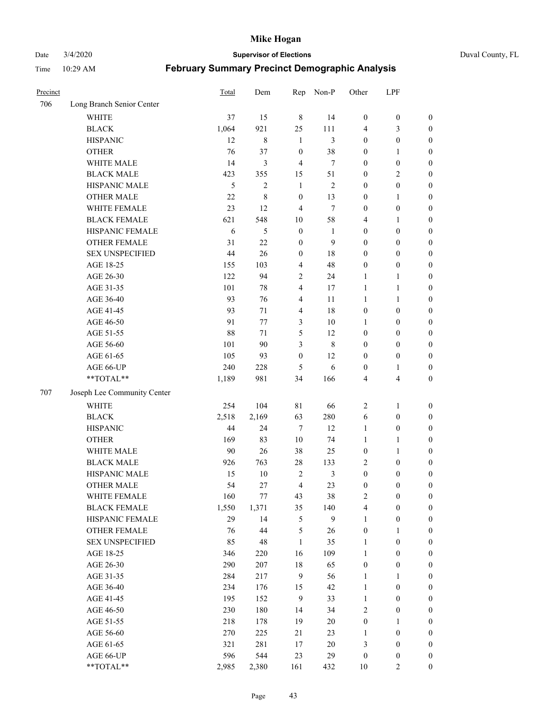Date 3/4/2020 **Supervisor of Elections** Duval County, FL

| Precinct |                             | Total | Dem            | Rep              | Non-P          | Other            | LPF                     |                  |
|----------|-----------------------------|-------|----------------|------------------|----------------|------------------|-------------------------|------------------|
| 706      | Long Branch Senior Center   |       |                |                  |                |                  |                         |                  |
|          | <b>WHITE</b>                | 37    | 15             | $\,8\,$          | 14             | $\boldsymbol{0}$ | $\boldsymbol{0}$        | $\boldsymbol{0}$ |
|          | <b>BLACK</b>                | 1,064 | 921            | 25               | 111            | 4                | 3                       | $\boldsymbol{0}$ |
|          | <b>HISPANIC</b>             | 12    | 8              | $\mathbf{1}$     | 3              | $\boldsymbol{0}$ | $\boldsymbol{0}$        | $\boldsymbol{0}$ |
|          | <b>OTHER</b>                | 76    | 37             | $\boldsymbol{0}$ | 38             | $\boldsymbol{0}$ | 1                       | $\boldsymbol{0}$ |
|          | WHITE MALE                  | 14    | 3              | $\overline{4}$   | 7              | $\boldsymbol{0}$ | $\boldsymbol{0}$        | $\boldsymbol{0}$ |
|          | <b>BLACK MALE</b>           | 423   | 355            | 15               | 51             | $\boldsymbol{0}$ | $\overline{2}$          | $\boldsymbol{0}$ |
|          | HISPANIC MALE               | 5     | $\overline{c}$ | $\mathbf{1}$     | 2              | $\boldsymbol{0}$ | $\boldsymbol{0}$        | $\boldsymbol{0}$ |
|          | <b>OTHER MALE</b>           | 22    | 8              | $\boldsymbol{0}$ | 13             | $\boldsymbol{0}$ | $\mathbf{1}$            | $\boldsymbol{0}$ |
|          | WHITE FEMALE                | 23    | 12             | $\overline{4}$   | $\tau$         | $\boldsymbol{0}$ | $\boldsymbol{0}$        | $\boldsymbol{0}$ |
|          | <b>BLACK FEMALE</b>         | 621   | 548            | $10\,$           | 58             | 4                | 1                       | $\boldsymbol{0}$ |
|          | HISPANIC FEMALE             | 6     | 5              | $\boldsymbol{0}$ | 1              | $\boldsymbol{0}$ | $\boldsymbol{0}$        | 0                |
|          | <b>OTHER FEMALE</b>         | 31    | 22             | $\boldsymbol{0}$ | 9              | $\boldsymbol{0}$ | $\boldsymbol{0}$        | $\boldsymbol{0}$ |
|          | <b>SEX UNSPECIFIED</b>      | 44    | 26             | $\boldsymbol{0}$ | 18             | $\boldsymbol{0}$ | $\boldsymbol{0}$        | $\boldsymbol{0}$ |
|          | AGE 18-25                   | 155   | 103            | $\overline{4}$   | 48             | $\boldsymbol{0}$ | $\boldsymbol{0}$        | $\boldsymbol{0}$ |
|          | AGE 26-30                   | 122   | 94             | $\sqrt{2}$       | 24             | $\mathbf{1}$     | $\mathbf{1}$            | $\boldsymbol{0}$ |
|          | AGE 31-35                   | 101   | 78             | $\overline{4}$   | 17             | $\mathbf{1}$     | $\mathbf{1}$            | $\boldsymbol{0}$ |
|          | AGE 36-40                   | 93    | 76             | $\overline{4}$   | 11             | $\mathbf{1}$     | 1                       | $\boldsymbol{0}$ |
|          | AGE 41-45                   | 93    | 71             | $\overline{4}$   | 18             | $\boldsymbol{0}$ | $\boldsymbol{0}$        | $\boldsymbol{0}$ |
|          | AGE 46-50                   | 91    | 77             | $\mathfrak{Z}$   | $10\,$         | 1                | $\boldsymbol{0}$        | $\boldsymbol{0}$ |
|          | AGE 51-55                   | 88    | 71             | $\mathfrak s$    | 12             | $\boldsymbol{0}$ | $\boldsymbol{0}$        | $\boldsymbol{0}$ |
|          | AGE 56-60                   | 101   | 90             | 3                | $\,8\,$        | $\boldsymbol{0}$ | $\boldsymbol{0}$        | 0                |
|          | AGE 61-65                   | 105   | 93             | $\boldsymbol{0}$ | 12             | $\boldsymbol{0}$ | $\boldsymbol{0}$        | 0                |
|          | AGE 66-UP                   | 240   | 228            | 5                | 6              | $\boldsymbol{0}$ | 1                       | $\boldsymbol{0}$ |
|          | **TOTAL**                   | 1,189 | 981            | 34               | 166            | 4                | $\overline{\mathbf{4}}$ | $\boldsymbol{0}$ |
| 707      | Joseph Lee Community Center |       |                |                  |                |                  |                         |                  |
|          | <b>WHITE</b>                | 254   | 104            | 81               | 66             | $\sqrt{2}$       | 1                       | $\boldsymbol{0}$ |
|          | <b>BLACK</b>                | 2,518 | 2,169          | 63               | 280            | 6                | $\boldsymbol{0}$        | $\boldsymbol{0}$ |
|          | <b>HISPANIC</b>             | 44    | 24             | $\overline{7}$   | 12             | $\mathbf{1}$     | $\boldsymbol{0}$        | $\boldsymbol{0}$ |
|          | <b>OTHER</b>                | 169   | 83             | 10               | 74             | $\mathbf{1}$     | $\mathbf{1}$            | $\boldsymbol{0}$ |
|          | WHITE MALE                  | 90    | 26             | 38               | 25             | $\boldsymbol{0}$ | $\mathbf{1}$            | $\boldsymbol{0}$ |
|          | <b>BLACK MALE</b>           | 926   | 763            | $28\,$           | 133            | $\overline{c}$   | $\boldsymbol{0}$        | $\boldsymbol{0}$ |
|          | HISPANIC MALE               | 15    | $10\,$         | $\overline{2}$   | $\mathfrak{Z}$ | $\boldsymbol{0}$ | $\boldsymbol{0}$        | $\boldsymbol{0}$ |
|          | <b>OTHER MALE</b>           | 54    | 27             | $\overline{4}$   | 23             | $\boldsymbol{0}$ | $\boldsymbol{0}$        | $\boldsymbol{0}$ |
|          | WHITE FEMALE                | 160   | 77             | 43               | 38             | 2                | $\boldsymbol{0}$        | 0                |
|          | <b>BLACK FEMALE</b>         | 1,550 | 1,371          | 35               | 140            | 4                | $\boldsymbol{0}$        | $\boldsymbol{0}$ |
|          | HISPANIC FEMALE             | 29    | 14             | $\mathfrak s$    | 9              | $\mathbf{1}$     | $\boldsymbol{0}$        | $\overline{0}$   |
|          | OTHER FEMALE                | 76    | 44             | $\mathfrak s$    | 26             | $\boldsymbol{0}$ | $\mathbf{1}$            | $\overline{0}$   |
|          | <b>SEX UNSPECIFIED</b>      | 85    | 48             | $\mathbf{1}$     | 35             | $\mathbf{1}$     | $\boldsymbol{0}$        | $\overline{0}$   |
|          | AGE 18-25                   | 346   | 220            | 16               | 109            | $\mathbf{1}$     | $\boldsymbol{0}$        | $\overline{0}$   |
|          | AGE 26-30                   | 290   | 207            | $18\,$           | 65             | $\boldsymbol{0}$ | $\boldsymbol{0}$        | 0                |
|          | AGE 31-35                   | 284   | 217            | $\mathbf{9}$     | 56             | $\mathbf{1}$     | $\mathbf{1}$            | 0                |
|          | AGE 36-40                   | 234   | 176            | 15               | 42             | $\mathbf{1}$     | $\boldsymbol{0}$        | 0                |
|          | AGE 41-45                   | 195   | 152            | 9                | 33             | $\mathbf{1}$     | $\boldsymbol{0}$        | 0                |
|          | AGE 46-50                   | 230   | 180            | 14               | 34             | $\overline{c}$   | $\boldsymbol{0}$        | 0                |
|          | AGE 51-55                   | 218   | 178            | 19               | $20\,$         | $\boldsymbol{0}$ | $\mathbf{1}$            | $\boldsymbol{0}$ |
|          | AGE 56-60                   | 270   | 225            | 21               | 23             | 1                | $\boldsymbol{0}$        | $\boldsymbol{0}$ |
|          | AGE 61-65                   | 321   | 281            | 17               | 20             | 3                | $\boldsymbol{0}$        | $\boldsymbol{0}$ |
|          | AGE 66-UP                   | 596   | 544            | 23               | 29             | $\boldsymbol{0}$ | $\boldsymbol{0}$        | $\boldsymbol{0}$ |
|          | **TOTAL**                   | 2,985 | 2,380          | 161              | 432            | 10               | $\overline{2}$          | $\boldsymbol{0}$ |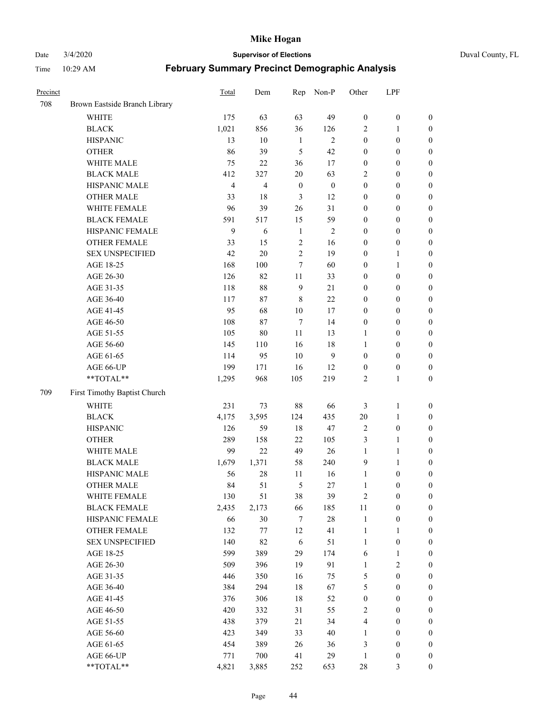Date 3/4/2020 **Supervisor of Elections** Duval County, FL

| Precinct |                               | Total          | Dem                     | Rep              | Non-P            | Other            | LPF              |                  |
|----------|-------------------------------|----------------|-------------------------|------------------|------------------|------------------|------------------|------------------|
| 708      | Brown Eastside Branch Library |                |                         |                  |                  |                  |                  |                  |
|          | <b>WHITE</b>                  | 175            | 63                      | 63               | 49               | $\boldsymbol{0}$ | $\boldsymbol{0}$ | $\boldsymbol{0}$ |
|          | <b>BLACK</b>                  | 1,021          | 856                     | 36               | 126              | 2                | 1                | $\boldsymbol{0}$ |
|          | <b>HISPANIC</b>               | 13             | 10                      | $\mathbf{1}$     | $\overline{c}$   | $\boldsymbol{0}$ | $\boldsymbol{0}$ | $\boldsymbol{0}$ |
|          | <b>OTHER</b>                  | 86             | 39                      | 5                | 42               | $\boldsymbol{0}$ | $\boldsymbol{0}$ | $\boldsymbol{0}$ |
|          | WHITE MALE                    | 75             | 22                      | 36               | 17               | $\boldsymbol{0}$ | $\boldsymbol{0}$ | $\boldsymbol{0}$ |
|          | <b>BLACK MALE</b>             | 412            | 327                     | 20               | 63               | 2                | $\boldsymbol{0}$ | $\boldsymbol{0}$ |
|          | HISPANIC MALE                 | $\overline{4}$ | $\overline{\mathbf{4}}$ | $\boldsymbol{0}$ | $\boldsymbol{0}$ | $\boldsymbol{0}$ | $\boldsymbol{0}$ | $\boldsymbol{0}$ |
|          | <b>OTHER MALE</b>             | 33             | 18                      | $\mathfrak{Z}$   | 12               | $\boldsymbol{0}$ | $\boldsymbol{0}$ | $\boldsymbol{0}$ |
|          | WHITE FEMALE                  | 96             | 39                      | 26               | 31               | $\boldsymbol{0}$ | $\boldsymbol{0}$ | $\boldsymbol{0}$ |
|          | <b>BLACK FEMALE</b>           | 591            | 517                     | 15               | 59               | $\boldsymbol{0}$ | $\boldsymbol{0}$ | $\boldsymbol{0}$ |
|          | HISPANIC FEMALE               | 9              | 6                       | $\mathbf{1}$     | $\overline{c}$   | $\boldsymbol{0}$ | $\boldsymbol{0}$ | $\boldsymbol{0}$ |
|          | <b>OTHER FEMALE</b>           | 33             | 15                      | $\sqrt{2}$       | 16               | $\boldsymbol{0}$ | $\boldsymbol{0}$ | $\boldsymbol{0}$ |
|          | <b>SEX UNSPECIFIED</b>        | 42             | 20                      | $\overline{2}$   | 19               | $\boldsymbol{0}$ | $\mathbf{1}$     | $\boldsymbol{0}$ |
|          | AGE 18-25                     | 168            | 100                     | 7                | 60               | $\boldsymbol{0}$ | $\mathbf{1}$     | $\boldsymbol{0}$ |
|          | AGE 26-30                     | 126            | 82                      | $11\,$           | 33               | $\boldsymbol{0}$ | $\boldsymbol{0}$ | $\boldsymbol{0}$ |
|          | AGE 31-35                     | 118            | 88                      | $\overline{9}$   | 21               | $\boldsymbol{0}$ | $\boldsymbol{0}$ | $\boldsymbol{0}$ |
|          | AGE 36-40                     | 117            | 87                      | $\,$ 8 $\,$      | 22               | $\boldsymbol{0}$ | $\boldsymbol{0}$ | $\boldsymbol{0}$ |
|          | AGE 41-45                     | 95             | 68                      | 10               | 17               | $\boldsymbol{0}$ | $\boldsymbol{0}$ | $\boldsymbol{0}$ |
|          | AGE 46-50                     | 108            | 87                      | $\tau$           | 14               | $\boldsymbol{0}$ | $\boldsymbol{0}$ | $\boldsymbol{0}$ |
|          | AGE 51-55                     | 105            | $80\,$                  | 11               | 13               | 1                | $\boldsymbol{0}$ | $\boldsymbol{0}$ |
|          | AGE 56-60                     | 145            | 110                     | 16               | 18               | 1                | $\boldsymbol{0}$ | 0                |
|          | AGE 61-65                     | 114            | 95                      | 10               | 9                | $\boldsymbol{0}$ | $\boldsymbol{0}$ | $\boldsymbol{0}$ |
|          | AGE 66-UP                     | 199            | 171                     | 16               | 12               | $\boldsymbol{0}$ | $\boldsymbol{0}$ | $\boldsymbol{0}$ |
|          | **TOTAL**                     | 1,295          | 968                     | 105              | 219              | $\sqrt{2}$       | $\mathbf{1}$     | $\boldsymbol{0}$ |
| 709      | First Timothy Baptist Church  |                |                         |                  |                  |                  |                  |                  |
|          | <b>WHITE</b>                  | 231            | 73                      | $88\,$           | 66               | 3                | $\mathbf{1}$     | $\boldsymbol{0}$ |
|          | <b>BLACK</b>                  | 4,175          | 3,595                   | 124              | 435              | $20\,$           | $\mathbf{1}$     | $\boldsymbol{0}$ |
|          | <b>HISPANIC</b>               | 126            | 59                      | 18               | $47\,$           | $\sqrt{2}$       | $\boldsymbol{0}$ | $\boldsymbol{0}$ |
|          | <b>OTHER</b>                  | 289            | 158                     | 22               | 105              | 3                | $\mathbf{1}$     | $\boldsymbol{0}$ |
|          | WHITE MALE                    | 99             | 22                      | 49               | 26               | $\mathbf{1}$     | $\mathbf{1}$     | $\boldsymbol{0}$ |
|          | <b>BLACK MALE</b>             | 1,679          | 1,371                   | 58               | 240              | 9                | $\mathbf{1}$     | $\boldsymbol{0}$ |
|          | HISPANIC MALE                 | 56             | $28\,$                  | 11               | 16               | $\mathbf{1}$     | $\boldsymbol{0}$ | $\boldsymbol{0}$ |
|          | <b>OTHER MALE</b>             | 84             | 51                      | 5                | 27               | $\mathbf{1}$     | $\boldsymbol{0}$ | $\boldsymbol{0}$ |
|          | WHITE FEMALE                  | 130            | 51                      | 38               | 39               | 2                | $\boldsymbol{0}$ | 0                |
|          | <b>BLACK FEMALE</b>           | 2,435          | 2,173                   | 66               | 185              | $11\,$           | $\boldsymbol{0}$ | $\boldsymbol{0}$ |
|          | HISPANIC FEMALE               | 66             | $30\,$                  | 7                | $28\,$           | $\mathbf{1}$     | $\boldsymbol{0}$ | $\overline{0}$   |
|          | <b>OTHER FEMALE</b>           | 132            | 77                      | 12               | 41               | $\mathbf{1}$     | $\mathbf{1}$     | $\overline{0}$   |
|          | <b>SEX UNSPECIFIED</b>        | 140            | 82                      | 6                | 51               | $\mathbf{1}$     | $\boldsymbol{0}$ | 0                |
|          | AGE 18-25                     | 599            | 389                     | 29               | 174              | 6                | $\mathbf{1}$     | 0                |
|          | AGE 26-30                     | 509            | 396                     | 19               | 91               | $\mathbf{1}$     | $\overline{c}$   | 0                |
|          | AGE 31-35                     | 446            | 350                     | 16               | 75               | 5                | $\boldsymbol{0}$ | 0                |
|          | AGE 36-40                     | 384            | 294                     | 18               | 67               | 5                | $\boldsymbol{0}$ | 0                |
|          | AGE 41-45                     | 376            | 306                     | 18               | 52               | $\boldsymbol{0}$ | $\boldsymbol{0}$ | 0                |
|          | AGE 46-50                     | 420            | 332                     | 31               | 55               | 2                | $\boldsymbol{0}$ | 0                |
|          | AGE 51-55                     | 438            | 379                     | 21               | 34               | 4                | $\boldsymbol{0}$ | $\boldsymbol{0}$ |
|          | AGE 56-60                     | 423            | 349                     | 33               | $40\,$           | 1                | $\boldsymbol{0}$ | $\overline{0}$   |
|          | AGE 61-65                     | 454            | 389                     | 26               | 36               | 3                | $\boldsymbol{0}$ | $\overline{0}$   |
|          | AGE 66-UP                     | 771            | 700                     | 41               | 29               | $\mathbf{1}$     | $\boldsymbol{0}$ | 0                |
|          | **TOTAL**                     | 4,821          | 3,885                   | 252              | 653              | $28\,$           | $\mathfrak{Z}$   | $\boldsymbol{0}$ |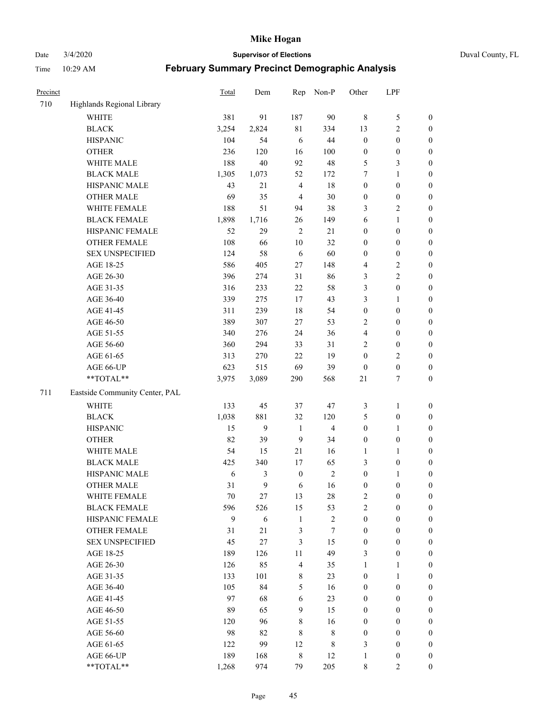Date 3/4/2020 **Supervisor of Elections** Duval County, FL

| Precinct |                                | <b>Total</b> | Dem   | Rep              | Non-P                   | Other            | LPF              |                  |
|----------|--------------------------------|--------------|-------|------------------|-------------------------|------------------|------------------|------------------|
| 710      | Highlands Regional Library     |              |       |                  |                         |                  |                  |                  |
|          | <b>WHITE</b>                   | 381          | 91    | 187              | 90                      | $\,$ 8 $\,$      | $\mathfrak s$    | $\boldsymbol{0}$ |
|          | <b>BLACK</b>                   | 3,254        | 2,824 | 81               | 334                     | 13               | $\sqrt{2}$       | $\boldsymbol{0}$ |
|          | <b>HISPANIC</b>                | 104          | 54    | 6                | 44                      | $\boldsymbol{0}$ | $\boldsymbol{0}$ | $\boldsymbol{0}$ |
|          | <b>OTHER</b>                   | 236          | 120   | 16               | 100                     | $\boldsymbol{0}$ | $\boldsymbol{0}$ | $\boldsymbol{0}$ |
|          | WHITE MALE                     | 188          | 40    | 92               | 48                      | 5                | $\mathfrak{Z}$   | $\boldsymbol{0}$ |
|          | <b>BLACK MALE</b>              | 1,305        | 1,073 | 52               | 172                     | 7                | $\mathbf{1}$     | $\boldsymbol{0}$ |
|          | HISPANIC MALE                  | 43           | 21    | $\overline{4}$   | 18                      | $\boldsymbol{0}$ | $\boldsymbol{0}$ | $\boldsymbol{0}$ |
|          | <b>OTHER MALE</b>              | 69           | 35    | $\overline{4}$   | $30\,$                  | $\boldsymbol{0}$ | $\boldsymbol{0}$ | $\boldsymbol{0}$ |
|          | WHITE FEMALE                   | 188          | 51    | 94               | 38                      | 3                | $\overline{2}$   | $\boldsymbol{0}$ |
|          | <b>BLACK FEMALE</b>            | 1,898        | 1,716 | 26               | 149                     | 6                | $\mathbf{1}$     | $\boldsymbol{0}$ |
|          | HISPANIC FEMALE                | 52           | 29    | $\overline{2}$   | 21                      | $\boldsymbol{0}$ | $\boldsymbol{0}$ | $\boldsymbol{0}$ |
|          | <b>OTHER FEMALE</b>            | 108          | 66    | $10\,$           | 32                      | $\boldsymbol{0}$ | $\boldsymbol{0}$ | $\boldsymbol{0}$ |
|          | <b>SEX UNSPECIFIED</b>         | 124          | 58    | 6                | 60                      | $\boldsymbol{0}$ | $\boldsymbol{0}$ | $\boldsymbol{0}$ |
|          | AGE 18-25                      | 586          | 405   | 27               | 148                     | 4                | $\sqrt{2}$       | $\boldsymbol{0}$ |
|          | AGE 26-30                      | 396          | 274   | 31               | 86                      | 3                | $\sqrt{2}$       | $\boldsymbol{0}$ |
|          | AGE 31-35                      | 316          | 233   | 22               | 58                      | 3                | $\boldsymbol{0}$ | $\boldsymbol{0}$ |
|          | AGE 36-40                      | 339          | 275   | 17               | 43                      | 3                | $\mathbf{1}$     | $\boldsymbol{0}$ |
|          | AGE 41-45                      | 311          | 239   | 18               | 54                      | $\boldsymbol{0}$ | $\boldsymbol{0}$ | $\boldsymbol{0}$ |
|          | AGE 46-50                      | 389          | 307   | 27               | 53                      | 2                | $\boldsymbol{0}$ | $\boldsymbol{0}$ |
|          | AGE 51-55                      | 340          | 276   | 24               | 36                      | 4                | $\boldsymbol{0}$ | $\boldsymbol{0}$ |
|          | AGE 56-60                      | 360          | 294   | 33               | 31                      | 2                | $\boldsymbol{0}$ | $\boldsymbol{0}$ |
|          | AGE 61-65                      | 313          | 270   | 22               | 19                      | $\boldsymbol{0}$ | $\overline{c}$   | $\boldsymbol{0}$ |
|          | AGE 66-UP                      | 623          | 515   | 69               | 39                      | $\boldsymbol{0}$ | $\boldsymbol{0}$ | $\boldsymbol{0}$ |
|          | **TOTAL**                      | 3,975        | 3,089 | 290              | 568                     | 21               | $\boldsymbol{7}$ | $\boldsymbol{0}$ |
| 711      | Eastside Community Center, PAL |              |       |                  |                         |                  |                  |                  |
|          |                                |              |       |                  |                         |                  |                  |                  |
|          | <b>WHITE</b>                   | 133          | 45    | 37               | 47                      | 3                | $\mathbf{1}$     | $\boldsymbol{0}$ |
|          | <b>BLACK</b>                   | 1,038        | 881   | 32               | 120                     | 5                | $\boldsymbol{0}$ | $\boldsymbol{0}$ |
|          | <b>HISPANIC</b>                | 15           | 9     | $\mathbf{1}$     | $\overline{\mathbf{4}}$ | $\boldsymbol{0}$ | $\mathbf{1}$     | $\boldsymbol{0}$ |
|          | <b>OTHER</b>                   | 82           | 39    | 9                | 34                      | $\boldsymbol{0}$ | $\boldsymbol{0}$ | $\boldsymbol{0}$ |
|          | WHITE MALE                     | 54           | 15    | 21               | 16                      | $\mathbf{1}$     | $\mathbf{1}$     | $\boldsymbol{0}$ |
|          | <b>BLACK MALE</b>              | 425          | 340   | 17               | 65                      | 3                | $\boldsymbol{0}$ | $\boldsymbol{0}$ |
|          | HISPANIC MALE                  | 6            | 3     | $\boldsymbol{0}$ | $\sqrt{2}$              | $\boldsymbol{0}$ | 1                | $\boldsymbol{0}$ |
|          | <b>OTHER MALE</b>              | 31           | 9     | 6                | 16                      | $\boldsymbol{0}$ | $\boldsymbol{0}$ | $\boldsymbol{0}$ |
|          | WHITE FEMALE                   | 70           | 27    | 13               | 28                      | 2                | $\boldsymbol{0}$ | 0                |
|          | <b>BLACK FEMALE</b>            | 596          | 526   | 15               | 53                      | $\overline{c}$   | $\boldsymbol{0}$ | $\overline{0}$   |
|          | HISPANIC FEMALE                | 9            | 6     | $\mathbf{1}$     | $\sqrt{2}$              | $\boldsymbol{0}$ | $\boldsymbol{0}$ | $\overline{0}$   |
|          | OTHER FEMALE                   | 31           | 21    | $\mathfrak{Z}$   | 7                       | $\boldsymbol{0}$ | $\boldsymbol{0}$ | $\overline{0}$   |
|          | <b>SEX UNSPECIFIED</b>         | 45           | 27    | 3                | 15                      | $\boldsymbol{0}$ | $\boldsymbol{0}$ | $\overline{0}$   |
|          | AGE 18-25                      | 189          | 126   | 11               | 49                      | 3                | $\boldsymbol{0}$ | $\theta$         |
|          | AGE 26-30                      | 126          | 85    | $\overline{4}$   | 35                      | $\mathbf{1}$     | $\mathbf{1}$     | $\overline{0}$   |
|          | AGE 31-35                      | 133          | 101   | 8                | 23                      | $\boldsymbol{0}$ | $\mathbf{1}$     | 0                |
|          | AGE 36-40                      | 105          | 84    | 5                | 16                      | $\boldsymbol{0}$ | $\boldsymbol{0}$ | 0                |
|          | AGE 41-45                      | 97           | 68    | 6                | 23                      | $\boldsymbol{0}$ | $\boldsymbol{0}$ | 0                |
|          | AGE 46-50                      | 89           | 65    | 9                | 15                      | $\boldsymbol{0}$ | $\boldsymbol{0}$ | 0                |
|          | AGE 51-55                      | 120          | 96    | 8                | 16                      | $\boldsymbol{0}$ | $\boldsymbol{0}$ | $\boldsymbol{0}$ |
|          | AGE 56-60                      | 98           | 82    | 8                | $\,$ 8 $\,$             | $\boldsymbol{0}$ | $\boldsymbol{0}$ | $\boldsymbol{0}$ |
|          | AGE 61-65                      | 122          | 99    | 12               | 8                       | 3                | $\boldsymbol{0}$ | $\overline{0}$   |
|          | AGE 66-UP                      | 189          | 168   | $\,$ 8 $\,$      | 12                      | $\mathbf{1}$     | $\boldsymbol{0}$ | 0                |
|          | **TOTAL**                      | 1,268        | 974   | 79               | 205                     | 8                | $\overline{c}$   | $\boldsymbol{0}$ |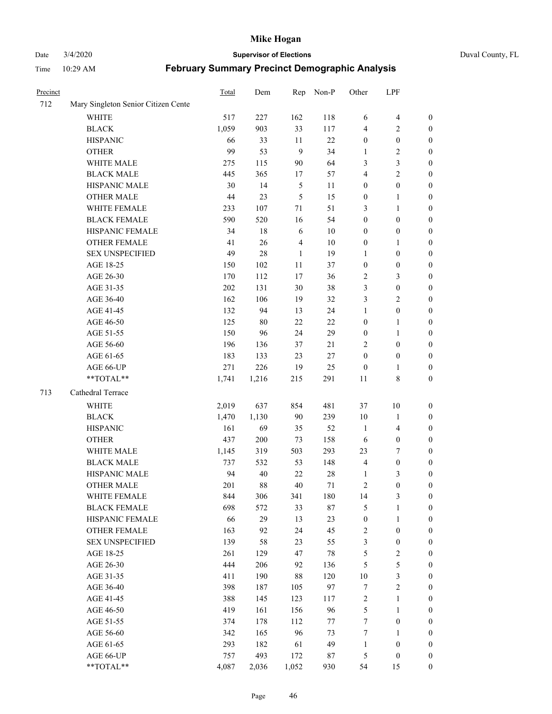Date 3/4/2020 **Supervisor of Elections** Duval County, FL

| Precinct |                                     | Total | Dem    | Rep            | Non-P  | Other            | LPF              |                  |
|----------|-------------------------------------|-------|--------|----------------|--------|------------------|------------------|------------------|
| 712      | Mary Singleton Senior Citizen Cente |       |        |                |        |                  |                  |                  |
|          | <b>WHITE</b>                        | 517   | 227    | 162            | 118    | 6                | $\overline{4}$   | 0                |
|          | <b>BLACK</b>                        | 1,059 | 903    | 33             | 117    | 4                | $\overline{c}$   | $\boldsymbol{0}$ |
|          | <b>HISPANIC</b>                     | 66    | 33     | 11             | 22     | $\boldsymbol{0}$ | $\boldsymbol{0}$ | $\boldsymbol{0}$ |
|          | <b>OTHER</b>                        | 99    | 53     | 9              | 34     | 1                | $\sqrt{2}$       | $\boldsymbol{0}$ |
|          | WHITE MALE                          | 275   | 115    | 90             | 64     | 3                | $\mathfrak{Z}$   | $\boldsymbol{0}$ |
|          | <b>BLACK MALE</b>                   | 445   | 365    | 17             | 57     | 4                | $\sqrt{2}$       | $\boldsymbol{0}$ |
|          | HISPANIC MALE                       | 30    | 14     | $\mathfrak{S}$ | 11     | $\boldsymbol{0}$ | $\boldsymbol{0}$ | $\boldsymbol{0}$ |
|          | <b>OTHER MALE</b>                   | 44    | 23     | 5              | 15     | $\boldsymbol{0}$ | $\mathbf{1}$     | $\boldsymbol{0}$ |
|          | WHITE FEMALE                        | 233   | 107    | 71             | 51     | 3                | $\mathbf{1}$     | $\boldsymbol{0}$ |
|          | <b>BLACK FEMALE</b>                 | 590   | 520    | 16             | 54     | $\boldsymbol{0}$ | $\boldsymbol{0}$ | 0                |
|          | HISPANIC FEMALE                     | 34    | 18     | 6              | 10     | $\boldsymbol{0}$ | $\boldsymbol{0}$ | 0                |
|          | <b>OTHER FEMALE</b>                 | 41    | 26     | $\overline{4}$ | $10\,$ | $\boldsymbol{0}$ | 1                | $\boldsymbol{0}$ |
|          | <b>SEX UNSPECIFIED</b>              | 49    | 28     | $\mathbf{1}$   | 19     | $\mathbf{1}$     | $\boldsymbol{0}$ | $\boldsymbol{0}$ |
|          | AGE 18-25                           | 150   | 102    | $11\,$         | 37     | $\boldsymbol{0}$ | $\boldsymbol{0}$ | $\boldsymbol{0}$ |
|          | AGE 26-30                           | 170   | 112    | 17             | 36     | $\overline{c}$   | $\mathfrak{Z}$   | $\boldsymbol{0}$ |
|          | AGE 31-35                           | 202   | 131    | 30             | 38     | 3                | $\boldsymbol{0}$ | $\boldsymbol{0}$ |
|          | AGE 36-40                           | 162   | 106    | 19             | 32     | 3                | $\sqrt{2}$       | $\boldsymbol{0}$ |
|          | AGE 41-45                           | 132   | 94     | 13             | 24     | $\mathbf{1}$     | $\boldsymbol{0}$ | $\boldsymbol{0}$ |
|          | AGE 46-50                           | 125   | $80\,$ | 22             | 22     | $\boldsymbol{0}$ | $\mathbf{1}$     | $\boldsymbol{0}$ |
|          | AGE 51-55                           | 150   | 96     | 24             | 29     | $\boldsymbol{0}$ | $\mathbf{1}$     | $\boldsymbol{0}$ |
|          | AGE 56-60                           | 196   | 136    | 37             | 21     | 2                | $\boldsymbol{0}$ | 0                |
|          | AGE 61-65                           | 183   | 133    | 23             | 27     | $\boldsymbol{0}$ | $\boldsymbol{0}$ | 0                |
|          | AGE 66-UP                           | 271   | 226    | 19             | 25     | $\boldsymbol{0}$ | 1                | $\boldsymbol{0}$ |
|          | **TOTAL**                           | 1,741 | 1,216  | 215            | 291    | $11\,$           | 8                | $\boldsymbol{0}$ |
| 713      | Cathedral Terrace                   |       |        |                |        |                  |                  |                  |
|          | <b>WHITE</b>                        | 2,019 | 637    | 854            | 481    | 37               | $10\,$           | $\boldsymbol{0}$ |
|          | <b>BLACK</b>                        | 1,470 | 1,130  | 90             | 239    | 10               | $\mathbf{1}$     | $\boldsymbol{0}$ |
|          | <b>HISPANIC</b>                     | 161   | 69     | 35             | 52     | $\mathbf{1}$     | $\overline{4}$   | $\boldsymbol{0}$ |
|          | <b>OTHER</b>                        | 437   | 200    | 73             | 158    | 6                | $\boldsymbol{0}$ | $\boldsymbol{0}$ |
|          | WHITE MALE                          | 1,145 | 319    | 503            | 293    | 23               | $\boldsymbol{7}$ | $\boldsymbol{0}$ |
|          | <b>BLACK MALE</b>                   | 737   | 532    | 53             | 148    | $\overline{4}$   | $\boldsymbol{0}$ | $\boldsymbol{0}$ |
|          | HISPANIC MALE                       | 94    | 40     | $22\,$         | 28     | 1                | $\mathfrak{Z}$   | $\boldsymbol{0}$ |
|          | <b>OTHER MALE</b>                   | 201   | 88     | $40\,$         | 71     | $\overline{c}$   | $\boldsymbol{0}$ | $\boldsymbol{0}$ |
|          | WHITE FEMALE                        | 844   | 306    | 341            | 180    | 14               | 3                | 0                |
|          | <b>BLACK FEMALE</b>                 | 698   | 572    | 33             | $87\,$ | 5                | $\mathbf{1}$     | $\boldsymbol{0}$ |
|          | HISPANIC FEMALE                     | 66    | 29     | 13             | 23     | $\boldsymbol{0}$ | $\mathbf{1}$     | $\overline{0}$   |
|          | OTHER FEMALE                        | 163   | 92     | 24             | 45     | $\boldsymbol{2}$ | $\boldsymbol{0}$ | 0                |
|          | <b>SEX UNSPECIFIED</b>              | 139   | 58     | 23             | 55     | 3                | $\boldsymbol{0}$ | 0                |
|          | AGE 18-25                           | 261   | 129    | 47             | 78     | 5                | $\sqrt{2}$       | 0                |
|          | AGE 26-30                           | 444   | 206    | 92             | 136    | 5                | $\sqrt{5}$       | 0                |
|          | AGE 31-35                           | 411   | 190    | $88\,$         | 120    | $10\,$           | $\mathfrak z$    | 0                |
|          | AGE 36-40                           | 398   | 187    | 105            | 97     | 7                | $\sqrt{2}$       | 0                |
|          | AGE 41-45                           | 388   | 145    | 123            | 117    | $\sqrt{2}$       | $\mathbf{1}$     | 0                |
|          | AGE 46-50                           | 419   | 161    | 156            | 96     | $\sqrt{5}$       | $\mathbf{1}$     | 0                |
|          | AGE 51-55                           | 374   | 178    | 112            | 77     | $\boldsymbol{7}$ | $\boldsymbol{0}$ | 0                |
|          | AGE 56-60                           | 342   | 165    | 96             | 73     | 7                | 1                | 0                |
|          | AGE 61-65                           | 293   | 182    | 61             | 49     | $\mathbf{1}$     | $\boldsymbol{0}$ | $\overline{0}$   |
|          | AGE 66-UP                           | 757   | 493    | 172            | 87     | 5                | $\boldsymbol{0}$ | $\boldsymbol{0}$ |
|          | **TOTAL**                           | 4,087 | 2,036  | 1,052          | 930    | 54               | 15               | $\boldsymbol{0}$ |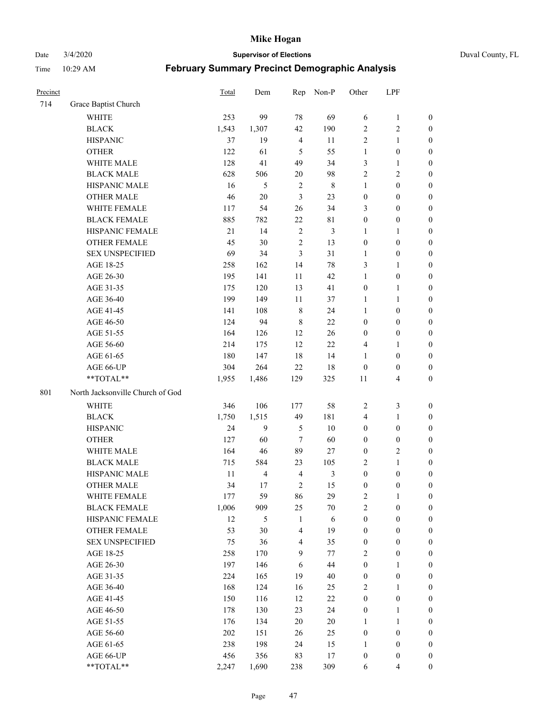Date 3/4/2020 **Supervisor of Elections** Duval County, FL

| Precinct |                                  | <b>Total</b> | Dem            | Rep            | Non-P          | Other            | LPF              |                  |
|----------|----------------------------------|--------------|----------------|----------------|----------------|------------------|------------------|------------------|
| 714      | Grace Baptist Church             |              |                |                |                |                  |                  |                  |
|          | <b>WHITE</b>                     | 253          | 99             | 78             | 69             | 6                | $\mathbf{1}$     | 0                |
|          | <b>BLACK</b>                     | 1,543        | 1,307          | 42             | 190            | $\overline{2}$   | $\sqrt{2}$       | $\boldsymbol{0}$ |
|          | <b>HISPANIC</b>                  | 37           | 19             | $\overline{4}$ | 11             | $\overline{2}$   | $\mathbf{1}$     | $\boldsymbol{0}$ |
|          | <b>OTHER</b>                     | 122          | 61             | 5              | 55             | 1                | $\boldsymbol{0}$ | $\boldsymbol{0}$ |
|          | WHITE MALE                       | 128          | 41             | 49             | 34             | 3                | $\mathbf{1}$     | $\boldsymbol{0}$ |
|          | <b>BLACK MALE</b>                | 628          | 506            | 20             | 98             | $\overline{c}$   | $\sqrt{2}$       | $\boldsymbol{0}$ |
|          | HISPANIC MALE                    | 16           | 5              | $\sqrt{2}$     | $\,$ 8 $\,$    | 1                | $\boldsymbol{0}$ | $\boldsymbol{0}$ |
|          | <b>OTHER MALE</b>                | 46           | $20\,$         | 3              | 23             | $\boldsymbol{0}$ | $\boldsymbol{0}$ | $\boldsymbol{0}$ |
|          | WHITE FEMALE                     | 117          | 54             | 26             | 34             | 3                | $\boldsymbol{0}$ | $\boldsymbol{0}$ |
|          | <b>BLACK FEMALE</b>              | 885          | 782            | $22\,$         | 81             | $\boldsymbol{0}$ | $\boldsymbol{0}$ | 0                |
|          | HISPANIC FEMALE                  | 21           | 14             | $\sqrt{2}$     | 3              | 1                | 1                | 0                |
|          | <b>OTHER FEMALE</b>              | 45           | 30             | $\overline{2}$ | 13             | $\boldsymbol{0}$ | $\boldsymbol{0}$ | $\boldsymbol{0}$ |
|          | <b>SEX UNSPECIFIED</b>           | 69           | 34             | 3              | 31             | $\mathbf{1}$     | $\boldsymbol{0}$ | $\boldsymbol{0}$ |
|          | AGE 18-25                        | 258          | 162            | 14             | 78             | 3                | $\mathbf{1}$     | $\boldsymbol{0}$ |
|          | AGE 26-30                        | 195          | 141            | 11             | 42             | $\mathbf{1}$     | $\boldsymbol{0}$ | $\boldsymbol{0}$ |
|          | AGE 31-35                        | 175          | 120            | 13             | 41             | $\boldsymbol{0}$ | $\mathbf{1}$     | $\boldsymbol{0}$ |
|          | AGE 36-40                        | 199          | 149            | 11             | 37             | $\mathbf{1}$     | $\mathbf{1}$     | $\boldsymbol{0}$ |
|          | AGE 41-45                        | 141          | 108            | $\,$ 8 $\,$    | 24             | $\mathbf{1}$     | $\boldsymbol{0}$ | $\boldsymbol{0}$ |
|          | AGE 46-50                        | 124          | 94             | $\,$ 8 $\,$    | 22             | $\boldsymbol{0}$ | $\boldsymbol{0}$ | $\boldsymbol{0}$ |
|          | AGE 51-55                        | 164          | 126            | 12             | 26             | $\boldsymbol{0}$ | $\boldsymbol{0}$ | $\boldsymbol{0}$ |
|          | AGE 56-60                        | 214          | 175            | 12             | 22             | 4                | 1                | 0                |
|          | AGE 61-65                        | 180          | 147            | 18             | 14             | 1                | $\boldsymbol{0}$ | 0                |
|          | AGE 66-UP                        | 304          | 264            | 22             | 18             | $\boldsymbol{0}$ | $\boldsymbol{0}$ | $\boldsymbol{0}$ |
|          | **TOTAL**                        | 1,955        | 1,486          | 129            | 325            | 11               | $\overline{4}$   | $\boldsymbol{0}$ |
| 801      | North Jacksonville Church of God |              |                |                |                |                  |                  |                  |
|          | <b>WHITE</b>                     | 346          | 106            | 177            | 58             | $\overline{c}$   | $\mathfrak{Z}$   | $\boldsymbol{0}$ |
|          | <b>BLACK</b>                     | 1,750        | 1,515          | 49             | 181            | 4                | $\mathbf{1}$     | $\boldsymbol{0}$ |
|          | <b>HISPANIC</b>                  | 24           | 9              | 5              | 10             | $\boldsymbol{0}$ | $\boldsymbol{0}$ | $\boldsymbol{0}$ |
|          | <b>OTHER</b>                     | 127          | 60             | 7              | 60             | $\boldsymbol{0}$ | $\boldsymbol{0}$ | $\boldsymbol{0}$ |
|          | WHITE MALE                       | 164          | 46             | 89             | 27             | $\boldsymbol{0}$ | $\overline{2}$   | $\boldsymbol{0}$ |
|          | <b>BLACK MALE</b>                | 715          | 584            | 23             | 105            | $\overline{2}$   | $\mathbf{1}$     | $\boldsymbol{0}$ |
|          | HISPANIC MALE                    | 11           | $\overline{4}$ | $\overline{4}$ | $\mathfrak{Z}$ | $\boldsymbol{0}$ | $\boldsymbol{0}$ | $\boldsymbol{0}$ |
|          | <b>OTHER MALE</b>                | 34           | 17             | $\overline{2}$ | 15             | $\boldsymbol{0}$ | $\boldsymbol{0}$ | $\boldsymbol{0}$ |
|          | WHITE FEMALE                     | 177          | 59             | 86             | 29             | 2                | 1                | 0                |
|          | <b>BLACK FEMALE</b>              | 1,006        | 909            | 25             | $70\,$         | $\overline{c}$   | $\boldsymbol{0}$ | $\boldsymbol{0}$ |
|          | HISPANIC FEMALE                  | 12           | 5              | $\mathbf{1}$   | 6              | $\boldsymbol{0}$ | $\boldsymbol{0}$ | $\overline{0}$   |
|          | <b>OTHER FEMALE</b>              | 53           | 30             | $\overline{4}$ | 19             | $\boldsymbol{0}$ | $\boldsymbol{0}$ | $\overline{0}$   |
|          | <b>SEX UNSPECIFIED</b>           | 75           | 36             | $\overline{4}$ | 35             | $\boldsymbol{0}$ | $\boldsymbol{0}$ | $\overline{0}$   |
|          | AGE 18-25                        | 258          | 170            | 9              | 77             | 2                | $\boldsymbol{0}$ | $\theta$         |
|          | AGE 26-30                        | 197          | 146            | 6              | 44             | $\boldsymbol{0}$ | $\mathbf{1}$     | 0                |
|          | AGE 31-35                        | 224          | 165            | 19             | 40             | $\boldsymbol{0}$ | $\boldsymbol{0}$ | 0                |
|          | AGE 36-40                        | 168          | 124            | 16             | 25             | 2                | $\mathbf{1}$     | 0                |
|          | AGE 41-45                        | 150          | 116            | 12             | $22\,$         | $\boldsymbol{0}$ | $\boldsymbol{0}$ | 0                |
|          | AGE 46-50                        | 178          | 130            | 23             | 24             | $\boldsymbol{0}$ | $\mathbf{1}$     | 0                |
|          | AGE 51-55                        | 176          | 134            | 20             | $20\,$         | $\mathbf{1}$     | $\mathbf{1}$     | 0                |
|          | AGE 56-60                        | 202          | 151            | 26             | 25             | $\boldsymbol{0}$ | $\boldsymbol{0}$ | $\overline{0}$   |
|          | AGE 61-65                        | 238          | 198            | 24             | 15             | 1                | $\boldsymbol{0}$ | $\overline{0}$   |
|          | AGE 66-UP                        | 456          | 356            | 83             | 17             | $\boldsymbol{0}$ | $\boldsymbol{0}$ | $\boldsymbol{0}$ |
|          | **TOTAL**                        | 2,247        | 1,690          | 238            | 309            | 6                | $\overline{4}$   | $\boldsymbol{0}$ |
|          |                                  |              |                |                |                |                  |                  |                  |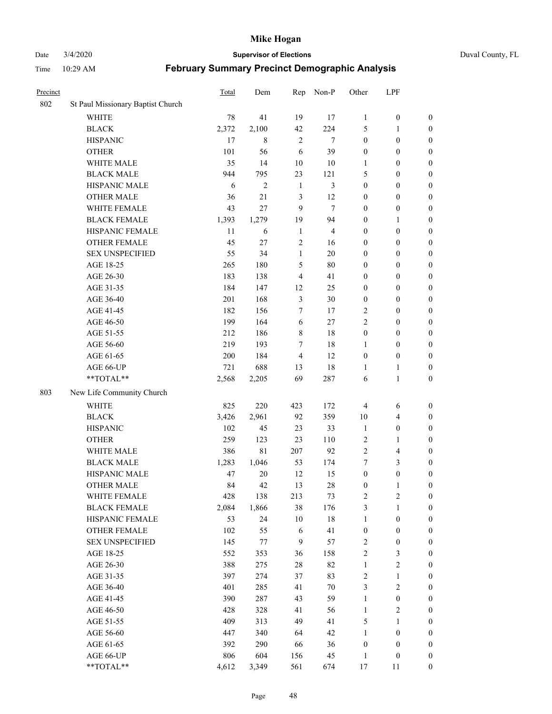Date 3/4/2020 **Supervisor of Elections** Duval County, FL

| Precinct |                                   | <b>Total</b> | Dem            | Rep              | Non-P          | Other            | LPF              |                  |
|----------|-----------------------------------|--------------|----------------|------------------|----------------|------------------|------------------|------------------|
| 802      | St Paul Missionary Baptist Church |              |                |                  |                |                  |                  |                  |
|          | <b>WHITE</b>                      | 78           | 41             | 19               | 17             | 1                | $\boldsymbol{0}$ | 0                |
|          | <b>BLACK</b>                      | 2,372        | 2,100          | 42               | 224            | 5                | 1                | $\boldsymbol{0}$ |
|          | <b>HISPANIC</b>                   | 17           | 8              | $\overline{2}$   | $\tau$         | $\boldsymbol{0}$ | $\boldsymbol{0}$ | $\boldsymbol{0}$ |
|          | <b>OTHER</b>                      | 101          | 56             | 6                | 39             | $\boldsymbol{0}$ | $\boldsymbol{0}$ | $\boldsymbol{0}$ |
|          | WHITE MALE                        | 35           | 14             | 10               | 10             | 1                | $\boldsymbol{0}$ | $\boldsymbol{0}$ |
|          | <b>BLACK MALE</b>                 | 944          | 795            | 23               | 121            | 5                | $\boldsymbol{0}$ | $\boldsymbol{0}$ |
|          | HISPANIC MALE                     | 6            | $\overline{2}$ | $\mathbf{1}$     | 3              | $\boldsymbol{0}$ | $\boldsymbol{0}$ | $\boldsymbol{0}$ |
|          | <b>OTHER MALE</b>                 | 36           | 21             | 3                | 12             | $\boldsymbol{0}$ | $\boldsymbol{0}$ | $\boldsymbol{0}$ |
|          | WHITE FEMALE                      | 43           | 27             | 9                | $\tau$         | $\boldsymbol{0}$ | $\boldsymbol{0}$ | $\boldsymbol{0}$ |
|          | <b>BLACK FEMALE</b>               | 1,393        | 1,279          | 19               | 94             | $\boldsymbol{0}$ | 1                | $\boldsymbol{0}$ |
|          | HISPANIC FEMALE                   | 11           | 6              | $\mathbf{1}$     | $\overline{4}$ | $\boldsymbol{0}$ | $\boldsymbol{0}$ | $\boldsymbol{0}$ |
|          | <b>OTHER FEMALE</b>               | 45           | 27             | $\mathfrak{2}$   | 16             | $\boldsymbol{0}$ | $\boldsymbol{0}$ | $\boldsymbol{0}$ |
|          | <b>SEX UNSPECIFIED</b>            | 55           | 34             | $\mathbf{1}$     | 20             | $\boldsymbol{0}$ | $\boldsymbol{0}$ | $\boldsymbol{0}$ |
|          | AGE 18-25                         | 265          | 180            | 5                | 80             | $\boldsymbol{0}$ | $\boldsymbol{0}$ | $\boldsymbol{0}$ |
|          | AGE 26-30                         | 183          | 138            | $\overline{4}$   | 41             | $\boldsymbol{0}$ | $\boldsymbol{0}$ | $\boldsymbol{0}$ |
|          | AGE 31-35                         | 184          | 147            | 12               | 25             | $\boldsymbol{0}$ | $\boldsymbol{0}$ | $\boldsymbol{0}$ |
|          | AGE 36-40                         | 201          | 168            | $\mathfrak{Z}$   | 30             | $\boldsymbol{0}$ | $\boldsymbol{0}$ | $\boldsymbol{0}$ |
|          | AGE 41-45                         | 182          | 156            | 7                | 17             | 2                | $\boldsymbol{0}$ | $\boldsymbol{0}$ |
|          | AGE 46-50                         | 199          | 164            | 6                | 27             | $\overline{c}$   | $\boldsymbol{0}$ | $\boldsymbol{0}$ |
|          | AGE 51-55                         | 212          | 186            | $\,$ 8 $\,$      | $18\,$         | $\boldsymbol{0}$ | $\boldsymbol{0}$ | $\boldsymbol{0}$ |
|          | AGE 56-60                         | 219          | 193            | $\tau$           | 18             | 1                | $\boldsymbol{0}$ | 0                |
|          | AGE 61-65                         | 200          | 184            | $\overline{4}$   | 12             | $\boldsymbol{0}$ | $\boldsymbol{0}$ | $\boldsymbol{0}$ |
|          | AGE 66-UP                         | 721          | 688            | 13               | $18\,$         | 1                | $\mathbf{1}$     | $\boldsymbol{0}$ |
|          | **TOTAL**                         | 2,568        | 2,205          | 69               | 287            | 6                | $\mathbf{1}$     | $\boldsymbol{0}$ |
| 803      | New Life Community Church         |              |                |                  |                |                  |                  |                  |
|          | <b>WHITE</b>                      | 825          | 220            | 423              | 172            | 4                | 6                | $\boldsymbol{0}$ |
|          | <b>BLACK</b>                      | 3,426        | 2,961          | 92               | 359            | 10               | $\overline{4}$   | $\boldsymbol{0}$ |
|          | <b>HISPANIC</b>                   | 102          | 45             | 23               | 33             | $\mathbf{1}$     | $\boldsymbol{0}$ | $\boldsymbol{0}$ |
|          | <b>OTHER</b>                      | 259          | 123            | 23               | 110            | $\overline{c}$   | $\mathbf{1}$     | $\boldsymbol{0}$ |
|          | WHITE MALE                        | 386          | $8\sqrt{1}$    | 207              | 92             | $\overline{c}$   | $\overline{4}$   | $\boldsymbol{0}$ |
|          | <b>BLACK MALE</b>                 | 1,283        | 1,046          | 53               | 174            | 7                | 3                | $\boldsymbol{0}$ |
|          | HISPANIC MALE                     | 47           | $20\,$         | 12               | 15             | $\boldsymbol{0}$ | $\boldsymbol{0}$ | $\boldsymbol{0}$ |
|          | <b>OTHER MALE</b>                 | 84           | 42             | 13               | 28             | $\boldsymbol{0}$ | $\mathbf{1}$     | $\boldsymbol{0}$ |
|          | WHITE FEMALE                      | 428          | 138            | 213              | 73             | 2                | $\overline{c}$   | 0                |
|          | <b>BLACK FEMALE</b>               | 2,084        | 1,866          | 38               | 176            | 3                | $\mathbf{1}$     | $\boldsymbol{0}$ |
|          | HISPANIC FEMALE                   | 53           | 24             | 10               | $18\,$         | $\mathbf{1}$     | $\boldsymbol{0}$ | $\overline{0}$   |
|          | <b>OTHER FEMALE</b>               | 102          | 55             | 6                | 41             | $\boldsymbol{0}$ | $\boldsymbol{0}$ | $\overline{0}$   |
|          | <b>SEX UNSPECIFIED</b>            | 145          | 77             | $\boldsymbol{9}$ | 57             | 2                | $\boldsymbol{0}$ | 0                |
|          | AGE 18-25                         | 552          | 353            | 36               | 158            | $\overline{c}$   | $\mathfrak{Z}$   | 0                |
|          | AGE 26-30                         | 388          | 275            | 28               | 82             | $\mathbf{1}$     | $\boldsymbol{2}$ | 0                |
|          | AGE 31-35                         | 397          | 274            | 37               | 83             | 2                | $\mathbf{1}$     | 0                |
|          | AGE 36-40                         | 401          | 285            | 41               | $70\,$         | 3                | $\sqrt{2}$       | 0                |
|          | AGE 41-45                         | 390          | 287            | 43               | 59             | $\mathbf{1}$     | $\boldsymbol{0}$ | 0                |
|          | AGE 46-50                         | 428          | 328            | 41               | 56             | $\mathbf{1}$     | $\sqrt{2}$       | 0                |
|          | AGE 51-55                         | 409          | 313            | 49               | 41             | 5                | $\mathbf{1}$     | 0                |
|          | AGE 56-60                         | 447          | 340            | 64               | 42             | 1                | $\boldsymbol{0}$ | $\overline{0}$   |
|          | AGE 61-65                         | 392          | 290            | 66               | 36             | $\boldsymbol{0}$ | $\boldsymbol{0}$ | $\overline{0}$   |
|          | AGE 66-UP                         | 806          | 604            | 156              | 45             | $\mathbf{1}$     | $\boldsymbol{0}$ | 0                |
|          | **TOTAL**                         | 4,612        | 3,349          | 561              | 674            | 17               | 11               | $\boldsymbol{0}$ |
|          |                                   |              |                |                  |                |                  |                  |                  |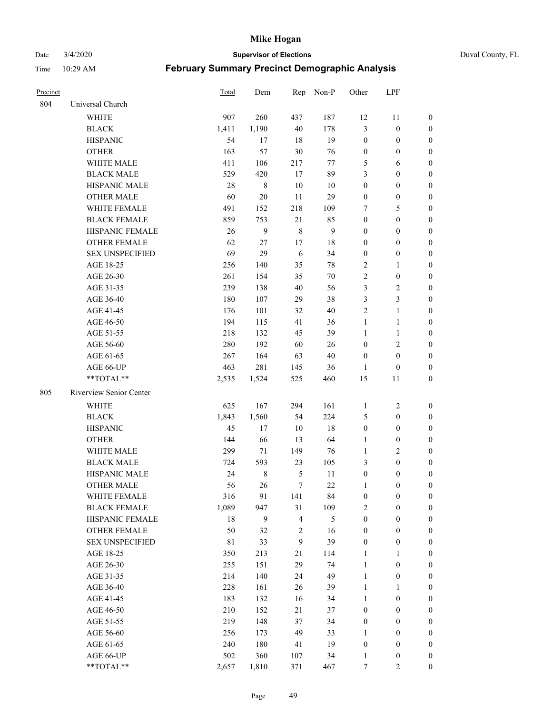#### Date 3/4/2020 **Supervisor of Elections** Duval County, FL

| <b>Precinct</b> |                         | <b>Total</b> | Dem         | Rep            | Non-P        | Other            | LPF              |                  |
|-----------------|-------------------------|--------------|-------------|----------------|--------------|------------------|------------------|------------------|
| 804             | Universal Church        |              |             |                |              |                  |                  |                  |
|                 | <b>WHITE</b>            | 907          | 260         | 437            | 187          | 12               | 11               | $\boldsymbol{0}$ |
|                 | <b>BLACK</b>            | 1,411        | 1,190       | 40             | 178          | 3                | $\boldsymbol{0}$ | 0                |
|                 | <b>HISPANIC</b>         | 54           | 17          | 18             | 19           | $\boldsymbol{0}$ | $\boldsymbol{0}$ | 0                |
|                 | <b>OTHER</b>            | 163          | 57          | $30\,$         | 76           | $\boldsymbol{0}$ | $\boldsymbol{0}$ | $\boldsymbol{0}$ |
|                 | WHITE MALE              | 411          | 106         | 217            | 77           | 5                | 6                | $\boldsymbol{0}$ |
|                 | <b>BLACK MALE</b>       | 529          | 420         | 17             | 89           | 3                | $\boldsymbol{0}$ | $\boldsymbol{0}$ |
|                 | HISPANIC MALE           | 28           | 8           | 10             | 10           | $\boldsymbol{0}$ | $\boldsymbol{0}$ | $\boldsymbol{0}$ |
|                 | <b>OTHER MALE</b>       | 60           | $20\,$      | 11             | 29           | $\boldsymbol{0}$ | $\boldsymbol{0}$ | $\boldsymbol{0}$ |
|                 | WHITE FEMALE            | 491          | 152         | 218            | 109          | 7                | 5                | $\boldsymbol{0}$ |
|                 | <b>BLACK FEMALE</b>     | 859          | 753         | 21             | 85           | $\boldsymbol{0}$ | $\boldsymbol{0}$ | 0                |
|                 | HISPANIC FEMALE         | 26           | 9           | $\,8\,$        | $\mathbf{9}$ | $\boldsymbol{0}$ | $\boldsymbol{0}$ | 0                |
|                 | <b>OTHER FEMALE</b>     | 62           | 27          | 17             | $18\,$       | $\boldsymbol{0}$ | $\boldsymbol{0}$ | $\boldsymbol{0}$ |
|                 | <b>SEX UNSPECIFIED</b>  | 69           | 29          | 6              | 34           | $\boldsymbol{0}$ | $\boldsymbol{0}$ | $\boldsymbol{0}$ |
|                 | AGE 18-25               | 256          | 140         | 35             | $78\,$       | $\overline{c}$   | 1                | $\boldsymbol{0}$ |
|                 | AGE 26-30               | 261          | 154         | 35             | 70           | $\sqrt{2}$       | $\boldsymbol{0}$ | $\boldsymbol{0}$ |
|                 | AGE 31-35               | 239          | 138         | 40             | 56           | 3                | $\sqrt{2}$       | $\boldsymbol{0}$ |
|                 | AGE 36-40               | 180          | 107         | 29             | 38           | 3                | $\mathfrak{Z}$   | $\boldsymbol{0}$ |
|                 | AGE 41-45               | 176          | 101         | 32             | $40\,$       | $\overline{2}$   | $\mathbf{1}$     | $\boldsymbol{0}$ |
|                 | AGE 46-50               | 194          | 115         | 41             | 36           | $\mathbf{1}$     | $\mathbf{1}$     | $\boldsymbol{0}$ |
|                 | AGE 51-55               | 218          | 132         | 45             | 39           | $\mathbf{1}$     | $\mathbf{1}$     | 0                |
|                 | AGE 56-60               | 280          | 192         | 60             | 26           | $\boldsymbol{0}$ | $\sqrt{2}$       | 0                |
|                 | AGE 61-65               | 267          | 164         | 63             | 40           | $\boldsymbol{0}$ | $\boldsymbol{0}$ | 0                |
|                 | AGE 66-UP               | 463          | 281         | 145            | 36           | 1                | $\boldsymbol{0}$ | 0                |
|                 | **TOTAL**               | 2,535        | 1,524       | 525            | 460          | 15               | 11               | $\boldsymbol{0}$ |
| 805             | Riverview Senior Center |              |             |                |              |                  |                  |                  |
|                 | <b>WHITE</b>            | 625          | 167         | 294            | 161          | 1                | $\boldsymbol{2}$ | $\boldsymbol{0}$ |
|                 | <b>BLACK</b>            | 1,843        | 1,560       | 54             | 224          | 5                | $\boldsymbol{0}$ | $\boldsymbol{0}$ |
|                 | <b>HISPANIC</b>         | 45           | 17          | 10             | $18\,$       | $\boldsymbol{0}$ | $\boldsymbol{0}$ | $\boldsymbol{0}$ |
|                 | <b>OTHER</b>            | 144          | 66          | 13             | 64           | $\mathbf{1}$     | $\boldsymbol{0}$ | $\boldsymbol{0}$ |
|                 | <b>WHITE MALE</b>       | 299          | 71          | 149            | 76           | $\mathbf{1}$     | $\overline{c}$   | $\boldsymbol{0}$ |
|                 | <b>BLACK MALE</b>       | 724          | 593         | 23             | 105          | 3                | $\boldsymbol{0}$ | $\boldsymbol{0}$ |
|                 | HISPANIC MALE           | 24           | $\,$ 8 $\,$ | 5              | 11           | $\boldsymbol{0}$ | $\boldsymbol{0}$ | 0                |
|                 | <b>OTHER MALE</b>       | 56           | 26          | $\tau$         | 22           | $\mathbf{1}$     | $\boldsymbol{0}$ | 0                |
|                 | WHITE FEMALE            | 316          | 91          | 141            | 84           | $\boldsymbol{0}$ | $\boldsymbol{0}$ | 0                |
|                 | <b>BLACK FEMALE</b>     | 1,089        | 947         | 31             | 109          | 2                | $\boldsymbol{0}$ | $\boldsymbol{0}$ |
|                 | HISPANIC FEMALE         | 18           | 9           | $\overline{4}$ | 5            | $\boldsymbol{0}$ | $\boldsymbol{0}$ | $\overline{0}$   |
|                 | <b>OTHER FEMALE</b>     | 50           | 32          | $\sqrt{2}$     | 16           | $\boldsymbol{0}$ | $\boldsymbol{0}$ | $\overline{0}$   |
|                 | <b>SEX UNSPECIFIED</b>  | $8\sqrt{1}$  | 33          | 9              | 39           | $\boldsymbol{0}$ | $\boldsymbol{0}$ | $\overline{0}$   |
|                 | AGE 18-25               | 350          | 213         | $21\,$         | 114          | $\mathbf{1}$     | $\mathbf{1}$     | $\overline{0}$   |
|                 | AGE 26-30               | 255          | 151         | 29             | 74           | $\mathbf{1}$     | $\boldsymbol{0}$ | 0                |
|                 | AGE 31-35               | 214          | 140         | 24             | 49           | $\mathbf{1}$     | $\boldsymbol{0}$ | 0                |
|                 | AGE 36-40               | 228          | 161         | 26             | 39           | $\mathbf{1}$     | 1                | 0                |
|                 | AGE 41-45               | 183          | 132         | 16             | 34           | $\mathbf{1}$     | $\boldsymbol{0}$ | 0                |
|                 | AGE 46-50               | 210          | 152         | 21             | 37           | $\boldsymbol{0}$ | $\boldsymbol{0}$ | 0                |
|                 | AGE 51-55               | 219          | 148         | 37             | 34           | $\boldsymbol{0}$ | $\boldsymbol{0}$ | $\boldsymbol{0}$ |
|                 | AGE 56-60               | 256          | 173         | 49             | 33           | 1                | $\boldsymbol{0}$ | $\boldsymbol{0}$ |
|                 | AGE 61-65               | 240          | 180         | 41             | 19           | $\boldsymbol{0}$ | $\boldsymbol{0}$ | $\boldsymbol{0}$ |
|                 | AGE 66-UP               | 502          | 360         | 107            | 34           | $\mathbf{1}$     | $\boldsymbol{0}$ | $\boldsymbol{0}$ |
|                 | **TOTAL**               | 2,657        | 1,810       | 371            | 467          | $\boldsymbol{7}$ | $\overline{2}$   | $\boldsymbol{0}$ |
|                 |                         |              |             |                |              |                  |                  |                  |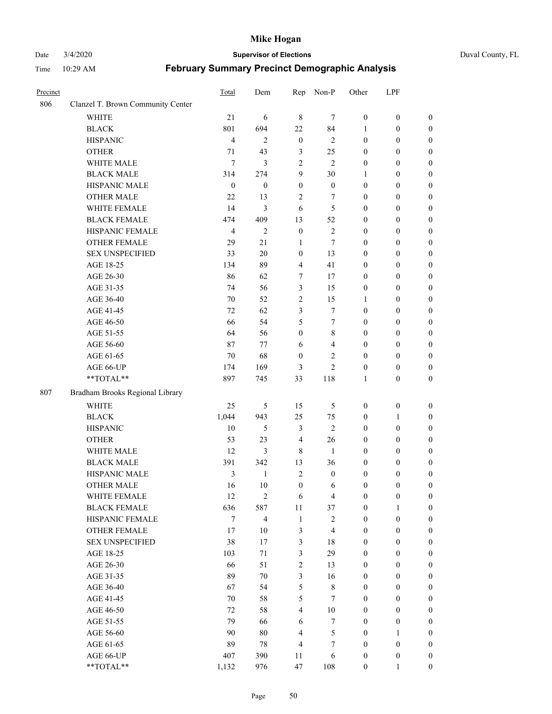#### Date 3/4/2020 **Supervisor of Elections** Duval County, FL

| Precinct |                                   | Total            | Dem              | Rep                     | Non-P            | Other            | LPF              |                  |
|----------|-----------------------------------|------------------|------------------|-------------------------|------------------|------------------|------------------|------------------|
| 806      | Clanzel T. Brown Community Center |                  |                  |                         |                  |                  |                  |                  |
|          | <b>WHITE</b>                      | 21               | 6                | $\,$ 8 $\,$             | 7                | $\boldsymbol{0}$ | $\boldsymbol{0}$ | $\boldsymbol{0}$ |
|          | <b>BLACK</b>                      | 801              | 694              | 22                      | 84               | 1                | $\boldsymbol{0}$ | $\boldsymbol{0}$ |
|          | <b>HISPANIC</b>                   | 4                | $\mathfrak{2}$   | $\boldsymbol{0}$        | $\mathfrak{2}$   | $\boldsymbol{0}$ | $\boldsymbol{0}$ | $\boldsymbol{0}$ |
|          | <b>OTHER</b>                      | 71               | 43               | 3                       | 25               | $\boldsymbol{0}$ | $\boldsymbol{0}$ | $\boldsymbol{0}$ |
|          | WHITE MALE                        | 7                | $\mathfrak{Z}$   | $\overline{c}$          | $\mathfrak{2}$   | 0                | $\boldsymbol{0}$ | $\boldsymbol{0}$ |
|          | <b>BLACK MALE</b>                 | 314              | 274              | 9                       | 30               | 1                | $\boldsymbol{0}$ | $\boldsymbol{0}$ |
|          | HISPANIC MALE                     | $\boldsymbol{0}$ | $\boldsymbol{0}$ | $\boldsymbol{0}$        | $\boldsymbol{0}$ | $\boldsymbol{0}$ | $\boldsymbol{0}$ | $\boldsymbol{0}$ |
|          | <b>OTHER MALE</b>                 | 22               | 13               | 2                       | 7                | $\boldsymbol{0}$ | $\boldsymbol{0}$ | $\boldsymbol{0}$ |
|          | WHITE FEMALE                      | 14               | $\mathfrak{Z}$   | 6                       | 5                | 0                | $\boldsymbol{0}$ | $\boldsymbol{0}$ |
|          | <b>BLACK FEMALE</b>               | 474              | 409              | 13                      | 52               | 0                | $\boldsymbol{0}$ | $\boldsymbol{0}$ |
|          | HISPANIC FEMALE                   | 4                | $\overline{2}$   | $\boldsymbol{0}$        | $\sqrt{2}$       | $\boldsymbol{0}$ | $\boldsymbol{0}$ | $\boldsymbol{0}$ |
|          | <b>OTHER FEMALE</b>               | 29               | 21               | $\mathbf{1}$            | $\tau$           | $\boldsymbol{0}$ | $\boldsymbol{0}$ | $\boldsymbol{0}$ |
|          | <b>SEX UNSPECIFIED</b>            | 33               | 20               | $\boldsymbol{0}$        | 13               | 0                | $\boldsymbol{0}$ | $\boldsymbol{0}$ |
|          | AGE 18-25                         | 134              | 89               | 4                       | 41               | 0                | $\boldsymbol{0}$ | $\boldsymbol{0}$ |
|          | AGE 26-30                         | 86               | 62               | 7                       | 17               | 0                | $\boldsymbol{0}$ | $\boldsymbol{0}$ |
|          | AGE 31-35                         | 74               | 56               | 3                       | 15               | 0                | $\boldsymbol{0}$ | $\boldsymbol{0}$ |
|          | AGE 36-40                         | 70               | 52               | 2                       | 15               | $\mathbf{1}$     | $\boldsymbol{0}$ | $\boldsymbol{0}$ |
|          | AGE 41-45                         | 72               | 62               | 3                       | 7                | $\boldsymbol{0}$ | $\boldsymbol{0}$ | $\boldsymbol{0}$ |
|          | AGE 46-50                         | 66               | 54               | 5                       | $\tau$           | $\boldsymbol{0}$ | $\boldsymbol{0}$ | $\boldsymbol{0}$ |
|          | AGE 51-55                         | 64               | 56               | $\boldsymbol{0}$        | $\,$ 8 $\,$      | 0                | $\boldsymbol{0}$ | $\boldsymbol{0}$ |
|          | AGE 56-60                         | 87               | 77               | 6                       | $\overline{4}$   | 0                | $\boldsymbol{0}$ | $\boldsymbol{0}$ |
|          | AGE 61-65                         | 70               | 68               | $\boldsymbol{0}$        | 2                | $\boldsymbol{0}$ | $\boldsymbol{0}$ | $\boldsymbol{0}$ |
|          | AGE 66-UP                         | 174              | 169              | 3                       | $\overline{c}$   | $\boldsymbol{0}$ | $\boldsymbol{0}$ | $\boldsymbol{0}$ |
|          | **TOTAL**                         | 897              | 745              | 33                      | 118              | 1                | $\boldsymbol{0}$ | $\boldsymbol{0}$ |
| 807      | Bradham Brooks Regional Library   |                  |                  |                         |                  |                  |                  |                  |
|          | <b>WHITE</b>                      | 25               | $\mathfrak s$    | 15                      | $\mathfrak s$    | $\boldsymbol{0}$ | $\boldsymbol{0}$ | $\boldsymbol{0}$ |
|          | <b>BLACK</b>                      | 1,044            | 943              | 25                      | 75               | $\boldsymbol{0}$ | $\mathbf{1}$     | $\boldsymbol{0}$ |
|          | <b>HISPANIC</b>                   | 10               | $\mathfrak s$    | 3                       | $\overline{2}$   | 0                | $\boldsymbol{0}$ | $\boldsymbol{0}$ |
|          | <b>OTHER</b>                      | 53               | 23               | $\overline{4}$          | 26               | $\boldsymbol{0}$ | $\boldsymbol{0}$ | $\boldsymbol{0}$ |
|          | WHITE MALE                        | 12               | $\mathfrak{Z}$   | 8                       | 1                | $\boldsymbol{0}$ | $\boldsymbol{0}$ | $\boldsymbol{0}$ |
|          | <b>BLACK MALE</b>                 | 391              | 342              | 13                      | 36               | $\boldsymbol{0}$ | $\boldsymbol{0}$ | $\boldsymbol{0}$ |
|          | HISPANIC MALE                     | 3                | $\mathbf{1}$     | 2                       | $\boldsymbol{0}$ | 0                | $\boldsymbol{0}$ | 0                |
|          | <b>OTHER MALE</b>                 | 16               | 10               | $\boldsymbol{0}$        | 6                | 0                | $\boldsymbol{0}$ | $\boldsymbol{0}$ |
|          | WHITE FEMALE                      | 12               | $\sqrt{2}$       | 6                       | $\overline{4}$   | $\boldsymbol{0}$ | $\boldsymbol{0}$ | $\boldsymbol{0}$ |
|          | <b>BLACK FEMALE</b>               | 636              | 587              | 11                      | 37               | $\boldsymbol{0}$ | $\mathbf{1}$     | $\overline{0}$   |
|          | HISPANIC FEMALE                   | 7                | $\overline{4}$   | $\mathbf{1}$            | $\sqrt{2}$       | $\boldsymbol{0}$ | $\boldsymbol{0}$ | $\overline{0}$   |
|          | <b>OTHER FEMALE</b>               | 17               | 10               | 3                       | $\overline{4}$   | $\boldsymbol{0}$ | $\boldsymbol{0}$ | $\overline{0}$   |
|          | <b>SEX UNSPECIFIED</b>            | 38               | 17               | 3                       | 18               | 0                | $\boldsymbol{0}$ | $\overline{0}$   |
|          | AGE 18-25                         | 103              | $71\,$           | 3                       | 29               | $\boldsymbol{0}$ | $\boldsymbol{0}$ | $\overline{0}$   |
|          | AGE 26-30                         | 66               | 51               | $\overline{2}$          | 13               | 0                | $\boldsymbol{0}$ | 0                |
|          | AGE 31-35                         | 89               | 70               | $\mathfrak{Z}$          | 16               | 0                | $\boldsymbol{0}$ | 0                |
|          | AGE 36-40                         | 67               | 54               | 5                       | $\,$ 8 $\,$      | 0                | $\boldsymbol{0}$ | 0                |
|          | AGE 41-45                         | 70               | 58               | 5                       | $\tau$           | 0                | $\boldsymbol{0}$ | 0                |
|          | AGE 46-50                         | 72               | 58               | $\overline{\mathbf{4}}$ | $10\,$           | $\boldsymbol{0}$ | $\boldsymbol{0}$ | $\overline{0}$   |
|          | AGE 51-55                         | 79               | 66               | 6                       | $\tau$           | $\boldsymbol{0}$ | $\boldsymbol{0}$ | $\boldsymbol{0}$ |
|          | AGE 56-60                         | 90               | 80               | 4                       | 5                | $\boldsymbol{0}$ | $\mathbf{1}$     | $\overline{0}$   |
|          | AGE 61-65                         | 89               | $78\,$           | $\overline{4}$          | $\boldsymbol{7}$ | $\boldsymbol{0}$ | $\boldsymbol{0}$ | $\boldsymbol{0}$ |
|          | AGE 66-UP                         | 407              | 390              | 11                      | 6                | 0                | $\boldsymbol{0}$ | $\boldsymbol{0}$ |
|          | **TOTAL**                         | 1,132            | 976              | 47                      | 108              | $\boldsymbol{0}$ | 1                | $\overline{0}$   |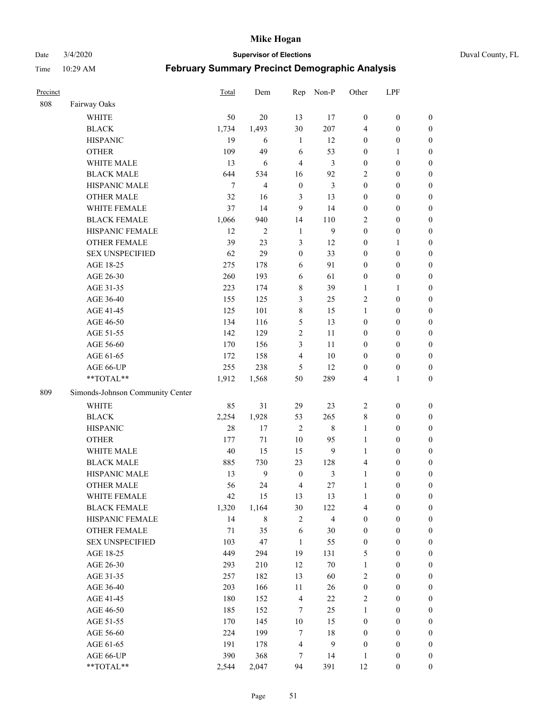Date 3/4/2020 **Supervisor of Elections** Duval County, FL

| Precinct |                                  | <b>Total</b> | Dem            | Rep              | Non-P                   | Other            | LPF              |                  |
|----------|----------------------------------|--------------|----------------|------------------|-------------------------|------------------|------------------|------------------|
| 808      | Fairway Oaks                     |              |                |                  |                         |                  |                  |                  |
|          | <b>WHITE</b>                     | 50           | 20             | 13               | 17                      | $\boldsymbol{0}$ | $\boldsymbol{0}$ | $\boldsymbol{0}$ |
|          | <b>BLACK</b>                     | 1,734        | 1,493          | 30               | 207                     | 4                | $\boldsymbol{0}$ | $\boldsymbol{0}$ |
|          | <b>HISPANIC</b>                  | 19           | 6              | $\mathbf{1}$     | 12                      | $\boldsymbol{0}$ | $\boldsymbol{0}$ | $\boldsymbol{0}$ |
|          | <b>OTHER</b>                     | 109          | 49             | 6                | 53                      | $\boldsymbol{0}$ | 1                | $\boldsymbol{0}$ |
|          | WHITE MALE                       | 13           | 6              | $\overline{4}$   | 3                       | $\boldsymbol{0}$ | $\boldsymbol{0}$ | $\boldsymbol{0}$ |
|          | <b>BLACK MALE</b>                | 644          | 534            | 16               | 92                      | $\overline{2}$   | $\boldsymbol{0}$ | $\boldsymbol{0}$ |
|          | HISPANIC MALE                    | $\tau$       | 4              | $\boldsymbol{0}$ | 3                       | $\boldsymbol{0}$ | $\boldsymbol{0}$ | $\boldsymbol{0}$ |
|          | <b>OTHER MALE</b>                | 32           | 16             | 3                | 13                      | $\boldsymbol{0}$ | $\boldsymbol{0}$ | $\boldsymbol{0}$ |
|          | WHITE FEMALE                     | 37           | 14             | 9                | 14                      | $\boldsymbol{0}$ | $\boldsymbol{0}$ | $\boldsymbol{0}$ |
|          | <b>BLACK FEMALE</b>              | 1,066        | 940            | 14               | 110                     | $\overline{2}$   | $\boldsymbol{0}$ | $\boldsymbol{0}$ |
|          | HISPANIC FEMALE                  | 12           | $\overline{2}$ | $\mathbf{1}$     | 9                       | $\boldsymbol{0}$ | $\boldsymbol{0}$ | $\boldsymbol{0}$ |
|          | <b>OTHER FEMALE</b>              | 39           | 23             | $\mathfrak{Z}$   | 12                      | $\boldsymbol{0}$ | 1                | $\boldsymbol{0}$ |
|          | <b>SEX UNSPECIFIED</b>           | 62           | 29             | $\boldsymbol{0}$ | 33                      | $\boldsymbol{0}$ | $\boldsymbol{0}$ | $\boldsymbol{0}$ |
|          | AGE 18-25                        | 275          | 178            | 6                | 91                      | $\boldsymbol{0}$ | $\boldsymbol{0}$ | $\boldsymbol{0}$ |
|          | AGE 26-30                        | 260          | 193            | 6                | 61                      | $\boldsymbol{0}$ | $\boldsymbol{0}$ | $\boldsymbol{0}$ |
|          | AGE 31-35                        | 223          | 174            | $\,$ 8 $\,$      | 39                      | $\mathbf{1}$     | $\mathbf{1}$     | $\boldsymbol{0}$ |
|          | AGE 36-40                        | 155          | 125            | 3                | 25                      | $\overline{2}$   | $\boldsymbol{0}$ | $\boldsymbol{0}$ |
|          | AGE 41-45                        | 125          | 101            | 8                | 15                      | $\mathbf{1}$     | $\boldsymbol{0}$ | $\boldsymbol{0}$ |
|          | AGE 46-50                        | 134          | 116            | 5                | 13                      | $\boldsymbol{0}$ | $\boldsymbol{0}$ | $\boldsymbol{0}$ |
|          | AGE 51-55                        | 142          | 129            | $\sqrt{2}$       | 11                      | $\boldsymbol{0}$ | $\boldsymbol{0}$ | $\boldsymbol{0}$ |
|          | AGE 56-60                        | 170          | 156            | 3                | 11                      | $\boldsymbol{0}$ | $\boldsymbol{0}$ | 0                |
|          | AGE 61-65                        | 172          | 158            | $\overline{4}$   | 10                      | $\boldsymbol{0}$ | $\boldsymbol{0}$ | $\boldsymbol{0}$ |
|          | AGE 66-UP                        | 255          | 238            | 5                | 12                      | $\boldsymbol{0}$ | $\boldsymbol{0}$ | $\boldsymbol{0}$ |
|          | **TOTAL**                        | 1,912        | 1,568          | 50               | 289                     | 4                | $\mathbf{1}$     | $\boldsymbol{0}$ |
| 809      | Simonds-Johnson Community Center |              |                |                  |                         |                  |                  |                  |
|          | <b>WHITE</b>                     | 85           | 31             | 29               | 23                      | $\sqrt{2}$       | $\boldsymbol{0}$ | $\boldsymbol{0}$ |
|          | <b>BLACK</b>                     | 2,254        | 1,928          | 53               | 265                     | 8                | $\boldsymbol{0}$ | $\boldsymbol{0}$ |
|          | <b>HISPANIC</b>                  | 28           | 17             | $\overline{2}$   | $\,$ 8 $\,$             | $\mathbf{1}$     | $\boldsymbol{0}$ | $\boldsymbol{0}$ |
|          | <b>OTHER</b>                     | 177          | 71             | 10               | 95                      | $\mathbf{1}$     | $\boldsymbol{0}$ | $\boldsymbol{0}$ |
|          | WHITE MALE                       | 40           | 15             | 15               | 9                       | $\mathbf{1}$     | $\boldsymbol{0}$ | $\boldsymbol{0}$ |
|          | <b>BLACK MALE</b>                | 885          | 730            | 23               | 128                     | 4                | $\boldsymbol{0}$ | $\boldsymbol{0}$ |
|          | HISPANIC MALE                    | 13           | $\mathbf{9}$   | $\boldsymbol{0}$ | 3                       | $\mathbf{1}$     | $\boldsymbol{0}$ | $\boldsymbol{0}$ |
|          | <b>OTHER MALE</b>                | 56           | 24             | $\overline{4}$   | 27                      | $\mathbf{1}$     | $\boldsymbol{0}$ | $\boldsymbol{0}$ |
|          | WHITE FEMALE                     | 42           | 15             | 13               | 13                      | 1                | $\boldsymbol{0}$ | 0                |
|          | <b>BLACK FEMALE</b>              | 1,320        | 1,164          | 30               | 122                     | 4                | $\boldsymbol{0}$ | $\boldsymbol{0}$ |
|          | HISPANIC FEMALE                  | 14           | 8              | $\sqrt{2}$       | $\overline{\mathbf{4}}$ | $\boldsymbol{0}$ | $\boldsymbol{0}$ | $\boldsymbol{0}$ |
|          | OTHER FEMALE                     | 71           | 35             | 6                | 30                      | $\boldsymbol{0}$ | $\boldsymbol{0}$ | $\overline{0}$   |
|          | <b>SEX UNSPECIFIED</b>           | 103          | 47             | $\mathbf{1}$     | 55                      | $\boldsymbol{0}$ | $\boldsymbol{0}$ | $\overline{0}$   |
|          | AGE 18-25                        | 449          | 294            | 19               | 131                     | 5                | $\boldsymbol{0}$ | $\overline{0}$   |
|          | AGE 26-30                        | 293          | 210            | 12               | $70\,$                  | $\mathbf{1}$     | $\boldsymbol{0}$ | $\overline{0}$   |
|          | AGE 31-35                        | 257          | 182            | 13               | 60                      | $\overline{2}$   | $\boldsymbol{0}$ | $\overline{0}$   |
|          | AGE 36-40                        | 203          | 166            | 11               | 26                      | $\boldsymbol{0}$ | $\boldsymbol{0}$ | 0                |
|          | AGE 41-45                        | 180          | 152            | $\overline{4}$   | 22                      | $\sqrt{2}$       | $\boldsymbol{0}$ | 0                |
|          | AGE 46-50                        | 185          | 152            | 7                | 25                      | $\mathbf{1}$     | $\boldsymbol{0}$ | $\boldsymbol{0}$ |
|          | AGE 51-55                        | 170          | 145            | $10\,$           | 15                      | $\boldsymbol{0}$ | $\boldsymbol{0}$ | $\boldsymbol{0}$ |
|          | AGE 56-60                        | 224          | 199            | $\overline{7}$   | 18                      | $\boldsymbol{0}$ | $\boldsymbol{0}$ | $\boldsymbol{0}$ |
|          | AGE 61-65                        | 191          | 178            | $\overline{4}$   | $\boldsymbol{9}$        | $\boldsymbol{0}$ | $\boldsymbol{0}$ | $\boldsymbol{0}$ |
|          | AGE 66-UP                        | 390          | 368            | 7                | 14                      | $\mathbf{1}$     | $\boldsymbol{0}$ | $\boldsymbol{0}$ |
|          | **TOTAL**                        | 2,544        | 2,047          | 94               | 391                     | 12               | $\boldsymbol{0}$ | $\boldsymbol{0}$ |
|          |                                  |              |                |                  |                         |                  |                  |                  |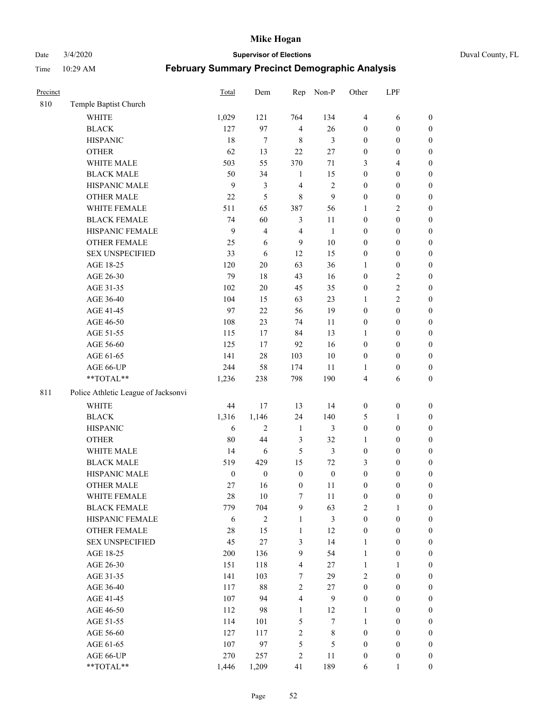Date 3/4/2020 **Supervisor of Elections** Duval County, FL

| Precinct |                                     | <b>Total</b>     | Dem              | Rep              | Non-P            | Other            | LPF              |                  |
|----------|-------------------------------------|------------------|------------------|------------------|------------------|------------------|------------------|------------------|
| 810      | Temple Baptist Church               |                  |                  |                  |                  |                  |                  |                  |
|          | <b>WHITE</b>                        | 1,029            | 121              | 764              | 134              | $\overline{4}$   | 6                | 0                |
|          | <b>BLACK</b>                        | 127              | 97               | $\overline{4}$   | 26               | $\boldsymbol{0}$ | $\boldsymbol{0}$ | $\boldsymbol{0}$ |
|          | <b>HISPANIC</b>                     | 18               | $\tau$           | $\,$ 8 $\,$      | 3                | $\boldsymbol{0}$ | $\boldsymbol{0}$ | $\boldsymbol{0}$ |
|          | <b>OTHER</b>                        | 62               | 13               | 22               | $27\,$           | $\boldsymbol{0}$ | $\boldsymbol{0}$ | $\boldsymbol{0}$ |
|          | WHITE MALE                          | 503              | 55               | 370              | 71               | 3                | $\overline{4}$   | $\boldsymbol{0}$ |
|          | <b>BLACK MALE</b>                   | 50               | 34               | 1                | 15               | $\boldsymbol{0}$ | $\boldsymbol{0}$ | $\boldsymbol{0}$ |
|          | HISPANIC MALE                       | 9                | 3                | $\overline{4}$   | $\sqrt{2}$       | $\boldsymbol{0}$ | $\boldsymbol{0}$ | $\boldsymbol{0}$ |
|          | <b>OTHER MALE</b>                   | 22               | 5                | 8                | 9                | $\boldsymbol{0}$ | $\boldsymbol{0}$ | $\boldsymbol{0}$ |
|          | WHITE FEMALE                        | 511              | 65               | 387              | 56               | 1                | $\overline{c}$   | $\boldsymbol{0}$ |
|          | <b>BLACK FEMALE</b>                 | 74               | 60               | $\mathfrak{Z}$   | 11               | $\boldsymbol{0}$ | $\boldsymbol{0}$ | $\boldsymbol{0}$ |
|          | HISPANIC FEMALE                     | 9                | $\overline{4}$   | $\overline{4}$   | $\mathbf{1}$     | $\boldsymbol{0}$ | $\boldsymbol{0}$ | $\boldsymbol{0}$ |
|          | <b>OTHER FEMALE</b>                 | 25               | 6                | 9                | $10\,$           | $\boldsymbol{0}$ | $\boldsymbol{0}$ | $\boldsymbol{0}$ |
|          | <b>SEX UNSPECIFIED</b>              | 33               | 6                | 12               | 15               | $\boldsymbol{0}$ | $\boldsymbol{0}$ | $\boldsymbol{0}$ |
|          | AGE 18-25                           | 120              | $20\,$           | 63               | 36               | 1                | $\boldsymbol{0}$ | $\boldsymbol{0}$ |
|          | AGE 26-30                           | 79               | $18\,$           | 43               | 16               | $\boldsymbol{0}$ | $\sqrt{2}$       | $\boldsymbol{0}$ |
|          | AGE 31-35                           | 102              | $20\,$           | 45               | 35               | $\boldsymbol{0}$ | $\sqrt{2}$       | $\boldsymbol{0}$ |
|          | AGE 36-40                           | 104              | 15               | 63               | 23               | 1                | $\overline{2}$   | $\boldsymbol{0}$ |
|          | AGE 41-45                           | 97               | 22               | 56               | 19               | $\boldsymbol{0}$ | $\boldsymbol{0}$ | $\boldsymbol{0}$ |
|          | AGE 46-50                           | 108              | 23               | 74               | 11               | $\boldsymbol{0}$ | $\boldsymbol{0}$ | $\boldsymbol{0}$ |
|          | AGE 51-55                           | 115              | 17               | 84               | 13               | 1                | $\boldsymbol{0}$ | $\boldsymbol{0}$ |
|          | AGE 56-60                           | 125              | 17               | 92               | 16               | $\boldsymbol{0}$ | $\boldsymbol{0}$ | 0                |
|          | AGE 61-65                           | 141              | 28               | 103              | $10\,$           | $\boldsymbol{0}$ | $\boldsymbol{0}$ | $\boldsymbol{0}$ |
|          | AGE 66-UP                           | 244              | 58               | 174              | 11               | 1                | $\boldsymbol{0}$ | $\boldsymbol{0}$ |
|          | **TOTAL**                           | 1,236            | 238              | 798              | 190              | 4                | 6                | $\boldsymbol{0}$ |
| 811      | Police Athletic League of Jacksonvi |                  |                  |                  |                  |                  |                  |                  |
|          | <b>WHITE</b>                        |                  |                  |                  |                  |                  |                  |                  |
|          |                                     | 44               | 17               | 13               | 14               | $\boldsymbol{0}$ | $\boldsymbol{0}$ | $\boldsymbol{0}$ |
|          | <b>BLACK</b>                        | 1,316            | 1,146            | 24               | 140              | 5                | $\mathbf{1}$     | $\boldsymbol{0}$ |
|          | <b>HISPANIC</b>                     | 6                | $\overline{c}$   | $\mathbf{1}$     | 3                | $\boldsymbol{0}$ | $\boldsymbol{0}$ | $\boldsymbol{0}$ |
|          | <b>OTHER</b>                        | 80               | 44               | $\mathfrak{Z}$   | 32               | 1                | $\boldsymbol{0}$ | $\boldsymbol{0}$ |
|          | WHITE MALE                          | 14               | $\sqrt{6}$       | 5                | 3                | $\boldsymbol{0}$ | $\boldsymbol{0}$ | $\boldsymbol{0}$ |
|          | <b>BLACK MALE</b>                   | 519              | 429              | 15               | 72               | 3                | $\boldsymbol{0}$ | $\boldsymbol{0}$ |
|          | HISPANIC MALE                       | $\boldsymbol{0}$ | $\boldsymbol{0}$ | $\boldsymbol{0}$ | $\boldsymbol{0}$ | $\boldsymbol{0}$ | $\boldsymbol{0}$ | $\boldsymbol{0}$ |
|          | <b>OTHER MALE</b>                   | 27               | 16               | $\boldsymbol{0}$ | 11               | $\boldsymbol{0}$ | $\boldsymbol{0}$ | $\boldsymbol{0}$ |
|          | WHITE FEMALE                        | 28               | 10               | 7                | 11               | 0                | $\boldsymbol{0}$ | 0                |
|          | <b>BLACK FEMALE</b>                 | 779              | 704              | 9                | 63               | 2                | $\mathbf{1}$     | $\boldsymbol{0}$ |
|          | HISPANIC FEMALE                     | 6                | $\mathbf{2}$     | $\mathbf{1}$     | $\mathfrak{Z}$   | $\boldsymbol{0}$ | $\boldsymbol{0}$ | $\overline{0}$   |
|          | OTHER FEMALE                        | 28               | 15               | $\mathbf{1}$     | 12               | $\boldsymbol{0}$ | $\boldsymbol{0}$ | $\overline{0}$   |
|          | <b>SEX UNSPECIFIED</b>              | 45               | 27               | 3                | 14               | $\mathbf{1}$     | $\boldsymbol{0}$ | $\overline{0}$   |
|          | AGE 18-25                           | 200              | 136              | 9                | 54               | $\mathbf{1}$     | $\boldsymbol{0}$ | $\overline{0}$   |
|          | AGE 26-30                           | 151              | 118              | $\overline{4}$   | $27\,$           | $\mathbf{1}$     | $\mathbf{1}$     | $\overline{0}$   |
|          | AGE 31-35                           | 141              | 103              | 7                | 29               | $\overline{c}$   | $\boldsymbol{0}$ | $\overline{0}$   |
|          | AGE 36-40                           | 117              | $88\,$           | $\overline{c}$   | $27\,$           | $\boldsymbol{0}$ | $\boldsymbol{0}$ | 0                |
|          | AGE 41-45                           | 107              | 94               | $\overline{4}$   | 9                | $\boldsymbol{0}$ | $\boldsymbol{0}$ | 0                |
|          | AGE 46-50                           | 112              | 98               | $\mathbf{1}$     | 12               | 1                | $\boldsymbol{0}$ | $\boldsymbol{0}$ |
|          | AGE 51-55                           | 114              | 101              | 5                | $\tau$           | $\mathbf{1}$     | $\boldsymbol{0}$ | $\boldsymbol{0}$ |
|          | AGE 56-60                           | 127              | 117              | $\sqrt{2}$       | $\,$ 8 $\,$      | $\boldsymbol{0}$ | $\boldsymbol{0}$ | $\overline{0}$   |
|          | AGE 61-65                           | 107              | 97               | 5                | $\mathfrak s$    | $\boldsymbol{0}$ | $\boldsymbol{0}$ | $\overline{0}$   |
|          | AGE 66-UP                           | 270              | 257              | $\overline{c}$   | 11               | $\boldsymbol{0}$ | $\boldsymbol{0}$ | $\boldsymbol{0}$ |
|          | **TOTAL**                           | 1,446            | 1,209            | 41               | 189              | 6                | $\mathbf{1}$     | $\boldsymbol{0}$ |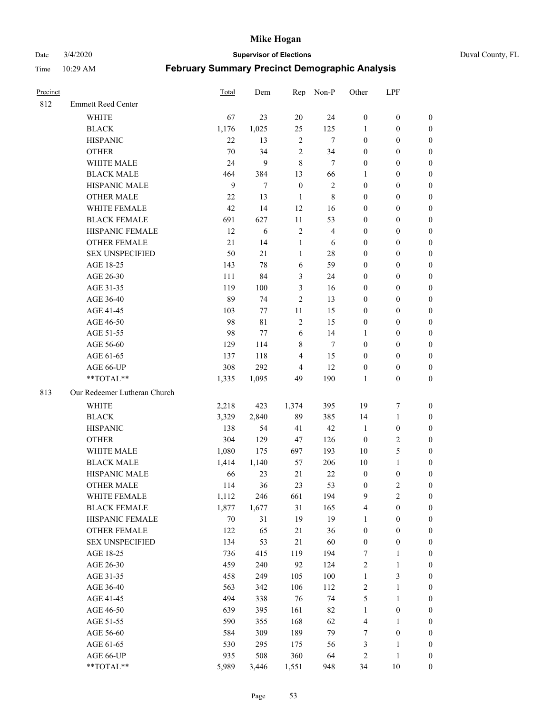Date 3/4/2020 **Supervisor of Elections** Duval County, FL

| Precinct |                              | <b>Total</b> | Dem         | Rep              | Non-P          | Other                   | LPF              |                  |
|----------|------------------------------|--------------|-------------|------------------|----------------|-------------------------|------------------|------------------|
| 812      | <b>Emmett Reed Center</b>    |              |             |                  |                |                         |                  |                  |
|          | <b>WHITE</b>                 | 67           | 23          | 20               | 24             | $\boldsymbol{0}$        | $\boldsymbol{0}$ | $\boldsymbol{0}$ |
|          | <b>BLACK</b>                 | 1,176        | 1,025       | 25               | 125            | 1                       | $\boldsymbol{0}$ | $\boldsymbol{0}$ |
|          | <b>HISPANIC</b>              | 22           | 13          | $\sqrt{2}$       | $\tau$         | $\boldsymbol{0}$        | $\boldsymbol{0}$ | $\boldsymbol{0}$ |
|          | <b>OTHER</b>                 | 70           | 34          | $\mathfrak{2}$   | 34             | $\boldsymbol{0}$        | $\boldsymbol{0}$ | $\boldsymbol{0}$ |
|          | WHITE MALE                   | 24           | 9           | 8                | $\tau$         | $\boldsymbol{0}$        | $\boldsymbol{0}$ | $\boldsymbol{0}$ |
|          | <b>BLACK MALE</b>            | 464          | 384         | 13               | 66             | 1                       | $\boldsymbol{0}$ | $\boldsymbol{0}$ |
|          | HISPANIC MALE                | $\mathbf{9}$ | $\tau$      | $\boldsymbol{0}$ | $\sqrt{2}$     | $\boldsymbol{0}$        | $\boldsymbol{0}$ | $\boldsymbol{0}$ |
|          | <b>OTHER MALE</b>            | 22           | 13          | $\mathbf{1}$     | $\,$ 8 $\,$    | $\boldsymbol{0}$        | $\boldsymbol{0}$ | $\boldsymbol{0}$ |
|          | <b>WHITE FEMALE</b>          | 42           | 14          | 12               | 16             | $\boldsymbol{0}$        | $\boldsymbol{0}$ | $\boldsymbol{0}$ |
|          | <b>BLACK FEMALE</b>          | 691          | 627         | $11\,$           | 53             | $\boldsymbol{0}$        | $\boldsymbol{0}$ | $\boldsymbol{0}$ |
|          | HISPANIC FEMALE              | 12           | 6           | $\sqrt{2}$       | $\overline{4}$ | $\boldsymbol{0}$        | $\boldsymbol{0}$ | 0                |
|          | <b>OTHER FEMALE</b>          | 21           | 14          | $\mathbf{1}$     | 6              | $\boldsymbol{0}$        | $\boldsymbol{0}$ | $\boldsymbol{0}$ |
|          | <b>SEX UNSPECIFIED</b>       | 50           | 21          | $\mathbf{1}$     | $28\,$         | $\boldsymbol{0}$        | $\boldsymbol{0}$ | $\boldsymbol{0}$ |
|          | AGE 18-25                    | 143          | 78          | 6                | 59             | $\boldsymbol{0}$        | $\boldsymbol{0}$ | $\boldsymbol{0}$ |
|          | AGE 26-30                    | 111          | 84          | 3                | 24             | $\boldsymbol{0}$        | $\boldsymbol{0}$ | $\boldsymbol{0}$ |
|          | AGE 31-35                    | 119          | 100         | 3                | 16             | $\boldsymbol{0}$        | $\boldsymbol{0}$ | $\boldsymbol{0}$ |
|          | AGE 36-40                    | 89           | 74          | $\mathfrak{2}$   | 13             | $\boldsymbol{0}$        | $\boldsymbol{0}$ | $\boldsymbol{0}$ |
|          | AGE 41-45                    | 103          | 77          | $11\,$           | 15             | $\boldsymbol{0}$        | $\boldsymbol{0}$ | $\boldsymbol{0}$ |
|          | AGE 46-50                    | 98           | $8\sqrt{1}$ | $\sqrt{2}$       | 15             | $\boldsymbol{0}$        | $\boldsymbol{0}$ | $\boldsymbol{0}$ |
|          | AGE 51-55                    | 98           | 77          | 6                | 14             | 1                       | $\boldsymbol{0}$ | $\boldsymbol{0}$ |
|          | AGE 56-60                    | 129          | 114         | $\,$ 8 $\,$      | $\overline{7}$ | $\boldsymbol{0}$        | $\boldsymbol{0}$ | 0                |
|          | AGE 61-65                    | 137          | 118         | $\overline{4}$   | 15             | $\boldsymbol{0}$        | $\boldsymbol{0}$ | 0                |
|          | AGE 66-UP                    | 308          | 292         | $\overline{4}$   | 12             | $\boldsymbol{0}$        | $\boldsymbol{0}$ | $\boldsymbol{0}$ |
|          | **TOTAL**                    | 1,335        | 1,095       | 49               | 190            | $\mathbf{1}$            | $\boldsymbol{0}$ | $\boldsymbol{0}$ |
| 813      | Our Redeemer Lutheran Church |              |             |                  |                |                         |                  |                  |
|          | <b>WHITE</b>                 | 2,218        | 423         | 1,374            | 395            | 19                      | $\boldsymbol{7}$ | $\boldsymbol{0}$ |
|          | <b>BLACK</b>                 | 3,329        | 2,840       | 89               | 385            | 14                      | $\mathbf{1}$     | $\boldsymbol{0}$ |
|          | <b>HISPANIC</b>              | 138          | 54          | 41               | 42             | $\mathbf{1}$            | $\boldsymbol{0}$ | $\boldsymbol{0}$ |
|          | <b>OTHER</b>                 | 304          | 129         | 47               | 126            | $\boldsymbol{0}$        | $\sqrt{2}$       | $\boldsymbol{0}$ |
|          | <b>WHITE MALE</b>            | 1,080        | 175         | 697              | 193            | $10\,$                  | $\sqrt{5}$       | $\overline{0}$   |
|          | <b>BLACK MALE</b>            | 1,414        | 1,140       | 57               | 206            | $10\,$                  | $\mathbf{1}$     | $\boldsymbol{0}$ |
|          | HISPANIC MALE                | 66           | 23          | 21               | $22\,$         | $\boldsymbol{0}$        | $\boldsymbol{0}$ | 0                |
|          | <b>OTHER MALE</b>            | 114          | 36          | 23               | 53             | $\boldsymbol{0}$        | $\overline{2}$   | 0                |
|          | WHITE FEMALE                 | 1,112        | 246         | 661              | 194            | 9                       | 2                | 0                |
|          | <b>BLACK FEMALE</b>          | 1,877        | 1,677       | 31               | 165            | 4                       | $\boldsymbol{0}$ | $\boldsymbol{0}$ |
|          | HISPANIC FEMALE              | $70\,$       | 31          | 19               | 19             | $\mathbf{1}$            | $\boldsymbol{0}$ | $\overline{0}$   |
|          | <b>OTHER FEMALE</b>          | 122          | 65          | $21\,$           | 36             | $\boldsymbol{0}$        | $\boldsymbol{0}$ | $\overline{0}$   |
|          | <b>SEX UNSPECIFIED</b>       | 134          | 53          | 21               | 60             | $\boldsymbol{0}$        | $\boldsymbol{0}$ | 0                |
|          | AGE 18-25                    | 736          | 415         | 119              | 194            | 7                       | $\mathbf{1}$     | $\overline{0}$   |
|          | AGE 26-30                    | 459          | 240         | 92               | 124            | $\overline{c}$          | $\mathbf{1}$     | 0                |
|          | AGE 31-35                    | 458          | 249         | 105              | 100            | $\mathbf{1}$            | $\mathfrak{Z}$   | 0                |
|          | AGE 36-40                    | 563          | 342         | 106              | 112            | $\overline{\mathbf{c}}$ | $\mathbf{1}$     | 0                |
|          | AGE 41-45                    | 494          | 338         | 76               | 74             | 5                       | $\mathbf{1}$     | 0                |
|          | AGE 46-50                    | 639          | 395         | 161              | 82             | $\mathbf{1}$            | $\boldsymbol{0}$ | 0                |
|          | AGE 51-55                    | 590          | 355         | 168              | 62             | 4                       | $\mathbf{1}$     | 0                |
|          | AGE 56-60                    | 584          | 309         | 189              | 79             | 7                       | $\boldsymbol{0}$ | $\boldsymbol{0}$ |
|          | AGE 61-65                    | 530          | 295         | 175              | 56             | 3                       | $\mathbf{1}$     | $\boldsymbol{0}$ |
|          | AGE 66-UP                    | 935          | 508         | 360              | 64             | $\overline{c}$          | $\mathbf{1}$     | $\boldsymbol{0}$ |
|          | **TOTAL**                    | 5,989        | 3,446       | 1,551            | 948            | 34                      | $10\,$           | $\boldsymbol{0}$ |
|          |                              |              |             |                  |                |                         |                  |                  |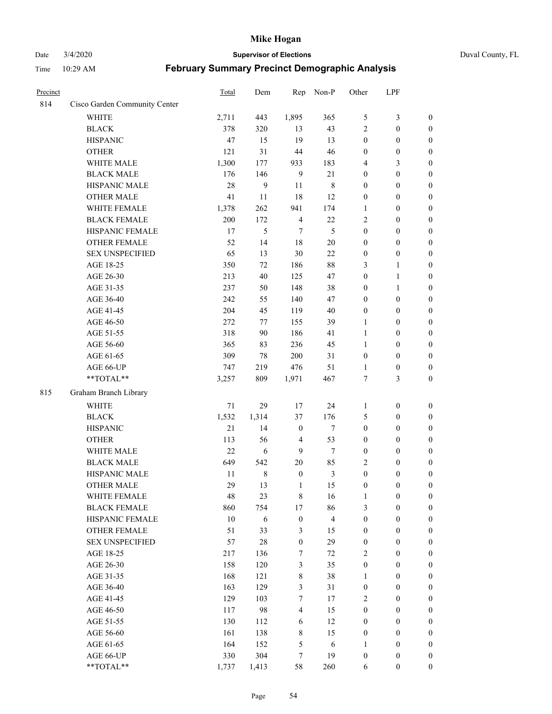## Date 3/4/2020 **Supervisor of Elections** Duval County, FL

| Precinct |                               | Total | Dem        | Rep              | Non-P                   | Other            | LPF              |                  |
|----------|-------------------------------|-------|------------|------------------|-------------------------|------------------|------------------|------------------|
| 814      | Cisco Garden Community Center |       |            |                  |                         |                  |                  |                  |
|          | <b>WHITE</b>                  | 2,711 | 443        | 1,895            | 365                     | 5                | $\mathfrak{Z}$   | $\boldsymbol{0}$ |
|          | <b>BLACK</b>                  | 378   | 320        | 13               | 43                      | $\overline{2}$   | $\boldsymbol{0}$ | $\boldsymbol{0}$ |
|          | <b>HISPANIC</b>               | 47    | 15         | 19               | 13                      | $\boldsymbol{0}$ | $\boldsymbol{0}$ | $\boldsymbol{0}$ |
|          | <b>OTHER</b>                  | 121   | 31         | 44               | 46                      | $\boldsymbol{0}$ | $\boldsymbol{0}$ | $\boldsymbol{0}$ |
|          | WHITE MALE                    | 1,300 | 177        | 933              | 183                     | 4                | 3                | $\boldsymbol{0}$ |
|          | <b>BLACK MALE</b>             | 176   | 146        | $\overline{9}$   | 21                      | $\boldsymbol{0}$ | $\boldsymbol{0}$ | $\boldsymbol{0}$ |
|          | HISPANIC MALE                 | 28    | 9          | 11               | $\,$ 8 $\,$             | $\boldsymbol{0}$ | $\boldsymbol{0}$ | $\boldsymbol{0}$ |
|          | <b>OTHER MALE</b>             | 41    | 11         | 18               | 12                      | $\boldsymbol{0}$ | $\boldsymbol{0}$ | $\boldsymbol{0}$ |
|          | WHITE FEMALE                  | 1,378 | 262        | 941              | 174                     | 1                | $\boldsymbol{0}$ | $\boldsymbol{0}$ |
|          | <b>BLACK FEMALE</b>           | 200   | 172        | $\overline{4}$   | 22                      | $\overline{c}$   | $\boldsymbol{0}$ | $\boldsymbol{0}$ |
|          | HISPANIC FEMALE               | 17    | 5          | $\tau$           | 5                       | $\boldsymbol{0}$ | $\boldsymbol{0}$ | 0                |
|          | <b>OTHER FEMALE</b>           | 52    | 14         | $18\,$           | $20\,$                  | $\boldsymbol{0}$ | $\boldsymbol{0}$ | $\boldsymbol{0}$ |
|          | <b>SEX UNSPECIFIED</b>        | 65    | 13         | $30\,$           | 22                      | $\boldsymbol{0}$ | $\boldsymbol{0}$ | $\boldsymbol{0}$ |
|          | AGE 18-25                     | 350   | 72         | 186              | $88\,$                  | 3                | $\mathbf{1}$     | $\boldsymbol{0}$ |
|          | AGE 26-30                     | 213   | 40         | 125              | 47                      | $\boldsymbol{0}$ | $\mathbf{1}$     | $\boldsymbol{0}$ |
|          | AGE 31-35                     | 237   | 50         | 148              | 38                      | $\boldsymbol{0}$ | $\mathbf{1}$     | $\boldsymbol{0}$ |
|          | AGE 36-40                     | 242   | 55         | 140              | 47                      | $\boldsymbol{0}$ | $\boldsymbol{0}$ | $\boldsymbol{0}$ |
|          | AGE 41-45                     | 204   | 45         | 119              | $40\,$                  | $\boldsymbol{0}$ | $\boldsymbol{0}$ | $\boldsymbol{0}$ |
|          | AGE 46-50                     | 272   | 77         | 155              | 39                      | $\mathbf{1}$     | $\boldsymbol{0}$ | $\boldsymbol{0}$ |
|          | AGE 51-55                     | 318   | 90         | 186              | 41                      | $\mathbf{1}$     | $\boldsymbol{0}$ | $\boldsymbol{0}$ |
|          | AGE 56-60                     | 365   | 83         | 236              | 45                      | 1                | $\boldsymbol{0}$ | 0                |
|          | AGE 61-65                     | 309   | 78         | 200              | 31                      | $\boldsymbol{0}$ | $\boldsymbol{0}$ | 0                |
|          | AGE 66-UP                     | 747   | 219        | 476              | 51                      | 1                | $\boldsymbol{0}$ | $\boldsymbol{0}$ |
|          | **TOTAL**                     | 3,257 | 809        | 1,971            | 467                     | 7                | 3                | $\boldsymbol{0}$ |
| 815      | Graham Branch Library         |       |            |                  |                         |                  |                  |                  |
|          | <b>WHITE</b>                  | 71    | 29         | 17               | 24                      | 1                | $\boldsymbol{0}$ | $\boldsymbol{0}$ |
|          | <b>BLACK</b>                  | 1,532 | 1,314      | 37               | 176                     | 5                | $\boldsymbol{0}$ | $\boldsymbol{0}$ |
|          | <b>HISPANIC</b>               | 21    | 14         | $\boldsymbol{0}$ | $\tau$                  | $\boldsymbol{0}$ | $\boldsymbol{0}$ | $\boldsymbol{0}$ |
|          | <b>OTHER</b>                  | 113   | 56         | $\overline{4}$   | 53                      | $\boldsymbol{0}$ | $\boldsymbol{0}$ | $\boldsymbol{0}$ |
|          | WHITE MALE                    | 22    | $\sqrt{6}$ | 9                | $\tau$                  | $\boldsymbol{0}$ | $\boldsymbol{0}$ | $\boldsymbol{0}$ |
|          | <b>BLACK MALE</b>             | 649   | 542        | $20\,$           | 85                      | $\overline{2}$   | $\boldsymbol{0}$ | $\boldsymbol{0}$ |
|          | HISPANIC MALE                 | 11    | 8          | $\boldsymbol{0}$ | $\mathfrak{Z}$          | $\boldsymbol{0}$ | $\boldsymbol{0}$ | $\boldsymbol{0}$ |
|          | <b>OTHER MALE</b>             | 29    | 13         | 1                | 15                      | $\boldsymbol{0}$ | $\boldsymbol{0}$ | $\boldsymbol{0}$ |
|          | WHITE FEMALE                  | 48    | 23         | 8                | 16                      | 1                | $\boldsymbol{0}$ | 0                |
|          | <b>BLACK FEMALE</b>           | 860   | 754        | 17               | 86                      | 3                | $\boldsymbol{0}$ | $\boldsymbol{0}$ |
|          | HISPANIC FEMALE               | 10    | 6          | $\boldsymbol{0}$ | $\overline{\mathbf{4}}$ | $\boldsymbol{0}$ | $\boldsymbol{0}$ | $\overline{0}$   |
|          | <b>OTHER FEMALE</b>           | 51    | 33         | $\mathfrak{Z}$   | 15                      | $\boldsymbol{0}$ | $\boldsymbol{0}$ | $\overline{0}$   |
|          | <b>SEX UNSPECIFIED</b>        | 57    | 28         | $\boldsymbol{0}$ | 29                      | $\boldsymbol{0}$ | $\boldsymbol{0}$ | $\overline{0}$   |
|          | AGE 18-25                     | 217   | 136        | 7                | 72                      | $\overline{2}$   | $\boldsymbol{0}$ | $\overline{0}$   |
|          | AGE 26-30                     | 158   | 120        | $\mathfrak{Z}$   | 35                      | $\boldsymbol{0}$ | $\boldsymbol{0}$ | $\overline{0}$   |
|          | AGE 31-35                     | 168   | 121        | $\,$ 8 $\,$      | 38                      | $\mathbf{1}$     | $\boldsymbol{0}$ | $\overline{0}$   |
|          | AGE 36-40                     | 163   | 129        | 3                | 31                      | $\boldsymbol{0}$ | $\boldsymbol{0}$ | 0                |
|          | AGE 41-45                     | 129   | 103        | $\tau$           | 17                      | $\overline{c}$   | $\boldsymbol{0}$ | 0                |
|          | AGE 46-50                     | 117   | 98         | $\overline{4}$   | 15                      | $\boldsymbol{0}$ | $\boldsymbol{0}$ | $\boldsymbol{0}$ |
|          | AGE 51-55                     | 130   | 112        | 6                | 12                      | $\boldsymbol{0}$ | $\boldsymbol{0}$ | $\overline{0}$   |
|          | AGE 56-60                     | 161   | 138        | $\,$ 8 $\,$      | 15                      | $\boldsymbol{0}$ | $\boldsymbol{0}$ | $\overline{0}$   |
|          | AGE 61-65                     | 164   | 152        | 5                | 6                       | 1                | $\boldsymbol{0}$ | $\overline{0}$   |
|          | AGE 66-UP                     | 330   | 304        | 7                | 19                      | $\boldsymbol{0}$ | $\boldsymbol{0}$ | $\boldsymbol{0}$ |
|          | **TOTAL**                     | 1,737 | 1,413      | 58               | 260                     | 6                | $\boldsymbol{0}$ | $\boldsymbol{0}$ |
|          |                               |       |            |                  |                         |                  |                  |                  |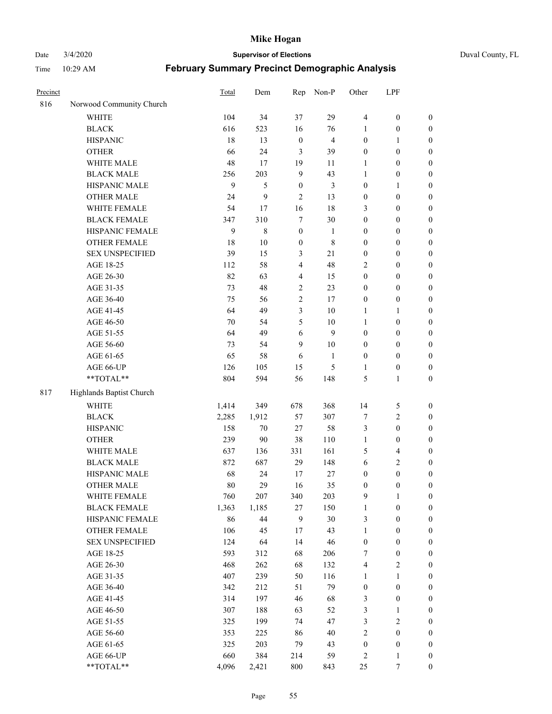Date 3/4/2020 **Supervisor of Elections** Duval County, FL

| Precinct |                          | Total | Dem         | Rep              | Non-P          | Other            | LPF                     |                  |
|----------|--------------------------|-------|-------------|------------------|----------------|------------------|-------------------------|------------------|
| 816      | Norwood Community Church |       |             |                  |                |                  |                         |                  |
|          | <b>WHITE</b>             | 104   | 34          | 37               | 29             | $\overline{4}$   | $\boldsymbol{0}$        | 0                |
|          | <b>BLACK</b>             | 616   | 523         | 16               | 76             | 1                | $\boldsymbol{0}$        | $\boldsymbol{0}$ |
|          | <b>HISPANIC</b>          | 18    | 13          | $\boldsymbol{0}$ | $\overline{4}$ | $\boldsymbol{0}$ | $\mathbf{1}$            | $\boldsymbol{0}$ |
|          | <b>OTHER</b>             | 66    | 24          | 3                | 39             | $\boldsymbol{0}$ | $\boldsymbol{0}$        | $\boldsymbol{0}$ |
|          | WHITE MALE               | 48    | 17          | 19               | 11             | 1                | $\boldsymbol{0}$        | $\boldsymbol{0}$ |
|          | <b>BLACK MALE</b>        | 256   | 203         | 9                | 43             | 1                | $\boldsymbol{0}$        | $\boldsymbol{0}$ |
|          | HISPANIC MALE            | 9     | 5           | $\boldsymbol{0}$ | $\mathfrak{Z}$ | 0                | $\mathbf{1}$            | $\boldsymbol{0}$ |
|          | <b>OTHER MALE</b>        | 24    | 9           | 2                | 13             | $\boldsymbol{0}$ | $\boldsymbol{0}$        | $\boldsymbol{0}$ |
|          | WHITE FEMALE             | 54    | 17          | 16               | 18             | 3                | $\boldsymbol{0}$        | $\boldsymbol{0}$ |
|          | <b>BLACK FEMALE</b>      | 347   | 310         | 7                | 30             | $\boldsymbol{0}$ | $\boldsymbol{0}$        | $\boldsymbol{0}$ |
|          | HISPANIC FEMALE          | 9     | $\,$ 8 $\,$ | $\boldsymbol{0}$ | 1              | 0                | $\boldsymbol{0}$        | $\boldsymbol{0}$ |
|          | <b>OTHER FEMALE</b>      | 18    | 10          | $\boldsymbol{0}$ | $\,$ 8 $\,$    | 0                | $\boldsymbol{0}$        | $\boldsymbol{0}$ |
|          | <b>SEX UNSPECIFIED</b>   | 39    | 15          | 3                | $21\,$         | $\boldsymbol{0}$ | $\boldsymbol{0}$        | $\boldsymbol{0}$ |
|          | AGE 18-25                | 112   | 58          | 4                | 48             | 2                | $\boldsymbol{0}$        | $\boldsymbol{0}$ |
|          | AGE 26-30                | 82    | 63          | 4                | 15             | $\boldsymbol{0}$ | $\boldsymbol{0}$        | $\boldsymbol{0}$ |
|          | AGE 31-35                | 73    | 48          | $\overline{c}$   | 23             | $\boldsymbol{0}$ | $\boldsymbol{0}$        | $\boldsymbol{0}$ |
|          | AGE 36-40                | 75    | 56          | $\overline{c}$   | 17             | 0                | $\boldsymbol{0}$        | $\boldsymbol{0}$ |
|          | AGE 41-45                | 64    | 49          | 3                | 10             | $\mathbf{1}$     | $\mathbf{1}$            | $\boldsymbol{0}$ |
|          | AGE 46-50                | 70    | 54          | 5                | 10             | 1                | $\boldsymbol{0}$        | $\boldsymbol{0}$ |
|          | AGE 51-55                | 64    | 49          | 6                | 9              | $\boldsymbol{0}$ | $\boldsymbol{0}$        | $\boldsymbol{0}$ |
|          | AGE 56-60                | 73    | 54          | 9                | 10             | 0                | $\boldsymbol{0}$        | $\boldsymbol{0}$ |
|          | AGE 61-65                | 65    | 58          | 6                | 1              | $\boldsymbol{0}$ | $\boldsymbol{0}$        | $\boldsymbol{0}$ |
|          | AGE 66-UP                | 126   | 105         | 15               | $\mathfrak s$  | 1                | $\boldsymbol{0}$        | $\boldsymbol{0}$ |
|          | **TOTAL**                | 804   | 594         | 56               | 148            | 5                | $\mathbf{1}$            | $\boldsymbol{0}$ |
| 817      | Highlands Baptist Church |       |             |                  |                |                  |                         |                  |
|          | <b>WHITE</b>             | 1,414 | 349         | 678              | 368            | 14               | $\sqrt{5}$              | $\boldsymbol{0}$ |
|          | <b>BLACK</b>             | 2,285 | 1,912       | 57               | 307            | 7                | $\sqrt{2}$              | $\boldsymbol{0}$ |
|          | <b>HISPANIC</b>          | 158   | 70          | 27               | 58             | 3                | $\boldsymbol{0}$        | $\boldsymbol{0}$ |
|          | <b>OTHER</b>             | 239   | 90          | 38               | 110            | $\mathbf{1}$     | $\boldsymbol{0}$        | $\boldsymbol{0}$ |
|          | WHITE MALE               | 637   | 136         | 331              | 161            | 5                | $\overline{\mathbf{4}}$ | $\boldsymbol{0}$ |
|          | <b>BLACK MALE</b>        | 872   | 687         | 29               | 148            | 6                | $\sqrt{2}$              | $\boldsymbol{0}$ |
|          | HISPANIC MALE            | 68    | 24          | 17               | 27             | $\boldsymbol{0}$ | $\boldsymbol{0}$        | $\boldsymbol{0}$ |
|          | <b>OTHER MALE</b>        | 80    | 29          | 16               | 35             | $\boldsymbol{0}$ | $\boldsymbol{0}$        | $\boldsymbol{0}$ |
|          | WHITE FEMALE             | 760   | 207         | 340              | 203            | 9                | 1                       | 0                |
|          | <b>BLACK FEMALE</b>      | 1,363 | 1,185       | 27               | 150            | $\mathbf{1}$     | $\boldsymbol{0}$        | $\boldsymbol{0}$ |
|          | HISPANIC FEMALE          | 86    | 44          | 9                | 30             | 3                | $\boldsymbol{0}$        | $\overline{0}$   |
|          | OTHER FEMALE             | 106   | 45          | 17               | 43             | 1                | $\boldsymbol{0}$        | $\overline{0}$   |
|          | <b>SEX UNSPECIFIED</b>   | 124   | 64          | 14               | 46             | $\boldsymbol{0}$ | $\boldsymbol{0}$        | 0                |
|          | AGE 18-25                | 593   | 312         | 68               | 206            | 7                | $\boldsymbol{0}$        | 0                |
|          | AGE 26-30                | 468   | 262         | 68               | 132            | 4                | $\sqrt{2}$              | 0                |
|          | AGE 31-35                | 407   | 239         | 50               | 116            | 1                | $\mathbf{1}$            | 0                |
|          | AGE 36-40                | 342   | 212         | 51               | 79             | $\boldsymbol{0}$ | $\boldsymbol{0}$        | 0                |
|          | AGE 41-45                | 314   | 197         | 46               | 68             | 3                | $\boldsymbol{0}$        | 0                |
|          | AGE 46-50                | 307   | 188         | 63               | 52             | 3                | 1                       | 0                |
|          | AGE 51-55                | 325   | 199         | 74               | 47             | 3                | $\sqrt{2}$              | 0                |
|          | AGE 56-60                | 353   | 225         | 86               | 40             | $\overline{c}$   | $\boldsymbol{0}$        | $\overline{0}$   |
|          | AGE 61-65                | 325   | 203         | 79               | 43             | $\boldsymbol{0}$ | $\boldsymbol{0}$        | $\overline{0}$   |
|          | AGE 66-UP                | 660   | 384         | 214              | 59             | 2                | $\mathbf{1}$            | 0                |
|          | **TOTAL**                | 4,096 | 2,421       | 800              | 843            | 25               | 7                       | $\boldsymbol{0}$ |
|          |                          |       |             |                  |                |                  |                         |                  |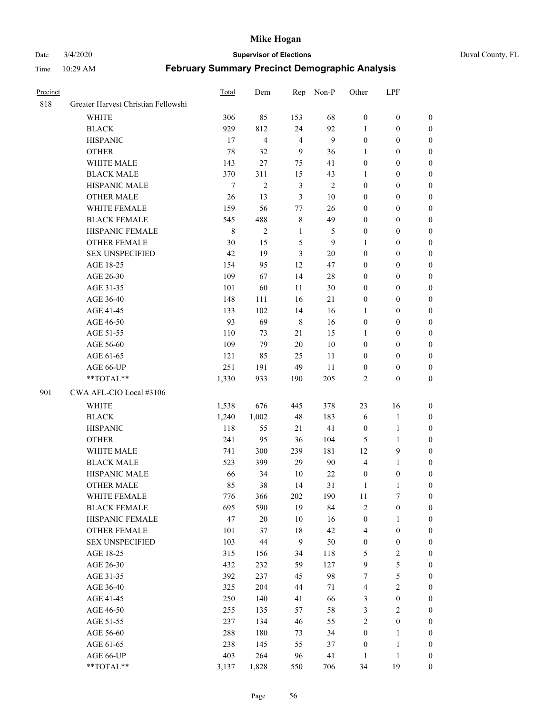#### Date 3/4/2020 **Supervisor of Elections** Duval County, FL

| Precinct |                                     | Total   | Dem                     | Rep            | Non-P          | Other            | LPF              |                  |
|----------|-------------------------------------|---------|-------------------------|----------------|----------------|------------------|------------------|------------------|
| 818      | Greater Harvest Christian Fellowshi |         |                         |                |                |                  |                  |                  |
|          | <b>WHITE</b>                        | 306     | 85                      | 153            | 68             | $\boldsymbol{0}$ | $\boldsymbol{0}$ | 0                |
|          | <b>BLACK</b>                        | 929     | 812                     | 24             | 92             | 1                | $\boldsymbol{0}$ | 0                |
|          | <b>HISPANIC</b>                     | 17      | $\overline{\mathbf{4}}$ | $\overline{4}$ | 9              | $\boldsymbol{0}$ | $\boldsymbol{0}$ | $\boldsymbol{0}$ |
|          | <b>OTHER</b>                        | 78      | 32                      | 9              | 36             | 1                | $\boldsymbol{0}$ | $\boldsymbol{0}$ |
|          | WHITE MALE                          | 143     | 27                      | 75             | 41             | $\boldsymbol{0}$ | $\boldsymbol{0}$ | $\boldsymbol{0}$ |
|          | <b>BLACK MALE</b>                   | 370     | 311                     | 15             | 43             | 1                | $\boldsymbol{0}$ | $\boldsymbol{0}$ |
|          | HISPANIC MALE                       | $\tau$  | $\overline{c}$          | $\mathfrak{Z}$ | $\overline{c}$ | $\boldsymbol{0}$ | $\boldsymbol{0}$ | $\boldsymbol{0}$ |
|          | <b>OTHER MALE</b>                   | 26      | 13                      | $\mathfrak{Z}$ | $10\,$         | $\boldsymbol{0}$ | $\boldsymbol{0}$ | $\boldsymbol{0}$ |
|          | WHITE FEMALE                        | 159     | 56                      | $77 \,$        | 26             | $\boldsymbol{0}$ | $\boldsymbol{0}$ | $\boldsymbol{0}$ |
|          | <b>BLACK FEMALE</b>                 | 545     | 488                     | $\,$ 8 $\,$    | 49             | $\boldsymbol{0}$ | $\boldsymbol{0}$ | $\boldsymbol{0}$ |
|          | HISPANIC FEMALE                     | $\,8\,$ | $\overline{2}$          | $\mathbf{1}$   | 5              | $\boldsymbol{0}$ | $\boldsymbol{0}$ | 0                |
|          | <b>OTHER FEMALE</b>                 | 30      | 15                      | 5              | 9              | 1                | $\boldsymbol{0}$ | $\boldsymbol{0}$ |
|          | <b>SEX UNSPECIFIED</b>              | 42      | 19                      | $\mathfrak{Z}$ | $20\,$         | $\boldsymbol{0}$ | $\boldsymbol{0}$ | $\boldsymbol{0}$ |
|          | AGE 18-25                           | 154     | 95                      | 12             | 47             | $\boldsymbol{0}$ | $\boldsymbol{0}$ | $\boldsymbol{0}$ |
|          | AGE 26-30                           | 109     | 67                      | 14             | $28\,$         | $\boldsymbol{0}$ | $\boldsymbol{0}$ | $\boldsymbol{0}$ |
|          | AGE 31-35                           | 101     | 60                      | 11             | $30\,$         | $\boldsymbol{0}$ | $\boldsymbol{0}$ | $\boldsymbol{0}$ |
|          | AGE 36-40                           | 148     | 111                     | 16             | 21             | $\boldsymbol{0}$ | $\boldsymbol{0}$ | $\boldsymbol{0}$ |
|          | AGE 41-45                           | 133     | 102                     | 14             | 16             | $\mathbf{1}$     | $\boldsymbol{0}$ | $\boldsymbol{0}$ |
|          | AGE 46-50                           | 93      | 69                      | $\,8\,$        | 16             | $\boldsymbol{0}$ | $\boldsymbol{0}$ | $\boldsymbol{0}$ |
|          | AGE 51-55                           | 110     | 73                      | 21             | 15             | 1                | $\boldsymbol{0}$ | $\boldsymbol{0}$ |
|          | AGE 56-60                           | 109     | 79                      | 20             | 10             | $\boldsymbol{0}$ | $\boldsymbol{0}$ | 0                |
|          | AGE 61-65                           | 121     | 85                      | 25             | 11             | $\boldsymbol{0}$ | $\boldsymbol{0}$ | 0                |
|          | AGE 66-UP                           | 251     | 191                     | 49             | 11             | $\boldsymbol{0}$ | $\boldsymbol{0}$ | $\boldsymbol{0}$ |
|          | **TOTAL**                           | 1,330   | 933                     | 190            | 205            | 2                | $\boldsymbol{0}$ | $\boldsymbol{0}$ |
| 901      | CWA AFL-CIO Local #3106             |         |                         |                |                |                  |                  |                  |
|          | <b>WHITE</b>                        | 1,538   | 676                     | 445            | 378            | 23               | 16               | $\boldsymbol{0}$ |
|          | <b>BLACK</b>                        | 1,240   | 1,002                   | 48             | 183            | 6                | $\mathbf{1}$     | $\boldsymbol{0}$ |
|          | <b>HISPANIC</b>                     | 118     | 55                      | 21             | 41             | $\boldsymbol{0}$ | $\mathbf{1}$     | $\boldsymbol{0}$ |
|          | <b>OTHER</b>                        | 241     | 95                      | 36             | 104            | 5                | $\mathbf{1}$     | $\boldsymbol{0}$ |
|          | WHITE MALE                          | 741     | 300                     | 239            | 181            | 12               | 9                | $\overline{0}$   |
|          | <b>BLACK MALE</b>                   | 523     | 399                     | 29             | 90             | 4                | $\mathbf{1}$     | $\boldsymbol{0}$ |
|          | HISPANIC MALE                       | 66      | 34                      | 10             | $22\,$         | $\boldsymbol{0}$ | $\boldsymbol{0}$ | 0                |
|          | <b>OTHER MALE</b>                   | 85      | 38                      | 14             | 31             | 1                | 1                | 0                |
|          | WHITE FEMALE                        | 776     | 366                     | 202            | 190            | 11               | 7                | 0                |
|          | <b>BLACK FEMALE</b>                 | 695     | 590                     | 19             | 84             | 2                | $\boldsymbol{0}$ | $\boldsymbol{0}$ |
|          | HISPANIC FEMALE                     | $47\,$  | $20\,$                  | 10             | 16             | $\boldsymbol{0}$ | 1                | $\overline{0}$   |
|          | <b>OTHER FEMALE</b>                 | 101     | 37                      | 18             | 42             | 4                | $\boldsymbol{0}$ | $\overline{0}$   |
|          | <b>SEX UNSPECIFIED</b>              | 103     | 44                      | 9              | 50             | $\boldsymbol{0}$ | $\boldsymbol{0}$ | 0                |
|          | AGE 18-25                           | 315     | 156                     | 34             | 118            | 5                | $\sqrt{2}$       | 0                |
|          | AGE 26-30                           | 432     | 232                     | 59             | 127            | 9                | $\sqrt{5}$       | 0                |
|          | AGE 31-35                           | 392     | 237                     | 45             | 98             | 7                | $\sqrt{5}$       | 0                |
|          | AGE 36-40                           | 325     | 204                     | 44             | 71             | 4                | $\sqrt{2}$       | 0                |
|          | AGE 41-45                           | 250     | 140                     | 41             | 66             | 3                | $\boldsymbol{0}$ | 0                |
|          | AGE 46-50                           | 255     | 135                     | 57             | 58             | 3                | $\sqrt{2}$       | 0                |
|          | AGE 51-55                           | 237     | 134                     | 46             | 55             | 2                | $\boldsymbol{0}$ | $\overline{0}$   |
|          | AGE 56-60                           | 288     | 180                     | 73             | 34             | $\boldsymbol{0}$ | 1                | $\overline{0}$   |
|          | AGE 61-65                           | 238     | 145                     | 55             | 37             | $\boldsymbol{0}$ | $\mathbf{1}$     | $\overline{0}$   |
|          | AGE 66-UP                           | 403     | 264                     | 96             | 41             | $\mathbf{1}$     | $\mathbf{1}$     | $\boldsymbol{0}$ |
|          | **TOTAL**                           | 3,137   | 1,828                   | 550            | 706            | 34               | 19               | $\boldsymbol{0}$ |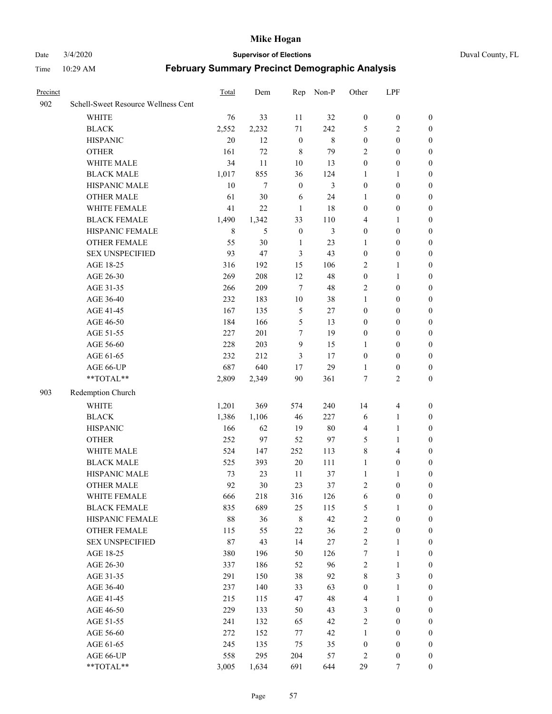#### Date 3/4/2020 **Supervisor of Elections** Duval County, FL

| Precinct |                                     | Total  | Dem    | Rep              | Non-P   | Other            | LPF              |                  |
|----------|-------------------------------------|--------|--------|------------------|---------|------------------|------------------|------------------|
| 902      | Schell-Sweet Resource Wellness Cent |        |        |                  |         |                  |                  |                  |
|          | <b>WHITE</b>                        | 76     | 33     | 11               | 32      | $\boldsymbol{0}$ | $\boldsymbol{0}$ | $\boldsymbol{0}$ |
|          | <b>BLACK</b>                        | 2,552  | 2,232  | 71               | 242     | 5                | $\overline{2}$   | $\boldsymbol{0}$ |
|          | <b>HISPANIC</b>                     | 20     | 12     | $\boldsymbol{0}$ | $\,8\,$ | $\boldsymbol{0}$ | $\boldsymbol{0}$ | $\boldsymbol{0}$ |
|          | <b>OTHER</b>                        | 161    | 72     | $\,$ 8 $\,$      | 79      | $\overline{2}$   | $\boldsymbol{0}$ | $\boldsymbol{0}$ |
|          | WHITE MALE                          | 34     | 11     | 10               | 13      | $\boldsymbol{0}$ | $\boldsymbol{0}$ | $\boldsymbol{0}$ |
|          | <b>BLACK MALE</b>                   | 1,017  | 855    | 36               | 124     | $\mathbf{1}$     | $\mathbf{1}$     | $\boldsymbol{0}$ |
|          | HISPANIC MALE                       | 10     | 7      | $\boldsymbol{0}$ | 3       | $\boldsymbol{0}$ | $\boldsymbol{0}$ | $\boldsymbol{0}$ |
|          | <b>OTHER MALE</b>                   | 61     | 30     | 6                | 24      | $\mathbf{1}$     | $\boldsymbol{0}$ | $\boldsymbol{0}$ |
|          | WHITE FEMALE                        | 41     | $22\,$ | $\mathbf{1}$     | 18      | $\boldsymbol{0}$ | $\boldsymbol{0}$ | 0                |
|          | <b>BLACK FEMALE</b>                 | 1,490  | 1,342  | 33               | 110     | 4                | 1                | 0                |
|          | HISPANIC FEMALE                     | 8      | 5      | $\boldsymbol{0}$ | 3       | $\boldsymbol{0}$ | $\boldsymbol{0}$ | $\boldsymbol{0}$ |
|          | OTHER FEMALE                        | 55     | 30     | $\mathbf{1}$     | 23      | 1                | $\boldsymbol{0}$ | $\boldsymbol{0}$ |
|          | <b>SEX UNSPECIFIED</b>              | 93     | 47     | $\mathfrak{Z}$   | 43      | $\boldsymbol{0}$ | $\boldsymbol{0}$ | $\boldsymbol{0}$ |
|          | AGE 18-25                           | 316    | 192    | 15               | 106     | $\overline{c}$   | $\mathbf{1}$     | $\boldsymbol{0}$ |
|          | AGE 26-30                           | 269    | 208    | 12               | 48      | $\boldsymbol{0}$ | $\mathbf{1}$     | $\boldsymbol{0}$ |
|          | AGE 31-35                           | 266    | 209    | $\overline{7}$   | 48      | $\overline{c}$   | $\boldsymbol{0}$ | $\boldsymbol{0}$ |
|          | AGE 36-40                           | 232    | 183    | $10\,$           | 38      | $\mathbf{1}$     | $\boldsymbol{0}$ | $\boldsymbol{0}$ |
|          | AGE 41-45                           | 167    | 135    | $\sqrt{5}$       | 27      | $\boldsymbol{0}$ | $\boldsymbol{0}$ | $\boldsymbol{0}$ |
|          | AGE 46-50                           | 184    | 166    | $\sqrt{5}$       | 13      | $\boldsymbol{0}$ | $\boldsymbol{0}$ | $\boldsymbol{0}$ |
|          | AGE 51-55                           | 227    | 201    | $\tau$           | 19      | $\boldsymbol{0}$ | $\boldsymbol{0}$ | 0                |
|          | AGE 56-60                           | 228    | 203    | 9                | 15      | 1                | $\boldsymbol{0}$ | $\boldsymbol{0}$ |
|          | AGE 61-65                           | 232    | 212    | 3                | 17      | $\boldsymbol{0}$ | $\boldsymbol{0}$ | $\boldsymbol{0}$ |
|          | AGE 66-UP                           | 687    | 640    | 17               | 29      | 1                | $\boldsymbol{0}$ | $\boldsymbol{0}$ |
|          | **TOTAL**                           | 2,809  | 2,349  | 90               | 361     | 7                | $\overline{2}$   | $\boldsymbol{0}$ |
| 903      | Redemption Church                   |        |        |                  |         |                  |                  |                  |
|          | <b>WHITE</b>                        | 1,201  | 369    | 574              | 240     | 14               | $\overline{4}$   | $\boldsymbol{0}$ |
|          | <b>BLACK</b>                        | 1,386  | 1,106  | $46\,$           | 227     | 6                | $\mathbf{1}$     | $\boldsymbol{0}$ |
|          | <b>HISPANIC</b>                     | 166    | 62     | 19               | $80\,$  | 4                | $\mathbf{1}$     | $\boldsymbol{0}$ |
|          | <b>OTHER</b>                        | 252    | 97     | 52               | 97      | 5                | $\mathbf{1}$     | $\boldsymbol{0}$ |
|          | WHITE MALE                          | 524    | 147    | 252              | 113     | 8                | $\overline{4}$   | 0                |
|          | <b>BLACK MALE</b>                   | 525    | 393    | $20\,$           | 111     | $\mathbf{1}$     | $\boldsymbol{0}$ | $\boldsymbol{0}$ |
|          | HISPANIC MALE                       | 73     | 23     | 11               | 37      | $\mathbf{1}$     | 1                | 0                |
|          | <b>OTHER MALE</b>                   | 92     | 30     | 23               | 37      | $\overline{c}$   | $\boldsymbol{0}$ | $\boldsymbol{0}$ |
|          | WHITE FEMALE                        | 666    | 218    | 316              | 126     | 6                | $\boldsymbol{0}$ | $\boldsymbol{0}$ |
|          | <b>BLACK FEMALE</b>                 | 835    | 689    | 25               | 115     | 5                | $\mathbf{1}$     | $\overline{0}$   |
|          | HISPANIC FEMALE                     | 88     | 36     | $\,$ 8 $\,$      | 42      | $\boldsymbol{2}$ | $\boldsymbol{0}$ | $\overline{0}$   |
|          | <b>OTHER FEMALE</b>                 | 115    | 55     | 22               | 36      | $\boldsymbol{2}$ | $\boldsymbol{0}$ | 0                |
|          | <b>SEX UNSPECIFIED</b>              | $87\,$ | 43     | 14               | 27      | $\sqrt{2}$       | $\mathbf{1}$     | 0                |
|          | AGE 18-25                           | 380    | 196    | 50               | 126     | $\boldsymbol{7}$ | $\mathbf{1}$     | 0                |
|          | AGE 26-30                           | 337    | 186    | 52               | 96      | $\sqrt{2}$       | $\mathbf{1}$     | 0                |
|          | AGE 31-35                           | 291    | 150    | 38               | 92      | 8                | $\mathfrak{Z}$   | 0                |
|          | AGE 36-40                           | 237    | 140    | 33               | 63      | $\boldsymbol{0}$ | $\mathbf{1}$     | 0                |
|          | AGE 41-45                           | 215    | 115    | 47               | 48      | 4                | $\mathbf{1}$     | 0                |
|          | AGE 46-50                           | 229    | 133    | 50               | 43      | 3                | $\boldsymbol{0}$ | 0                |
|          | AGE 51-55                           | 241    | 132    | 65               | 42      | $\sqrt{2}$       | $\boldsymbol{0}$ | $\boldsymbol{0}$ |
|          | AGE 56-60                           | 272    | 152    | 77               | 42      | $\mathbf{1}$     | $\boldsymbol{0}$ | $\overline{0}$   |
|          | AGE 61-65                           | 245    | 135    | 75               | 35      | $\boldsymbol{0}$ | $\boldsymbol{0}$ | 0                |
|          | AGE 66-UP                           | 558    | 295    | 204              | 57      | $\overline{c}$   | $\boldsymbol{0}$ | 0                |
|          | **TOTAL**                           | 3,005  | 1,634  | 691              | 644     | 29               | $\tau$           | $\boldsymbol{0}$ |
|          |                                     |        |        |                  |         |                  |                  |                  |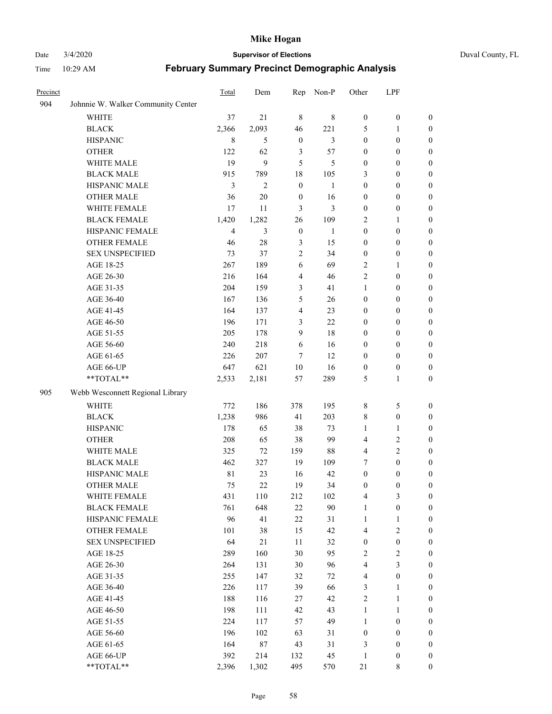#### Date 3/4/2020 **Supervisor of Elections** Duval County, FL

| Precinct |                                    | Total          | Dem            | Rep                     | Non-P        | Other                   | LPF              |                  |
|----------|------------------------------------|----------------|----------------|-------------------------|--------------|-------------------------|------------------|------------------|
| 904      | Johnnie W. Walker Community Center |                |                |                         |              |                         |                  |                  |
|          | <b>WHITE</b>                       | 37             | 21             | $\,8\,$                 | $\,$ 8 $\,$  | $\boldsymbol{0}$        | $\boldsymbol{0}$ | $\boldsymbol{0}$ |
|          | <b>BLACK</b>                       | 2,366          | 2,093          | 46                      | 221          | 5                       | 1                | $\boldsymbol{0}$ |
|          | <b>HISPANIC</b>                    | $\,$ 8 $\,$    | 5              | $\boldsymbol{0}$        | 3            | $\boldsymbol{0}$        | $\boldsymbol{0}$ | $\boldsymbol{0}$ |
|          | <b>OTHER</b>                       | 122            | 62             | 3                       | 57           | $\boldsymbol{0}$        | $\boldsymbol{0}$ | $\boldsymbol{0}$ |
|          | WHITE MALE                         | 19             | 9              | 5                       | 5            | $\boldsymbol{0}$        | $\boldsymbol{0}$ | $\boldsymbol{0}$ |
|          | <b>BLACK MALE</b>                  | 915            | 789            | 18                      | 105          | 3                       | $\boldsymbol{0}$ | $\boldsymbol{0}$ |
|          | HISPANIC MALE                      | 3              | $\overline{c}$ | $\boldsymbol{0}$        | $\mathbf{1}$ | $\boldsymbol{0}$        | $\boldsymbol{0}$ | $\boldsymbol{0}$ |
|          | <b>OTHER MALE</b>                  | 36             | $20\,$         | $\boldsymbol{0}$        | 16           | $\boldsymbol{0}$        | $\boldsymbol{0}$ | 0                |
|          | WHITE FEMALE                       | 17             | 11             | 3                       | 3            | $\boldsymbol{0}$        | $\boldsymbol{0}$ | 0                |
|          | <b>BLACK FEMALE</b>                | 1,420          | 1,282          | 26                      | 109          | 2                       | 1                | $\boldsymbol{0}$ |
|          | HISPANIC FEMALE                    | $\overline{4}$ | 3              | $\boldsymbol{0}$        | 1            | $\boldsymbol{0}$        | $\boldsymbol{0}$ | $\boldsymbol{0}$ |
|          | <b>OTHER FEMALE</b>                | 46             | 28             | $\mathfrak{Z}$          | 15           | $\boldsymbol{0}$        | $\boldsymbol{0}$ | $\boldsymbol{0}$ |
|          | <b>SEX UNSPECIFIED</b>             | 73             | 37             | $\sqrt{2}$              | 34           | $\boldsymbol{0}$        | $\boldsymbol{0}$ | $\boldsymbol{0}$ |
|          | AGE 18-25                          | 267            | 189            | 6                       | 69           | $\overline{c}$          | 1                | $\boldsymbol{0}$ |
|          | AGE 26-30                          | 216            | 164            | $\overline{4}$          | 46           | $\overline{c}$          | $\boldsymbol{0}$ | $\boldsymbol{0}$ |
|          | AGE 31-35                          | 204            | 159            | $\mathfrak{Z}$          | 41           | $\mathbf{1}$            | $\boldsymbol{0}$ | $\boldsymbol{0}$ |
|          | AGE 36-40                          | 167            | 136            | 5                       | 26           | $\boldsymbol{0}$        | $\boldsymbol{0}$ | $\boldsymbol{0}$ |
|          | AGE 41-45                          | 164            | 137            | $\overline{\mathbf{4}}$ | 23           | $\boldsymbol{0}$        | $\boldsymbol{0}$ | $\boldsymbol{0}$ |
|          | AGE 46-50                          | 196            | 171            | 3                       | 22           | $\boldsymbol{0}$        | $\boldsymbol{0}$ | 0                |
|          | AGE 51-55                          | 205            | 178            | 9                       | 18           | $\boldsymbol{0}$        | $\boldsymbol{0}$ | $\boldsymbol{0}$ |
|          | AGE 56-60                          | 240            | 218            | 6                       | 16           | $\boldsymbol{0}$        | $\boldsymbol{0}$ | $\boldsymbol{0}$ |
|          | AGE 61-65                          | 226            | 207            | $\overline{7}$          | 12           | $\boldsymbol{0}$        | $\boldsymbol{0}$ | $\boldsymbol{0}$ |
|          | AGE 66-UP                          | 647            | 621            | 10                      | 16           | $\boldsymbol{0}$        | $\boldsymbol{0}$ | $\boldsymbol{0}$ |
|          | **TOTAL**                          | 2,533          | 2,181          | 57                      | 289          | 5                       | $\mathbf{1}$     | $\boldsymbol{0}$ |
| 905      | Webb Wesconnett Regional Library   |                |                |                         |              |                         |                  |                  |
|          | <b>WHITE</b>                       | 772            | 186            | 378                     | 195          | 8                       | $\sqrt{5}$       | $\boldsymbol{0}$ |
|          | <b>BLACK</b>                       | 1,238          | 986            | 41                      | 203          | 8                       | $\boldsymbol{0}$ | $\boldsymbol{0}$ |
|          | <b>HISPANIC</b>                    | 178            | 65             | 38                      | 73           | $\mathbf{1}$            | $\mathbf{1}$     | $\boldsymbol{0}$ |
|          | <b>OTHER</b>                       | 208            | 65             | 38                      | 99           | 4                       | $\sqrt{2}$       | $\boldsymbol{0}$ |
|          | WHITE MALE                         | 325            | 72             | 159                     | 88           | 4                       | $\sqrt{2}$       | $\boldsymbol{0}$ |
|          | <b>BLACK MALE</b>                  | 462            | 327            | 19                      | 109          | 7                       | $\boldsymbol{0}$ | 0                |
|          | HISPANIC MALE                      | 81             | 23             | 16                      | 42           | $\boldsymbol{0}$        | $\boldsymbol{0}$ | 0                |
|          | <b>OTHER MALE</b>                  | 75             | 22             | 19                      | 34           | $\boldsymbol{0}$        | $\boldsymbol{0}$ | $\boldsymbol{0}$ |
|          | WHITE FEMALE                       | 431            | $110\,$        | 212                     | 102          | $\overline{\mathbf{4}}$ | $\mathfrak{Z}$   | $\boldsymbol{0}$ |
|          | <b>BLACK FEMALE</b>                | 761            | 648            | $22\,$                  | 90           | $\mathbf{1}$            | $\boldsymbol{0}$ | $\boldsymbol{0}$ |
|          | HISPANIC FEMALE                    | 96             | 41             | $22\,$                  | 31           | $\mathbf{1}$            | $\mathbf{1}$     | $\overline{0}$   |
|          | <b>OTHER FEMALE</b>                | 101            | 38             | 15                      | 42           | 4                       | $\sqrt{2}$       | $\overline{0}$   |
|          | <b>SEX UNSPECIFIED</b>             | 64             | 21             | $11\,$                  | 32           | $\boldsymbol{0}$        | $\boldsymbol{0}$ | $\overline{0}$   |
|          | AGE 18-25                          | 289            | 160            | 30                      | 95           | $\sqrt{2}$              | $\sqrt{2}$       | 0                |
|          | AGE 26-30                          | 264            | 131            | $30\,$                  | 96           | 4                       | $\mathfrak{Z}$   | 0                |
|          | AGE 31-35                          | 255            | 147            | 32                      | 72           | $\overline{4}$          | $\boldsymbol{0}$ | 0                |
|          | AGE 36-40                          | 226            | 117            | 39                      | 66           | 3                       | $\mathbf{1}$     | 0                |
|          | AGE 41-45                          | 188            | 116            | $27\,$                  | 42           | $\sqrt{2}$              | $\mathbf{1}$     | 0                |
|          | AGE 46-50                          | 198            | 111            | 42                      | 43           | $\mathbf{1}$            | $\mathbf{1}$     | $\boldsymbol{0}$ |
|          | AGE 51-55                          | 224            | 117            | 57                      | 49           | $\mathbf{1}$            | $\boldsymbol{0}$ | $\boldsymbol{0}$ |
|          | AGE 56-60                          | 196            | 102            | 63                      | 31           | $\boldsymbol{0}$        | $\boldsymbol{0}$ | $\boldsymbol{0}$ |
|          | AGE 61-65                          | 164            | 87             | 43                      | 31           | 3                       | $\boldsymbol{0}$ | $\overline{0}$   |
|          | AGE 66-UP                          | 392            | 214            | 132                     | 45           | $\mathbf{1}$            | $\boldsymbol{0}$ | $\overline{0}$   |
|          | **TOTAL**                          | 2,396          | 1,302          | 495                     | 570          | 21                      | $\,$ 8 $\,$      | $\boldsymbol{0}$ |
|          |                                    |                |                |                         |              |                         |                  |                  |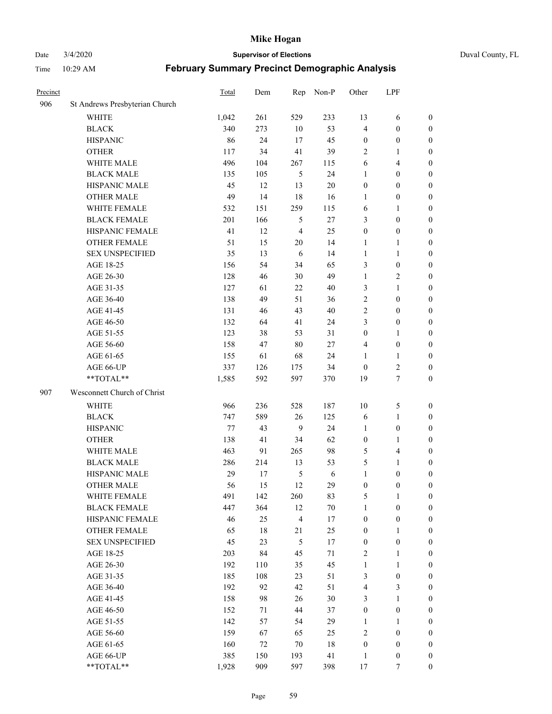## Date 3/4/2020 **Supervisor of Elections** Duval County, FL

| Precinct |                                | Total | Dem    | Rep            | Non-P  | Other            | LPF                     |                  |
|----------|--------------------------------|-------|--------|----------------|--------|------------------|-------------------------|------------------|
| 906      | St Andrews Presbyterian Church |       |        |                |        |                  |                         |                  |
|          | <b>WHITE</b>                   | 1,042 | 261    | 529            | 233    | 13               | 6                       | 0                |
|          | <b>BLACK</b>                   | 340   | 273    | 10             | 53     | 4                | $\boldsymbol{0}$        | 0                |
|          | <b>HISPANIC</b>                | 86    | 24     | 17             | 45     | $\boldsymbol{0}$ | $\boldsymbol{0}$        | $\boldsymbol{0}$ |
|          | <b>OTHER</b>                   | 117   | 34     | 41             | 39     | 2                | 1                       | $\boldsymbol{0}$ |
|          | WHITE MALE                     | 496   | 104    | 267            | 115    | 6                | $\overline{4}$          | $\boldsymbol{0}$ |
|          | <b>BLACK MALE</b>              | 135   | 105    | 5              | 24     | 1                | $\boldsymbol{0}$        | $\boldsymbol{0}$ |
|          | HISPANIC MALE                  | 45    | 12     | 13             | $20\,$ | $\boldsymbol{0}$ | $\boldsymbol{0}$        | $\boldsymbol{0}$ |
|          | <b>OTHER MALE</b>              | 49    | 14     | 18             | 16     | $\mathbf{1}$     | $\boldsymbol{0}$        | $\boldsymbol{0}$ |
|          | WHITE FEMALE                   | 532   | 151    | 259            | 115    | 6                | 1                       | $\boldsymbol{0}$ |
|          | <b>BLACK FEMALE</b>            | 201   | 166    | 5              | $27\,$ | 3                | $\boldsymbol{0}$        | $\boldsymbol{0}$ |
|          | HISPANIC FEMALE                | 41    | 12     | $\overline{4}$ | 25     | $\boldsymbol{0}$ | $\boldsymbol{0}$        | 0                |
|          | <b>OTHER FEMALE</b>            | 51    | 15     | 20             | 14     | 1                | 1                       | $\boldsymbol{0}$ |
|          | <b>SEX UNSPECIFIED</b>         | 35    | 13     | 6              | 14     | $\mathbf{1}$     | $\mathbf{1}$            | $\boldsymbol{0}$ |
|          | AGE 18-25                      | 156   | 54     | 34             | 65     | 3                | $\boldsymbol{0}$        | $\boldsymbol{0}$ |
|          | AGE 26-30                      | 128   | 46     | 30             | 49     | $\mathbf{1}$     | $\sqrt{2}$              | $\boldsymbol{0}$ |
|          | AGE 31-35                      | 127   | 61     | 22             | 40     | 3                | $\mathbf{1}$            | $\boldsymbol{0}$ |
|          | AGE 36-40                      | 138   | 49     | 51             | 36     | $\overline{c}$   | $\boldsymbol{0}$        | $\boldsymbol{0}$ |
|          | AGE 41-45                      | 131   | 46     | 43             | $40\,$ | 2                | $\boldsymbol{0}$        | $\boldsymbol{0}$ |
|          | AGE 46-50                      | 132   | 64     | 41             | 24     | 3                | $\boldsymbol{0}$        | $\boldsymbol{0}$ |
|          | AGE 51-55                      | 123   | 38     | 53             | 31     | $\boldsymbol{0}$ | 1                       | $\boldsymbol{0}$ |
|          | AGE 56-60                      | 158   | 47     | 80             | 27     | 4                | $\boldsymbol{0}$        | 0                |
|          | AGE 61-65                      | 155   | 61     | 68             | 24     | 1                | 1                       | 0                |
|          | AGE 66-UP                      | 337   | 126    | 175            | 34     | $\boldsymbol{0}$ | $\boldsymbol{2}$        | $\boldsymbol{0}$ |
|          | **TOTAL**                      | 1,585 | 592    | 597            | 370    | 19               | $\boldsymbol{7}$        | $\boldsymbol{0}$ |
| 907      | Wesconnett Church of Christ    |       |        |                |        |                  |                         |                  |
|          | <b>WHITE</b>                   | 966   | 236    | 528            | 187    | $10\,$           | $\mathfrak s$           | $\boldsymbol{0}$ |
|          | <b>BLACK</b>                   | 747   | 589    | 26             | 125    | 6                | $\mathbf{1}$            | $\boldsymbol{0}$ |
|          | <b>HISPANIC</b>                | 77    | 43     | 9              | 24     | $\mathbf{1}$     | $\boldsymbol{0}$        | $\boldsymbol{0}$ |
|          | <b>OTHER</b>                   | 138   | 41     | 34             | 62     | $\boldsymbol{0}$ | 1                       | $\boldsymbol{0}$ |
|          | WHITE MALE                     | 463   | 91     | 265            | 98     | 5                | $\overline{\mathbf{4}}$ | $\boldsymbol{0}$ |
|          | <b>BLACK MALE</b>              | 286   | 214    | 13             | 53     | 5                | $\mathbf{1}$            | $\boldsymbol{0}$ |
|          | HISPANIC MALE                  | 29    | 17     | $\mathfrak{S}$ | 6      | $\mathbf{1}$     | $\boldsymbol{0}$        | $\boldsymbol{0}$ |
|          | <b>OTHER MALE</b>              | 56    | 15     | 12             | 29     | $\boldsymbol{0}$ | $\boldsymbol{0}$        | $\boldsymbol{0}$ |
|          | WHITE FEMALE                   | 491   | 142    | 260            | 83     | 5                | 1                       | 0                |
|          | <b>BLACK FEMALE</b>            | 447   | 364    | 12             | $70\,$ | $\mathbf{1}$     | $\boldsymbol{0}$        | $\overline{0}$   |
|          | HISPANIC FEMALE                | 46    | 25     | 4              | 17     | $\boldsymbol{0}$ | $\boldsymbol{0}$        | $\overline{0}$   |
|          | <b>OTHER FEMALE</b>            | 65    | $18\,$ | 21             | 25     | $\boldsymbol{0}$ | $\mathbf{1}$            | $\overline{0}$   |
|          | <b>SEX UNSPECIFIED</b>         | 45    | 23     | 5              | 17     | $\boldsymbol{0}$ | $\boldsymbol{0}$        | 0                |
|          | AGE 18-25                      | 203   | 84     | 45             | 71     | 2                | $\mathbf{1}$            | 0                |
|          | AGE 26-30                      | 192   | 110    | 35             | 45     | $\mathbf{1}$     | $\mathbf{1}$            | 0                |
|          | AGE 31-35                      | 185   | 108    | 23             | 51     | 3                | $\boldsymbol{0}$        | 0                |
|          | AGE 36-40                      | 192   | 92     | 42             | 51     | 4                | $\mathfrak{Z}$          | 0                |
|          | AGE 41-45                      | 158   | 98     | 26             | $30\,$ | 3                | $\mathbf{1}$            | 0                |
|          | AGE 46-50                      | 152   | 71     | 44             | 37     | $\boldsymbol{0}$ | $\boldsymbol{0}$        | 0                |
|          | AGE 51-55                      | 142   | 57     | 54             | 29     | $\mathbf{1}$     | $\mathbf{1}$            | 0                |
|          | AGE 56-60                      | 159   | 67     | 65             | 25     | 2                | $\boldsymbol{0}$        | 0                |
|          | AGE 61-65                      | 160   | 72     | 70             | 18     | $\boldsymbol{0}$ | $\boldsymbol{0}$        | 0                |
|          | AGE 66-UP                      | 385   | 150    | 193            | 41     | $\mathbf{1}$     | $\boldsymbol{0}$        | 0                |
|          | **TOTAL**                      | 1,928 | 909    | 597            | 398    | 17               | 7                       | $\boldsymbol{0}$ |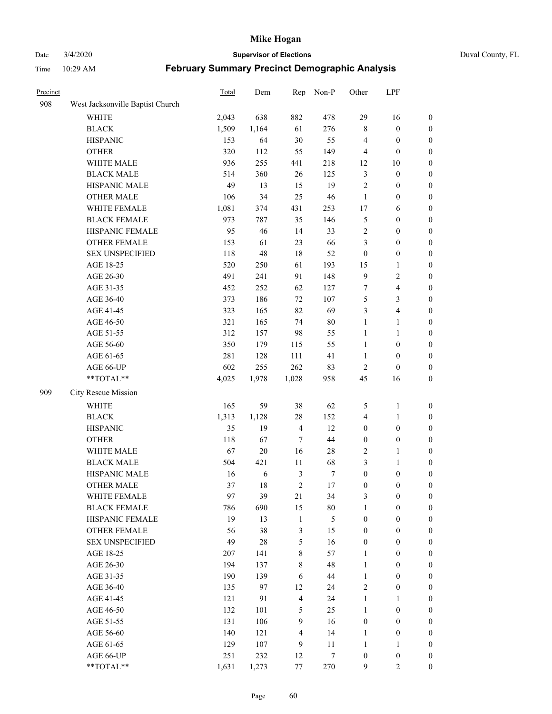### Date 3/4/2020 **Supervisor of Elections** Duval County, FL

| Precinct |                                  | Total | Dem    | Rep            | Non-P            | Other            | LPF                     |                  |
|----------|----------------------------------|-------|--------|----------------|------------------|------------------|-------------------------|------------------|
| 908      | West Jacksonville Baptist Church |       |        |                |                  |                  |                         |                  |
|          | <b>WHITE</b>                     | 2,043 | 638    | 882            | 478              | 29               | 16                      | 0                |
|          | <b>BLACK</b>                     | 1,509 | 1,164  | 61             | 276              | $\,$ 8 $\,$      | $\boldsymbol{0}$        | 0                |
|          | <b>HISPANIC</b>                  | 153   | 64     | $30\,$         | 55               | $\overline{4}$   | $\boldsymbol{0}$        | $\boldsymbol{0}$ |
|          | <b>OTHER</b>                     | 320   | 112    | 55             | 149              | 4                | $\boldsymbol{0}$        | $\boldsymbol{0}$ |
|          | WHITE MALE                       | 936   | 255    | 441            | 218              | 12               | 10                      | $\boldsymbol{0}$ |
|          | <b>BLACK MALE</b>                | 514   | 360    | $26\,$         | 125              | 3                | $\boldsymbol{0}$        | $\boldsymbol{0}$ |
|          | HISPANIC MALE                    | 49    | 13     | 15             | 19               | $\overline{c}$   | $\boldsymbol{0}$        | $\boldsymbol{0}$ |
|          | <b>OTHER MALE</b>                | 106   | 34     | 25             | 46               | $\mathbf{1}$     | $\boldsymbol{0}$        | $\boldsymbol{0}$ |
|          | WHITE FEMALE                     | 1,081 | 374    | 431            | 253              | 17               | 6                       | $\boldsymbol{0}$ |
|          | <b>BLACK FEMALE</b>              | 973   | 787    | 35             | 146              | 5                | $\boldsymbol{0}$        | $\boldsymbol{0}$ |
|          | HISPANIC FEMALE                  | 95    | 46     | 14             | 33               | $\overline{c}$   | $\boldsymbol{0}$        | 0                |
|          | <b>OTHER FEMALE</b>              | 153   | 61     | 23             | 66               | 3                | $\boldsymbol{0}$        | $\boldsymbol{0}$ |
|          | <b>SEX UNSPECIFIED</b>           | 118   | 48     | 18             | 52               | $\boldsymbol{0}$ | $\boldsymbol{0}$        | $\boldsymbol{0}$ |
|          | AGE 18-25                        | 520   | 250    | 61             | 193              | 15               | 1                       | $\boldsymbol{0}$ |
|          | AGE 26-30                        | 491   | 241    | 91             | 148              | $\mathbf{9}$     | $\sqrt{2}$              | $\boldsymbol{0}$ |
|          | AGE 31-35                        | 452   | 252    | 62             | 127              | 7                | $\overline{\mathbf{4}}$ | $\boldsymbol{0}$ |
|          | AGE 36-40                        | 373   | 186    | 72             | 107              | 5                | $\mathfrak{Z}$          | $\boldsymbol{0}$ |
|          | AGE 41-45                        | 323   | 165    | 82             | 69               | 3                | $\overline{\mathbf{4}}$ | $\boldsymbol{0}$ |
|          | AGE 46-50                        | 321   | 165    | 74             | $80\,$           | $\mathbf{1}$     | $\mathbf{1}$            | $\boldsymbol{0}$ |
|          | AGE 51-55                        | 312   | 157    | 98             | 55               | $\mathbf{1}$     | $\mathbf{1}$            | $\boldsymbol{0}$ |
|          | AGE 56-60                        | 350   | 179    | 115            | 55               | $\mathbf{1}$     | $\boldsymbol{0}$        | 0                |
|          | AGE 61-65                        | 281   | 128    | 111            | 41               | $\mathbf{1}$     | $\boldsymbol{0}$        | 0                |
|          | AGE 66-UP                        | 602   | 255    | 262            | 83               | $\sqrt{2}$       | $\boldsymbol{0}$        | $\boldsymbol{0}$ |
|          | **TOTAL**                        | 4,025 | 1,978  | 1,028          | 958              | 45               | 16                      | $\boldsymbol{0}$ |
| 909      | City Rescue Mission              |       |        |                |                  |                  |                         |                  |
|          | <b>WHITE</b>                     | 165   | 59     | 38             | 62               | 5                | $\mathbf{1}$            | $\boldsymbol{0}$ |
|          | <b>BLACK</b>                     | 1,313 | 1,128  | $28\,$         | 152              | 4                | $\mathbf{1}$            | $\boldsymbol{0}$ |
|          | <b>HISPANIC</b>                  | 35    | 19     | $\overline{4}$ | 12               | $\boldsymbol{0}$ | $\boldsymbol{0}$        | $\boldsymbol{0}$ |
|          | <b>OTHER</b>                     | 118   | 67     | $\overline{7}$ | 44               | $\boldsymbol{0}$ | $\boldsymbol{0}$        | $\boldsymbol{0}$ |
|          | WHITE MALE                       | 67    | $20\,$ | 16             | $28\,$           | $\sqrt{2}$       | $\mathbf{1}$            | $\boldsymbol{0}$ |
|          | <b>BLACK MALE</b>                | 504   | 421    | 11             | 68               | 3                | $\mathbf{1}$            | $\boldsymbol{0}$ |
|          | HISPANIC MALE                    | 16    | 6      | $\mathfrak{Z}$ | 7                | $\boldsymbol{0}$ | $\boldsymbol{0}$        | 0                |
|          | <b>OTHER MALE</b>                | 37    | 18     | $\overline{2}$ | $17\,$           | $\boldsymbol{0}$ | $\boldsymbol{0}$        | $\boldsymbol{0}$ |
|          | WHITE FEMALE                     | 97    | 39     | 21             | 34               | 3                | $\boldsymbol{0}$        | 0                |
|          | <b>BLACK FEMALE</b>              | 786   | 690    | 15             | $80\,$           | $\mathbf{1}$     | $\boldsymbol{0}$        | $\boldsymbol{0}$ |
|          | HISPANIC FEMALE                  | 19    | 13     | $\mathbf{1}$   | 5                | $\boldsymbol{0}$ | $\boldsymbol{0}$        | $\overline{0}$   |
|          | OTHER FEMALE                     | 56    | 38     | $\mathfrak z$  | 15               | $\boldsymbol{0}$ | $\boldsymbol{0}$        | $\overline{0}$   |
|          | <b>SEX UNSPECIFIED</b>           | 49    | 28     | $\mathfrak s$  | 16               | $\boldsymbol{0}$ | $\boldsymbol{0}$        | $\overline{0}$   |
|          | AGE 18-25                        | 207   | 141    | $\,8\,$        | 57               | $\mathbf{1}$     | $\boldsymbol{0}$        | $\overline{0}$   |
|          | AGE 26-30                        | 194   | 137    | $\,$ 8 $\,$    | 48               | $\mathbf{1}$     | $\boldsymbol{0}$        | 0                |
|          | AGE 31-35                        | 190   | 139    | 6              | $44\,$           | $\mathbf{1}$     | $\boldsymbol{0}$        | 0                |
|          | AGE 36-40                        | 135   | 97     | 12             | 24               | $\overline{c}$   | $\boldsymbol{0}$        | 0                |
|          | AGE 41-45                        | 121   | 91     | $\overline{4}$ | 24               | $\mathbf{1}$     | $\mathbf{1}$            | 0                |
|          | AGE 46-50                        | 132   | 101    | 5              | 25               | 1                | $\boldsymbol{0}$        | 0                |
|          | AGE 51-55                        | 131   | 106    | 9              | 16               | $\boldsymbol{0}$ | $\boldsymbol{0}$        | $\boldsymbol{0}$ |
|          | AGE 56-60                        | 140   | 121    | $\overline{4}$ | 14               | 1                | $\boldsymbol{0}$        | $\boldsymbol{0}$ |
|          | AGE 61-65                        | 129   | 107    | $\mathbf{9}$   | 11               | $\mathbf{1}$     | 1                       | $\boldsymbol{0}$ |
|          | AGE 66-UP                        | 251   | 232    | 12             | $\boldsymbol{7}$ | $\boldsymbol{0}$ | $\boldsymbol{0}$        | $\boldsymbol{0}$ |
|          | **TOTAL**                        | 1,631 | 1,273  | 77             | 270              | $\mathbf{9}$     | $\overline{c}$          | $\boldsymbol{0}$ |
|          |                                  |       |        |                |                  |                  |                         |                  |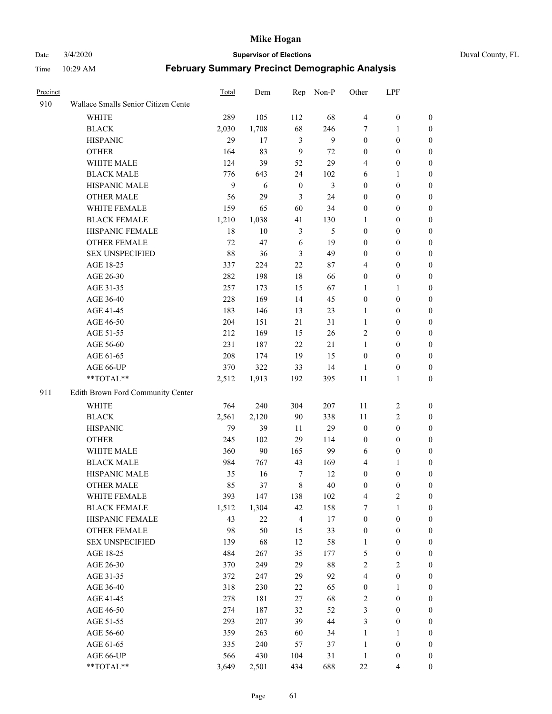#### Date 3/4/2020 **Supervisor of Elections** Duval County, FL

| Precinct |                                     | <b>Total</b> | Dem   | Rep              | Non-P  | Other            | LPF              |                  |
|----------|-------------------------------------|--------------|-------|------------------|--------|------------------|------------------|------------------|
| 910      | Wallace Smalls Senior Citizen Cente |              |       |                  |        |                  |                  |                  |
|          | <b>WHITE</b>                        | 289          | 105   | 112              | 68     | $\overline{4}$   | $\boldsymbol{0}$ | 0                |
|          | <b>BLACK</b>                        | 2,030        | 1,708 | 68               | 246    | 7                | 1                | 0                |
|          | <b>HISPANIC</b>                     | 29           | 17    | 3                | 9      | $\boldsymbol{0}$ | $\boldsymbol{0}$ | $\boldsymbol{0}$ |
|          | <b>OTHER</b>                        | 164          | 83    | 9                | 72     | $\boldsymbol{0}$ | $\boldsymbol{0}$ | $\boldsymbol{0}$ |
|          | WHITE MALE                          | 124          | 39    | 52               | 29     | 4                | $\boldsymbol{0}$ | $\boldsymbol{0}$ |
|          | <b>BLACK MALE</b>                   | 776          | 643   | 24               | 102    | 6                | 1                | $\boldsymbol{0}$ |
|          | HISPANIC MALE                       | 9            | 6     | $\boldsymbol{0}$ | 3      | $\boldsymbol{0}$ | $\boldsymbol{0}$ | $\boldsymbol{0}$ |
|          | <b>OTHER MALE</b>                   | 56           | 29    | 3                | 24     | $\boldsymbol{0}$ | $\boldsymbol{0}$ | $\boldsymbol{0}$ |
|          | WHITE FEMALE                        | 159          | 65    | 60               | 34     | $\boldsymbol{0}$ | $\boldsymbol{0}$ | $\boldsymbol{0}$ |
|          | <b>BLACK FEMALE</b>                 | 1,210        | 1,038 | 41               | 130    | 1                | $\boldsymbol{0}$ | 0                |
|          | HISPANIC FEMALE                     | 18           | 10    | $\mathfrak{Z}$   | 5      | $\boldsymbol{0}$ | $\boldsymbol{0}$ | 0                |
|          | <b>OTHER FEMALE</b>                 | 72           | 47    | 6                | 19     | $\boldsymbol{0}$ | $\boldsymbol{0}$ | $\boldsymbol{0}$ |
|          | <b>SEX UNSPECIFIED</b>              | 88           | 36    | $\mathfrak{Z}$   | 49     | $\boldsymbol{0}$ | $\boldsymbol{0}$ | $\boldsymbol{0}$ |
|          | AGE 18-25                           | 337          | 224   | 22               | 87     | 4                | $\boldsymbol{0}$ | $\boldsymbol{0}$ |
|          | AGE 26-30                           | 282          | 198   | 18               | 66     | $\boldsymbol{0}$ | $\boldsymbol{0}$ | $\boldsymbol{0}$ |
|          | AGE 31-35                           | 257          | 173   | 15               | 67     | 1                | $\mathbf{1}$     | $\boldsymbol{0}$ |
|          | AGE 36-40                           | 228          | 169   | 14               | 45     | $\boldsymbol{0}$ | $\boldsymbol{0}$ | $\boldsymbol{0}$ |
|          | AGE 41-45                           | 183          | 146   | 13               | 23     | $\mathbf{1}$     | $\boldsymbol{0}$ | $\boldsymbol{0}$ |
|          | AGE 46-50                           | 204          | 151   | 21               | 31     | $\mathbf{1}$     | $\boldsymbol{0}$ | $\boldsymbol{0}$ |
|          | AGE 51-55                           | 212          | 169   | 15               | 26     | $\overline{c}$   | $\boldsymbol{0}$ | $\boldsymbol{0}$ |
|          | AGE 56-60                           | 231          | 187   | 22               | 21     | 1                | $\boldsymbol{0}$ | 0                |
|          | AGE 61-65                           | 208          | 174   | 19               | 15     | $\boldsymbol{0}$ | $\boldsymbol{0}$ | 0                |
|          | AGE 66-UP                           | 370          | 322   | 33               | 14     | 1                | $\boldsymbol{0}$ | $\boldsymbol{0}$ |
|          | **TOTAL**                           | 2,512        | 1,913 | 192              | 395    | 11               | $\mathbf{1}$     | $\boldsymbol{0}$ |
| 911      | Edith Brown Ford Community Center   |              |       |                  |        |                  |                  |                  |
|          | <b>WHITE</b>                        | 764          | 240   | 304              | 207    | 11               | $\sqrt{2}$       | $\boldsymbol{0}$ |
|          | <b>BLACK</b>                        | 2,561        | 2,120 | 90               | 338    | 11               | $\sqrt{2}$       | $\boldsymbol{0}$ |
|          | <b>HISPANIC</b>                     | 79           | 39    | 11               | 29     | $\boldsymbol{0}$ | $\boldsymbol{0}$ | $\boldsymbol{0}$ |
|          | <b>OTHER</b>                        | 245          | 102   | 29               | 114    | $\boldsymbol{0}$ | $\boldsymbol{0}$ | $\boldsymbol{0}$ |
|          | WHITE MALE                          | 360          | 90    | 165              | 99     | 6                | $\boldsymbol{0}$ | $\boldsymbol{0}$ |
|          | <b>BLACK MALE</b>                   | 984          | 767   | 43               | 169    | $\overline{4}$   | 1                | $\boldsymbol{0}$ |
|          | HISPANIC MALE                       | 35           | 16    | $\tau$           | 12     | $\boldsymbol{0}$ | $\boldsymbol{0}$ | 0                |
|          | <b>OTHER MALE</b>                   | 85           | 37    | $\,8\,$          | 40     | $\boldsymbol{0}$ | $\boldsymbol{0}$ | 0                |
|          | WHITE FEMALE                        | 393          | 147   | 138              | 102    | 4                | $\overline{c}$   | 0                |
|          | <b>BLACK FEMALE</b>                 | 1,512        | 1,304 | 42               | 158    | 7                | $\mathbf{1}$     | $\boldsymbol{0}$ |
|          | HISPANIC FEMALE                     | 43           | 22    | $\overline{4}$   | $17\,$ | $\boldsymbol{0}$ | $\boldsymbol{0}$ | $\overline{0}$   |
|          | <b>OTHER FEMALE</b>                 | 98           | 50    | 15               | 33     | $\boldsymbol{0}$ | $\boldsymbol{0}$ | $\overline{0}$   |
|          | <b>SEX UNSPECIFIED</b>              | 139          | 68    | 12               | 58     | $\mathbf{1}$     | $\boldsymbol{0}$ | 0                |
|          | AGE 18-25                           | 484          | 267   | 35               | 177    | 5                | $\boldsymbol{0}$ | $\theta$         |
|          | AGE 26-30                           | 370          | 249   | 29               | $88\,$ | $\overline{2}$   | $\overline{c}$   | 0                |
|          | AGE 31-35                           | 372          | 247   | 29               | 92     | 4                | $\boldsymbol{0}$ | 0                |
|          | AGE 36-40                           | 318          | 230   | 22               | 65     | $\boldsymbol{0}$ | 1                | 0                |
|          | AGE 41-45                           | 278          | 181   | 27               | 68     | $\overline{c}$   | $\boldsymbol{0}$ | 0                |
|          | AGE 46-50                           | 274          | 187   | 32               | 52     | 3                | $\boldsymbol{0}$ | 0                |
|          | AGE 51-55                           | 293          | 207   | 39               | 44     | 3                | $\boldsymbol{0}$ | $\boldsymbol{0}$ |
|          | AGE 56-60                           | 359          | 263   | 60               | 34     | $\mathbf{1}$     | 1                | $\boldsymbol{0}$ |
|          | AGE 61-65                           | 335          | 240   | 57               | 37     | $\mathbf{1}$     | $\boldsymbol{0}$ | $\overline{0}$   |
|          | AGE 66-UP                           | 566          | 430   | 104              | 31     | $\mathbf{1}$     | $\boldsymbol{0}$ | $\boldsymbol{0}$ |
|          | **TOTAL**                           | 3,649        | 2,501 | 434              | 688    | 22               | $\overline{4}$   | $\boldsymbol{0}$ |
|          |                                     |              |       |                  |        |                  |                  |                  |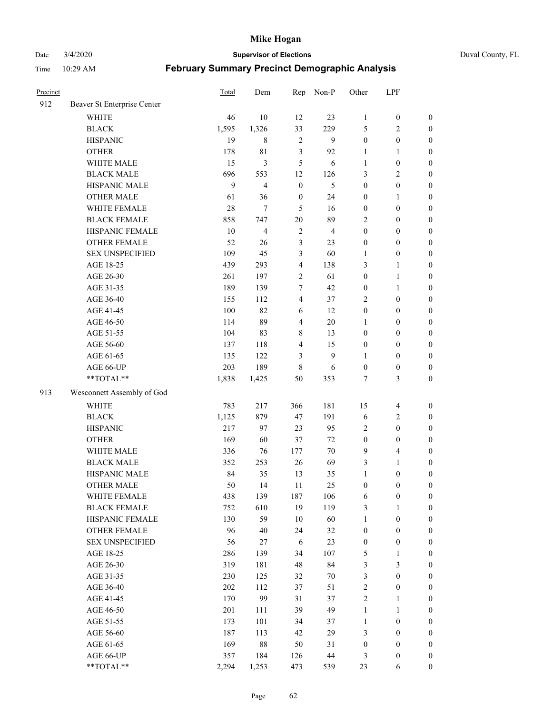Date 3/4/2020 **Supervisor of Elections** Duval County, FL

| Precinct |                             | <b>Total</b> | Dem                     | Rep              | Non-P          | Other            | LPF                     |                  |
|----------|-----------------------------|--------------|-------------------------|------------------|----------------|------------------|-------------------------|------------------|
| 912      | Beaver St Enterprise Center |              |                         |                  |                |                  |                         |                  |
|          | <b>WHITE</b>                | 46           | 10                      | 12               | 23             | $\mathbf{1}$     | $\boldsymbol{0}$        | $\boldsymbol{0}$ |
|          | <b>BLACK</b>                | 1,595        | 1,326                   | 33               | 229            | 5                | $\sqrt{2}$              | $\boldsymbol{0}$ |
|          | <b>HISPANIC</b>             | 19           | $\,8\,$                 | $\overline{2}$   | 9              | $\boldsymbol{0}$ | $\boldsymbol{0}$        | $\boldsymbol{0}$ |
|          | <b>OTHER</b>                | 178          | 81                      | 3                | 92             | 1                | 1                       | $\boldsymbol{0}$ |
|          | WHITE MALE                  | 15           | 3                       | 5                | 6              | 1                | $\boldsymbol{0}$        | $\boldsymbol{0}$ |
|          | <b>BLACK MALE</b>           | 696          | 553                     | 12               | 126            | 3                | $\overline{2}$          | $\boldsymbol{0}$ |
|          | HISPANIC MALE               | 9            | $\overline{\mathbf{4}}$ | $\mathbf{0}$     | 5              | $\boldsymbol{0}$ | $\boldsymbol{0}$        | $\boldsymbol{0}$ |
|          | <b>OTHER MALE</b>           | 61           | 36                      | $\boldsymbol{0}$ | 24             | $\boldsymbol{0}$ | $\mathbf{1}$            | $\boldsymbol{0}$ |
|          | WHITE FEMALE                | 28           | $\tau$                  | 5                | 16             | $\boldsymbol{0}$ | $\boldsymbol{0}$        | $\boldsymbol{0}$ |
|          | <b>BLACK FEMALE</b>         | 858          | 747                     | 20               | 89             | 2                | $\boldsymbol{0}$        | $\boldsymbol{0}$ |
|          | HISPANIC FEMALE             | 10           | $\overline{4}$          | $\sqrt{2}$       | $\overline{4}$ | $\boldsymbol{0}$ | $\boldsymbol{0}$        | $\boldsymbol{0}$ |
|          | <b>OTHER FEMALE</b>         | 52           | 26                      | $\mathfrak{Z}$   | 23             | $\boldsymbol{0}$ | $\boldsymbol{0}$        | $\boldsymbol{0}$ |
|          | <b>SEX UNSPECIFIED</b>      | 109          | 45                      | 3                | 60             | $\mathbf{1}$     | $\boldsymbol{0}$        | $\boldsymbol{0}$ |
|          | AGE 18-25                   | 439          | 293                     | $\overline{4}$   | 138            | 3                | $\mathbf{1}$            | $\boldsymbol{0}$ |
|          | AGE 26-30                   | 261          | 197                     | $\sqrt{2}$       | 61             | $\boldsymbol{0}$ | $\mathbf{1}$            | $\boldsymbol{0}$ |
|          | AGE 31-35                   | 189          | 139                     | $\tau$           | 42             | $\boldsymbol{0}$ | $\mathbf{1}$            | $\boldsymbol{0}$ |
|          | AGE 36-40                   | 155          | 112                     | $\overline{4}$   | 37             | 2                | $\boldsymbol{0}$        | $\boldsymbol{0}$ |
|          | AGE 41-45                   | 100          | 82                      | 6                | 12             | $\boldsymbol{0}$ | $\boldsymbol{0}$        | $\boldsymbol{0}$ |
|          | AGE 46-50                   | 114          | 89                      | $\overline{4}$   | $20\,$         | 1                | $\boldsymbol{0}$        | $\boldsymbol{0}$ |
|          | AGE 51-55                   | 104          | 83                      | 8                | 13             | $\boldsymbol{0}$ | $\boldsymbol{0}$        | $\boldsymbol{0}$ |
|          | AGE 56-60                   | 137          | 118                     | $\overline{4}$   | 15             | $\boldsymbol{0}$ | $\boldsymbol{0}$        | $\boldsymbol{0}$ |
|          | AGE 61-65                   | 135          | 122                     | 3                | 9              | 1                | $\boldsymbol{0}$        | $\boldsymbol{0}$ |
|          | AGE 66-UP                   | 203          | 189                     | $\,$ 8 $\,$      | 6              | $\boldsymbol{0}$ | $\boldsymbol{0}$        | $\boldsymbol{0}$ |
|          | **TOTAL**                   | 1,838        | 1,425                   | 50               | 353            | 7                | 3                       | $\boldsymbol{0}$ |
| 913      | Wesconnett Assembly of God  |              |                         |                  |                |                  |                         |                  |
|          | <b>WHITE</b>                | 783          | 217                     | 366              | 181            | 15               | $\overline{4}$          | $\boldsymbol{0}$ |
|          | <b>BLACK</b>                | 1,125        | 879                     | 47               | 191            | 6                | $\sqrt{2}$              | $\boldsymbol{0}$ |
|          | <b>HISPANIC</b>             | 217          | 97                      | 23               | 95             | 2                | $\boldsymbol{0}$        | $\boldsymbol{0}$ |
|          | <b>OTHER</b>                | 169          | 60                      | 37               | 72             | $\boldsymbol{0}$ | $\boldsymbol{0}$        | $\boldsymbol{0}$ |
|          | WHITE MALE                  | 336          | 76                      | 177              | $70\,$         | 9                | $\overline{\mathbf{4}}$ | $\boldsymbol{0}$ |
|          | <b>BLACK MALE</b>           | 352          | 253                     | 26               | 69             | 3                | $\mathbf{1}$            | $\boldsymbol{0}$ |
|          | HISPANIC MALE               | 84           | 35                      | 13               | 35             | $\mathbf{1}$     | $\boldsymbol{0}$        | $\boldsymbol{0}$ |
|          | <b>OTHER MALE</b>           | 50           | 14                      | 11               | 25             | $\boldsymbol{0}$ | $\boldsymbol{0}$        | $\boldsymbol{0}$ |
|          | WHITE FEMALE                | 438          | 139                     | 187              | 106            | 6                | $\boldsymbol{0}$        | 0                |
|          | <b>BLACK FEMALE</b>         | 752          | 610                     | 19               | 119            | 3                | $\mathbf{1}$            | $\boldsymbol{0}$ |
|          | HISPANIC FEMALE             | 130          | 59                      | 10               | 60             | $\mathbf{1}$     | $\boldsymbol{0}$        | $\overline{0}$   |
|          | OTHER FEMALE                | 96           | 40                      | 24               | 32             | $\boldsymbol{0}$ | $\boldsymbol{0}$        | $\overline{0}$   |
|          | <b>SEX UNSPECIFIED</b>      | 56           | 27                      | 6                | 23             | $\boldsymbol{0}$ | $\boldsymbol{0}$        | 0                |
|          | AGE 18-25                   | 286          | 139                     | 34               | 107            | 5                | $\mathbf{1}$            | $\overline{0}$   |
|          | AGE 26-30                   | 319          | 181                     | 48               | 84             | 3                | $\mathfrak{Z}$          | 0                |
|          | AGE 31-35                   | 230          | 125                     | 32               | $70\,$         | 3                | $\boldsymbol{0}$        | 0                |
|          | AGE 36-40                   | 202          | 112                     | 37               | 51             | $\overline{c}$   | $\boldsymbol{0}$        | 0                |
|          | AGE 41-45                   | 170          | 99                      | 31               | 37             | $\overline{c}$   | $\mathbf{1}$            | 0                |
|          | AGE 46-50                   | 201          | 111                     | 39               | 49             | $\mathbf{1}$     | $\mathbf{1}$            | 0                |
|          | AGE 51-55                   | 173          | 101                     | 34               | 37             | $\mathbf{1}$     | $\boldsymbol{0}$        | 0                |
|          | AGE 56-60                   | 187          | 113                     | 42               | 29             | 3                | $\boldsymbol{0}$        | $\overline{0}$   |
|          | AGE 61-65                   | 169          | 88                      | 50               | 31             | $\boldsymbol{0}$ | $\boldsymbol{0}$        | $\overline{0}$   |
|          | AGE 66-UP                   | 357          | 184                     | 126              | 44             | 3                | $\boldsymbol{0}$        | 0                |
|          | **TOTAL**                   | 2,294        | 1,253                   | 473              | 539            | 23               | 6                       | $\boldsymbol{0}$ |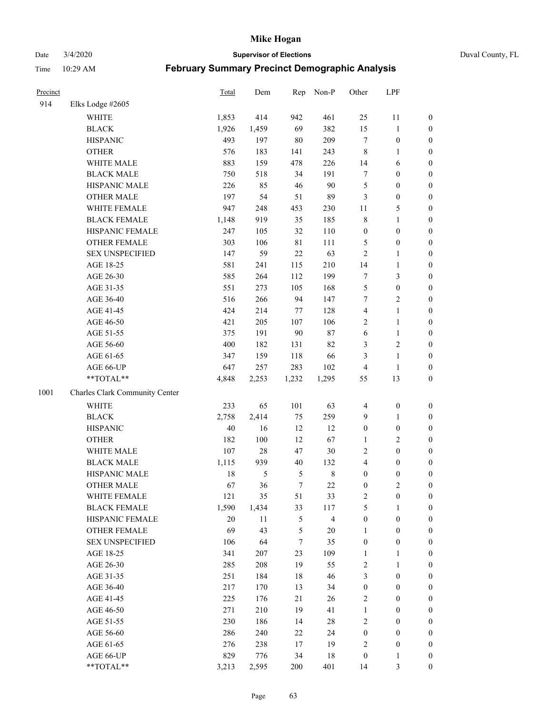Date 3/4/2020 **Supervisor of Elections** Duval County, FL

| Precinct |                                | Total  | Dem           | Rep         | Non-P                   | Other                   | LPF              |                  |
|----------|--------------------------------|--------|---------------|-------------|-------------------------|-------------------------|------------------|------------------|
| 914      | Elks Lodge #2605               |        |               |             |                         |                         |                  |                  |
|          | <b>WHITE</b>                   | 1,853  | 414           | 942         | 461                     | 25                      | 11               | 0                |
|          | <b>BLACK</b>                   | 1,926  | 1,459         | 69          | 382                     | 15                      | $\mathbf{1}$     | 0                |
|          | <b>HISPANIC</b>                | 493    | 197           | 80          | 209                     | $\tau$                  | $\boldsymbol{0}$ | $\boldsymbol{0}$ |
|          | <b>OTHER</b>                   | 576    | 183           | 141         | 243                     | 8                       | 1                | $\boldsymbol{0}$ |
|          | WHITE MALE                     | 883    | 159           | 478         | 226                     | 14                      | 6                | $\boldsymbol{0}$ |
|          | <b>BLACK MALE</b>              | 750    | 518           | 34          | 191                     | 7                       | $\boldsymbol{0}$ | $\boldsymbol{0}$ |
|          | HISPANIC MALE                  | 226    | 85            | 46          | 90                      | 5                       | $\boldsymbol{0}$ | $\boldsymbol{0}$ |
|          | <b>OTHER MALE</b>              | 197    | 54            | 51          | 89                      | 3                       | $\boldsymbol{0}$ | $\boldsymbol{0}$ |
|          | WHITE FEMALE                   | 947    | 248           | 453         | 230                     | $11\,$                  | $\sqrt{5}$       | $\boldsymbol{0}$ |
|          | <b>BLACK FEMALE</b>            | 1,148  | 919           | 35          | 185                     | 8                       | $\mathbf{1}$     | $\boldsymbol{0}$ |
|          | HISPANIC FEMALE                | 247    | 105           | 32          | 110                     | $\boldsymbol{0}$        | $\boldsymbol{0}$ | $\boldsymbol{0}$ |
|          | <b>OTHER FEMALE</b>            | 303    | 106           | $8\sqrt{1}$ | 111                     | 5                       | $\boldsymbol{0}$ | $\boldsymbol{0}$ |
|          | <b>SEX UNSPECIFIED</b>         | 147    | 59            | 22          | 63                      | $\overline{2}$          | $\mathbf{1}$     | $\boldsymbol{0}$ |
|          | AGE 18-25                      | 581    | 241           | 115         | 210                     | 14                      | $\mathbf{1}$     | $\boldsymbol{0}$ |
|          | AGE 26-30                      | 585    | 264           | 112         | 199                     | 7                       | $\mathfrak{Z}$   | $\boldsymbol{0}$ |
|          | AGE 31-35                      | 551    | 273           | 105         | 168                     | 5                       | $\boldsymbol{0}$ | $\boldsymbol{0}$ |
|          | AGE 36-40                      | 516    | 266           | 94          | 147                     | 7                       | $\sqrt{2}$       | $\boldsymbol{0}$ |
|          | AGE 41-45                      | 424    | 214           | 77          | 128                     | $\overline{\mathbf{4}}$ | $\mathbf{1}$     | $\boldsymbol{0}$ |
|          | AGE 46-50                      | 421    | 205           | 107         | 106                     | 2                       | $\mathbf{1}$     | $\boldsymbol{0}$ |
|          | AGE 51-55                      | 375    | 191           | 90          | 87                      | 6                       | $\mathbf{1}$     | 0                |
|          | AGE 56-60                      | 400    | 182           | 131         | 82                      | 3                       | $\sqrt{2}$       | 0                |
|          | AGE 61-65                      | 347    | 159           | 118         | 66                      | 3                       | $\mathbf{1}$     | $\boldsymbol{0}$ |
|          | AGE 66-UP                      | 647    | 257           | 283         | 102                     | $\overline{4}$          | $\mathbf{1}$     | $\boldsymbol{0}$ |
|          | **TOTAL**                      | 4,848  | 2,253         | 1,232       | 1,295                   | 55                      | 13               | $\boldsymbol{0}$ |
| 1001     | Charles Clark Community Center |        |               |             |                         |                         |                  |                  |
|          | <b>WHITE</b>                   | 233    | 65            | 101         | 63                      | 4                       | $\boldsymbol{0}$ | $\boldsymbol{0}$ |
|          | <b>BLACK</b>                   | 2,758  | 2,414         | 75          | 259                     | 9                       | $\mathbf{1}$     | $\boldsymbol{0}$ |
|          | <b>HISPANIC</b>                | $40\,$ | 16            | 12          | 12                      | $\boldsymbol{0}$        | $\boldsymbol{0}$ | $\boldsymbol{0}$ |
|          | <b>OTHER</b>                   | 182    | 100           | 12          | 67                      | $\mathbf{1}$            | $\sqrt{2}$       | $\boldsymbol{0}$ |
|          | WHITE MALE                     | 107    | $28\,$        | 47          | 30                      | 2                       | $\boldsymbol{0}$ | $\boldsymbol{0}$ |
|          | <b>BLACK MALE</b>              | 1,115  | 939           | 40          | 132                     | 4                       | $\boldsymbol{0}$ | $\boldsymbol{0}$ |
|          | HISPANIC MALE                  | 18     | $\mathfrak s$ | 5           | $\,8\,$                 | $\boldsymbol{0}$        | $\boldsymbol{0}$ | $\boldsymbol{0}$ |
|          | <b>OTHER MALE</b>              | 67     | 36            | $\tau$      | 22                      | $\boldsymbol{0}$        | $\overline{c}$   | $\boldsymbol{0}$ |
|          | WHITE FEMALE                   | 121    | 35            | 51          | 33                      | 2                       | $\boldsymbol{0}$ | 0                |
|          | <b>BLACK FEMALE</b>            | 1,590  | 1,434         | 33          | 117                     | 5                       | $\mathbf{1}$     | $\boldsymbol{0}$ |
|          | HISPANIC FEMALE                | $20\,$ | 11            | 5           | $\overline{\mathbf{4}}$ | $\boldsymbol{0}$        | $\boldsymbol{0}$ | $\overline{0}$   |
|          | <b>OTHER FEMALE</b>            | 69     | 43            | 5           | $20\,$                  | $\mathbf{1}$            | $\boldsymbol{0}$ | $\overline{0}$   |
|          | <b>SEX UNSPECIFIED</b>         | 106    | 64            | 7           | 35                      | $\boldsymbol{0}$        | $\boldsymbol{0}$ | 0                |
|          | AGE 18-25                      | 341    | 207           | 23          | 109                     | $\mathbf{1}$            | $\mathbf{1}$     | $\overline{0}$   |
|          | AGE 26-30                      | 285    | 208           | 19          | 55                      | 2                       | $\mathbf{1}$     | $\overline{0}$   |
|          | AGE 31-35                      | 251    | 184           | 18          | 46                      | 3                       | $\boldsymbol{0}$ | 0                |
|          | AGE 36-40                      | 217    | 170           | 13          | 34                      | $\boldsymbol{0}$        | $\boldsymbol{0}$ | 0                |
|          | AGE 41-45                      | 225    | 176           | 21          | 26                      | 2                       | $\boldsymbol{0}$ | 0                |
|          | AGE 46-50                      | 271    | 210           | 19          | 41                      | $\mathbf{1}$            | $\boldsymbol{0}$ | 0                |
|          | AGE 51-55                      | 230    | 186           | 14          | $28\,$                  | $\sqrt{2}$              | $\boldsymbol{0}$ | $\boldsymbol{0}$ |
|          | AGE 56-60                      | 286    | 240           | 22          | 24                      | $\boldsymbol{0}$        | $\boldsymbol{0}$ | $\boldsymbol{0}$ |
|          | AGE 61-65                      | 276    | 238           | 17          | 19                      | $\overline{c}$          | $\boldsymbol{0}$ | $\boldsymbol{0}$ |
|          | AGE 66-UP                      | 829    | 776           | 34          | 18                      | $\boldsymbol{0}$        | $\mathbf{1}$     | $\boldsymbol{0}$ |
|          | **TOTAL**                      | 3,213  | 2,595         | 200         | 401                     | 14                      | $\mathfrak{Z}$   | $\boldsymbol{0}$ |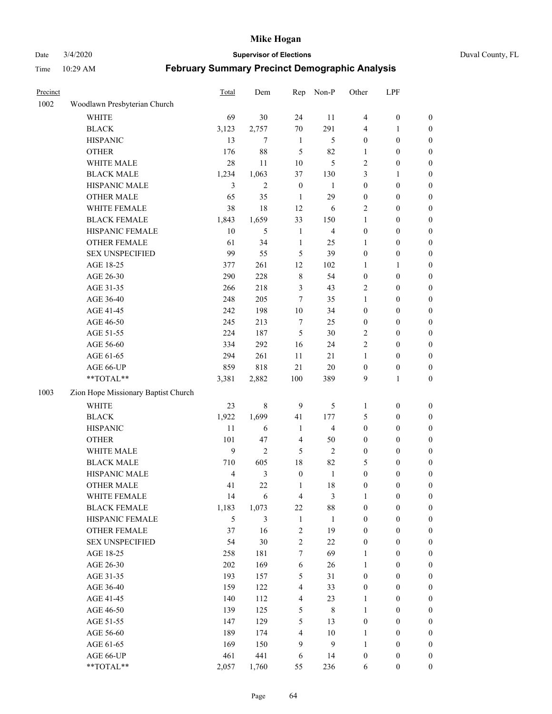Date 3/4/2020 **Supervisor of Elections** Duval County, FL

| Precinct |                                     | <b>Total</b>   | Dem            | Rep              | Non-P                   | Other            | LPF              |                  |
|----------|-------------------------------------|----------------|----------------|------------------|-------------------------|------------------|------------------|------------------|
| 1002     | Woodlawn Presbyterian Church        |                |                |                  |                         |                  |                  |                  |
|          | <b>WHITE</b>                        | 69             | 30             | 24               | 11                      | 4                | $\boldsymbol{0}$ | 0                |
|          | <b>BLACK</b>                        | 3,123          | 2,757          | 70               | 291                     | 4                | 1                | $\boldsymbol{0}$ |
|          | <b>HISPANIC</b>                     | 13             | 7              | $\mathbf{1}$     | $\mathfrak s$           | $\boldsymbol{0}$ | $\boldsymbol{0}$ | $\boldsymbol{0}$ |
|          | <b>OTHER</b>                        | 176            | 88             | 5                | 82                      | 1                | $\boldsymbol{0}$ | $\boldsymbol{0}$ |
|          | WHITE MALE                          | 28             | 11             | $10\,$           | 5                       | 2                | $\boldsymbol{0}$ | $\boldsymbol{0}$ |
|          | <b>BLACK MALE</b>                   | 1,234          | 1,063          | 37               | 130                     | 3                | 1                | $\boldsymbol{0}$ |
|          | HISPANIC MALE                       | 3              | $\overline{c}$ | $\boldsymbol{0}$ | 1                       | $\boldsymbol{0}$ | $\boldsymbol{0}$ | $\boldsymbol{0}$ |
|          | <b>OTHER MALE</b>                   | 65             | 35             | $\mathbf{1}$     | 29                      | $\boldsymbol{0}$ | $\boldsymbol{0}$ | $\boldsymbol{0}$ |
|          | WHITE FEMALE                        | 38             | 18             | 12               | 6                       | 2                | $\boldsymbol{0}$ | $\boldsymbol{0}$ |
|          | <b>BLACK FEMALE</b>                 | 1,843          | 1,659          | 33               | 150                     | $\mathbf{1}$     | $\boldsymbol{0}$ | $\boldsymbol{0}$ |
|          | HISPANIC FEMALE                     | 10             | 5              | $\mathbf{1}$     | $\overline{\mathbf{4}}$ | $\boldsymbol{0}$ | $\boldsymbol{0}$ | 0                |
|          | <b>OTHER FEMALE</b>                 | 61             | 34             | $\mathbf{1}$     | 25                      | 1                | $\boldsymbol{0}$ | $\boldsymbol{0}$ |
|          | <b>SEX UNSPECIFIED</b>              | 99             | 55             | 5                | 39                      | $\boldsymbol{0}$ | $\boldsymbol{0}$ | $\boldsymbol{0}$ |
|          | AGE 18-25                           | 377            | 261            | 12               | 102                     | 1                | 1                | $\boldsymbol{0}$ |
|          | AGE 26-30                           | 290            | 228            | 8                | 54                      | $\boldsymbol{0}$ | $\boldsymbol{0}$ | $\boldsymbol{0}$ |
|          | AGE 31-35                           | 266            | 218            | 3                | 43                      | 2                | $\boldsymbol{0}$ | $\boldsymbol{0}$ |
|          | AGE 36-40                           | 248            | 205            | $\tau$           | 35                      | $\mathbf{1}$     | $\boldsymbol{0}$ | $\boldsymbol{0}$ |
|          | AGE 41-45                           | 242            | 198            | $10\,$           | 34                      | $\boldsymbol{0}$ | $\boldsymbol{0}$ | $\boldsymbol{0}$ |
|          | AGE 46-50                           | 245            | 213            | 7                | 25                      | $\boldsymbol{0}$ | $\boldsymbol{0}$ | $\boldsymbol{0}$ |
|          | AGE 51-55                           | 224            | 187            | 5                | $30\,$                  | 2                | $\boldsymbol{0}$ | $\boldsymbol{0}$ |
|          | AGE 56-60                           | 334            | 292            | 16               | 24                      | $\overline{c}$   | $\boldsymbol{0}$ | 0                |
|          | AGE 61-65                           | 294            | 261            | 11               | 21                      | 1                | $\boldsymbol{0}$ | 0                |
|          | AGE 66-UP                           | 859            | 818            | 21               | $20\,$                  | $\boldsymbol{0}$ | $\boldsymbol{0}$ | $\boldsymbol{0}$ |
|          | **TOTAL**                           | 3,381          | 2,882          | 100              | 389                     | 9                | $\mathbf{1}$     | $\boldsymbol{0}$ |
|          |                                     |                |                |                  |                         |                  |                  |                  |
| 1003     | Zion Hope Missionary Baptist Church |                |                |                  |                         |                  |                  |                  |
|          | <b>WHITE</b>                        | 23             | $\,$ 8 $\,$    | 9                | 5                       | 1                | $\boldsymbol{0}$ | $\boldsymbol{0}$ |
|          | <b>BLACK</b>                        | 1,922          | 1,699          | 41               | 177                     | 5                | $\boldsymbol{0}$ | $\boldsymbol{0}$ |
|          | <b>HISPANIC</b>                     | 11             | 6              | $\mathbf{1}$     | $\overline{\mathbf{4}}$ | $\boldsymbol{0}$ | $\boldsymbol{0}$ | $\boldsymbol{0}$ |
|          | <b>OTHER</b>                        | 101            | 47             | $\overline{4}$   | 50                      | $\boldsymbol{0}$ | $\boldsymbol{0}$ | $\boldsymbol{0}$ |
|          | WHITE MALE                          | $\mathbf{9}$   | $\overline{2}$ | 5                | $\overline{c}$          | $\boldsymbol{0}$ | $\boldsymbol{0}$ | $\boldsymbol{0}$ |
|          | <b>BLACK MALE</b>                   | 710            | 605            | 18               | 82                      | 5                | $\boldsymbol{0}$ | $\boldsymbol{0}$ |
|          | HISPANIC MALE                       | $\overline{4}$ | $\mathfrak{Z}$ | $\boldsymbol{0}$ | $\mathbf{1}$            | $\boldsymbol{0}$ | $\boldsymbol{0}$ | $\boldsymbol{0}$ |
|          | <b>OTHER MALE</b>                   | 41             | 22             | $\mathbf{1}$     | 18                      | $\boldsymbol{0}$ | $\boldsymbol{0}$ | $\boldsymbol{0}$ |
|          | WHITE FEMALE                        | 14             | 6              | 4                | 3                       | 1                | 0                | 0                |
|          | <b>BLACK FEMALE</b>                 | 1,183          | 1,073          | $22\,$           | $88\,$                  | $\boldsymbol{0}$ | $\boldsymbol{0}$ | $\boldsymbol{0}$ |
|          | HISPANIC FEMALE                     | 5              | $\mathfrak{Z}$ | $\mathbf{1}$     | $\mathbf{1}$            | $\boldsymbol{0}$ | $\boldsymbol{0}$ | $\overline{0}$   |
|          | <b>OTHER FEMALE</b>                 | 37             | 16             | $\sqrt{2}$       | 19                      | $\boldsymbol{0}$ | $\boldsymbol{0}$ | $\overline{0}$   |
|          | <b>SEX UNSPECIFIED</b>              | 54             | $30\,$         | $\overline{c}$   | 22                      | $\boldsymbol{0}$ | $\boldsymbol{0}$ | $\overline{0}$   |
|          | AGE 18-25                           | 258            | 181            | $\boldsymbol{7}$ | 69                      | $\mathbf{1}$     | $\boldsymbol{0}$ | $\overline{0}$   |
|          | AGE 26-30                           | 202            | 169            | $\sqrt{6}$       | 26                      | $\mathbf{1}$     | $\boldsymbol{0}$ | $\overline{0}$   |
|          | AGE 31-35                           | 193            | 157            | 5                | 31                      | $\boldsymbol{0}$ | $\boldsymbol{0}$ | 0                |
|          | AGE 36-40                           | 159            | 122            | $\overline{4}$   | 33                      | $\boldsymbol{0}$ | $\boldsymbol{0}$ | 0                |
|          | AGE 41-45                           | 140            | 112            | $\overline{4}$   | 23                      | $\mathbf{1}$     | $\boldsymbol{0}$ | 0                |
|          | AGE 46-50                           | 139            | 125            | 5                | $\,$ 8 $\,$             | $\mathbf{1}$     | $\boldsymbol{0}$ | 0                |
|          | AGE 51-55                           | 147            | 129            | 5                | 13                      | $\boldsymbol{0}$ | $\boldsymbol{0}$ | $\boldsymbol{0}$ |
|          | AGE 56-60                           | 189            | 174            | 4                | $10\,$                  | 1                | $\boldsymbol{0}$ | $\boldsymbol{0}$ |
|          | AGE 61-65                           | 169            | 150            | 9                | 9                       | $\mathbf{1}$     | $\boldsymbol{0}$ | $\overline{0}$   |
|          | AGE 66-UP                           | 461            | 441            | 6                | 14                      | $\boldsymbol{0}$ | $\boldsymbol{0}$ | $\boldsymbol{0}$ |
|          | **TOTAL**                           | 2,057          | 1,760          | 55               | 236                     | 6                | $\boldsymbol{0}$ | $\boldsymbol{0}$ |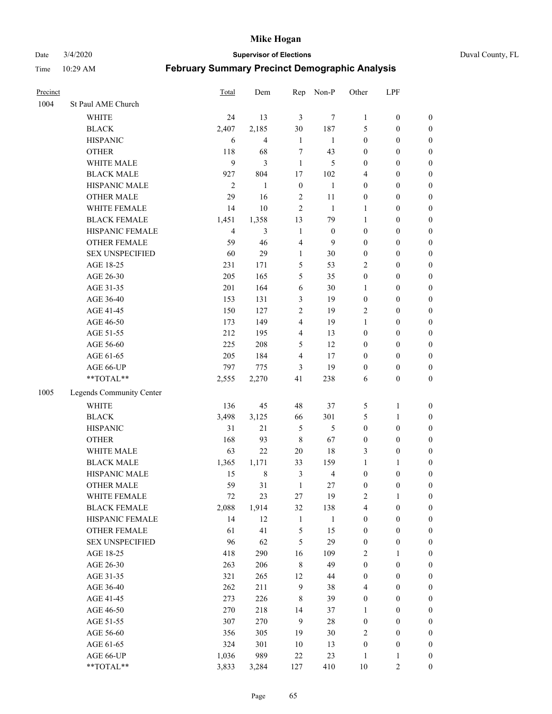Date 3/4/2020 **Supervisor of Elections** Duval County, FL

| 1004<br>St Paul AME Church<br>24<br><b>WHITE</b><br><b>BLACK</b><br>2,407<br><b>HISPANIC</b><br>6 | 13<br>2,185<br>$\overline{\mathbf{4}}$<br>68 | $\mathfrak{Z}$<br>30<br>$\mathbf{1}$ | 7<br>187                | 1                | $\boldsymbol{0}$ | $\boldsymbol{0}$ |
|---------------------------------------------------------------------------------------------------|----------------------------------------------|--------------------------------------|-------------------------|------------------|------------------|------------------|
|                                                                                                   |                                              |                                      |                         |                  |                  |                  |
|                                                                                                   |                                              |                                      |                         |                  |                  |                  |
|                                                                                                   |                                              |                                      |                         | 5                | $\boldsymbol{0}$ | $\boldsymbol{0}$ |
|                                                                                                   |                                              |                                      | $\mathbf{1}$            | $\boldsymbol{0}$ | $\boldsymbol{0}$ | $\boldsymbol{0}$ |
| <b>OTHER</b><br>118                                                                               |                                              | 7                                    | 43                      | $\boldsymbol{0}$ | $\boldsymbol{0}$ | $\boldsymbol{0}$ |
| 9<br>WHITE MALE                                                                                   | $\mathfrak{Z}$                               | $\mathbf{1}$                         | 5                       | $\boldsymbol{0}$ | $\boldsymbol{0}$ | $\boldsymbol{0}$ |
| <b>BLACK MALE</b><br>927                                                                          | 804                                          | 17                                   | 102                     | 4                | $\boldsymbol{0}$ | $\boldsymbol{0}$ |
| HISPANIC MALE<br>$\overline{2}$                                                                   | $\mathbf{1}$                                 | $\boldsymbol{0}$                     | 1                       | $\boldsymbol{0}$ | $\boldsymbol{0}$ | $\boldsymbol{0}$ |
| <b>OTHER MALE</b><br>29                                                                           | 16                                           | $\sqrt{2}$                           | 11                      | $\boldsymbol{0}$ | $\boldsymbol{0}$ | $\boldsymbol{0}$ |
| WHITE FEMALE<br>14                                                                                | 10                                           | $\overline{2}$                       | $\mathbf{1}$            | $\mathbf{1}$     | $\boldsymbol{0}$ | $\boldsymbol{0}$ |
| <b>BLACK FEMALE</b><br>1,451                                                                      | 1,358                                        | 13                                   | 79                      | $\mathbf{1}$     | $\boldsymbol{0}$ | $\boldsymbol{0}$ |
| HISPANIC FEMALE<br>$\overline{4}$                                                                 | 3                                            | $\mathbf{1}$                         | $\boldsymbol{0}$        | $\boldsymbol{0}$ | $\boldsymbol{0}$ | $\boldsymbol{0}$ |
| <b>OTHER FEMALE</b><br>59                                                                         | 46                                           | $\overline{4}$                       | 9                       | $\boldsymbol{0}$ | $\boldsymbol{0}$ | $\boldsymbol{0}$ |
| <b>SEX UNSPECIFIED</b><br>60                                                                      | 29                                           | $\mathbf{1}$                         | $30\,$                  | $\boldsymbol{0}$ | $\boldsymbol{0}$ | $\boldsymbol{0}$ |
| AGE 18-25<br>231                                                                                  | 171                                          | 5                                    | 53                      | 2                | $\boldsymbol{0}$ | $\boldsymbol{0}$ |
| 205<br>AGE 26-30                                                                                  | 165                                          | 5                                    | 35                      | $\boldsymbol{0}$ | $\boldsymbol{0}$ | $\boldsymbol{0}$ |
| AGE 31-35<br>201                                                                                  | 164                                          | 6                                    | 30                      | 1                | $\boldsymbol{0}$ | $\boldsymbol{0}$ |
| AGE 36-40<br>153                                                                                  | 131                                          | 3                                    | 19                      | $\boldsymbol{0}$ | $\boldsymbol{0}$ | $\boldsymbol{0}$ |
| AGE 41-45<br>150                                                                                  | 127                                          | 2                                    | 19                      | 2                | $\boldsymbol{0}$ | $\boldsymbol{0}$ |
| 173<br>AGE 46-50                                                                                  | 149                                          | $\overline{\mathbf{4}}$              | 19                      | $\mathbf{1}$     | $\boldsymbol{0}$ | $\boldsymbol{0}$ |
| AGE 51-55<br>212                                                                                  | 195                                          | $\overline{\mathbf{4}}$              | 13                      | $\boldsymbol{0}$ | $\boldsymbol{0}$ | $\boldsymbol{0}$ |
| 225<br>AGE 56-60                                                                                  | 208                                          | 5                                    | 12                      | $\boldsymbol{0}$ | $\boldsymbol{0}$ | 0                |
| AGE 61-65<br>205                                                                                  | 184                                          | $\overline{4}$                       | 17                      | $\boldsymbol{0}$ | $\boldsymbol{0}$ | $\boldsymbol{0}$ |
| AGE 66-UP<br>797                                                                                  | 775                                          | 3                                    | 19                      | $\boldsymbol{0}$ | $\boldsymbol{0}$ | $\boldsymbol{0}$ |
| **TOTAL**<br>2,555                                                                                | 2,270                                        | 41                                   | 238                     | 6                | $\boldsymbol{0}$ | $\boldsymbol{0}$ |
| 1005<br>Legends Community Center                                                                  |                                              |                                      |                         |                  |                  |                  |
| <b>WHITE</b><br>136                                                                               | 45                                           | 48                                   | 37                      | 5                | $\mathbf{1}$     | $\boldsymbol{0}$ |
| <b>BLACK</b><br>3,498                                                                             | 3,125                                        | 66                                   | 301                     | 5                | $\mathbf{1}$     | $\boldsymbol{0}$ |
| <b>HISPANIC</b><br>31                                                                             | 21                                           | 5                                    | 5                       | $\boldsymbol{0}$ | $\boldsymbol{0}$ | $\boldsymbol{0}$ |
| <b>OTHER</b><br>168                                                                               | 93                                           | $\,$ 8 $\,$                          | 67                      | $\boldsymbol{0}$ | $\boldsymbol{0}$ | $\boldsymbol{0}$ |
| WHITE MALE<br>63                                                                                  | 22                                           | 20                                   | 18                      | 3                | $\boldsymbol{0}$ | $\boldsymbol{0}$ |
| <b>BLACK MALE</b><br>1,365                                                                        | 1,171                                        | 33                                   | 159                     | $\mathbf{1}$     | 1                | $\boldsymbol{0}$ |
| HISPANIC MALE<br>15                                                                               | $\,$ 8 $\,$                                  | $\mathfrak{Z}$                       | $\overline{\mathbf{4}}$ | $\boldsymbol{0}$ | $\boldsymbol{0}$ | $\boldsymbol{0}$ |
| <b>OTHER MALE</b><br>59                                                                           | 31                                           | $\mathbf{1}$                         | 27                      | $\boldsymbol{0}$ | $\boldsymbol{0}$ | $\boldsymbol{0}$ |
| WHITE FEMALE<br>72                                                                                | 23                                           | 27                                   | 19                      | 2                | 1                | 0                |
| <b>BLACK FEMALE</b><br>2,088                                                                      | 1,914                                        | 32                                   | 138                     | 4                | $\boldsymbol{0}$ | $\boldsymbol{0}$ |
| HISPANIC FEMALE<br>14                                                                             | 12                                           | $\mathbf{1}$                         | $\mathbf{1}$            | $\boldsymbol{0}$ | $\boldsymbol{0}$ | $\overline{0}$   |
| OTHER FEMALE<br>61                                                                                | 41                                           | 5                                    | 15                      | $\boldsymbol{0}$ | $\boldsymbol{0}$ | $\overline{0}$   |
| <b>SEX UNSPECIFIED</b><br>96                                                                      | 62                                           | 5                                    | 29                      | $\boldsymbol{0}$ | $\boldsymbol{0}$ | 0                |
| AGE 18-25<br>418                                                                                  | 290                                          | 16                                   | 109                     | 2                | $\mathbf{1}$     | $\overline{0}$   |
| AGE 26-30<br>263                                                                                  | 206                                          | $\,$ 8 $\,$                          | 49                      | $\boldsymbol{0}$ | $\boldsymbol{0}$ | 0                |
| 321<br>AGE 31-35                                                                                  | 265                                          | 12                                   | 44                      | 0                | $\boldsymbol{0}$ | 0                |
| AGE 36-40<br>262                                                                                  | 211                                          | $\mathbf{9}$                         | 38                      | 4                | $\boldsymbol{0}$ | 0                |
| 273<br>AGE 41-45                                                                                  | 226                                          | 8                                    | 39                      | $\boldsymbol{0}$ | $\boldsymbol{0}$ | 0                |
| 270<br>AGE 46-50                                                                                  | 218                                          | 14                                   | 37                      | 1                | $\boldsymbol{0}$ | 0                |
| AGE 51-55<br>307                                                                                  | 270                                          | 9                                    | $28\,$                  | $\boldsymbol{0}$ | $\boldsymbol{0}$ | $\boldsymbol{0}$ |
| 356<br>AGE 56-60                                                                                  | 305                                          | 19                                   | $30\,$                  | 2                | $\boldsymbol{0}$ | $\boldsymbol{0}$ |
| 324<br>AGE 61-65                                                                                  | 301                                          | 10                                   | 13                      | $\boldsymbol{0}$ | $\boldsymbol{0}$ | $\boldsymbol{0}$ |
| 1,036<br>AGE 66-UP                                                                                | 989                                          | 22                                   | 23                      | $\mathbf{1}$     | $\mathbf{1}$     | 0                |
| $**TOTAL**$<br>3,833                                                                              | 3,284                                        | 127                                  | 410                     | $10\,$           | $\mathfrak{2}$   | $\boldsymbol{0}$ |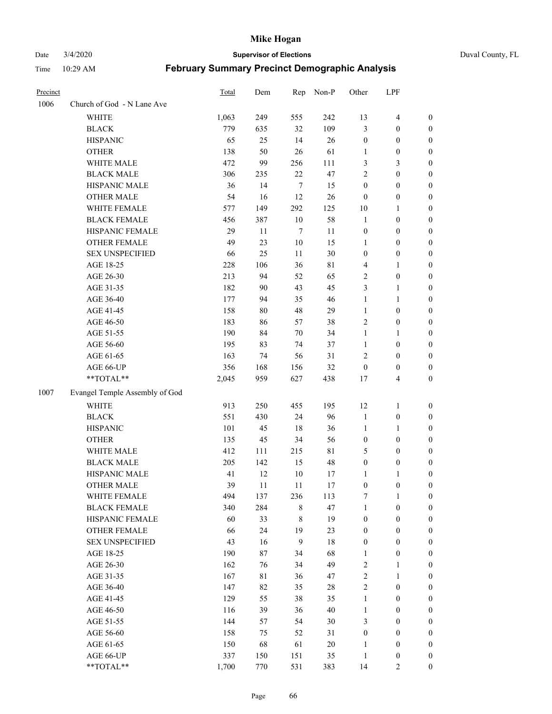Date 3/4/2020 **Supervisor of Elections** Duval County, FL

| Precinct |                                | Total | Dem         | Rep              | Non-P       | Other                   | LPF              |                  |
|----------|--------------------------------|-------|-------------|------------------|-------------|-------------------------|------------------|------------------|
| 1006     | Church of God - N Lane Ave     |       |             |                  |             |                         |                  |                  |
|          | WHITE                          | 1,063 | 249         | 555              | 242         | 13                      | $\overline{4}$   | 0                |
|          | <b>BLACK</b>                   | 779   | 635         | 32               | 109         | 3                       | $\boldsymbol{0}$ | 0                |
|          | <b>HISPANIC</b>                | 65    | 25          | 14               | 26          | $\boldsymbol{0}$        | $\boldsymbol{0}$ | $\boldsymbol{0}$ |
|          | <b>OTHER</b>                   | 138   | 50          | 26               | 61          | 1                       | $\boldsymbol{0}$ | $\boldsymbol{0}$ |
|          | WHITE MALE                     | 472   | 99          | 256              | 111         | 3                       | $\mathfrak{Z}$   | $\boldsymbol{0}$ |
|          | <b>BLACK MALE</b>              | 306   | 235         | 22               | 47          | $\overline{c}$          | $\boldsymbol{0}$ | $\boldsymbol{0}$ |
|          | HISPANIC MALE                  | 36    | 14          | $\tau$           | 15          | $\boldsymbol{0}$        | $\boldsymbol{0}$ | $\boldsymbol{0}$ |
|          | <b>OTHER MALE</b>              | 54    | 16          | 12               | 26          | $\boldsymbol{0}$        | $\boldsymbol{0}$ | $\boldsymbol{0}$ |
|          | WHITE FEMALE                   | 577   | 149         | 292              | 125         | $10\,$                  | 1                | $\boldsymbol{0}$ |
|          | <b>BLACK FEMALE</b>            | 456   | 387         | 10               | 58          | $\mathbf{1}$            | $\boldsymbol{0}$ | 0                |
|          | HISPANIC FEMALE                | 29    | 11          | $\boldsymbol{7}$ | 11          | $\boldsymbol{0}$        | $\boldsymbol{0}$ | 0                |
|          | OTHER FEMALE                   | 49    | 23          | 10               | 15          | 1                       | $\boldsymbol{0}$ | $\boldsymbol{0}$ |
|          | <b>SEX UNSPECIFIED</b>         | 66    | 25          | 11               | 30          | $\boldsymbol{0}$        | $\boldsymbol{0}$ | $\boldsymbol{0}$ |
|          | AGE 18-25                      | 228   | 106         | 36               | $8\sqrt{1}$ | 4                       | 1                | $\boldsymbol{0}$ |
|          | AGE 26-30                      | 213   | 94          | 52               | 65          | $\overline{\mathbf{c}}$ | $\boldsymbol{0}$ | $\boldsymbol{0}$ |
|          | AGE 31-35                      | 182   | 90          | 43               | 45          | 3                       | $\mathbf{1}$     | $\boldsymbol{0}$ |
|          | AGE 36-40                      | 177   | 94          | 35               | 46          | $\mathbf{1}$            | $\mathbf{1}$     | $\boldsymbol{0}$ |
|          | AGE 41-45                      | 158   | 80          | 48               | 29          | $\mathbf{1}$            | $\boldsymbol{0}$ | $\boldsymbol{0}$ |
|          | AGE 46-50                      | 183   | 86          | 57               | 38          | 2                       | $\boldsymbol{0}$ | $\boldsymbol{0}$ |
|          | AGE 51-55                      | 190   | 84          | $70\,$           | 34          | $\mathbf{1}$            | 1                | $\boldsymbol{0}$ |
|          | AGE 56-60                      | 195   | 83          | 74               | 37          | $\mathbf{1}$            | $\boldsymbol{0}$ | 0                |
|          | AGE 61-65                      | 163   | 74          | 56               | 31          | 2                       | $\boldsymbol{0}$ | 0                |
|          | AGE 66-UP                      | 356   | 168         | 156              | 32          | $\boldsymbol{0}$        | $\boldsymbol{0}$ | $\boldsymbol{0}$ |
|          | **TOTAL**                      | 2,045 | 959         | 627              | 438         | 17                      | $\overline{4}$   | $\boldsymbol{0}$ |
|          |                                |       |             |                  |             |                         |                  |                  |
| 1007     | Evangel Temple Assembly of God |       |             |                  |             |                         |                  |                  |
|          | <b>WHITE</b>                   | 913   | 250         | 455              | 195         | 12                      | $\mathbf{1}$     | $\boldsymbol{0}$ |
|          | <b>BLACK</b>                   | 551   | 430         | 24               | 96          | 1                       | $\boldsymbol{0}$ | $\boldsymbol{0}$ |
|          | <b>HISPANIC</b>                | 101   | 45          | 18               | 36          | $\mathbf{1}$            | $\mathbf{1}$     | $\boldsymbol{0}$ |
|          | <b>OTHER</b>                   | 135   | 45          | 34               | 56          | $\boldsymbol{0}$        | $\boldsymbol{0}$ | $\boldsymbol{0}$ |
|          | WHITE MALE                     | 412   | 111         | 215              | 81          | 5                       | $\boldsymbol{0}$ | $\boldsymbol{0}$ |
|          | <b>BLACK MALE</b>              | 205   | 142         | 15               | 48          | $\boldsymbol{0}$        | $\boldsymbol{0}$ | $\boldsymbol{0}$ |
|          | HISPANIC MALE                  | 41    | 12          | 10               | 17          | 1                       | 1                | 0                |
|          | <b>OTHER MALE</b>              | 39    | 11          | 11               | 17          | $\boldsymbol{0}$        | $\boldsymbol{0}$ | $\boldsymbol{0}$ |
|          | WHITE FEMALE                   | 494   | 137         | 236              | 113         | 7                       | 1                | 0                |
|          | <b>BLACK FEMALE</b>            | 340   | 284         | 8                | 47          | 1                       | $\boldsymbol{0}$ | $\overline{0}$   |
|          | HISPANIC FEMALE                | 60    | 33          | 8                | 19          | $\boldsymbol{0}$        | $\boldsymbol{0}$ | $\overline{0}$   |
|          | OTHER FEMALE                   | 66    | 24          | 19               | 23          | $\boldsymbol{0}$        | $\boldsymbol{0}$ | $\overline{0}$   |
|          | <b>SEX UNSPECIFIED</b>         | 43    | 16          | $\boldsymbol{9}$ | 18          | 0                       | $\boldsymbol{0}$ | 0                |
|          | AGE 18-25                      | 190   | 87          | 34               | 68          | 1                       | $\boldsymbol{0}$ | 0                |
|          | AGE 26-30                      | 162   | 76          | 34               | 49          | 2                       | $\mathbf{1}$     | 0                |
|          | AGE 31-35                      | 167   | $8\sqrt{1}$ | 36               | 47          | $\overline{2}$          | $\mathbf{1}$     | 0                |
|          | AGE 36-40                      | 147   | 82          | 35               | $28\,$      | $\overline{c}$          | $\boldsymbol{0}$ | 0                |
|          | AGE 41-45                      | 129   | 55          | 38               | 35          | $\mathbf{1}$            | $\boldsymbol{0}$ | 0                |
|          | AGE 46-50                      | 116   | 39          | 36               | 40          | $\mathbf{1}$            | $\boldsymbol{0}$ | 0                |
|          | AGE 51-55                      | 144   | 57          | 54               | 30          | 3                       | $\boldsymbol{0}$ | 0                |
|          | AGE 56-60                      | 158   | 75          | 52               | 31          | $\boldsymbol{0}$        | $\boldsymbol{0}$ | $\overline{0}$   |
|          | AGE 61-65                      | 150   | 68          | 61               | 20          | 1                       | $\boldsymbol{0}$ | 0                |
|          | AGE 66-UP                      | 337   | 150         | 151              | 35          | $\mathbf{1}$            | $\boldsymbol{0}$ | 0                |
|          | **TOTAL**                      | 1,700 | 770         | 531              | 383         | 14                      | $\overline{c}$   | $\boldsymbol{0}$ |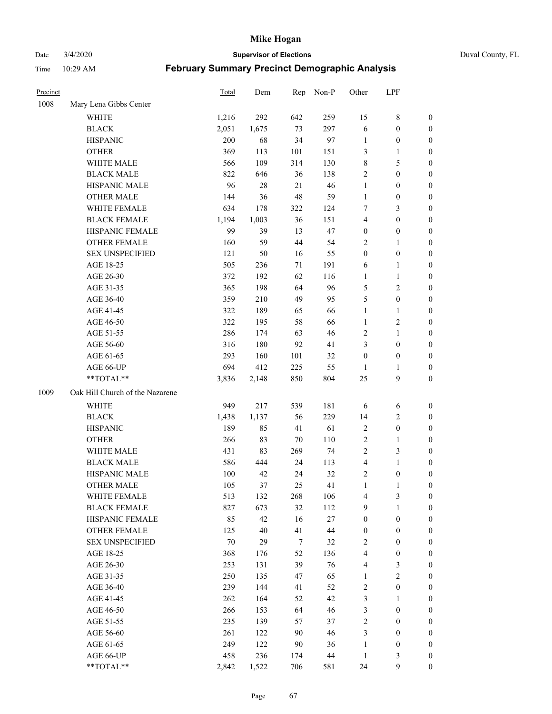Date 3/4/2020 **Supervisor of Elections** Duval County, FL

| Precinct |                                 | Total   | Dem    | Rep | Non-P  | Other                   | LPF              |                  |
|----------|---------------------------------|---------|--------|-----|--------|-------------------------|------------------|------------------|
| 1008     | Mary Lena Gibbs Center          |         |        |     |        |                         |                  |                  |
|          | WHITE                           | 1,216   | 292    | 642 | 259    | 15                      | $\,$ 8 $\,$      | 0                |
|          | <b>BLACK</b>                    | 2,051   | 1,675  | 73  | 297    | 6                       | $\boldsymbol{0}$ | 0                |
|          | <b>HISPANIC</b>                 | 200     | 68     | 34  | 97     | $\mathbf{1}$            | $\boldsymbol{0}$ | $\boldsymbol{0}$ |
|          | <b>OTHER</b>                    | 369     | 113    | 101 | 151    | 3                       | 1                | $\boldsymbol{0}$ |
|          | WHITE MALE                      | 566     | 109    | 314 | 130    | 8                       | 5                | $\boldsymbol{0}$ |
|          | <b>BLACK MALE</b>               | 822     | 646    | 36  | 138    | $\sqrt{2}$              | $\boldsymbol{0}$ | $\boldsymbol{0}$ |
|          | HISPANIC MALE                   | 96      | $28\,$ | 21  | $46\,$ | $\mathbf{1}$            | $\boldsymbol{0}$ | $\boldsymbol{0}$ |
|          | <b>OTHER MALE</b>               | 144     | 36     | 48  | 59     | $\mathbf{1}$            | $\boldsymbol{0}$ | $\boldsymbol{0}$ |
|          | WHITE FEMALE                    | 634     | 178    | 322 | 124    | 7                       | 3                | $\boldsymbol{0}$ |
|          | <b>BLACK FEMALE</b>             | 1,194   | 1,003  | 36  | 151    | $\overline{\mathbf{4}}$ | $\boldsymbol{0}$ | $\boldsymbol{0}$ |
|          | HISPANIC FEMALE                 | 99      | 39     | 13  | 47     | $\boldsymbol{0}$        | $\boldsymbol{0}$ | 0                |
|          | <b>OTHER FEMALE</b>             | 160     | 59     | 44  | 54     | $\overline{2}$          | $\mathbf{1}$     | $\boldsymbol{0}$ |
|          | <b>SEX UNSPECIFIED</b>          | 121     | 50     | 16  | 55     | $\boldsymbol{0}$        | $\boldsymbol{0}$ | $\boldsymbol{0}$ |
|          | AGE 18-25                       | 505     | 236    | 71  | 191    | 6                       | $\mathbf{1}$     | $\boldsymbol{0}$ |
|          | AGE 26-30                       | 372     | 192    | 62  | 116    | $\mathbf{1}$            | $\mathbf{1}$     | $\boldsymbol{0}$ |
|          | AGE 31-35                       | 365     | 198    | 64  | 96     | 5                       | $\sqrt{2}$       | $\boldsymbol{0}$ |
|          | AGE 36-40                       | 359     | 210    | 49  | 95     | 5                       | $\boldsymbol{0}$ | $\boldsymbol{0}$ |
|          | AGE 41-45                       | 322     | 189    | 65  | 66     | $\mathbf{1}$            | $\mathbf{1}$     | $\boldsymbol{0}$ |
|          | AGE 46-50                       | 322     | 195    | 58  | 66     | $\mathbf{1}$            | $\overline{c}$   | $\boldsymbol{0}$ |
|          | AGE 51-55                       | 286     | 174    | 63  | 46     | 2                       | $\mathbf{1}$     | 0                |
|          | AGE 56-60                       | 316     | 180    | 92  | 41     | 3                       | $\boldsymbol{0}$ | 0                |
|          | AGE 61-65                       | 293     | 160    | 101 | 32     | $\boldsymbol{0}$        | $\boldsymbol{0}$ | $\boldsymbol{0}$ |
|          | AGE 66-UP                       | 694     | 412    | 225 | 55     | 1                       | 1                | $\boldsymbol{0}$ |
|          | **TOTAL**                       | 3,836   | 2,148  | 850 | 804    | 25                      | $\mathbf{9}$     | $\boldsymbol{0}$ |
| 1009     | Oak Hill Church of the Nazarene |         |        |     |        |                         |                  |                  |
|          | <b>WHITE</b>                    | 949     | 217    | 539 | 181    | 6                       | 6                | $\boldsymbol{0}$ |
|          | <b>BLACK</b>                    | 1,438   | 1,137  | 56  | 229    | 14                      | $\sqrt{2}$       | $\boldsymbol{0}$ |
|          | <b>HISPANIC</b>                 | 189     | 85     | 41  | 61     | $\sqrt{2}$              | $\boldsymbol{0}$ | $\boldsymbol{0}$ |
|          | <b>OTHER</b>                    | 266     | 83     | 70  | 110    | $\sqrt{2}$              | $\mathbf{1}$     | $\boldsymbol{0}$ |
|          | WHITE MALE                      | 431     | 83     | 269 | 74     | $\overline{2}$          | 3                | $\boldsymbol{0}$ |
|          | <b>BLACK MALE</b>               | 586     | 444    | 24  | 113    | $\overline{\mathbf{4}}$ | $\mathbf{1}$     | $\boldsymbol{0}$ |
|          | HISPANIC MALE                   | $100\,$ | 42     | 24  | 32     | $\overline{c}$          | $\boldsymbol{0}$ | 0                |
|          | <b>OTHER MALE</b>               | 105     | 37     | 25  | 41     | $\mathbf{1}$            | $\mathbf{1}$     | $\boldsymbol{0}$ |
|          | WHITE FEMALE                    | 513     | 132    | 268 | 106    | 4                       | 3                | 0                |
|          | <b>BLACK FEMALE</b>             | 827     | 673    | 32  | 112    | 9                       | $\mathbf{1}$     | $\boldsymbol{0}$ |
|          | HISPANIC FEMALE                 | 85      | 42     | 16  | $27\,$ | $\boldsymbol{0}$        | $\boldsymbol{0}$ | $\overline{0}$   |
|          | OTHER FEMALE                    | 125     | 40     | 41  | 44     | $\boldsymbol{0}$        | $\boldsymbol{0}$ | $\overline{0}$   |
|          | <b>SEX UNSPECIFIED</b>          | $70\,$  | 29     | 7   | 32     | $\overline{2}$          | $\boldsymbol{0}$ | 0                |
|          | AGE 18-25                       | 368     | 176    | 52  | 136    | 4                       | $\boldsymbol{0}$ | 0                |
|          | AGE 26-30                       | 253     | 131    | 39  | 76     | 4                       | 3                | 0                |
|          | AGE 31-35                       | 250     | 135    | 47  | 65     | $\mathbf{1}$            | $\sqrt{2}$       | 0                |
|          | AGE 36-40                       | 239     | 144    | 41  | 52     | $\overline{\mathbf{c}}$ | $\boldsymbol{0}$ | 0                |
|          | AGE 41-45                       | 262     | 164    | 52  | 42     | 3                       | $\mathbf{1}$     | 0                |
|          | AGE 46-50                       | 266     | 153    | 64  | $46\,$ | 3                       | $\boldsymbol{0}$ | 0                |
|          | AGE 51-55                       | 235     | 139    | 57  | 37     | $\overline{2}$          | $\boldsymbol{0}$ | 0                |
|          | AGE 56-60                       | 261     | 122    | 90  | $46\,$ | 3                       | $\boldsymbol{0}$ | $\overline{0}$   |
|          | AGE 61-65                       | 249     | 122    | 90  | 36     | $\mathbf{1}$            | $\boldsymbol{0}$ | $\overline{0}$   |
|          | AGE 66-UP                       | 458     | 236    | 174 | 44     | $\mathbf{1}$            | 3                | 0                |
|          | **TOTAL**                       | 2,842   | 1,522  | 706 | 581    | 24                      | 9                | $\boldsymbol{0}$ |
|          |                                 |         |        |     |        |                         |                  |                  |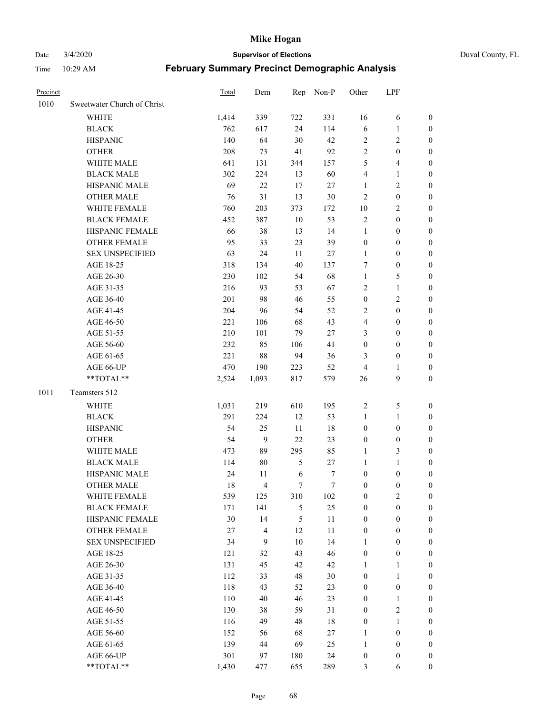Date 3/4/2020 **Supervisor of Elections** Duval County, FL

| Precinct |                             | Total | Dem            | Rep           | Non-P  | Other            | LPF              |                  |
|----------|-----------------------------|-------|----------------|---------------|--------|------------------|------------------|------------------|
| 1010     | Sweetwater Church of Christ |       |                |               |        |                  |                  |                  |
|          | <b>WHITE</b>                | 1,414 | 339            | 722           | 331    | 16               | 6                | 0                |
|          | <b>BLACK</b>                | 762   | 617            | 24            | 114    | $\sqrt{6}$       | $\mathbf{1}$     | 0                |
|          | <b>HISPANIC</b>             | 140   | 64             | 30            | 42     | $\overline{2}$   | $\overline{2}$   | $\boldsymbol{0}$ |
|          | <b>OTHER</b>                | 208   | 73             | 41            | 92     | $\sqrt{2}$       | $\boldsymbol{0}$ | $\boldsymbol{0}$ |
|          | WHITE MALE                  | 641   | 131            | 344           | 157    | 5                | $\overline{4}$   | $\boldsymbol{0}$ |
|          | <b>BLACK MALE</b>           | 302   | 224            | 13            | 60     | 4                | $\mathbf{1}$     | $\boldsymbol{0}$ |
|          | HISPANIC MALE               | 69    | 22             | 17            | 27     | 1                | $\sqrt{2}$       | $\boldsymbol{0}$ |
|          | <b>OTHER MALE</b>           | 76    | 31             | 13            | $30\,$ | $\overline{2}$   | $\boldsymbol{0}$ | $\boldsymbol{0}$ |
|          | WHITE FEMALE                | 760   | 203            | 373           | 172    | $10\,$           | $\sqrt{2}$       | $\overline{0}$   |
|          | <b>BLACK FEMALE</b>         | 452   | 387            | $10\,$        | 53     | $\overline{c}$   | $\boldsymbol{0}$ | $\boldsymbol{0}$ |
|          | HISPANIC FEMALE             | 66    | 38             | 13            | 14     | $\mathbf{1}$     | $\boldsymbol{0}$ | $\boldsymbol{0}$ |
|          | <b>OTHER FEMALE</b>         | 95    | 33             | 23            | 39     | $\boldsymbol{0}$ | $\boldsymbol{0}$ | $\boldsymbol{0}$ |
|          | <b>SEX UNSPECIFIED</b>      | 63    | 24             | 11            | $27\,$ | $\mathbf{1}$     | $\boldsymbol{0}$ | $\boldsymbol{0}$ |
|          | AGE 18-25                   | 318   | 134            | 40            | 137    | 7                | $\boldsymbol{0}$ | $\boldsymbol{0}$ |
|          | AGE 26-30                   | 230   | 102            | 54            | 68     | $\mathbf{1}$     | $\mathfrak s$    | $\boldsymbol{0}$ |
|          | AGE 31-35                   | 216   | 93             | 53            | 67     | $\sqrt{2}$       | $\mathbf{1}$     | $\boldsymbol{0}$ |
|          | AGE 36-40                   | 201   | 98             | 46            | 55     | $\boldsymbol{0}$ | $\sqrt{2}$       | $\boldsymbol{0}$ |
|          | AGE 41-45                   | 204   | 96             | 54            | 52     | $\overline{2}$   | $\boldsymbol{0}$ | $\boldsymbol{0}$ |
|          | AGE 46-50                   | 221   | 106            | 68            | 43     | 4                | $\boldsymbol{0}$ | $\boldsymbol{0}$ |
|          | AGE 51-55                   | 210   | 101            | 79            | $27\,$ | 3                | $\boldsymbol{0}$ | $\boldsymbol{0}$ |
|          | AGE 56-60                   | 232   | 85             | 106           | 41     | $\boldsymbol{0}$ | $\boldsymbol{0}$ | 0                |
|          | AGE 61-65                   | 221   | $88\,$         | 94            | 36     | 3                | $\boldsymbol{0}$ | $\boldsymbol{0}$ |
|          | AGE 66-UP                   | 470   | 190            | 223           | 52     | 4                | $\mathbf{1}$     | $\boldsymbol{0}$ |
|          | **TOTAL**                   | 2,524 | 1,093          | 817           | 579    | 26               | $\boldsymbol{9}$ | $\boldsymbol{0}$ |
| 1011     | Teamsters 512               |       |                |               |        |                  |                  |                  |
|          | <b>WHITE</b>                | 1,031 | 219            | 610           | 195    | $\sqrt{2}$       | $\mathfrak s$    | $\boldsymbol{0}$ |
|          | <b>BLACK</b>                | 291   | 224            | 12            | 53     | $\mathbf{1}$     | $\mathbf{1}$     | $\boldsymbol{0}$ |
|          | <b>HISPANIC</b>             | 54    | 25             | 11            | 18     | $\boldsymbol{0}$ | $\boldsymbol{0}$ | $\boldsymbol{0}$ |
|          | <b>OTHER</b>                | 54    | $\overline{9}$ | 22            | 23     | $\boldsymbol{0}$ | $\boldsymbol{0}$ | $\boldsymbol{0}$ |
|          | WHITE MALE                  | 473   | 89             | 295           | 85     | $\mathbf{1}$     | 3                | $\overline{0}$   |
|          | <b>BLACK MALE</b>           | 114   | $80\,$         | 5             | $27\,$ | $\mathbf{1}$     | $\mathbf{1}$     | $\boldsymbol{0}$ |
|          | HISPANIC MALE               | 24    | 11             | $\sqrt{6}$    | 7      | $\boldsymbol{0}$ | $\boldsymbol{0}$ | 0                |
|          | <b>OTHER MALE</b>           | 18    | $\overline{4}$ | $\tau$        | $\tau$ | $\boldsymbol{0}$ | $\boldsymbol{0}$ | $\boldsymbol{0}$ |
|          | WHITE FEMALE                | 539   | 125            | 310           | 102    | 0                | $\overline{c}$   | 0                |
|          | <b>BLACK FEMALE</b>         | 171   | 141            | $\mathfrak s$ | 25     | $\boldsymbol{0}$ | $\boldsymbol{0}$ | $\boldsymbol{0}$ |
|          | HISPANIC FEMALE             | 30    | 14             | 5             | $11\,$ | $\boldsymbol{0}$ | $\boldsymbol{0}$ | $\overline{0}$   |
|          | OTHER FEMALE                | 27    | 4              | 12            | 11     | $\boldsymbol{0}$ | $\boldsymbol{0}$ | $\overline{0}$   |
|          | <b>SEX UNSPECIFIED</b>      | 34    | 9              | 10            | 14     | $\mathbf{1}$     | $\boldsymbol{0}$ | 0                |
|          | AGE 18-25                   | 121   | 32             | 43            | $46\,$ | $\boldsymbol{0}$ | $\boldsymbol{0}$ | 0                |
|          | AGE 26-30                   | 131   | 45             | 42            | $42\,$ | $\mathbf{1}$     | $\mathbf{1}$     | 0                |
|          | AGE 31-35                   | 112   | 33             | 48            | $30\,$ | $\boldsymbol{0}$ | $\mathbf{1}$     | 0                |
|          | AGE 36-40                   | 118   | 43             | 52            | 23     | $\boldsymbol{0}$ | $\boldsymbol{0}$ | 0                |
|          | AGE 41-45                   | 110   | 40             | 46            | 23     | $\boldsymbol{0}$ | $\mathbf{1}$     | 0                |
|          | AGE 46-50                   | 130   | 38             | 59            | 31     | $\boldsymbol{0}$ | $\sqrt{2}$       | 0                |
|          | AGE 51-55                   | 116   | 49             | 48            | $18\,$ | $\boldsymbol{0}$ | $\mathbf{1}$     | 0                |
|          | AGE 56-60                   | 152   | 56             | 68            | 27     | 1                | $\boldsymbol{0}$ | $\overline{0}$   |
|          | AGE 61-65                   | 139   | 44             | 69            | 25     | $\mathbf{1}$     | $\boldsymbol{0}$ | $\overline{0}$   |
|          | AGE 66-UP                   | 301   | 97             | 180           | 24     | $\boldsymbol{0}$ | $\boldsymbol{0}$ | 0                |
|          | **TOTAL**                   | 1,430 | 477            | 655           | 289    | 3                | 6                | $\boldsymbol{0}$ |
|          |                             |       |                |               |        |                  |                  |                  |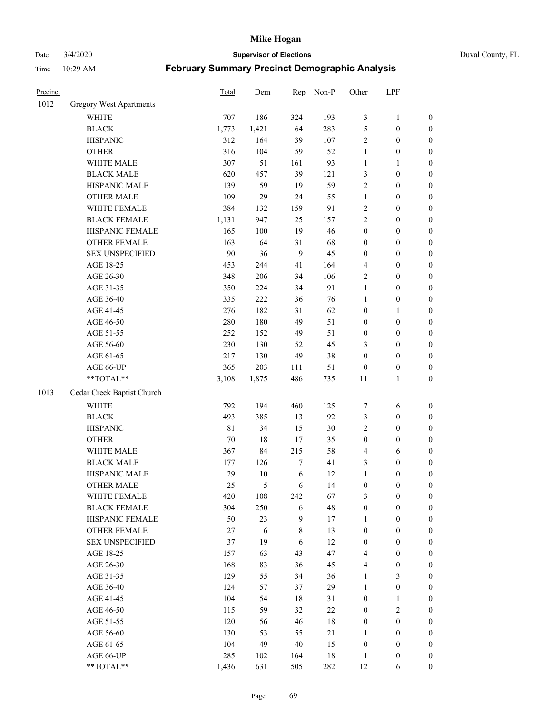Date 3/4/2020 **Supervisor of Elections** Duval County, FL

| Precinct |                                | Total | Dem    | Rep              | Non-P  | Other            | LPF              |                  |
|----------|--------------------------------|-------|--------|------------------|--------|------------------|------------------|------------------|
| 1012     | <b>Gregory West Apartments</b> |       |        |                  |        |                  |                  |                  |
|          | <b>WHITE</b>                   | 707   | 186    | 324              | 193    | $\mathfrak{Z}$   | $\mathbf{1}$     | 0                |
|          | <b>BLACK</b>                   | 1,773 | 1,421  | 64               | 283    | 5                | $\boldsymbol{0}$ | 0                |
|          | <b>HISPANIC</b>                | 312   | 164    | 39               | 107    | $\overline{2}$   | $\boldsymbol{0}$ | $\boldsymbol{0}$ |
|          | <b>OTHER</b>                   | 316   | 104    | 59               | 152    | $\mathbf{1}$     | $\boldsymbol{0}$ | $\boldsymbol{0}$ |
|          | WHITE MALE                     | 307   | 51     | 161              | 93     | $\mathbf{1}$     | $\mathbf{1}$     | $\boldsymbol{0}$ |
|          | <b>BLACK MALE</b>              | 620   | 457    | 39               | 121    | 3                | $\boldsymbol{0}$ | $\boldsymbol{0}$ |
|          | HISPANIC MALE                  | 139   | 59     | 19               | 59     | $\overline{2}$   | $\boldsymbol{0}$ | $\boldsymbol{0}$ |
|          | <b>OTHER MALE</b>              | 109   | 29     | 24               | 55     | $\mathbf{1}$     | $\boldsymbol{0}$ | $\boldsymbol{0}$ |
|          | WHITE FEMALE                   | 384   | 132    | 159              | 91     | $\sqrt{2}$       | $\boldsymbol{0}$ | $\boldsymbol{0}$ |
|          | <b>BLACK FEMALE</b>            | 1,131 | 947    | 25               | 157    | $\sqrt{2}$       | $\boldsymbol{0}$ | $\boldsymbol{0}$ |
|          | HISPANIC FEMALE                | 165   | 100    | 19               | 46     | $\boldsymbol{0}$ | $\boldsymbol{0}$ | $\boldsymbol{0}$ |
|          | <b>OTHER FEMALE</b>            | 163   | 64     | 31               | 68     | $\boldsymbol{0}$ | $\boldsymbol{0}$ | $\boldsymbol{0}$ |
|          | <b>SEX UNSPECIFIED</b>         | 90    | 36     | 9                | 45     | $\boldsymbol{0}$ | $\boldsymbol{0}$ | $\boldsymbol{0}$ |
|          | AGE 18-25                      | 453   | 244    | 41               | 164    | 4                | $\boldsymbol{0}$ | $\boldsymbol{0}$ |
|          | AGE 26-30                      | 348   | 206    | 34               | 106    | 2                | $\boldsymbol{0}$ | $\boldsymbol{0}$ |
|          | AGE 31-35                      | 350   | 224    | 34               | 91     | $\mathbf{1}$     | $\boldsymbol{0}$ | $\boldsymbol{0}$ |
|          | AGE 36-40                      | 335   | 222    | 36               | 76     | $\mathbf{1}$     | $\boldsymbol{0}$ | $\boldsymbol{0}$ |
|          | AGE 41-45                      | 276   | 182    | 31               | 62     | $\boldsymbol{0}$ | $\mathbf{1}$     | $\boldsymbol{0}$ |
|          | AGE 46-50                      | 280   | 180    | 49               | 51     | $\boldsymbol{0}$ | $\boldsymbol{0}$ | $\boldsymbol{0}$ |
|          | AGE 51-55                      | 252   | 152    | 49               | 51     | $\boldsymbol{0}$ | $\boldsymbol{0}$ | $\boldsymbol{0}$ |
|          | AGE 56-60                      | 230   | 130    | 52               | 45     | 3                | $\boldsymbol{0}$ | $\boldsymbol{0}$ |
|          | AGE 61-65                      | 217   | 130    | 49               | 38     | $\boldsymbol{0}$ | $\boldsymbol{0}$ | $\boldsymbol{0}$ |
|          | AGE 66-UP                      | 365   | 203    | 111              | 51     | $\boldsymbol{0}$ | $\boldsymbol{0}$ | $\boldsymbol{0}$ |
|          | **TOTAL**                      | 3,108 | 1,875  | 486              | 735    | $11\,$           | $\mathbf{1}$     | $\boldsymbol{0}$ |
| 1013     | Cedar Creek Baptist Church     |       |        |                  |        |                  |                  |                  |
|          | <b>WHITE</b>                   | 792   | 194    | 460              | 125    | $\boldsymbol{7}$ | 6                | $\boldsymbol{0}$ |
|          | <b>BLACK</b>                   | 493   | 385    | 13               | 92     | 3                | $\boldsymbol{0}$ | $\boldsymbol{0}$ |
|          | <b>HISPANIC</b>                | 81    | 34     | 15               | $30\,$ | $\overline{2}$   | $\boldsymbol{0}$ | $\boldsymbol{0}$ |
|          | <b>OTHER</b>                   | 70    | $18\,$ | 17               | 35     | $\boldsymbol{0}$ | $\boldsymbol{0}$ | $\boldsymbol{0}$ |
|          | WHITE MALE                     | 367   | 84     | 215              | 58     | 4                | 6                | $\boldsymbol{0}$ |
|          | <b>BLACK MALE</b>              | 177   | 126    | $\boldsymbol{7}$ | 41     | 3                | $\boldsymbol{0}$ | $\boldsymbol{0}$ |
|          | HISPANIC MALE                  | 29    | $10\,$ | $\epsilon$       | 12     | $\mathbf{1}$     | $\boldsymbol{0}$ | $\boldsymbol{0}$ |
|          | <b>OTHER MALE</b>              | 25    | 5      | 6                | 14     | $\boldsymbol{0}$ | $\boldsymbol{0}$ | $\boldsymbol{0}$ |
|          | WHITE FEMALE                   | 420   | 108    | 242              | 67     | 3                | 0                | 0                |
|          | <b>BLACK FEMALE</b>            | 304   | 250    | 6                | 48     | $\boldsymbol{0}$ | $\boldsymbol{0}$ | $\overline{0}$   |
|          | HISPANIC FEMALE                | 50    | 23     | 9                | 17     | $\mathbf{1}$     | $\boldsymbol{0}$ | $\overline{0}$   |
|          | OTHER FEMALE                   | 27    | 6      | 8                | 13     | $\boldsymbol{0}$ | $\boldsymbol{0}$ | $\overline{0}$   |
|          | <b>SEX UNSPECIFIED</b>         | 37    | 19     | 6                | 12     | $\boldsymbol{0}$ | $\boldsymbol{0}$ | 0                |
|          | AGE 18-25                      | 157   | 63     | 43               | $47\,$ | 4                | $\boldsymbol{0}$ | $\theta$         |
|          | AGE 26-30                      | 168   | 83     | 36               | 45     | 4                | $\boldsymbol{0}$ | 0                |
|          | AGE 31-35                      | 129   | 55     | 34               | 36     | $\mathbf{1}$     | 3                | 0                |
|          | AGE 36-40                      | 124   | 57     | 37               | 29     | $\mathbf{1}$     | $\boldsymbol{0}$ | 0                |
|          | AGE 41-45                      | 104   | 54     | 18               | 31     | $\boldsymbol{0}$ | $\mathbf{1}$     | 0                |
|          | AGE 46-50                      | 115   | 59     | 32               | $22\,$ | $\boldsymbol{0}$ | $\sqrt{2}$       | 0                |
|          | AGE 51-55                      | 120   | 56     | 46               | $18\,$ | $\boldsymbol{0}$ | $\boldsymbol{0}$ | 0                |
|          | AGE 56-60                      | 130   | 53     | 55               | 21     | 1                | $\boldsymbol{0}$ | $\overline{0}$   |
|          | AGE 61-65                      | 104   | 49     | $40\,$           | 15     | $\boldsymbol{0}$ | $\boldsymbol{0}$ | $\overline{0}$   |
|          | AGE 66-UP                      | 285   | 102    | 164              | 18     | $\mathbf{1}$     | $\boldsymbol{0}$ | 0                |
|          | **TOTAL**                      | 1,436 | 631    | 505              | 282    | 12               | 6                | $\boldsymbol{0}$ |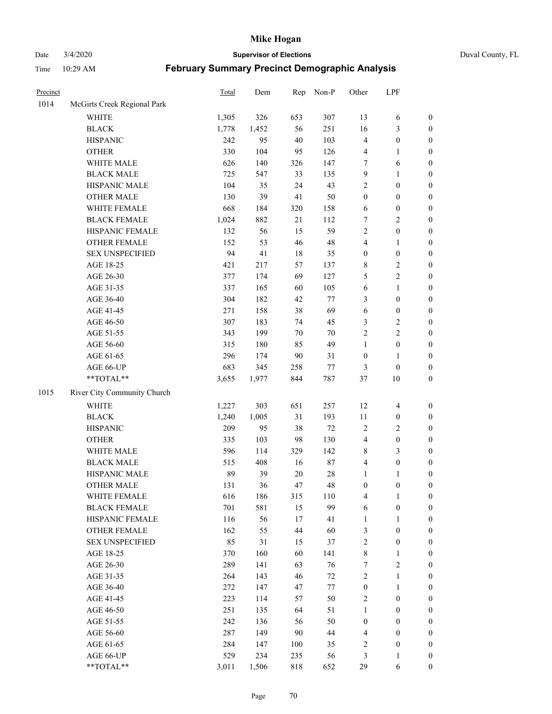Date 3/4/2020 **Supervisor of Elections** Duval County, FL

| Precinct |                             | Total | Dem   | Rep    | Non-P  | Other            | LPF                      |                  |
|----------|-----------------------------|-------|-------|--------|--------|------------------|--------------------------|------------------|
| 1014     | McGirts Creek Regional Park |       |       |        |        |                  |                          |                  |
|          | <b>WHITE</b>                | 1,305 | 326   | 653    | 307    | 13               | 6                        | 0                |
|          | <b>BLACK</b>                | 1,778 | 1,452 | 56     | 251    | 16               | $\mathfrak{Z}$           | $\boldsymbol{0}$ |
|          | <b>HISPANIC</b>             | 242   | 95    | 40     | 103    | 4                | $\boldsymbol{0}$         | $\boldsymbol{0}$ |
|          | <b>OTHER</b>                | 330   | 104   | 95     | 126    | 4                | 1                        | $\boldsymbol{0}$ |
|          | WHITE MALE                  | 626   | 140   | 326    | 147    | 7                | 6                        | $\boldsymbol{0}$ |
|          | <b>BLACK MALE</b>           | 725   | 547   | 33     | 135    | 9                | $\mathbf{1}$             | $\boldsymbol{0}$ |
|          | HISPANIC MALE               | 104   | 35    | 24     | 43     | 2                | $\boldsymbol{0}$         | $\boldsymbol{0}$ |
|          | <b>OTHER MALE</b>           | 130   | 39    | 41     | 50     | $\boldsymbol{0}$ | $\boldsymbol{0}$         | $\boldsymbol{0}$ |
|          | WHITE FEMALE                | 668   | 184   | 320    | 158    | 6                | $\boldsymbol{0}$         | $\boldsymbol{0}$ |
|          | <b>BLACK FEMALE</b>         | 1,024 | 882   | 21     | 112    | 7                | $\sqrt{2}$               | $\boldsymbol{0}$ |
|          | HISPANIC FEMALE             | 132   | 56    | 15     | 59     | $\overline{2}$   | $\boldsymbol{0}$         | $\boldsymbol{0}$ |
|          | OTHER FEMALE                | 152   | 53    | 46     | 48     | 4                | 1                        | $\boldsymbol{0}$ |
|          | <b>SEX UNSPECIFIED</b>      | 94    | 41    | 18     | 35     | $\boldsymbol{0}$ | $\boldsymbol{0}$         | $\boldsymbol{0}$ |
|          | AGE 18-25                   | 421   | 217   | 57     | 137    | 8                | $\sqrt{2}$               | $\boldsymbol{0}$ |
|          | AGE 26-30                   | 377   | 174   | 69     | 127    | 5                | $\sqrt{2}$               | $\boldsymbol{0}$ |
|          | AGE 31-35                   | 337   | 165   | 60     | 105    | 6                | $\mathbf{1}$             | $\boldsymbol{0}$ |
|          | AGE 36-40                   | 304   | 182   | 42     | 77     | 3                | $\boldsymbol{0}$         | $\boldsymbol{0}$ |
|          | AGE 41-45                   | 271   | 158   | 38     | 69     | 6                | $\boldsymbol{0}$         | $\boldsymbol{0}$ |
|          | AGE 46-50                   | 307   | 183   | 74     | 45     | 3                | $\sqrt{2}$               | $\boldsymbol{0}$ |
|          | AGE 51-55                   | 343   | 199   | $70\,$ | 70     | $\overline{c}$   | $\sqrt{2}$               | $\boldsymbol{0}$ |
|          | AGE 56-60                   | 315   | 180   | 85     | 49     | $\mathbf{1}$     | $\boldsymbol{0}$         | $\boldsymbol{0}$ |
|          | AGE 61-65                   | 296   | 174   | 90     | 31     | $\boldsymbol{0}$ | 1                        | $\boldsymbol{0}$ |
|          | AGE 66-UP                   | 683   | 345   | 258    | $77\,$ | 3                | $\boldsymbol{0}$         | $\boldsymbol{0}$ |
|          | **TOTAL**                   | 3,655 | 1,977 | 844    | 787    | 37               | 10                       | $\boldsymbol{0}$ |
| 1015     | River City Community Church |       |       |        |        |                  |                          |                  |
|          | <b>WHITE</b>                | 1,227 | 303   | 651    | 257    | 12               | $\overline{\mathcal{A}}$ | $\boldsymbol{0}$ |
|          | <b>BLACK</b>                | 1,240 | 1,005 | 31     | 193    | 11               | $\boldsymbol{0}$         | $\boldsymbol{0}$ |
|          | <b>HISPANIC</b>             | 209   | 95    | 38     | $72\,$ | 2                | $\mathfrak{2}$           | $\boldsymbol{0}$ |
|          | <b>OTHER</b>                | 335   | 103   | 98     | 130    | 4                | $\boldsymbol{0}$         | $\boldsymbol{0}$ |
|          | WHITE MALE                  | 596   | 114   | 329    | 142    | 8                | 3                        | $\boldsymbol{0}$ |
|          | <b>BLACK MALE</b>           | 515   | 408   | 16     | $87\,$ | 4                | $\boldsymbol{0}$         | $\boldsymbol{0}$ |
|          | HISPANIC MALE               | 89    | 39    | $20\,$ | $28\,$ | 1                | 1                        | $\boldsymbol{0}$ |
|          | <b>OTHER MALE</b>           | 131   | 36    | 47     | 48     | $\boldsymbol{0}$ | $\boldsymbol{0}$         | $\boldsymbol{0}$ |
|          | WHITE FEMALE                | 616   | 186   | 315    | 110    | 4                | 1                        | 0                |
|          | <b>BLACK FEMALE</b>         | 701   | 581   | 15     | 99     | 6                | $\boldsymbol{0}$         | $\overline{0}$   |
|          | HISPANIC FEMALE             | 116   | 56    | 17     | 41     | $\mathbf{1}$     | $\mathbf{1}$             | $\overline{0}$   |
|          | <b>OTHER FEMALE</b>         | 162   | 55    | 44     | 60     | 3                | $\boldsymbol{0}$         | $\overline{0}$   |
|          | <b>SEX UNSPECIFIED</b>      | 85    | 31    | 15     | 37     | 2                | $\boldsymbol{0}$         | 0                |
|          | AGE 18-25                   | 370   | 160   | 60     | 141    | 8                | $\mathbf{1}$             | 0                |
|          | AGE 26-30                   | 289   | 141   | 63     | 76     | $\boldsymbol{7}$ | $\overline{2}$           | 0                |
|          | AGE 31-35                   | 264   | 143   | 46     | 72     | $\overline{c}$   | $\mathbf{1}$             | 0                |
|          | AGE 36-40                   | 272   | 147   | 47     | 77     | $\boldsymbol{0}$ | $\mathbf{1}$             | 0                |
|          | AGE 41-45                   | 223   | 114   | 57     | 50     | 2                | $\boldsymbol{0}$         | 0                |
|          | AGE 46-50                   | 251   | 135   | 64     | 51     | 1                | $\boldsymbol{0}$         | 0                |
|          | AGE 51-55                   | 242   | 136   | 56     | 50     | $\boldsymbol{0}$ | $\boldsymbol{0}$         | 0                |
|          | AGE 56-60                   | 287   | 149   | 90     | 44     | 4                | $\boldsymbol{0}$         | $\overline{0}$   |
|          | AGE 61-65                   | 284   | 147   | 100    | 35     | 2                | $\boldsymbol{0}$         | 0                |
|          | AGE 66-UP                   | 529   | 234   | 235    | 56     | 3                | $\mathbf{1}$             | 0                |
|          | **TOTAL**                   | 3,011 | 1,506 | 818    | 652    | 29               | 6                        | $\boldsymbol{0}$ |
|          |                             |       |       |        |        |                  |                          |                  |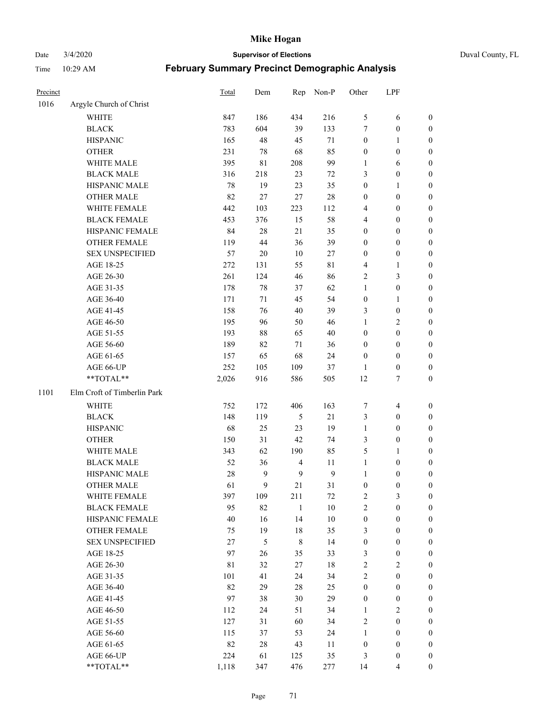# Date 3/4/2020 **Supervisor of Elections** Duval County, FL

| Precinct |                             | Total  | Dem    | Rep              | Non-P            | Other            | LPF                      |                  |
|----------|-----------------------------|--------|--------|------------------|------------------|------------------|--------------------------|------------------|
| 1016     | Argyle Church of Christ     |        |        |                  |                  |                  |                          |                  |
|          | <b>WHITE</b>                | 847    | 186    | 434              | 216              | 5                | 6                        | 0                |
|          | <b>BLACK</b>                | 783    | 604    | 39               | 133              | $\tau$           | $\boldsymbol{0}$         | 0                |
|          | <b>HISPANIC</b>             | 165    | 48     | 45               | 71               | $\boldsymbol{0}$ | $\mathbf{1}$             | $\boldsymbol{0}$ |
|          | <b>OTHER</b>                | 231    | 78     | 68               | 85               | $\boldsymbol{0}$ | $\boldsymbol{0}$         | $\boldsymbol{0}$ |
|          | WHITE MALE                  | 395    | 81     | 208              | 99               | 1                | 6                        | $\boldsymbol{0}$ |
|          | <b>BLACK MALE</b>           | 316    | 218    | 23               | 72               | 3                | $\boldsymbol{0}$         | $\boldsymbol{0}$ |
|          | HISPANIC MALE               | $78\,$ | 19     | 23               | 35               | $\boldsymbol{0}$ | $\mathbf{1}$             | $\boldsymbol{0}$ |
|          | <b>OTHER MALE</b>           | 82     | 27     | 27               | $28\,$           | $\boldsymbol{0}$ | $\boldsymbol{0}$         | $\boldsymbol{0}$ |
|          | WHITE FEMALE                | 442    | 103    | 223              | 112              | 4                | $\boldsymbol{0}$         | $\boldsymbol{0}$ |
|          | <b>BLACK FEMALE</b>         | 453    | 376    | 15               | 58               | 4                | $\boldsymbol{0}$         | $\boldsymbol{0}$ |
|          | HISPANIC FEMALE             | 84     | $28\,$ | 21               | 35               | 0                | $\boldsymbol{0}$         | 0                |
|          | <b>OTHER FEMALE</b>         | 119    | 44     | 36               | 39               | $\boldsymbol{0}$ | $\boldsymbol{0}$         | $\boldsymbol{0}$ |
|          | <b>SEX UNSPECIFIED</b>      | 57     | 20     | 10               | 27               | $\boldsymbol{0}$ | $\boldsymbol{0}$         | $\boldsymbol{0}$ |
|          | AGE 18-25                   | 272    | 131    | 55               | $8\sqrt{1}$      | 4                | 1                        | $\boldsymbol{0}$ |
|          | AGE 26-30                   | 261    | 124    | 46               | 86               | 2                | $\mathfrak{Z}$           | $\boldsymbol{0}$ |
|          | AGE 31-35                   | 178    | $78\,$ | 37               | 62               | $\mathbf{1}$     | $\boldsymbol{0}$         | $\boldsymbol{0}$ |
|          | AGE 36-40                   | 171    | 71     | 45               | 54               | $\boldsymbol{0}$ | $\mathbf{1}$             | $\boldsymbol{0}$ |
|          | AGE 41-45                   | 158    | 76     | 40               | 39               | 3                | $\boldsymbol{0}$         | $\boldsymbol{0}$ |
|          | AGE 46-50                   | 195    | 96     | 50               | 46               | $\mathbf{1}$     | $\overline{c}$           | $\boldsymbol{0}$ |
|          | AGE 51-55                   | 193    | $88\,$ | 65               | 40               | $\boldsymbol{0}$ | $\boldsymbol{0}$         | $\boldsymbol{0}$ |
|          | AGE 56-60                   | 189    | 82     | 71               | 36               | $\boldsymbol{0}$ | $\boldsymbol{0}$         | 0                |
|          | AGE 61-65                   | 157    | 65     | 68               | 24               | $\boldsymbol{0}$ | $\boldsymbol{0}$         | 0                |
|          | AGE 66-UP                   | 252    | 105    | 109              | 37               | 1                | $\boldsymbol{0}$         | $\boldsymbol{0}$ |
|          | **TOTAL**                   | 2,026  | 916    | 586              | 505              | 12               | $\tau$                   | $\boldsymbol{0}$ |
| 1101     | Elm Croft of Timberlin Park |        |        |                  |                  |                  |                          |                  |
|          | <b>WHITE</b>                | 752    | 172    | 406              | 163              | 7                | $\overline{\mathcal{A}}$ | $\boldsymbol{0}$ |
|          | <b>BLACK</b>                | 148    | 119    | $\mathfrak s$    | $21\,$           | 3                | $\boldsymbol{0}$         | $\boldsymbol{0}$ |
|          | <b>HISPANIC</b>             | 68     | 25     | 23               | 19               | $\mathbf{1}$     | $\boldsymbol{0}$         | $\boldsymbol{0}$ |
|          | <b>OTHER</b>                | 150    | 31     | 42               | 74               | 3                | $\boldsymbol{0}$         | $\boldsymbol{0}$ |
|          | WHITE MALE                  | 343    | 62     | 190              | 85               | 5                | $\mathbf{1}$             | $\boldsymbol{0}$ |
|          | <b>BLACK MALE</b>           | 52     | 36     | $\overline{4}$   | 11               | $\mathbf{1}$     | $\boldsymbol{0}$         | $\boldsymbol{0}$ |
|          | HISPANIC MALE               | 28     | 9      | $\boldsymbol{9}$ | $\boldsymbol{9}$ | $\mathbf{1}$     | $\boldsymbol{0}$         | 0                |
|          | <b>OTHER MALE</b>           | 61     | 9      | 21               | 31               | $\boldsymbol{0}$ | $\boldsymbol{0}$         | $\boldsymbol{0}$ |
|          | WHITE FEMALE                | 397    | 109    | 211              | 72               | 2                | 3                        | 0                |
|          | <b>BLACK FEMALE</b>         | 95     | 82     | $\mathbf{1}$     | $10\,$           | $\overline{c}$   | $\boldsymbol{0}$         | $\overline{0}$   |
|          | HISPANIC FEMALE             | 40     | 16     | 14               | $10\,$           | $\boldsymbol{0}$ | $\boldsymbol{0}$         | $\overline{0}$   |
|          | OTHER FEMALE                | 75     | 19     | $18\,$           | 35               | 3                | $\boldsymbol{0}$         | $\overline{0}$   |
|          | <b>SEX UNSPECIFIED</b>      | 27     | 5      | 8                | 14               | $\boldsymbol{0}$ | $\boldsymbol{0}$         | 0                |
|          | AGE 18-25                   | 97     | 26     | 35               | 33               | 3                | $\boldsymbol{0}$         | 0                |
|          | AGE 26-30                   | 81     | 32     | 27               | 18               | $\overline{c}$   | $\sqrt{2}$               | 0                |
|          | AGE 31-35                   | 101    | 41     | 24               | 34               | $\overline{2}$   | $\boldsymbol{0}$         | 0                |
|          | AGE 36-40                   | 82     | 29     | $28\,$           | 25               | $\boldsymbol{0}$ | $\boldsymbol{0}$         | 0                |
|          | AGE 41-45                   | 97     | 38     | 30               | 29               | $\boldsymbol{0}$ | $\boldsymbol{0}$         | 0                |
|          | AGE 46-50                   | 112    | 24     | 51               | 34               | $\mathbf{1}$     | $\overline{c}$           | 0                |
|          | AGE 51-55                   | 127    | 31     | 60               | 34               | 2                | $\boldsymbol{0}$         | 0                |
|          | AGE 56-60                   | 115    | 37     | 53               | 24               | $\mathbf{1}$     | $\boldsymbol{0}$         | 0                |
|          | AGE 61-65                   | 82     | $28\,$ | 43               | 11               | $\boldsymbol{0}$ | $\boldsymbol{0}$         | 0                |
|          | AGE 66-UP                   | 224    | 61     | 125              | 35               | 3                | $\boldsymbol{0}$         | 0                |
|          | **TOTAL**                   | 1,118  | 347    | 476              | 277              | 14               | $\overline{4}$           | $\boldsymbol{0}$ |
|          |                             |        |        |                  |                  |                  |                          |                  |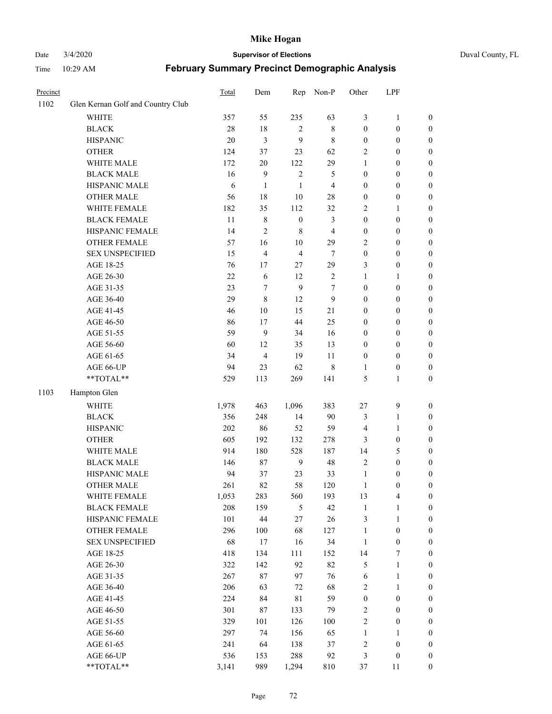## Date 3/4/2020 **Supervisor of Elections** Duval County, FL

| Precinct |                                   | Total  | Dem              | Rep              | Non-P          | Other            | LPF              |                  |
|----------|-----------------------------------|--------|------------------|------------------|----------------|------------------|------------------|------------------|
| 1102     | Glen Kernan Golf and Country Club |        |                  |                  |                |                  |                  |                  |
|          | <b>WHITE</b>                      | 357    | 55               | 235              | 63             | 3                | $\mathbf{1}$     | 0                |
|          | <b>BLACK</b>                      | $28\,$ | $18\,$           | 2                | $\,$ 8 $\,$    | $\boldsymbol{0}$ | $\boldsymbol{0}$ | 0                |
|          | <b>HISPANIC</b>                   | 20     | $\mathfrak{Z}$   | 9                | $\,$ 8 $\,$    | $\boldsymbol{0}$ | $\boldsymbol{0}$ | $\boldsymbol{0}$ |
|          | <b>OTHER</b>                      | 124    | 37               | 23               | 62             | $\overline{2}$   | $\boldsymbol{0}$ | $\boldsymbol{0}$ |
|          | WHITE MALE                        | 172    | 20               | 122              | 29             | 1                | $\boldsymbol{0}$ | $\boldsymbol{0}$ |
|          | <b>BLACK MALE</b>                 | 16     | $\mathbf{9}$     | $\sqrt{2}$       | 5              | $\boldsymbol{0}$ | $\boldsymbol{0}$ | $\boldsymbol{0}$ |
|          | HISPANIC MALE                     | 6      | $\mathbf{1}$     | 1                | $\overline{4}$ | $\boldsymbol{0}$ | $\boldsymbol{0}$ | $\boldsymbol{0}$ |
|          | <b>OTHER MALE</b>                 | 56     | 18               | $10\,$           | $28\,$         | $\boldsymbol{0}$ | $\boldsymbol{0}$ | $\boldsymbol{0}$ |
|          | WHITE FEMALE                      | 182    | 35               | 112              | 32             | $\overline{2}$   | $\mathbf{1}$     | $\boldsymbol{0}$ |
|          | <b>BLACK FEMALE</b>               | 11     | $\,$ 8 $\,$      | $\boldsymbol{0}$ | 3              | $\boldsymbol{0}$ | $\boldsymbol{0}$ | $\boldsymbol{0}$ |
|          | HISPANIC FEMALE                   | 14     | $\overline{c}$   | $\,$ 8 $\,$      | $\overline{4}$ | $\boldsymbol{0}$ | $\boldsymbol{0}$ | $\boldsymbol{0}$ |
|          | <b>OTHER FEMALE</b>               | 57     | 16               | $10\,$           | 29             | $\overline{2}$   | $\boldsymbol{0}$ | $\boldsymbol{0}$ |
|          | <b>SEX UNSPECIFIED</b>            | 15     | $\overline{4}$   | $\overline{4}$   | $\tau$         | $\boldsymbol{0}$ | $\boldsymbol{0}$ | $\boldsymbol{0}$ |
|          | AGE 18-25                         | 76     | 17               | $27\,$           | 29             | 3                | $\boldsymbol{0}$ | $\boldsymbol{0}$ |
|          | AGE 26-30                         | $22\,$ | 6                | 12               | $\sqrt{2}$     | 1                | $\mathbf{1}$     | $\boldsymbol{0}$ |
|          | AGE 31-35                         | 23     | 7                | 9                | 7              | $\boldsymbol{0}$ | $\boldsymbol{0}$ | $\boldsymbol{0}$ |
|          | AGE 36-40                         | 29     | $\,8\,$          | 12               | 9              | $\boldsymbol{0}$ | $\boldsymbol{0}$ | $\boldsymbol{0}$ |
|          | AGE 41-45                         | 46     | 10               | 15               | 21             | $\boldsymbol{0}$ | $\boldsymbol{0}$ | $\boldsymbol{0}$ |
|          | AGE 46-50                         | 86     | 17               | 44               | 25             | $\boldsymbol{0}$ | $\boldsymbol{0}$ | $\boldsymbol{0}$ |
|          | AGE 51-55                         | 59     | $\boldsymbol{9}$ | 34               | 16             | $\boldsymbol{0}$ | $\boldsymbol{0}$ | $\boldsymbol{0}$ |
|          | AGE 56-60                         | 60     | 12               | 35               | 13             | $\boldsymbol{0}$ | $\boldsymbol{0}$ | $\boldsymbol{0}$ |
|          | AGE 61-65                         | 34     | $\overline{4}$   | 19               | 11             | $\boldsymbol{0}$ | $\boldsymbol{0}$ | $\boldsymbol{0}$ |
|          | AGE 66-UP                         | 94     | 23               | 62               | $\,$ 8 $\,$    | 1                | $\boldsymbol{0}$ | $\boldsymbol{0}$ |
|          | **TOTAL**                         | 529    | 113              | 269              | 141            | 5                | $\mathbf{1}$     | $\boldsymbol{0}$ |
| 1103     | Hampton Glen                      |        |                  |                  |                |                  |                  |                  |
|          | <b>WHITE</b>                      | 1,978  | 463              | 1,096            | 383            | 27               | $\boldsymbol{9}$ | $\boldsymbol{0}$ |
|          | <b>BLACK</b>                      | 356    | 248              | 14               | 90             | 3                | $\mathbf{1}$     | $\boldsymbol{0}$ |
|          | <b>HISPANIC</b>                   | 202    | 86               | 52               | 59             | 4                | $\mathbf{1}$     | $\boldsymbol{0}$ |
|          | <b>OTHER</b>                      | 605    | 192              | 132              | 278            | 3                | $\boldsymbol{0}$ | $\boldsymbol{0}$ |
|          | WHITE MALE                        | 914    | 180              | 528              | 187            | 14               | 5                | $\boldsymbol{0}$ |
|          | <b>BLACK MALE</b>                 | 146    | 87               | 9                | $48\,$         | $\overline{c}$   | $\boldsymbol{0}$ | $\boldsymbol{0}$ |
|          | HISPANIC MALE                     | 94     | 37               | 23               | 33             | $\mathbf{1}$     | $\boldsymbol{0}$ | 0                |
|          | <b>OTHER MALE</b>                 | 261    | 82               | 58               | 120            | $\mathbf{1}$     | $\boldsymbol{0}$ | $\boldsymbol{0}$ |
|          | WHITE FEMALE                      | 1,053  | 283              | 560              | 193            | 13               | 4                | 0                |
|          | <b>BLACK FEMALE</b>               | 208    | 159              | $\mathfrak s$    | 42             | $\mathbf{1}$     | $\mathbf{1}$     | $\boldsymbol{0}$ |
|          | HISPANIC FEMALE                   | 101    | $44\,$           | 27               | $26\,$         | 3                | $\mathbf{1}$     | $\overline{0}$   |
|          | OTHER FEMALE                      | 296    | 100              | 68               | 127            | $\mathbf{1}$     | $\boldsymbol{0}$ | $\overline{0}$   |
|          | <b>SEX UNSPECIFIED</b>            | 68     | 17               | 16               | 34             | $\mathbf{1}$     | $\boldsymbol{0}$ | 0                |
|          | AGE 18-25                         | 418    | 134              | 111              | 152            | 14               | $\boldsymbol{7}$ | 0                |
|          | AGE 26-30                         | 322    | 142              | 92               | 82             | 5                | $\mathbf{1}$     | 0                |
|          | AGE 31-35                         | 267    | 87               | 97               | 76             | 6                | $\mathbf{1}$     | 0                |
|          | AGE 36-40                         | 206    | 63               | $72\,$           | 68             | $\overline{c}$   | $\mathbf{1}$     | 0                |
|          | AGE 41-45                         | 224    | 84               | $8\sqrt{1}$      | 59             | $\boldsymbol{0}$ | $\boldsymbol{0}$ | 0                |
|          | AGE 46-50                         | 301    | 87               | 133              | 79             | $\sqrt{2}$       | $\boldsymbol{0}$ | 0                |
|          | AGE 51-55                         | 329    | 101              | 126              | 100            | $\sqrt{2}$       | $\boldsymbol{0}$ | $\overline{0}$   |
|          | AGE 56-60                         | 297    | 74               | 156              | 65             | $\mathbf{1}$     | 1                | $\overline{0}$   |
|          | AGE 61-65                         | 241    | 64               | 138              | 37             | $\overline{c}$   | $\boldsymbol{0}$ | $\overline{0}$   |
|          | AGE 66-UP                         | 536    | 153              | 288              | 92             | 3                | $\boldsymbol{0}$ | 0                |
|          | **TOTAL**                         | 3,141  | 989              | 1,294            | 810            | 37               | 11               | $\boldsymbol{0}$ |
|          |                                   |        |                  |                  |                |                  |                  |                  |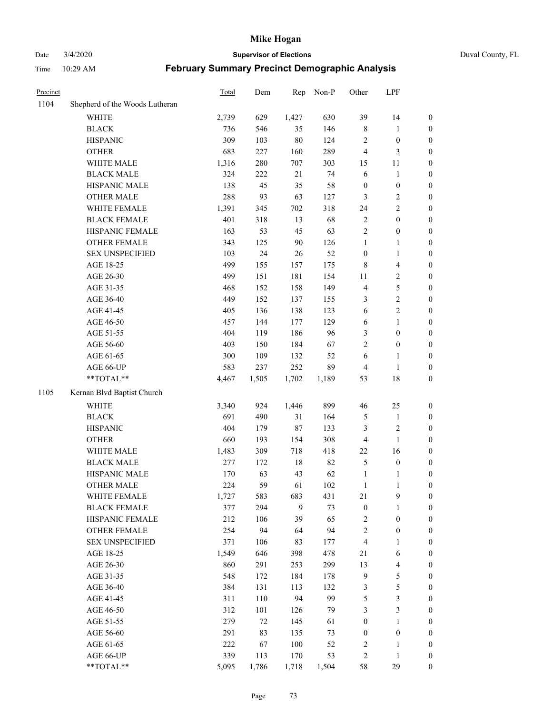Date 3/4/2020 **Supervisor of Elections** Duval County, FL

| Precinct |                                | Total | Dem    | Rep    | Non-P | Other                   | LPF                     |                  |
|----------|--------------------------------|-------|--------|--------|-------|-------------------------|-------------------------|------------------|
| 1104     | Shepherd of the Woods Lutheran |       |        |        |       |                         |                         |                  |
|          | <b>WHITE</b>                   | 2,739 | 629    | 1,427  | 630   | 39                      | 14                      | 0                |
|          | <b>BLACK</b>                   | 736   | 546    | 35     | 146   | 8                       | $\mathbf{1}$            | 0                |
|          | <b>HISPANIC</b>                | 309   | 103    | 80     | 124   | 2                       | $\boldsymbol{0}$        | $\boldsymbol{0}$ |
|          | <b>OTHER</b>                   | 683   | 227    | 160    | 289   | 4                       | $\mathfrak{Z}$          | $\boldsymbol{0}$ |
|          | WHITE MALE                     | 1,316 | 280    | 707    | 303   | 15                      | 11                      | $\boldsymbol{0}$ |
|          | <b>BLACK MALE</b>              | 324   | 222    | 21     | 74    | 6                       | 1                       | $\boldsymbol{0}$ |
|          | HISPANIC MALE                  | 138   | 45     | 35     | 58    | $\boldsymbol{0}$        | $\boldsymbol{0}$        | $\boldsymbol{0}$ |
|          | <b>OTHER MALE</b>              | 288   | 93     | 63     | 127   | 3                       | $\sqrt{2}$              | $\boldsymbol{0}$ |
|          | WHITE FEMALE                   | 1,391 | 345    | 702    | 318   | 24                      | $\sqrt{2}$              | $\boldsymbol{0}$ |
|          | <b>BLACK FEMALE</b>            | 401   | 318    | 13     | 68    | 2                       | $\boldsymbol{0}$        | $\boldsymbol{0}$ |
|          | HISPANIC FEMALE                | 163   | 53     | 45     | 63    | $\overline{2}$          | $\boldsymbol{0}$        | $\boldsymbol{0}$ |
|          | <b>OTHER FEMALE</b>            | 343   | 125    | 90     | 126   | $\mathbf{1}$            | 1                       | $\boldsymbol{0}$ |
|          | <b>SEX UNSPECIFIED</b>         | 103   | 24     | 26     | 52    | $\boldsymbol{0}$        | $\mathbf{1}$            | $\boldsymbol{0}$ |
|          | AGE 18-25                      | 499   | 155    | 157    | 175   | 8                       | $\overline{\mathbf{4}}$ | $\boldsymbol{0}$ |
|          | AGE 26-30                      | 499   | 151    | 181    | 154   | 11                      | $\sqrt{2}$              | $\boldsymbol{0}$ |
|          | AGE 31-35                      | 468   | 152    | 158    | 149   | 4                       | 5                       | $\boldsymbol{0}$ |
|          | AGE 36-40                      | 449   | 152    | 137    | 155   | 3                       | $\sqrt{2}$              | $\boldsymbol{0}$ |
|          | AGE 41-45                      | 405   | 136    | 138    | 123   | 6                       | $\sqrt{2}$              | $\boldsymbol{0}$ |
|          | AGE 46-50                      | 457   | 144    | 177    | 129   | 6                       | $\mathbf{1}$            | $\boldsymbol{0}$ |
|          | AGE 51-55                      | 404   | 119    | 186    | 96    | 3                       | $\boldsymbol{0}$        | $\boldsymbol{0}$ |
|          | AGE 56-60                      | 403   | 150    | 184    | 67    | $\overline{2}$          | $\boldsymbol{0}$        | 0                |
|          | AGE 61-65                      | 300   | 109    | 132    | 52    | 6                       | 1                       | $\boldsymbol{0}$ |
|          | AGE 66-UP                      | 583   | 237    | 252    | 89    | 4                       | $\mathbf{1}$            | $\boldsymbol{0}$ |
|          | **TOTAL**                      | 4,467 | 1,505  | 1,702  | 1,189 | 53                      | 18                      | $\boldsymbol{0}$ |
| 1105     | Kernan Blvd Baptist Church     |       |        |        |       |                         |                         |                  |
|          | <b>WHITE</b>                   | 3,340 | 924    | 1,446  | 899   | 46                      | 25                      | $\boldsymbol{0}$ |
|          | <b>BLACK</b>                   | 691   | 490    | 31     | 164   | 5                       | $\mathbf{1}$            | $\boldsymbol{0}$ |
|          | <b>HISPANIC</b>                | 404   | 179    | 87     | 133   | 3                       | $\sqrt{2}$              | $\boldsymbol{0}$ |
|          | <b>OTHER</b>                   | 660   | 193    | 154    | 308   | 4                       | $\mathbf{1}$            | $\boldsymbol{0}$ |
|          | WHITE MALE                     | 1,483 | 309    | 718    | 418   | 22                      | 16                      | $\boldsymbol{0}$ |
|          | <b>BLACK MALE</b>              | 277   | 172    | $18\,$ | 82    | 5                       | $\boldsymbol{0}$        | $\boldsymbol{0}$ |
|          | HISPANIC MALE                  | 170   | 63     | 43     | 62    | 1                       | 1                       | 0                |
|          | <b>OTHER MALE</b>              | 224   | 59     | 61     | 102   | $\mathbf{1}$            | 1                       | $\boldsymbol{0}$ |
|          | WHITE FEMALE                   | 1,727 | 583    | 683    | 431   | 21                      | 9                       | 0                |
|          | <b>BLACK FEMALE</b>            | 377   | 294    | 9      | 73    | $\boldsymbol{0}$        | $\mathbf{1}$            | $\boldsymbol{0}$ |
|          | HISPANIC FEMALE                | 212   | 106    | 39     | 65    | 2                       | $\boldsymbol{0}$        | $\overline{0}$   |
|          | OTHER FEMALE                   | 254   | 94     | 64     | 94    | $\overline{\mathbf{c}}$ | $\boldsymbol{0}$        | $\overline{0}$   |
|          | <b>SEX UNSPECIFIED</b>         | 371   | 106    | 83     | 177   | 4                       | $\mathbf{1}$            | 0                |
|          | AGE 18-25                      | 1,549 | 646    | 398    | 478   | 21                      | 6                       | 0                |
|          | AGE 26-30                      | 860   | 291    | 253    | 299   | 13                      | $\overline{\mathbf{4}}$ | 0                |
|          | AGE 31-35                      | 548   | 172    | 184    | 178   | 9                       | 5                       | 0                |
|          | AGE 36-40                      | 384   | 131    | 113    | 132   | 3                       | 5                       | 0                |
|          | AGE 41-45                      | 311   | 110    | 94     | 99    | 5                       | $\mathfrak{Z}$          | 0                |
|          | AGE 46-50                      | 312   | 101    | 126    | 79    | 3                       | $\mathfrak{Z}$          | 0                |
|          | AGE 51-55                      | 279   | $72\,$ | 145    | 61    | $\boldsymbol{0}$        | $\mathbf{1}$            | 0                |
|          | AGE 56-60                      | 291   | 83     | 135    | 73    | 0                       | $\boldsymbol{0}$        | 0                |
|          | AGE 61-65                      | 222   | 67     | 100    | 52    | $\overline{\mathbf{c}}$ | 1                       | $\boldsymbol{0}$ |
|          | AGE 66-UP                      | 339   | 113    | 170    | 53    | $\overline{\mathbf{c}}$ | 1                       | 0                |
|          | **TOTAL**                      | 5,095 | 1,786  | 1,718  | 1,504 | 58                      | 29                      | $\boldsymbol{0}$ |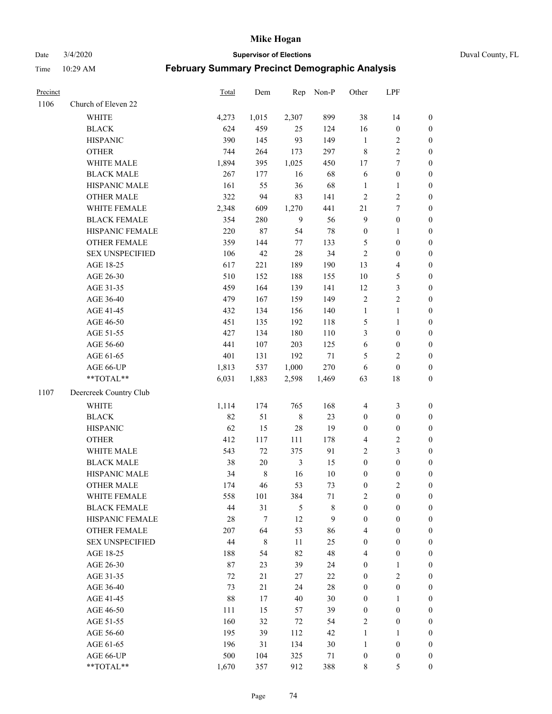Date 3/4/2020 **Supervisor of Elections** Duval County, FL

| Precinct |                        | <b>Total</b> | Dem         | Rep            | Non-P       | Other            | LPF              |                  |
|----------|------------------------|--------------|-------------|----------------|-------------|------------------|------------------|------------------|
| 1106     | Church of Eleven 22    |              |             |                |             |                  |                  |                  |
|          | <b>WHITE</b>           | 4,273        | 1,015       | 2,307          | 899         | 38               | 14               | $\boldsymbol{0}$ |
|          | <b>BLACK</b>           | 624          | 459         | 25             | 124         | 16               | $\boldsymbol{0}$ | $\boldsymbol{0}$ |
|          | <b>HISPANIC</b>        | 390          | 145         | 93             | 149         | $\mathbf{1}$     | $\overline{c}$   | $\boldsymbol{0}$ |
|          | <b>OTHER</b>           | 744          | 264         | 173            | 297         | $\,$ 8 $\,$      | $\sqrt{2}$       | $\boldsymbol{0}$ |
|          | WHITE MALE             | 1,894        | 395         | 1,025          | 450         | 17               | $\tau$           | $\boldsymbol{0}$ |
|          | <b>BLACK MALE</b>      | 267          | 177         | 16             | 68          | 6                | $\boldsymbol{0}$ | $\boldsymbol{0}$ |
|          | HISPANIC MALE          | 161          | 55          | 36             | 68          | $\mathbf{1}$     | $\mathbf{1}$     | $\boldsymbol{0}$ |
|          | <b>OTHER MALE</b>      | 322          | 94          | 83             | 141         | $\overline{2}$   | $\overline{c}$   | $\boldsymbol{0}$ |
|          | WHITE FEMALE           | 2,348        | 609         | 1,270          | 441         | $21\,$           | $\boldsymbol{7}$ | $\boldsymbol{0}$ |
|          | <b>BLACK FEMALE</b>    | 354          | 280         | 9              | 56          | $\overline{9}$   | $\boldsymbol{0}$ | 0                |
|          | HISPANIC FEMALE        | 220          | 87          | 54             | $78\,$      | $\boldsymbol{0}$ | 1                | 0                |
|          | OTHER FEMALE           | 359          | 144         | $77\,$         | 133         | 5                | $\boldsymbol{0}$ | $\boldsymbol{0}$ |
|          | <b>SEX UNSPECIFIED</b> | 106          | 42          | 28             | 34          | $\sqrt{2}$       | $\boldsymbol{0}$ | $\boldsymbol{0}$ |
|          | AGE 18-25              | 617          | 221         | 189            | 190         | 13               | $\overline{4}$   | $\boldsymbol{0}$ |
|          | AGE 26-30              | 510          | 152         | 188            | 155         | 10               | $\mathfrak s$    | $\boldsymbol{0}$ |
|          | AGE 31-35              | 459          | 164         | 139            | 141         | 12               | $\mathfrak z$    | $\boldsymbol{0}$ |
|          | AGE 36-40              | 479          | 167         | 159            | 149         | $\sqrt{2}$       | $\sqrt{2}$       | $\boldsymbol{0}$ |
|          | AGE 41-45              | 432          | 134         | 156            | 140         | $\mathbf{1}$     | $\mathbf{1}$     | $\boldsymbol{0}$ |
|          | AGE 46-50              | 451          | 135         | 192            | 118         | 5                | $\mathbf{1}$     | $\boldsymbol{0}$ |
|          | AGE 51-55              | 427          | 134         | 180            | 110         | 3                | $\boldsymbol{0}$ | $\boldsymbol{0}$ |
|          | AGE 56-60              | 441          | 107         | 203            | 125         | 6                | $\boldsymbol{0}$ | 0                |
|          | AGE 61-65              | 401          | 131         | 192            | $71\,$      | 5                | $\sqrt{2}$       | 0                |
|          | AGE 66-UP              | 1,813        | 537         | 1,000          | 270         | 6                | $\boldsymbol{0}$ | $\boldsymbol{0}$ |
|          | **TOTAL**              | 6,031        | 1,883       | 2,598          | 1,469       | 63               | 18               | $\boldsymbol{0}$ |
| 1107     | Deercreek Country Club |              |             |                |             |                  |                  |                  |
|          | <b>WHITE</b>           | 1,114        | 174         | 765            | 168         | $\overline{4}$   | $\mathfrak{Z}$   | $\boldsymbol{0}$ |
|          | <b>BLACK</b>           | 82           | 51          | $\,$ 8 $\,$    | 23          | $\boldsymbol{0}$ | $\boldsymbol{0}$ | $\boldsymbol{0}$ |
|          | <b>HISPANIC</b>        | 62           | 15          | 28             | 19          | $\boldsymbol{0}$ | $\boldsymbol{0}$ | $\boldsymbol{0}$ |
|          | <b>OTHER</b>           | 412          | 117         | 111            | 178         | 4                | $\sqrt{2}$       | $\boldsymbol{0}$ |
|          | WHITE MALE             | 543          | $72\,$      | 375            | 91          | $\overline{2}$   | $\mathfrak{Z}$   | $\boldsymbol{0}$ |
|          | <b>BLACK MALE</b>      | 38           | $20\,$      | $\mathfrak{Z}$ | 15          | $\boldsymbol{0}$ | $\boldsymbol{0}$ | $\boldsymbol{0}$ |
|          | HISPANIC MALE          | 34           | $\,$ 8 $\,$ | 16             | $10\,$      | $\boldsymbol{0}$ | $\boldsymbol{0}$ | $\boldsymbol{0}$ |
|          | <b>OTHER MALE</b>      | 174          | 46          | 53             | 73          | $\boldsymbol{0}$ | $\overline{c}$   | $\boldsymbol{0}$ |
|          | WHITE FEMALE           | 558          | 101         | 384            | 71          | 2                | $\boldsymbol{0}$ | 0                |
|          | <b>BLACK FEMALE</b>    | 44           | 31          | 5              | $\,$ 8 $\,$ | $\boldsymbol{0}$ | $\boldsymbol{0}$ | $\boldsymbol{0}$ |
|          | HISPANIC FEMALE        | 28           | 7           | 12             | 9           | $\boldsymbol{0}$ | $\boldsymbol{0}$ | $\overline{0}$   |
|          | <b>OTHER FEMALE</b>    | 207          | 64          | 53             | 86          | 4                | $\boldsymbol{0}$ | $\overline{0}$   |
|          | <b>SEX UNSPECIFIED</b> | 44           | 8           | 11             | 25          | $\boldsymbol{0}$ | $\boldsymbol{0}$ | $\overline{0}$   |
|          | AGE 18-25              | 188          | 54          | 82             | 48          | 4                | $\boldsymbol{0}$ | $\theta$         |
|          | AGE 26-30              | $87\,$       | 23          | 39             | 24          | $\boldsymbol{0}$ | $\mathbf{1}$     | 0                |
|          | AGE 31-35              | 72           | 21          | 27             | 22          | $\boldsymbol{0}$ | $\overline{2}$   | 0                |
|          | AGE 36-40              | 73           | 21          | 24             | $28\,$      | $\boldsymbol{0}$ | $\boldsymbol{0}$ | 0                |
|          | AGE 41-45              | 88           | 17          | 40             | 30          | $\boldsymbol{0}$ | $\mathbf{1}$     | 0                |
|          | AGE 46-50              | 111          | 15          | 57             | 39          | $\boldsymbol{0}$ | $\boldsymbol{0}$ | 0                |
|          | AGE 51-55              | 160          | 32          | 72             | 54          | $\overline{c}$   | $\boldsymbol{0}$ | $\overline{0}$   |
|          | AGE 56-60              | 195          | 39          | 112            | 42          | $\mathbf{1}$     | 1                | $\overline{0}$   |
|          | AGE 61-65              | 196          | 31          | 134            | 30          | $\mathbf{1}$     | $\boldsymbol{0}$ | $\overline{0}$   |
|          | AGE 66-UP              | 500          | 104         | 325            | 71          | $\boldsymbol{0}$ | $\boldsymbol{0}$ | 0                |
|          | **TOTAL**              | 1,670        | 357         | 912            | 388         | 8                | 5                | $\overline{0}$   |
|          |                        |              |             |                |             |                  |                  |                  |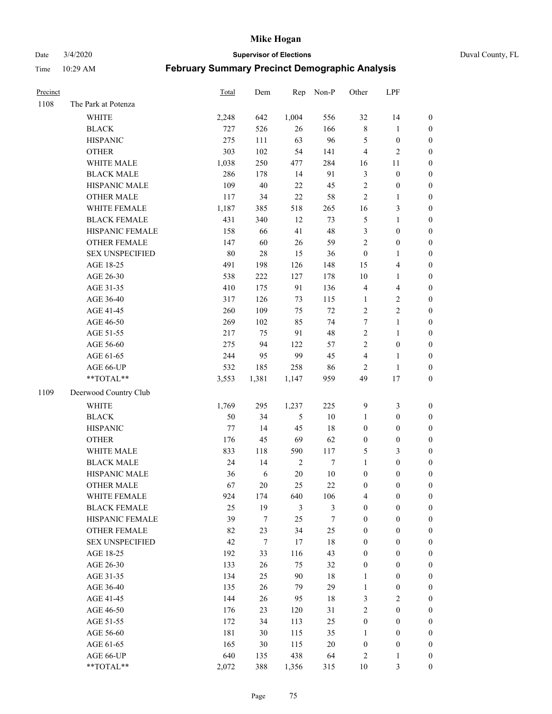Date 3/4/2020 **Supervisor of Elections** Duval County, FL

| Precinct |                        | Total | Dem              | Rep           | Non-P  | Other            | LPF                     |                  |
|----------|------------------------|-------|------------------|---------------|--------|------------------|-------------------------|------------------|
| 1108     | The Park at Potenza    |       |                  |               |        |                  |                         |                  |
|          | <b>WHITE</b>           | 2,248 | 642              | 1,004         | 556    | 32               | 14                      | 0                |
|          | <b>BLACK</b>           | 727   | 526              | 26            | 166    | $\,$ 8 $\,$      | $\mathbf{1}$            | $\boldsymbol{0}$ |
|          | <b>HISPANIC</b>        | 275   | 111              | 63            | 96     | 5                | $\boldsymbol{0}$        | $\boldsymbol{0}$ |
|          | <b>OTHER</b>           | 303   | 102              | 54            | 141    | 4                | $\mathfrak{2}$          | $\boldsymbol{0}$ |
|          | WHITE MALE             | 1,038 | 250              | 477           | 284    | 16               | 11                      | $\boldsymbol{0}$ |
|          | <b>BLACK MALE</b>      | 286   | 178              | 14            | 91     | 3                | $\boldsymbol{0}$        | $\boldsymbol{0}$ |
|          | HISPANIC MALE          | 109   | $40\,$           | 22            | 45     | $\overline{c}$   | $\boldsymbol{0}$        | $\boldsymbol{0}$ |
|          | <b>OTHER MALE</b>      | 117   | 34               | 22            | 58     | $\overline{c}$   | $\mathbf{1}$            | $\boldsymbol{0}$ |
|          | WHITE FEMALE           | 1,187 | 385              | 518           | 265    | 16               | $\mathfrak{Z}$          | $\boldsymbol{0}$ |
|          | <b>BLACK FEMALE</b>    | 431   | 340              | 12            | 73     | 5                | $\mathbf{1}$            | $\boldsymbol{0}$ |
|          | HISPANIC FEMALE        | 158   | 66               | 41            | 48     | 3                | $\boldsymbol{0}$        | 0                |
|          | OTHER FEMALE           | 147   | 60               | $26\,$        | 59     | $\overline{c}$   | $\boldsymbol{0}$        | $\boldsymbol{0}$ |
|          | <b>SEX UNSPECIFIED</b> | 80    | $28\,$           | 15            | 36     | $\boldsymbol{0}$ | $\mathbf{1}$            | $\boldsymbol{0}$ |
|          | AGE 18-25              | 491   | 198              | 126           | 148    | 15               | $\overline{\mathbf{4}}$ | $\boldsymbol{0}$ |
|          | AGE 26-30              | 538   | 222              | 127           | 178    | 10               | $\mathbf{1}$            | $\boldsymbol{0}$ |
|          | AGE 31-35              | 410   | 175              | 91            | 136    | 4                | $\overline{\mathbf{4}}$ | $\boldsymbol{0}$ |
|          | AGE 36-40              | 317   | 126              | 73            | 115    | $\mathbf{1}$     | $\sqrt{2}$              | $\boldsymbol{0}$ |
|          | AGE 41-45              | 260   | 109              | 75            | 72     | $\overline{c}$   | $\overline{2}$          | $\boldsymbol{0}$ |
|          | AGE 46-50              | 269   | 102              | 85            | 74     | 7                | $\mathbf{1}$            | $\boldsymbol{0}$ |
|          | AGE 51-55              | 217   | 75               | 91            | 48     | $\overline{c}$   | $\mathbf{1}$            | $\boldsymbol{0}$ |
|          | AGE 56-60              | 275   | 94               | 122           | 57     | $\overline{c}$   | $\boldsymbol{0}$        | 0                |
|          | AGE 61-65              | 244   | 95               | 99            | 45     | 4                | $\mathbf{1}$            | 0                |
|          | AGE 66-UP              | 532   | 185              | 258           | 86     | $\overline{2}$   | $\mathbf{1}$            | $\boldsymbol{0}$ |
|          | **TOTAL**              | 3,553 | 1,381            | 1,147         | 959    | 49               | 17                      | $\boldsymbol{0}$ |
| 1109     | Deerwood Country Club  |       |                  |               |        |                  |                         |                  |
|          | <b>WHITE</b>           | 1,769 | 295              | 1,237         | 225    | 9                | $\mathfrak{Z}$          | $\boldsymbol{0}$ |
|          | <b>BLACK</b>           | 50    | 34               | $\mathfrak s$ | $10\,$ | $\mathbf{1}$     | $\boldsymbol{0}$        | $\boldsymbol{0}$ |
|          | <b>HISPANIC</b>        | 77    | 14               | 45            | 18     | $\boldsymbol{0}$ | $\boldsymbol{0}$        | $\boldsymbol{0}$ |
|          | <b>OTHER</b>           | 176   | 45               | 69            | 62     | $\boldsymbol{0}$ | $\boldsymbol{0}$        | $\boldsymbol{0}$ |
|          | WHITE MALE             | 833   | 118              | 590           | 117    | 5                | $\mathfrak{Z}$          | $\boldsymbol{0}$ |
|          | <b>BLACK MALE</b>      | 24    | 14               | $\sqrt{2}$    | $\tau$ | $\mathbf{1}$     | $\boldsymbol{0}$        | $\boldsymbol{0}$ |
|          | HISPANIC MALE          | 36    | $\sqrt{6}$       | $20\,$        | $10\,$ | $\boldsymbol{0}$ | $\boldsymbol{0}$        | $\boldsymbol{0}$ |
|          | <b>OTHER MALE</b>      | 67    | 20               | 25            | 22     | $\boldsymbol{0}$ | $\boldsymbol{0}$        | $\boldsymbol{0}$ |
|          | WHITE FEMALE           | 924   | 174              | 640           | 106    | 4                | 0                       | 0                |
|          | <b>BLACK FEMALE</b>    | 25    | 19               | 3             | 3      | $\boldsymbol{0}$ | $\boldsymbol{0}$        | $\overline{0}$   |
|          | HISPANIC FEMALE        | 39    | $\boldsymbol{7}$ | 25            | 7      | $\boldsymbol{0}$ | $\boldsymbol{0}$        | $\overline{0}$   |
|          | <b>OTHER FEMALE</b>    | 82    | 23               | 34            | 25     | $\boldsymbol{0}$ | $\boldsymbol{0}$        | $\overline{0}$   |
|          | <b>SEX UNSPECIFIED</b> | 42    | $\boldsymbol{7}$ | 17            | 18     | $\boldsymbol{0}$ | $\boldsymbol{0}$        | 0                |
|          | AGE 18-25              | 192   | 33               | 116           | 43     | 0                | $\boldsymbol{0}$        | $\theta$         |
|          | AGE 26-30              | 133   | $26\,$           | 75            | 32     | $\boldsymbol{0}$ | $\boldsymbol{0}$        | 0                |
|          | AGE 31-35              | 134   | 25               | 90            | $18\,$ | $\mathbf{1}$     | $\boldsymbol{0}$        | 0                |
|          | AGE 36-40              | 135   | 26               | 79            | 29     | $\mathbf{1}$     | $\boldsymbol{0}$        | 0                |
|          | AGE 41-45              | 144   | 26               | 95            | 18     | 3                | $\overline{2}$          | 0                |
|          | AGE 46-50              | 176   | 23               | 120           | 31     | 2                | $\boldsymbol{0}$        | 0                |
|          | AGE 51-55              | 172   | 34               | 113           | 25     | $\boldsymbol{0}$ | $\boldsymbol{0}$        | $\overline{0}$   |
|          | AGE 56-60              | 181   | 30               | 115           | 35     | 1                | $\boldsymbol{0}$        | $\overline{0}$   |
|          | AGE 61-65              | 165   | 30               | 115           | $20\,$ | $\boldsymbol{0}$ | $\boldsymbol{0}$        | $\overline{0}$   |
|          | AGE 66-UP              | 640   | 135              | 438           | 64     | 2                | $\mathbf{1}$            | 0                |
|          | **TOTAL**              | 2,072 | 388              | 1,356         | 315    | 10               | 3                       | $\boldsymbol{0}$ |
|          |                        |       |                  |               |        |                  |                         |                  |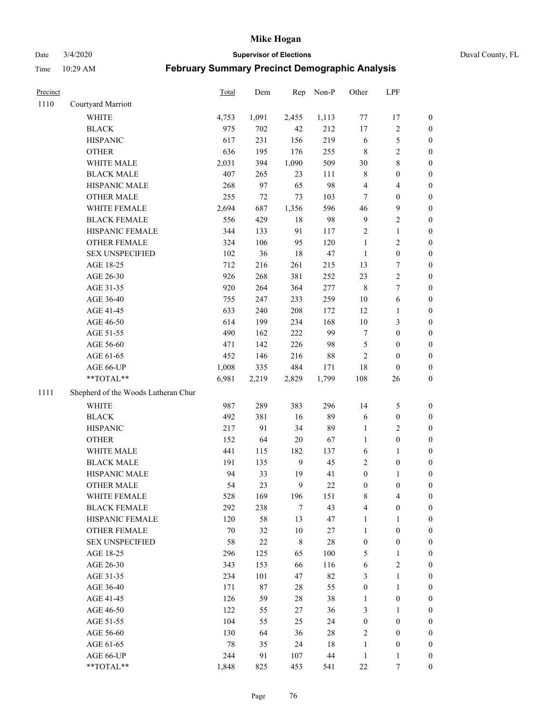Date 3/4/2020 **Supervisor of Elections** Duval County, FL

| Precinct |                                     | Total  | Dem    | Rep          | Non-P  | Other            | LPF                      |                  |
|----------|-------------------------------------|--------|--------|--------------|--------|------------------|--------------------------|------------------|
| 1110     | Courtyard Marriott                  |        |        |              |        |                  |                          |                  |
|          | <b>WHITE</b>                        | 4,753  | 1,091  | 2,455        | 1,113  | 77               | 17                       | 0                |
|          | <b>BLACK</b>                        | 975    | 702    | 42           | 212    | $17\,$           | $\sqrt{2}$               | 0                |
|          | <b>HISPANIC</b>                     | 617    | 231    | 156          | 219    | 6                | $\sqrt{5}$               | $\boldsymbol{0}$ |
|          | <b>OTHER</b>                        | 636    | 195    | 176          | 255    | 8                | $\sqrt{2}$               | $\boldsymbol{0}$ |
|          | WHITE MALE                          | 2,031  | 394    | 1,090        | 509    | 30               | $\,$ 8 $\,$              | $\boldsymbol{0}$ |
|          | <b>BLACK MALE</b>                   | 407    | 265    | 23           | 111    | 8                | $\boldsymbol{0}$         | $\boldsymbol{0}$ |
|          | HISPANIC MALE                       | 268    | 97     | 65           | 98     | 4                | $\overline{\mathcal{A}}$ | $\boldsymbol{0}$ |
|          | <b>OTHER MALE</b>                   | 255    | 72     | 73           | 103    | $\tau$           | $\boldsymbol{0}$         | $\boldsymbol{0}$ |
|          | WHITE FEMALE                        | 2,694  | 687    | 1,356        | 596    | 46               | $\boldsymbol{9}$         | $\boldsymbol{0}$ |
|          | <b>BLACK FEMALE</b>                 | 556    | 429    | $18\,$       | 98     | $\mathbf{9}$     | $\sqrt{2}$               | 0                |
|          | HISPANIC FEMALE                     | 344    | 133    | 91           | 117    | $\sqrt{2}$       | $\mathbf{1}$             | 0                |
|          | <b>OTHER FEMALE</b>                 | 324    | 106    | 95           | 120    | $\mathbf{1}$     | $\sqrt{2}$               | $\boldsymbol{0}$ |
|          | <b>SEX UNSPECIFIED</b>              | 102    | 36     | 18           | 47     | $\mathbf{1}$     | $\boldsymbol{0}$         | $\boldsymbol{0}$ |
|          | AGE 18-25                           | 712    | 216    | 261          | 215    | 13               | $\boldsymbol{7}$         | $\boldsymbol{0}$ |
|          | AGE 26-30                           | 926    | 268    | 381          | 252    | 23               | $\sqrt{2}$               | $\boldsymbol{0}$ |
|          | AGE 31-35                           | 920    | 264    | 364          | 277    | $\,$ 8 $\,$      | $\boldsymbol{7}$         | $\boldsymbol{0}$ |
|          | AGE 36-40                           | 755    | 247    | 233          | 259    | $10\,$           | 6                        | $\boldsymbol{0}$ |
|          | AGE 41-45                           | 633    | 240    | 208          | 172    | 12               | $\mathbf{1}$             | $\boldsymbol{0}$ |
|          | AGE 46-50                           | 614    | 199    | 234          | 168    | $10\,$           | $\mathfrak{Z}$           | $\boldsymbol{0}$ |
|          | AGE 51-55                           | 490    | 162    | 222          | 99     | 7                | $\boldsymbol{0}$         | $\boldsymbol{0}$ |
|          | AGE 56-60                           | 471    | 142    | 226          | 98     | 5                | $\boldsymbol{0}$         | 0                |
|          | AGE 61-65                           | 452    | 146    | 216          | $88\,$ | 2                | $\boldsymbol{0}$         | 0                |
|          | AGE 66-UP                           | 1,008  | 335    | 484          | 171    | 18               | $\boldsymbol{0}$         | $\boldsymbol{0}$ |
|          | **TOTAL**                           | 6,981  | 2,219  | 2,829        | 1,799  | 108              | 26                       | $\boldsymbol{0}$ |
| 1111     | Shepherd of the Woods Lutheran Chur |        |        |              |        |                  |                          |                  |
|          | <b>WHITE</b>                        | 987    | 289    | 383          | 296    | 14               | $\mathfrak s$            | $\boldsymbol{0}$ |
|          | <b>BLACK</b>                        | 492    | 381    | 16           | 89     | 6                | $\boldsymbol{0}$         | $\boldsymbol{0}$ |
|          | <b>HISPANIC</b>                     | 217    | 91     | 34           | 89     | 1                | $\overline{2}$           | $\boldsymbol{0}$ |
|          | <b>OTHER</b>                        | 152    | 64     | $20\,$       | 67     | $\mathbf{1}$     | $\boldsymbol{0}$         | $\boldsymbol{0}$ |
|          | WHITE MALE                          | 441    | 115    | 182          | 137    | $\sqrt{6}$       | $\mathbf{1}$             | $\boldsymbol{0}$ |
|          | <b>BLACK MALE</b>                   | 191    | 135    | $\mathbf{9}$ | 45     | $\overline{c}$   | $\boldsymbol{0}$         | $\boldsymbol{0}$ |
|          | HISPANIC MALE                       | 94     | 33     | 19           | 41     | $\boldsymbol{0}$ | 1                        | 0                |
|          | <b>OTHER MALE</b>                   | 54     | 23     | 9            | $22\,$ | $\boldsymbol{0}$ | $\boldsymbol{0}$         | $\boldsymbol{0}$ |
|          | WHITE FEMALE                        | 528    | 169    | 196          | 151    | 8                | 4                        | 0                |
|          | <b>BLACK FEMALE</b>                 | 292    | 238    | 7            | 43     | 4                | $\boldsymbol{0}$         | $\overline{0}$   |
|          | HISPANIC FEMALE                     | 120    | 58     | 13           | 47     | $\mathbf{1}$     | 1                        | $\overline{0}$   |
|          | <b>OTHER FEMALE</b>                 | $70\,$ | 32     | $10\,$       | $27\,$ | $\mathbf{1}$     | $\boldsymbol{0}$         | 0                |
|          | <b>SEX UNSPECIFIED</b>              | 58     | $22\,$ | 8            | $28\,$ | $\boldsymbol{0}$ | $\boldsymbol{0}$         | 0                |
|          | AGE 18-25                           | 296    | 125    | 65           | 100    | 5                | $\mathbf{1}$             | 0                |
|          | AGE 26-30                           | 343    | 153    | 66           | 116    | 6                | $\overline{2}$           | 0                |
|          | AGE 31-35                           | 234    | 101    | 47           | 82     | 3                | $\mathbf{1}$             | 0                |
|          | AGE 36-40                           | 171    | $87\,$ | 28           | 55     | $\boldsymbol{0}$ | $\mathbf{1}$             | 0                |
|          | AGE 41-45                           | 126    | 59     | 28           | 38     | $\mathbf{1}$     | $\boldsymbol{0}$         | 0                |
|          | AGE 46-50                           | 122    | 55     | 27           | 36     | 3                | 1                        | 0                |
|          | AGE 51-55                           | 104    | 55     | 25           | 24     | $\boldsymbol{0}$ | $\boldsymbol{0}$         | 0                |
|          | AGE 56-60                           | 130    | 64     | 36           | 28     | 2                | $\boldsymbol{0}$         | 0                |
|          | AGE 61-65                           | 78     | 35     | 24           | 18     | $\mathbf{1}$     | $\boldsymbol{0}$         | 0                |
|          | AGE 66-UP                           | 244    | 91     | 107          | 44     | $\mathbf{1}$     | $\mathbf{1}$             | 0                |
|          | **TOTAL**                           | 1,848  | 825    | 453          | 541    | $22\,$           | 7                        | $\boldsymbol{0}$ |
|          |                                     |        |        |              |        |                  |                          |                  |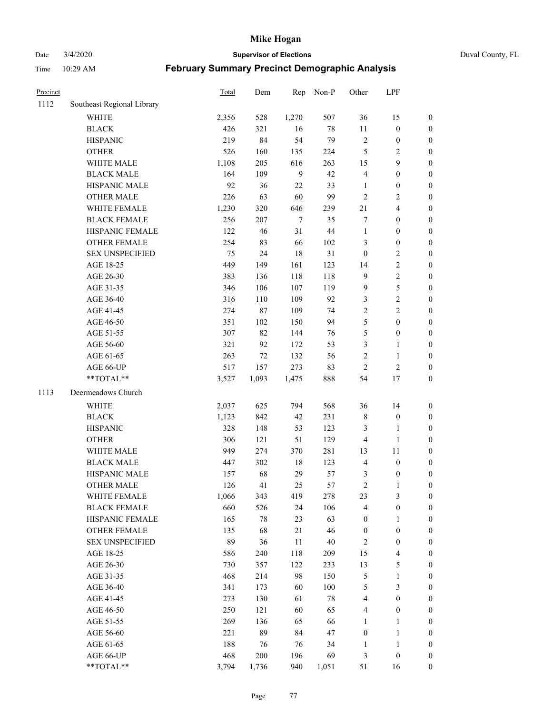Date 3/4/2020 **Supervisor of Elections** Duval County, FL

| Precinct |                            | Total | Dem    | Rep            | Non-P  | Other            | LPF              |                  |
|----------|----------------------------|-------|--------|----------------|--------|------------------|------------------|------------------|
| 1112     | Southeast Regional Library |       |        |                |        |                  |                  |                  |
|          | <b>WHITE</b>               | 2,356 | 528    | 1,270          | 507    | 36               | 15               | 0                |
|          | <b>BLACK</b>               | 426   | 321    | 16             | $78\,$ | $11\,$           | $\boldsymbol{0}$ | 0                |
|          | <b>HISPANIC</b>            | 219   | 84     | 54             | 79     | $\sqrt{2}$       | $\boldsymbol{0}$ | $\boldsymbol{0}$ |
|          | <b>OTHER</b>               | 526   | 160    | 135            | 224    | 5                | $\sqrt{2}$       | $\boldsymbol{0}$ |
|          | WHITE MALE                 | 1,108 | 205    | 616            | 263    | 15               | 9                | $\boldsymbol{0}$ |
|          | <b>BLACK MALE</b>          | 164   | 109    | $\mathbf{9}$   | 42     | 4                | $\boldsymbol{0}$ | $\boldsymbol{0}$ |
|          | HISPANIC MALE              | 92    | 36     | 22             | 33     | $\mathbf{1}$     | $\boldsymbol{0}$ | $\boldsymbol{0}$ |
|          | <b>OTHER MALE</b>          | 226   | 63     | 60             | 99     | $\overline{2}$   | $\overline{2}$   | $\boldsymbol{0}$ |
|          | WHITE FEMALE               | 1,230 | 320    | 646            | 239    | 21               | $\overline{4}$   | $\boldsymbol{0}$ |
|          | <b>BLACK FEMALE</b>        | 256   | 207    | $\overline{7}$ | 35     | 7                | $\boldsymbol{0}$ | $\boldsymbol{0}$ |
|          | HISPANIC FEMALE            | 122   | 46     | 31             | 44     | $\mathbf{1}$     | $\boldsymbol{0}$ | $\boldsymbol{0}$ |
|          | <b>OTHER FEMALE</b>        | 254   | 83     | 66             | 102    | 3                | $\boldsymbol{0}$ | $\boldsymbol{0}$ |
|          | <b>SEX UNSPECIFIED</b>     | 75    | 24     | 18             | 31     | $\boldsymbol{0}$ | $\sqrt{2}$       | $\boldsymbol{0}$ |
|          | AGE 18-25                  | 449   | 149    | 161            | 123    | 14               | $\sqrt{2}$       | $\boldsymbol{0}$ |
|          | AGE 26-30                  | 383   | 136    | 118            | 118    | 9                | $\sqrt{2}$       | $\boldsymbol{0}$ |
|          | AGE 31-35                  | 346   | 106    | 107            | 119    | 9                | 5                | $\boldsymbol{0}$ |
|          | AGE 36-40                  | 316   | 110    | 109            | 92     | 3                | $\sqrt{2}$       | $\boldsymbol{0}$ |
|          | AGE 41-45                  | 274   | $87\,$ | 109            | 74     | $\overline{c}$   | $\overline{2}$   | $\boldsymbol{0}$ |
|          | AGE 46-50                  | 351   | 102    | 150            | 94     | 5                | $\boldsymbol{0}$ | $\boldsymbol{0}$ |
|          | AGE 51-55                  | 307   | 82     | 144            | 76     | 5                | $\boldsymbol{0}$ | $\boldsymbol{0}$ |
|          | AGE 56-60                  | 321   | 92     | 172            | 53     | 3                | 1                | 0                |
|          | AGE 61-65                  | 263   | 72     | 132            | 56     | $\overline{c}$   | $\mathbf{1}$     | 0                |
|          | AGE 66-UP                  | 517   | 157    | 273            | 83     | $\sqrt{2}$       | $\sqrt{2}$       | $\boldsymbol{0}$ |
|          | **TOTAL**                  | 3,527 | 1,093  | 1,475          | 888    | 54               | 17               | $\boldsymbol{0}$ |
| 1113     | Deermeadows Church         |       |        |                |        |                  |                  |                  |
|          | <b>WHITE</b>               | 2,037 | 625    | 794            | 568    | 36               | 14               | $\boldsymbol{0}$ |
|          | <b>BLACK</b>               | 1,123 | 842    | 42             | 231    | $\,$ $\,$        | $\boldsymbol{0}$ | $\boldsymbol{0}$ |
|          | <b>HISPANIC</b>            | 328   | 148    | 53             | 123    | 3                | $\mathbf{1}$     | $\boldsymbol{0}$ |
|          | <b>OTHER</b>               | 306   | 121    | 51             | 129    | 4                | $\mathbf{1}$     | $\boldsymbol{0}$ |
|          | WHITE MALE                 | 949   | 274    | 370            | 281    | 13               | 11               | $\boldsymbol{0}$ |
|          | <b>BLACK MALE</b>          | 447   | 302    | $18\,$         | 123    | 4                | $\boldsymbol{0}$ | $\boldsymbol{0}$ |
|          | HISPANIC MALE              | 157   | 68     | 29             | 57     | 3                | $\boldsymbol{0}$ | 0                |
|          | <b>OTHER MALE</b>          | 126   | 41     | 25             | 57     | $\overline{c}$   | $\mathbf{1}$     | $\boldsymbol{0}$ |
|          | WHITE FEMALE               | 1,066 | 343    | 419            | 278    | 23               | 3                | 0                |
|          | <b>BLACK FEMALE</b>        | 660   | 526    | 24             | 106    | 4                | $\boldsymbol{0}$ | $\boldsymbol{0}$ |
|          | HISPANIC FEMALE            | 165   | $78\,$ | 23             | 63     | $\boldsymbol{0}$ | 1                | $\overline{0}$   |
|          | <b>OTHER FEMALE</b>        | 135   | 68     | 21             | 46     | $\boldsymbol{0}$ | $\boldsymbol{0}$ | $\overline{0}$   |
|          | <b>SEX UNSPECIFIED</b>     | 89    | 36     | 11             | $40\,$ | 2                | $\boldsymbol{0}$ | 0                |
|          | AGE 18-25                  | 586   | 240    | 118            | 209    | 15               | $\overline{4}$   | 0                |
|          | AGE 26-30                  | 730   | 357    | 122            | 233    | 13               | $\mathfrak s$    | 0                |
|          | AGE 31-35                  | 468   | 214    | 98             | 150    | 5                | $\mathbf{1}$     | 0                |
|          | AGE 36-40                  | 341   | 173    | 60             | 100    | 5                | $\mathfrak{Z}$   | 0                |
|          | AGE 41-45                  | 273   | 130    | 61             | $78\,$ | 4                | $\boldsymbol{0}$ | 0                |
|          | AGE 46-50                  | 250   | 121    | 60             | 65     | 4                | $\boldsymbol{0}$ | 0                |
|          | AGE 51-55                  | 269   | 136    | 65             | 66     | 1                | $\mathbf{1}$     | 0                |
|          | AGE 56-60                  | 221   | 89     | 84             | 47     | $\boldsymbol{0}$ | $\mathbf{1}$     | 0                |
|          | AGE 61-65                  | 188   | 76     | 76             | 34     | 1                | $\mathbf{1}$     | 0                |
|          | AGE 66-UP                  | 468   | 200    | 196            | 69     | 3                | $\boldsymbol{0}$ | 0                |
|          | **TOTAL**                  | 3,794 | 1,736  | 940            | 1,051  | 51               | 16               | $\boldsymbol{0}$ |
|          |                            |       |        |                |        |                  |                  |                  |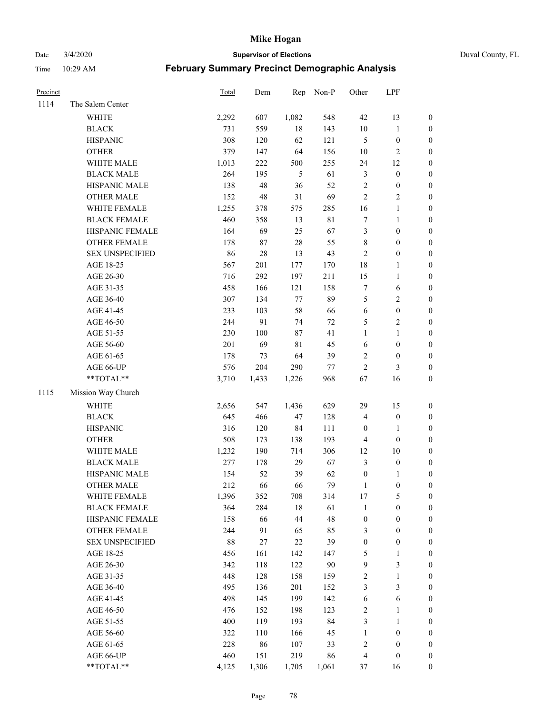Date 3/4/2020 **Supervisor of Elections** Duval County, FL

| Precinct |                        | Total | Dem   | Rep    | Non-P       | Other                   | LPF              |                  |
|----------|------------------------|-------|-------|--------|-------------|-------------------------|------------------|------------------|
| 1114     | The Salem Center       |       |       |        |             |                         |                  |                  |
|          | WHITE                  | 2,292 | 607   | 1,082  | 548         | 42                      | 13               | 0                |
|          | <b>BLACK</b>           | 731   | 559   | $18\,$ | 143         | $10\,$                  | $\mathbf{1}$     | 0                |
|          | <b>HISPANIC</b>        | 308   | 120   | 62     | 121         | 5                       | $\boldsymbol{0}$ | $\boldsymbol{0}$ |
|          | <b>OTHER</b>           | 379   | 147   | 64     | 156         | 10                      | $\sqrt{2}$       | $\boldsymbol{0}$ |
|          | WHITE MALE             | 1,013 | 222   | 500    | 255         | 24                      | 12               | $\boldsymbol{0}$ |
|          | <b>BLACK MALE</b>      | 264   | 195   | 5      | 61          | 3                       | $\boldsymbol{0}$ | $\boldsymbol{0}$ |
|          | HISPANIC MALE          | 138   | 48    | 36     | 52          | $\overline{c}$          | $\boldsymbol{0}$ | $\boldsymbol{0}$ |
|          | <b>OTHER MALE</b>      | 152   | 48    | 31     | 69          | $\overline{c}$          | $\overline{2}$   | $\boldsymbol{0}$ |
|          | WHITE FEMALE           | 1,255 | 378   | 575    | 285         | 16                      | $\mathbf{1}$     | $\boldsymbol{0}$ |
|          | <b>BLACK FEMALE</b>    | 460   | 358   | 13     | $8\sqrt{1}$ | 7                       | $\mathbf{1}$     | 0                |
|          | HISPANIC FEMALE        | 164   | 69    | 25     | 67          | 3                       | $\boldsymbol{0}$ | 0                |
|          | OTHER FEMALE           | 178   | 87    | 28     | 55          | 8                       | $\boldsymbol{0}$ | $\boldsymbol{0}$ |
|          | <b>SEX UNSPECIFIED</b> | 86    | 28    | 13     | 43          | $\sqrt{2}$              | $\boldsymbol{0}$ | $\boldsymbol{0}$ |
|          | AGE 18-25              | 567   | 201   | 177    | 170         | 18                      | 1                | $\boldsymbol{0}$ |
|          | AGE 26-30              | 716   | 292   | 197    | 211         | 15                      | $\mathbf{1}$     | $\boldsymbol{0}$ |
|          | AGE 31-35              | 458   | 166   | 121    | 158         | $\boldsymbol{7}$        | 6                | $\boldsymbol{0}$ |
|          | AGE 36-40              | 307   | 134   | 77     | 89          | 5                       | $\sqrt{2}$       | $\boldsymbol{0}$ |
|          | AGE 41-45              | 233   | 103   | 58     | 66          | 6                       | $\boldsymbol{0}$ | $\boldsymbol{0}$ |
|          | AGE 46-50              | 244   | 91    | 74     | $72\,$      | 5                       | $\sqrt{2}$       | $\boldsymbol{0}$ |
|          | AGE 51-55              | 230   | 100   | 87     | 41          | $\mathbf{1}$            | $\mathbf{1}$     | $\boldsymbol{0}$ |
|          | AGE 56-60              | 201   | 69    | 81     | 45          | 6                       | $\boldsymbol{0}$ | 0                |
|          | AGE 61-65              | 178   | 73    | 64     | 39          | 2                       | $\boldsymbol{0}$ | $\boldsymbol{0}$ |
|          | AGE 66-UP              | 576   | 204   | 290    | $77\,$      | $\mathbf{2}$            | 3                | $\boldsymbol{0}$ |
|          | **TOTAL**              | 3,710 | 1,433 | 1,226  | 968         | 67                      | 16               | $\boldsymbol{0}$ |
| 1115     | Mission Way Church     |       |       |        |             |                         |                  |                  |
|          | <b>WHITE</b>           | 2,656 | 547   | 1,436  | 629         | 29                      | 15               | $\boldsymbol{0}$ |
|          | <b>BLACK</b>           | 645   | 466   | 47     | 128         | 4                       | $\boldsymbol{0}$ | $\boldsymbol{0}$ |
|          | <b>HISPANIC</b>        | 316   | 120   | 84     | 111         | $\boldsymbol{0}$        | $\mathbf{1}$     | $\boldsymbol{0}$ |
|          | <b>OTHER</b>           | 508   | 173   | 138    | 193         | 4                       | $\boldsymbol{0}$ | $\boldsymbol{0}$ |
|          | WHITE MALE             | 1,232 | 190   | 714    | 306         | 12                      | 10               | $\boldsymbol{0}$ |
|          | <b>BLACK MALE</b>      | 277   | 178   | 29     | 67          | 3                       | $\boldsymbol{0}$ | $\boldsymbol{0}$ |
|          | HISPANIC MALE          | 154   | 52    | 39     | 62          | $\boldsymbol{0}$        | 1                | 0                |
|          | <b>OTHER MALE</b>      | 212   | 66    | 66     | 79          | $\mathbf{1}$            | $\boldsymbol{0}$ | $\boldsymbol{0}$ |
|          | WHITE FEMALE           | 1,396 | 352   | 708    | 314         | 17                      | 5                | 0                |
|          | <b>BLACK FEMALE</b>    | 364   | 284   | 18     | 61          | 1                       | $\boldsymbol{0}$ | $\overline{0}$   |
|          | HISPANIC FEMALE        | 158   | 66    | 44     | 48          | $\boldsymbol{0}$        | $\boldsymbol{0}$ | $\overline{0}$   |
|          | OTHER FEMALE           | 244   | 91    | 65     | 85          | 3                       | $\boldsymbol{0}$ | $\overline{0}$   |
|          | <b>SEX UNSPECIFIED</b> | 88    | 27    | 22     | 39          | $\boldsymbol{0}$        | $\boldsymbol{0}$ | 0                |
|          | AGE 18-25              | 456   | 161   | 142    | 147         | 5                       | $\mathbf{1}$     | 0                |
|          | AGE 26-30              | 342   | 118   | 122    | 90          | 9                       | 3                | 0                |
|          | AGE 31-35              | 448   | 128   | 158    | 159         | $\overline{\mathbf{c}}$ | $\mathbf{1}$     | 0                |
|          | AGE 36-40              | 495   | 136   | 201    | 152         | 3                       | $\mathfrak{Z}$   | 0                |
|          | AGE 41-45              | 498   | 145   | 199    | 142         | 6                       | 6                | 0                |
|          | AGE 46-50              | 476   | 152   | 198    | 123         | 2                       | $\mathbf{1}$     | 0                |
|          | AGE 51-55              | 400   | 119   | 193    | 84          | 3                       | $\mathbf{1}$     | 0                |
|          | AGE 56-60              | 322   | 110   | 166    | 45          | 1                       | $\boldsymbol{0}$ | 0                |
|          | AGE 61-65              | 228   | 86    | 107    | 33          | $\overline{\mathbf{c}}$ | $\boldsymbol{0}$ | 0                |
|          | AGE 66-UP              | 460   | 151   | 219    | 86          | 4                       | $\boldsymbol{0}$ | 0                |
|          | **TOTAL**              | 4,125 | 1,306 | 1,705  | 1,061       | 37                      | 16               | $\boldsymbol{0}$ |
|          |                        |       |       |        |             |                         |                  |                  |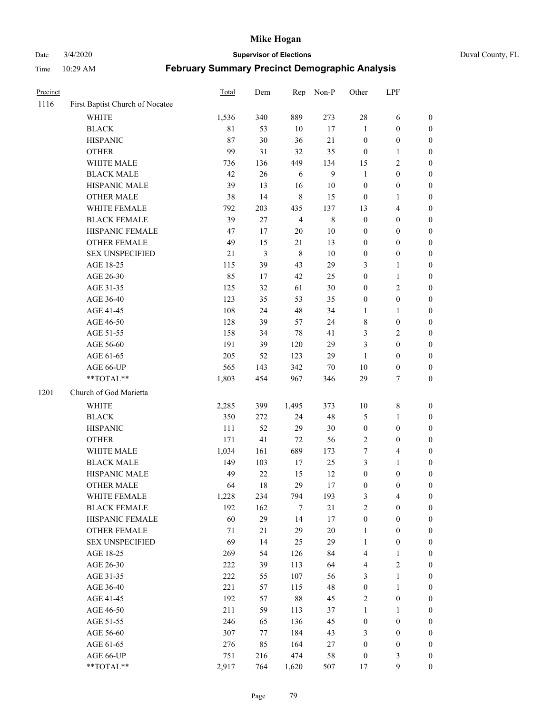Date 3/4/2020 **Supervisor of Elections** Duval County, FL

| Precinct |                                 | Total       | Dem            | Rep                     | Non-P        | Other            | LPF              |                  |
|----------|---------------------------------|-------------|----------------|-------------------------|--------------|------------------|------------------|------------------|
| 1116     | First Baptist Church of Nocatee |             |                |                         |              |                  |                  |                  |
|          | <b>WHITE</b>                    | 1,536       | 340            | 889                     | 273          | 28               | 6                | 0                |
|          | <b>BLACK</b>                    | $8\sqrt{1}$ | 53             | 10                      | 17           | 1                | $\boldsymbol{0}$ | 0                |
|          | <b>HISPANIC</b>                 | 87          | 30             | 36                      | 21           | $\boldsymbol{0}$ | $\boldsymbol{0}$ | $\boldsymbol{0}$ |
|          | <b>OTHER</b>                    | 99          | 31             | 32                      | 35           | $\boldsymbol{0}$ | 1                | $\boldsymbol{0}$ |
|          | WHITE MALE                      | 736         | 136            | 449                     | 134          | 15               | $\sqrt{2}$       | $\boldsymbol{0}$ |
|          | <b>BLACK MALE</b>               | 42          | 26             | 6                       | $\mathbf{9}$ | 1                | $\boldsymbol{0}$ | $\boldsymbol{0}$ |
|          | HISPANIC MALE                   | 39          | 13             | 16                      | 10           | $\boldsymbol{0}$ | $\boldsymbol{0}$ | $\boldsymbol{0}$ |
|          | <b>OTHER MALE</b>               | 38          | 14             | $\,$ 8 $\,$             | 15           | $\boldsymbol{0}$ | $\mathbf{1}$     | $\boldsymbol{0}$ |
|          | WHITE FEMALE                    | 792         | 203            | 435                     | 137          | 13               | $\overline{4}$   | $\boldsymbol{0}$ |
|          | <b>BLACK FEMALE</b>             | 39          | $27\,$         | $\overline{\mathbf{4}}$ | $\,$ 8 $\,$  | $\boldsymbol{0}$ | $\boldsymbol{0}$ | $\boldsymbol{0}$ |
|          | HISPANIC FEMALE                 | 47          | 17             | $20\,$                  | 10           | 0                | $\boldsymbol{0}$ | $\boldsymbol{0}$ |
|          | <b>OTHER FEMALE</b>             | 49          | 15             | 21                      | 13           | 0                | $\boldsymbol{0}$ | $\boldsymbol{0}$ |
|          | <b>SEX UNSPECIFIED</b>          | 21          | $\mathfrak{Z}$ | $\,8\,$                 | 10           | $\boldsymbol{0}$ | $\boldsymbol{0}$ | $\boldsymbol{0}$ |
|          | AGE 18-25                       | 115         | 39             | 43                      | 29           | 3                | $\mathbf{1}$     | $\boldsymbol{0}$ |
|          | AGE 26-30                       | 85          | 17             | 42                      | 25           | $\boldsymbol{0}$ | $\mathbf{1}$     | $\boldsymbol{0}$ |
|          | AGE 31-35                       | 125         | 32             | 61                      | 30           | $\boldsymbol{0}$ | $\sqrt{2}$       | $\boldsymbol{0}$ |
|          | AGE 36-40                       | 123         | 35             | 53                      | 35           | $\boldsymbol{0}$ | $\boldsymbol{0}$ | $\boldsymbol{0}$ |
|          | AGE 41-45                       | 108         | 24             | 48                      | 34           | $\mathbf{1}$     | $\mathbf{1}$     | $\boldsymbol{0}$ |
|          | AGE 46-50                       | 128         | 39             | 57                      | 24           | 8                | $\boldsymbol{0}$ | $\boldsymbol{0}$ |
|          | AGE 51-55                       | 158         | 34             | $78\,$                  | 41           | 3                | $\sqrt{2}$       | $\boldsymbol{0}$ |
|          | AGE 56-60                       | 191         | 39             | 120                     | 29           | 3                | $\boldsymbol{0}$ | $\boldsymbol{0}$ |
|          | AGE 61-65                       | 205         | 52             | 123                     | 29           | 1                | $\boldsymbol{0}$ | $\boldsymbol{0}$ |
|          | AGE 66-UP                       | 565         | 143            | 342                     | 70           | $10\,$           | $\boldsymbol{0}$ | $\boldsymbol{0}$ |
|          | **TOTAL**                       | 1,803       | 454            | 967                     | 346          | 29               | $\tau$           | $\boldsymbol{0}$ |
| 1201     | Church of God Marietta          |             |                |                         |              |                  |                  |                  |
|          | <b>WHITE</b>                    | 2,285       | 399            | 1,495                   | 373          | $10\,$           | $\,$ $\,$        | $\boldsymbol{0}$ |
|          | <b>BLACK</b>                    | 350         | 272            | 24                      | 48           | 5                | $\mathbf{1}$     | $\boldsymbol{0}$ |
|          | <b>HISPANIC</b>                 | 111         | 52             | 29                      | 30           | $\boldsymbol{0}$ | $\boldsymbol{0}$ | $\boldsymbol{0}$ |
|          | <b>OTHER</b>                    | 171         | 41             | $72\,$                  | 56           | $\overline{c}$   | $\boldsymbol{0}$ | $\boldsymbol{0}$ |
|          | WHITE MALE                      | 1,034       | 161            | 689                     | 173          | 7                | $\overline{4}$   | $\boldsymbol{0}$ |
|          | <b>BLACK MALE</b>               | 149         | 103            | $17\,$                  | 25           | 3                | $\mathbf{1}$     | $\boldsymbol{0}$ |
|          | HISPANIC MALE                   | 49          | $22\,$         | 15                      | 12           | $\boldsymbol{0}$ | $\boldsymbol{0}$ | 0                |
|          | <b>OTHER MALE</b>               | 64          | 18             | 29                      | 17           | $\boldsymbol{0}$ | $\boldsymbol{0}$ | $\boldsymbol{0}$ |
|          | WHITE FEMALE                    | 1,228       | 234            | 794                     | 193          | 3                | 4                | 0                |
|          | <b>BLACK FEMALE</b>             | 192         | 162            | 7                       | 21           | $\mathbf{2}$     | $\boldsymbol{0}$ | $\overline{0}$   |
|          | HISPANIC FEMALE                 | 60          | 29             | 14                      | 17           | $\boldsymbol{0}$ | $\boldsymbol{0}$ | $\overline{0}$   |
|          | OTHER FEMALE                    | 71          | 21             | 29                      | 20           | 1                | $\boldsymbol{0}$ | 0                |
|          | <b>SEX UNSPECIFIED</b>          | 69          | 14             | 25                      | 29           | $\mathbf{1}$     | $\boldsymbol{0}$ | 0                |
|          | AGE 18-25                       | 269         | 54             | 126                     | 84           | 4                | $\mathbf{1}$     | 0                |
|          | AGE 26-30                       | 222         | 39             | 113                     | 64           | 4                | $\overline{2}$   | 0                |
|          | AGE 31-35                       | 222         | 55             | 107                     | 56           | 3                | $\mathbf{1}$     | 0                |
|          | AGE 36-40                       | 221         | 57             | 115                     | 48           | $\boldsymbol{0}$ | $\mathbf{1}$     | 0                |
|          | AGE 41-45                       | 192         | 57             | 88                      | 45           | 2                | $\boldsymbol{0}$ | 0                |
|          | AGE 46-50                       | 211         | 59             | 113                     | 37           | 1                | 1                | 0                |
|          | AGE 51-55                       | 246         | 65             | 136                     | 45           | $\boldsymbol{0}$ | $\boldsymbol{0}$ | 0                |
|          | AGE 56-60                       | 307         | 77             | 184                     | 43           | 3                | $\boldsymbol{0}$ | 0                |
|          | AGE 61-65                       | 276         | 85             | 164                     | 27           | 0                | $\boldsymbol{0}$ | 0                |
|          | AGE 66-UP                       | 751         | 216            | 474                     | 58           | $\boldsymbol{0}$ | $\mathfrak{Z}$   | 0                |
|          | **TOTAL**                       | 2,917       | 764            | 1,620                   | 507          | 17               | $\boldsymbol{9}$ | $\boldsymbol{0}$ |
|          |                                 |             |                |                         |              |                  |                  |                  |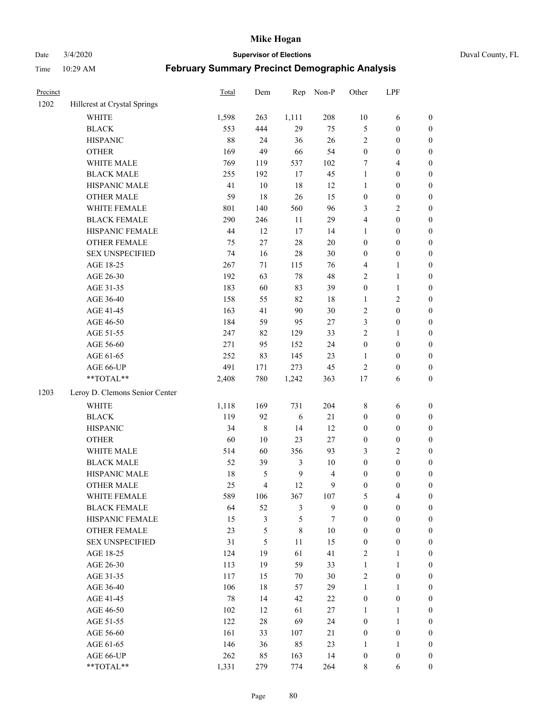Date 3/4/2020 **Supervisor of Elections** Duval County, FL

| Precinct |                                | Total | Dem       | Rep            | Non-P          | Other            | LPF              |                  |
|----------|--------------------------------|-------|-----------|----------------|----------------|------------------|------------------|------------------|
| 1202     | Hillcrest at Crystal Springs   |       |           |                |                |                  |                  |                  |
|          | <b>WHITE</b>                   | 1,598 | 263       | 1,111          | 208            | $10\,$           | 6                | 0                |
|          | <b>BLACK</b>                   | 553   | 444       | 29             | 75             | 5                | $\boldsymbol{0}$ | $\boldsymbol{0}$ |
|          | <b>HISPANIC</b>                | 88    | 24        | 36             | 26             | $\sqrt{2}$       | $\boldsymbol{0}$ | $\boldsymbol{0}$ |
|          | <b>OTHER</b>                   | 169   | 49        | 66             | 54             | $\boldsymbol{0}$ | $\boldsymbol{0}$ | $\boldsymbol{0}$ |
|          | WHITE MALE                     | 769   | 119       | 537            | 102            | 7                | $\overline{4}$   | $\boldsymbol{0}$ |
|          | <b>BLACK MALE</b>              | 255   | 192       | 17             | 45             | $\mathbf{1}$     | $\boldsymbol{0}$ | $\boldsymbol{0}$ |
|          | HISPANIC MALE                  | 41    | $10\,$    | 18             | 12             | $\mathbf{1}$     | $\boldsymbol{0}$ | $\boldsymbol{0}$ |
|          | <b>OTHER MALE</b>              | 59    | 18        | 26             | 15             | $\boldsymbol{0}$ | $\boldsymbol{0}$ | $\boldsymbol{0}$ |
|          | WHITE FEMALE                   | 801   | 140       | 560            | 96             | 3                | $\overline{c}$   | $\boldsymbol{0}$ |
|          | <b>BLACK FEMALE</b>            | 290   | 246       | 11             | 29             | 4                | $\boldsymbol{0}$ | $\boldsymbol{0}$ |
|          | HISPANIC FEMALE                | 44    | 12        | 17             | 14             | 1                | $\boldsymbol{0}$ | $\boldsymbol{0}$ |
|          | <b>OTHER FEMALE</b>            | 75    | 27        | 28             | $20\,$         | $\boldsymbol{0}$ | $\boldsymbol{0}$ | $\boldsymbol{0}$ |
|          | <b>SEX UNSPECIFIED</b>         | 74    | 16        | 28             | $30\,$         | $\boldsymbol{0}$ | $\boldsymbol{0}$ | $\boldsymbol{0}$ |
|          | AGE 18-25                      | 267   | 71        | 115            | 76             | 4                | $\mathbf{1}$     | $\boldsymbol{0}$ |
|          | AGE 26-30                      | 192   | 63        | 78             | 48             | 2                | $\mathbf{1}$     | $\boldsymbol{0}$ |
|          | AGE 31-35                      | 183   | 60        | 83             | 39             | $\boldsymbol{0}$ | $\mathbf{1}$     | $\boldsymbol{0}$ |
|          | AGE 36-40                      | 158   | 55        | 82             | 18             | $\mathbf{1}$     | $\sqrt{2}$       | $\boldsymbol{0}$ |
|          | AGE 41-45                      | 163   | 41        | 90             | $30\,$         | $\sqrt{2}$       | $\boldsymbol{0}$ | $\boldsymbol{0}$ |
|          | AGE 46-50                      | 184   | 59        | 95             | $27\,$         | 3                | $\boldsymbol{0}$ | $\boldsymbol{0}$ |
|          | AGE 51-55                      | 247   | 82        | 129            | 33             | 2                | 1                | $\boldsymbol{0}$ |
|          | AGE 56-60                      | 271   | 95        | 152            | 24             | $\boldsymbol{0}$ | $\boldsymbol{0}$ | 0                |
|          | AGE 61-65                      | 252   | 83        | 145            | 23             | $\mathbf{1}$     | $\boldsymbol{0}$ | 0                |
|          | AGE 66-UP                      | 491   | 171       | 273            | 45             | $\sqrt{2}$       | $\boldsymbol{0}$ | $\boldsymbol{0}$ |
|          | $**TOTAL**$                    | 2,408 | 780       | 1,242          | 363            | 17               | 6                | $\boldsymbol{0}$ |
| 1203     | Leroy D. Clemons Senior Center |       |           |                |                |                  |                  |                  |
|          | <b>WHITE</b>                   | 1,118 | 169       | 731            | 204            | $\,$ 8 $\,$      | 6                | $\boldsymbol{0}$ |
|          | <b>BLACK</b>                   | 119   | 92        | 6              | $21\,$         | $\boldsymbol{0}$ | $\boldsymbol{0}$ | $\boldsymbol{0}$ |
|          | <b>HISPANIC</b>                | 34    | $\,$ $\,$ | 14             | 12             | $\boldsymbol{0}$ | $\boldsymbol{0}$ | $\boldsymbol{0}$ |
|          | <b>OTHER</b>                   | 60    | 10        | 23             | $27\,$         | $\boldsymbol{0}$ | $\boldsymbol{0}$ | $\boldsymbol{0}$ |
|          | WHITE MALE                     | 514   | 60        | 356            | 93             | 3                | $\overline{c}$   | $\boldsymbol{0}$ |
|          | <b>BLACK MALE</b>              | 52    | 39        | 3              | $10\,$         | $\boldsymbol{0}$ | $\boldsymbol{0}$ | $\boldsymbol{0}$ |
|          | HISPANIC MALE                  | 18    | 5         | $\overline{9}$ | $\overline{4}$ | $\boldsymbol{0}$ | $\boldsymbol{0}$ | $\boldsymbol{0}$ |
|          | <b>OTHER MALE</b>              | 25    | 4         | 12             | 9              | $\boldsymbol{0}$ | $\boldsymbol{0}$ | $\boldsymbol{0}$ |
|          | WHITE FEMALE                   | 589   | 106       | 367            | 107            | 5                | 4                | 0                |
|          | <b>BLACK FEMALE</b>            | 64    | 52        | 3              | 9              | $\boldsymbol{0}$ | $\boldsymbol{0}$ | $\overline{0}$   |
|          | HISPANIC FEMALE                | 15    | 3         | 5              | 7              | $\boldsymbol{0}$ | $\boldsymbol{0}$ | $\overline{0}$   |
|          | OTHER FEMALE                   | 23    | 5         | 8              | $10\,$         | $\boldsymbol{0}$ | $\boldsymbol{0}$ | $\overline{0}$   |
|          | <b>SEX UNSPECIFIED</b>         | 31    | 5         | $11\,$         | 15             | $\boldsymbol{0}$ | $\boldsymbol{0}$ | 0                |
|          | AGE 18-25                      | 124   | 19        | 61             | 41             | 2                | $\mathbf{1}$     | $\theta$         |
|          | AGE 26-30                      | 113   | 19        | 59             | 33             | $\mathbf{1}$     | $\mathbf{1}$     | 0                |
|          | AGE 31-35                      | 117   | 15        | 70             | $30\,$         | $\overline{c}$   | $\boldsymbol{0}$ | 0                |
|          | AGE 36-40                      | 106   | 18        | 57             | 29             | $\mathbf{1}$     | $\mathbf{1}$     | 0                |
|          | AGE 41-45                      | 78    | 14        | 42             | 22             | $\boldsymbol{0}$ | $\boldsymbol{0}$ | 0                |
|          | AGE 46-50                      | 102   | 12        | 61             | 27             | 1                | 1                | 0                |
|          | AGE 51-55                      | 122   | 28        | 69             | 24             | $\boldsymbol{0}$ | $\mathbf{1}$     | 0                |
|          | AGE 56-60                      | 161   | 33        | 107            | 21             | $\boldsymbol{0}$ | $\boldsymbol{0}$ | $\overline{0}$   |
|          | AGE 61-65                      | 146   | 36        | 85             | 23             | 1                | $\mathbf{1}$     | $\overline{0}$   |
|          | AGE 66-UP                      | 262   | 85        | 163            | 14             | $\boldsymbol{0}$ | $\boldsymbol{0}$ | 0                |
|          | **TOTAL**                      | 1,331 | 279       | 774            | 264            | 8                | 6                | $\boldsymbol{0}$ |
|          |                                |       |           |                |                |                  |                  |                  |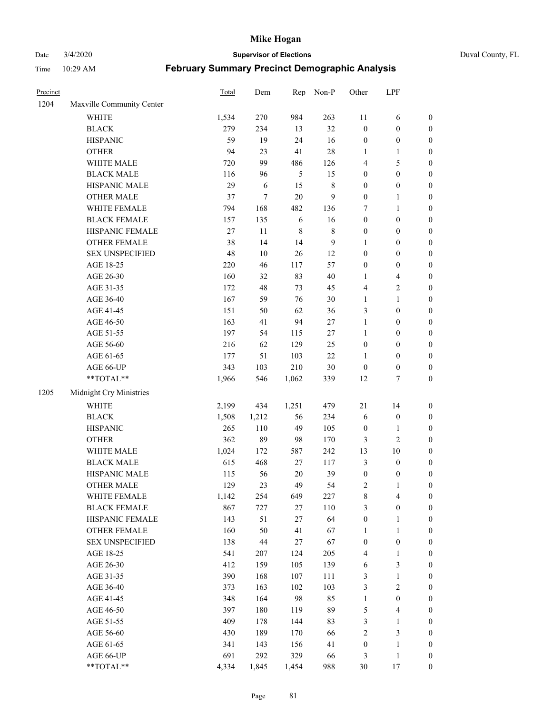# Date 3/4/2020 **Supervisor of Elections** Duval County, FL

| Precinct |                                                             | Total  | Dem    | Rep         | Non-P          | Other            | LPF              |                  |
|----------|-------------------------------------------------------------|--------|--------|-------------|----------------|------------------|------------------|------------------|
| 1204     | Maxville Community Center                                   |        |        |             |                |                  |                  |                  |
|          | <b>WHITE</b>                                                | 1,534  | 270    | 984         | 263            | $11\,$           | 6                | 0                |
|          | <b>BLACK</b>                                                | 279    | 234    | 13          | 32             | $\boldsymbol{0}$ | $\boldsymbol{0}$ | 0                |
|          | <b>HISPANIC</b>                                             | 59     | 19     | 24          | 16             | $\boldsymbol{0}$ | $\boldsymbol{0}$ | $\boldsymbol{0}$ |
|          | <b>OTHER</b>                                                | 94     | 23     | 41          | 28             | 1                | 1                | $\boldsymbol{0}$ |
|          | WHITE MALE                                                  | 720    | 99     | 486         | 126            | 4                | 5                | $\boldsymbol{0}$ |
|          | <b>BLACK MALE</b>                                           | 116    | 96     | 5           | 15             | $\boldsymbol{0}$ | $\boldsymbol{0}$ | $\boldsymbol{0}$ |
|          | HISPANIC MALE                                               | 29     | 6      | 15          | $\,$ 8 $\,$    | $\boldsymbol{0}$ | $\boldsymbol{0}$ | $\boldsymbol{0}$ |
|          | <b>OTHER MALE</b>                                           | 37     | $\tau$ | $20\,$      | $\overline{9}$ | $\boldsymbol{0}$ | 1                | $\boldsymbol{0}$ |
|          | WHITE FEMALE                                                | 794    | 168    | 482         | 136            | 7                | $\mathbf{1}$     | $\boldsymbol{0}$ |
|          | <b>BLACK FEMALE</b>                                         | 157    | 135    | 6           | 16             | $\boldsymbol{0}$ | $\boldsymbol{0}$ | 0                |
|          | HISPANIC FEMALE                                             | $27\,$ | 11     | $\,$ 8 $\,$ | $\,$ 8 $\,$    | $\boldsymbol{0}$ | $\boldsymbol{0}$ | 0                |
|          | <b>OTHER FEMALE</b>                                         | 38     | 14     | 14          | $\overline{9}$ | 1                | $\boldsymbol{0}$ | 0                |
|          | <b>SEX UNSPECIFIED</b>                                      | 48     | 10     | $26\,$      | 12             | $\boldsymbol{0}$ | $\boldsymbol{0}$ | $\boldsymbol{0}$ |
|          | AGE 18-25                                                   | 220    | 46     | 117         | 57             | $\boldsymbol{0}$ | $\boldsymbol{0}$ | $\boldsymbol{0}$ |
|          | AGE 26-30                                                   | 160    | 32     | 83          | $40\,$         | 1                | $\overline{4}$   | $\boldsymbol{0}$ |
|          | AGE 31-35                                                   | 172    | 48     | 73          | 45             | $\overline{4}$   | $\sqrt{2}$       | $\boldsymbol{0}$ |
|          | AGE 36-40                                                   | 167    | 59     | 76          | $30\,$         | $\mathbf{1}$     | $\mathbf{1}$     | $\boldsymbol{0}$ |
|          | AGE 41-45                                                   | 151    | 50     | 62          | 36             | 3                | $\boldsymbol{0}$ | $\boldsymbol{0}$ |
|          | AGE 46-50                                                   | 163    | 41     | 94          | $27\,$         | $\mathbf{1}$     | $\boldsymbol{0}$ | $\boldsymbol{0}$ |
|          | AGE 51-55                                                   | 197    | 54     | 115         | $27\,$         | $\mathbf{1}$     | $\boldsymbol{0}$ | 0                |
|          | AGE 56-60                                                   | 216    | 62     | 129         | 25             | $\boldsymbol{0}$ | $\boldsymbol{0}$ | 0                |
|          | AGE 61-65                                                   | 177    | 51     | 103         | $22\,$         | $\mathbf{1}$     | $\boldsymbol{0}$ | 0                |
|          | AGE 66-UP                                                   | 343    | 103    | 210         | $30\,$         | $\boldsymbol{0}$ | $\boldsymbol{0}$ | $\boldsymbol{0}$ |
|          | $\mathrm{*}\mathrm{*} \mathrm{TOTAL} \mathrm{*} \mathrm{*}$ | 1,966  | 546    | 1,062       | 339            | 12               | $\tau$           | $\boldsymbol{0}$ |
| 1205     | Midnight Cry Ministries                                     |        |        |             |                |                  |                  |                  |
|          | <b>WHITE</b>                                                | 2,199  | 434    | 1,251       | 479            | 21               | 14               | $\boldsymbol{0}$ |
|          | <b>BLACK</b>                                                | 1,508  | 1,212  | 56          | 234            | 6                | $\boldsymbol{0}$ | $\boldsymbol{0}$ |
|          | <b>HISPANIC</b>                                             | 265    | 110    | 49          | 105            | $\boldsymbol{0}$ | $\mathbf{1}$     | $\boldsymbol{0}$ |
|          | <b>OTHER</b>                                                | 362    | 89     | 98          | 170            | 3                | $\sqrt{2}$       | $\boldsymbol{0}$ |
|          | WHITE MALE                                                  | 1,024  | 172    | 587         | 242            | 13               | 10               | $\boldsymbol{0}$ |
|          | <b>BLACK MALE</b>                                           | 615    | 468    | $27\,$      | 117            | $\mathfrak{Z}$   | $\boldsymbol{0}$ | $\boldsymbol{0}$ |
|          | HISPANIC MALE                                               | 115    | 56     | $20\,$      | 39             | $\boldsymbol{0}$ | $\boldsymbol{0}$ | 0                |
|          | <b>OTHER MALE</b>                                           | 129    | 23     | 49          | 54             | 2                | 1                | $\boldsymbol{0}$ |
|          | WHITE FEMALE                                                | 1,142  | 254    | 649         | 227            | 8                | $\overline{4}$   | 0                |
|          | <b>BLACK FEMALE</b>                                         | 867    | 727    | $27\,$      | 110            | 3                | $\boldsymbol{0}$ | 0                |
|          | HISPANIC FEMALE                                             | 143    | 51     | 27          | 64             | $\boldsymbol{0}$ | 1                | $\boldsymbol{0}$ |
|          | OTHER FEMALE                                                | 160    | 50     | 41          | 67             | $\mathbf{1}$     | $\mathbf{1}$     | 0                |
|          | <b>SEX UNSPECIFIED</b>                                      | 138    | $44\,$ | 27          | 67             | $\boldsymbol{0}$ | $\boldsymbol{0}$ | 0                |
|          | AGE 18-25                                                   | 541    | 207    | 124         | 205            | 4                | $\mathbf{1}$     | 0                |
|          | AGE 26-30                                                   | 412    | 159    | 105         | 139            | 6                | 3                | 0                |
|          | AGE 31-35                                                   | 390    | 168    | 107         | 111            | 3                | $\mathbf{1}$     | 0                |
|          | AGE 36-40                                                   | 373    | 163    | 102         | 103            | 3                | $\sqrt{2}$       | 0                |
|          | AGE 41-45                                                   | 348    | 164    | 98          | 85             | $\mathbf{1}$     | $\boldsymbol{0}$ | 0                |
|          | AGE 46-50                                                   | 397    | 180    | 119         | 89             | 5                | $\overline{4}$   | 0                |
|          | AGE 51-55                                                   | 409    | 178    | 144         | 83             | 3                | $\mathbf{1}$     | $\boldsymbol{0}$ |
|          | AGE 56-60                                                   | 430    | 189    | 170         | 66             | $\sqrt{2}$       | $\mathfrak{Z}$   | $\boldsymbol{0}$ |
|          | AGE 61-65                                                   | 341    | 143    | 156         | 41             | $\boldsymbol{0}$ | $\mathbf{1}$     | $\overline{0}$   |
|          | AGE 66-UP                                                   | 691    | 292    | 329         | 66             | 3                | $\,1$            | 0                |
|          | **TOTAL**                                                   | 4,334  | 1,845  | 1,454       | 988            | 30               | 17               | $\boldsymbol{0}$ |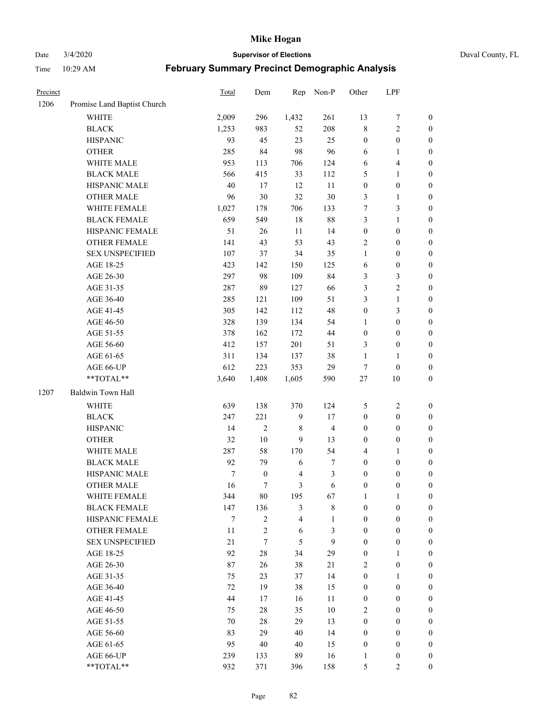Date 3/4/2020 **Supervisor of Elections** Duval County, FL

| Precinct |                             | Total | Dem              | Rep          | Non-P                   | Other            | LPF              |                  |
|----------|-----------------------------|-------|------------------|--------------|-------------------------|------------------|------------------|------------------|
| 1206     | Promise Land Baptist Church |       |                  |              |                         |                  |                  |                  |
|          | <b>WHITE</b>                | 2,009 | 296              | 1,432        | 261                     | 13               | $\boldsymbol{7}$ | 0                |
|          | <b>BLACK</b>                | 1,253 | 983              | 52           | 208                     | 8                | $\sqrt{2}$       | $\boldsymbol{0}$ |
|          | <b>HISPANIC</b>             | 93    | 45               | 23           | 25                      | $\boldsymbol{0}$ | $\boldsymbol{0}$ | $\boldsymbol{0}$ |
|          | <b>OTHER</b>                | 285   | 84               | 98           | 96                      | 6                | 1                | $\boldsymbol{0}$ |
|          | WHITE MALE                  | 953   | 113              | 706          | 124                     | 6                | $\overline{4}$   | $\boldsymbol{0}$ |
|          | <b>BLACK MALE</b>           | 566   | 415              | 33           | 112                     | 5                | $\mathbf{1}$     | $\boldsymbol{0}$ |
|          | HISPANIC MALE               | 40    | 17               | 12           | 11                      | $\boldsymbol{0}$ | $\boldsymbol{0}$ | $\boldsymbol{0}$ |
|          | <b>OTHER MALE</b>           | 96    | $30\,$           | 32           | $30\,$                  | 3                | $\mathbf{1}$     | $\boldsymbol{0}$ |
|          | WHITE FEMALE                | 1,027 | 178              | 706          | 133                     | 7                | $\mathfrak{Z}$   | $\boldsymbol{0}$ |
|          | <b>BLACK FEMALE</b>         | 659   | 549              | 18           | $88\,$                  | 3                | $\mathbf{1}$     | $\boldsymbol{0}$ |
|          | HISPANIC FEMALE             | 51    | 26               | 11           | 14                      | $\boldsymbol{0}$ | $\boldsymbol{0}$ | $\boldsymbol{0}$ |
|          | <b>OTHER FEMALE</b>         | 141   | 43               | 53           | 43                      | 2                | $\boldsymbol{0}$ | $\boldsymbol{0}$ |
|          | <b>SEX UNSPECIFIED</b>      | 107   | 37               | 34           | 35                      | $\mathbf{1}$     | $\boldsymbol{0}$ | $\boldsymbol{0}$ |
|          | AGE 18-25                   | 423   | 142              | 150          | 125                     | 6                | $\boldsymbol{0}$ | $\boldsymbol{0}$ |
|          | AGE 26-30                   | 297   | 98               | 109          | 84                      | 3                | $\mathfrak{Z}$   | $\boldsymbol{0}$ |
|          | AGE 31-35                   | 287   | 89               | 127          | 66                      | 3                | $\sqrt{2}$       | $\boldsymbol{0}$ |
|          | AGE 36-40                   | 285   | 121              | 109          | 51                      | 3                | $\mathbf{1}$     | $\boldsymbol{0}$ |
|          | AGE 41-45                   | 305   | 142              | 112          | 48                      | $\boldsymbol{0}$ | 3                | $\boldsymbol{0}$ |
|          | AGE 46-50                   | 328   | 139              | 134          | 54                      | $\mathbf{1}$     | $\boldsymbol{0}$ | $\boldsymbol{0}$ |
|          | AGE 51-55                   | 378   | 162              | 172          | 44                      | $\boldsymbol{0}$ | $\boldsymbol{0}$ | $\boldsymbol{0}$ |
|          | AGE 56-60                   | 412   | 157              | 201          | 51                      | 3                | $\boldsymbol{0}$ | $\boldsymbol{0}$ |
|          | AGE 61-65                   | 311   | 134              | 137          | 38                      | $\mathbf{1}$     | 1                | $\boldsymbol{0}$ |
|          | AGE 66-UP                   | 612   | 223              | 353          | 29                      |                  | $\boldsymbol{0}$ | $\boldsymbol{0}$ |
|          | **TOTAL**                   | 3,640 | 1,408            | 1,605        |                         | 7<br>$27\,$      | 10               | $\boldsymbol{0}$ |
|          |                             |       |                  |              | 590                     |                  |                  |                  |
| 1207     | Baldwin Town Hall           |       |                  |              |                         |                  |                  |                  |
|          | <b>WHITE</b>                | 639   | 138              | 370          | 124                     | 5                | $\sqrt{2}$       | $\boldsymbol{0}$ |
|          | <b>BLACK</b>                | 247   | 221              | $\mathbf{9}$ | 17                      | $\boldsymbol{0}$ | $\boldsymbol{0}$ | $\boldsymbol{0}$ |
|          | <b>HISPANIC</b>             | 14    | $\overline{2}$   | 8            | $\overline{\mathbf{4}}$ | $\boldsymbol{0}$ | $\boldsymbol{0}$ | $\boldsymbol{0}$ |
|          | <b>OTHER</b>                | 32    | $10\,$           | 9            | 13                      | 0                | $\boldsymbol{0}$ | $\boldsymbol{0}$ |
|          | WHITE MALE                  | 287   | 58               | 170          | 54                      | 4                | $\mathbf{1}$     | $\boldsymbol{0}$ |
|          | <b>BLACK MALE</b>           | 92    | 79               | 6            | $\boldsymbol{7}$        | $\boldsymbol{0}$ | $\boldsymbol{0}$ | $\boldsymbol{0}$ |
|          | HISPANIC MALE               | 7     | $\boldsymbol{0}$ | 4            | $\mathfrak{Z}$          | $\boldsymbol{0}$ | $\boldsymbol{0}$ | $\boldsymbol{0}$ |
|          | <b>OTHER MALE</b>           | 16    | $\tau$           | 3            | 6                       | $\boldsymbol{0}$ | $\boldsymbol{0}$ | $\boldsymbol{0}$ |
|          | WHITE FEMALE                | 344   | 80               | 195          | 67                      | 1                | 1                | 0                |
|          | <b>BLACK FEMALE</b>         | 147   | 136              | 3            | $\,$ 8 $\,$             | $\boldsymbol{0}$ | $\boldsymbol{0}$ | $\overline{0}$   |
|          | HISPANIC FEMALE             | 7     | $\overline{c}$   | 4            | $\mathbf{1}$            | $\boldsymbol{0}$ | $\boldsymbol{0}$ | $\overline{0}$   |
|          | <b>OTHER FEMALE</b>         | 11    | $\sqrt{2}$       | 6            | 3                       | $\boldsymbol{0}$ | $\boldsymbol{0}$ | $\overline{0}$   |
|          | <b>SEX UNSPECIFIED</b>      | 21    | $\tau$           | 5            | 9                       | $\boldsymbol{0}$ | $\boldsymbol{0}$ | $\overline{0}$   |
|          | AGE 18-25                   | 92    | $28\,$           | 34           | 29                      | $\boldsymbol{0}$ | 1                | $\theta$         |
|          | AGE 26-30                   | 87    | 26               | 38           | 21                      | 2                | $\boldsymbol{0}$ | 0                |
|          | AGE 31-35                   | 75    | 23               | 37           | 14                      | $\boldsymbol{0}$ | $\mathbf{1}$     | 0                |
|          | AGE 36-40                   | 72    | 19               | 38           | 15                      | $\boldsymbol{0}$ | $\boldsymbol{0}$ | 0                |
|          | AGE 41-45                   | 44    | 17               | 16           | 11                      | $\boldsymbol{0}$ | $\boldsymbol{0}$ | 0                |
|          | AGE 46-50                   | 75    | $28\,$           | 35           | 10                      | 2                | $\boldsymbol{0}$ | 0                |
|          | AGE 51-55                   | 70    | 28               | 29           | 13                      | $\boldsymbol{0}$ | $\boldsymbol{0}$ | $\overline{0}$   |
|          | AGE 56-60                   | 83    | 29               | 40           | 14                      | $\boldsymbol{0}$ | $\boldsymbol{0}$ | $\overline{0}$   |
|          | AGE 61-65                   | 95    | 40               | 40           | 15                      | $\boldsymbol{0}$ | $\boldsymbol{0}$ | $\overline{0}$   |
|          | AGE 66-UP                   | 239   | 133              | 89           | 16                      | $\mathbf{1}$     | $\boldsymbol{0}$ | 0                |
|          | **TOTAL**                   | 932   | 371              | 396          | 158                     | 5                | $\mathfrak{2}$   | $\boldsymbol{0}$ |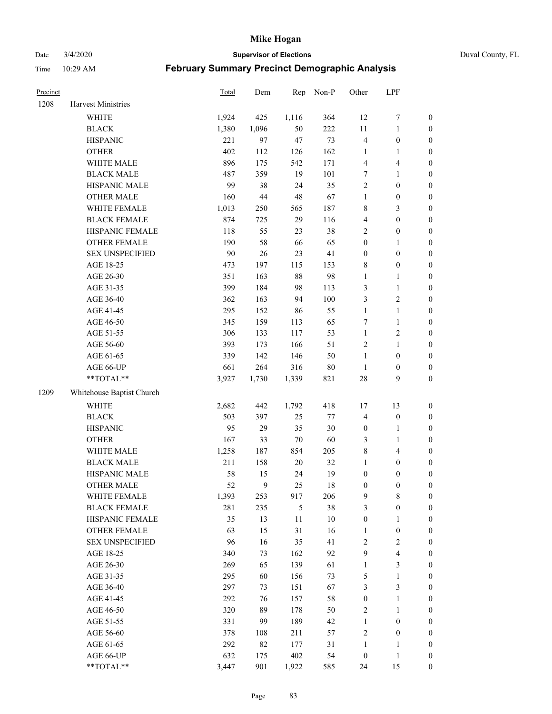Date 3/4/2020 **Supervisor of Elections** Duval County, FL

| Precinct |                           | Total | Dem    | Rep    | Non-P   | Other            | LPF                     |                  |
|----------|---------------------------|-------|--------|--------|---------|------------------|-------------------------|------------------|
| 1208     | <b>Harvest Ministries</b> |       |        |        |         |                  |                         |                  |
|          | <b>WHITE</b>              | 1,924 | 425    | 1,116  | 364     | 12               | $\boldsymbol{7}$        | 0                |
|          | <b>BLACK</b>              | 1,380 | 1,096  | 50     | 222     | 11               | $\mathbf{1}$            | $\boldsymbol{0}$ |
|          | <b>HISPANIC</b>           | 221   | 97     | 47     | 73      | 4                | $\boldsymbol{0}$        | $\boldsymbol{0}$ |
|          | <b>OTHER</b>              | 402   | 112    | 126    | 162     | 1                | 1                       | $\boldsymbol{0}$ |
|          | WHITE MALE                | 896   | 175    | 542    | 171     | 4                | $\overline{4}$          | $\boldsymbol{0}$ |
|          | <b>BLACK MALE</b>         | 487   | 359    | 19     | 101     | 7                | $\mathbf{1}$            | $\boldsymbol{0}$ |
|          | HISPANIC MALE             | 99    | 38     | 24     | 35      | $\overline{c}$   | $\boldsymbol{0}$        | $\boldsymbol{0}$ |
|          | <b>OTHER MALE</b>         | 160   | 44     | 48     | 67      | $\mathbf{1}$     | $\boldsymbol{0}$        | $\boldsymbol{0}$ |
|          | WHITE FEMALE              | 1,013 | 250    | 565    | 187     | 8                | $\mathfrak{Z}$          | $\boldsymbol{0}$ |
|          | <b>BLACK FEMALE</b>       | 874   | 725    | 29     | 116     | 4                | $\boldsymbol{0}$        | $\boldsymbol{0}$ |
|          | HISPANIC FEMALE           | 118   | 55     | 23     | 38      | $\overline{c}$   | $\boldsymbol{0}$        | 0                |
|          | OTHER FEMALE              | 190   | 58     | 66     | 65      | $\boldsymbol{0}$ | 1                       | $\boldsymbol{0}$ |
|          | <b>SEX UNSPECIFIED</b>    | 90    | $26\,$ | 23     | 41      | $\boldsymbol{0}$ | $\boldsymbol{0}$        | $\boldsymbol{0}$ |
|          | AGE 18-25                 | 473   | 197    | 115    | 153     | 8                | $\boldsymbol{0}$        | $\boldsymbol{0}$ |
|          | AGE 26-30                 | 351   | 163    | 88     | 98      | $\mathbf{1}$     | $\mathbf{1}$            | $\boldsymbol{0}$ |
|          | AGE 31-35                 | 399   | 184    | 98     | 113     | 3                | $\mathbf{1}$            | $\boldsymbol{0}$ |
|          | AGE 36-40                 | 362   | 163    | 94     | 100     | 3                | $\sqrt{2}$              | $\boldsymbol{0}$ |
|          | AGE 41-45                 | 295   | 152    | 86     | 55      | $\mathbf{1}$     | $\mathbf{1}$            | $\boldsymbol{0}$ |
|          | AGE 46-50                 | 345   | 159    | 113    | 65      | 7                | $\mathbf{1}$            | $\boldsymbol{0}$ |
|          | AGE 51-55                 | 306   | 133    | 117    | 53      | $\mathbf{1}$     | $\sqrt{2}$              | $\boldsymbol{0}$ |
|          | AGE 56-60                 | 393   | 173    | 166    | 51      | $\sqrt{2}$       | $\mathbf{1}$            | 0                |
|          | AGE 61-65                 | 339   | 142    | 146    | 50      | $\mathbf{1}$     | $\boldsymbol{0}$        | $\boldsymbol{0}$ |
|          | AGE 66-UP                 | 661   | 264    | 316    | $80\,$  | $\mathbf{1}$     | $\boldsymbol{0}$        | $\boldsymbol{0}$ |
|          | **TOTAL**                 | 3,927 | 1,730  | 1,339  | 821     | 28               | 9                       | $\boldsymbol{0}$ |
| 1209     | Whitehouse Baptist Church |       |        |        |         |                  |                         |                  |
|          | <b>WHITE</b>              | 2,682 | 442    | 1,792  | 418     | 17               | 13                      | $\boldsymbol{0}$ |
|          | <b>BLACK</b>              | 503   | 397    | 25     | $77 \,$ | 4                | $\boldsymbol{0}$        | $\boldsymbol{0}$ |
|          | <b>HISPANIC</b>           | 95    | 29     | 35     | 30      | $\boldsymbol{0}$ | $\mathbf{1}$            | $\boldsymbol{0}$ |
|          | <b>OTHER</b>              | 167   | 33     | $70\,$ | 60      | 3                | $\mathbf{1}$            | $\boldsymbol{0}$ |
|          | WHITE MALE                | 1,258 | 187    | 854    | 205     | 8                | $\overline{4}$          | $\boldsymbol{0}$ |
|          | <b>BLACK MALE</b>         | 211   | 158    | $20\,$ | 32      | $\mathbf{1}$     | $\boldsymbol{0}$        | $\boldsymbol{0}$ |
|          | HISPANIC MALE             | 58    | 15     | 24     | 19      | $\boldsymbol{0}$ | $\boldsymbol{0}$        | $\boldsymbol{0}$ |
|          | <b>OTHER MALE</b>         | 52    | 9      | 25     | 18      | $\boldsymbol{0}$ | $\boldsymbol{0}$        | $\boldsymbol{0}$ |
|          | WHITE FEMALE              | 1,393 | 253    | 917    | 206     | 9                | 8                       | 0                |
|          | <b>BLACK FEMALE</b>       | 281   | 235    | 5      | 38      | 3                | $\boldsymbol{0}$        | $\overline{0}$   |
|          | HISPANIC FEMALE           | 35    | 13     | $11\,$ | $10\,$  | $\boldsymbol{0}$ | $\mathbf{1}$            | $\overline{0}$   |
|          | OTHER FEMALE              | 63    | 15     | 31     | 16      | $\mathbf{1}$     | $\boldsymbol{0}$        | $\overline{0}$   |
|          | <b>SEX UNSPECIFIED</b>    | 96    | 16     | 35     | 41      | 2                | $\overline{c}$          | 0                |
|          | AGE 18-25                 | 340   | 73     | 162    | 92      | 9                | $\overline{\mathbf{4}}$ | 0                |
|          | AGE 26-30                 | 269   | 65     | 139    | 61      | $\mathbf{1}$     | $\mathfrak{Z}$          | 0                |
|          | AGE 31-35                 | 295   | 60     | 156    | 73      | 5                | $\mathbf{1}$            | 0                |
|          | AGE 36-40                 | 297   | 73     | 151    | 67      | 3                | $\mathfrak{Z}$          | 0                |
|          | AGE 41-45                 | 292   | 76     | 157    | 58      | $\boldsymbol{0}$ | $\mathbf{1}$            | 0                |
|          | AGE 46-50                 | 320   | 89     | 178    | 50      | $\overline{c}$   | $\mathbf{1}$            | 0                |
|          | AGE 51-55                 | 331   | 99     | 189    | 42      | $\mathbf{1}$     | $\boldsymbol{0}$        | 0                |
|          | AGE 56-60                 | 378   | 108    | 211    | 57      | $\sqrt{2}$       | $\boldsymbol{0}$        | $\boldsymbol{0}$ |
|          | AGE 61-65                 | 292   | 82     | 177    | 31      | $\mathbf{1}$     | 1                       | $\boldsymbol{0}$ |
|          | AGE 66-UP                 | 632   | 175    | 402    | 54      | $\boldsymbol{0}$ | $\mathbf{1}$            | $\boldsymbol{0}$ |
|          | **TOTAL**                 | 3,447 | 901    | 1,922  | 585     | 24               | 15                      | $\boldsymbol{0}$ |
|          |                           |       |        |        |         |                  |                         |                  |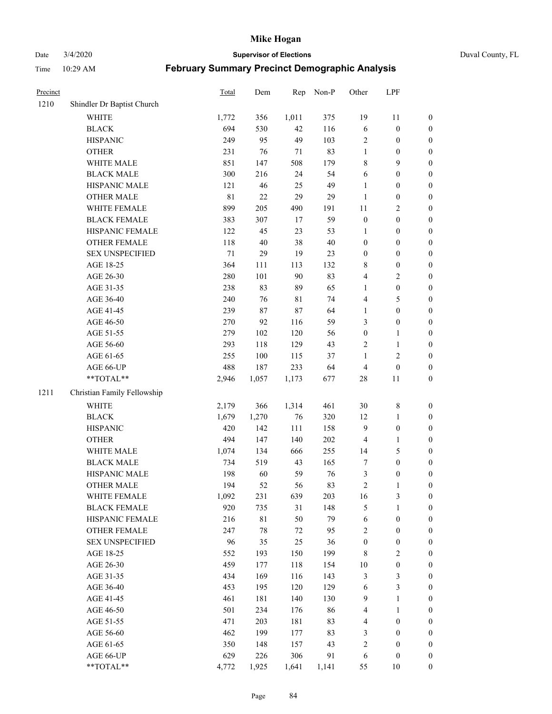Date 3/4/2020 **Supervisor of Elections** Duval County, FL

| Precinct |                             | Total       | Dem    | Rep         | Non-P  | Other            | LPF              |                  |
|----------|-----------------------------|-------------|--------|-------------|--------|------------------|------------------|------------------|
| 1210     | Shindler Dr Baptist Church  |             |        |             |        |                  |                  |                  |
|          | <b>WHITE</b>                | 1,772       | 356    | 1,011       | 375    | 19               | 11               | 0                |
|          | <b>BLACK</b>                | 694         | 530    | 42          | 116    | 6                | $\boldsymbol{0}$ | $\boldsymbol{0}$ |
|          | <b>HISPANIC</b>             | 249         | 95     | 49          | 103    | $\sqrt{2}$       | $\boldsymbol{0}$ | $\boldsymbol{0}$ |
|          | <b>OTHER</b>                | 231         | 76     | 71          | 83     | $\mathbf{1}$     | $\boldsymbol{0}$ | $\boldsymbol{0}$ |
|          | WHITE MALE                  | 851         | 147    | 508         | 179    | 8                | 9                | $\boldsymbol{0}$ |
|          | <b>BLACK MALE</b>           | 300         | 216    | 24          | 54     | 6                | $\boldsymbol{0}$ | $\boldsymbol{0}$ |
|          | HISPANIC MALE               | 121         | 46     | 25          | 49     | $\mathbf{1}$     | $\boldsymbol{0}$ | $\boldsymbol{0}$ |
|          | <b>OTHER MALE</b>           | $8\sqrt{1}$ | $22\,$ | 29          | 29     | $\mathbf{1}$     | $\boldsymbol{0}$ | $\boldsymbol{0}$ |
|          | WHITE FEMALE                | 899         | 205    | 490         | 191    | $11\,$           | $\overline{2}$   | $\boldsymbol{0}$ |
|          | <b>BLACK FEMALE</b>         | 383         | 307    | 17          | 59     | $\boldsymbol{0}$ | $\boldsymbol{0}$ | $\boldsymbol{0}$ |
|          | HISPANIC FEMALE             | 122         | 45     | 23          | 53     | 1                | $\boldsymbol{0}$ | $\boldsymbol{0}$ |
|          | OTHER FEMALE                | 118         | 40     | 38          | $40\,$ | $\boldsymbol{0}$ | $\boldsymbol{0}$ | $\boldsymbol{0}$ |
|          | <b>SEX UNSPECIFIED</b>      | $71\,$      | 29     | 19          | 23     | $\boldsymbol{0}$ | $\boldsymbol{0}$ | $\boldsymbol{0}$ |
|          | AGE 18-25                   | 364         | 111    | 113         | 132    | 8                | $\boldsymbol{0}$ | $\boldsymbol{0}$ |
|          | AGE 26-30                   | 280         | 101    | 90          | 83     | 4                | $\sqrt{2}$       | $\boldsymbol{0}$ |
|          | AGE 31-35                   | 238         | 83     | 89          | 65     | $\mathbf{1}$     | $\boldsymbol{0}$ | $\boldsymbol{0}$ |
|          | AGE 36-40                   | 240         | 76     | $8\sqrt{1}$ | 74     | 4                | $\mathfrak s$    | $\boldsymbol{0}$ |
|          | AGE 41-45                   | 239         | 87     | 87          | 64     | $\mathbf{1}$     | $\boldsymbol{0}$ | $\boldsymbol{0}$ |
|          | AGE 46-50                   | 270         | 92     | 116         | 59     | 3                | $\boldsymbol{0}$ | $\boldsymbol{0}$ |
|          | AGE 51-55                   | 279         | 102    | 120         | 56     | $\boldsymbol{0}$ | 1                | $\boldsymbol{0}$ |
|          | AGE 56-60                   | 293         | 118    | 129         | 43     | $\sqrt{2}$       | $\mathbf{1}$     | 0                |
|          | AGE 61-65                   | 255         | 100    | 115         | 37     | 1                | $\sqrt{2}$       | $\boldsymbol{0}$ |
|          | AGE 66-UP                   | 488         | 187    | 233         | 64     | 4                | $\boldsymbol{0}$ | $\boldsymbol{0}$ |
|          | **TOTAL**                   | 2,946       | 1,057  | 1,173       | 677    | $28\,$           | 11               | $\boldsymbol{0}$ |
| 1211     | Christian Family Fellowship |             |        |             |        |                  |                  |                  |
|          | <b>WHITE</b>                | 2,179       | 366    | 1,314       | 461    | 30               | $\,$ 8 $\,$      | $\boldsymbol{0}$ |
|          | <b>BLACK</b>                | 1,679       | 1,270  | 76          | 320    | 12               | $\mathbf{1}$     | $\boldsymbol{0}$ |
|          | <b>HISPANIC</b>             | 420         | 142    | 111         | 158    | 9                | $\boldsymbol{0}$ | $\boldsymbol{0}$ |
|          | <b>OTHER</b>                | 494         | 147    | 140         | 202    | 4                | $\mathbf{1}$     | $\boldsymbol{0}$ |
|          | WHITE MALE                  | 1,074       | 134    | 666         | 255    | 14               | $\mathfrak s$    | $\boldsymbol{0}$ |
|          | <b>BLACK MALE</b>           | 734         | 519    | 43          | 165    | 7                | $\boldsymbol{0}$ | $\boldsymbol{0}$ |
|          | HISPANIC MALE               | 198         | 60     | 59          | 76     | 3                | $\boldsymbol{0}$ | $\boldsymbol{0}$ |
|          | <b>OTHER MALE</b>           | 194         | 52     | 56          | 83     | $\overline{c}$   | $\mathbf{1}$     | $\boldsymbol{0}$ |
|          | WHITE FEMALE                | 1,092       | 231    | 639         | 203    | 16               | 3                | 0                |
|          | <b>BLACK FEMALE</b>         | 920         | 735    | 31          | 148    | 5                | $\mathbf{1}$     | $\boldsymbol{0}$ |
|          | HISPANIC FEMALE             | 216         | 81     | 50          | 79     | 6                | $\boldsymbol{0}$ | $\overline{0}$   |
|          | <b>OTHER FEMALE</b>         | 247         | 78     | 72          | 95     | 2                | $\boldsymbol{0}$ | $\overline{0}$   |
|          | <b>SEX UNSPECIFIED</b>      | 96          | 35     | 25          | 36     | $\boldsymbol{0}$ | $\boldsymbol{0}$ | 0                |
|          | AGE 18-25                   | 552         | 193    | 150         | 199    | 8                | $\sqrt{2}$       | 0                |
|          | AGE 26-30                   | 459         | 177    | 118         | 154    | $10\,$           | $\boldsymbol{0}$ | 0                |
|          | AGE 31-35                   | 434         | 169    | 116         | 143    | 3                | $\mathfrak{Z}$   | 0                |
|          | AGE 36-40                   | 453         | 195    | 120         | 129    | 6                | $\mathfrak{Z}$   | 0                |
|          | AGE 41-45                   | 461         | 181    | 140         | 130    | 9                | $\mathbf{1}$     | 0                |
|          | AGE 46-50                   | 501         | 234    | 176         | 86     | 4                | $\mathbf{1}$     | 0                |
|          | AGE 51-55                   | 471         | 203    | 181         | 83     | 4                | $\boldsymbol{0}$ | 0                |
|          | AGE 56-60                   | 462         | 199    | 177         | 83     | 3                | $\boldsymbol{0}$ | 0                |
|          | AGE 61-65                   | 350         | 148    | 157         | 43     | 2                | $\boldsymbol{0}$ | $\overline{0}$   |
|          | AGE 66-UP                   | 629         | 226    | 306         | 91     | 6                | $\boldsymbol{0}$ | 0                |
|          | **TOTAL**                   | 4,772       | 1,925  | 1,641       | 1,141  | 55               | 10               | $\boldsymbol{0}$ |
|          |                             |             |        |             |        |                  |                  |                  |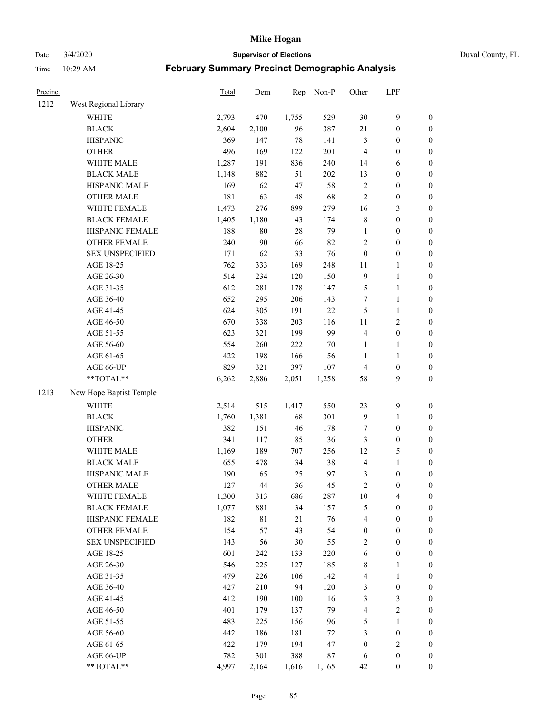# Date 3/4/2020 **Supervisor of Elections** Duval County, FL

| Precinct |                         | <b>Total</b> | Dem         | Rep   | Non-P  | Other                   | LPF              |                  |
|----------|-------------------------|--------------|-------------|-------|--------|-------------------------|------------------|------------------|
| 1212     | West Regional Library   |              |             |       |        |                         |                  |                  |
|          | <b>WHITE</b>            | 2,793        | 470         | 1,755 | 529    | $30\,$                  | $\mathbf{9}$     | 0                |
|          | <b>BLACK</b>            | 2,604        | 2,100       | 96    | 387    | 21                      | $\boldsymbol{0}$ | $\boldsymbol{0}$ |
|          | <b>HISPANIC</b>         | 369          | 147         | 78    | 141    | 3                       | $\boldsymbol{0}$ | $\boldsymbol{0}$ |
|          | <b>OTHER</b>            | 496          | 169         | 122   | 201    | 4                       | $\boldsymbol{0}$ | $\boldsymbol{0}$ |
|          | WHITE MALE              | 1,287        | 191         | 836   | 240    | 14                      | 6                | $\boldsymbol{0}$ |
|          | <b>BLACK MALE</b>       | 1,148        | 882         | 51    | 202    | 13                      | $\boldsymbol{0}$ | $\boldsymbol{0}$ |
|          | HISPANIC MALE           | 169          | 62          | 47    | 58     | $\overline{c}$          | $\boldsymbol{0}$ | $\boldsymbol{0}$ |
|          | <b>OTHER MALE</b>       | 181          | 63          | 48    | 68     | $\overline{c}$          | $\boldsymbol{0}$ | $\boldsymbol{0}$ |
|          | WHITE FEMALE            | 1,473        | 276         | 899   | 279    | 16                      | $\mathfrak{Z}$   | $\boldsymbol{0}$ |
|          | <b>BLACK FEMALE</b>     | 1,405        | 1,180       | 43    | 174    | 8                       | $\boldsymbol{0}$ | $\boldsymbol{0}$ |
|          | HISPANIC FEMALE         | 188          | $80\,$      | 28    | 79     | $\mathbf{1}$            | $\boldsymbol{0}$ | 0                |
|          | OTHER FEMALE            | 240          | 90          | 66    | 82     | $\overline{c}$          | $\boldsymbol{0}$ | $\boldsymbol{0}$ |
|          | <b>SEX UNSPECIFIED</b>  | 171          | 62          | 33    | 76     | $\boldsymbol{0}$        | $\boldsymbol{0}$ | $\boldsymbol{0}$ |
|          | AGE 18-25               | 762          | 333         | 169   | 248    | $11\,$                  | 1                | $\boldsymbol{0}$ |
|          | AGE 26-30               | 514          | 234         | 120   | 150    | 9                       | $\mathbf{1}$     | $\boldsymbol{0}$ |
|          | AGE 31-35               | 612          | 281         | 178   | 147    | 5                       | $\mathbf{1}$     | $\boldsymbol{0}$ |
|          | AGE 36-40               | 652          | 295         | 206   | 143    | 7                       | $\mathbf{1}$     | $\boldsymbol{0}$ |
|          | AGE 41-45               | 624          | 305         | 191   | 122    | 5                       | $\mathbf{1}$     | $\boldsymbol{0}$ |
|          | AGE 46-50               | 670          | 338         | 203   | 116    | $11\,$                  | $\sqrt{2}$       | $\boldsymbol{0}$ |
|          | AGE 51-55               | 623          | 321         | 199   | 99     | $\overline{\mathbf{4}}$ | $\boldsymbol{0}$ | $\boldsymbol{0}$ |
|          | AGE 56-60               | 554          | 260         | 222   | $70\,$ | $\mathbf{1}$            | 1                | 0                |
|          | AGE 61-65               | 422          | 198         | 166   | 56     | $\mathbf{1}$            | $\mathbf{1}$     | 0                |
|          | AGE 66-UP               | 829          | 321         | 397   | 107    | 4                       | $\boldsymbol{0}$ | $\boldsymbol{0}$ |
|          | **TOTAL**               | 6,262        | 2,886       | 2,051 | 1,258  | 58                      | $\mathbf{9}$     | $\boldsymbol{0}$ |
| 1213     | New Hope Baptist Temple |              |             |       |        |                         |                  |                  |
|          | <b>WHITE</b>            | 2,514        | 515         | 1,417 | 550    | 23                      | $\mathbf{9}$     | $\boldsymbol{0}$ |
|          | <b>BLACK</b>            | 1,760        | 1,381       | 68    | 301    | 9                       | $\mathbf{1}$     | $\boldsymbol{0}$ |
|          | <b>HISPANIC</b>         | 382          | 151         | 46    | 178    | 7                       | $\boldsymbol{0}$ | $\boldsymbol{0}$ |
|          | <b>OTHER</b>            | 341          | 117         | 85    | 136    | 3                       | $\boldsymbol{0}$ | $\boldsymbol{0}$ |
|          | WHITE MALE              | 1,169        | 189         | 707   | 256    | 12                      | $\mathfrak s$    | $\boldsymbol{0}$ |
|          | <b>BLACK MALE</b>       | 655          | 478         | 34    | 138    | 4                       | $\mathbf{1}$     | $\boldsymbol{0}$ |
|          | HISPANIC MALE           | 190          | 65          | 25    | 97     | 3                       | $\boldsymbol{0}$ | $\boldsymbol{0}$ |
|          | <b>OTHER MALE</b>       | 127          | 44          | 36    | 45     | $\overline{c}$          | $\boldsymbol{0}$ | $\boldsymbol{0}$ |
|          | WHITE FEMALE            | 1,300        | 313         | 686   | 287    | 10                      | 4                | 0                |
|          | <b>BLACK FEMALE</b>     | 1,077        | 881         | 34    | 157    | 5                       | $\boldsymbol{0}$ | $\boldsymbol{0}$ |
|          | HISPANIC FEMALE         | 182          | $8\sqrt{1}$ | 21    | 76     | 4                       | $\boldsymbol{0}$ | $\overline{0}$   |
|          | <b>OTHER FEMALE</b>     | 154          | 57          | 43    | 54     | $\boldsymbol{0}$        | $\boldsymbol{0}$ | $\overline{0}$   |
|          | <b>SEX UNSPECIFIED</b>  | 143          | 56          | 30    | 55     | 2                       | $\boldsymbol{0}$ | 0                |
|          | AGE 18-25               | 601          | 242         | 133   | 220    | 6                       | $\boldsymbol{0}$ | 0                |
|          | AGE 26-30               | 546          | 225         | 127   | 185    | 8                       | $\mathbf{1}$     | 0                |
|          | AGE 31-35               | 479          | 226         | 106   | 142    | 4                       | $\mathbf{1}$     | 0                |
|          | AGE 36-40               | 427          | 210         | 94    | 120    | 3                       | $\boldsymbol{0}$ | 0                |
|          | AGE 41-45               | 412          | 190         | 100   | 116    | 3                       | 3                | 0                |
|          | AGE 46-50               | 401          | 179         | 137   | 79     | 4                       | $\sqrt{2}$       | 0                |
|          | AGE 51-55               | 483          | 225         | 156   | 96     | 5                       | $\mathbf{1}$     | 0                |
|          | AGE 56-60               | 442          | 186         | 181   | 72     | 3                       | $\boldsymbol{0}$ | 0                |
|          | AGE 61-65               | 422          | 179         | 194   | 47     | $\boldsymbol{0}$        | $\sqrt{2}$       | 0                |
|          | AGE 66-UP               | 782          | 301         | 388   | $87\,$ | 6                       | $\boldsymbol{0}$ | 0                |
|          | **TOTAL**               | 4,997        | 2,164       | 1,616 | 1,165  | 42                      | 10               | $\boldsymbol{0}$ |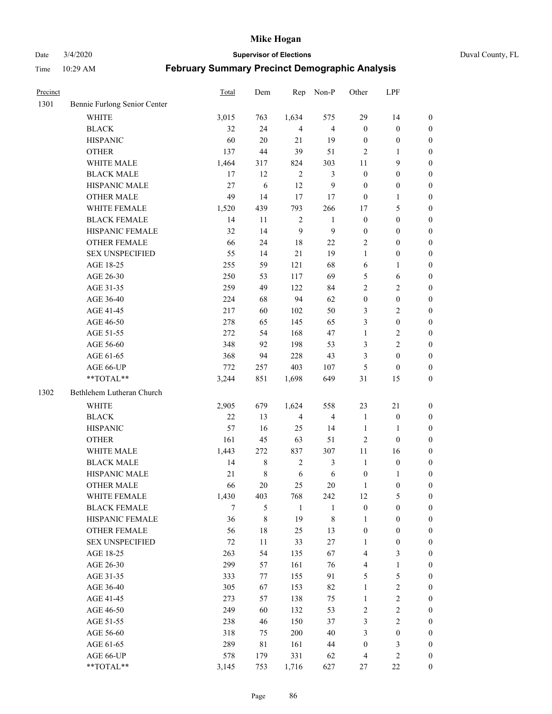Date 3/4/2020 **Supervisor of Elections** Duval County, FL

| Precinct |                              | Total  | Dem         | Rep            | Non-P                   | Other            | LPF              |                  |
|----------|------------------------------|--------|-------------|----------------|-------------------------|------------------|------------------|------------------|
| 1301     | Bennie Furlong Senior Center |        |             |                |                         |                  |                  |                  |
|          | <b>WHITE</b>                 | 3,015  | 763         | 1,634          | 575                     | 29               | 14               | 0                |
|          | <b>BLACK</b>                 | 32     | 24          | $\overline{4}$ | $\overline{4}$          | $\boldsymbol{0}$ | $\boldsymbol{0}$ | 0                |
|          | <b>HISPANIC</b>              | 60     | 20          | 21             | 19                      | $\boldsymbol{0}$ | $\boldsymbol{0}$ | $\boldsymbol{0}$ |
|          | <b>OTHER</b>                 | 137    | 44          | 39             | 51                      | $\overline{2}$   | 1                | $\boldsymbol{0}$ |
|          | WHITE MALE                   | 1,464  | 317         | 824            | 303                     | 11               | 9                | $\boldsymbol{0}$ |
|          | <b>BLACK MALE</b>            | 17     | 12          | $\sqrt{2}$     | $\mathfrak{Z}$          | $\boldsymbol{0}$ | $\boldsymbol{0}$ | $\boldsymbol{0}$ |
|          | HISPANIC MALE                | 27     | 6           | 12             | $\mathbf{9}$            | $\boldsymbol{0}$ | $\boldsymbol{0}$ | $\boldsymbol{0}$ |
|          | <b>OTHER MALE</b>            | 49     | 14          | 17             | 17                      | $\boldsymbol{0}$ | $\mathbf{1}$     | $\boldsymbol{0}$ |
|          | WHITE FEMALE                 | 1,520  | 439         | 793            | 266                     | 17               | $\mathfrak s$    | $\boldsymbol{0}$ |
|          | <b>BLACK FEMALE</b>          | 14     | 11          | $\sqrt{2}$     | $\mathbf{1}$            | $\boldsymbol{0}$ | $\boldsymbol{0}$ | $\boldsymbol{0}$ |
|          | HISPANIC FEMALE              | 32     | 14          | 9              | $\mathbf{9}$            | $\boldsymbol{0}$ | $\boldsymbol{0}$ | 0                |
|          | <b>OTHER FEMALE</b>          | 66     | 24          | 18             | 22                      | 2                | $\boldsymbol{0}$ | $\boldsymbol{0}$ |
|          | <b>SEX UNSPECIFIED</b>       | 55     | 14          | 21             | 19                      | $\mathbf{1}$     | $\boldsymbol{0}$ | $\boldsymbol{0}$ |
|          | AGE 18-25                    | 255    | 59          | 121            | 68                      | 6                | $\mathbf{1}$     | $\boldsymbol{0}$ |
|          | AGE 26-30                    | 250    | 53          | 117            | 69                      | 5                | 6                | $\boldsymbol{0}$ |
|          | AGE 31-35                    | 259    | 49          | 122            | 84                      | $\overline{c}$   | $\sqrt{2}$       | $\boldsymbol{0}$ |
|          | AGE 36-40                    | 224    | 68          | 94             | 62                      | $\boldsymbol{0}$ | $\boldsymbol{0}$ | $\boldsymbol{0}$ |
|          | AGE 41-45                    | 217    | 60          | 102            | 50                      | 3                | $\overline{c}$   | $\boldsymbol{0}$ |
|          | AGE 46-50                    | 278    | 65          | 145            | 65                      | 3                | $\boldsymbol{0}$ | $\boldsymbol{0}$ |
|          | AGE 51-55                    | 272    | 54          | 168            | 47                      | $\mathbf{1}$     | $\sqrt{2}$       | $\boldsymbol{0}$ |
|          | AGE 56-60                    | 348    | 92          | 198            | 53                      | 3                | $\overline{2}$   | 0                |
|          | AGE 61-65                    | 368    | 94          | 228            | 43                      | 3                | $\boldsymbol{0}$ | $\boldsymbol{0}$ |
|          | AGE 66-UP                    | 772    | 257         | 403            | 107                     | 5                | $\boldsymbol{0}$ | $\boldsymbol{0}$ |
|          | **TOTAL**                    | 3,244  | 851         | 1,698          | 649                     | 31               | 15               | $\boldsymbol{0}$ |
|          |                              |        |             |                |                         |                  |                  |                  |
| 1302     | Bethlehem Lutheran Church    |        |             |                |                         |                  |                  |                  |
|          | <b>WHITE</b>                 | 2,905  | 679         | 1,624          | 558                     | 23               | $21\,$           | $\boldsymbol{0}$ |
|          | <b>BLACK</b>                 | 22     | 13          | $\overline{4}$ | $\overline{\mathbf{4}}$ | $\mathbf{1}$     | $\boldsymbol{0}$ | $\boldsymbol{0}$ |
|          | <b>HISPANIC</b>              | 57     | 16          | 25             | 14                      | $\mathbf{1}$     | $\mathbf{1}$     | $\boldsymbol{0}$ |
|          | <b>OTHER</b>                 | 161    | 45          | 63             | 51                      | $\overline{c}$   | $\boldsymbol{0}$ | $\boldsymbol{0}$ |
|          | WHITE MALE                   | 1,443  | 272         | 837            | 307                     | 11               | 16               | $\boldsymbol{0}$ |
|          | <b>BLACK MALE</b>            | 14     | $\,$ 8 $\,$ | $\sqrt{2}$     | $\mathfrak{Z}$          | $\mathbf{1}$     | $\boldsymbol{0}$ | $\boldsymbol{0}$ |
|          | HISPANIC MALE                | 21     | $\,$ 8 $\,$ | 6              | $\sqrt{6}$              | $\boldsymbol{0}$ | 1                | $\boldsymbol{0}$ |
|          | <b>OTHER MALE</b>            | 66     | 20          | 25             | 20                      | $\mathbf{1}$     | $\boldsymbol{0}$ | $\boldsymbol{0}$ |
|          | WHITE FEMALE                 | 1,430  | 403         | 768            | 242                     | 12               | 5                | 0                |
|          | <b>BLACK FEMALE</b>          | $\tau$ | 5           | $\mathbf{1}$   | 1                       | $\boldsymbol{0}$ | $\boldsymbol{0}$ | $\overline{0}$   |
|          | HISPANIC FEMALE              | 36     | 8           | 19             | $\,$ $\,$               | $\mathbf{1}$     | $\boldsymbol{0}$ | $\overline{0}$   |
|          | <b>OTHER FEMALE</b>          | 56     | $18\,$      | 25             | 13                      | $\boldsymbol{0}$ | $\boldsymbol{0}$ | $\overline{0}$   |
|          | <b>SEX UNSPECIFIED</b>       | 72     | 11          | 33             | $27\,$                  | $\mathbf{1}$     | $\boldsymbol{0}$ | 0                |
|          | AGE 18-25                    | 263    | 54          | 135            | 67                      | 4                | $\mathfrak{Z}$   | 0                |
|          | AGE 26-30                    | 299    | 57          | 161            | 76                      | 4                | $\mathbf{1}$     | 0                |
|          | AGE 31-35                    | 333    | 77          | 155            | 91                      | 5                | 5                | 0                |
|          | AGE 36-40                    | 305    | 67          | 153            | 82                      | $\mathbf{1}$     | $\sqrt{2}$       | 0                |
|          | AGE 41-45                    | 273    | 57          | 138            | 75                      | $\mathbf{1}$     | $\sqrt{2}$       | 0                |
|          | AGE 46-50                    | 249    | 60          | 132            | 53                      | 2                | $\sqrt{2}$       | 0                |
|          | AGE 51-55                    | 238    | 46          | 150            | 37                      | 3                | $\overline{c}$   | $\overline{0}$   |
|          | AGE 56-60                    | 318    | 75          | 200            | 40                      | 3                | $\boldsymbol{0}$ | $\overline{0}$   |
|          | AGE 61-65                    | 289    | 81          | 161            | 44                      | $\boldsymbol{0}$ | $\mathfrak{Z}$   | $\overline{0}$   |
|          | AGE 66-UP                    | 578    | 179         | 331            | 62                      | 4                | $\mathfrak{2}$   | 0                |
|          | **TOTAL**                    | 3,145  | 753         | 1,716          | 627                     | 27               | $22\,$           | $\boldsymbol{0}$ |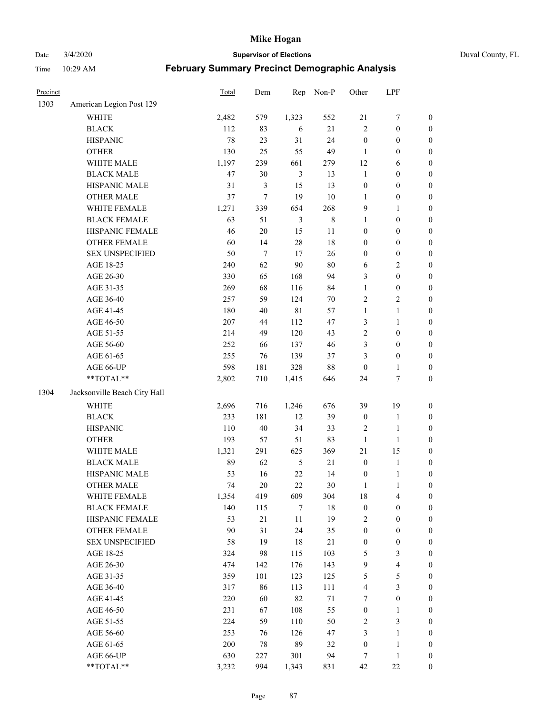Date 3/4/2020 **Supervisor of Elections** Duval County, FL

| Precinct |                                        | Total  | Dem    | Rep            | Non-P       | Other            | LPF                     |                  |
|----------|----------------------------------------|--------|--------|----------------|-------------|------------------|-------------------------|------------------|
| 1303     | American Legion Post 129               |        |        |                |             |                  |                         |                  |
|          | <b>WHITE</b>                           | 2,482  | 579    | 1,323          | 552         | 21               | $\boldsymbol{7}$        | 0                |
|          | <b>BLACK</b>                           | 112    | 83     | 6              | 21          | $\overline{c}$   | $\boldsymbol{0}$        | $\boldsymbol{0}$ |
|          | <b>HISPANIC</b>                        | 78     | 23     | 31             | 24          | $\boldsymbol{0}$ | $\boldsymbol{0}$        | $\boldsymbol{0}$ |
|          | <b>OTHER</b>                           | 130    | 25     | 55             | 49          | 1                | $\boldsymbol{0}$        | $\boldsymbol{0}$ |
|          | WHITE MALE                             | 1,197  | 239    | 661            | 279         | 12               | 6                       | $\boldsymbol{0}$ |
|          | <b>BLACK MALE</b>                      | $47\,$ | 30     | $\mathfrak{Z}$ | 13          | $\mathbf{1}$     | $\boldsymbol{0}$        | $\boldsymbol{0}$ |
|          | HISPANIC MALE                          | 31     | 3      | 15             | 13          | $\boldsymbol{0}$ | $\boldsymbol{0}$        | $\boldsymbol{0}$ |
|          | <b>OTHER MALE</b>                      | 37     | $\tau$ | 19             | $10\,$      | $\mathbf{1}$     | $\boldsymbol{0}$        | $\boldsymbol{0}$ |
|          | WHITE FEMALE                           | 1,271  | 339    | 654            | 268         | 9                | $\mathbf{1}$            | $\boldsymbol{0}$ |
|          | <b>BLACK FEMALE</b>                    | 63     | 51     | $\mathfrak{Z}$ | $\,$ 8 $\,$ | $\mathbf{1}$     | $\boldsymbol{0}$        | $\boldsymbol{0}$ |
|          | HISPANIC FEMALE                        | 46     | $20\,$ | 15             | $11\,$      | $\boldsymbol{0}$ | $\boldsymbol{0}$        | $\boldsymbol{0}$ |
|          | <b>OTHER FEMALE</b>                    | 60     | 14     | $28\,$         | 18          | $\boldsymbol{0}$ | $\boldsymbol{0}$        | $\boldsymbol{0}$ |
|          | <b>SEX UNSPECIFIED</b>                 | 50     | $\tau$ | 17             | 26          | $\boldsymbol{0}$ | $\boldsymbol{0}$        | $\boldsymbol{0}$ |
|          | AGE 18-25                              | 240    | 62     | 90             | $80\,$      | 6                | $\sqrt{2}$              | $\boldsymbol{0}$ |
|          | AGE 26-30                              | 330    | 65     | 168            | 94          | 3                | $\boldsymbol{0}$        | $\boldsymbol{0}$ |
|          | AGE 31-35                              | 269    | 68     | 116            | 84          | $\mathbf{1}$     | $\boldsymbol{0}$        | $\boldsymbol{0}$ |
|          | AGE 36-40                              | 257    | 59     | 124            | $70\,$      | 2                | $\sqrt{2}$              | $\boldsymbol{0}$ |
|          | AGE 41-45                              | 180    | 40     | $8\sqrt{1}$    | 57          | $\mathbf{1}$     | $\mathbf{1}$            | $\boldsymbol{0}$ |
|          | AGE 46-50                              | 207    | 44     | 112            | 47          | 3                | $\mathbf{1}$            | $\boldsymbol{0}$ |
|          | AGE 51-55                              | 214    | 49     | 120            | 43          | 2                | $\boldsymbol{0}$        | $\boldsymbol{0}$ |
|          | AGE 56-60                              | 252    | 66     | 137            | 46          | 3                | $\boldsymbol{0}$        | 0                |
|          | AGE 61-65                              | 255    | 76     | 139            | 37          | 3                | $\boldsymbol{0}$        | $\boldsymbol{0}$ |
|          | AGE 66-UP                              | 598    | 181    | 328            | $88\,$      | $\boldsymbol{0}$ | $\mathbf{1}$            | $\boldsymbol{0}$ |
|          | $\mathrm{*}\mathrm{*} \mathrm{TOTAL}*$ | 2,802  | 710    | 1,415          | 646         | 24               | $\boldsymbol{7}$        | $\boldsymbol{0}$ |
| 1304     | Jacksonville Beach City Hall           |        |        |                |             |                  |                         |                  |
|          | <b>WHITE</b>                           | 2,696  | 716    | 1,246          | 676         | 39               | 19                      | $\boldsymbol{0}$ |
|          | <b>BLACK</b>                           | 233    | 181    | 12             | 39          | $\boldsymbol{0}$ | $\mathbf{1}$            | $\boldsymbol{0}$ |
|          | <b>HISPANIC</b>                        | 110    | 40     | 34             | 33          | 2                | $\mathbf{1}$            | $\boldsymbol{0}$ |
|          | <b>OTHER</b>                           | 193    | 57     | 51             | 83          | $\mathbf{1}$     | $\mathbf{1}$            | $\boldsymbol{0}$ |
|          | WHITE MALE                             | 1,321  | 291    | 625            | 369         | 21               | 15                      | $\boldsymbol{0}$ |
|          | <b>BLACK MALE</b>                      | 89     | 62     | $\sqrt{5}$     | 21          | $\boldsymbol{0}$ | $\mathbf{1}$            | $\boldsymbol{0}$ |
|          | HISPANIC MALE                          | 53     | 16     | $22\,$         | 14          | $\boldsymbol{0}$ | $\mathbf{1}$            | 0                |
|          | <b>OTHER MALE</b>                      | 74     | 20     | 22             | $30\,$      | $\mathbf{1}$     | $\mathbf{1}$            | $\boldsymbol{0}$ |
|          | WHITE FEMALE                           | 1,354  | 419    | 609            | 304         | 18               | 4                       | 0                |
|          | <b>BLACK FEMALE</b>                    | 140    | 115    | 7              | 18          | $\boldsymbol{0}$ | $\boldsymbol{0}$        | $\overline{0}$   |
|          | HISPANIC FEMALE                        | 53     | 21     | $11\,$         | 19          | 2                | $\boldsymbol{0}$        | $\overline{0}$   |
|          | <b>OTHER FEMALE</b>                    | 90     | 31     | 24             | 35          | $\boldsymbol{0}$ | $\boldsymbol{0}$        | $\overline{0}$   |
|          | <b>SEX UNSPECIFIED</b>                 | 58     | 19     | 18             | 21          | $\boldsymbol{0}$ | $\boldsymbol{0}$        | 0                |
|          | AGE 18-25                              | 324    | 98     | 115            | 103         | 5                | $\mathfrak{Z}$          | $\theta$         |
|          | AGE 26-30                              | 474    | 142    | 176            | 143         | 9                | $\overline{\mathbf{4}}$ | 0                |
|          | AGE 31-35                              | 359    | 101    | 123            | 125         | 5                | $\sqrt{5}$              | 0                |
|          | AGE 36-40                              | 317    | 86     | 113            | 111         | 4                | $\mathfrak{Z}$          | 0                |
|          | AGE 41-45                              | 220    | 60     | 82             | $71\,$      | 7                | $\boldsymbol{0}$        | 0                |
|          | AGE 46-50                              | 231    | 67     | 108            | 55          | $\boldsymbol{0}$ | 1                       | 0                |
|          | AGE 51-55                              | 224    | 59     | 110            | 50          | 2                | $\mathfrak{Z}$          | $\overline{0}$   |
|          | AGE 56-60                              | 253    | 76     | 126            | 47          | 3                | $\mathbf{1}$            | $\overline{0}$   |
|          | AGE 61-65                              | 200    | $78\,$ | 89             | 32          | $\boldsymbol{0}$ | $\mathbf{1}$            | $\boldsymbol{0}$ |
|          | AGE 66-UP                              | 630    | 227    | 301            | 94          | 7                | $\mathbf{1}$            | $\boldsymbol{0}$ |
|          | **TOTAL**                              | 3,232  | 994    | 1,343          | 831         | 42               | $22\,$                  | $\boldsymbol{0}$ |
|          |                                        |        |        |                |             |                  |                         |                  |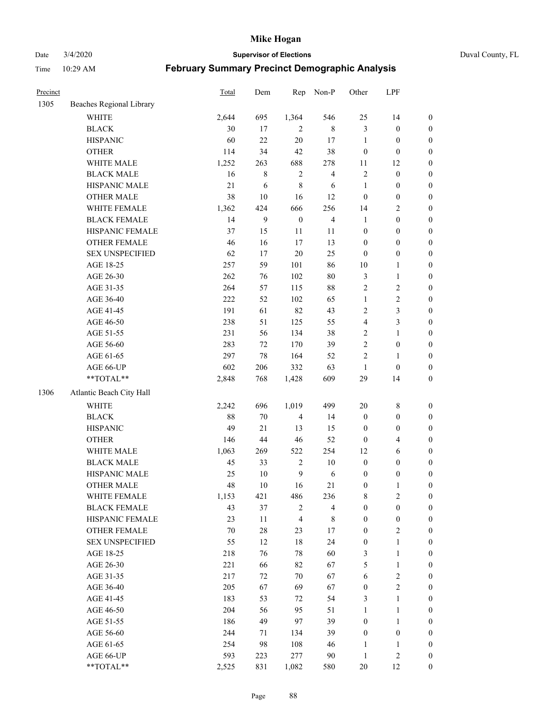Date 3/4/2020 **Supervisor of Elections** Duval County, FL

| Precinct |                                        | Total  | Dem     | Rep              | Non-P                   | Other            | LPF              |                  |
|----------|----------------------------------------|--------|---------|------------------|-------------------------|------------------|------------------|------------------|
| 1305     | Beaches Regional Library               |        |         |                  |                         |                  |                  |                  |
|          | <b>WHITE</b>                           | 2,644  | 695     | 1,364            | 546                     | 25               | 14               | 0                |
|          | <b>BLACK</b>                           | 30     | 17      | 2                | $\,$ 8 $\,$             | 3                | $\boldsymbol{0}$ | 0                |
|          | <b>HISPANIC</b>                        | 60     | 22      | 20               | 17                      | $\mathbf{1}$     | $\boldsymbol{0}$ | $\boldsymbol{0}$ |
|          | <b>OTHER</b>                           | 114    | 34      | 42               | 38                      | $\boldsymbol{0}$ | $\boldsymbol{0}$ | $\boldsymbol{0}$ |
|          | WHITE MALE                             | 1,252  | 263     | 688              | 278                     | 11               | 12               | $\boldsymbol{0}$ |
|          | <b>BLACK MALE</b>                      | 16     | $\,8\,$ | $\sqrt{2}$       | $\overline{\mathbf{4}}$ | $\overline{c}$   | $\boldsymbol{0}$ | $\boldsymbol{0}$ |
|          | HISPANIC MALE                          | 21     | 6       | $\,$ $\,$        | 6                       | $\mathbf{1}$     | $\boldsymbol{0}$ | $\boldsymbol{0}$ |
|          | <b>OTHER MALE</b>                      | 38     | $10\,$  | 16               | 12                      | $\boldsymbol{0}$ | $\boldsymbol{0}$ | $\boldsymbol{0}$ |
|          | WHITE FEMALE                           | 1,362  | 424     | 666              | 256                     | 14               | $\boldsymbol{2}$ | $\boldsymbol{0}$ |
|          | <b>BLACK FEMALE</b>                    | 14     | 9       | $\boldsymbol{0}$ | $\overline{\mathbf{4}}$ | $\mathbf{1}$     | $\boldsymbol{0}$ | $\boldsymbol{0}$ |
|          | HISPANIC FEMALE                        | 37     | 15      | 11               | 11                      | $\boldsymbol{0}$ | $\boldsymbol{0}$ | $\boldsymbol{0}$ |
|          | <b>OTHER FEMALE</b>                    | 46     | 16      | 17               | 13                      | $\boldsymbol{0}$ | $\boldsymbol{0}$ | $\boldsymbol{0}$ |
|          | <b>SEX UNSPECIFIED</b>                 | 62     | 17      | 20               | 25                      | $\boldsymbol{0}$ | $\boldsymbol{0}$ | $\boldsymbol{0}$ |
|          | AGE 18-25                              | 257    | 59      | 101              | 86                      | $10\,$           | $\mathbf{1}$     | $\boldsymbol{0}$ |
|          | AGE 26-30                              | 262    | 76      | 102              | $80\,$                  | 3                | $\mathbf{1}$     | $\boldsymbol{0}$ |
|          | AGE 31-35                              | 264    | 57      | 115              | 88                      | $\overline{c}$   | $\sqrt{2}$       | $\boldsymbol{0}$ |
|          | AGE 36-40                              | 222    | 52      | 102              | 65                      | $\mathbf{1}$     | $\sqrt{2}$       | $\boldsymbol{0}$ |
|          | AGE 41-45                              | 191    | 61      | 82               | 43                      | 2                | 3                | $\boldsymbol{0}$ |
|          | AGE 46-50                              | 238    | 51      | 125              | 55                      | 4                | $\mathfrak{Z}$   | $\boldsymbol{0}$ |
|          | AGE 51-55                              | 231    | 56      | 134              | 38                      | 2                | $\mathbf{1}$     | $\boldsymbol{0}$ |
|          | AGE 56-60                              | 283    | 72      | 170              | 39                      | $\sqrt{2}$       | $\boldsymbol{0}$ | 0                |
|          | AGE 61-65                              | 297    | 78      | 164              | 52                      | $\overline{2}$   | 1                | 0                |
|          | AGE 66-UP                              | 602    | 206     | 332              | 63                      | $\mathbf{1}$     | $\boldsymbol{0}$ | $\boldsymbol{0}$ |
|          | $\mathrm{*}\mathrm{*} \mathrm{TOTAL}*$ | 2,848  | 768     | 1,428            | 609                     | 29               | 14               | $\boldsymbol{0}$ |
| 1306     | Atlantic Beach City Hall               |        |         |                  |                         |                  |                  |                  |
|          | <b>WHITE</b>                           | 2,242  | 696     | 1,019            | 499                     | $20\,$           | $\,$ 8 $\,$      | $\boldsymbol{0}$ |
|          | <b>BLACK</b>                           | 88     | $70\,$  | $\overline{4}$   | 14                      | $\boldsymbol{0}$ | $\boldsymbol{0}$ | $\boldsymbol{0}$ |
|          | <b>HISPANIC</b>                        | 49     | 21      | 13               | 15                      | $\boldsymbol{0}$ | $\boldsymbol{0}$ | $\boldsymbol{0}$ |
|          | <b>OTHER</b>                           | 146    | $44\,$  | 46               | 52                      | $\boldsymbol{0}$ | $\overline{4}$   | $\boldsymbol{0}$ |
|          | WHITE MALE                             | 1,063  | 269     | 522              | 254                     | 12               | $\sqrt{6}$       | $\boldsymbol{0}$ |
|          | <b>BLACK MALE</b>                      | 45     | 33      | $\sqrt{2}$       | $10\,$                  | $\boldsymbol{0}$ | $\boldsymbol{0}$ | $\boldsymbol{0}$ |
|          | HISPANIC MALE                          | 25     | $10\,$  | $\mathbf{9}$     | 6                       | $\boldsymbol{0}$ | $\boldsymbol{0}$ | $\boldsymbol{0}$ |
|          | <b>OTHER MALE</b>                      | 48     | 10      | 16               | 21                      | $\boldsymbol{0}$ | $\mathbf{1}$     | $\boldsymbol{0}$ |
|          | WHITE FEMALE                           | 1,153  | 421     | 486              | 236                     | 8                | 2                | 0                |
|          | <b>BLACK FEMALE</b>                    | 43     | 37      | $\sqrt{2}$       | $\overline{4}$          | $\boldsymbol{0}$ | $\boldsymbol{0}$ | $\boldsymbol{0}$ |
|          | HISPANIC FEMALE                        | 23     | 11      | $\overline{4}$   | $\,$ 8 $\,$             | $\boldsymbol{0}$ | $\boldsymbol{0}$ | $\overline{0}$   |
|          | <b>OTHER FEMALE</b>                    | $70\,$ | $28\,$  | 23               | 17                      | $\boldsymbol{0}$ | $\sqrt{2}$       | 0                |
|          | <b>SEX UNSPECIFIED</b>                 | 55     | 12      | 18               | 24                      | $\boldsymbol{0}$ | $\mathbf{1}$     | 0                |
|          | AGE 18-25                              | 218    | 76      | 78               | 60                      | 3                | $\mathbf{1}$     | 0                |
|          | AGE 26-30                              | 221    | 66      | 82               | 67                      | 5                | $\mathbf{1}$     | 0                |
|          | AGE 31-35                              | 217    | 72      | $70\,$           | 67                      | 6                | $\sqrt{2}$       | 0                |
|          | AGE 36-40                              | 205    | 67      | 69               | 67                      | $\boldsymbol{0}$ | $\sqrt{2}$       | 0                |
|          | AGE 41-45                              | 183    | 53      | 72               | 54                      | 3                | $\mathbf{1}$     | 0                |
|          | AGE 46-50                              | 204    | 56      | 95               | 51                      | 1                | $\mathbf{1}$     | 0                |
|          | AGE 51-55                              | 186    | 49      | 97               | 39                      | $\boldsymbol{0}$ | $\mathbf{1}$     | 0                |
|          | AGE 56-60                              | 244    | 71      | 134              | 39                      | $\boldsymbol{0}$ | $\boldsymbol{0}$ | 0                |
|          | AGE 61-65                              | 254    | 98      | 108              | 46                      | 1                | 1                | 0                |
|          | AGE 66-UP                              | 593    | 223     | 277              | 90                      | $\mathbf{1}$     | $\sqrt{2}$       | 0                |
|          | **TOTAL**                              | 2,525  | 831     | 1,082            | 580                     | $20\,$           | 12               | $\boldsymbol{0}$ |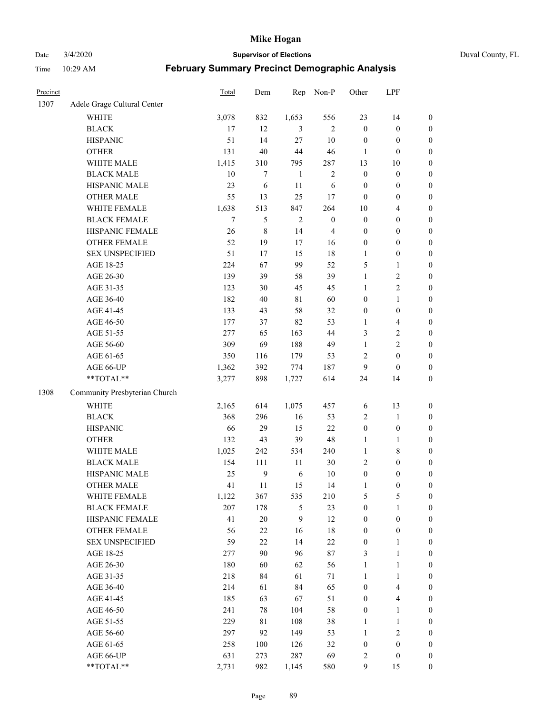Date 3/4/2020 **Supervisor of Elections** Duval County, FL

| Precinct |                                     | Total        | Dem                     | Rep          | Non-P            | Other                                | LPF                                  |                                      |
|----------|-------------------------------------|--------------|-------------------------|--------------|------------------|--------------------------------------|--------------------------------------|--------------------------------------|
| 1307     | Adele Grage Cultural Center         |              |                         |              |                  |                                      |                                      |                                      |
|          | <b>WHITE</b>                        | 3,078        | 832                     | 1,653        | 556              | 23                                   | 14                                   | 0                                    |
|          | <b>BLACK</b>                        | 17           | 12                      | 3            | $\overline{2}$   | $\boldsymbol{0}$                     | $\boldsymbol{0}$                     | $\boldsymbol{0}$                     |
|          | <b>HISPANIC</b>                     | 51           | 14                      | 27           | 10               | $\boldsymbol{0}$                     | $\boldsymbol{0}$                     | $\boldsymbol{0}$                     |
|          | <b>OTHER</b>                        | 131          | 40                      | 44           | 46               | 1                                    | $\boldsymbol{0}$                     | $\boldsymbol{0}$                     |
|          | WHITE MALE                          | 1,415        | 310                     | 795          | 287              | 13                                   | 10                                   | $\boldsymbol{0}$                     |
|          | <b>BLACK MALE</b>                   | 10           | $\tau$                  | $\mathbf{1}$ | $\sqrt{2}$       | $\boldsymbol{0}$                     | $\boldsymbol{0}$                     | $\boldsymbol{0}$                     |
|          | HISPANIC MALE                       | 23           | 6                       | 11           | 6                | $\boldsymbol{0}$                     | $\boldsymbol{0}$                     | $\boldsymbol{0}$                     |
|          | <b>OTHER MALE</b>                   | 55           | 13                      | 25           | 17               | $\boldsymbol{0}$                     | $\boldsymbol{0}$                     | $\boldsymbol{0}$                     |
|          | WHITE FEMALE                        | 1,638        | 513                     | 847          | 264              | 10                                   | $\overline{4}$                       | $\boldsymbol{0}$                     |
|          | <b>BLACK FEMALE</b>                 | 7            | 5                       | $\sqrt{2}$   | $\boldsymbol{0}$ | $\boldsymbol{0}$                     | $\boldsymbol{0}$                     | $\boldsymbol{0}$                     |
|          | HISPANIC FEMALE                     | 26           | $\,$ 8 $\,$             | 14           | $\overline{4}$   | $\boldsymbol{0}$                     | $\boldsymbol{0}$                     | $\boldsymbol{0}$                     |
|          | OTHER FEMALE                        | 52           | 19                      | 17           | 16               | $\boldsymbol{0}$                     | $\boldsymbol{0}$                     | $\boldsymbol{0}$                     |
|          | <b>SEX UNSPECIFIED</b>              | 51           | 17                      | 15           | 18               | $\mathbf{1}$                         | $\boldsymbol{0}$                     | $\boldsymbol{0}$                     |
|          | AGE 18-25                           | 224          | 67                      | 99           | 52               | 5                                    | $\mathbf{1}$                         | $\boldsymbol{0}$                     |
|          | AGE 26-30                           | 139          | 39                      | 58           | 39               | 1                                    | $\sqrt{2}$                           | $\boldsymbol{0}$                     |
|          | AGE 31-35                           | 123          | 30                      | 45           | 45               | $\mathbf{1}$                         | $\sqrt{2}$                           | $\boldsymbol{0}$                     |
|          | AGE 36-40                           | 182          | $40\,$                  | $8\sqrt{1}$  | 60               | 0                                    | $\mathbf{1}$                         | $\boldsymbol{0}$                     |
|          | AGE 41-45                           | 133          | 43                      | 58           | 32               | $\boldsymbol{0}$                     | $\boldsymbol{0}$                     | $\boldsymbol{0}$                     |
|          | AGE 46-50                           | 177          | 37                      | 82           | 53               | 1                                    | $\overline{\mathbf{4}}$              | $\boldsymbol{0}$                     |
|          | AGE 51-55                           | 277          | 65                      | 163          | 44               | 3                                    | $\sqrt{2}$                           | $\boldsymbol{0}$                     |
|          | AGE 56-60                           | 309          | 69                      | 188          | 49               | $\mathbf{1}$                         | $\sqrt{2}$                           | 0                                    |
|          | AGE 61-65                           | 350          | 116                     | 179          | 53               | 2                                    | $\boldsymbol{0}$                     | $\boldsymbol{0}$                     |
|          | AGE 66-UP                           | 1,362        | 392                     | 774          | 187              | 9                                    | $\boldsymbol{0}$                     | $\boldsymbol{0}$                     |
|          | **TOTAL**                           | 3,277        | 898                     | 1,727        | 614              | 24                                   | 14                                   | $\boldsymbol{0}$                     |
| 1308     | Community Presbyterian Church       |              |                         |              |                  |                                      |                                      |                                      |
|          | <b>WHITE</b>                        |              | 614                     |              | 457              |                                      | 13                                   |                                      |
|          |                                     | 2,165        |                         | 1,075        |                  | 6                                    |                                      | $\boldsymbol{0}$                     |
|          | <b>BLACK</b><br><b>HISPANIC</b>     | 368<br>66    | 296<br>29               | 16<br>15     | 53<br>22         | 2<br>$\boldsymbol{0}$                | $\mathbf{1}$<br>$\boldsymbol{0}$     | $\boldsymbol{0}$                     |
|          | <b>OTHER</b>                        | 132          | 43                      | 39           | 48               |                                      |                                      | $\boldsymbol{0}$                     |
|          | WHITE MALE                          |              | 242                     | 534          | 240              | $\mathbf{1}$<br>$\mathbf{1}$         | $\mathbf{1}$<br>$\,$ 8 $\,$          | $\boldsymbol{0}$                     |
|          | <b>BLACK MALE</b>                   | 1,025<br>154 |                         | $11\,$       | $30\,$           | 2                                    | $\boldsymbol{0}$                     | $\boldsymbol{0}$<br>$\boldsymbol{0}$ |
|          | HISPANIC MALE                       | 25           | 111<br>$\boldsymbol{9}$ |              | 10               |                                      |                                      |                                      |
|          | <b>OTHER MALE</b>                   | 41           | 11                      | 6<br>15      | 14               | $\boldsymbol{0}$<br>1                | $\boldsymbol{0}$<br>$\boldsymbol{0}$ | $\boldsymbol{0}$<br>$\boldsymbol{0}$ |
|          |                                     |              |                         |              |                  |                                      |                                      | 0                                    |
|          | WHITE FEMALE<br><b>BLACK FEMALE</b> | 1,122<br>207 | 367                     | 535          | 210              | 5                                    | 5<br>$\mathbf{1}$                    | $\boldsymbol{0}$                     |
|          | HISPANIC FEMALE                     | 41           | 178<br>20               | 5<br>9       | 23<br>12         | $\boldsymbol{0}$<br>$\boldsymbol{0}$ | $\boldsymbol{0}$                     | $\overline{0}$                       |
|          | OTHER FEMALE                        | 56           | $22\,$                  | 16           | 18               | $\boldsymbol{0}$                     | $\boldsymbol{0}$                     | $\overline{0}$                       |
|          | <b>SEX UNSPECIFIED</b>              | 59           | $22\,$                  | 14           | $22\,$           | $\boldsymbol{0}$                     | $\mathbf{1}$                         | 0                                    |
|          | AGE 18-25                           | 277          | 90                      | 96           | 87               | 3                                    | $\mathbf{1}$                         | 0                                    |
|          | AGE 26-30                           | 180          | 60                      | 62           | 56               | $\mathbf{1}$                         | $\mathbf{1}$                         | 0                                    |
|          | AGE 31-35                           | 218          | 84                      | 61           | 71               | 1                                    | $\mathbf{1}$                         | 0                                    |
|          | AGE 36-40                           | 214          | 61                      | 84           | 65               | $\boldsymbol{0}$                     | $\overline{\mathcal{A}}$             | 0                                    |
|          | AGE 41-45                           | 185          | 63                      | 67           | 51               | 0                                    | $\overline{4}$                       | 0                                    |
|          | AGE 46-50                           | 241          | 78                      | 104          | 58               | 0                                    | $\mathbf{1}$                         | 0                                    |
|          |                                     |              |                         |              |                  |                                      |                                      |                                      |
|          | AGE 51-55<br>AGE 56-60              | 229<br>297   | 81<br>92                | 108<br>149   | 38<br>53         | $\mathbf{1}$<br>$\mathbf{1}$         | $\mathbf{1}$<br>$\sqrt{2}$           | 0<br>$\overline{0}$                  |
|          | AGE 61-65                           | 258          | 100                     | 126          | 32               | $\boldsymbol{0}$                     | $\boldsymbol{0}$                     | $\overline{0}$                       |
|          | AGE 66-UP                           | 631          | 273                     | 287          | 69               | 2                                    | $\boldsymbol{0}$                     | $\boldsymbol{0}$                     |
|          | **TOTAL**                           | 2,731        |                         |              |                  | 9                                    |                                      | $\boldsymbol{0}$                     |
|          |                                     |              | 982                     | 1,145        | 580              |                                      | 15                                   |                                      |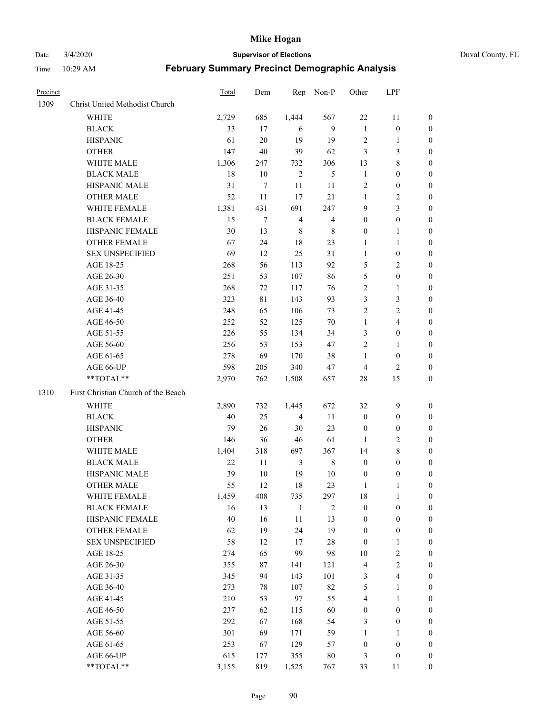Date 3/4/2020 **Supervisor of Elections** Duval County, FL

| Precinct |                                     | Total | Dem         | Rep            | Non-P          | Other            | LPF              |                  |
|----------|-------------------------------------|-------|-------------|----------------|----------------|------------------|------------------|------------------|
| 1309     | Christ United Methodist Church      |       |             |                |                |                  |                  |                  |
|          | <b>WHITE</b>                        | 2,729 | 685         | 1,444          | 567            | $22\,$           | 11               | 0                |
|          | <b>BLACK</b>                        | 33    | 17          | 6              | 9              | $\mathbf{1}$     | $\boldsymbol{0}$ | 0                |
|          | <b>HISPANIC</b>                     | 61    | 20          | 19             | 19             | $\overline{2}$   | $\mathbf{1}$     | 0                |
|          | <b>OTHER</b>                        | 147   | 40          | 39             | 62             | 3                | $\mathfrak{Z}$   | $\boldsymbol{0}$ |
|          | WHITE MALE                          | 1,306 | 247         | 732            | 306            | 13               | $\,$ 8 $\,$      | $\boldsymbol{0}$ |
|          | <b>BLACK MALE</b>                   | 18    | 10          | $\sqrt{2}$     | 5              | $\mathbf{1}$     | $\boldsymbol{0}$ | $\boldsymbol{0}$ |
|          | HISPANIC MALE                       | 31    | 7           | 11             | 11             | 2                | $\boldsymbol{0}$ | $\boldsymbol{0}$ |
|          | <b>OTHER MALE</b>                   | 52    | 11          | 17             | 21             | $\mathbf{1}$     | $\overline{2}$   | $\boldsymbol{0}$ |
|          | WHITE FEMALE                        | 1,381 | 431         | 691            | 247            | 9                | 3                | $\boldsymbol{0}$ |
|          | <b>BLACK FEMALE</b>                 | 15    | 7           | $\overline{4}$ | $\overline{4}$ | $\boldsymbol{0}$ | $\boldsymbol{0}$ | 0                |
|          | HISPANIC FEMALE                     | 30    | 13          | 8              | $\,$ 8 $\,$    | $\boldsymbol{0}$ | 1                | 0                |
|          | <b>OTHER FEMALE</b>                 | 67    | 24          | 18             | 23             | 1                | $\mathbf{1}$     | 0                |
|          | <b>SEX UNSPECIFIED</b>              | 69    | 12          | 25             | 31             | $\mathbf{1}$     | $\boldsymbol{0}$ | $\boldsymbol{0}$ |
|          | AGE 18-25                           | 268   | 56          | 113            | 92             | 5                | $\sqrt{2}$       | $\boldsymbol{0}$ |
|          | AGE 26-30                           | 251   | 53          | 107            | 86             | 5                | $\boldsymbol{0}$ | $\boldsymbol{0}$ |
|          | AGE 31-35                           | 268   | $72\,$      | 117            | 76             | $\overline{c}$   | $\mathbf{1}$     | $\boldsymbol{0}$ |
|          | AGE 36-40                           | 323   | $8\sqrt{1}$ | 143            | 93             | 3                | $\mathfrak{Z}$   | $\boldsymbol{0}$ |
|          | AGE 41-45                           | 248   | 65          | 106            | 73             | $\overline{c}$   | $\overline{2}$   | $\boldsymbol{0}$ |
|          | AGE 46-50                           | 252   | 52          | 125            | $70\,$         | $\mathbf{1}$     | $\overline{4}$   | $\boldsymbol{0}$ |
|          | AGE 51-55                           | 226   | 55          | 134            | 34             | 3                | $\boldsymbol{0}$ | 0                |
|          | AGE 56-60                           | 256   | 53          | 153            | 47             | $\overline{c}$   | 1                | 0                |
|          | AGE 61-65                           | 278   | 69          | 170            | 38             | 1                | $\boldsymbol{0}$ | 0                |
|          | AGE 66-UP                           | 598   | 205         | 340            | 47             | 4                | $\overline{2}$   | 0                |
|          | **TOTAL**                           | 2,970 | 762         | 1,508          | 657            | 28               | 15               | $\boldsymbol{0}$ |
| 1310     | First Christian Church of the Beach |       |             |                |                |                  |                  |                  |
|          | <b>WHITE</b>                        | 2,890 | 732         | 1,445          | 672            | 32               | $\boldsymbol{9}$ | $\boldsymbol{0}$ |
|          | <b>BLACK</b>                        | 40    | 25          | $\overline{4}$ | 11             | $\boldsymbol{0}$ | $\boldsymbol{0}$ | $\boldsymbol{0}$ |
|          | <b>HISPANIC</b>                     | 79    | 26          | 30             | 23             | $\boldsymbol{0}$ | $\boldsymbol{0}$ | $\boldsymbol{0}$ |
|          | <b>OTHER</b>                        | 146   | 36          | 46             | 61             | 1                | $\sqrt{2}$       | $\boldsymbol{0}$ |
|          | WHITE MALE                          | 1,404 | 318         | 697            | 367            | 14               | $\,$ 8 $\,$      | $\boldsymbol{0}$ |
|          | <b>BLACK MALE</b>                   | 22    | 11          | 3              | $\,$ 8 $\,$    | $\boldsymbol{0}$ | $\boldsymbol{0}$ | $\boldsymbol{0}$ |
|          | HISPANIC MALE                       | 39    | $10\,$      | 19             | $10\,$         | $\boldsymbol{0}$ | $\boldsymbol{0}$ | 0                |
|          | <b>OTHER MALE</b>                   | 55    | 12          | 18             | 23             | 1                | 1                | 0                |
|          | WHITE FEMALE                        | 1,459 | 408         | 735            | 297            | 18               | 1                | 0                |
|          | <b>BLACK FEMALE</b>                 | 16    | 13          | $\mathbf{1}$   | $\overline{c}$ | $\boldsymbol{0}$ | $\boldsymbol{0}$ | $\overline{0}$   |
|          | HISPANIC FEMALE                     | 40    | 16          | $11\,$         | 13             | $\boldsymbol{0}$ | $\boldsymbol{0}$ | $\overline{0}$   |
|          | <b>OTHER FEMALE</b>                 | 62    | 19          | 24             | 19             | $\boldsymbol{0}$ | $\boldsymbol{0}$ | $\overline{0}$   |
|          | <b>SEX UNSPECIFIED</b>              | 58    | 12          | 17             | $28\,$         | $\boldsymbol{0}$ | $\mathbf{1}$     | 0                |
|          | AGE 18-25                           | 274   | 65          | 99             | 98             | $10\,$           | $\sqrt{2}$       | 0                |
|          | AGE 26-30                           | 355   | $87\,$      | 141            | 121            | 4                | $\sqrt{2}$       | 0                |
|          | AGE 31-35                           | 345   | 94          | 143            | 101            | 3                | $\overline{4}$   | 0                |
|          | AGE 36-40                           | 273   | 78          | 107            | 82             | 5                | $\mathbf{1}$     | 0                |
|          | AGE 41-45                           | 210   | 53          | 97             | 55             | 4                | $\mathbf{1}$     | 0                |
|          | AGE 46-50                           | 237   | 62          | 115            | 60             | $\boldsymbol{0}$ | $\boldsymbol{0}$ | 0                |
|          | AGE 51-55                           | 292   | 67          | 168            | 54             | 3                | $\boldsymbol{0}$ | 0                |
|          | AGE 56-60                           | 301   | 69          | 171            | 59             | $\mathbf{1}$     | 1                | 0                |
|          | AGE 61-65                           | 253   | 67          | 129            | 57             | $\boldsymbol{0}$ | $\boldsymbol{0}$ | $\overline{0}$   |
|          | AGE 66-UP                           | 615   | 177         | 355            | $80\,$         | 3                | $\boldsymbol{0}$ | 0                |
|          | **TOTAL**                           | 3,155 | 819         | 1,525          | 767            | 33               | 11               | $\boldsymbol{0}$ |
|          |                                     |       |             |                |                |                  |                  |                  |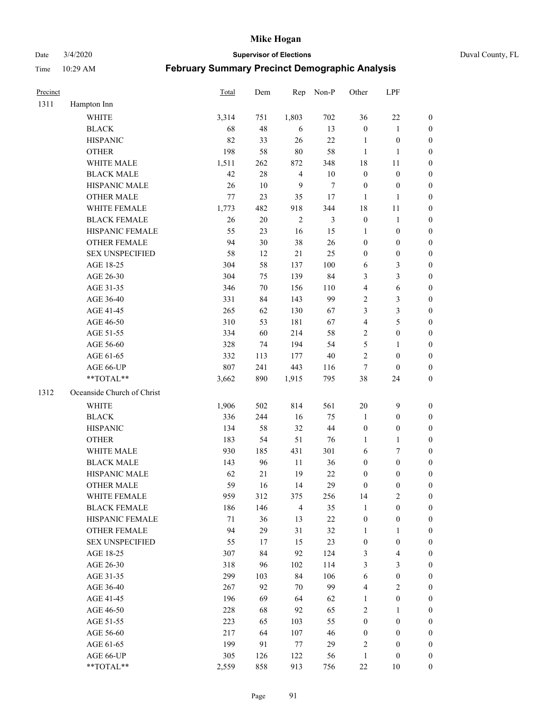Date 3/4/2020 **Supervisor of Elections** Duval County, FL

| Precinct |                            | Total | Dem    | Rep            | Non-P          | Other            | LPF              |                  |
|----------|----------------------------|-------|--------|----------------|----------------|------------------|------------------|------------------|
| 1311     | Hampton Inn                |       |        |                |                |                  |                  |                  |
|          | <b>WHITE</b>               | 3,314 | 751    | 1,803          | 702            | 36               | $22\,$           | 0                |
|          | <b>BLACK</b>               | 68    | 48     | 6              | 13             | $\boldsymbol{0}$ | $\mathbf{1}$     | 0                |
|          | <b>HISPANIC</b>            | 82    | 33     | 26             | 22             | $\mathbf{1}$     | $\boldsymbol{0}$ | $\boldsymbol{0}$ |
|          | <b>OTHER</b>               | 198   | 58     | $80\,$         | 58             | $\mathbf{1}$     | $\mathbf{1}$     | $\boldsymbol{0}$ |
|          | WHITE MALE                 | 1,511 | 262    | 872            | 348            | 18               | 11               | $\boldsymbol{0}$ |
|          | <b>BLACK MALE</b>          | 42    | 28     | $\overline{4}$ | $10\,$         | $\boldsymbol{0}$ | $\boldsymbol{0}$ | $\boldsymbol{0}$ |
|          | HISPANIC MALE              | 26    | 10     | 9              | 7              | $\boldsymbol{0}$ | $\boldsymbol{0}$ | $\boldsymbol{0}$ |
|          | <b>OTHER MALE</b>          | 77    | 23     | 35             | 17             | $\mathbf{1}$     | $\mathbf{1}$     | $\boldsymbol{0}$ |
|          | WHITE FEMALE               | 1,773 | 482    | 918            | 344            | 18               | 11               | $\boldsymbol{0}$ |
|          | <b>BLACK FEMALE</b>        | 26    | $20\,$ | $\sqrt{2}$     | $\mathfrak{Z}$ | $\boldsymbol{0}$ | $\mathbf{1}$     | 0                |
|          | HISPANIC FEMALE            | 55    | 23     | 16             | 15             | 1                | $\boldsymbol{0}$ | 0                |
|          | <b>OTHER FEMALE</b>        | 94    | $30\,$ | 38             | 26             | $\boldsymbol{0}$ | $\boldsymbol{0}$ | $\boldsymbol{0}$ |
|          | <b>SEX UNSPECIFIED</b>     | 58    | 12     | 21             | 25             | $\boldsymbol{0}$ | $\boldsymbol{0}$ | $\boldsymbol{0}$ |
|          | AGE 18-25                  | 304   | 58     | 137            | 100            | 6                | $\mathfrak{Z}$   | $\boldsymbol{0}$ |
|          | AGE 26-30                  | 304   | 75     | 139            | 84             | 3                | 3                | $\boldsymbol{0}$ |
|          | AGE 31-35                  | 346   | $70\,$ | 156            | 110            | 4                | 6                | $\boldsymbol{0}$ |
|          | AGE 36-40                  | 331   | 84     | 143            | 99             | 2                | $\mathfrak{Z}$   | $\boldsymbol{0}$ |
|          | AGE 41-45                  | 265   | 62     | 130            | 67             | 3                | 3                | $\boldsymbol{0}$ |
|          | AGE 46-50                  | 310   | 53     | 181            | 67             | 4                | 5                | $\boldsymbol{0}$ |
|          | AGE 51-55                  | 334   | 60     | 214            | 58             | 2                | $\boldsymbol{0}$ | $\boldsymbol{0}$ |
|          | AGE 56-60                  | 328   | 74     | 194            | 54             | 5                | 1                | 0                |
|          | AGE 61-65                  | 332   | 113    | 177            | $40\,$         | $\overline{c}$   | $\boldsymbol{0}$ | $\boldsymbol{0}$ |
|          | AGE 66-UP                  | 807   | 241    | 443            | 116            | $\tau$           | $\boldsymbol{0}$ | $\boldsymbol{0}$ |
|          | **TOTAL**                  | 3,662 | 890    | 1,915          | 795            | 38               | 24               | $\boldsymbol{0}$ |
| 1312     | Oceanside Church of Christ |       |        |                |                |                  |                  |                  |
|          | <b>WHITE</b>               | 1,906 | 502    | 814            | 561            | $20\,$           | $\boldsymbol{9}$ | $\boldsymbol{0}$ |
|          | <b>BLACK</b>               | 336   | 244    | 16             | 75             | $\mathbf{1}$     | $\boldsymbol{0}$ | $\boldsymbol{0}$ |
|          | <b>HISPANIC</b>            | 134   | 58     | 32             | 44             | $\boldsymbol{0}$ | $\boldsymbol{0}$ | $\boldsymbol{0}$ |
|          | <b>OTHER</b>               | 183   | 54     | 51             | 76             | 1                | 1                | $\boldsymbol{0}$ |
|          | WHITE MALE                 | 930   | 185    | 431            | 301            | 6                | 7                | $\boldsymbol{0}$ |
|          | <b>BLACK MALE</b>          | 143   | 96     | 11             | 36             | $\boldsymbol{0}$ | $\boldsymbol{0}$ | $\boldsymbol{0}$ |
|          | HISPANIC MALE              | 62    | 21     | 19             | $22\,$         | $\boldsymbol{0}$ | $\boldsymbol{0}$ | 0                |
|          | <b>OTHER MALE</b>          | 59    | 16     | 14             | 29             | $\boldsymbol{0}$ | $\boldsymbol{0}$ | $\boldsymbol{0}$ |
|          | WHITE FEMALE               | 959   | 312    | 375            | 256            | 14               | $\overline{c}$   | 0                |
|          | <b>BLACK FEMALE</b>        | 186   | 146    | $\overline{4}$ | 35             | $\mathbf{1}$     | $\boldsymbol{0}$ | $\overline{0}$   |
|          | HISPANIC FEMALE            | 71    | 36     | 13             | $22\,$         | $\boldsymbol{0}$ | $\boldsymbol{0}$ | $\overline{0}$   |
|          | <b>OTHER FEMALE</b>        | 94    | 29     | 31             | 32             | $\mathbf{1}$     | $\mathbf{1}$     | $\overline{0}$   |
|          | <b>SEX UNSPECIFIED</b>     | 55    | 17     | 15             | 23             | $\boldsymbol{0}$ | $\boldsymbol{0}$ | 0                |
|          | AGE 18-25                  | 307   | 84     | 92             | 124            | 3                | $\overline{4}$   | 0                |
|          | AGE 26-30                  | 318   | 96     | 102            | 114            | 3                | $\mathfrak{Z}$   | 0                |
|          | AGE 31-35                  | 299   | 103    | 84             | 106            | 6                | $\boldsymbol{0}$ | 0                |
|          | AGE 36-40                  | 267   | 92     | 70             | 99             | 4                | $\sqrt{2}$       | 0                |
|          | AGE 41-45                  | 196   | 69     | 64             | 62             | $\mathbf{1}$     | $\boldsymbol{0}$ | 0                |
|          | AGE 46-50                  | 228   | 68     | 92             | 65             | 2                | 1                | 0                |
|          | AGE 51-55                  | 223   | 65     | 103            | 55             | $\boldsymbol{0}$ | $\boldsymbol{0}$ | 0                |
|          | AGE 56-60                  | 217   | 64     | 107            | 46             | $\boldsymbol{0}$ | $\boldsymbol{0}$ | 0                |
|          | AGE 61-65                  | 199   | 91     | 77             | 29             | 2                | $\boldsymbol{0}$ | $\overline{0}$   |
|          | AGE 66-UP                  | 305   | 126    | 122            | 56             | $\mathbf{1}$     | $\boldsymbol{0}$ | 0                |
|          | **TOTAL**                  | 2,559 | 858    | 913            | 756            | $22\,$           | 10               | $\boldsymbol{0}$ |
|          |                            |       |        |                |                |                  |                  |                  |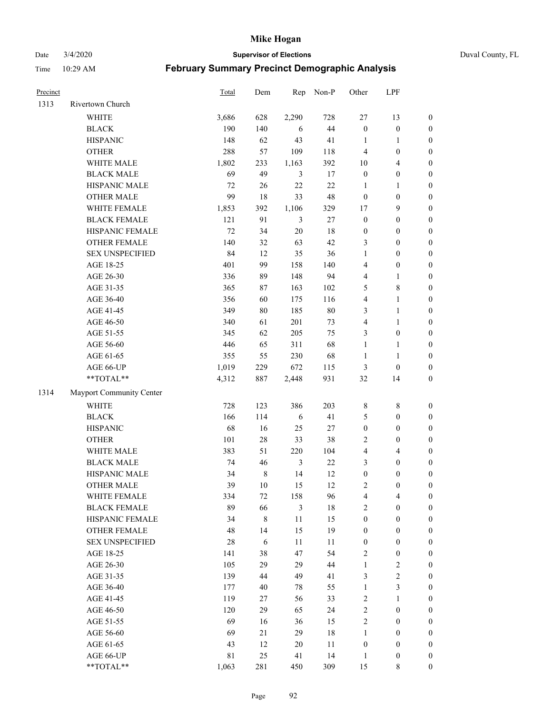Date 3/4/2020 **Supervisor of Elections** Duval County, FL

| Precinct |                          | Total       | Dem         | Rep            | Non-P  | Other                   | LPF              |                  |
|----------|--------------------------|-------------|-------------|----------------|--------|-------------------------|------------------|------------------|
| 1313     | Rivertown Church         |             |             |                |        |                         |                  |                  |
|          | <b>WHITE</b>             | 3,686       | 628         | 2,290          | 728    | $27\,$                  | 13               | 0                |
|          | <b>BLACK</b>             | 190         | 140         | 6              | 44     | $\boldsymbol{0}$        | $\boldsymbol{0}$ | $\boldsymbol{0}$ |
|          | <b>HISPANIC</b>          | 148         | 62          | 43             | 41     | $\mathbf{1}$            | $\mathbf{1}$     | $\boldsymbol{0}$ |
|          | <b>OTHER</b>             | 288         | 57          | 109            | 118    | 4                       | $\boldsymbol{0}$ | $\boldsymbol{0}$ |
|          | WHITE MALE               | 1,802       | 233         | 1,163          | 392    | 10                      | $\overline{4}$   | $\boldsymbol{0}$ |
|          | <b>BLACK MALE</b>        | 69          | 49          | $\mathfrak{Z}$ | 17     | $\boldsymbol{0}$        | $\boldsymbol{0}$ | $\boldsymbol{0}$ |
|          | HISPANIC MALE            | 72          | 26          | 22             | 22     | $\mathbf{1}$            | $\mathbf{1}$     | $\boldsymbol{0}$ |
|          | <b>OTHER MALE</b>        | 99          | $18\,$      | 33             | 48     | $\boldsymbol{0}$        | $\boldsymbol{0}$ | $\boldsymbol{0}$ |
|          | WHITE FEMALE             | 1,853       | 392         | 1,106          | 329    | 17                      | $\mathbf{9}$     | $\boldsymbol{0}$ |
|          | <b>BLACK FEMALE</b>      | 121         | 91          | 3              | $27\,$ | $\boldsymbol{0}$        | $\boldsymbol{0}$ | $\boldsymbol{0}$ |
|          | HISPANIC FEMALE          | 72          | 34          | 20             | 18     | $\boldsymbol{0}$        | $\boldsymbol{0}$ | 0                |
|          | <b>OTHER FEMALE</b>      | 140         | 32          | 63             | 42     | 3                       | $\boldsymbol{0}$ | $\boldsymbol{0}$ |
|          | <b>SEX UNSPECIFIED</b>   | 84          | 12          | 35             | 36     | $\mathbf{1}$            | $\boldsymbol{0}$ | $\boldsymbol{0}$ |
|          | AGE 18-25                | 401         | 99          | 158            | 140    | 4                       | $\boldsymbol{0}$ | $\boldsymbol{0}$ |
|          | AGE 26-30                | 336         | 89          | 148            | 94     | 4                       | $\mathbf{1}$     | $\boldsymbol{0}$ |
|          | AGE 31-35                | 365         | 87          | 163            | 102    | 5                       | $\,8\,$          | $\boldsymbol{0}$ |
|          | AGE 36-40                | 356         | 60          | 175            | 116    | 4                       | $\mathbf{1}$     | $\boldsymbol{0}$ |
|          | AGE 41-45                | 349         | $80\,$      | 185            | $80\,$ | 3                       | $\mathbf{1}$     | $\boldsymbol{0}$ |
|          | AGE 46-50                | 340         | 61          | 201            | 73     | 4                       | $\mathbf{1}$     | $\boldsymbol{0}$ |
|          | AGE 51-55                | 345         | 62          | 205            | 75     | 3                       | $\boldsymbol{0}$ | 0                |
|          | AGE 56-60                | 446         | 65          | 311            | 68     | $\mathbf{1}$            | 1                | 0                |
|          | AGE 61-65                | 355         | 55          | 230            | 68     | $\mathbf{1}$            | $\mathbf{1}$     | 0                |
|          | AGE 66-UP                | 1,019       | 229         | 672            | 115    | 3                       | $\boldsymbol{0}$ | $\boldsymbol{0}$ |
|          | **TOTAL**                | 4,312       | 887         | 2,448          | 931    | $32\,$                  | 14               | $\boldsymbol{0}$ |
| 1314     | Mayport Community Center |             |             |                |        |                         |                  |                  |
|          | <b>WHITE</b>             | 728         | 123         | 386            | 203    | $\,$ 8 $\,$             | $\,$ 8 $\,$      | $\boldsymbol{0}$ |
|          | <b>BLACK</b>             | 166         | 114         | 6              | 41     | 5                       | $\boldsymbol{0}$ | $\boldsymbol{0}$ |
|          | <b>HISPANIC</b>          | 68          | 16          | 25             | $27\,$ | $\boldsymbol{0}$        | $\boldsymbol{0}$ | $\boldsymbol{0}$ |
|          | <b>OTHER</b>             | 101         | $28\,$      | 33             | 38     | 2                       | $\boldsymbol{0}$ | $\boldsymbol{0}$ |
|          | WHITE MALE               | 383         | 51          | 220            | 104    | $\overline{\mathbf{4}}$ | $\overline{4}$   | $\boldsymbol{0}$ |
|          | <b>BLACK MALE</b>        | 74          | 46          | $\mathfrak{Z}$ | $22\,$ | 3                       | $\boldsymbol{0}$ | $\boldsymbol{0}$ |
|          | HISPANIC MALE            | 34          | $\,$ 8 $\,$ | 14             | 12     | $\boldsymbol{0}$        | $\boldsymbol{0}$ | $\boldsymbol{0}$ |
|          | <b>OTHER MALE</b>        | 39          | 10          | 15             | 12     | 2                       | $\boldsymbol{0}$ | $\boldsymbol{0}$ |
|          | WHITE FEMALE             | 334         | 72          | 158            | 96     | 4                       | 4                | 0                |
|          | <b>BLACK FEMALE</b>      | 89          | 66          | 3              | 18     | $\overline{c}$          | $\boldsymbol{0}$ | $\overline{0}$   |
|          | HISPANIC FEMALE          | 34          | $\,$ 8 $\,$ | 11             | 15     | $\boldsymbol{0}$        | $\boldsymbol{0}$ | $\overline{0}$   |
|          | <b>OTHER FEMALE</b>      | 48          | 14          | 15             | 19     | $\boldsymbol{0}$        | $\boldsymbol{0}$ | $\overline{0}$   |
|          | <b>SEX UNSPECIFIED</b>   | 28          | 6           | 11             | 11     | $\boldsymbol{0}$        | $\boldsymbol{0}$ | 0                |
|          | AGE 18-25                | 141         | 38          | 47             | 54     | 2                       | $\boldsymbol{0}$ | 0                |
|          | AGE 26-30                | 105         | 29          | 29             | 44     | $\mathbf{1}$            | $\boldsymbol{2}$ | 0                |
|          | AGE 31-35                | 139         | 44          | 49             | 41     | 3                       | $\sqrt{2}$       | 0                |
|          | AGE 36-40                | 177         | 40          | 78             | 55     | $\mathbf{1}$            | $\mathfrak{Z}$   | 0                |
|          | AGE 41-45                | 119         | 27          | 56             | 33     | 2                       | $\mathbf{1}$     | 0                |
|          | AGE 46-50                | 120         | 29          | 65             | 24     | 2                       | $\boldsymbol{0}$ | 0                |
|          | AGE 51-55                | 69          | 16          | 36             | 15     | $\overline{c}$          | $\boldsymbol{0}$ | 0                |
|          | AGE 56-60                | 69          | 21          | 29             | 18     | 1                       | $\boldsymbol{0}$ | 0                |
|          | AGE 61-65                | 43          | 12          | 20             | 11     | $\boldsymbol{0}$        | $\boldsymbol{0}$ | 0                |
|          | AGE 66-UP                | $8\sqrt{1}$ | 25          | 41             | 14     | $\mathbf{1}$            | $\boldsymbol{0}$ | 0                |
|          | **TOTAL**                | 1,063       | 281         | 450            | 309    | 15                      | 8                | $\boldsymbol{0}$ |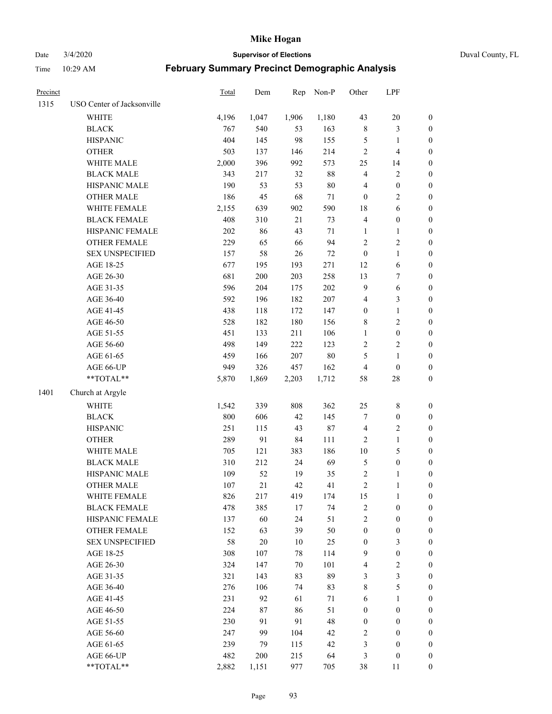Date 3/4/2020 **Supervisor of Elections** Duval County, FL

| Precinct |                            | Total | Dem    | Rep    | Non-P  | Other                    | LPF              |                  |
|----------|----------------------------|-------|--------|--------|--------|--------------------------|------------------|------------------|
| 1315     | USO Center of Jacksonville |       |        |        |        |                          |                  |                  |
|          | <b>WHITE</b>               | 4,196 | 1,047  | 1,906  | 1,180  | 43                       | 20               | 0                |
|          | <b>BLACK</b>               | 767   | 540    | 53     | 163    | 8                        | $\mathfrak{Z}$   | 0                |
|          | <b>HISPANIC</b>            | 404   | 145    | 98     | 155    | 5                        | $\mathbf{1}$     | $\boldsymbol{0}$ |
|          | <b>OTHER</b>               | 503   | 137    | 146    | 214    | $\overline{c}$           | $\overline{4}$   | $\boldsymbol{0}$ |
|          | WHITE MALE                 | 2,000 | 396    | 992    | 573    | 25                       | 14               | $\boldsymbol{0}$ |
|          | <b>BLACK MALE</b>          | 343   | 217    | 32     | $88\,$ | 4                        | $\sqrt{2}$       | $\boldsymbol{0}$ |
|          | HISPANIC MALE              | 190   | 53     | 53     | $80\,$ | 4                        | $\boldsymbol{0}$ | $\boldsymbol{0}$ |
|          | <b>OTHER MALE</b>          | 186   | 45     | 68     | $71\,$ | $\boldsymbol{0}$         | $\overline{2}$   | $\boldsymbol{0}$ |
|          | WHITE FEMALE               | 2,155 | 639    | 902    | 590    | 18                       | 6                | $\boldsymbol{0}$ |
|          | <b>BLACK FEMALE</b>        | 408   | 310    | 21     | 73     | $\overline{\mathcal{L}}$ | $\boldsymbol{0}$ | 0                |
|          | HISPANIC FEMALE            | 202   | 86     | 43     | $71\,$ | 1                        | 1                | 0                |
|          | <b>OTHER FEMALE</b>        | 229   | 65     | 66     | 94     | $\overline{c}$           | $\sqrt{2}$       | $\boldsymbol{0}$ |
|          | <b>SEX UNSPECIFIED</b>     | 157   | 58     | 26     | $72\,$ | $\boldsymbol{0}$         | $\mathbf{1}$     | $\boldsymbol{0}$ |
|          | AGE 18-25                  | 677   | 195    | 193    | 271    | 12                       | 6                | $\boldsymbol{0}$ |
|          | AGE 26-30                  | 681   | 200    | 203    | 258    | 13                       | $\boldsymbol{7}$ | $\boldsymbol{0}$ |
|          | AGE 31-35                  | 596   | 204    | 175    | 202    | 9                        | 6                | $\boldsymbol{0}$ |
|          | AGE 36-40                  | 592   | 196    | 182    | 207    | 4                        | 3                | $\boldsymbol{0}$ |
|          | AGE 41-45                  | 438   | 118    | 172    | 147    | $\boldsymbol{0}$         | $\mathbf{1}$     | $\boldsymbol{0}$ |
|          | AGE 46-50                  | 528   | 182    | 180    | 156    | 8                        | $\sqrt{2}$       | $\boldsymbol{0}$ |
|          | AGE 51-55                  | 451   | 133    | 211    | 106    | 1                        | $\boldsymbol{0}$ | $\boldsymbol{0}$ |
|          | AGE 56-60                  | 498   | 149    | 222    | 123    | $\mathbf{2}$             | $\sqrt{2}$       | 0                |
|          | AGE 61-65                  | 459   | 166    | 207    | $80\,$ | 5                        | $\mathbf{1}$     | $\boldsymbol{0}$ |
|          | AGE 66-UP                  | 949   | 326    | 457    | 162    | 4                        | $\boldsymbol{0}$ | $\boldsymbol{0}$ |
|          | **TOTAL**                  | 5,870 | 1,869  | 2,203  | 1,712  | 58                       | $28\,$           | $\boldsymbol{0}$ |
| 1401     | Church at Argyle           |       |        |        |        |                          |                  |                  |
|          | <b>WHITE</b>               | 1,542 | 339    | 808    | 362    | 25                       | $\,$ $\,$        | $\boldsymbol{0}$ |
|          | <b>BLACK</b>               | 800   | 606    | 42     | 145    | 7                        | $\boldsymbol{0}$ | $\boldsymbol{0}$ |
|          | <b>HISPANIC</b>            | 251   | 115    | 43     | 87     | 4                        | $\sqrt{2}$       | $\boldsymbol{0}$ |
|          | <b>OTHER</b>               | 289   | 91     | 84     | 111    | $\overline{c}$           | $\mathbf{1}$     | $\boldsymbol{0}$ |
|          | WHITE MALE                 | 705   | 121    | 383    | 186    | $10\,$                   | 5                | $\boldsymbol{0}$ |
|          | <b>BLACK MALE</b>          | 310   | 212    | 24     | 69     | 5                        | $\boldsymbol{0}$ | $\boldsymbol{0}$ |
|          | HISPANIC MALE              | 109   | 52     | 19     | 35     | $\overline{\mathbf{c}}$  | 1                | 0                |
|          | <b>OTHER MALE</b>          | 107   | 21     | 42     | 41     | $\overline{c}$           | $\mathbf{1}$     | $\boldsymbol{0}$ |
|          | WHITE FEMALE               | 826   | 217    | 419    | 174    | 15                       | 1                | 0                |
|          | <b>BLACK FEMALE</b>        | 478   | 385    | 17     | 74     | $\overline{c}$           | $\boldsymbol{0}$ | $\overline{0}$   |
|          | HISPANIC FEMALE            | 137   | 60     | 24     | 51     | $\overline{c}$           | $\boldsymbol{0}$ | $\overline{0}$   |
|          | OTHER FEMALE               | 152   | 63     | 39     | 50     | $\boldsymbol{0}$         | $\boldsymbol{0}$ | $\overline{0}$   |
|          | <b>SEX UNSPECIFIED</b>     | 58    | $20\,$ | $10\,$ | 25     | 0                        | $\mathfrak{Z}$   | 0                |
|          | AGE 18-25                  | 308   | 107    | 78     | 114    | 9                        | $\boldsymbol{0}$ | $\theta$         |
|          | AGE 26-30                  | 324   | 147    | 70     | 101    | 4                        | $\sqrt{2}$       | 0                |
|          | AGE 31-35                  | 321   | 143    | 83     | 89     | 3                        | 3                | 0                |
|          | AGE 36-40                  | 276   | 106    | 74     | 83     | 8                        | 5                | 0                |
|          | AGE 41-45                  | 231   | 92     | 61     | $71\,$ | 6                        | $\mathbf{1}$     | 0                |
|          | AGE 46-50                  | 224   | 87     | 86     | 51     | 0                        | $\boldsymbol{0}$ | 0                |
|          | AGE 51-55                  | 230   | 91     | 91     | 48     | $\boldsymbol{0}$         | $\boldsymbol{0}$ | 0                |
|          | AGE 56-60                  | 247   | 99     | 104    | 42     | 2                        | $\boldsymbol{0}$ | $\overline{0}$   |
|          | AGE 61-65                  | 239   | 79     | 115    | 42     | 3                        | $\boldsymbol{0}$ | $\overline{0}$   |
|          | AGE 66-UP                  | 482   | 200    | 215    | 64     | 3                        | $\boldsymbol{0}$ | 0                |
|          | **TOTAL**                  | 2,882 | 1,151  | 977    | 705    | 38                       | 11               | $\boldsymbol{0}$ |
|          |                            |       |        |        |        |                          |                  |                  |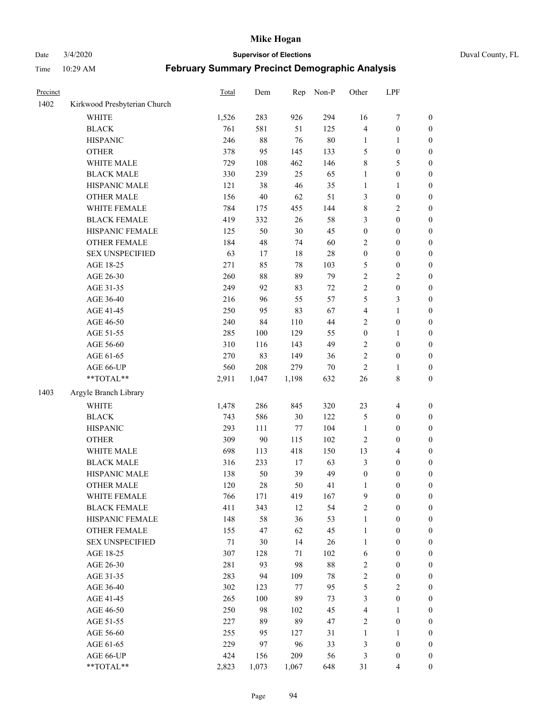# Date 3/4/2020 **Supervisor of Elections** Duval County, FL

| Precinct |                              | Total | Dem   | Rep    | Non-P  | Other            | LPF              |                  |
|----------|------------------------------|-------|-------|--------|--------|------------------|------------------|------------------|
| 1402     | Kirkwood Presbyterian Church |       |       |        |        |                  |                  |                  |
|          | <b>WHITE</b>                 | 1,526 | 283   | 926    | 294    | 16               | $\boldsymbol{7}$ | 0                |
|          | <b>BLACK</b>                 | 761   | 581   | 51     | 125    | 4                | $\boldsymbol{0}$ | 0                |
|          | <b>HISPANIC</b>              | 246   | 88    | 76     | $80\,$ | $\mathbf{1}$     | 1                | $\boldsymbol{0}$ |
|          | <b>OTHER</b>                 | 378   | 95    | 145    | 133    | 5                | $\boldsymbol{0}$ | $\boldsymbol{0}$ |
|          | WHITE MALE                   | 729   | 108   | 462    | 146    | 8                | 5                | $\boldsymbol{0}$ |
|          | <b>BLACK MALE</b>            | 330   | 239   | 25     | 65     | 1                | $\boldsymbol{0}$ | $\boldsymbol{0}$ |
|          | HISPANIC MALE                | 121   | 38    | 46     | 35     | 1                | $\mathbf{1}$     | $\boldsymbol{0}$ |
|          | <b>OTHER MALE</b>            | 156   | 40    | 62     | 51     | 3                | $\boldsymbol{0}$ | $\boldsymbol{0}$ |
|          | WHITE FEMALE                 | 784   | 175   | 455    | 144    | 8                | $\sqrt{2}$       | $\boldsymbol{0}$ |
|          | <b>BLACK FEMALE</b>          | 419   | 332   | 26     | 58     | 3                | $\boldsymbol{0}$ | $\boldsymbol{0}$ |
|          | HISPANIC FEMALE              | 125   | 50    | 30     | 45     | $\boldsymbol{0}$ | $\boldsymbol{0}$ | $\boldsymbol{0}$ |
|          | <b>OTHER FEMALE</b>          | 184   | 48    | 74     | 60     | $\mathbf{2}$     | $\boldsymbol{0}$ | $\boldsymbol{0}$ |
|          | <b>SEX UNSPECIFIED</b>       | 63    | 17    | 18     | 28     | $\boldsymbol{0}$ | $\boldsymbol{0}$ | $\boldsymbol{0}$ |
|          | AGE 18-25                    | 271   | 85    | 78     | 103    | 5                | $\boldsymbol{0}$ | $\boldsymbol{0}$ |
|          | AGE 26-30                    | 260   | 88    | 89     | 79     | $\overline{c}$   | $\sqrt{2}$       | $\boldsymbol{0}$ |
|          | AGE 31-35                    | 249   | 92    | 83     | $72\,$ | $\overline{c}$   | $\boldsymbol{0}$ | $\boldsymbol{0}$ |
|          | AGE 36-40                    | 216   | 96    | 55     | 57     | 5                | 3                | $\boldsymbol{0}$ |
|          | AGE 41-45                    | 250   | 95    | 83     | 67     | 4                | $\mathbf{1}$     | $\boldsymbol{0}$ |
|          | AGE 46-50                    | 240   | 84    | 110    | 44     | $\overline{c}$   | $\boldsymbol{0}$ | $\boldsymbol{0}$ |
|          | AGE 51-55                    | 285   | 100   | 129    | 55     | $\boldsymbol{0}$ | 1                | $\boldsymbol{0}$ |
|          | AGE 56-60                    | 310   | 116   | 143    | 49     | $\mathbf{2}$     | $\boldsymbol{0}$ | 0                |
|          | AGE 61-65                    | 270   | 83    | 149    | 36     | $\overline{c}$   | $\boldsymbol{0}$ | $\boldsymbol{0}$ |
|          | AGE 66-UP                    | 560   | 208   | 279    | $70\,$ | $\overline{c}$   | $\mathbf{1}$     | $\boldsymbol{0}$ |
|          | **TOTAL**                    | 2,911 | 1,047 | 1,198  | 632    | 26               | $\,$ 8 $\,$      | $\boldsymbol{0}$ |
| 1403     | Argyle Branch Library        |       |       |        |        |                  |                  |                  |
|          | <b>WHITE</b>                 | 1,478 | 286   | 845    | 320    | 23               | $\overline{4}$   | $\boldsymbol{0}$ |
|          | <b>BLACK</b>                 | 743   | 586   | 30     | 122    | 5                | $\boldsymbol{0}$ | $\boldsymbol{0}$ |
|          | <b>HISPANIC</b>              | 293   | 111   | 77     | 104    | $\mathbf{1}$     | $\boldsymbol{0}$ | $\boldsymbol{0}$ |
|          | <b>OTHER</b>                 | 309   | 90    | 115    | 102    | $\overline{c}$   | $\boldsymbol{0}$ | $\boldsymbol{0}$ |
|          | WHITE MALE                   | 698   | 113   | 418    | 150    | 13               | $\overline{4}$   | $\boldsymbol{0}$ |
|          | <b>BLACK MALE</b>            | 316   | 233   | $17\,$ | 63     | 3                | $\boldsymbol{0}$ | $\boldsymbol{0}$ |
|          | HISPANIC MALE                | 138   | 50    | 39     | 49     | $\boldsymbol{0}$ | $\boldsymbol{0}$ | 0                |
|          | <b>OTHER MALE</b>            | 120   | 28    | 50     | 41     | 1                | $\boldsymbol{0}$ | $\boldsymbol{0}$ |
|          | WHITE FEMALE                 | 766   | 171   | 419    | 167    | 9                | 0                | 0                |
|          | <b>BLACK FEMALE</b>          | 411   | 343   | 12     | 54     | $\mathbf{2}$     | $\boldsymbol{0}$ | $\overline{0}$   |
|          | HISPANIC FEMALE              | 148   | 58    | 36     | 53     | 1                | $\boldsymbol{0}$ | $\overline{0}$   |
|          | <b>OTHER FEMALE</b>          | 155   | 47    | 62     | 45     | 1                | $\boldsymbol{0}$ | $\overline{0}$   |
|          | <b>SEX UNSPECIFIED</b>       | 71    | 30    | 14     | 26     | $\mathbf{1}$     | $\boldsymbol{0}$ | 0                |
|          | AGE 18-25                    | 307   | 128   | 71     | 102    | 6                | $\boldsymbol{0}$ | $\theta$         |
|          | AGE 26-30                    | 281   | 93    | 98     | 88     | $\mathbf{2}$     | $\boldsymbol{0}$ | 0                |
|          | AGE 31-35                    | 283   | 94    | 109    | 78     | $\overline{c}$   | $\boldsymbol{0}$ | 0                |
|          | AGE 36-40                    | 302   | 123   | 77     | 95     | 5                | $\sqrt{2}$       | 0                |
|          | AGE 41-45                    | 265   | 100   | 89     | 73     | 3                | $\boldsymbol{0}$ | 0                |
|          | AGE 46-50                    | 250   | 98    | 102    | 45     | 4                | 1                | 0                |
|          | AGE 51-55                    | 227   | 89    | 89     | 47     | $\overline{c}$   | $\boldsymbol{0}$ | 0                |
|          | AGE 56-60                    | 255   | 95    | 127    | 31     | 1                | 1                | 0                |
|          | AGE 61-65                    | 229   | 97    | 96     | 33     | 3                | $\boldsymbol{0}$ | 0                |
|          | AGE 66-UP                    | 424   | 156   | 209    | 56     | 3                | $\boldsymbol{0}$ | 0                |
|          | **TOTAL**                    | 2,823 | 1,073 | 1,067  | 648    | 31               | $\overline{4}$   | $\boldsymbol{0}$ |
|          |                              |       |       |        |        |                  |                  |                  |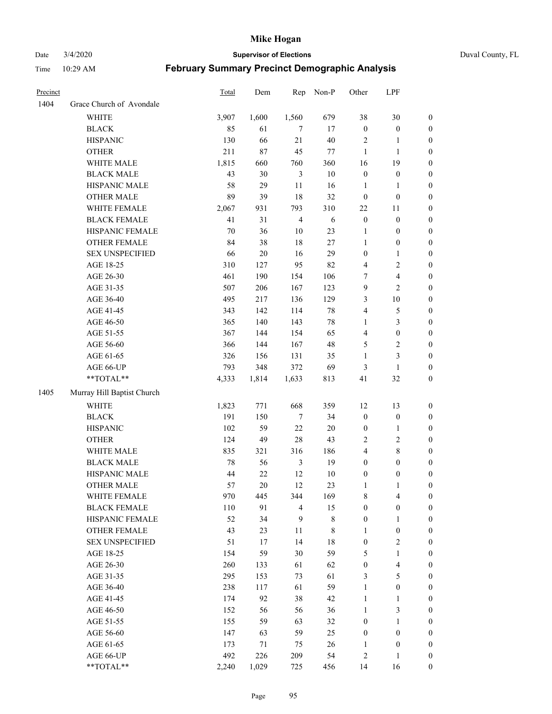Date 3/4/2020 **Supervisor of Elections** Duval County, FL

| Precinct |                            | Total  | Dem    | Rep            | Non-P       | Other                   | LPF                     |                  |
|----------|----------------------------|--------|--------|----------------|-------------|-------------------------|-------------------------|------------------|
| 1404     | Grace Church of Avondale   |        |        |                |             |                         |                         |                  |
|          | <b>WHITE</b>               | 3,907  | 1,600  | 1,560          | 679         | 38                      | $30\,$                  | 0                |
|          | <b>BLACK</b>               | 85     | 61     | 7              | 17          | $\boldsymbol{0}$        | $\boldsymbol{0}$        | 0                |
|          | <b>HISPANIC</b>            | 130    | 66     | 21             | 40          | $\sqrt{2}$              | $\mathbf{1}$            | $\boldsymbol{0}$ |
|          | <b>OTHER</b>               | 211    | 87     | 45             | $77\,$      | $\mathbf{1}$            | $\mathbf{1}$            | $\boldsymbol{0}$ |
|          | WHITE MALE                 | 1,815  | 660    | 760            | 360         | 16                      | 19                      | $\boldsymbol{0}$ |
|          | <b>BLACK MALE</b>          | 43     | 30     | $\mathfrak{Z}$ | 10          | $\boldsymbol{0}$        | $\boldsymbol{0}$        | $\boldsymbol{0}$ |
|          | HISPANIC MALE              | 58     | 29     | 11             | 16          | $\mathbf{1}$            | $\mathbf{1}$            | $\boldsymbol{0}$ |
|          | <b>OTHER MALE</b>          | 89     | 39     | 18             | 32          | $\boldsymbol{0}$        | $\boldsymbol{0}$        | $\boldsymbol{0}$ |
|          | WHITE FEMALE               | 2,067  | 931    | 793            | 310         | $22\,$                  | 11                      | $\boldsymbol{0}$ |
|          | <b>BLACK FEMALE</b>        | 41     | 31     | $\overline{4}$ | 6           | $\boldsymbol{0}$        | $\boldsymbol{0}$        | 0                |
|          | HISPANIC FEMALE            | 70     | 36     | 10             | 23          | 1                       | $\boldsymbol{0}$        | 0                |
|          | OTHER FEMALE               | 84     | 38     | 18             | 27          | $\mathbf{1}$            | $\boldsymbol{0}$        | $\boldsymbol{0}$ |
|          | <b>SEX UNSPECIFIED</b>     | 66     | $20\,$ | 16             | 29          | $\boldsymbol{0}$        | $\mathbf{1}$            | $\boldsymbol{0}$ |
|          | AGE 18-25                  | 310    | 127    | 95             | 82          | 4                       | $\sqrt{2}$              | $\boldsymbol{0}$ |
|          | AGE 26-30                  | 461    | 190    | 154            | 106         | 7                       | $\overline{\mathbf{4}}$ | $\boldsymbol{0}$ |
|          | AGE 31-35                  | 507    | 206    | 167            | 123         | 9                       | $\overline{2}$          | $\boldsymbol{0}$ |
|          | AGE 36-40                  | 495    | 217    | 136            | 129         | 3                       | $10\,$                  | $\boldsymbol{0}$ |
|          | AGE 41-45                  | 343    | 142    | 114            | $78\,$      | 4                       | $\mathfrak s$           | $\boldsymbol{0}$ |
|          | AGE 46-50                  | 365    | 140    | 143            | $78\,$      | 1                       | $\mathfrak{Z}$          | $\boldsymbol{0}$ |
|          | AGE 51-55                  | 367    | 144    | 154            | 65          | $\overline{4}$          | $\boldsymbol{0}$        | $\boldsymbol{0}$ |
|          | AGE 56-60                  | 366    | 144    | 167            | 48          | 5                       | $\sqrt{2}$              | 0                |
|          | AGE 61-65                  | 326    | 156    | 131            | 35          | $\mathbf{1}$            | $\mathfrak{Z}$          | 0                |
|          | AGE 66-UP                  | 793    | 348    | 372            | 69          | 3                       | $\mathbf{1}$            | $\boldsymbol{0}$ |
|          | **TOTAL**                  | 4,333  | 1,814  | 1,633          | 813         | 41                      | 32                      | $\boldsymbol{0}$ |
| 1405     | Murray Hill Baptist Church |        |        |                |             |                         |                         |                  |
|          | <b>WHITE</b>               | 1,823  | 771    | 668            | 359         | 12                      | 13                      | $\boldsymbol{0}$ |
|          | <b>BLACK</b>               | 191    | 150    | $\tau$         | 34          | $\boldsymbol{0}$        | $\boldsymbol{0}$        | $\boldsymbol{0}$ |
|          | <b>HISPANIC</b>            | 102    | 59     | 22             | $20\,$      | $\boldsymbol{0}$        | $\mathbf{1}$            | $\boldsymbol{0}$ |
|          | <b>OTHER</b>               | 124    | 49     | 28             | 43          | 2                       | $\sqrt{2}$              | $\boldsymbol{0}$ |
|          | WHITE MALE                 | 835    | 321    | 316            | 186         | $\overline{\mathbf{4}}$ | $\,$ 8 $\,$             | $\boldsymbol{0}$ |
|          | <b>BLACK MALE</b>          | $78\,$ | 56     | $\mathfrak{Z}$ | 19          | $\boldsymbol{0}$        | $\boldsymbol{0}$        | $\boldsymbol{0}$ |
|          | HISPANIC MALE              | 44     | $22\,$ | 12             | $10\,$      | $\boldsymbol{0}$        | $\boldsymbol{0}$        | 0                |
|          | <b>OTHER MALE</b>          | 57     | 20     | 12             | 23          | $\mathbf{1}$            | $\mathbf{1}$            | $\boldsymbol{0}$ |
|          | WHITE FEMALE               | 970    | 445    | 344            | 169         | 8                       | 4                       | 0                |
|          | <b>BLACK FEMALE</b>        | 110    | 91     | $\overline{4}$ | 15          | $\boldsymbol{0}$        | $\boldsymbol{0}$        | $\boldsymbol{0}$ |
|          | HISPANIC FEMALE            | 52     | 34     | 9              | $\,$ 8 $\,$ | $\boldsymbol{0}$        | $\mathbf{1}$            | $\overline{0}$   |
|          | <b>OTHER FEMALE</b>        | 43     | 23     | 11             | 8           | 1                       | $\boldsymbol{0}$        | $\overline{0}$   |
|          | <b>SEX UNSPECIFIED</b>     | 51     | 17     | 14             | $18\,$      | $\boldsymbol{0}$        | $\overline{2}$          | 0                |
|          | AGE 18-25                  | 154    | 59     | 30             | 59          | 5                       | $\mathbf{1}$            | $\theta$         |
|          | AGE 26-30                  | 260    | 133    | 61             | 62          | $\boldsymbol{0}$        | $\overline{\mathbf{4}}$ | 0                |
|          | AGE 31-35                  | 295    | 153    | 73             | 61          | 3                       | 5                       | 0                |
|          | AGE 36-40                  | 238    | 117    | 61             | 59          | $\mathbf{1}$            | $\boldsymbol{0}$        | 0                |
|          | AGE 41-45                  | 174    | 92     | 38             | 42          | $\mathbf{1}$            | $\mathbf{1}$            | 0                |
|          | AGE 46-50                  | 152    | 56     | 56             | 36          | 1                       | $\mathfrak{Z}$          | 0                |
|          | AGE 51-55                  | 155    | 59     | 63             | 32          | $\boldsymbol{0}$        | $\mathbf{1}$            | $\overline{0}$   |
|          | AGE 56-60                  | 147    | 63     | 59             | 25          | $\boldsymbol{0}$        | $\boldsymbol{0}$        | $\overline{0}$   |
|          | AGE 61-65                  | 173    | 71     | 75             | 26          | 1                       | $\boldsymbol{0}$        | $\overline{0}$   |
|          | AGE 66-UP                  | 492    | 226    | 209            | 54          | $\overline{c}$          | $\mathbf{1}$            | $\boldsymbol{0}$ |
|          | **TOTAL**                  | 2,240  | 1,029  | 725            | 456         | 14                      | 16                      | $\boldsymbol{0}$ |
|          |                            |        |        |                |             |                         |                         |                  |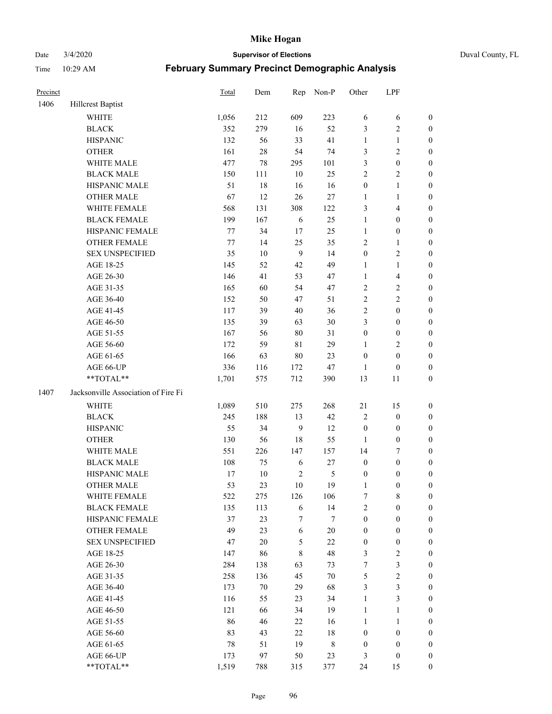Date 3/4/2020 **Supervisor of Elections** Duval County, FL

| Precinct |                                     | Total  | Dem    | Rep        | Non-P         | Other            | LPF              |                  |
|----------|-------------------------------------|--------|--------|------------|---------------|------------------|------------------|------------------|
| 1406     | Hillcrest Baptist                   |        |        |            |               |                  |                  |                  |
|          | <b>WHITE</b>                        | 1,056  | 212    | 609        | 223           | 6                | 6                | 0                |
|          | <b>BLACK</b>                        | 352    | 279    | 16         | 52            | 3                | $\sqrt{2}$       | $\boldsymbol{0}$ |
|          | <b>HISPANIC</b>                     | 132    | 56     | 33         | 41            | $\mathbf{1}$     | $\mathbf{1}$     | $\boldsymbol{0}$ |
|          | <b>OTHER</b>                        | 161    | $28\,$ | 54         | 74            | 3                | $\sqrt{2}$       | $\boldsymbol{0}$ |
|          | WHITE MALE                          | 477    | 78     | 295        | 101           | 3                | $\boldsymbol{0}$ | $\boldsymbol{0}$ |
|          | <b>BLACK MALE</b>                   | 150    | 111    | 10         | 25            | $\overline{c}$   | $\sqrt{2}$       | $\boldsymbol{0}$ |
|          | HISPANIC MALE                       | 51     | 18     | 16         | 16            | $\boldsymbol{0}$ | $\mathbf{1}$     | $\boldsymbol{0}$ |
|          | <b>OTHER MALE</b>                   | 67     | 12     | 26         | $27\,$        | $\mathbf{1}$     | $\mathbf{1}$     | $\boldsymbol{0}$ |
|          | WHITE FEMALE                        | 568    | 131    | 308        | 122           | 3                | $\overline{4}$   | $\boldsymbol{0}$ |
|          | <b>BLACK FEMALE</b>                 | 199    | 167    | 6          | 25            | $\mathbf{1}$     | $\boldsymbol{0}$ | 0                |
|          | HISPANIC FEMALE                     | 77     | 34     | 17         | 25            | $\mathbf{1}$     | $\boldsymbol{0}$ | 0                |
|          | <b>OTHER FEMALE</b>                 | $77\,$ | 14     | 25         | 35            | 2                | $\mathbf{1}$     | $\boldsymbol{0}$ |
|          | <b>SEX UNSPECIFIED</b>              | 35     | $10\,$ | 9          | 14            | $\boldsymbol{0}$ | $\sqrt{2}$       | $\boldsymbol{0}$ |
|          | AGE 18-25                           | 145    | 52     | 42         | 49            | $\mathbf{1}$     | $\mathbf{1}$     | $\boldsymbol{0}$ |
|          | AGE 26-30                           | 146    | 41     | 53         | 47            | $\mathbf{1}$     | $\overline{4}$   | $\boldsymbol{0}$ |
|          | AGE 31-35                           | 165    | 60     | 54         | 47            | $\overline{c}$   | $\sqrt{2}$       | $\boldsymbol{0}$ |
|          | AGE 36-40                           | 152    | 50     | 47         | 51            | $\overline{c}$   | $\sqrt{2}$       | $\boldsymbol{0}$ |
|          | AGE 41-45                           | 117    | 39     | $40\,$     | 36            | 2                | $\boldsymbol{0}$ | $\boldsymbol{0}$ |
|          | AGE 46-50                           | 135    | 39     | 63         | $30\,$        | 3                | $\boldsymbol{0}$ | $\boldsymbol{0}$ |
|          | AGE 51-55                           | 167    | 56     | $80\,$     | 31            | $\boldsymbol{0}$ | $\boldsymbol{0}$ | $\boldsymbol{0}$ |
|          | AGE 56-60                           | 172    | 59     | 81         | 29            | 1                | $\sqrt{2}$       | 0                |
|          | AGE 61-65                           | 166    | 63     | $80\,$     | 23            | $\boldsymbol{0}$ | $\boldsymbol{0}$ | $\boldsymbol{0}$ |
|          | AGE 66-UP                           | 336    | 116    | 172        | $47\,$        | $\mathbf{1}$     | $\boldsymbol{0}$ | $\boldsymbol{0}$ |
|          | **TOTAL**                           | 1,701  | 575    | 712        | 390           | 13               | 11               | $\boldsymbol{0}$ |
| 1407     | Jacksonville Association of Fire Fi |        |        |            |               |                  |                  |                  |
|          | <b>WHITE</b>                        | 1,089  | 510    | 275        | 268           | 21               | 15               | $\boldsymbol{0}$ |
|          | <b>BLACK</b>                        | 245    | 188    | 13         | 42            | 2                | $\boldsymbol{0}$ | $\boldsymbol{0}$ |
|          | <b>HISPANIC</b>                     | 55     | 34     | 9          | 12            | $\boldsymbol{0}$ | $\boldsymbol{0}$ | $\boldsymbol{0}$ |
|          | <b>OTHER</b>                        | 130    | 56     | 18         | 55            | $\mathbf{1}$     | $\boldsymbol{0}$ | $\boldsymbol{0}$ |
|          | WHITE MALE                          | 551    | 226    | 147        | 157           | 14               | $\boldsymbol{7}$ | $\boldsymbol{0}$ |
|          | <b>BLACK MALE</b>                   | 108    | 75     | 6          | $27\,$        | $\boldsymbol{0}$ | $\boldsymbol{0}$ | $\boldsymbol{0}$ |
|          | HISPANIC MALE                       | 17     | $10\,$ | $\sqrt{2}$ | $\mathfrak s$ | $\boldsymbol{0}$ | $\boldsymbol{0}$ | $\boldsymbol{0}$ |
|          | <b>OTHER MALE</b>                   | 53     | 23     | 10         | 19            | $\mathbf{1}$     | $\boldsymbol{0}$ | $\boldsymbol{0}$ |
|          | WHITE FEMALE                        | 522    | 275    | 126        | 106           | 7                | 8                | 0                |
|          | <b>BLACK FEMALE</b>                 | 135    | 113    | 6          | 14            | $\overline{c}$   | $\boldsymbol{0}$ | $\overline{0}$   |
|          | HISPANIC FEMALE                     | 37     | 23     | 7          | 7             | $\boldsymbol{0}$ | $\boldsymbol{0}$ | $\overline{0}$   |
|          | <b>OTHER FEMALE</b>                 | 49     | 23     | 6          | $20\,$        | $\boldsymbol{0}$ | $\boldsymbol{0}$ | $\overline{0}$   |
|          | <b>SEX UNSPECIFIED</b>              | 47     | $20\,$ | 5          | 22            | $\boldsymbol{0}$ | $\boldsymbol{0}$ | 0                |
|          | AGE 18-25                           | 147    | 86     | 8          | 48            | 3                | $\sqrt{2}$       | 0                |
|          | AGE 26-30                           | 284    | 138    | 63         | 73            | 7                | $\mathfrak{Z}$   | 0                |
|          | AGE 31-35                           | 258    | 136    | 45         | $70\,$        | 5                | $\sqrt{2}$       | 0                |
|          | AGE 36-40                           | 173    | $70\,$ | 29         | 68            | 3                | $\mathfrak{Z}$   | 0                |
|          | AGE 41-45                           | 116    | 55     | 23         | 34            | $\mathbf{1}$     | 3                | 0                |
|          | AGE 46-50                           | 121    | 66     | 34         | 19            | 1                | $\mathbf{1}$     | 0                |
|          | AGE 51-55                           | 86     | 46     | 22         | 16            | $\mathbf{1}$     | $\mathbf{1}$     | 0                |
|          | AGE 56-60                           | 83     | 43     | 22         | 18            | $\boldsymbol{0}$ | $\boldsymbol{0}$ | 0                |
|          | AGE 61-65                           | 78     | 51     | 19         | 8             | $\boldsymbol{0}$ | $\boldsymbol{0}$ | $\overline{0}$   |
|          | AGE 66-UP                           | 173    | 97     | 50         | 23            | 3                | $\boldsymbol{0}$ | 0                |
|          | **TOTAL**                           | 1,519  | 788    | 315        | 377           | 24               | 15               | $\boldsymbol{0}$ |
|          |                                     |        |        |            |               |                  |                  |                  |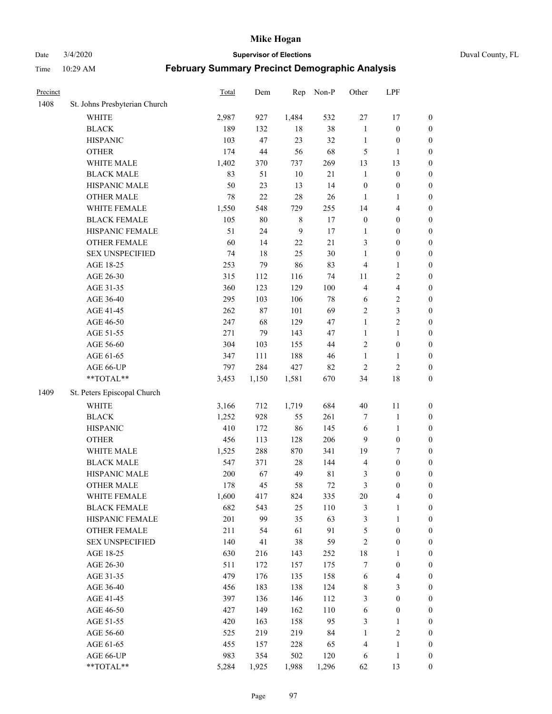Date 3/4/2020 **Supervisor of Elections** Duval County, FL

| Precinct |                               | Total | Dem    | Rep            | Non-P       | Other            | LPF                     |                  |
|----------|-------------------------------|-------|--------|----------------|-------------|------------------|-------------------------|------------------|
| 1408     | St. Johns Presbyterian Church |       |        |                |             |                  |                         |                  |
|          | <b>WHITE</b>                  | 2,987 | 927    | 1,484          | 532         | $27\,$           | 17                      | 0                |
|          | <b>BLACK</b>                  | 189   | 132    | 18             | 38          | $\mathbf{1}$     | $\boldsymbol{0}$        | 0                |
|          | <b>HISPANIC</b>               | 103   | 47     | 23             | 32          | $\mathbf{1}$     | $\boldsymbol{0}$        | $\boldsymbol{0}$ |
|          | <b>OTHER</b>                  | 174   | 44     | 56             | 68          | 5                | 1                       | $\boldsymbol{0}$ |
|          | WHITE MALE                    | 1,402 | 370    | 737            | 269         | 13               | 13                      | $\boldsymbol{0}$ |
|          | <b>BLACK MALE</b>             | 83    | 51     | 10             | 21          | $\mathbf{1}$     | $\boldsymbol{0}$        | $\boldsymbol{0}$ |
|          | HISPANIC MALE                 | 50    | 23     | 13             | 14          | $\boldsymbol{0}$ | $\boldsymbol{0}$        | $\boldsymbol{0}$ |
|          | <b>OTHER MALE</b>             | 78    | 22     | 28             | 26          | $\mathbf{1}$     | $\mathbf{1}$            | $\boldsymbol{0}$ |
|          | WHITE FEMALE                  | 1,550 | 548    | 729            | 255         | 14               | $\overline{\mathbf{4}}$ | $\boldsymbol{0}$ |
|          | <b>BLACK FEMALE</b>           | 105   | $80\,$ | 8              | 17          | $\boldsymbol{0}$ | $\boldsymbol{0}$        | $\boldsymbol{0}$ |
|          | HISPANIC FEMALE               | 51    | 24     | $\overline{9}$ | 17          | 1                | $\boldsymbol{0}$        | 0                |
|          | OTHER FEMALE                  | 60    | 14     | 22             | 21          | 3                | $\boldsymbol{0}$        | $\boldsymbol{0}$ |
|          | <b>SEX UNSPECIFIED</b>        | 74    | 18     | 25             | $30\,$      | $\mathbf{1}$     | $\boldsymbol{0}$        | $\boldsymbol{0}$ |
|          | AGE 18-25                     | 253   | 79     | 86             | 83          | 4                | $\mathbf{1}$            | $\boldsymbol{0}$ |
|          | AGE 26-30                     | 315   | 112    | 116            | 74          | 11               | $\sqrt{2}$              | $\boldsymbol{0}$ |
|          | AGE 31-35                     | 360   | 123    | 129            | 100         | 4                | $\overline{\mathbf{4}}$ | $\boldsymbol{0}$ |
|          | AGE 36-40                     | 295   | 103    | 106            | $78\,$      | 6                | $\sqrt{2}$              | $\boldsymbol{0}$ |
|          | AGE 41-45                     | 262   | $87\,$ | 101            | 69          | 2                | $\mathfrak{Z}$          | $\boldsymbol{0}$ |
|          | AGE 46-50                     | 247   | 68     | 129            | 47          | $\mathbf{1}$     | $\overline{2}$          | $\boldsymbol{0}$ |
|          | AGE 51-55                     | 271   | 79     | 143            | 47          | $\mathbf{1}$     | $\mathbf{1}$            | $\boldsymbol{0}$ |
|          | AGE 56-60                     | 304   | 103    | 155            | 44          | $\sqrt{2}$       | $\boldsymbol{0}$        | 0                |
|          | AGE 61-65                     | 347   | 111    | 188            | 46          | $\mathbf{1}$     | 1                       | 0                |
|          | AGE 66-UP                     | 797   | 284    | 427            | 82          | $\sqrt{2}$       | $\sqrt{2}$              | $\boldsymbol{0}$ |
|          | **TOTAL**                     | 3,453 | 1,150  | 1,581          | 670         | 34               | $18\,$                  | $\boldsymbol{0}$ |
| 1409     | St. Peters Episcopal Church   |       |        |                |             |                  |                         |                  |
|          | <b>WHITE</b>                  | 3,166 | 712    | 1,719          | 684         | $40\,$           | 11                      | $\boldsymbol{0}$ |
|          | <b>BLACK</b>                  | 1,252 | 928    | 55             | 261         | 7                | 1                       | $\boldsymbol{0}$ |
|          | <b>HISPANIC</b>               | 410   | 172    | 86             | 145         | 6                | $\mathbf{1}$            | $\boldsymbol{0}$ |
|          | <b>OTHER</b>                  | 456   | 113    | 128            | 206         | 9                | $\boldsymbol{0}$        | $\boldsymbol{0}$ |
|          | WHITE MALE                    | 1,525 | 288    | 870            | 341         | 19               | $\boldsymbol{7}$        | $\boldsymbol{0}$ |
|          | <b>BLACK MALE</b>             | 547   | 371    | $28\,$         | 144         | 4                | $\boldsymbol{0}$        | $\boldsymbol{0}$ |
|          | HISPANIC MALE                 | 200   | 67     | 49             | $8\sqrt{1}$ | 3                | $\boldsymbol{0}$        | $\boldsymbol{0}$ |
|          | <b>OTHER MALE</b>             | 178   | 45     | 58             | $72\,$      | 3                | $\boldsymbol{0}$        | $\boldsymbol{0}$ |
|          | WHITE FEMALE                  | 1,600 | 417    | 824            | 335         | 20               | 4                       | 0                |
|          | <b>BLACK FEMALE</b>           | 682   | 543    | 25             | 110         | 3                | $\mathbf{1}$            | $\boldsymbol{0}$ |
|          | HISPANIC FEMALE               | 201   | 99     | 35             | 63          | 3                | $\mathbf{1}$            | $\boldsymbol{0}$ |
|          | <b>OTHER FEMALE</b>           | 211   | 54     | 61             | 91          | 5                | $\boldsymbol{0}$        | $\overline{0}$   |
|          | <b>SEX UNSPECIFIED</b>        | 140   | 41     | 38             | 59          | $\overline{c}$   | $\boldsymbol{0}$        | 0                |
|          | AGE 18-25                     | 630   | 216    | 143            | 252         | 18               | $\mathbf{1}$            | $\overline{0}$   |
|          | AGE 26-30                     | 511   | 172    | 157            | 175         | 7                | $\boldsymbol{0}$        | 0                |
|          | AGE 31-35                     | 479   | 176    | 135            | 158         | 6                | $\overline{\mathbf{4}}$ | 0                |
|          | AGE 36-40                     | 456   | 183    | 138            | 124         | 8                | $\mathfrak{Z}$          | 0                |
|          | AGE 41-45                     | 397   | 136    | 146            | 112         | 3                | $\boldsymbol{0}$        | 0                |
|          | AGE 46-50                     | 427   | 149    | 162            | 110         | 6                | $\boldsymbol{0}$        | 0                |
|          | AGE 51-55                     | 420   | 163    | 158            | 95          | 3                | $\mathbf{1}$            | $\boldsymbol{0}$ |
|          | AGE 56-60                     | 525   | 219    | 219            | 84          | $\mathbf{1}$     | $\sqrt{2}$              | $\overline{0}$   |
|          | AGE 61-65                     | 455   | 157    | 228            | 65          | 4                | $\mathbf{1}$            | $\boldsymbol{0}$ |
|          | AGE 66-UP                     | 983   | 354    | 502            | 120         | 6                | $\mathbf{1}$            | $\boldsymbol{0}$ |
|          | **TOTAL**                     | 5,284 | 1,925  | 1,988          | 1,296       | 62               | 13                      | $\boldsymbol{0}$ |
|          |                               |       |        |                |             |                  |                         |                  |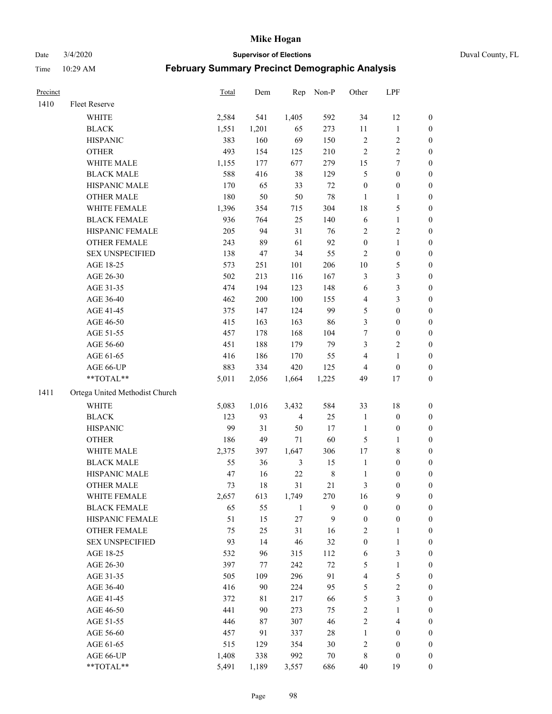Date 3/4/2020 **Supervisor of Elections** Duval County, FL

| Precinct |                                | Total | Dem   | Rep            | Non-P       | Other                   | LPF              |                  |
|----------|--------------------------------|-------|-------|----------------|-------------|-------------------------|------------------|------------------|
| 1410     | Fleet Reserve                  |       |       |                |             |                         |                  |                  |
|          | <b>WHITE</b>                   | 2,584 | 541   | 1,405          | 592         | 34                      | 12               | 0                |
|          | <b>BLACK</b>                   | 1,551 | 1,201 | 65             | 273         | 11                      | $\mathbf{1}$     | 0                |
|          | <b>HISPANIC</b>                | 383   | 160   | 69             | 150         | $\sqrt{2}$              | $\sqrt{2}$       | 0                |
|          | <b>OTHER</b>                   | 493   | 154   | 125            | 210         | 2                       | $\sqrt{2}$       | $\boldsymbol{0}$ |
|          | WHITE MALE                     | 1,155 | 177   | 677            | 279         | 15                      | 7                | $\boldsymbol{0}$ |
|          | <b>BLACK MALE</b>              | 588   | 416   | 38             | 129         | 5                       | $\boldsymbol{0}$ | $\boldsymbol{0}$ |
|          | HISPANIC MALE                  | 170   | 65    | 33             | 72          | $\boldsymbol{0}$        | $\boldsymbol{0}$ | $\boldsymbol{0}$ |
|          | <b>OTHER MALE</b>              | 180   | 50    | 50             | 78          | $\mathbf{1}$            | $\mathbf{1}$     | $\boldsymbol{0}$ |
|          | WHITE FEMALE                   | 1,396 | 354   | 715            | 304         | 18                      | 5                | $\boldsymbol{0}$ |
|          | <b>BLACK FEMALE</b>            | 936   | 764   | 25             | 140         | 6                       | $\mathbf{1}$     | 0                |
|          | HISPANIC FEMALE                | 205   | 94    | 31             | 76          | 2                       | $\sqrt{2}$       | 0                |
|          | OTHER FEMALE                   | 243   | 89    | 61             | 92          | $\boldsymbol{0}$        | $\mathbf{1}$     | 0                |
|          | <b>SEX UNSPECIFIED</b>         | 138   | 47    | 34             | 55          | $\mathbf{2}$            | $\boldsymbol{0}$ | $\boldsymbol{0}$ |
|          | AGE 18-25                      | 573   | 251   | 101            | 206         | 10                      | $\mathfrak s$    | $\boldsymbol{0}$ |
|          | AGE 26-30                      | 502   | 213   | 116            | 167         | 3                       | $\mathfrak{Z}$   | $\boldsymbol{0}$ |
|          | AGE 31-35                      | 474   | 194   | 123            | 148         | 6                       | 3                | $\boldsymbol{0}$ |
|          | AGE 36-40                      | 462   | 200   | 100            | 155         | 4                       | 3                | $\boldsymbol{0}$ |
|          | AGE 41-45                      | 375   | 147   | 124            | 99          | 5                       | $\boldsymbol{0}$ | $\boldsymbol{0}$ |
|          | AGE 46-50                      | 415   | 163   | 163            | 86          | 3                       | $\boldsymbol{0}$ | $\boldsymbol{0}$ |
|          | AGE 51-55                      | 457   | 178   | 168            | 104         | 7                       | $\boldsymbol{0}$ | 0                |
|          | AGE 56-60                      | 451   | 188   | 179            | 79          | 3                       | $\sqrt{2}$       | 0                |
|          | AGE 61-65                      | 416   | 186   | 170            | 55          | 4                       | $\mathbf{1}$     | 0                |
|          | AGE 66-UP                      | 883   | 334   | 420            | 125         | 4                       | $\boldsymbol{0}$ | $\boldsymbol{0}$ |
|          | **TOTAL**                      | 5,011 | 2,056 | 1,664          | 1,225       | 49                      | 17               | $\boldsymbol{0}$ |
| 1411     | Ortega United Methodist Church |       |       |                |             |                         |                  |                  |
|          | <b>WHITE</b>                   | 5,083 | 1,016 | 3,432          | 584         | 33                      | 18               | $\boldsymbol{0}$ |
|          | <b>BLACK</b>                   | 123   | 93    | $\overline{4}$ | 25          | $\mathbf{1}$            | $\boldsymbol{0}$ | $\boldsymbol{0}$ |
|          | <b>HISPANIC</b>                | 99    | 31    | 50             | 17          | $\mathbf{1}$            | $\boldsymbol{0}$ | $\boldsymbol{0}$ |
|          | <b>OTHER</b>                   | 186   | 49    | 71             | 60          | 5                       | $\mathbf{1}$     | $\boldsymbol{0}$ |
|          | WHITE MALE                     | 2,375 | 397   | 1,647          | 306         | 17                      | $\,$ 8 $\,$      | $\boldsymbol{0}$ |
|          | <b>BLACK MALE</b>              | 55    | 36    | $\mathfrak{Z}$ | 15          | $\mathbf{1}$            | $\boldsymbol{0}$ | $\boldsymbol{0}$ |
|          | HISPANIC MALE                  | 47    | 16    | 22             | $\,$ 8 $\,$ | 1                       | $\boldsymbol{0}$ | 0                |
|          | <b>OTHER MALE</b>              | 73    | 18    | 31             | 21          | 3                       | $\boldsymbol{0}$ | $\boldsymbol{0}$ |
|          | WHITE FEMALE                   | 2,657 | 613   | 1,749          | 270         | 16                      | 9                | 0                |
|          | <b>BLACK FEMALE</b>            | 65    | 55    | $\mathbf{1}$   | 9           | $\boldsymbol{0}$        | $\boldsymbol{0}$ | $\boldsymbol{0}$ |
|          | HISPANIC FEMALE                | 51    | 15    | 27             | 9           | $\boldsymbol{0}$        | $\boldsymbol{0}$ | $\overline{0}$   |
|          | OTHER FEMALE                   | 75    | 25    | 31             | 16          | 2                       | $\mathbf{1}$     | $\overline{0}$   |
|          | <b>SEX UNSPECIFIED</b>         | 93    | 14    | 46             | 32          | $\boldsymbol{0}$        | $\mathbf{1}$     | 0                |
|          | AGE 18-25                      | 532   | 96    | 315            | 112         | 6                       | $\mathfrak{Z}$   | 0                |
|          | AGE 26-30                      | 397   | 77    | 242            | $72\,$      | 5                       | $\mathbf{1}$     | 0                |
|          | AGE 31-35                      | 505   | 109   | 296            | 91          | 4                       | $\sqrt{5}$       | 0                |
|          | AGE 36-40                      | 416   | 90    | 224            | 95          | 5                       | $\sqrt{2}$       | 0                |
|          | AGE 41-45                      | 372   | 81    | 217            | 66          | 5                       | $\mathfrak{Z}$   | 0                |
|          | AGE 46-50                      | 441   | 90    | 273            | 75          | $\overline{c}$          | $\mathbf{1}$     | 0                |
|          | AGE 51-55                      | 446   | 87    | 307            | 46          | $\mathbf{2}$            | $\overline{4}$   | 0                |
|          | AGE 56-60                      | 457   | 91    | 337            | 28          | 1                       | $\boldsymbol{0}$ | 0                |
|          | AGE 61-65                      | 515   | 129   | 354            | 30          | $\overline{\mathbf{c}}$ | $\boldsymbol{0}$ | $\boldsymbol{0}$ |
|          | AGE 66-UP                      | 1,408 | 338   | 992            | 70          | 8                       | $\boldsymbol{0}$ | 0                |
|          | **TOTAL**                      | 5,491 | 1,189 | 3,557          | 686         | 40                      | 19               | $\boldsymbol{0}$ |
|          |                                |       |       |                |             |                         |                  |                  |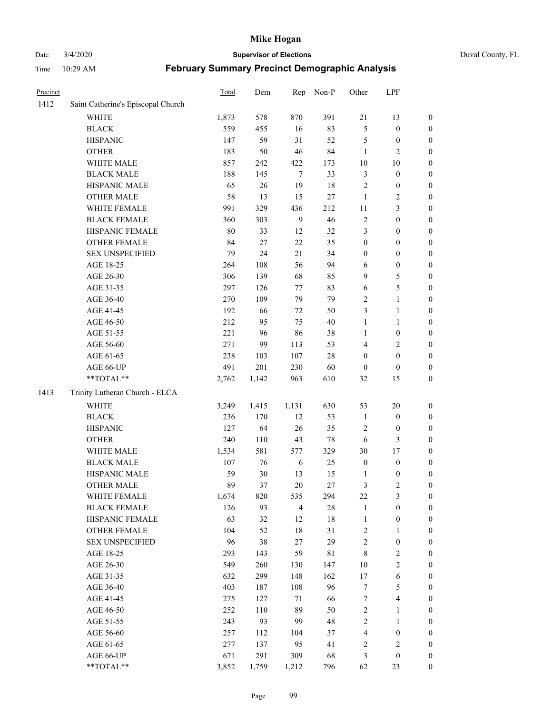# Date 3/4/2020 **Supervisor of Elections** Duval County, FL

| Precinct |                                    | Total  | Dem    | Rep            | Non-P       | Other            | LPF                     |                  |
|----------|------------------------------------|--------|--------|----------------|-------------|------------------|-------------------------|------------------|
| 1412     | Saint Catherine's Episcopal Church |        |        |                |             |                  |                         |                  |
|          | <b>WHITE</b>                       | 1,873  | 578    | 870            | 391         | 21               | 13                      | $\boldsymbol{0}$ |
|          | <b>BLACK</b>                       | 559    | 455    | 16             | 83          | 5                | $\boldsymbol{0}$        | $\boldsymbol{0}$ |
|          | <b>HISPANIC</b>                    | 147    | 59     | 31             | 52          | 5                | $\boldsymbol{0}$        | $\boldsymbol{0}$ |
|          | <b>OTHER</b>                       | 183    | 50     | 46             | 84          | $\mathbf{1}$     | $\mathfrak{2}$          | $\boldsymbol{0}$ |
|          | WHITE MALE                         | 857    | 242    | 422            | 173         | 10               | 10                      | $\boldsymbol{0}$ |
|          | <b>BLACK MALE</b>                  | 188    | 145    | $\tau$         | 33          | 3                | $\boldsymbol{0}$        | $\boldsymbol{0}$ |
|          | HISPANIC MALE                      | 65     | 26     | 19             | 18          | $\overline{c}$   | $\boldsymbol{0}$        | $\boldsymbol{0}$ |
|          | <b>OTHER MALE</b>                  | 58     | 13     | 15             | $27\,$      | $\mathbf{1}$     | $\sqrt{2}$              | $\boldsymbol{0}$ |
|          | WHITE FEMALE                       | 991    | 329    | 436            | 212         | 11               | $\mathfrak{Z}$          | $\boldsymbol{0}$ |
|          | <b>BLACK FEMALE</b>                | 360    | 303    | $\mathbf{9}$   | 46          | 2                | $\boldsymbol{0}$        | 0                |
|          | HISPANIC FEMALE                    | $80\,$ | 33     | 12             | 32          | 3                | $\boldsymbol{0}$        | $\boldsymbol{0}$ |
|          | OTHER FEMALE                       | 84     | 27     | $22\,$         | 35          | $\boldsymbol{0}$ | $\boldsymbol{0}$        | $\boldsymbol{0}$ |
|          | <b>SEX UNSPECIFIED</b>             | 79     | 24     | 21             | 34          | $\boldsymbol{0}$ | $\boldsymbol{0}$        | $\boldsymbol{0}$ |
|          | AGE 18-25                          | 264    | 108    | 56             | 94          | 6                | $\boldsymbol{0}$        | $\boldsymbol{0}$ |
|          | AGE 26-30                          | 306    | 139    | 68             | 85          | 9                | 5                       | $\boldsymbol{0}$ |
|          | AGE 31-35                          | 297    | 126    | 77             | 83          | 6                | 5                       | $\boldsymbol{0}$ |
|          | AGE 36-40                          | 270    | 109    | 79             | 79          | 2                | $\mathbf{1}$            | $\boldsymbol{0}$ |
|          | AGE 41-45                          | 192    | 66     | 72             | 50          | 3                | $\mathbf{1}$            | $\boldsymbol{0}$ |
|          | AGE 46-50                          | 212    | 95     | 75             | $40\,$      | $\mathbf{1}$     | $\mathbf{1}$            | $\boldsymbol{0}$ |
|          | AGE 51-55                          | 221    | 96     | 86             | 38          | $\mathbf{1}$     | $\boldsymbol{0}$        | 0                |
|          | AGE 56-60                          | 271    | 99     | 113            | 53          | 4                | $\overline{2}$          | $\boldsymbol{0}$ |
|          | AGE 61-65                          | 238    | 103    | 107            | $28\,$      | $\boldsymbol{0}$ | $\boldsymbol{0}$        | $\boldsymbol{0}$ |
|          | AGE 66-UP                          | 491    | 201    | 230            | 60          | $\boldsymbol{0}$ | $\boldsymbol{0}$        | $\boldsymbol{0}$ |
|          | **TOTAL**                          | 2,762  | 1,142  | 963            | 610         | 32               | 15                      | $\boldsymbol{0}$ |
| 1413     | Trinity Lutheran Church - ELCA     |        |        |                |             |                  |                         |                  |
|          |                                    |        |        |                |             |                  |                         |                  |
|          | <b>WHITE</b>                       | 3,249  | 1,415  | 1,131          | 630         | 53               | 20                      | $\boldsymbol{0}$ |
|          | <b>BLACK</b>                       | 236    | 170    | 12             | 53          | $\mathbf{1}$     | $\boldsymbol{0}$        | $\boldsymbol{0}$ |
|          | <b>HISPANIC</b>                    | 127    | 64     | 26             | 35          | $\overline{c}$   | $\boldsymbol{0}$        | $\boldsymbol{0}$ |
|          | <b>OTHER</b>                       | 240    | 110    | 43             | $78\,$      | $\sqrt{6}$       | $\mathfrak{Z}$          | $\boldsymbol{0}$ |
|          | WHITE MALE                         | 1,534  | 581    | 577            | 329         | 30               | 17                      | $\boldsymbol{0}$ |
|          | <b>BLACK MALE</b>                  | 107    | 76     | 6              | 25          | $\boldsymbol{0}$ | $\boldsymbol{0}$        | $\boldsymbol{0}$ |
|          | HISPANIC MALE                      | 59     | $30\,$ | 13             | 15          | 1                | $\boldsymbol{0}$        | 0                |
|          | <b>OTHER MALE</b>                  | 89     | 37     | 20             | $27\,$      | 3                | $\mathfrak{2}$          | $\boldsymbol{0}$ |
|          | WHITE FEMALE                       | 1,674  | 820    | 535            | 294         | 22               | 3                       | $\overline{0}$   |
|          | <b>BLACK FEMALE</b>                | 126    | 93     | $\overline{4}$ | $28\,$      | $\mathbf{1}$     | $\boldsymbol{0}$        | $\boldsymbol{0}$ |
|          | HISPANIC FEMALE                    | 63     | 32     | 12             | 18          | $\mathbf{1}$     | $\boldsymbol{0}$        | $\overline{0}$   |
|          | <b>OTHER FEMALE</b>                | 104    | 52     | 18             | 31          | 2                | $\mathbf{1}$            | 0                |
|          | <b>SEX UNSPECIFIED</b>             | 96     | 38     | 27             | 29          | $\overline{c}$   | $\boldsymbol{0}$        | 0                |
|          | AGE 18-25                          | 293    | 143    | 59             | $8\sqrt{1}$ | 8                | $\sqrt{2}$              | 0                |
|          | AGE 26-30                          | 549    | 260    | 130            | 147         | $10\,$           | $\sqrt{2}$              | 0                |
|          | AGE 31-35                          | 632    | 299    | 148            | 162         | 17               | 6                       | 0                |
|          | AGE 36-40                          | 403    | 187    | 108            | 96          | 7                | $\mathfrak s$           | 0                |
|          | AGE 41-45                          | 275    | 127    | 71             | 66          | 7                | $\overline{\mathbf{4}}$ | 0                |
|          | AGE 46-50                          | 252    | 110    | 89             | 50          | 2                | $\mathbf{1}$            | 0                |
|          | AGE 51-55                          | 243    | 93     | 99             | 48          | $\overline{c}$   | $\mathbf{1}$            | $\boldsymbol{0}$ |
|          | AGE 56-60                          | 257    | 112    | 104            | 37          | 4                | $\boldsymbol{0}$        | $\boldsymbol{0}$ |
|          | AGE 61-65                          | 277    | 137    | 95             | 41          | 2                | $\mathfrak{2}$          | 0                |
|          | AGE 66-UP                          | 671    | 291    | 309            | 68          | 3                | $\boldsymbol{0}$        | 0                |
|          | **TOTAL**                          | 3,852  | 1,759  | 1,212          | 796         | 62               | 23                      | $\boldsymbol{0}$ |